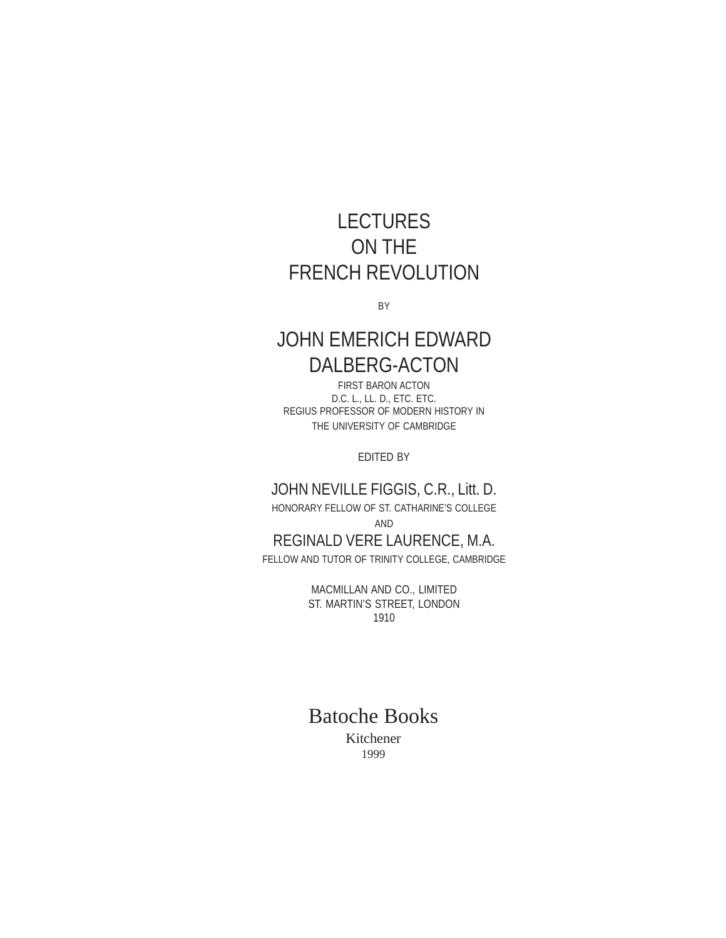# LECTURES ON THE FRENCH REVOLUTION

BY

# JOHN EMERICH EDWARD DALBERG-ACTON

FIRST BARON ACTON D.C. L., LL. D., ETC. ETC. REGIUS PROFESSOR OF MODERN HISTORY IN THE UNIVERSITY OF CAMBRIDGE

EDITED BY

## JOHN NEVILLE FIGGIS, C.R., Litt. D.

HONORARY FELLOW OF ST. CATHARINE'S COLLEGE

AND

# REGINALD VERE LAURENCE, M.A.

FELLOW AND TUTOR OF TRINITY COLLEGE, CAMBRIDGE

MACMILLAN AND CO., LIMITED ST. MARTIN'S STREET, LONDON 1910

# Batoche Books

Kitchener 1999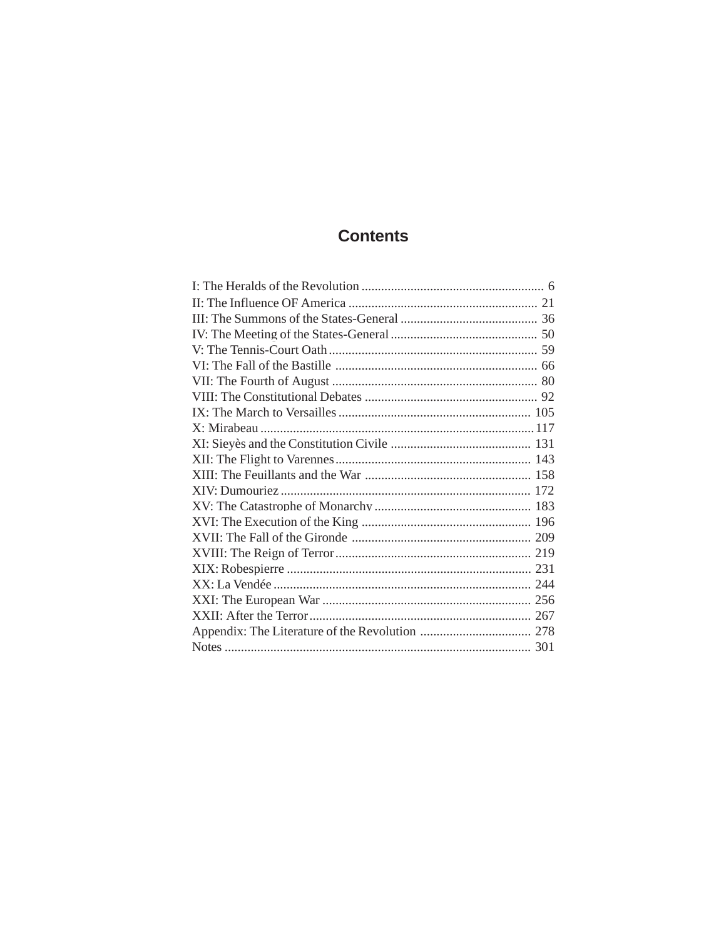# **Contents**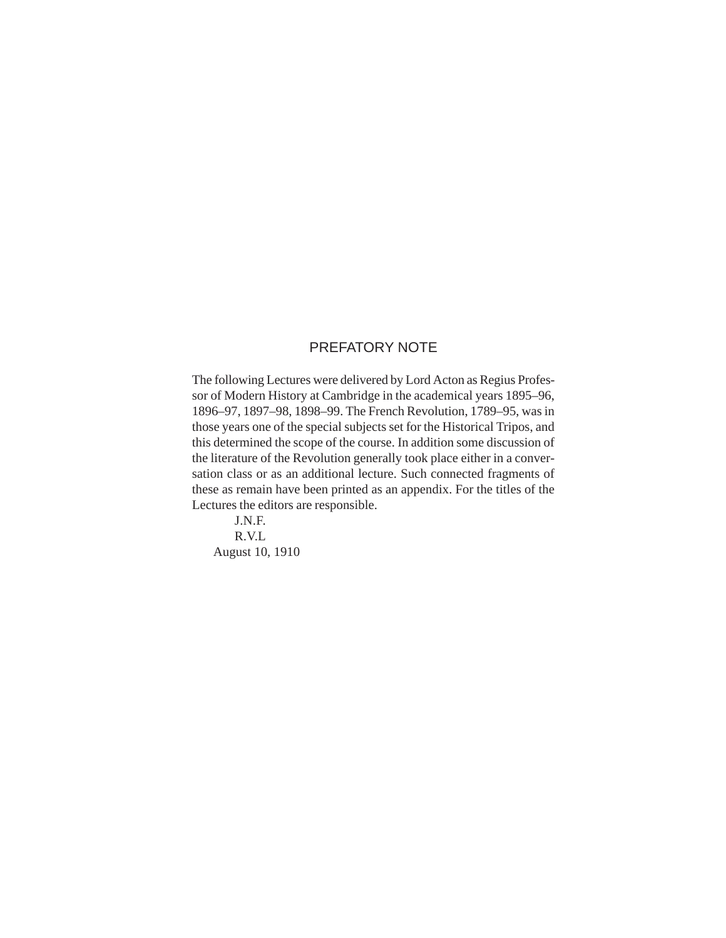### PREFATORY NOTE

The following Lectures were delivered by Lord Acton as Regius Professor of Modern History at Cambridge in the academical years 1895–96, 1896–97, 1897–98, 1898–99. The French Revolution, 1789–95, was in those years one of the special subjects set for the Historical Tripos, and this determined the scope of the course. In addition some discussion of the literature of the Revolution generally took place either in a conversation class or as an additional lecture. Such connected fragments of these as remain have been printed as an appendix. For the titles of the Lectures the editors are responsible.

J.N.F. R.V.L August 10, 1910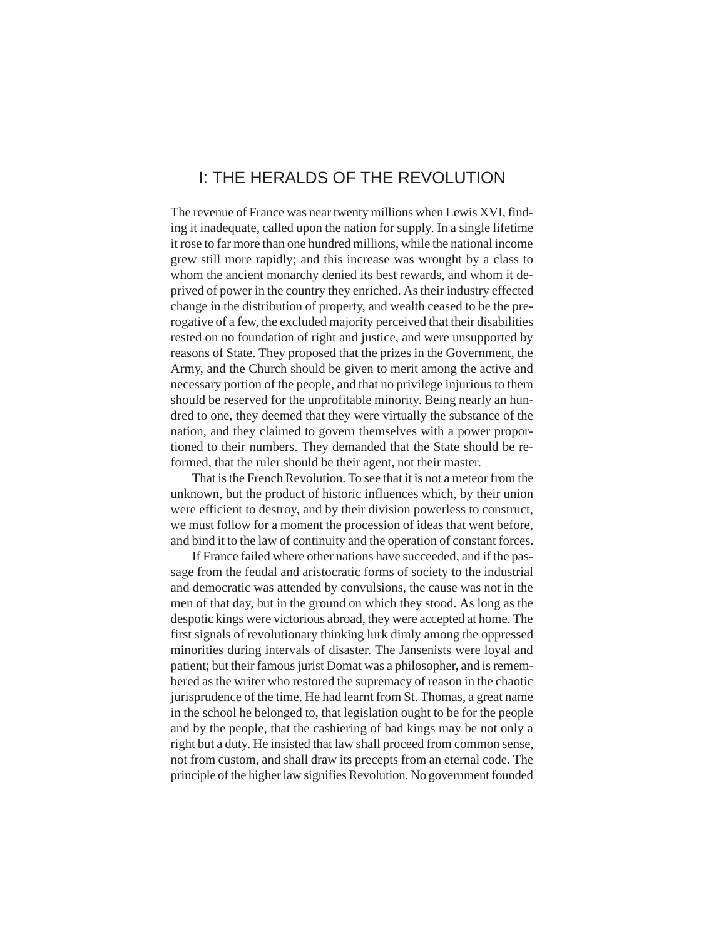## <span id="page-5-0"></span>I: THE HERALDS OF THE REVOLUTION

The revenue of France was near twenty millions when Lewis XVI, finding it inadequate, called upon the nation for supply. In a single lifetime it rose to far more than one hundred millions, while the national income grew still more rapidly; and this increase was wrought by a class to whom the ancient monarchy denied its best rewards, and whom it deprived of power in the country they enriched. As their industry effected change in the distribution of property, and wealth ceased to be the prerogative of a few, the excluded majority perceived that their disabilities rested on no foundation of right and justice, and were unsupported by reasons of State. They proposed that the prizes in the Government, the Army, and the Church should be given to merit among the active and necessary portion of the people, and that no privilege injurious to them should be reserved for the unprofitable minority. Being nearly an hundred to one, they deemed that they were virtually the substance of the nation, and they claimed to govern themselves with a power proportioned to their numbers. They demanded that the State should be reformed, that the ruler should be their agent, not their master.

That is the French Revolution. To see that it is not a meteor from the unknown, but the product of historic influences which, by their union were efficient to destroy, and by their division powerless to construct, we must follow for a moment the procession of ideas that went before, and bind it to the law of continuity and the operation of constant forces.

If France failed where other nations have succeeded, and if the passage from the feudal and aristocratic forms of society to the industrial and democratic was attended by convulsions, the cause was not in the men of that day, but in the ground on which they stood. As long as the despotic kings were victorious abroad, they were accepted at home. The first signals of revolutionary thinking lurk dimly among the oppressed minorities during intervals of disaster. The Jansenists were loyal and patient; but their famous jurist Domat was a philosopher, and is remembered as the writer who restored the supremacy of reason in the chaotic jurisprudence of the time. He had learnt from St. Thomas, a great name in the school he belonged to, that legislation ought to be for the people and by the people, that the cashiering of bad kings may be not only a right but a duty. He insisted that law shall proceed from common sense, not from custom, and shall draw its precepts from an eternal code. The principle of the higher law signifies Revolution. No government founded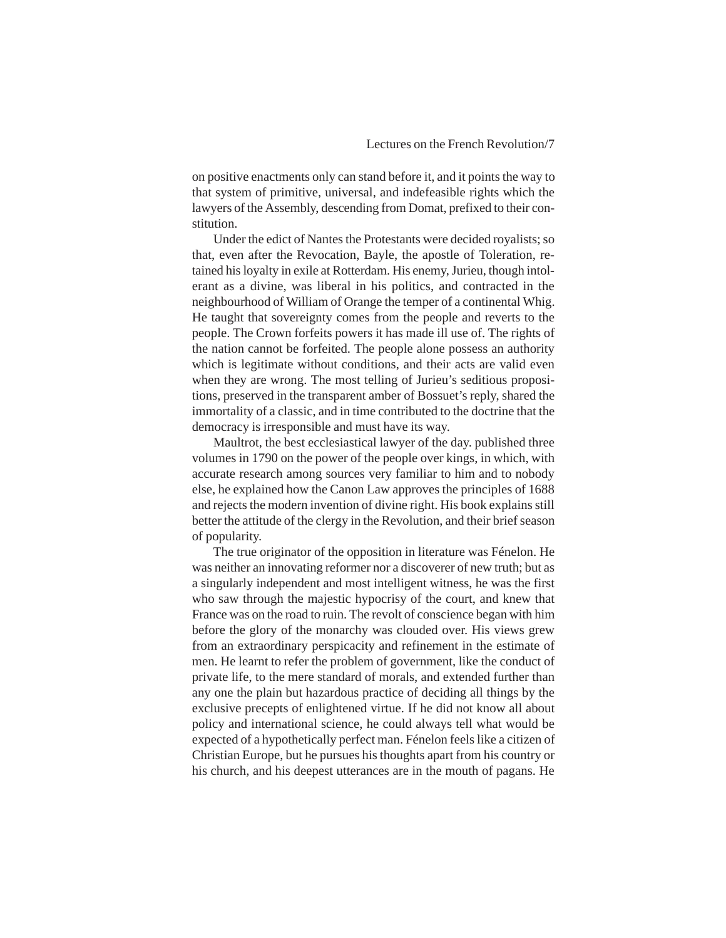on positive enactments only can stand before it, and it points the way to that system of primitive, universal, and indefeasible rights which the lawyers of the Assembly, descending from Domat, prefixed to their constitution.

Under the edict of Nantes the Protestants were decided royalists; so that, even after the Revocation, Bayle, the apostle of Toleration, retained his loyalty in exile at Rotterdam. His enemy, Jurieu, though intolerant as a divine, was liberal in his politics, and contracted in the neighbourhood of William of Orange the temper of a continental Whig. He taught that sovereignty comes from the people and reverts to the people. The Crown forfeits powers it has made ill use of. The rights of the nation cannot be forfeited. The people alone possess an authority which is legitimate without conditions, and their acts are valid even when they are wrong. The most telling of Jurieu's seditious propositions, preserved in the transparent amber of Bossuet's reply, shared the immortality of a classic, and in time contributed to the doctrine that the democracy is irresponsible and must have its way.

Maultrot, the best ecclesiastical lawyer of the day. published three volumes in 1790 on the power of the people over kings, in which, with accurate research among sources very familiar to him and to nobody else, he explained how the Canon Law approves the principles of 1688 and rejects the modern invention of divine right. His book explains still better the attitude of the clergy in the Revolution, and their brief season of popularity.

The true originator of the opposition in literature was Fénelon. He was neither an innovating reformer nor a discoverer of new truth; but as a singularly independent and most intelligent witness, he was the first who saw through the majestic hypocrisy of the court, and knew that France was on the road to ruin. The revolt of conscience began with him before the glory of the monarchy was clouded over. His views grew from an extraordinary perspicacity and refinement in the estimate of men. He learnt to refer the problem of government, like the conduct of private life, to the mere standard of morals, and extended further than any one the plain but hazardous practice of deciding all things by the exclusive precepts of enlightened virtue. If he did not know all about policy and international science, he could always tell what would be expected of a hypothetically perfect man. Fénelon feels like a citizen of Christian Europe, but he pursues his thoughts apart from his country or his church, and his deepest utterances are in the mouth of pagans. He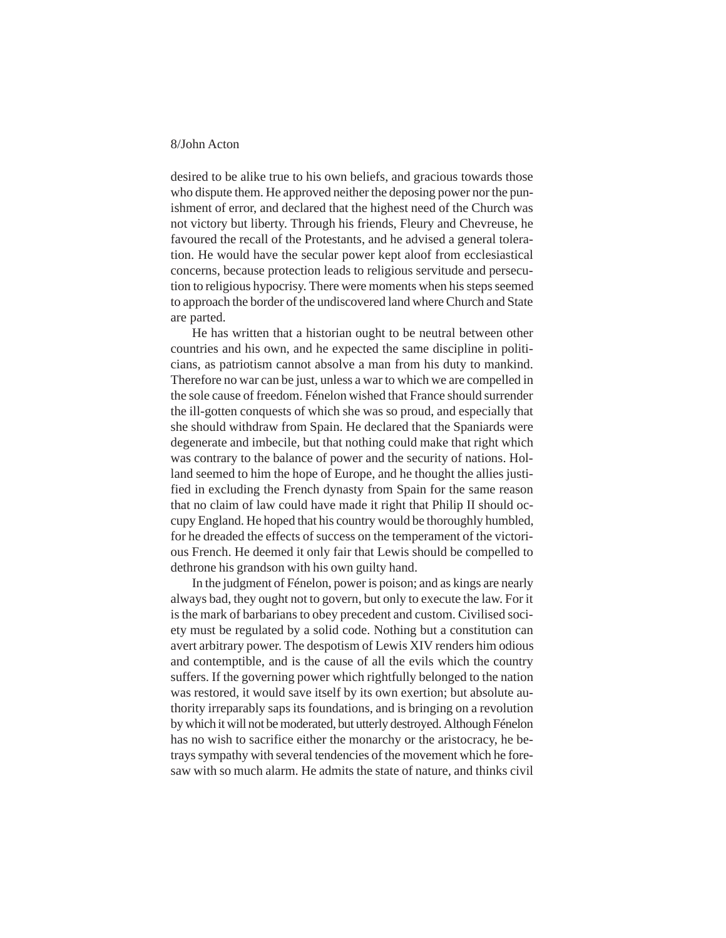desired to be alike true to his own beliefs, and gracious towards those who dispute them. He approved neither the deposing power nor the punishment of error, and declared that the highest need of the Church was not victory but liberty. Through his friends, Fleury and Chevreuse, he favoured the recall of the Protestants, and he advised a general toleration. He would have the secular power kept aloof from ecclesiastical concerns, because protection leads to religious servitude and persecution to religious hypocrisy. There were moments when his steps seemed to approach the border of the undiscovered land where Church and State are parted.

He has written that a historian ought to be neutral between other countries and his own, and he expected the same discipline in politicians, as patriotism cannot absolve a man from his duty to mankind. Therefore no war can be just, unless a war to which we are compelled in the sole cause of freedom. Fénelon wished that France should surrender the ill-gotten conquests of which she was so proud, and especially that she should withdraw from Spain. He declared that the Spaniards were degenerate and imbecile, but that nothing could make that right which was contrary to the balance of power and the security of nations. Holland seemed to him the hope of Europe, and he thought the allies justified in excluding the French dynasty from Spain for the same reason that no claim of law could have made it right that Philip II should occupy England. He hoped that his country would be thoroughly humbled, for he dreaded the effects of success on the temperament of the victorious French. He deemed it only fair that Lewis should be compelled to dethrone his grandson with his own guilty hand.

In the judgment of Fénelon, power is poison; and as kings are nearly always bad, they ought not to govern, but only to execute the law. For it is the mark of barbarians to obey precedent and custom. Civilised society must be regulated by a solid code. Nothing but a constitution can avert arbitrary power. The despotism of Lewis XIV renders him odious and contemptible, and is the cause of all the evils which the country suffers. If the governing power which rightfully belonged to the nation was restored, it would save itself by its own exertion; but absolute authority irreparably saps its foundations, and is bringing on a revolution by which it will not be moderated, but utterly destroyed. Although Fénelon has no wish to sacrifice either the monarchy or the aristocracy, he betrays sympathy with several tendencies of the movement which he foresaw with so much alarm. He admits the state of nature, and thinks civil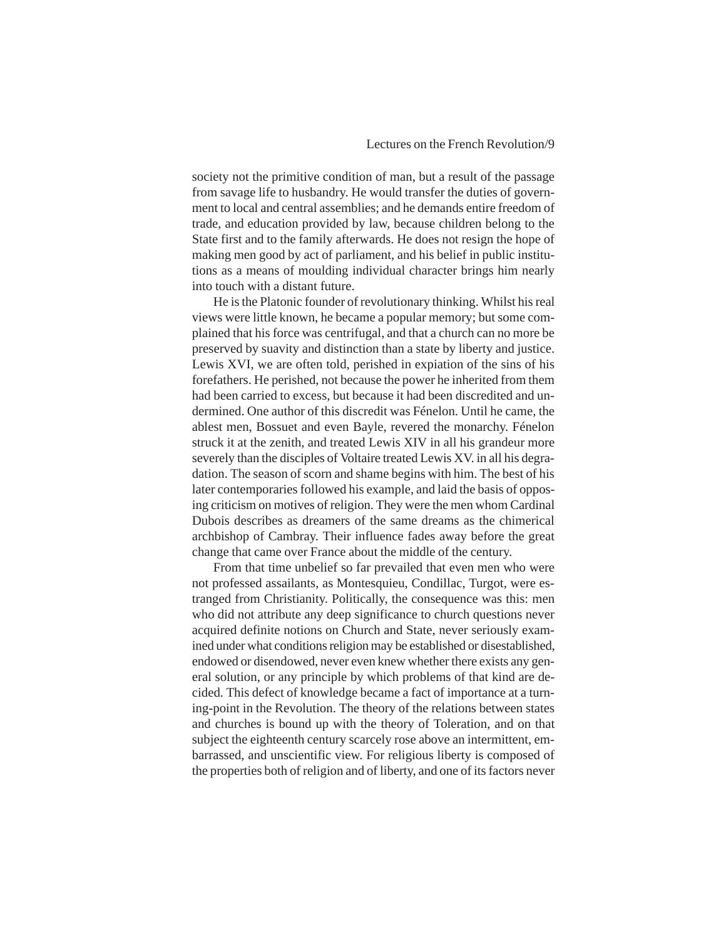society not the primitive condition of man, but a result of the passage from savage life to husbandry. He would transfer the duties of government to local and central assemblies; and he demands entire freedom of trade, and education provided by law, because children belong to the State first and to the family afterwards. He does not resign the hope of making men good by act of parliament, and his belief in public institutions as a means of moulding individual character brings him nearly into touch with a distant future.

He is the Platonic founder of revolutionary thinking. Whilst his real views were little known, he became a popular memory; but some complained that his force was centrifugal, and that a church can no more be preserved by suavity and distinction than a state by liberty and justice. Lewis XVI, we are often told, perished in expiation of the sins of his forefathers. He perished, not because the power he inherited from them had been carried to excess, but because it had been discredited and undermined. One author of this discredit was Fénelon. Until he came, the ablest men, Bossuet and even Bayle, revered the monarchy. Fénelon struck it at the zenith, and treated Lewis XIV in all his grandeur more severely than the disciples of Voltaire treated Lewis XV. in all his degradation. The season of scorn and shame begins with him. The best of his later contemporaries followed his example, and laid the basis of opposing criticism on motives of religion. They were the men whom Cardinal Dubois describes as dreamers of the same dreams as the chimerical archbishop of Cambray. Their influence fades away before the great change that came over France about the middle of the century.

From that time unbelief so far prevailed that even men who were not professed assailants, as Montesquieu, Condillac, Turgot, were estranged from Christianity. Politically, the consequence was this: men who did not attribute any deep significance to church questions never acquired definite notions on Church and State, never seriously examined under what conditions religion may be established or disestablished, endowed or disendowed, never even knew whether there exists any general solution, or any principle by which problems of that kind are decided. This defect of knowledge became a fact of importance at a turning-point in the Revolution. The theory of the relations between states and churches is bound up with the theory of Toleration, and on that subject the eighteenth century scarcely rose above an intermittent, embarrassed, and unscientific view. For religious liberty is composed of the properties both of religion and of liberty, and one of its factors never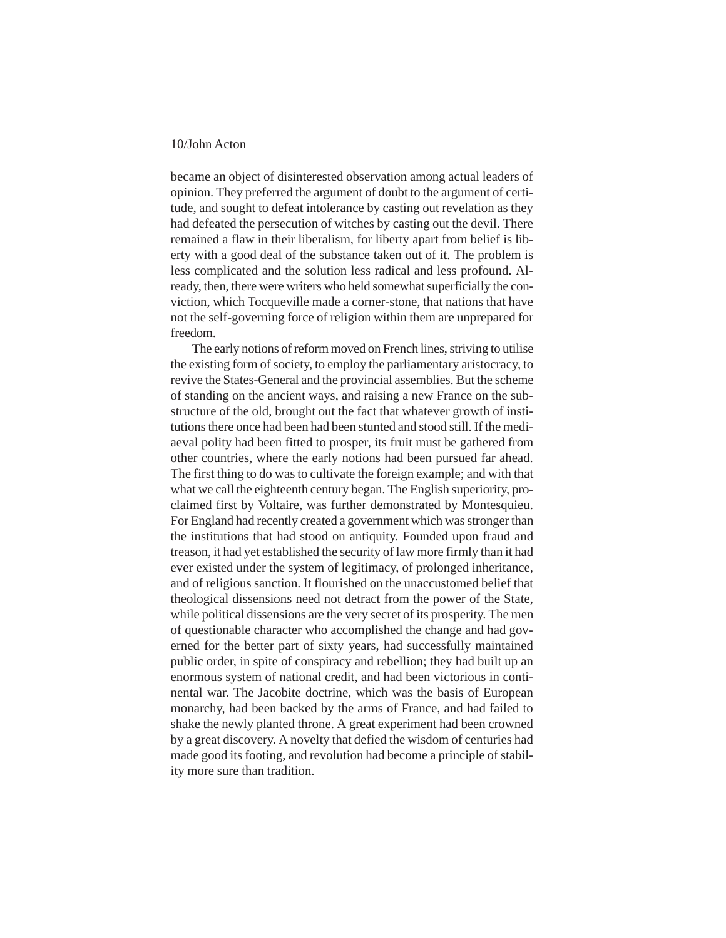became an object of disinterested observation among actual leaders of opinion. They preferred the argument of doubt to the argument of certitude, and sought to defeat intolerance by casting out revelation as they had defeated the persecution of witches by casting out the devil. There remained a flaw in their liberalism, for liberty apart from belief is liberty with a good deal of the substance taken out of it. The problem is less complicated and the solution less radical and less profound. Already, then, there were writers who held somewhat superficially the conviction, which Tocqueville made a corner-stone, that nations that have not the self-governing force of religion within them are unprepared for freedom.

The early notions of reform moved on French lines, striving to utilise the existing form of society, to employ the parliamentary aristocracy, to revive the States-General and the provincial assemblies. But the scheme of standing on the ancient ways, and raising a new France on the substructure of the old, brought out the fact that whatever growth of institutions there once had been had been stunted and stood still. If the mediaeval polity had been fitted to prosper, its fruit must be gathered from other countries, where the early notions had been pursued far ahead. The first thing to do was to cultivate the foreign example; and with that what we call the eighteenth century began. The English superiority, proclaimed first by Voltaire, was further demonstrated by Montesquieu. For England had recently created a government which was stronger than the institutions that had stood on antiquity. Founded upon fraud and treason, it had yet established the security of law more firmly than it had ever existed under the system of legitimacy, of prolonged inheritance, and of religious sanction. It flourished on the unaccustomed belief that theological dissensions need not detract from the power of the State, while political dissensions are the very secret of its prosperity. The men of questionable character who accomplished the change and had governed for the better part of sixty years, had successfully maintained public order, in spite of conspiracy and rebellion; they had built up an enormous system of national credit, and had been victorious in continental war. The Jacobite doctrine, which was the basis of European monarchy, had been backed by the arms of France, and had failed to shake the newly planted throne. A great experiment had been crowned by a great discovery. A novelty that defied the wisdom of centuries had made good its footing, and revolution had become a principle of stability more sure than tradition.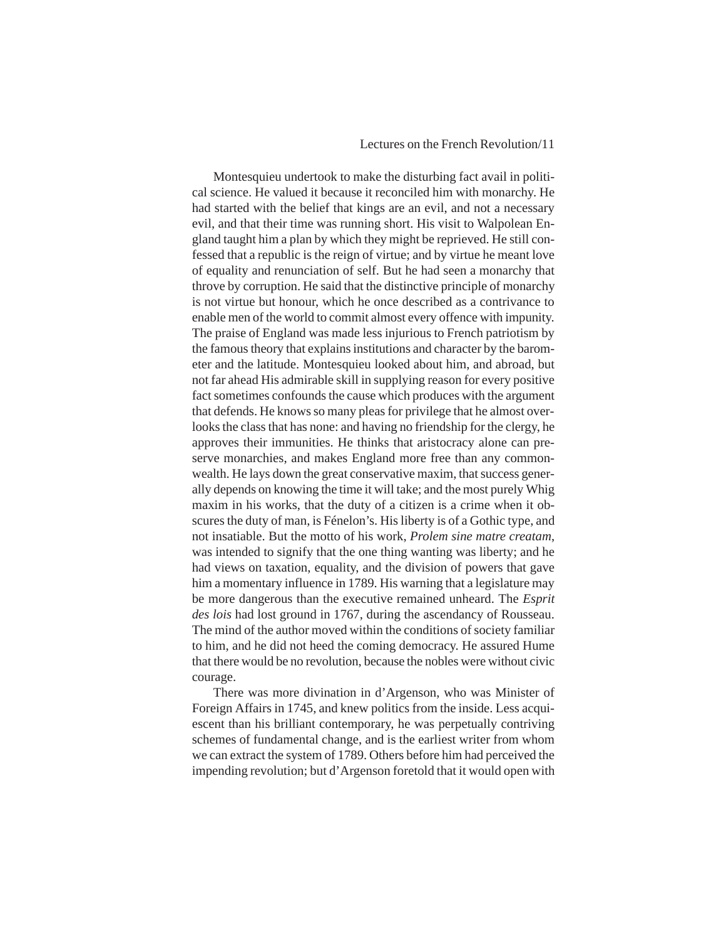#### Lectures on the French Revolution/11

Montesquieu undertook to make the disturbing fact avail in political science. He valued it because it reconciled him with monarchy. He had started with the belief that kings are an evil, and not a necessary evil, and that their time was running short. His visit to Walpolean England taught him a plan by which they might be reprieved. He still confessed that a republic is the reign of virtue; and by virtue he meant love of equality and renunciation of self. But he had seen a monarchy that throve by corruption. He said that the distinctive principle of monarchy is not virtue but honour, which he once described as a contrivance to enable men of the world to commit almost every offence with impunity. The praise of England was made less injurious to French patriotism by the famous theory that explains institutions and character by the barometer and the latitude. Montesquieu looked about him, and abroad, but not far ahead His admirable skill in supplying reason for every positive fact sometimes confounds the cause which produces with the argument that defends. He knows so many pleas for privilege that he almost overlooks the class that has none: and having no friendship for the clergy, he approves their immunities. He thinks that aristocracy alone can preserve monarchies, and makes England more free than any commonwealth. He lays down the great conservative maxim, that success generally depends on knowing the time it will take; and the most purely Whig maxim in his works, that the duty of a citizen is a crime when it obscures the duty of man, is Fénelon's. His liberty is of a Gothic type, and not insatiable. But the motto of his work, *Prolem sine matre creatam*, was intended to signify that the one thing wanting was liberty; and he had views on taxation, equality, and the division of powers that gave him a momentary influence in 1789. His warning that a legislature may be more dangerous than the executive remained unheard. The *Esprit des lois* had lost ground in 1767, during the ascendancy of Rousseau. The mind of the author moved within the conditions of society familiar to him, and he did not heed the coming democracy. He assured Hume that there would be no revolution, because the nobles were without civic courage.

There was more divination in d'Argenson, who was Minister of Foreign Affairs in 1745, and knew politics from the inside. Less acquiescent than his brilliant contemporary, he was perpetually contriving schemes of fundamental change, and is the earliest writer from whom we can extract the system of 1789. Others before him had perceived the impending revolution; but d'Argenson foretold that it would open with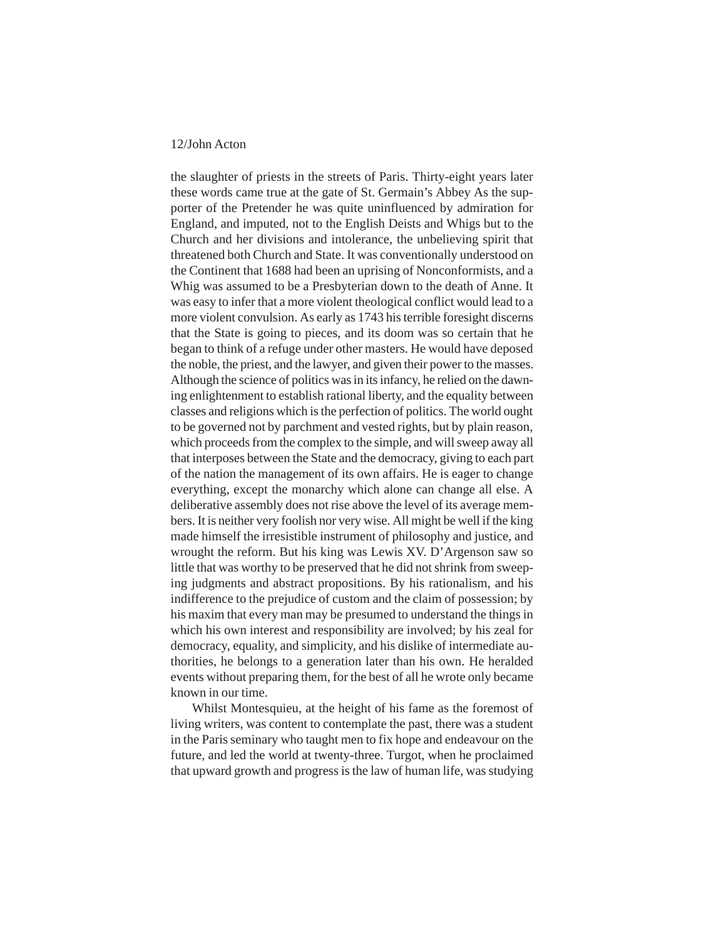the slaughter of priests in the streets of Paris. Thirty-eight years later these words came true at the gate of St. Germain's Abbey As the supporter of the Pretender he was quite uninfluenced by admiration for England, and imputed, not to the English Deists and Whigs but to the Church and her divisions and intolerance, the unbelieving spirit that threatened both Church and State. It was conventionally understood on the Continent that 1688 had been an uprising of Nonconformists, and a Whig was assumed to be a Presbyterian down to the death of Anne. It was easy to infer that a more violent theological conflict would lead to a more violent convulsion. As early as 1743 his terrible foresight discerns that the State is going to pieces, and its doom was so certain that he began to think of a refuge under other masters. He would have deposed the noble, the priest, and the lawyer, and given their power to the masses. Although the science of politics was in its infancy, he relied on the dawning enlightenment to establish rational liberty, and the equality between classes and religions which is the perfection of politics. The world ought to be governed not by parchment and vested rights, but by plain reason, which proceeds from the complex to the simple, and will sweep away all that interposes between the State and the democracy, giving to each part of the nation the management of its own affairs. He is eager to change everything, except the monarchy which alone can change all else. A deliberative assembly does not rise above the level of its average members. It is neither very foolish nor very wise. All might be well if the king made himself the irresistible instrument of philosophy and justice, and wrought the reform. But his king was Lewis XV. D'Argenson saw so little that was worthy to be preserved that he did not shrink from sweeping judgments and abstract propositions. By his rationalism, and his indifference to the prejudice of custom and the claim of possession; by his maxim that every man may be presumed to understand the things in which his own interest and responsibility are involved; by his zeal for democracy, equality, and simplicity, and his dislike of intermediate authorities, he belongs to a generation later than his own. He heralded events without preparing them, for the best of all he wrote only became known in our time.

Whilst Montesquieu, at the height of his fame as the foremost of living writers, was content to contemplate the past, there was a student in the Paris seminary who taught men to fix hope and endeavour on the future, and led the world at twenty-three. Turgot, when he proclaimed that upward growth and progress is the law of human life, was studying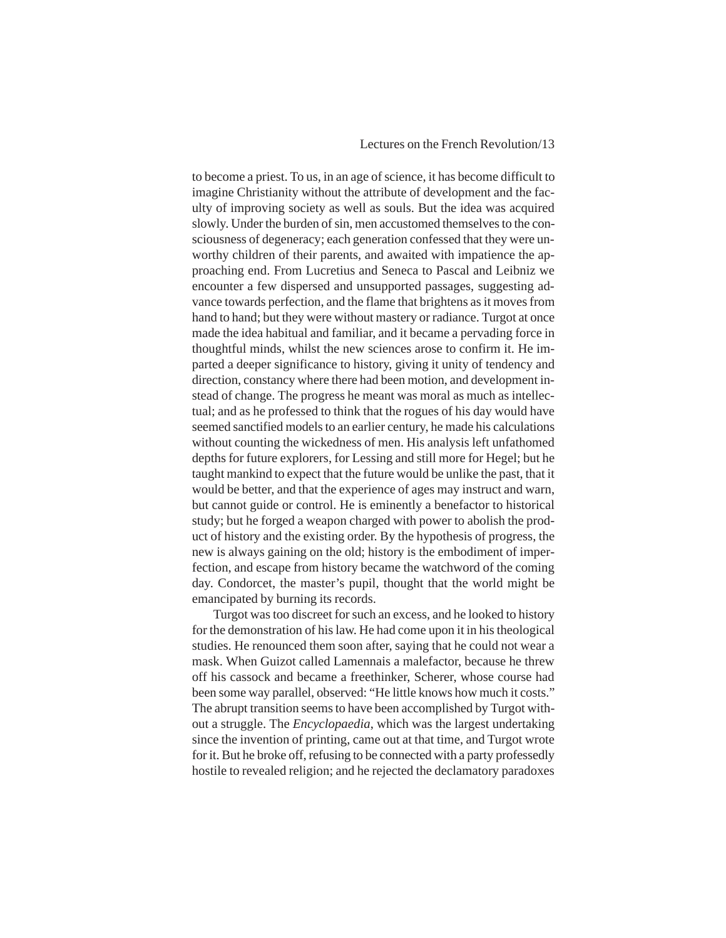#### Lectures on the French Revolution/13

to become a priest. To us, in an age of science, it has become difficult to imagine Christianity without the attribute of development and the faculty of improving society as well as souls. But the idea was acquired slowly. Under the burden of sin, men accustomed themselves to the consciousness of degeneracy; each generation confessed that they were unworthy children of their parents, and awaited with impatience the approaching end. From Lucretius and Seneca to Pascal and Leibniz we encounter a few dispersed and unsupported passages, suggesting advance towards perfection, and the flame that brightens as it moves from hand to hand; but they were without mastery or radiance. Turgot at once made the idea habitual and familiar, and it became a pervading force in thoughtful minds, whilst the new sciences arose to confirm it. He imparted a deeper significance to history, giving it unity of tendency and direction, constancy where there had been motion, and development instead of change. The progress he meant was moral as much as intellectual; and as he professed to think that the rogues of his day would have seemed sanctified models to an earlier century, he made his calculations without counting the wickedness of men. His analysis left unfathomed depths for future explorers, for Lessing and still more for Hegel; but he taught mankind to expect that the future would be unlike the past, that it would be better, and that the experience of ages may instruct and warn, but cannot guide or control. He is eminently a benefactor to historical study; but he forged a weapon charged with power to abolish the product of history and the existing order. By the hypothesis of progress, the new is always gaining on the old; history is the embodiment of imperfection, and escape from history became the watchword of the coming day. Condorcet, the master's pupil, thought that the world might be emancipated by burning its records.

Turgot was too discreet for such an excess, and he looked to history for the demonstration of his law. He had come upon it in his theological studies. He renounced them soon after, saying that he could not wear a mask. When Guizot called Lamennais a malefactor, because he threw off his cassock and became a freethinker, Scherer, whose course had been some way parallel, observed: "He little knows how much it costs." The abrupt transition seems to have been accomplished by Turgot without a struggle. The *Encyclopaedia*, which was the largest undertaking since the invention of printing, came out at that time, and Turgot wrote for it. But he broke off, refusing to be connected with a party professedly hostile to revealed religion; and he rejected the declamatory paradoxes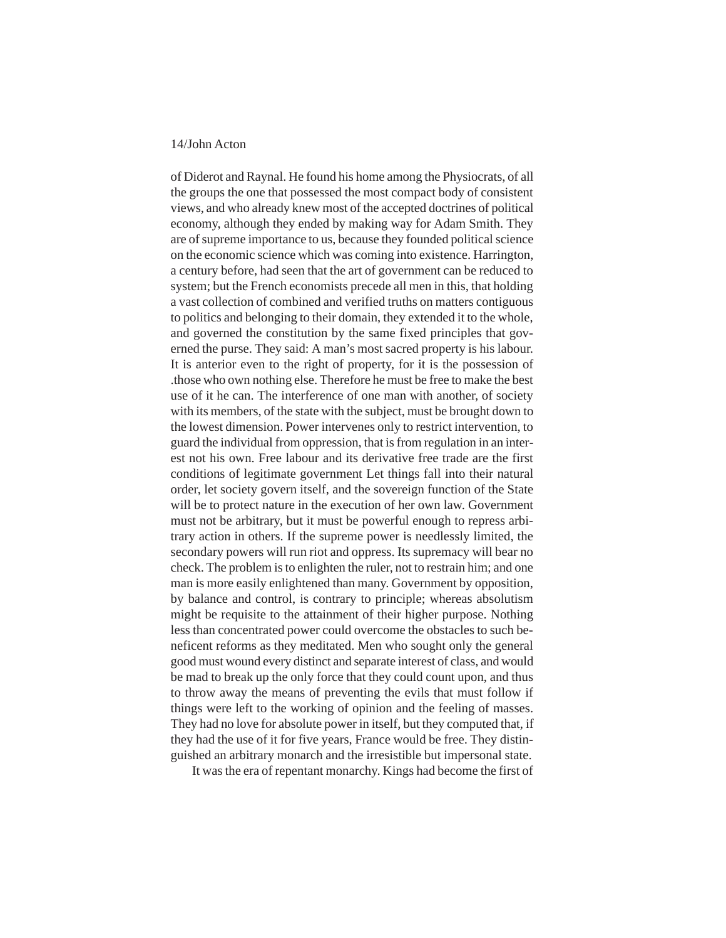of Diderot and Raynal. He found his home among the Physiocrats, of all the groups the one that possessed the most compact body of consistent views, and who already knew most of the accepted doctrines of political economy, although they ended by making way for Adam Smith. They are of supreme importance to us, because they founded political science on the economic science which was coming into existence. Harrington, a century before, had seen that the art of government can be reduced to system; but the French economists precede all men in this, that holding a vast collection of combined and verified truths on matters contiguous to politics and belonging to their domain, they extended it to the whole, and governed the constitution by the same fixed principles that governed the purse. They said: A man's most sacred property is his labour. It is anterior even to the right of property, for it is the possession of .those who own nothing else. Therefore he must be free to make the best use of it he can. The interference of one man with another, of society with its members, of the state with the subject, must be brought down to the lowest dimension. Power intervenes only to restrict intervention, to guard the individual from oppression, that is from regulation in an interest not his own. Free labour and its derivative free trade are the first conditions of legitimate government Let things fall into their natural order, let society govern itself, and the sovereign function of the State will be to protect nature in the execution of her own law. Government must not be arbitrary, but it must be powerful enough to repress arbitrary action in others. If the supreme power is needlessly limited, the secondary powers will run riot and oppress. Its supremacy will bear no check. The problem is to enlighten the ruler, not to restrain him; and one man is more easily enlightened than many. Government by opposition, by balance and control, is contrary to principle; whereas absolutism might be requisite to the attainment of their higher purpose. Nothing less than concentrated power could overcome the obstacles to such beneficent reforms as they meditated. Men who sought only the general good must wound every distinct and separate interest of class, and would be mad to break up the only force that they could count upon, and thus to throw away the means of preventing the evils that must follow if things were left to the working of opinion and the feeling of masses. They had no love for absolute power in itself, but they computed that, if they had the use of it for five years, France would be free. They distinguished an arbitrary monarch and the irresistible but impersonal state.

It was the era of repentant monarchy. Kings had become the first of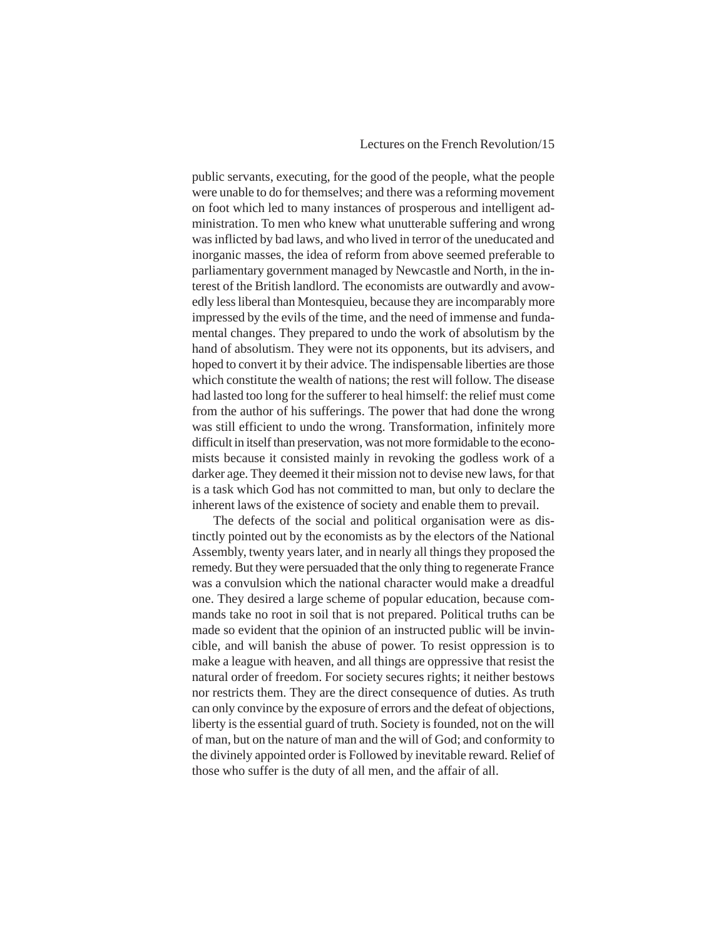#### Lectures on the French Revolution/15

public servants, executing, for the good of the people, what the people were unable to do for themselves; and there was a reforming movement on foot which led to many instances of prosperous and intelligent administration. To men who knew what unutterable suffering and wrong was inflicted by bad laws, and who lived in terror of the uneducated and inorganic masses, the idea of reform from above seemed preferable to parliamentary government managed by Newcastle and North, in the interest of the British landlord. The economists are outwardly and avowedly less liberal than Montesquieu, because they are incomparably more impressed by the evils of the time, and the need of immense and fundamental changes. They prepared to undo the work of absolutism by the hand of absolutism. They were not its opponents, but its advisers, and hoped to convert it by their advice. The indispensable liberties are those which constitute the wealth of nations; the rest will follow. The disease had lasted too long for the sufferer to heal himself: the relief must come from the author of his sufferings. The power that had done the wrong was still efficient to undo the wrong. Transformation, infinitely more difficult in itself than preservation, was not more formidable to the economists because it consisted mainly in revoking the godless work of a darker age. They deemed it their mission not to devise new laws, for that is a task which God has not committed to man, but only to declare the inherent laws of the existence of society and enable them to prevail.

The defects of the social and political organisation were as distinctly pointed out by the economists as by the electors of the National Assembly, twenty years later, and in nearly all things they proposed the remedy. But they were persuaded that the only thing to regenerate France was a convulsion which the national character would make a dreadful one. They desired a large scheme of popular education, because commands take no root in soil that is not prepared. Political truths can be made so evident that the opinion of an instructed public will be invincible, and will banish the abuse of power. To resist oppression is to make a league with heaven, and all things are oppressive that resist the natural order of freedom. For society secures rights; it neither bestows nor restricts them. They are the direct consequence of duties. As truth can only convince by the exposure of errors and the defeat of objections, liberty is the essential guard of truth. Society is founded, not on the will of man, but on the nature of man and the will of God; and conformity to the divinely appointed order is Followed by inevitable reward. Relief of those who suffer is the duty of all men, and the affair of all.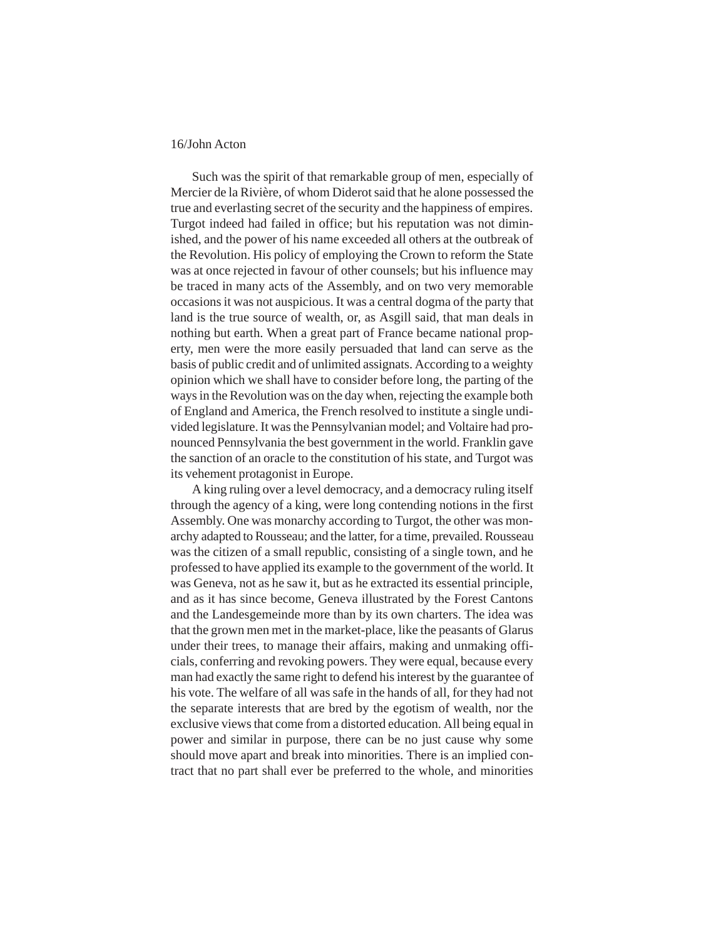Such was the spirit of that remarkable group of men, especially of Mercier de la Rivière, of whom Diderot said that he alone possessed the true and everlasting secret of the security and the happiness of empires. Turgot indeed had failed in office; but his reputation was not diminished, and the power of his name exceeded all others at the outbreak of the Revolution. His policy of employing the Crown to reform the State was at once rejected in favour of other counsels; but his influence may be traced in many acts of the Assembly, and on two very memorable occasions it was not auspicious. It was a central dogma of the party that land is the true source of wealth, or, as Asgill said, that man deals in nothing but earth. When a great part of France became national property, men were the more easily persuaded that land can serve as the basis of public credit and of unlimited assignats. According to a weighty opinion which we shall have to consider before long, the parting of the ways in the Revolution was on the day when, rejecting the example both of England and America, the French resolved to institute a single undivided legislature. It was the Pennsylvanian model; and Voltaire had pronounced Pennsylvania the best government in the world. Franklin gave the sanction of an oracle to the constitution of his state, and Turgot was its vehement protagonist in Europe.

A king ruling over a level democracy, and a democracy ruling itself through the agency of a king, were long contending notions in the first Assembly. One was monarchy according to Turgot, the other was monarchy adapted to Rousseau; and the latter, for a time, prevailed. Rousseau was the citizen of a small republic, consisting of a single town, and he professed to have applied its example to the government of the world. It was Geneva, not as he saw it, but as he extracted its essential principle, and as it has since become, Geneva illustrated by the Forest Cantons and the Landesgemeinde more than by its own charters. The idea was that the grown men met in the market-place, like the peasants of Glarus under their trees, to manage their affairs, making and unmaking officials, conferring and revoking powers. They were equal, because every man had exactly the same right to defend his interest by the guarantee of his vote. The welfare of all was safe in the hands of all, for they had not the separate interests that are bred by the egotism of wealth, nor the exclusive views that come from a distorted education. All being equal in power and similar in purpose, there can be no just cause why some should move apart and break into minorities. There is an implied contract that no part shall ever be preferred to the whole, and minorities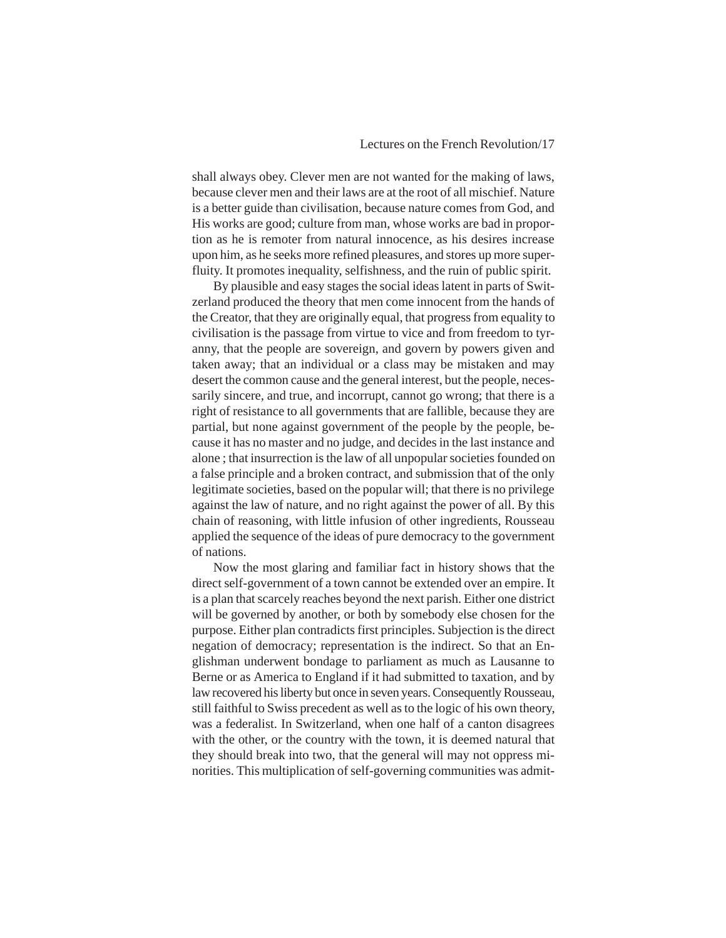#### Lectures on the French Revolution/17

shall always obey. Clever men are not wanted for the making of laws, because clever men and their laws are at the root of all mischief. Nature is a better guide than civilisation, because nature comes from God, and His works are good; culture from man, whose works are bad in proportion as he is remoter from natural innocence, as his desires increase upon him, as he seeks more refined pleasures, and stores up more superfluity. It promotes inequality, selfishness, and the ruin of public spirit.

By plausible and easy stages the social ideas latent in parts of Switzerland produced the theory that men come innocent from the hands of the Creator, that they are originally equal, that progress from equality to civilisation is the passage from virtue to vice and from freedom to tyranny, that the people are sovereign, and govern by powers given and taken away; that an individual or a class may be mistaken and may desert the common cause and the general interest, but the people, necessarily sincere, and true, and incorrupt, cannot go wrong; that there is a right of resistance to all governments that are fallible, because they are partial, but none against government of the people by the people, because it has no master and no judge, and decides in the last instance and alone ; that insurrection is the law of all unpopular societies founded on a false principle and a broken contract, and submission that of the only legitimate societies, based on the popular will; that there is no privilege against the law of nature, and no right against the power of all. By this chain of reasoning, with little infusion of other ingredients, Rousseau applied the sequence of the ideas of pure democracy to the government of nations.

Now the most glaring and familiar fact in history shows that the direct self-government of a town cannot be extended over an empire. It is a plan that scarcely reaches beyond the next parish. Either one district will be governed by another, or both by somebody else chosen for the purpose. Either plan contradicts first principles. Subjection is the direct negation of democracy; representation is the indirect. So that an Englishman underwent bondage to parliament as much as Lausanne to Berne or as America to England if it had submitted to taxation, and by law recovered his liberty but once in seven years. Consequently Rousseau, still faithful to Swiss precedent as well as to the logic of his own theory, was a federalist. In Switzerland, when one half of a canton disagrees with the other, or the country with the town, it is deemed natural that they should break into two, that the general will may not oppress minorities. This multiplication of self-governing communities was admit-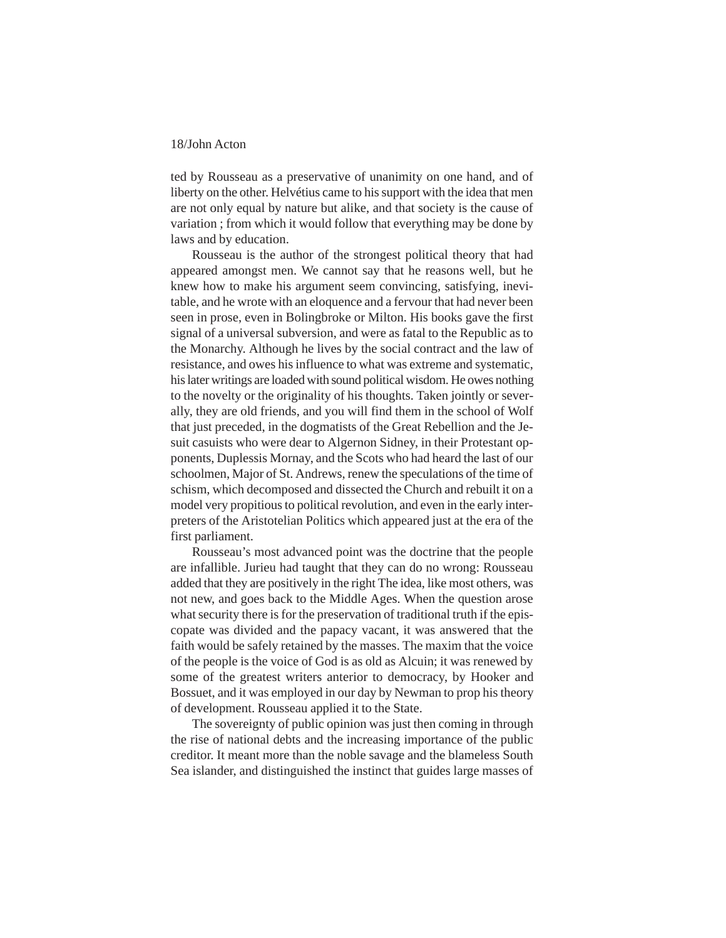ted by Rousseau as a preservative of unanimity on one hand, and of liberty on the other. Helvétius came to his support with the idea that men are not only equal by nature but alike, and that society is the cause of variation ; from which it would follow that everything may be done by laws and by education.

Rousseau is the author of the strongest political theory that had appeared amongst men. We cannot say that he reasons well, but he knew how to make his argument seem convincing, satisfying, inevitable, and he wrote with an eloquence and a fervour that had never been seen in prose, even in Bolingbroke or Milton. His books gave the first signal of a universal subversion, and were as fatal to the Republic as to the Monarchy. Although he lives by the social contract and the law of resistance, and owes his influence to what was extreme and systematic, his later writings are loaded with sound political wisdom. He owes nothing to the novelty or the originality of his thoughts. Taken jointly or severally, they are old friends, and you will find them in the school of Wolf that just preceded, in the dogmatists of the Great Rebellion and the Jesuit casuists who were dear to Algernon Sidney, in their Protestant opponents, Duplessis Mornay, and the Scots who had heard the last of our schoolmen, Major of St. Andrews, renew the speculations of the time of schism, which decomposed and dissected the Church and rebuilt it on a model very propitious to political revolution, and even in the early interpreters of the Aristotelian Politics which appeared just at the era of the first parliament.

Rousseau's most advanced point was the doctrine that the people are infallible. Jurieu had taught that they can do no wrong: Rousseau added that they are positively in the right The idea, like most others, was not new, and goes back to the Middle Ages. When the question arose what security there is for the preservation of traditional truth if the episcopate was divided and the papacy vacant, it was answered that the faith would be safely retained by the masses. The maxim that the voice of the people is the voice of God is as old as Alcuin; it was renewed by some of the greatest writers anterior to democracy, by Hooker and Bossuet, and it was employed in our day by Newman to prop his theory of development. Rousseau applied it to the State.

The sovereignty of public opinion was just then coming in through the rise of national debts and the increasing importance of the public creditor. It meant more than the noble savage and the blameless South Sea islander, and distinguished the instinct that guides large masses of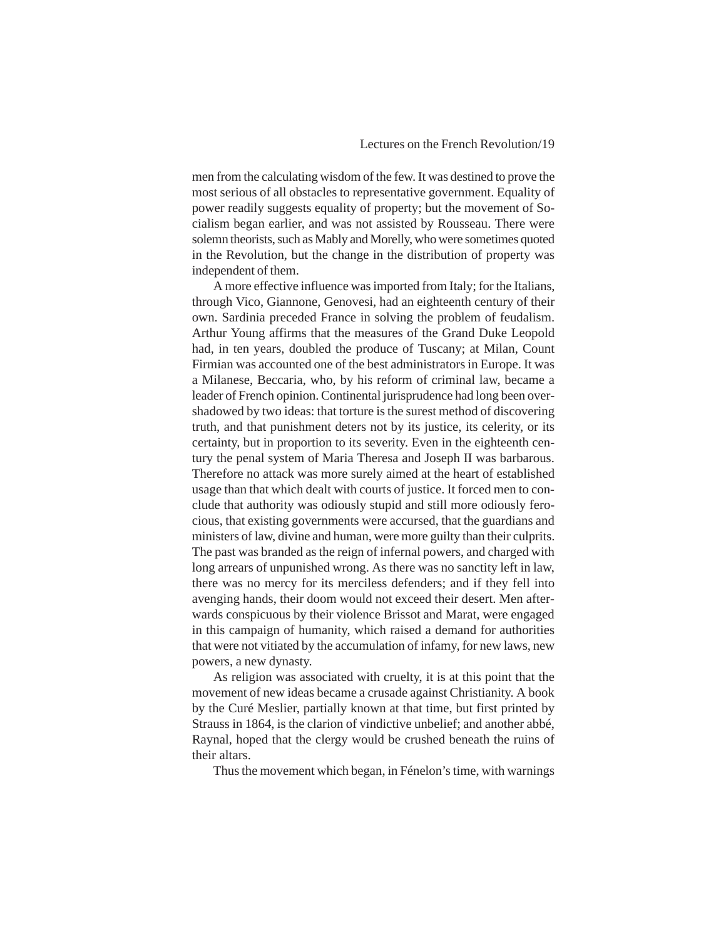men from the calculating wisdom of the few. It was destined to prove the most serious of all obstacles to representative government. Equality of power readily suggests equality of property; but the movement of Socialism began earlier, and was not assisted by Rousseau. There were solemn theorists, such as Mably and Morelly, who were sometimes quoted in the Revolution, but the change in the distribution of property was independent of them.

A more effective influence was imported from Italy; for the Italians, through Vico, Giannone, Genovesi, had an eighteenth century of their own. Sardinia preceded France in solving the problem of feudalism. Arthur Young affirms that the measures of the Grand Duke Leopold had, in ten years, doubled the produce of Tuscany; at Milan, Count Firmian was accounted one of the best administrators in Europe. It was a Milanese, Beccaria, who, by his reform of criminal law, became a leader of French opinion. Continental jurisprudence had long been overshadowed by two ideas: that torture is the surest method of discovering truth, and that punishment deters not by its justice, its celerity, or its certainty, but in proportion to its severity. Even in the eighteenth century the penal system of Maria Theresa and Joseph II was barbarous. Therefore no attack was more surely aimed at the heart of established usage than that which dealt with courts of justice. It forced men to conclude that authority was odiously stupid and still more odiously ferocious, that existing governments were accursed, that the guardians and ministers of law, divine and human, were more guilty than their culprits. The past was branded as the reign of infernal powers, and charged with long arrears of unpunished wrong. As there was no sanctity left in law, there was no mercy for its merciless defenders; and if they fell into avenging hands, their doom would not exceed their desert. Men afterwards conspicuous by their violence Brissot and Marat, were engaged in this campaign of humanity, which raised a demand for authorities that were not vitiated by the accumulation of infamy, for new laws, new powers, a new dynasty.

As religion was associated with cruelty, it is at this point that the movement of new ideas became a crusade against Christianity. A book by the Curé Meslier, partially known at that time, but first printed by Strauss in 1864, is the clarion of vindictive unbelief; and another abbé, Raynal, hoped that the clergy would be crushed beneath the ruins of their altars.

Thus the movement which began, in Fénelon's time, with warnings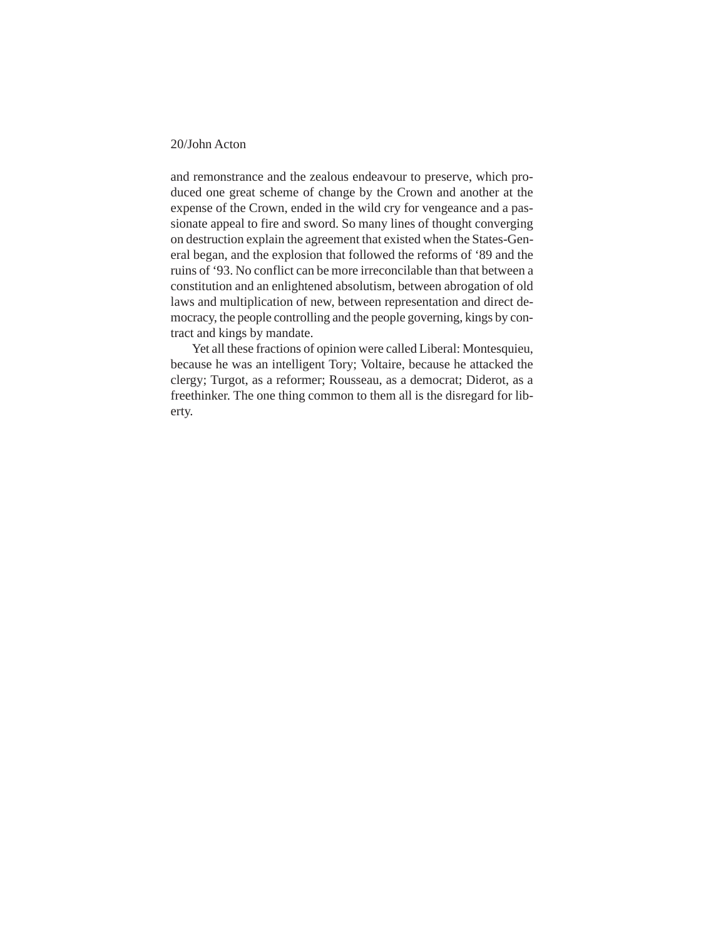and remonstrance and the zealous endeavour to preserve, which produced one great scheme of change by the Crown and another at the expense of the Crown, ended in the wild cry for vengeance and a passionate appeal to fire and sword. So many lines of thought converging on destruction explain the agreement that existed when the States-General began, and the explosion that followed the reforms of '89 and the ruins of '93. No conflict can be more irreconcilable than that between a constitution and an enlightened absolutism, between abrogation of old laws and multiplication of new, between representation and direct democracy, the people controlling and the people governing, kings by contract and kings by mandate.

Yet all these fractions of opinion were called Liberal: Montesquieu, because he was an intelligent Tory; Voltaire, because he attacked the clergy; Turgot, as a reformer; Rousseau, as a democrat; Diderot, as a freethinker. The one thing common to them all is the disregard for liberty.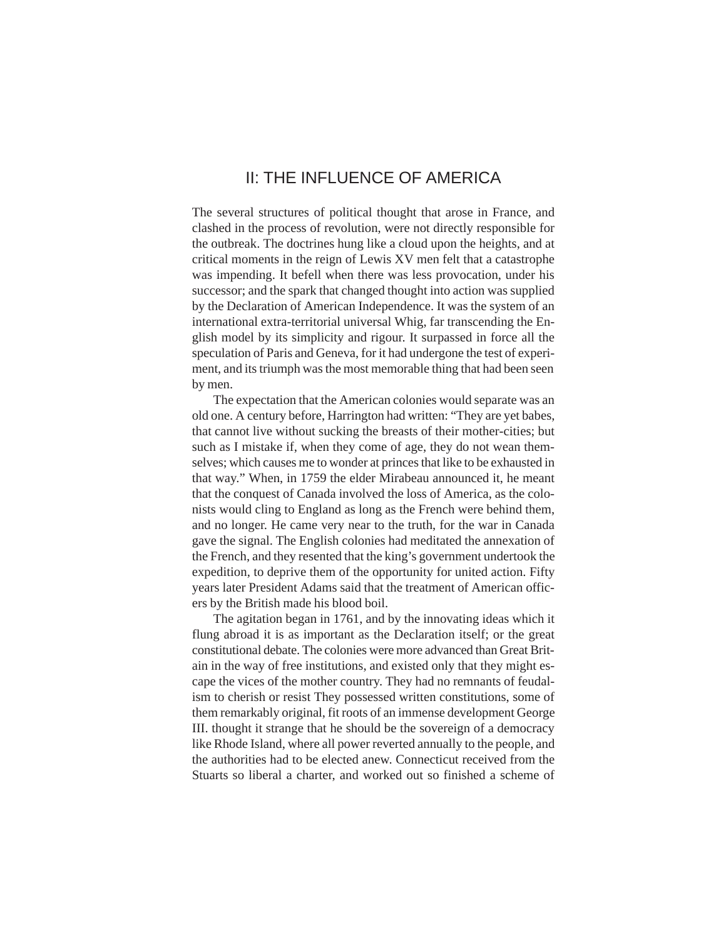### II: THE INFLUENCE OF AMERICA

<span id="page-20-0"></span>The several structures of political thought that arose in France, and clashed in the process of revolution, were not directly responsible for the outbreak. The doctrines hung like a cloud upon the heights, and at critical moments in the reign of Lewis XV men felt that a catastrophe was impending. It befell when there was less provocation, under his successor; and the spark that changed thought into action was supplied by the Declaration of American Independence. It was the system of an international extra-territorial universal Whig, far transcending the English model by its simplicity and rigour. It surpassed in force all the speculation of Paris and Geneva, for it had undergone the test of experiment, and its triumph was the most memorable thing that had been seen by men.

The expectation that the American colonies would separate was an old one. A century before, Harrington had written: "They are yet babes, that cannot live without sucking the breasts of their mother-cities; but such as I mistake if, when they come of age, they do not wean themselves; which causes me to wonder at princes that like to be exhausted in that way." When, in 1759 the elder Mirabeau announced it, he meant that the conquest of Canada involved the loss of America, as the colonists would cling to England as long as the French were behind them, and no longer. He came very near to the truth, for the war in Canada gave the signal. The English colonies had meditated the annexation of the French, and they resented that the king's government undertook the expedition, to deprive them of the opportunity for united action. Fifty years later President Adams said that the treatment of American officers by the British made his blood boil.

The agitation began in 1761, and by the innovating ideas which it flung abroad it is as important as the Declaration itself; or the great constitutional debate. The colonies were more advanced than Great Britain in the way of free institutions, and existed only that they might escape the vices of the mother country. They had no remnants of feudalism to cherish or resist They possessed written constitutions, some of them remarkably original, fit roots of an immense development George III. thought it strange that he should be the sovereign of a democracy like Rhode Island, where all power reverted annually to the people, and the authorities had to be elected anew. Connecticut received from the Stuarts so liberal a charter, and worked out so finished a scheme of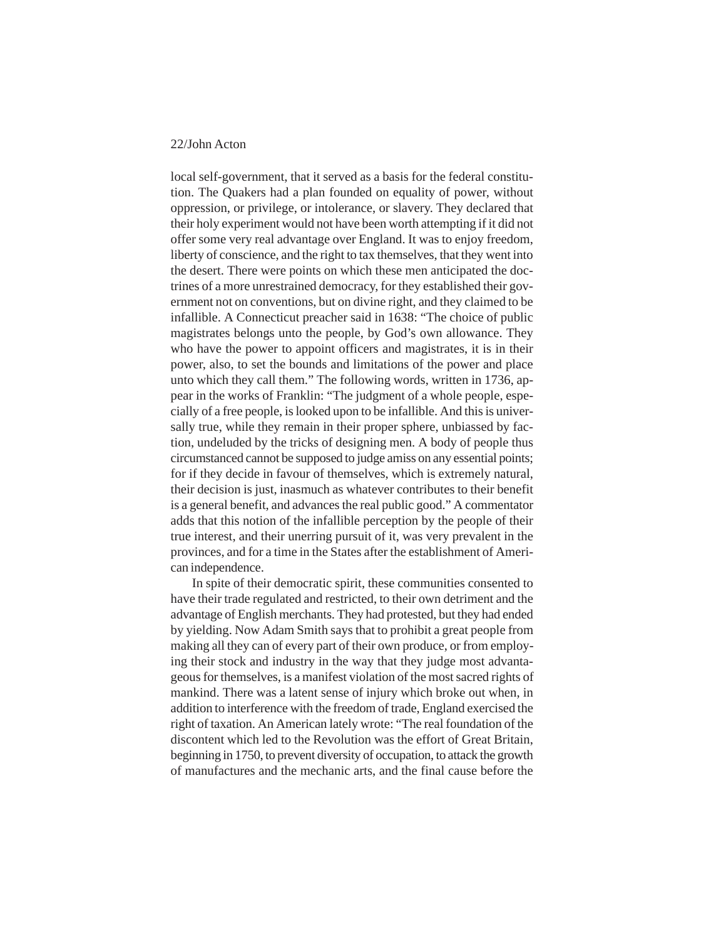local self-government, that it served as a basis for the federal constitution. The Quakers had a plan founded on equality of power, without oppression, or privilege, or intolerance, or slavery. They declared that their holy experiment would not have been worth attempting if it did not offer some very real advantage over England. It was to enjoy freedom, liberty of conscience, and the right to tax themselves, that they went into the desert. There were points on which these men anticipated the doctrines of a more unrestrained democracy, for they established their government not on conventions, but on divine right, and they claimed to be infallible. A Connecticut preacher said in 1638: "The choice of public magistrates belongs unto the people, by God's own allowance. They who have the power to appoint officers and magistrates, it is in their power, also, to set the bounds and limitations of the power and place unto which they call them." The following words, written in 1736, appear in the works of Franklin: "The judgment of a whole people, especially of a free people, is looked upon to be infallible. And this is universally true, while they remain in their proper sphere, unbiassed by faction, undeluded by the tricks of designing men. A body of people thus circumstanced cannot be supposed to judge amiss on any essential points; for if they decide in favour of themselves, which is extremely natural, their decision is just, inasmuch as whatever contributes to their benefit is a general benefit, and advances the real public good." A commentator adds that this notion of the infallible perception by the people of their true interest, and their unerring pursuit of it, was very prevalent in the provinces, and for a time in the States after the establishment of American independence.

In spite of their democratic spirit, these communities consented to have their trade regulated and restricted, to their own detriment and the advantage of English merchants. They had protested, but they had ended by yielding. Now Adam Smith says that to prohibit a great people from making all they can of every part of their own produce, or from employing their stock and industry in the way that they judge most advantageous for themselves, is a manifest violation of the most sacred rights of mankind. There was a latent sense of injury which broke out when, in addition to interference with the freedom of trade, England exercised the right of taxation. An American lately wrote: "The real foundation of the discontent which led to the Revolution was the effort of Great Britain, beginning in 1750, to prevent diversity of occupation, to attack the growth of manufactures and the mechanic arts, and the final cause before the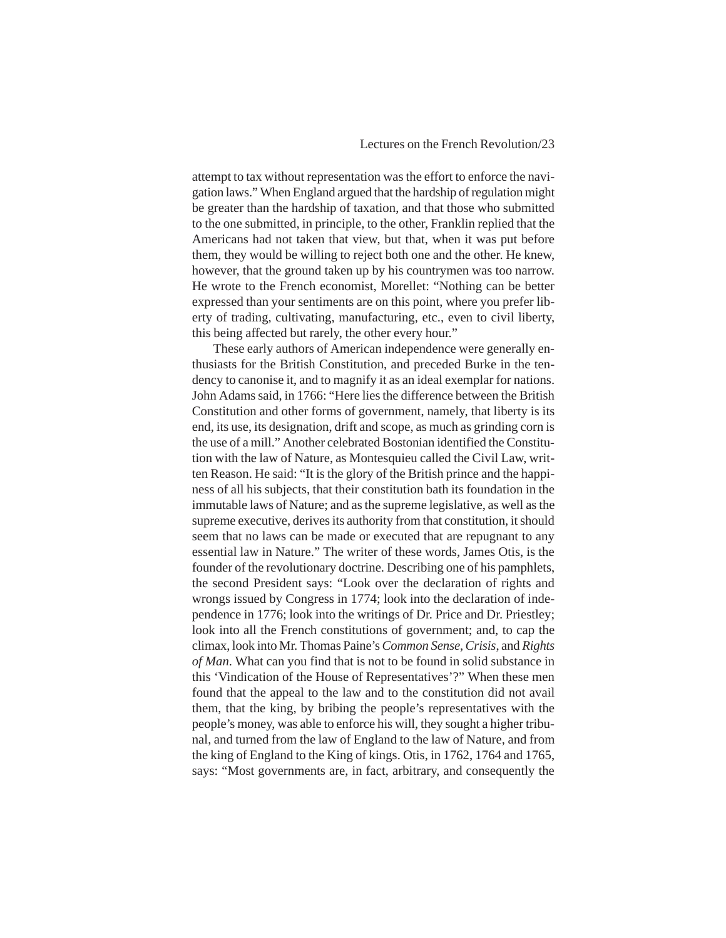attempt to tax without representation was the effort to enforce the navigation laws." When England argued that the hardship of regulation might be greater than the hardship of taxation, and that those who submitted to the one submitted, in principle, to the other, Franklin replied that the Americans had not taken that view, but that, when it was put before them, they would be willing to reject both one and the other. He knew, however, that the ground taken up by his countrymen was too narrow. He wrote to the French economist, Morellet: "Nothing can be better expressed than your sentiments are on this point, where you prefer liberty of trading, cultivating, manufacturing, etc., even to civil liberty, this being affected but rarely, the other every hour."

These early authors of American independence were generally enthusiasts for the British Constitution, and preceded Burke in the tendency to canonise it, and to magnify it as an ideal exemplar for nations. John Adams said, in 1766: "Here lies the difference between the British Constitution and other forms of government, namely, that liberty is its end, its use, its designation, drift and scope, as much as grinding corn is the use of a mill." Another celebrated Bostonian identified the Constitution with the law of Nature, as Montesquieu called the Civil Law, written Reason. He said: "It is the glory of the British prince and the happiness of all his subjects, that their constitution bath its foundation in the immutable laws of Nature; and as the supreme legislative, as well as the supreme executive, derives its authority from that constitution, it should seem that no laws can be made or executed that are repugnant to any essential law in Nature." The writer of these words, James Otis, is the founder of the revolutionary doctrine. Describing one of his pamphlets, the second President says: "Look over the declaration of rights and wrongs issued by Congress in 1774; look into the declaration of independence in 1776; look into the writings of Dr. Price and Dr. Priestley; look into all the French constitutions of government; and, to cap the climax, look into Mr. Thomas Paine's *Common Sense*, *Crisis*, and *Rights of Man*. What can you find that is not to be found in solid substance in this 'Vindication of the House of Representatives'?" When these men found that the appeal to the law and to the constitution did not avail them, that the king, by bribing the people's representatives with the people's money, was able to enforce his will, they sought a higher tribunal, and turned from the law of England to the law of Nature, and from the king of England to the King of kings. Otis, in 1762, 1764 and 1765, says: "Most governments are, in fact, arbitrary, and consequently the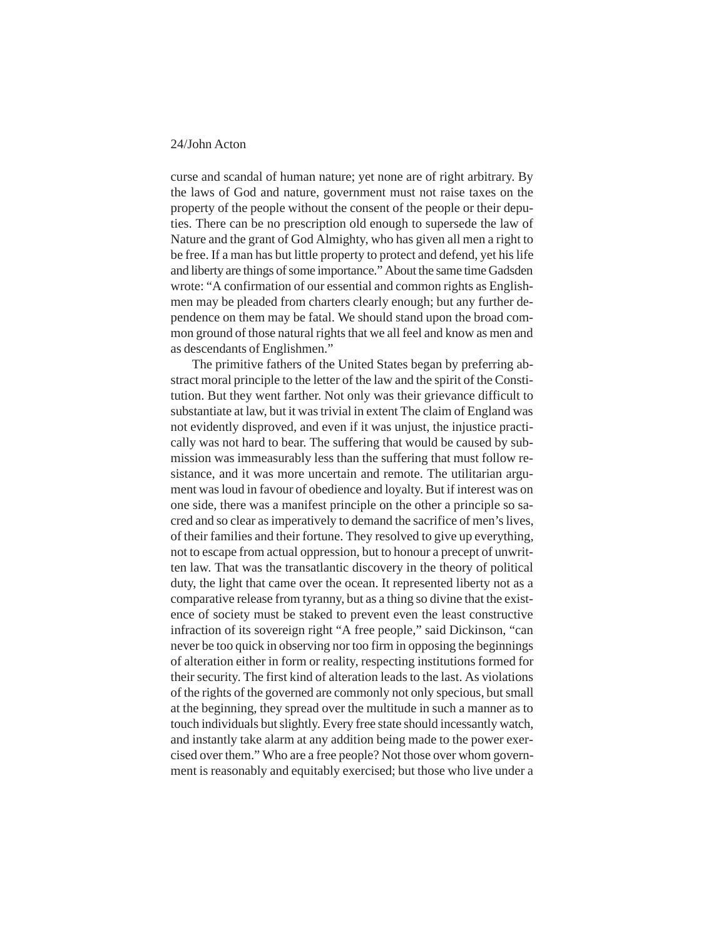curse and scandal of human nature; yet none are of right arbitrary. By the laws of God and nature, government must not raise taxes on the property of the people without the consent of the people or their deputies. There can be no prescription old enough to supersede the law of Nature and the grant of God Almighty, who has given all men a right to be free. If a man has but little property to protect and defend, yet his life and liberty are things of some importance." About the same time Gadsden wrote: "A confirmation of our essential and common rights as Englishmen may be pleaded from charters clearly enough; but any further dependence on them may be fatal. We should stand upon the broad common ground of those natural rights that we all feel and know as men and as descendants of Englishmen."

The primitive fathers of the United States began by preferring abstract moral principle to the letter of the law and the spirit of the Constitution. But they went farther. Not only was their grievance difficult to substantiate at law, but it was trivial in extent The claim of England was not evidently disproved, and even if it was unjust, the injustice practically was not hard to bear. The suffering that would be caused by submission was immeasurably less than the suffering that must follow resistance, and it was more uncertain and remote. The utilitarian argument was loud in favour of obedience and loyalty. But if interest was on one side, there was a manifest principle on the other a principle so sacred and so clear as imperatively to demand the sacrifice of men's lives, of their families and their fortune. They resolved to give up everything, not to escape from actual oppression, but to honour a precept of unwritten law. That was the transatlantic discovery in the theory of political duty, the light that came over the ocean. It represented liberty not as a comparative release from tyranny, but as a thing so divine that the existence of society must be staked to prevent even the least constructive infraction of its sovereign right "A free people," said Dickinson, "can never be too quick in observing nor too firm in opposing the beginnings of alteration either in form or reality, respecting institutions formed for their security. The first kind of alteration leads to the last. As violations of the rights of the governed are commonly not only specious, but small at the beginning, they spread over the multitude in such a manner as to touch individuals but slightly. Every free state should incessantly watch, and instantly take alarm at any addition being made to the power exercised over them." Who are a free people? Not those over whom government is reasonably and equitably exercised; but those who live under a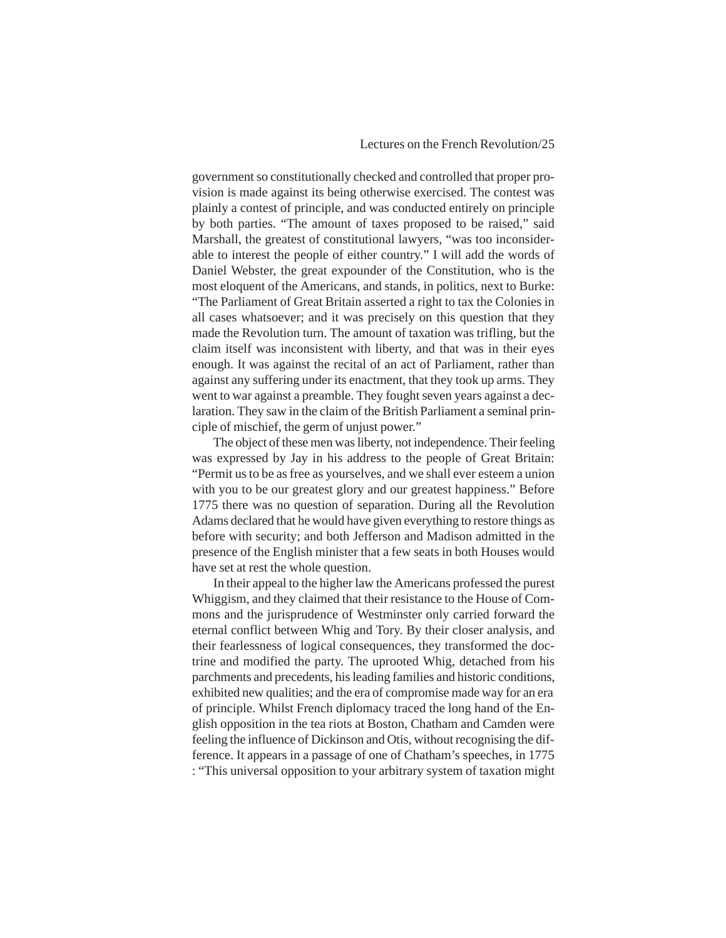government so constitutionally checked and controlled that proper provision is made against its being otherwise exercised. The contest was plainly a contest of principle, and was conducted entirely on principle by both parties. "The amount of taxes proposed to be raised," said Marshall, the greatest of constitutional lawyers, "was too inconsiderable to interest the people of either country." I will add the words of Daniel Webster, the great expounder of the Constitution, who is the most eloquent of the Americans, and stands, in politics, next to Burke: "The Parliament of Great Britain asserted a right to tax the Colonies in all cases whatsoever; and it was precisely on this question that they made the Revolution turn. The amount of taxation was trifling, but the claim itself was inconsistent with liberty, and that was in their eyes enough. It was against the recital of an act of Parliament, rather than against any suffering under its enactment, that they took up arms. They went to war against a preamble. They fought seven years against a declaration. They saw in the claim of the British Parliament a seminal principle of mischief, the germ of unjust power."

The object of these men was liberty, not independence. Their feeling was expressed by Jay in his address to the people of Great Britain: "Permit us to be as free as yourselves, and we shall ever esteem a union with you to be our greatest glory and our greatest happiness." Before 1775 there was no question of separation. During all the Revolution Adams declared that he would have given everything to restore things as before with security; and both Jefferson and Madison admitted in the presence of the English minister that a few seats in both Houses would have set at rest the whole question.

In their appeal to the higher law the Americans professed the purest Whiggism, and they claimed that their resistance to the House of Commons and the jurisprudence of Westminster only carried forward the eternal conflict between Whig and Tory. By their closer analysis, and their fearlessness of logical consequences, they transformed the doctrine and modified the party. The uprooted Whig, detached from his parchments and precedents, his leading families and historic conditions, exhibited new qualities; and the era of compromise made way for an era of principle. Whilst French diplomacy traced the long hand of the English opposition in the tea riots at Boston, Chatham and Camden were feeling the influence of Dickinson and Otis, without recognising the difference. It appears in a passage of one of Chatham's speeches, in 1775 : "This universal opposition to your arbitrary system of taxation might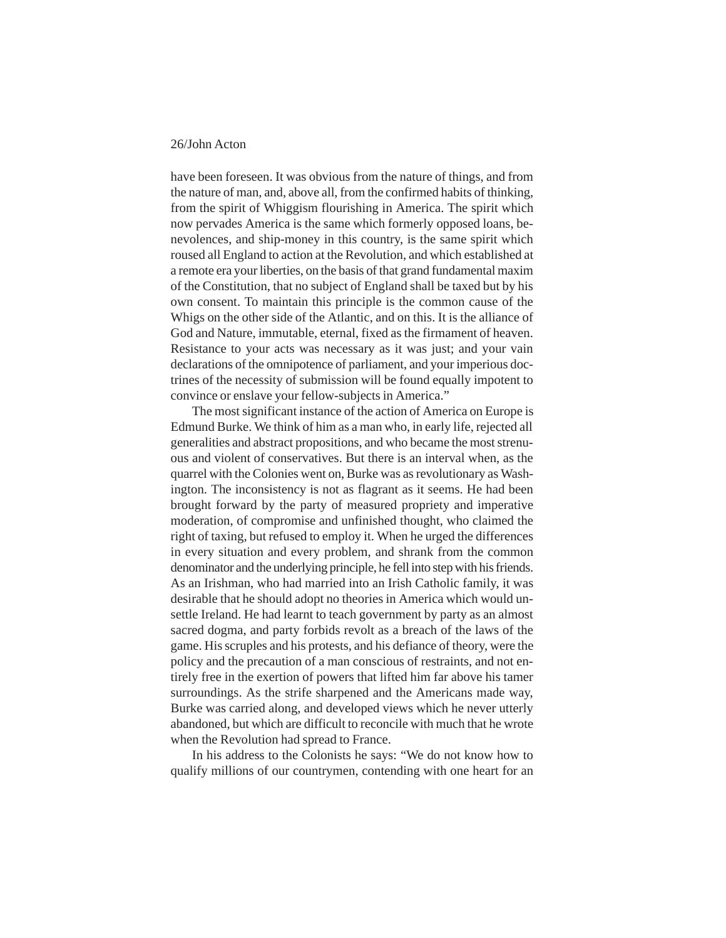have been foreseen. It was obvious from the nature of things, and from the nature of man, and, above all, from the confirmed habits of thinking, from the spirit of Whiggism flourishing in America. The spirit which now pervades America is the same which formerly opposed loans, benevolences, and ship-money in this country, is the same spirit which roused all England to action at the Revolution, and which established at a remote era your liberties, on the basis of that grand fundamental maxim of the Constitution, that no subject of England shall be taxed but by his own consent. To maintain this principle is the common cause of the Whigs on the other side of the Atlantic, and on this. It is the alliance of God and Nature, immutable, eternal, fixed as the firmament of heaven. Resistance to your acts was necessary as it was just; and your vain declarations of the omnipotence of parliament, and your imperious doctrines of the necessity of submission will be found equally impotent to convince or enslave your fellow-subjects in America."

The most significant instance of the action of America on Europe is Edmund Burke. We think of him as a man who, in early life, rejected all generalities and abstract propositions, and who became the most strenuous and violent of conservatives. But there is an interval when, as the quarrel with the Colonies went on, Burke was as revolutionary as Washington. The inconsistency is not as flagrant as it seems. He had been brought forward by the party of measured propriety and imperative moderation, of compromise and unfinished thought, who claimed the right of taxing, but refused to employ it. When he urged the differences in every situation and every problem, and shrank from the common denominator and the underlying principle, he fell into step with his friends. As an Irishman, who had married into an Irish Catholic family, it was desirable that he should adopt no theories in America which would unsettle Ireland. He had learnt to teach government by party as an almost sacred dogma, and party forbids revolt as a breach of the laws of the game. His scruples and his protests, and his defiance of theory, were the policy and the precaution of a man conscious of restraints, and not entirely free in the exertion of powers that lifted him far above his tamer surroundings. As the strife sharpened and the Americans made way, Burke was carried along, and developed views which he never utterly abandoned, but which are difficult to reconcile with much that he wrote when the Revolution had spread to France.

In his address to the Colonists he says: "We do not know how to qualify millions of our countrymen, contending with one heart for an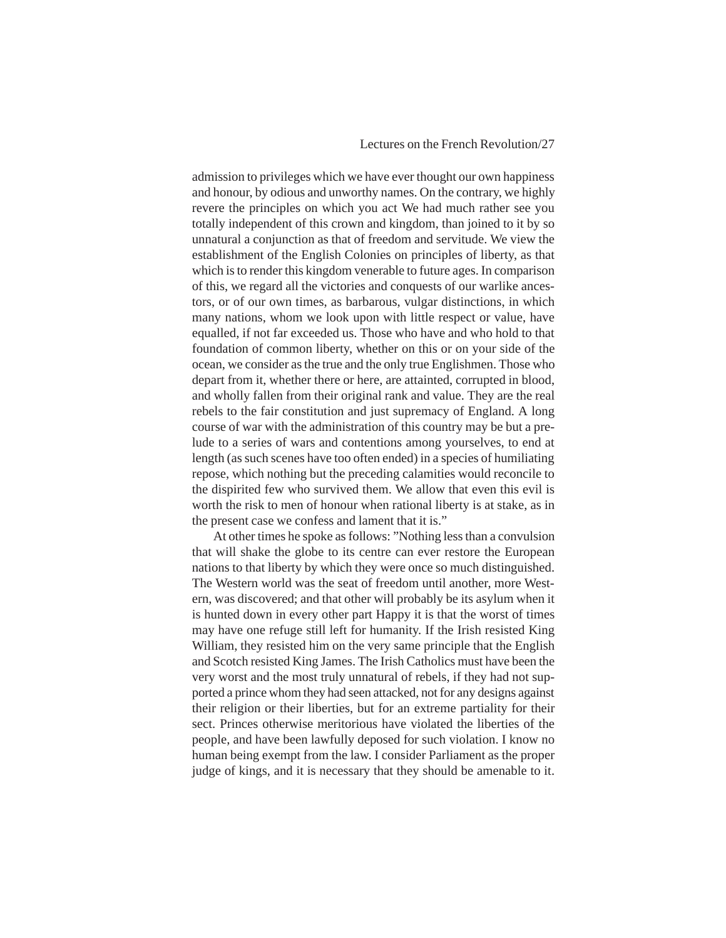#### Lectures on the French Revolution/27

admission to privileges which we have ever thought our own happiness and honour, by odious and unworthy names. On the contrary, we highly revere the principles on which you act We had much rather see you totally independent of this crown and kingdom, than joined to it by so unnatural a conjunction as that of freedom and servitude. We view the establishment of the English Colonies on principles of liberty, as that which is to render this kingdom venerable to future ages. In comparison of this, we regard all the victories and conquests of our warlike ancestors, or of our own times, as barbarous, vulgar distinctions, in which many nations, whom we look upon with little respect or value, have equalled, if not far exceeded us. Those who have and who hold to that foundation of common liberty, whether on this or on your side of the ocean, we consider as the true and the only true Englishmen. Those who depart from it, whether there or here, are attainted, corrupted in blood, and wholly fallen from their original rank and value. They are the real rebels to the fair constitution and just supremacy of England. A long course of war with the administration of this country may be but a prelude to a series of wars and contentions among yourselves, to end at length (as such scenes have too often ended) in a species of humiliating repose, which nothing but the preceding calamities would reconcile to the dispirited few who survived them. We allow that even this evil is worth the risk to men of honour when rational liberty is at stake, as in the present case we confess and lament that it is."

At other times he spoke as follows: "Nothing less than a convulsion that will shake the globe to its centre can ever restore the European nations to that liberty by which they were once so much distinguished. The Western world was the seat of freedom until another, more Western, was discovered; and that other will probably be its asylum when it is hunted down in every other part Happy it is that the worst of times may have one refuge still left for humanity. If the Irish resisted King William, they resisted him on the very same principle that the English and Scotch resisted King James. The Irish Catholics must have been the very worst and the most truly unnatural of rebels, if they had not supported a prince whom they had seen attacked, not for any designs against their religion or their liberties, but for an extreme partiality for their sect. Princes otherwise meritorious have violated the liberties of the people, and have been lawfully deposed for such violation. I know no human being exempt from the law. I consider Parliament as the proper judge of kings, and it is necessary that they should be amenable to it.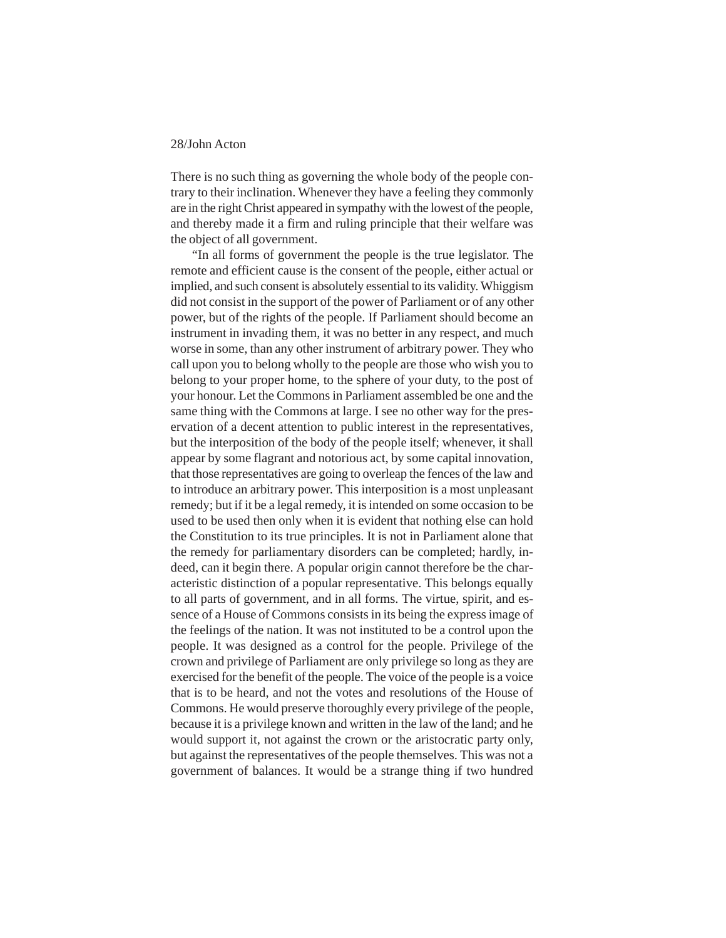There is no such thing as governing the whole body of the people contrary to their inclination. Whenever they have a feeling they commonly are in the right Christ appeared in sympathy with the lowest of the people, and thereby made it a firm and ruling principle that their welfare was the object of all government.

"In all forms of government the people is the true legislator. The remote and efficient cause is the consent of the people, either actual or implied, and such consent is absolutely essential to its validity. Whiggism did not consist in the support of the power of Parliament or of any other power, but of the rights of the people. If Parliament should become an instrument in invading them, it was no better in any respect, and much worse in some, than any other instrument of arbitrary power. They who call upon you to belong wholly to the people are those who wish you to belong to your proper home, to the sphere of your duty, to the post of your honour. Let the Commons in Parliament assembled be one and the same thing with the Commons at large. I see no other way for the preservation of a decent attention to public interest in the representatives, but the interposition of the body of the people itself; whenever, it shall appear by some flagrant and notorious act, by some capital innovation, that those representatives are going to overleap the fences of the law and to introduce an arbitrary power. This interposition is a most unpleasant remedy; but if it be a legal remedy, it is intended on some occasion to be used to be used then only when it is evident that nothing else can hold the Constitution to its true principles. It is not in Parliament alone that the remedy for parliamentary disorders can be completed; hardly, indeed, can it begin there. A popular origin cannot therefore be the characteristic distinction of a popular representative. This belongs equally to all parts of government, and in all forms. The virtue, spirit, and essence of a House of Commons consists in its being the express image of the feelings of the nation. It was not instituted to be a control upon the people. It was designed as a control for the people. Privilege of the crown and privilege of Parliament are only privilege so long as they are exercised for the benefit of the people. The voice of the people is a voice that is to be heard, and not the votes and resolutions of the House of Commons. He would preserve thoroughly every privilege of the people, because it is a privilege known and written in the law of the land; and he would support it, not against the crown or the aristocratic party only, but against the representatives of the people themselves. This was not a government of balances. It would be a strange thing if two hundred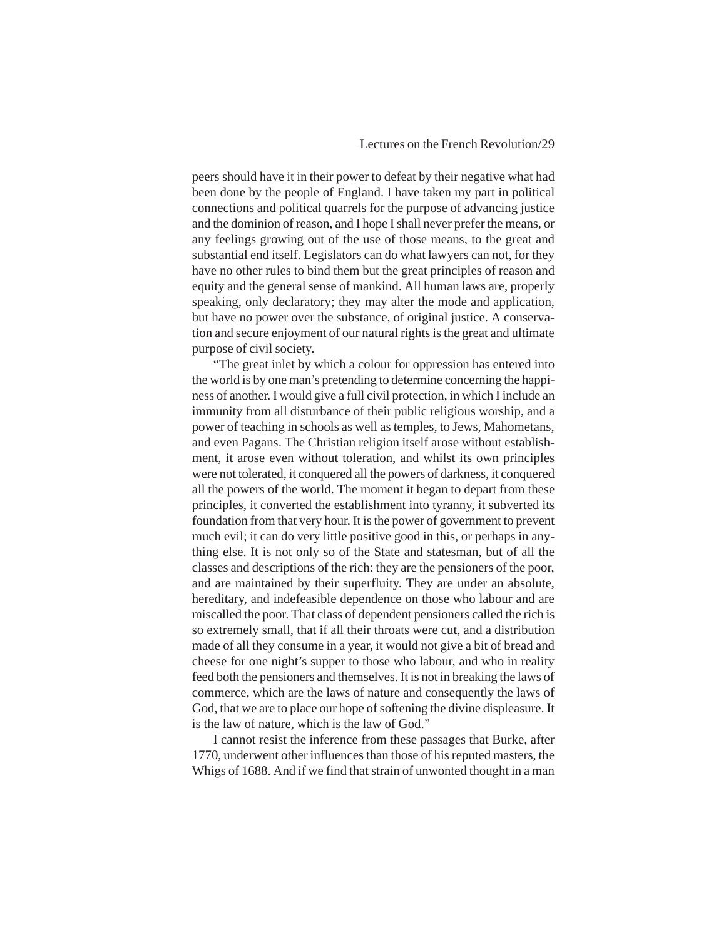#### Lectures on the French Revolution/29

peers should have it in their power to defeat by their negative what had been done by the people of England. I have taken my part in political connections and political quarrels for the purpose of advancing justice and the dominion of reason, and I hope I shall never prefer the means, or any feelings growing out of the use of those means, to the great and substantial end itself. Legislators can do what lawyers can not, for they have no other rules to bind them but the great principles of reason and equity and the general sense of mankind. All human laws are, properly speaking, only declaratory; they may alter the mode and application, but have no power over the substance, of original justice. A conservation and secure enjoyment of our natural rights is the great and ultimate purpose of civil society.

"The great inlet by which a colour for oppression has entered into the world is by one man's pretending to determine concerning the happiness of another. I would give a full civil protection, in which I include an immunity from all disturbance of their public religious worship, and a power of teaching in schools as well as temples, to Jews, Mahometans, and even Pagans. The Christian religion itself arose without establishment, it arose even without toleration, and whilst its own principles were not tolerated, it conquered all the powers of darkness, it conquered all the powers of the world. The moment it began to depart from these principles, it converted the establishment into tyranny, it subverted its foundation from that very hour. It is the power of government to prevent much evil; it can do very little positive good in this, or perhaps in anything else. It is not only so of the State and statesman, but of all the classes and descriptions of the rich: they are the pensioners of the poor, and are maintained by their superfluity. They are under an absolute, hereditary, and indefeasible dependence on those who labour and are miscalled the poor. That class of dependent pensioners called the rich is so extremely small, that if all their throats were cut, and a distribution made of all they consume in a year, it would not give a bit of bread and cheese for one night's supper to those who labour, and who in reality feed both the pensioners and themselves. It is not in breaking the laws of commerce, which are the laws of nature and consequently the laws of God, that we are to place our hope of softening the divine displeasure. It is the law of nature, which is the law of God."

I cannot resist the inference from these passages that Burke, after 1770, underwent other influences than those of his reputed masters, the Whigs of 1688. And if we find that strain of unwonted thought in a man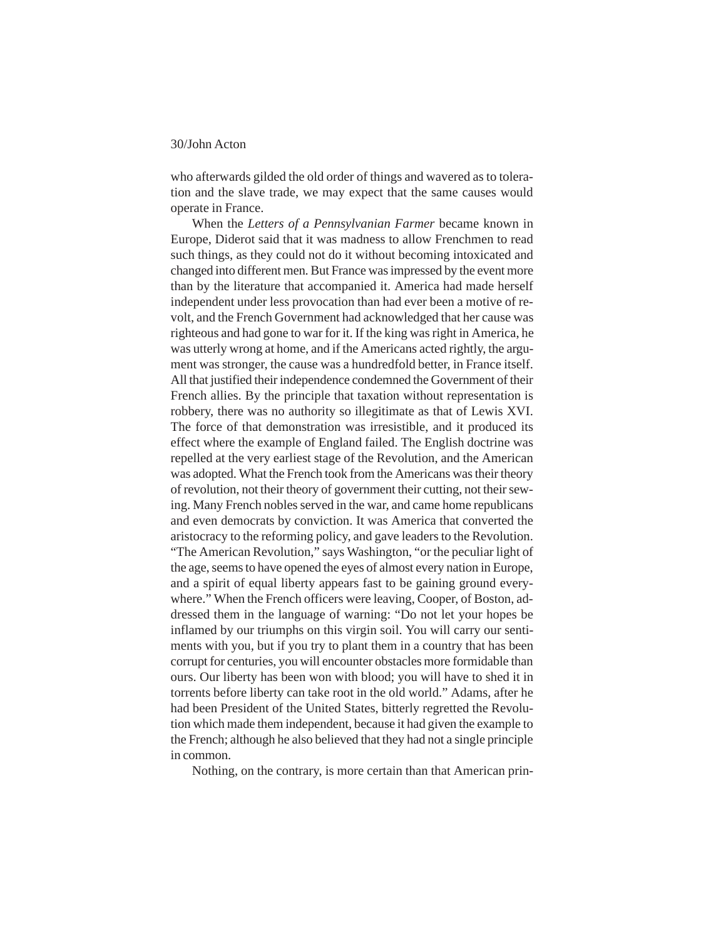who afterwards gilded the old order of things and wavered as to toleration and the slave trade, we may expect that the same causes would operate in France.

When the *Letters of a Pennsylvanian Farmer* became known in Europe, Diderot said that it was madness to allow Frenchmen to read such things, as they could not do it without becoming intoxicated and changed into different men. But France was impressed by the event more than by the literature that accompanied it. America had made herself independent under less provocation than had ever been a motive of revolt, and the French Government had acknowledged that her cause was righteous and had gone to war for it. If the king was right in America, he was utterly wrong at home, and if the Americans acted rightly, the argument was stronger, the cause was a hundredfold better, in France itself. All that justified their independence condemned the Government of their French allies. By the principle that taxation without representation is robbery, there was no authority so illegitimate as that of Lewis XVI. The force of that demonstration was irresistible, and it produced its effect where the example of England failed. The English doctrine was repelled at the very earliest stage of the Revolution, and the American was adopted. What the French took from the Americans was their theory of revolution, not their theory of government their cutting, not their sewing. Many French nobles served in the war, and came home republicans and even democrats by conviction. It was America that converted the aristocracy to the reforming policy, and gave leaders to the Revolution. "The American Revolution," says Washington, "or the peculiar light of the age, seems to have opened the eyes of almost every nation in Europe, and a spirit of equal liberty appears fast to be gaining ground everywhere." When the French officers were leaving, Cooper, of Boston, addressed them in the language of warning: "Do not let your hopes be inflamed by our triumphs on this virgin soil. You will carry our sentiments with you, but if you try to plant them in a country that has been corrupt for centuries, you will encounter obstacles more formidable than ours. Our liberty has been won with blood; you will have to shed it in torrents before liberty can take root in the old world." Adams, after he had been President of the United States, bitterly regretted the Revolution which made them independent, because it had given the example to the French; although he also believed that they had not a single principle in common.

Nothing, on the contrary, is more certain than that American prin-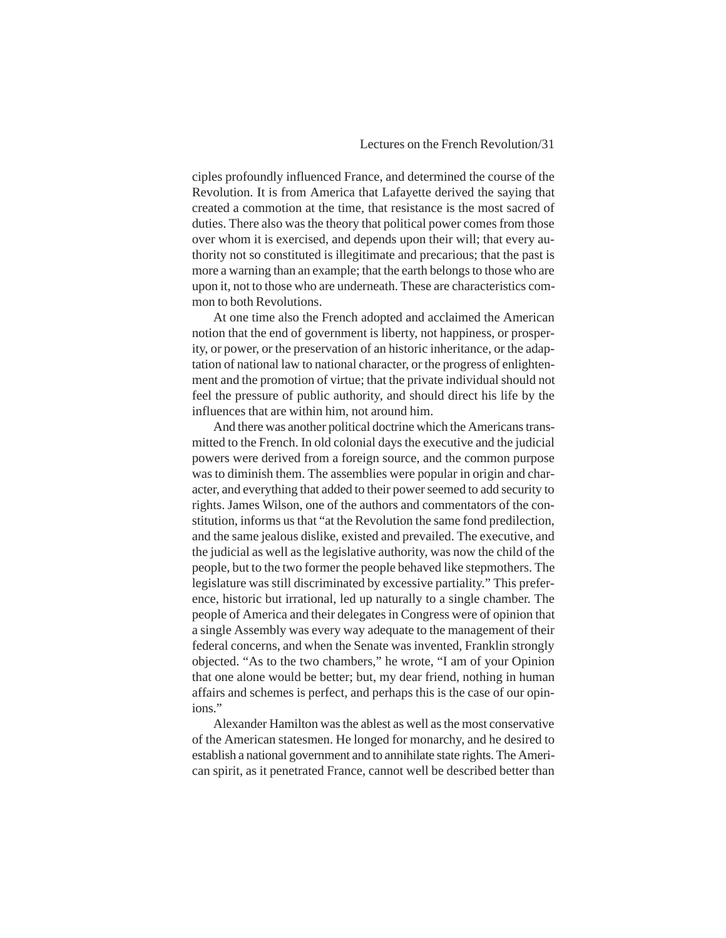ciples profoundly influenced France, and determined the course of the Revolution. It is from America that Lafayette derived the saying that created a commotion at the time, that resistance is the most sacred of duties. There also was the theory that political power comes from those over whom it is exercised, and depends upon their will; that every authority not so constituted is illegitimate and precarious; that the past is more a warning than an example; that the earth belongs to those who are upon it, not to those who are underneath. These are characteristics common to both Revolutions.

At one time also the French adopted and acclaimed the American notion that the end of government is liberty, not happiness, or prosperity, or power, or the preservation of an historic inheritance, or the adaptation of national law to national character, or the progress of enlightenment and the promotion of virtue; that the private individual should not feel the pressure of public authority, and should direct his life by the influences that are within him, not around him.

And there was another political doctrine which the Americans transmitted to the French. In old colonial days the executive and the judicial powers were derived from a foreign source, and the common purpose was to diminish them. The assemblies were popular in origin and character, and everything that added to their power seemed to add security to rights. James Wilson, one of the authors and commentators of the constitution, informs us that "at the Revolution the same fond predilection, and the same jealous dislike, existed and prevailed. The executive, and the judicial as well as the legislative authority, was now the child of the people, but to the two former the people behaved like stepmothers. The legislature was still discriminated by excessive partiality." This preference, historic but irrational, led up naturally to a single chamber. The people of America and their delegates in Congress were of opinion that a single Assembly was every way adequate to the management of their federal concerns, and when the Senate was invented, Franklin strongly objected. "As to the two chambers," he wrote, "I am of your Opinion that one alone would be better; but, my dear friend, nothing in human affairs and schemes is perfect, and perhaps this is the case of our opinions."

Alexander Hamilton was the ablest as well as the most conservative of the American statesmen. He longed for monarchy, and he desired to establish a national government and to annihilate state rights. The American spirit, as it penetrated France, cannot well be described better than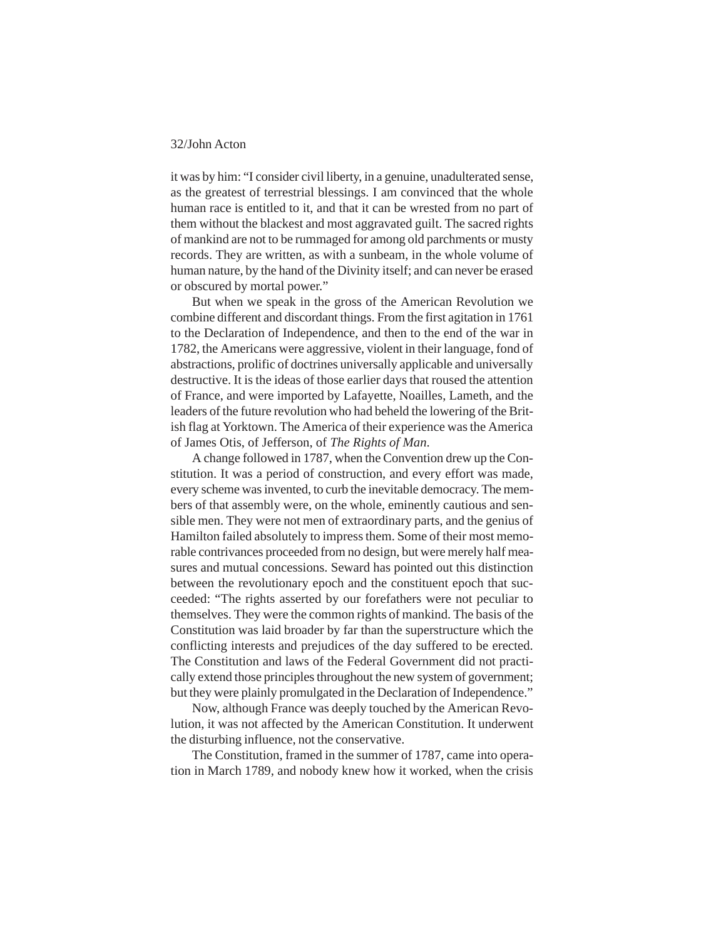it was by him: "I consider civil liberty, in a genuine, unadulterated sense, as the greatest of terrestrial blessings. I am convinced that the whole human race is entitled to it, and that it can be wrested from no part of them without the blackest and most aggravated guilt. The sacred rights of mankind are not to be rummaged for among old parchments or musty records. They are written, as with a sunbeam, in the whole volume of human nature, by the hand of the Divinity itself; and can never be erased or obscured by mortal power."

But when we speak in the gross of the American Revolution we combine different and discordant things. From the first agitation in 1761 to the Declaration of Independence, and then to the end of the war in 1782, the Americans were aggressive, violent in their language, fond of abstractions, prolific of doctrines universally applicable and universally destructive. It is the ideas of those earlier days that roused the attention of France, and were imported by Lafayette, Noailles, Lameth, and the leaders of the future revolution who had beheld the lowering of the British flag at Yorktown. The America of their experience was the America of James Otis, of Jefferson, of *The Rights of Man*.

A change followed in 1787, when the Convention drew up the Constitution. It was a period of construction, and every effort was made, every scheme was invented, to curb the inevitable democracy. The members of that assembly were, on the whole, eminently cautious and sensible men. They were not men of extraordinary parts, and the genius of Hamilton failed absolutely to impress them. Some of their most memorable contrivances proceeded from no design, but were merely half measures and mutual concessions. Seward has pointed out this distinction between the revolutionary epoch and the constituent epoch that succeeded: "The rights asserted by our forefathers were not peculiar to themselves. They were the common rights of mankind. The basis of the Constitution was laid broader by far than the superstructure which the conflicting interests and prejudices of the day suffered to be erected. The Constitution and laws of the Federal Government did not practically extend those principles throughout the new system of government; but they were plainly promulgated in the Declaration of Independence."

Now, although France was deeply touched by the American Revolution, it was not affected by the American Constitution. It underwent the disturbing influence, not the conservative.

The Constitution, framed in the summer of 1787, came into operation in March 1789, and nobody knew how it worked, when the crisis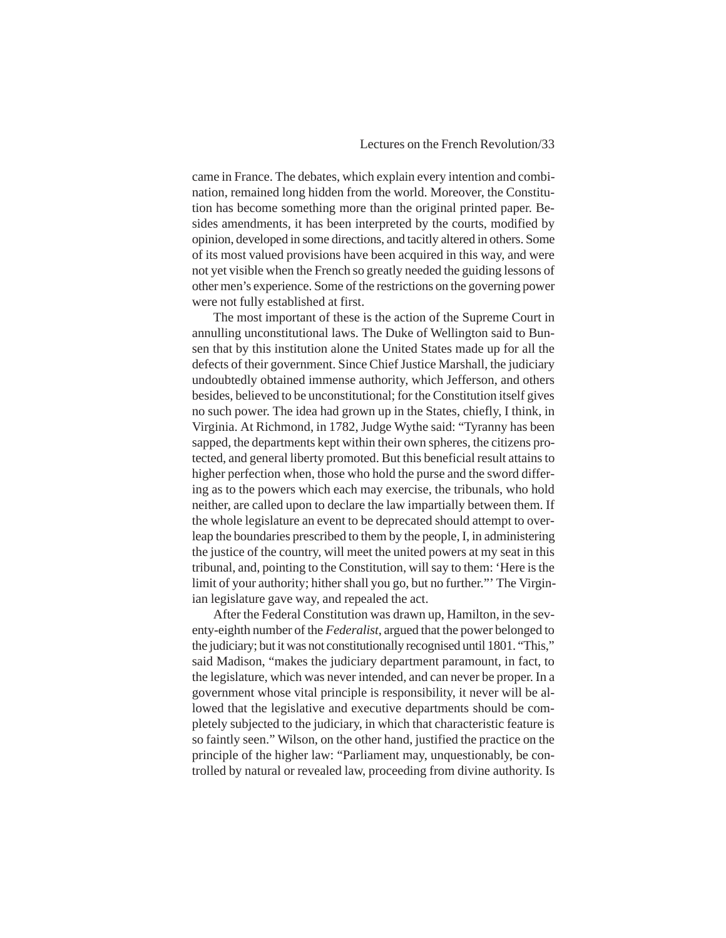came in France. The debates, which explain every intention and combination, remained long hidden from the world. Moreover, the Constitution has become something more than the original printed paper. Besides amendments, it has been interpreted by the courts, modified by opinion, developed in some directions, and tacitly altered in others. Some of its most valued provisions have been acquired in this way, and were not yet visible when the French so greatly needed the guiding lessons of other men's experience. Some of the restrictions on the governing power were not fully established at first.

The most important of these is the action of the Supreme Court in annulling unconstitutional laws. The Duke of Wellington said to Bunsen that by this institution alone the United States made up for all the defects of their government. Since Chief Justice Marshall, the judiciary undoubtedly obtained immense authority, which Jefferson, and others besides, believed to be unconstitutional; for the Constitution itself gives no such power. The idea had grown up in the States, chiefly, I think, in Virginia. At Richmond, in 1782, Judge Wythe said: "Tyranny has been sapped, the departments kept within their own spheres, the citizens protected, and general liberty promoted. But this beneficial result attains to higher perfection when, those who hold the purse and the sword differing as to the powers which each may exercise, the tribunals, who hold neither, are called upon to declare the law impartially between them. If the whole legislature an event to be deprecated should attempt to overleap the boundaries prescribed to them by the people, I, in administering the justice of the country, will meet the united powers at my seat in this tribunal, and, pointing to the Constitution, will say to them: 'Here is the limit of your authority; hither shall you go, but no further."' The Virginian legislature gave way, and repealed the act.

After the Federal Constitution was drawn up, Hamilton, in the seventy-eighth number of the *Federalist*, argued that the power belonged to the judiciary; but it was not constitutionally recognised until 1801. "This," said Madison, "makes the judiciary department paramount, in fact, to the legislature, which was never intended, and can never be proper. In a government whose vital principle is responsibility, it never will be allowed that the legislative and executive departments should be completely subjected to the judiciary, in which that characteristic feature is so faintly seen." Wilson, on the other hand, justified the practice on the principle of the higher law: "Parliament may, unquestionably, be controlled by natural or revealed law, proceeding from divine authority. Is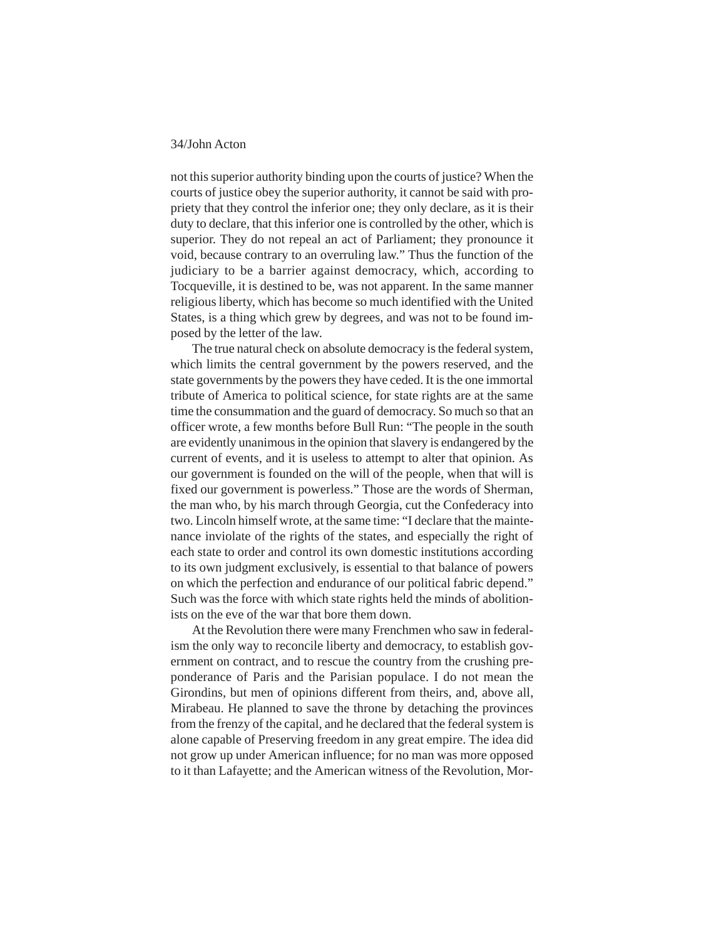not this superior authority binding upon the courts of justice? When the courts of justice obey the superior authority, it cannot be said with propriety that they control the inferior one; they only declare, as it is their duty to declare, that this inferior one is controlled by the other, which is superior. They do not repeal an act of Parliament; they pronounce it void, because contrary to an overruling law." Thus the function of the judiciary to be a barrier against democracy, which, according to Tocqueville, it is destined to be, was not apparent. In the same manner religious liberty, which has become so much identified with the United States, is a thing which grew by degrees, and was not to be found imposed by the letter of the law.

The true natural check on absolute democracy is the federal system, which limits the central government by the powers reserved, and the state governments by the powers they have ceded. It is the one immortal tribute of America to political science, for state rights are at the same time the consummation and the guard of democracy. So much so that an officer wrote, a few months before Bull Run: "The people in the south are evidently unanimous in the opinion that slavery is endangered by the current of events, and it is useless to attempt to alter that opinion. As our government is founded on the will of the people, when that will is fixed our government is powerless." Those are the words of Sherman, the man who, by his march through Georgia, cut the Confederacy into two. Lincoln himself wrote, at the same time: "I declare that the maintenance inviolate of the rights of the states, and especially the right of each state to order and control its own domestic institutions according to its own judgment exclusively, is essential to that balance of powers on which the perfection and endurance of our political fabric depend." Such was the force with which state rights held the minds of abolitionists on the eve of the war that bore them down.

At the Revolution there were many Frenchmen who saw in federalism the only way to reconcile liberty and democracy, to establish government on contract, and to rescue the country from the crushing preponderance of Paris and the Parisian populace. I do not mean the Girondins, but men of opinions different from theirs, and, above all, Mirabeau. He planned to save the throne by detaching the provinces from the frenzy of the capital, and he declared that the federal system is alone capable of Preserving freedom in any great empire. The idea did not grow up under American influence; for no man was more opposed to it than Lafayette; and the American witness of the Revolution, Mor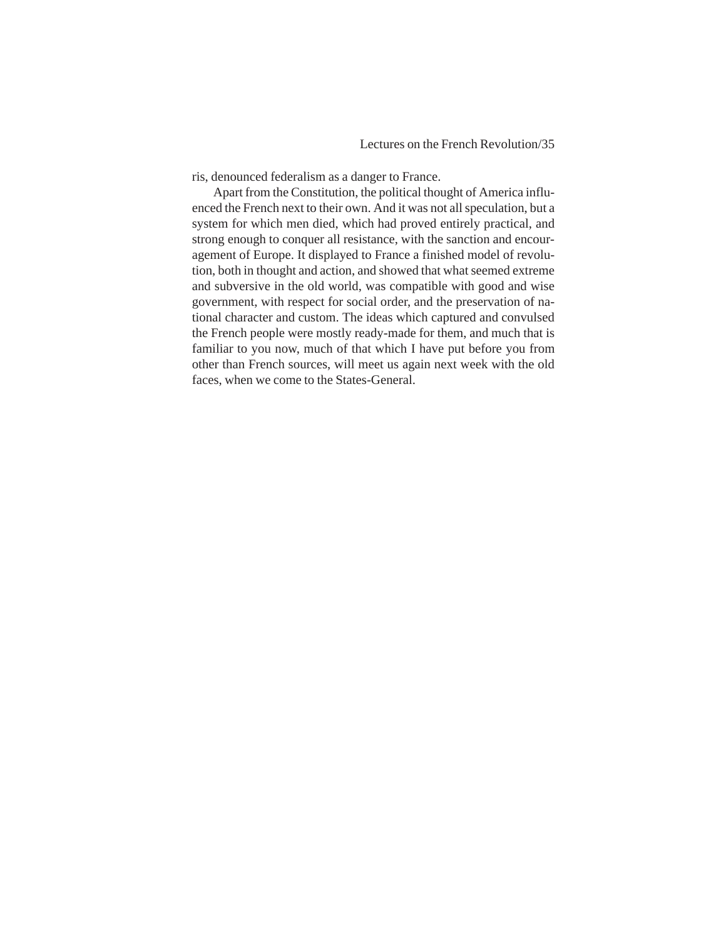ris, denounced federalism as a danger to France.

Apart from the Constitution, the political thought of America influenced the French next to their own. And it was not all speculation, but a system for which men died, which had proved entirely practical, and strong enough to conquer all resistance, with the sanction and encouragement of Europe. It displayed to France a finished model of revolution, both in thought and action, and showed that what seemed extreme and subversive in the old world, was compatible with good and wise government, with respect for social order, and the preservation of national character and custom. The ideas which captured and convulsed the French people were mostly ready-made for them, and much that is familiar to you now, much of that which I have put before you from other than French sources, will meet us again next week with the old faces, when we come to the States-General.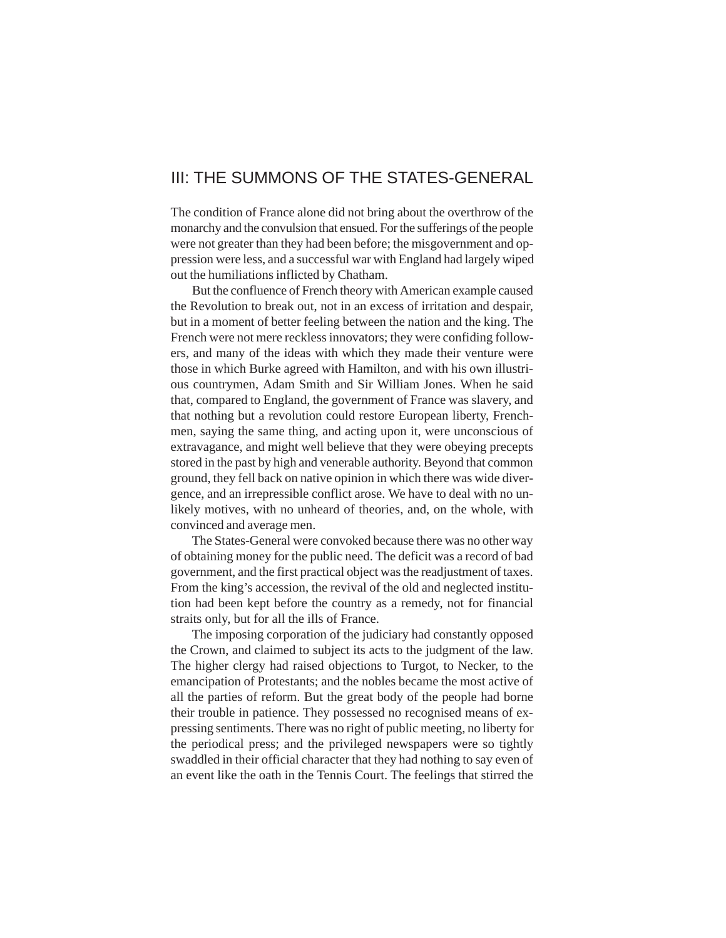## <span id="page-35-0"></span>III: THE SUMMONS OF THE STATES-GENERAL

The condition of France alone did not bring about the overthrow of the monarchy and the convulsion that ensued. For the sufferings of the people were not greater than they had been before; the misgovernment and oppression were less, and a successful war with England had largely wiped out the humiliations inflicted by Chatham.

But the confluence of French theory with American example caused the Revolution to break out, not in an excess of irritation and despair, but in a moment of better feeling between the nation and the king. The French were not mere reckless innovators; they were confiding followers, and many of the ideas with which they made their venture were those in which Burke agreed with Hamilton, and with his own illustrious countrymen, Adam Smith and Sir William Jones. When he said that, compared to England, the government of France was slavery, and that nothing but a revolution could restore European liberty, Frenchmen, saying the same thing, and acting upon it, were unconscious of extravagance, and might well believe that they were obeying precepts stored in the past by high and venerable authority. Beyond that common ground, they fell back on native opinion in which there was wide divergence, and an irrepressible conflict arose. We have to deal with no unlikely motives, with no unheard of theories, and, on the whole, with convinced and average men.

The States-General were convoked because there was no other way of obtaining money for the public need. The deficit was a record of bad government, and the first practical object was the readjustment of taxes. From the king's accession, the revival of the old and neglected institution had been kept before the country as a remedy, not for financial straits only, but for all the ills of France.

The imposing corporation of the judiciary had constantly opposed the Crown, and claimed to subject its acts to the judgment of the law. The higher clergy had raised objections to Turgot, to Necker, to the emancipation of Protestants; and the nobles became the most active of all the parties of reform. But the great body of the people had borne their trouble in patience. They possessed no recognised means of expressing sentiments. There was no right of public meeting, no liberty for the periodical press; and the privileged newspapers were so tightly swaddled in their official character that they had nothing to say even of an event like the oath in the Tennis Court. The feelings that stirred the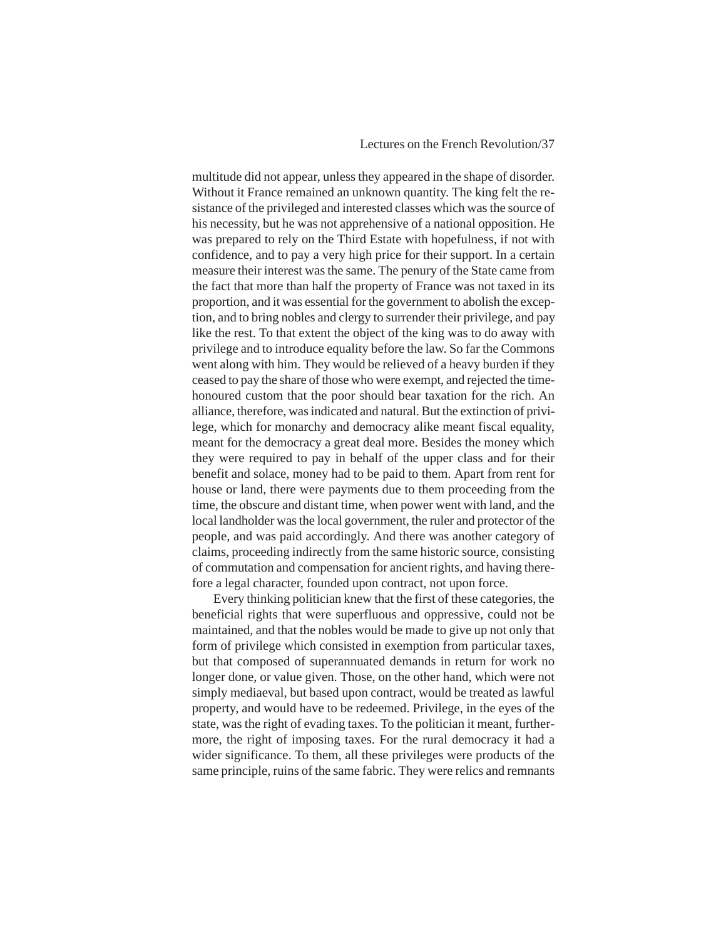# Lectures on the French Revolution/37

multitude did not appear, unless they appeared in the shape of disorder. Without it France remained an unknown quantity. The king felt the resistance of the privileged and interested classes which was the source of his necessity, but he was not apprehensive of a national opposition. He was prepared to rely on the Third Estate with hopefulness, if not with confidence, and to pay a very high price for their support. In a certain measure their interest was the same. The penury of the State came from the fact that more than half the property of France was not taxed in its proportion, and it was essential for the government to abolish the exception, and to bring nobles and clergy to surrender their privilege, and pay like the rest. To that extent the object of the king was to do away with privilege and to introduce equality before the law. So far the Commons went along with him. They would be relieved of a heavy burden if they ceased to pay the share of those who were exempt, and rejected the timehonoured custom that the poor should bear taxation for the rich. An alliance, therefore, was indicated and natural. But the extinction of privilege, which for monarchy and democracy alike meant fiscal equality, meant for the democracy a great deal more. Besides the money which they were required to pay in behalf of the upper class and for their benefit and solace, money had to be paid to them. Apart from rent for house or land, there were payments due to them proceeding from the time, the obscure and distant time, when power went with land, and the local landholder was the local government, the ruler and protector of the people, and was paid accordingly. And there was another category of claims, proceeding indirectly from the same historic source, consisting of commutation and compensation for ancient rights, and having therefore a legal character, founded upon contract, not upon force.

Every thinking politician knew that the first of these categories, the beneficial rights that were superfluous and oppressive, could not be maintained, and that the nobles would be made to give up not only that form of privilege which consisted in exemption from particular taxes, but that composed of superannuated demands in return for work no longer done, or value given. Those, on the other hand, which were not simply mediaeval, but based upon contract, would be treated as lawful property, and would have to be redeemed. Privilege, in the eyes of the state, was the right of evading taxes. To the politician it meant, furthermore, the right of imposing taxes. For the rural democracy it had a wider significance. To them, all these privileges were products of the same principle, ruins of the same fabric. They were relics and remnants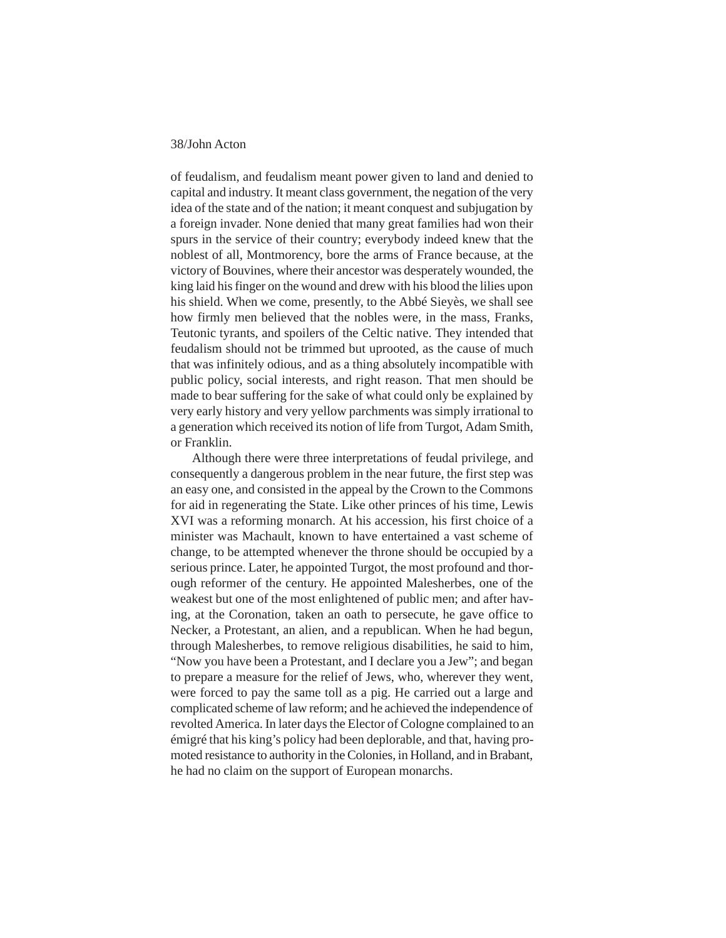of feudalism, and feudalism meant power given to land and denied to capital and industry. It meant class government, the negation of the very idea of the state and of the nation; it meant conquest and subjugation by a foreign invader. None denied that many great families had won their spurs in the service of their country; everybody indeed knew that the noblest of all, Montmorency, bore the arms of France because, at the victory of Bouvines, where their ancestor was desperately wounded, the king laid his finger on the wound and drew with his blood the lilies upon his shield. When we come, presently, to the Abbé Sieyès, we shall see how firmly men believed that the nobles were, in the mass, Franks, Teutonic tyrants, and spoilers of the Celtic native. They intended that feudalism should not be trimmed but uprooted, as the cause of much that was infinitely odious, and as a thing absolutely incompatible with public policy, social interests, and right reason. That men should be made to bear suffering for the sake of what could only be explained by very early history and very yellow parchments was simply irrational to a generation which received its notion of life from Turgot, Adam Smith, or Franklin.

Although there were three interpretations of feudal privilege, and consequently a dangerous problem in the near future, the first step was an easy one, and consisted in the appeal by the Crown to the Commons for aid in regenerating the State. Like other princes of his time, Lewis XVI was a reforming monarch. At his accession, his first choice of a minister was Machault, known to have entertained a vast scheme of change, to be attempted whenever the throne should be occupied by a serious prince. Later, he appointed Turgot, the most profound and thorough reformer of the century. He appointed Malesherbes, one of the weakest but one of the most enlightened of public men; and after having, at the Coronation, taken an oath to persecute, he gave office to Necker, a Protestant, an alien, and a republican. When he had begun, through Malesherbes, to remove religious disabilities, he said to him, "Now you have been a Protestant, and I declare you a Jew"; and began to prepare a measure for the relief of Jews, who, wherever they went, were forced to pay the same toll as a pig. He carried out a large and complicated scheme of law reform; and he achieved the independence of revolted America. In later days the Elector of Cologne complained to an émigré that his king's policy had been deplorable, and that, having promoted resistance to authority in the Colonies, in Holland, and in Brabant, he had no claim on the support of European monarchs.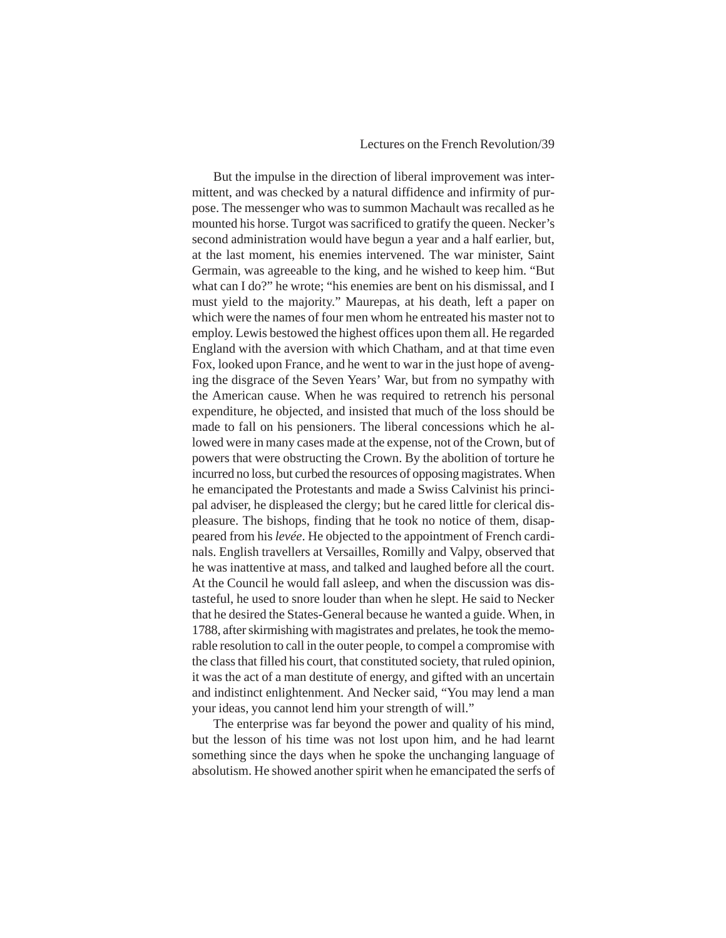#### Lectures on the French Revolution/39

But the impulse in the direction of liberal improvement was intermittent, and was checked by a natural diffidence and infirmity of purpose. The messenger who was to summon Machault was recalled as he mounted his horse. Turgot was sacrificed to gratify the queen. Necker's second administration would have begun a year and a half earlier, but, at the last moment, his enemies intervened. The war minister, Saint Germain, was agreeable to the king, and he wished to keep him. "But what can I do?" he wrote; "his enemies are bent on his dismissal, and I must yield to the majority." Maurepas, at his death, left a paper on which were the names of four men whom he entreated his master not to employ. Lewis bestowed the highest offices upon them all. He regarded England with the aversion with which Chatham, and at that time even Fox, looked upon France, and he went to war in the just hope of avenging the disgrace of the Seven Years' War, but from no sympathy with the American cause. When he was required to retrench his personal expenditure, he objected, and insisted that much of the loss should be made to fall on his pensioners. The liberal concessions which he allowed were in many cases made at the expense, not of the Crown, but of powers that were obstructing the Crown. By the abolition of torture he incurred no loss, but curbed the resources of opposing magistrates. When he emancipated the Protestants and made a Swiss Calvinist his principal adviser, he displeased the clergy; but he cared little for clerical displeasure. The bishops, finding that he took no notice of them, disappeared from his *levée*. He objected to the appointment of French cardinals. English travellers at Versailles, Romilly and Valpy, observed that he was inattentive at mass, and talked and laughed before all the court. At the Council he would fall asleep, and when the discussion was distasteful, he used to snore louder than when he slept. He said to Necker that he desired the States-General because he wanted a guide. When, in 1788, after skirmishing with magistrates and prelates, he took the memorable resolution to call in the outer people, to compel a compromise with the class that filled his court, that constituted society, that ruled opinion, it was the act of a man destitute of energy, and gifted with an uncertain and indistinct enlightenment. And Necker said, "You may lend a man your ideas, you cannot lend him your strength of will."

The enterprise was far beyond the power and quality of his mind, but the lesson of his time was not lost upon him, and he had learnt something since the days when he spoke the unchanging language of absolutism. He showed another spirit when he emancipated the serfs of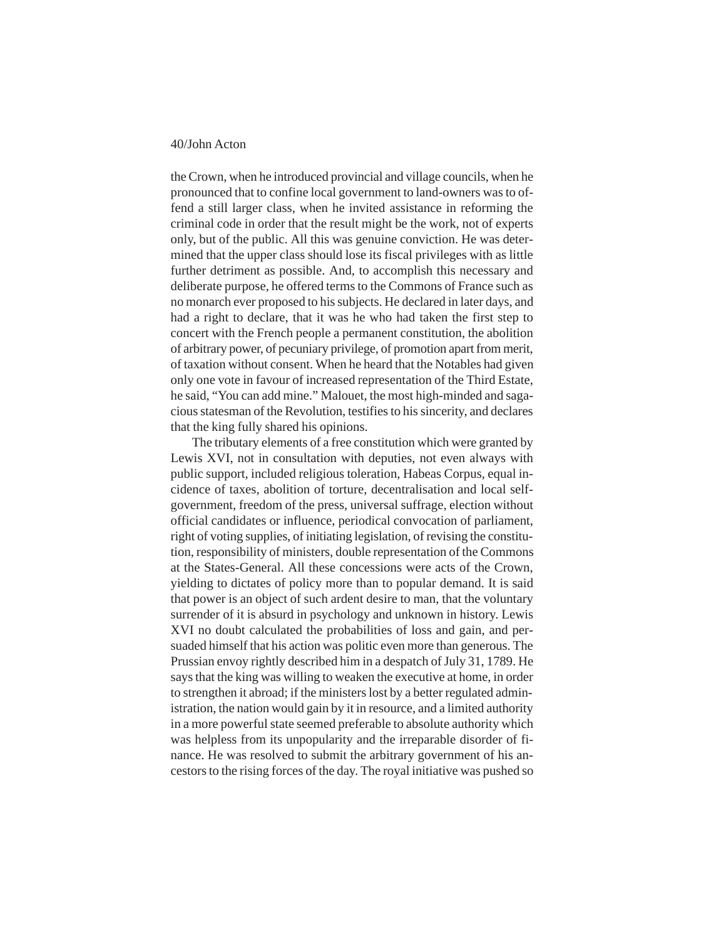the Crown, when he introduced provincial and village councils, when he pronounced that to confine local government to land-owners was to offend a still larger class, when he invited assistance in reforming the criminal code in order that the result might be the work, not of experts only, but of the public. All this was genuine conviction. He was determined that the upper class should lose its fiscal privileges with as little further detriment as possible. And, to accomplish this necessary and deliberate purpose, he offered terms to the Commons of France such as no monarch ever proposed to his subjects. He declared in later days, and had a right to declare, that it was he who had taken the first step to concert with the French people a permanent constitution, the abolition of arbitrary power, of pecuniary privilege, of promotion apart from merit, of taxation without consent. When he heard that the Notables had given only one vote in favour of increased representation of the Third Estate, he said, "You can add mine." Malouet, the most high-minded and sagacious statesman of the Revolution, testifies to his sincerity, and declares that the king fully shared his opinions.

The tributary elements of a free constitution which were granted by Lewis XVI, not in consultation with deputies, not even always with public support, included religious toleration, Habeas Corpus, equal incidence of taxes, abolition of torture, decentralisation and local selfgovernment, freedom of the press, universal suffrage, election without official candidates or influence, periodical convocation of parliament, right of voting supplies, of initiating legislation, of revising the constitution, responsibility of ministers, double representation of the Commons at the States-General. All these concessions were acts of the Crown, yielding to dictates of policy more than to popular demand. It is said that power is an object of such ardent desire to man, that the voluntary surrender of it is absurd in psychology and unknown in history. Lewis XVI no doubt calculated the probabilities of loss and gain, and persuaded himself that his action was politic even more than generous. The Prussian envoy rightly described him in a despatch of July 31, 1789. He says that the king was willing to weaken the executive at home, in order to strengthen it abroad; if the ministers lost by a better regulated administration, the nation would gain by it in resource, and a limited authority in a more powerful state seemed preferable to absolute authority which was helpless from its unpopularity and the irreparable disorder of finance. He was resolved to submit the arbitrary government of his ancestors to the rising forces of the day. The royal initiative was pushed so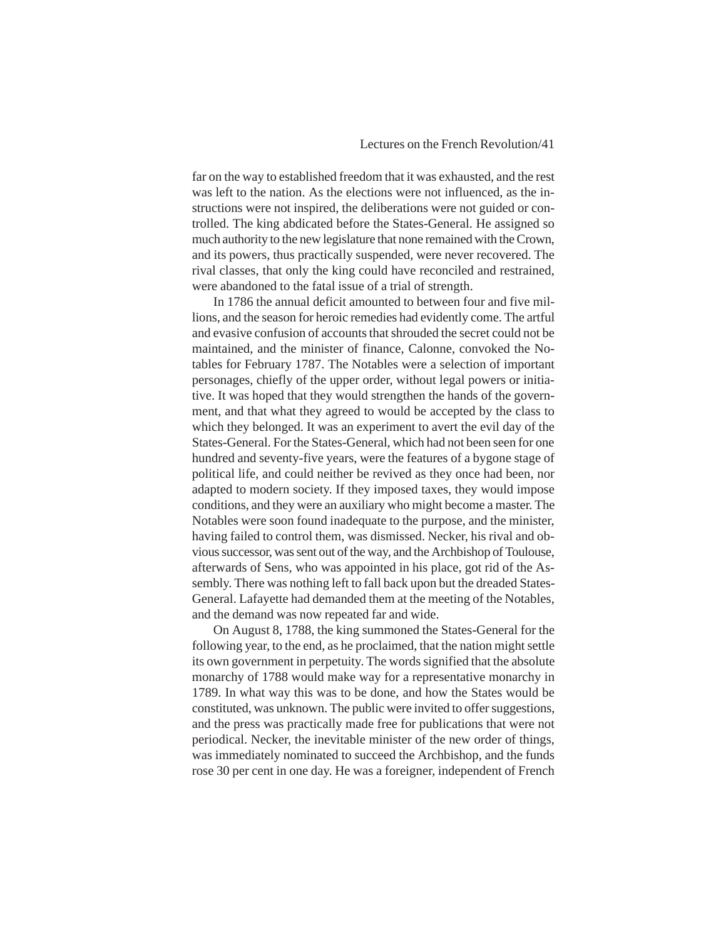# Lectures on the French Revolution/41

far on the way to established freedom that it was exhausted, and the rest was left to the nation. As the elections were not influenced, as the instructions were not inspired, the deliberations were not guided or controlled. The king abdicated before the States-General. He assigned so much authority to the new legislature that none remained with the Crown, and its powers, thus practically suspended, were never recovered. The rival classes, that only the king could have reconciled and restrained, were abandoned to the fatal issue of a trial of strength.

In 1786 the annual deficit amounted to between four and five millions, and the season for heroic remedies had evidently come. The artful and evasive confusion of accounts that shrouded the secret could not be maintained, and the minister of finance, Calonne, convoked the Notables for February 1787. The Notables were a selection of important personages, chiefly of the upper order, without legal powers or initiative. It was hoped that they would strengthen the hands of the government, and that what they agreed to would be accepted by the class to which they belonged. It was an experiment to avert the evil day of the States-General. For the States-General, which had not been seen for one hundred and seventy-five years, were the features of a bygone stage of political life, and could neither be revived as they once had been, nor adapted to modern society. If they imposed taxes, they would impose conditions, and they were an auxiliary who might become a master. The Notables were soon found inadequate to the purpose, and the minister, having failed to control them, was dismissed. Necker, his rival and obvious successor, was sent out of the way, and the Archbishop of Toulouse, afterwards of Sens, who was appointed in his place, got rid of the Assembly. There was nothing left to fall back upon but the dreaded States-General. Lafayette had demanded them at the meeting of the Notables, and the demand was now repeated far and wide.

On August 8, 1788, the king summoned the States-General for the following year, to the end, as he proclaimed, that the nation might settle its own government in perpetuity. The words signified that the absolute monarchy of 1788 would make way for a representative monarchy in 1789. In what way this was to be done, and how the States would be constituted, was unknown. The public were invited to offer suggestions, and the press was practically made free for publications that were not periodical. Necker, the inevitable minister of the new order of things, was immediately nominated to succeed the Archbishop, and the funds rose 30 per cent in one day. He was a foreigner, independent of French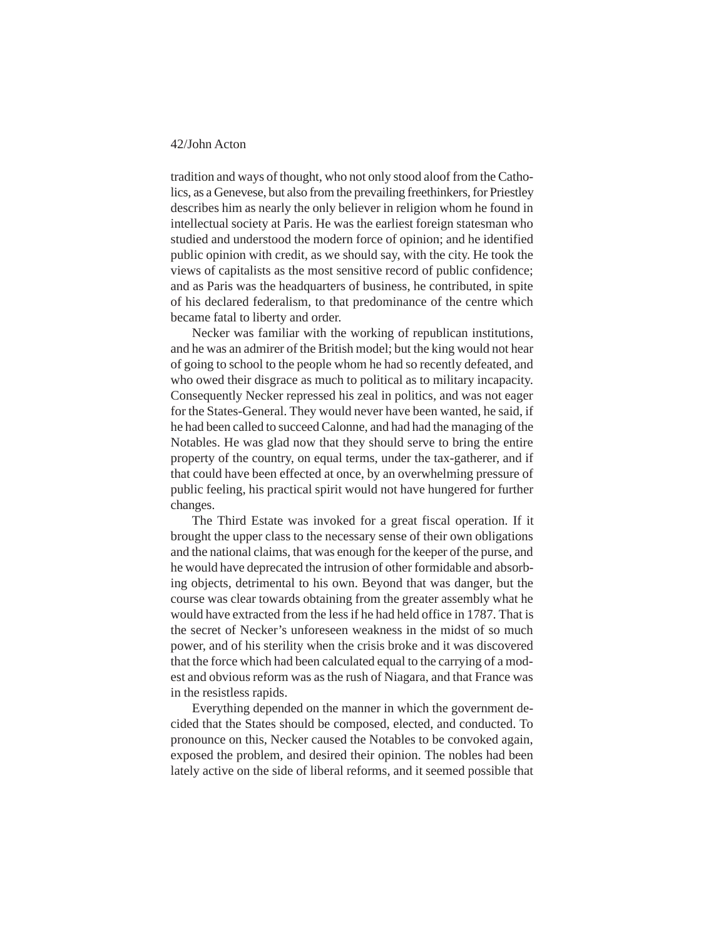tradition and ways of thought, who not only stood aloof from the Catholics, as a Genevese, but also from the prevailing freethinkers, for Priestley describes him as nearly the only believer in religion whom he found in intellectual society at Paris. He was the earliest foreign statesman who studied and understood the modern force of opinion; and he identified public opinion with credit, as we should say, with the city. He took the views of capitalists as the most sensitive record of public confidence; and as Paris was the headquarters of business, he contributed, in spite of his declared federalism, to that predominance of the centre which became fatal to liberty and order.

Necker was familiar with the working of republican institutions, and he was an admirer of the British model; but the king would not hear of going to school to the people whom he had so recently defeated, and who owed their disgrace as much to political as to military incapacity. Consequently Necker repressed his zeal in politics, and was not eager for the States-General. They would never have been wanted, he said, if he had been called to succeed Calonne, and had had the managing of the Notables. He was glad now that they should serve to bring the entire property of the country, on equal terms, under the tax-gatherer, and if that could have been effected at once, by an overwhelming pressure of public feeling, his practical spirit would not have hungered for further changes.

The Third Estate was invoked for a great fiscal operation. If it brought the upper class to the necessary sense of their own obligations and the national claims, that was enough for the keeper of the purse, and he would have deprecated the intrusion of other formidable and absorbing objects, detrimental to his own. Beyond that was danger, but the course was clear towards obtaining from the greater assembly what he would have extracted from the less if he had held office in 1787. That is the secret of Necker's unforeseen weakness in the midst of so much power, and of his sterility when the crisis broke and it was discovered that the force which had been calculated equal to the carrying of a modest and obvious reform was as the rush of Niagara, and that France was in the resistless rapids.

Everything depended on the manner in which the government decided that the States should be composed, elected, and conducted. To pronounce on this, Necker caused the Notables to be convoked again, exposed the problem, and desired their opinion. The nobles had been lately active on the side of liberal reforms, and it seemed possible that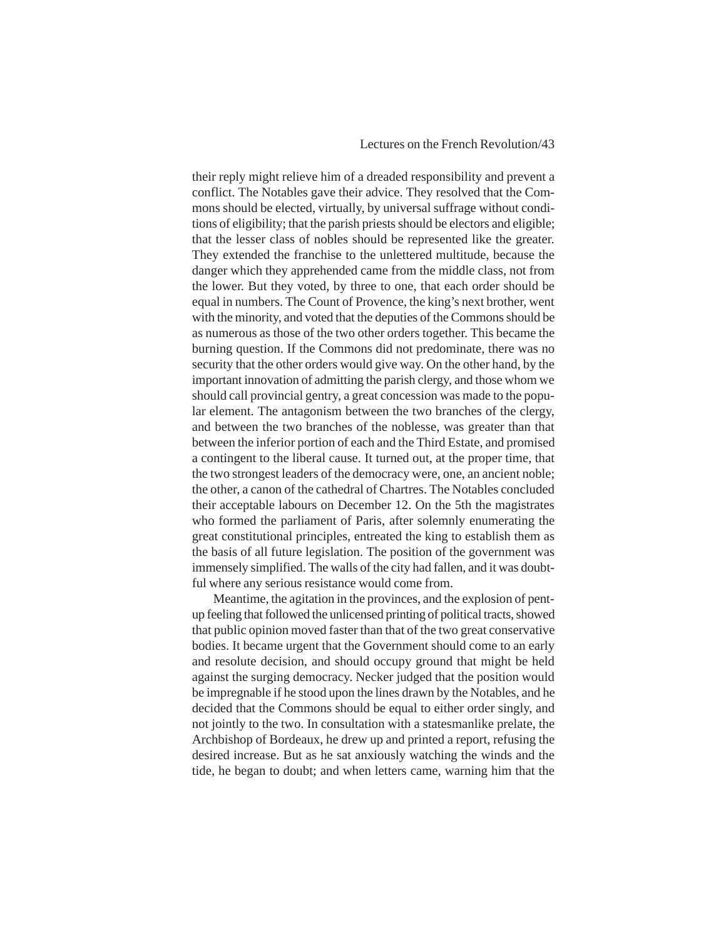# Lectures on the French Revolution/43

their reply might relieve him of a dreaded responsibility and prevent a conflict. The Notables gave their advice. They resolved that the Commons should be elected, virtually, by universal suffrage without conditions of eligibility; that the parish priests should be electors and eligible; that the lesser class of nobles should be represented like the greater. They extended the franchise to the unlettered multitude, because the danger which they apprehended came from the middle class, not from the lower. But they voted, by three to one, that each order should be equal in numbers. The Count of Provence, the king's next brother, went with the minority, and voted that the deputies of the Commons should be as numerous as those of the two other orders together. This became the burning question. If the Commons did not predominate, there was no security that the other orders would give way. On the other hand, by the important innovation of admitting the parish clergy, and those whom we should call provincial gentry, a great concession was made to the popular element. The antagonism between the two branches of the clergy, and between the two branches of the noblesse, was greater than that between the inferior portion of each and the Third Estate, and promised a contingent to the liberal cause. It turned out, at the proper time, that the two strongest leaders of the democracy were, one, an ancient noble; the other, a canon of the cathedral of Chartres. The Notables concluded their acceptable labours on December 12. On the 5th the magistrates who formed the parliament of Paris, after solemnly enumerating the great constitutional principles, entreated the king to establish them as the basis of all future legislation. The position of the government was immensely simplified. The walls of the city had fallen, and it was doubtful where any serious resistance would come from.

Meantime, the agitation in the provinces, and the explosion of pentup feeling that followed the unlicensed printing of political tracts, showed that public opinion moved faster than that of the two great conservative bodies. It became urgent that the Government should come to an early and resolute decision, and should occupy ground that might be held against the surging democracy. Necker judged that the position would be impregnable if he stood upon the lines drawn by the Notables, and he decided that the Commons should be equal to either order singly, and not jointly to the two. In consultation with a statesmanlike prelate, the Archbishop of Bordeaux, he drew up and printed a report, refusing the desired increase. But as he sat anxiously watching the winds and the tide, he began to doubt; and when letters came, warning him that the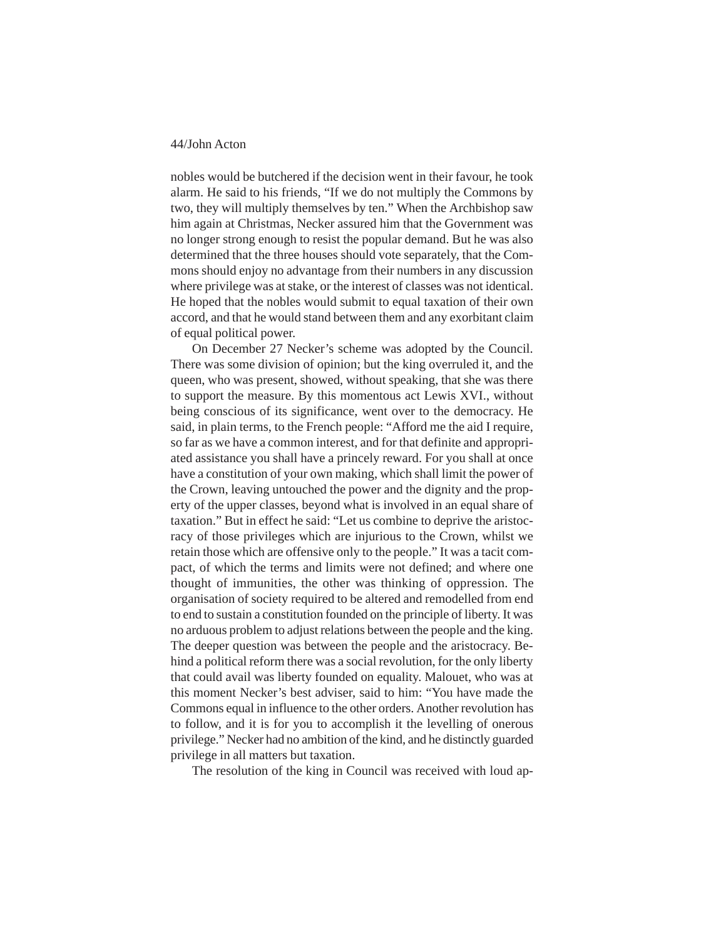nobles would be butchered if the decision went in their favour, he took alarm. He said to his friends, "If we do not multiply the Commons by two, they will multiply themselves by ten." When the Archbishop saw him again at Christmas, Necker assured him that the Government was no longer strong enough to resist the popular demand. But he was also determined that the three houses should vote separately, that the Commons should enjoy no advantage from their numbers in any discussion where privilege was at stake, or the interest of classes was not identical. He hoped that the nobles would submit to equal taxation of their own accord, and that he would stand between them and any exorbitant claim of equal political power.

On December 27 Necker's scheme was adopted by the Council. There was some division of opinion; but the king overruled it, and the queen, who was present, showed, without speaking, that she was there to support the measure. By this momentous act Lewis XVI., without being conscious of its significance, went over to the democracy. He said, in plain terms, to the French people: "Afford me the aid I require, so far as we have a common interest, and for that definite and appropriated assistance you shall have a princely reward. For you shall at once have a constitution of your own making, which shall limit the power of the Crown, leaving untouched the power and the dignity and the property of the upper classes, beyond what is involved in an equal share of taxation." But in effect he said: "Let us combine to deprive the aristocracy of those privileges which are injurious to the Crown, whilst we retain those which are offensive only to the people." It was a tacit compact, of which the terms and limits were not defined; and where one thought of immunities, the other was thinking of oppression. The organisation of society required to be altered and remodelled from end to end to sustain a constitution founded on the principle of liberty. It was no arduous problem to adjust relations between the people and the king. The deeper question was between the people and the aristocracy. Behind a political reform there was a social revolution, for the only liberty that could avail was liberty founded on equality. Malouet, who was at this moment Necker's best adviser, said to him: "You have made the Commons equal in influence to the other orders. Another revolution has to follow, and it is for you to accomplish it the levelling of onerous privilege." Necker had no ambition of the kind, and he distinctly guarded privilege in all matters but taxation.

The resolution of the king in Council was received with loud ap-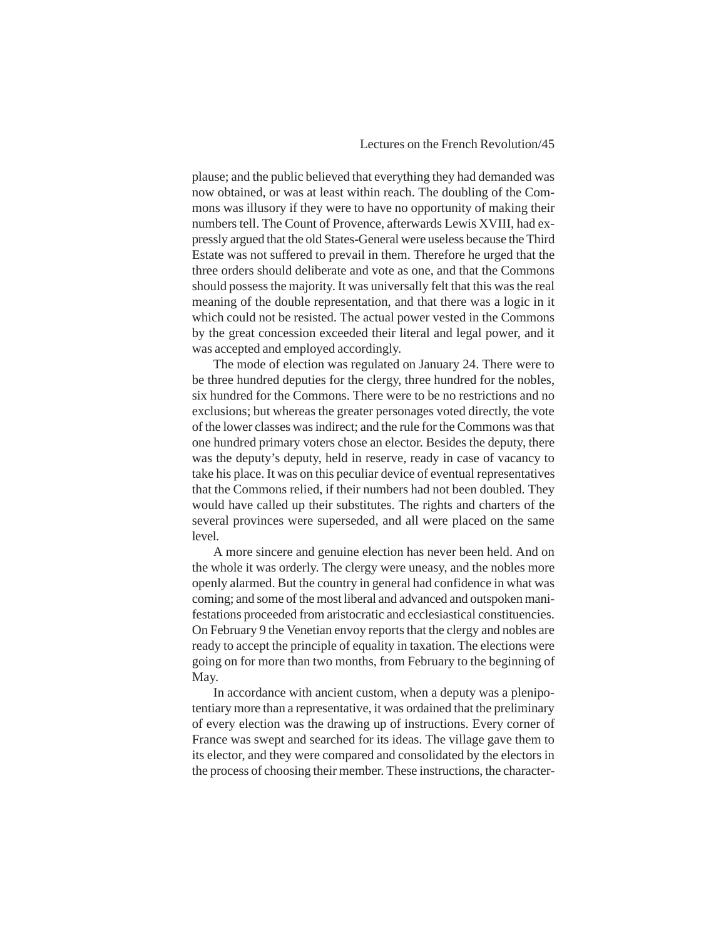plause; and the public believed that everything they had demanded was now obtained, or was at least within reach. The doubling of the Commons was illusory if they were to have no opportunity of making their numbers tell. The Count of Provence, afterwards Lewis XVIII, had expressly argued that the old States-General were useless because the Third Estate was not suffered to prevail in them. Therefore he urged that the three orders should deliberate and vote as one, and that the Commons should possess the majority. It was universally felt that this was the real meaning of the double representation, and that there was a logic in it which could not be resisted. The actual power vested in the Commons by the great concession exceeded their literal and legal power, and it was accepted and employed accordingly.

The mode of election was regulated on January 24. There were to be three hundred deputies for the clergy, three hundred for the nobles, six hundred for the Commons. There were to be no restrictions and no exclusions; but whereas the greater personages voted directly, the vote of the lower classes was indirect; and the rule for the Commons was that one hundred primary voters chose an elector. Besides the deputy, there was the deputy's deputy, held in reserve, ready in case of vacancy to take his place. It was on this peculiar device of eventual representatives that the Commons relied, if their numbers had not been doubled. They would have called up their substitutes. The rights and charters of the several provinces were superseded, and all were placed on the same level.

A more sincere and genuine election has never been held. And on the whole it was orderly. The clergy were uneasy, and the nobles more openly alarmed. But the country in general had confidence in what was coming; and some of the most liberal and advanced and outspoken manifestations proceeded from aristocratic and ecclesiastical constituencies. On February 9 the Venetian envoy reports that the clergy and nobles are ready to accept the principle of equality in taxation. The elections were going on for more than two months, from February to the beginning of May.

In accordance with ancient custom, when a deputy was a plenipotentiary more than a representative, it was ordained that the preliminary of every election was the drawing up of instructions. Every corner of France was swept and searched for its ideas. The village gave them to its elector, and they were compared and consolidated by the electors in the process of choosing their member. These instructions, the character-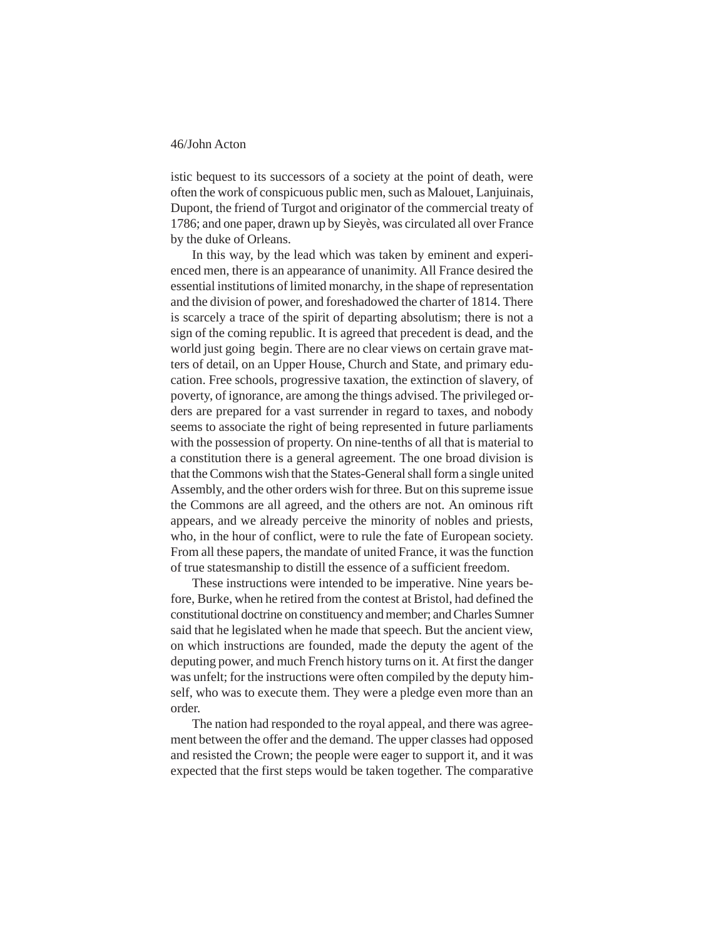istic bequest to its successors of a society at the point of death, were often the work of conspicuous public men, such as Malouet, Lanjuinais, Dupont, the friend of Turgot and originator of the commercial treaty of 1786; and one paper, drawn up by Sieyès, was circulated all over France by the duke of Orleans.

In this way, by the lead which was taken by eminent and experienced men, there is an appearance of unanimity. All France desired the essential institutions of limited monarchy, in the shape of representation and the division of power, and foreshadowed the charter of 1814. There is scarcely a trace of the spirit of departing absolutism; there is not a sign of the coming republic. It is agreed that precedent is dead, and the world just going begin. There are no clear views on certain grave matters of detail, on an Upper House, Church and State, and primary education. Free schools, progressive taxation, the extinction of slavery, of poverty, of ignorance, are among the things advised. The privileged orders are prepared for a vast surrender in regard to taxes, and nobody seems to associate the right of being represented in future parliaments with the possession of property. On nine-tenths of all that is material to a constitution there is a general agreement. The one broad division is that the Commons wish that the States-General shall form a single united Assembly, and the other orders wish for three. But on this supreme issue the Commons are all agreed, and the others are not. An ominous rift appears, and we already perceive the minority of nobles and priests, who, in the hour of conflict, were to rule the fate of European society. From all these papers, the mandate of united France, it was the function of true statesmanship to distill the essence of a sufficient freedom.

These instructions were intended to be imperative. Nine years before, Burke, when he retired from the contest at Bristol, had defined the constitutional doctrine on constituency and member; and Charles Sumner said that he legislated when he made that speech. But the ancient view, on which instructions are founded, made the deputy the agent of the deputing power, and much French history turns on it. At first the danger was unfelt; for the instructions were often compiled by the deputy himself, who was to execute them. They were a pledge even more than an order.

The nation had responded to the royal appeal, and there was agreement between the offer and the demand. The upper classes had opposed and resisted the Crown; the people were eager to support it, and it was expected that the first steps would be taken together. The comparative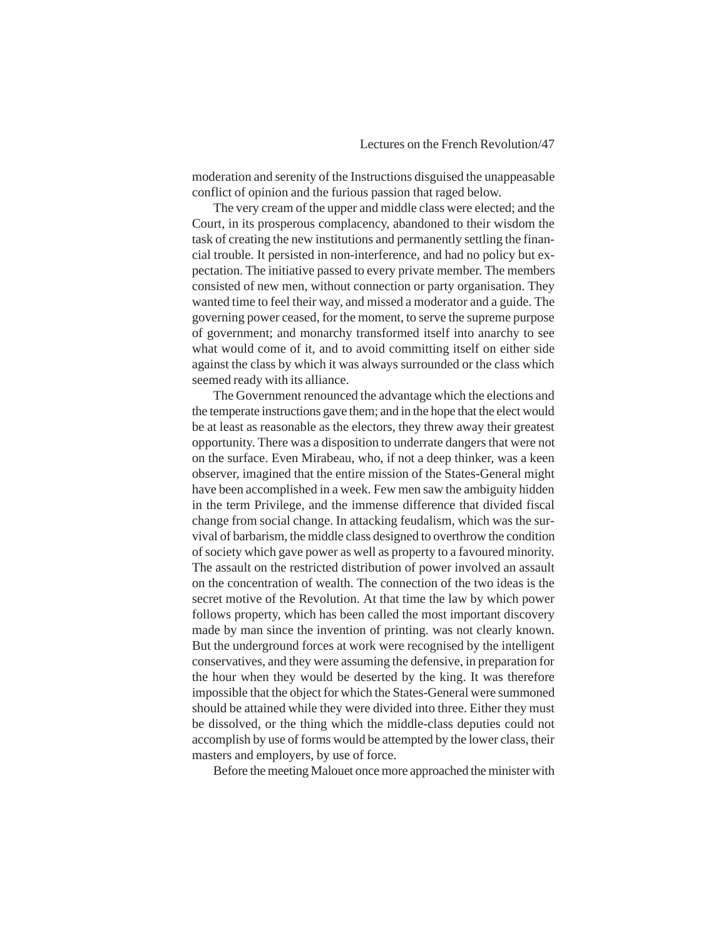moderation and serenity of the Instructions disguised the unappeasable conflict of opinion and the furious passion that raged below.

The very cream of the upper and middle class were elected; and the Court, in its prosperous complacency, abandoned to their wisdom the task of creating the new institutions and permanently settling the financial trouble. It persisted in non-interference, and had no policy but expectation. The initiative passed to every private member. The members consisted of new men, without connection or party organisation. They wanted time to feel their way, and missed a moderator and a guide. The governing power ceased, for the moment, to serve the supreme purpose of government; and monarchy transformed itself into anarchy to see what would come of it, and to avoid committing itself on either side against the class by which it was always surrounded or the class which seemed ready with its alliance.

The Government renounced the advantage which the elections and the temperate instructions gave them; and in the hope that the elect would be at least as reasonable as the electors, they threw away their greatest opportunity. There was a disposition to underrate dangers that were not on the surface. Even Mirabeau, who, if not a deep thinker, was a keen observer, imagined that the entire mission of the States-General might have been accomplished in a week. Few men saw the ambiguity hidden in the term Privilege, and the immense difference that divided fiscal change from social change. In attacking feudalism, which was the survival of barbarism, the middle class designed to overthrow the condition of society which gave power as well as property to a favoured minority. The assault on the restricted distribution of power involved an assault on the concentration of wealth. The connection of the two ideas is the secret motive of the Revolution. At that time the law by which power follows property, which has been called the most important discovery made by man since the invention of printing. was not clearly known. But the underground forces at work were recognised by the intelligent conservatives, and they were assuming the defensive, in preparation for the hour when they would be deserted by the king. It was therefore impossible that the object for which the States-General were summoned should be attained while they were divided into three. Either they must be dissolved, or the thing which the middle-class deputies could not accomplish by use of forms would be attempted by the lower class, their masters and employers, by use of force.

Before the meeting Malouet once more approached the minister with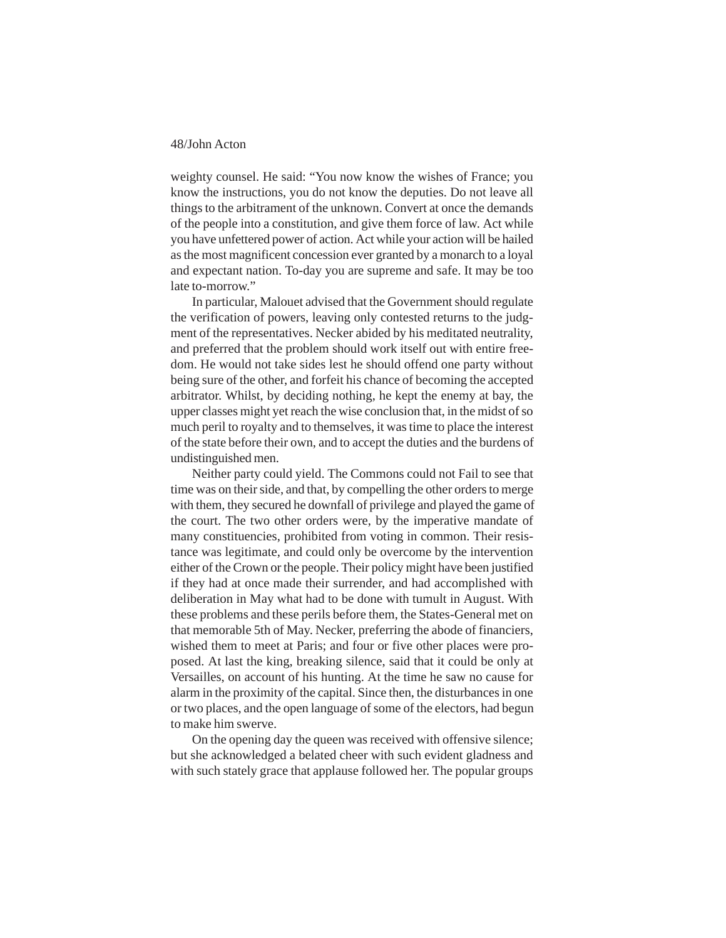weighty counsel. He said: "You now know the wishes of France; you know the instructions, you do not know the deputies. Do not leave all things to the arbitrament of the unknown. Convert at once the demands of the people into a constitution, and give them force of law. Act while you have unfettered power of action. Act while your action will be hailed as the most magnificent concession ever granted by a monarch to a loyal and expectant nation. To-day you are supreme and safe. It may be too late to-morrow."

In particular, Malouet advised that the Government should regulate the verification of powers, leaving only contested returns to the judgment of the representatives. Necker abided by his meditated neutrality, and preferred that the problem should work itself out with entire freedom. He would not take sides lest he should offend one party without being sure of the other, and forfeit his chance of becoming the accepted arbitrator. Whilst, by deciding nothing, he kept the enemy at bay, the upper classes might yet reach the wise conclusion that, in the midst of so much peril to royalty and to themselves, it was time to place the interest of the state before their own, and to accept the duties and the burdens of undistinguished men.

Neither party could yield. The Commons could not Fail to see that time was on their side, and that, by compelling the other orders to merge with them, they secured he downfall of privilege and played the game of the court. The two other orders were, by the imperative mandate of many constituencies, prohibited from voting in common. Their resistance was legitimate, and could only be overcome by the intervention either of the Crown or the people. Their policy might have been justified if they had at once made their surrender, and had accomplished with deliberation in May what had to be done with tumult in August. With these problems and these perils before them, the States-General met on that memorable 5th of May. Necker, preferring the abode of financiers, wished them to meet at Paris; and four or five other places were proposed. At last the king, breaking silence, said that it could be only at Versailles, on account of his hunting. At the time he saw no cause for alarm in the proximity of the capital. Since then, the disturbances in one or two places, and the open language of some of the electors, had begun to make him swerve.

On the opening day the queen was received with offensive silence; but she acknowledged a belated cheer with such evident gladness and with such stately grace that applause followed her. The popular groups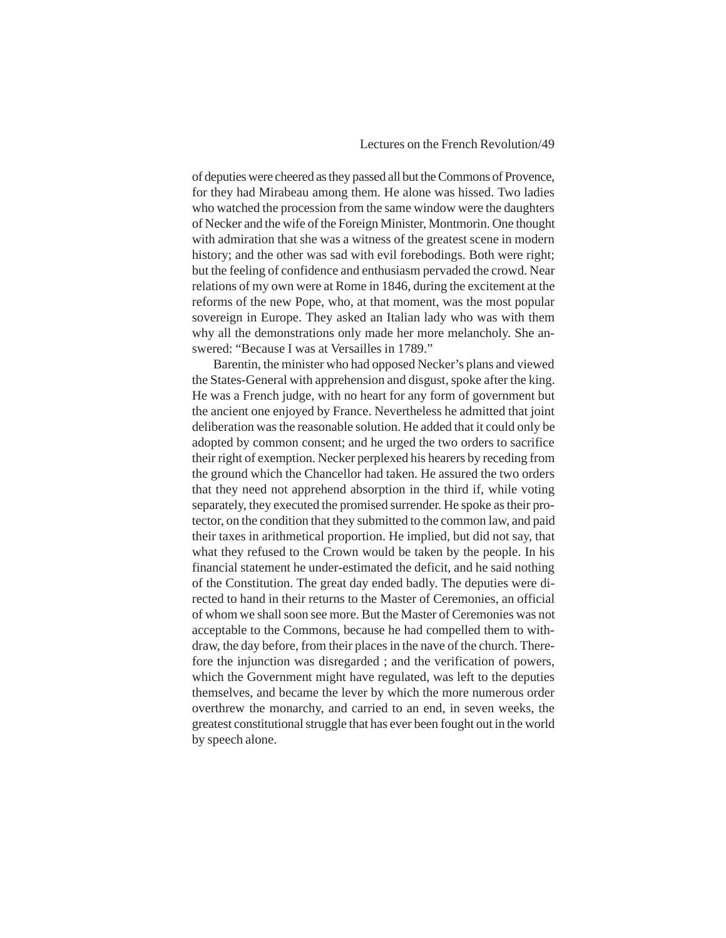of deputies were cheered as they passed all but the Commons of Provence, for they had Mirabeau among them. He alone was hissed. Two ladies who watched the procession from the same window were the daughters of Necker and the wife of the Foreign Minister, Montmorin. One thought with admiration that she was a witness of the greatest scene in modern history; and the other was sad with evil forebodings. Both were right; but the feeling of confidence and enthusiasm pervaded the crowd. Near relations of my own were at Rome in 1846, during the excitement at the reforms of the new Pope, who, at that moment, was the most popular sovereign in Europe. They asked an Italian lady who was with them why all the demonstrations only made her more melancholy. She answered: "Because I was at Versailles in 1789."

Barentin, the minister who had opposed Necker's plans and viewed the States-General with apprehension and disgust, spoke after the king. He was a French judge, with no heart for any form of government but the ancient one enjoyed by France. Nevertheless he admitted that joint deliberation was the reasonable solution. He added that it could only be adopted by common consent; and he urged the two orders to sacrifice their right of exemption. Necker perplexed his hearers by receding from the ground which the Chancellor had taken. He assured the two orders that they need not apprehend absorption in the third if, while voting separately, they executed the promised surrender. He spoke as their protector, on the condition that they submitted to the common law, and paid their taxes in arithmetical proportion. He implied, but did not say, that what they refused to the Crown would be taken by the people. In his financial statement he under-estimated the deficit, and he said nothing of the Constitution. The great day ended badly. The deputies were directed to hand in their returns to the Master of Ceremonies, an official of whom we shall soon see more. But the Master of Ceremonies was not acceptable to the Commons, because he had compelled them to withdraw, the day before, from their places in the nave of the church. Therefore the injunction was disregarded ; and the verification of powers, which the Government might have regulated, was left to the deputies themselves, and became the lever by which the more numerous order overthrew the monarchy, and carried to an end, in seven weeks, the greatest constitutional struggle that has ever been fought out in the world by speech alone.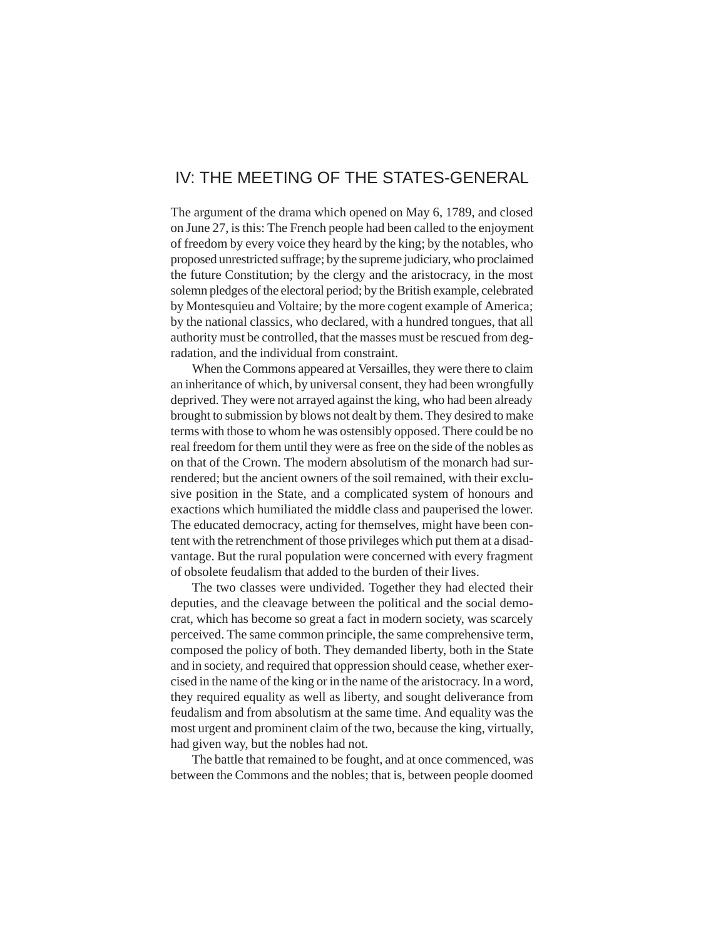# IV: THE MEETING OF THE STATES-GENERAL

The argument of the drama which opened on May 6, 1789, and closed on June 27, is this: The French people had been called to the enjoyment of freedom by every voice they heard by the king; by the notables, who proposed unrestricted suffrage; by the supreme judiciary, who proclaimed the future Constitution; by the clergy and the aristocracy, in the most solemn pledges of the electoral period; by the British example, celebrated by Montesquieu and Voltaire; by the more cogent example of America; by the national classics, who declared, with a hundred tongues, that all authority must be controlled, that the masses must be rescued from degradation, and the individual from constraint.

When the Commons appeared at Versailles, they were there to claim an inheritance of which, by universal consent, they had been wrongfully deprived. They were not arrayed against the king, who had been already brought to submission by blows not dealt by them. They desired to make terms with those to whom he was ostensibly opposed. There could be no real freedom for them until they were as free on the side of the nobles as on that of the Crown. The modern absolutism of the monarch had surrendered; but the ancient owners of the soil remained, with their exclusive position in the State, and a complicated system of honours and exactions which humiliated the middle class and pauperised the lower. The educated democracy, acting for themselves, might have been content with the retrenchment of those privileges which put them at a disadvantage. But the rural population were concerned with every fragment of obsolete feudalism that added to the burden of their lives.

The two classes were undivided. Together they had elected their deputies, and the cleavage between the political and the social democrat, which has become so great a fact in modern society, was scarcely perceived. The same common principle, the same comprehensive term, composed the policy of both. They demanded liberty, both in the State and in society, and required that oppression should cease, whether exercised in the name of the king or in the name of the aristocracy. In a word, they required equality as well as liberty, and sought deliverance from feudalism and from absolutism at the same time. And equality was the most urgent and prominent claim of the two, because the king, virtually, had given way, but the nobles had not.

The battle that remained to be fought, and at once commenced, was between the Commons and the nobles; that is, between people doomed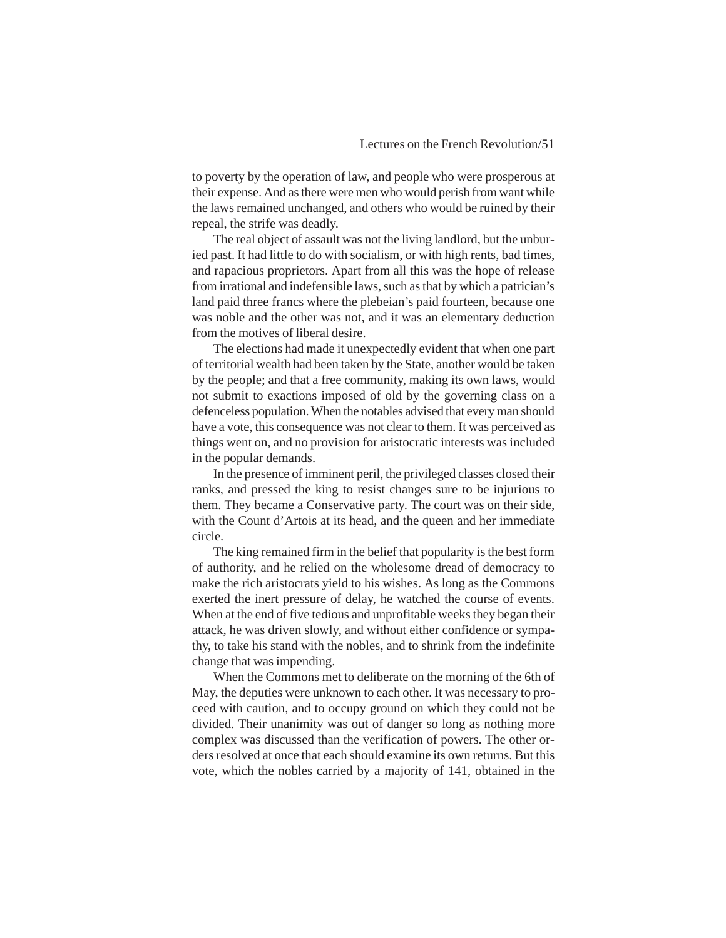to poverty by the operation of law, and people who were prosperous at their expense. And as there were men who would perish from want while the laws remained unchanged, and others who would be ruined by their repeal, the strife was deadly.

The real object of assault was not the living landlord, but the unburied past. It had little to do with socialism, or with high rents, bad times, and rapacious proprietors. Apart from all this was the hope of release from irrational and indefensible laws, such as that by which a patrician's land paid three francs where the plebeian's paid fourteen, because one was noble and the other was not, and it was an elementary deduction from the motives of liberal desire.

The elections had made it unexpectedly evident that when one part of territorial wealth had been taken by the State, another would be taken by the people; and that a free community, making its own laws, would not submit to exactions imposed of old by the governing class on a defenceless population. When the notables advised that every man should have a vote, this consequence was not clear to them. It was perceived as things went on, and no provision for aristocratic interests was included in the popular demands.

In the presence of imminent peril, the privileged classes closed their ranks, and pressed the king to resist changes sure to be injurious to them. They became a Conservative party. The court was on their side, with the Count d'Artois at its head, and the queen and her immediate circle.

The king remained firm in the belief that popularity is the best form of authority, and he relied on the wholesome dread of democracy to make the rich aristocrats yield to his wishes. As long as the Commons exerted the inert pressure of delay, he watched the course of events. When at the end of five tedious and unprofitable weeks they began their attack, he was driven slowly, and without either confidence or sympathy, to take his stand with the nobles, and to shrink from the indefinite change that was impending.

When the Commons met to deliberate on the morning of the 6th of May, the deputies were unknown to each other. It was necessary to proceed with caution, and to occupy ground on which they could not be divided. Their unanimity was out of danger so long as nothing more complex was discussed than the verification of powers. The other orders resolved at once that each should examine its own returns. But this vote, which the nobles carried by a majority of 141, obtained in the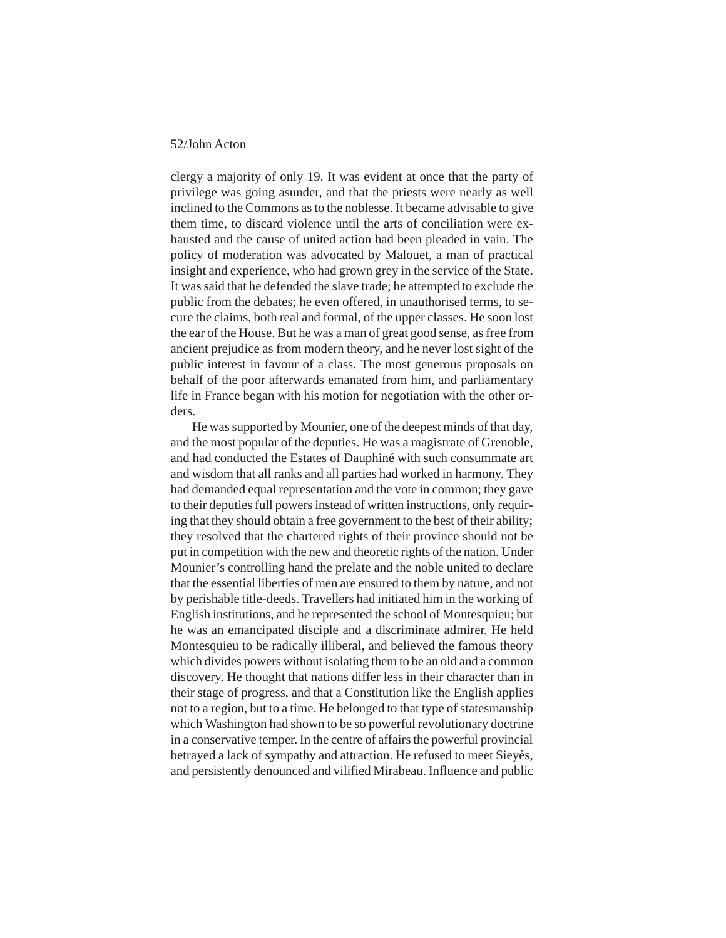clergy a majority of only 19. It was evident at once that the party of privilege was going asunder, and that the priests were nearly as well inclined to the Commons as to the noblesse. It became advisable to give them time, to discard violence until the arts of conciliation were exhausted and the cause of united action had been pleaded in vain. The policy of moderation was advocated by Malouet, a man of practical insight and experience, who had grown grey in the service of the State. It was said that he defended the slave trade; he attempted to exclude the public from the debates; he even offered, in unauthorised terms, to secure the claims, both real and formal, of the upper classes. He soon lost the ear of the House. But he was a man of great good sense, as free from ancient prejudice as from modern theory, and he never lost sight of the public interest in favour of a class. The most generous proposals on behalf of the poor afterwards emanated from him, and parliamentary life in France began with his motion for negotiation with the other orders.

He was supported by Mounier, one of the deepest minds of that day, and the most popular of the deputies. He was a magistrate of Grenoble, and had conducted the Estates of Dauphiné with such consummate art and wisdom that all ranks and all parties had worked in harmony. They had demanded equal representation and the vote in common; they gave to their deputies full powers instead of written instructions, only requiring that they should obtain a free government to the best of their ability; they resolved that the chartered rights of their province should not be put in competition with the new and theoretic rights of the nation. Under Mounier's controlling hand the prelate and the noble united to declare that the essential liberties of men are ensured to them by nature, and not by perishable title-deeds. Travellers had initiated him in the working of English institutions, and he represented the school of Montesquieu; but he was an emancipated disciple and a discriminate admirer. He held Montesquieu to be radically illiberal, and believed the famous theory which divides powers without isolating them to be an old and a common discovery. He thought that nations differ less in their character than in their stage of progress, and that a Constitution like the English applies not to a region, but to a time. He belonged to that type of statesmanship which Washington had shown to be so powerful revolutionary doctrine in a conservative temper. In the centre of affairs the powerful provincial betrayed a lack of sympathy and attraction. He refused to meet Sieyès, and persistently denounced and vilified Mirabeau. Influence and public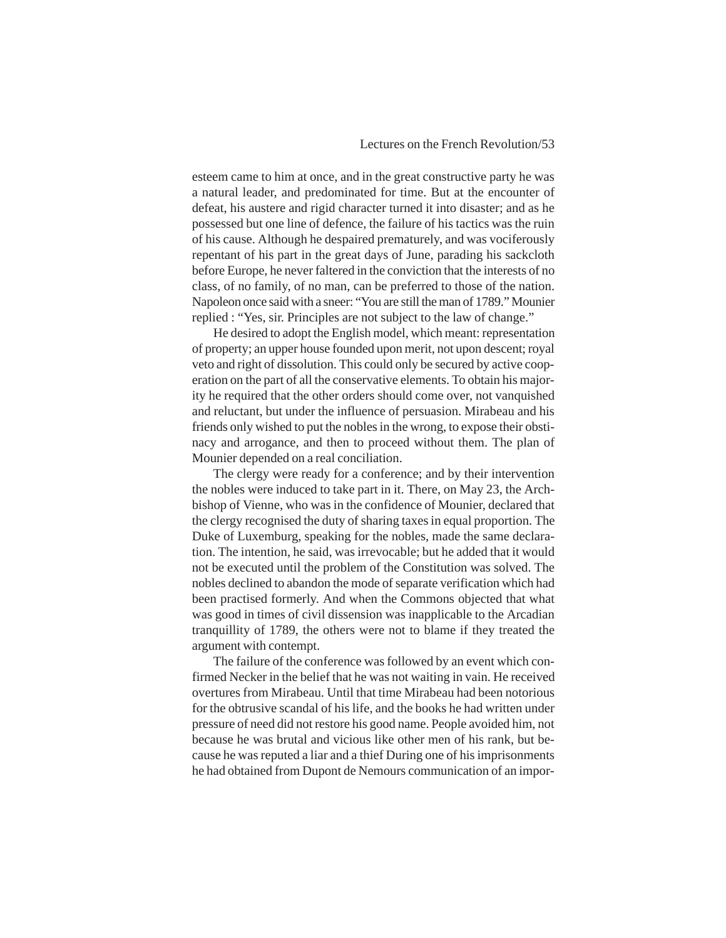esteem came to him at once, and in the great constructive party he was a natural leader, and predominated for time. But at the encounter of defeat, his austere and rigid character turned it into disaster; and as he possessed but one line of defence, the failure of his tactics was the ruin of his cause. Although he despaired prematurely, and was vociferously repentant of his part in the great days of June, parading his sackcloth before Europe, he never faltered in the conviction that the interests of no class, of no family, of no man, can be preferred to those of the nation. Napoleon once said with a sneer: "You are still the man of 1789." Mounier replied : "Yes, sir. Principles are not subject to the law of change."

He desired to adopt the English model, which meant: representation of property; an upper house founded upon merit, not upon descent; royal veto and right of dissolution. This could only be secured by active cooperation on the part of all the conservative elements. To obtain his majority he required that the other orders should come over, not vanquished and reluctant, but under the influence of persuasion. Mirabeau and his friends only wished to put the nobles in the wrong, to expose their obstinacy and arrogance, and then to proceed without them. The plan of Mounier depended on a real conciliation.

The clergy were ready for a conference; and by their intervention the nobles were induced to take part in it. There, on May 23, the Archbishop of Vienne, who was in the confidence of Mounier, declared that the clergy recognised the duty of sharing taxes in equal proportion. The Duke of Luxemburg, speaking for the nobles, made the same declaration. The intention, he said, was irrevocable; but he added that it would not be executed until the problem of the Constitution was solved. The nobles declined to abandon the mode of separate verification which had been practised formerly. And when the Commons objected that what was good in times of civil dissension was inapplicable to the Arcadian tranquillity of 1789, the others were not to blame if they treated the argument with contempt.

The failure of the conference was followed by an event which confirmed Necker in the belief that he was not waiting in vain. He received overtures from Mirabeau. Until that time Mirabeau had been notorious for the obtrusive scandal of his life, and the books he had written under pressure of need did not restore his good name. People avoided him, not because he was brutal and vicious like other men of his rank, but because he was reputed a liar and a thief During one of his imprisonments he had obtained from Dupont de Nemours communication of an impor-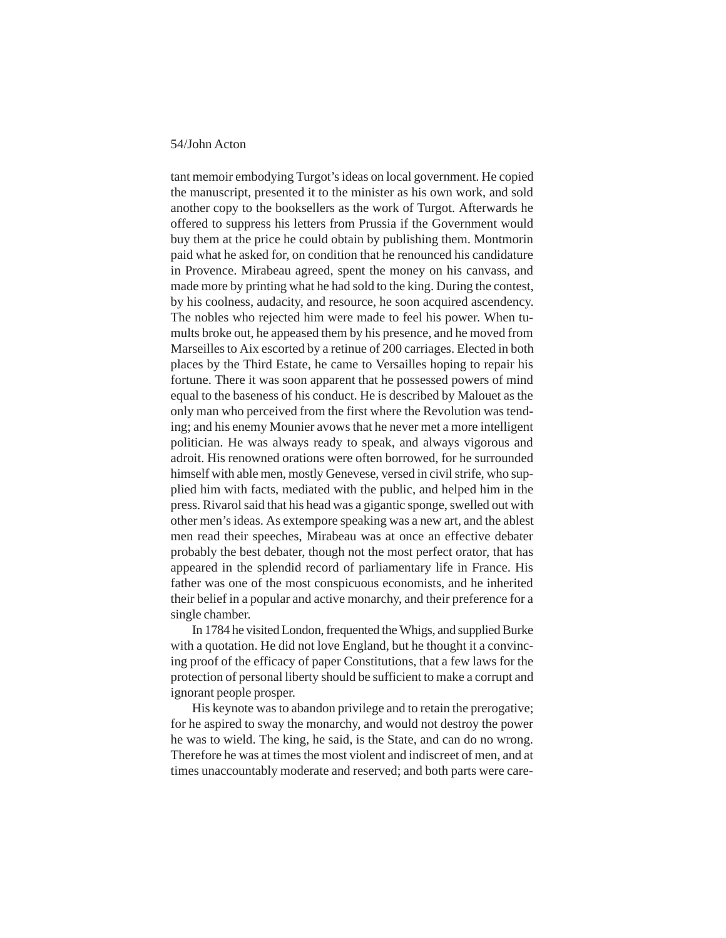tant memoir embodying Turgot's ideas on local government. He copied the manuscript, presented it to the minister as his own work, and sold another copy to the booksellers as the work of Turgot. Afterwards he offered to suppress his letters from Prussia if the Government would buy them at the price he could obtain by publishing them. Montmorin paid what he asked for, on condition that he renounced his candidature in Provence. Mirabeau agreed, spent the money on his canvass, and made more by printing what he had sold to the king. During the contest, by his coolness, audacity, and resource, he soon acquired ascendency. The nobles who rejected him were made to feel his power. When tumults broke out, he appeased them by his presence, and he moved from Marseilles to Aix escorted by a retinue of 200 carriages. Elected in both places by the Third Estate, he came to Versailles hoping to repair his fortune. There it was soon apparent that he possessed powers of mind equal to the baseness of his conduct. He is described by Malouet as the only man who perceived from the first where the Revolution was tending; and his enemy Mounier avows that he never met a more intelligent politician. He was always ready to speak, and always vigorous and adroit. His renowned orations were often borrowed, for he surrounded himself with able men, mostly Genevese, versed in civil strife, who supplied him with facts, mediated with the public, and helped him in the press. Rivarol said that his head was a gigantic sponge, swelled out with other men's ideas. As extempore speaking was a new art, and the ablest men read their speeches, Mirabeau was at once an effective debater probably the best debater, though not the most perfect orator, that has appeared in the splendid record of parliamentary life in France. His father was one of the most conspicuous economists, and he inherited their belief in a popular and active monarchy, and their preference for a single chamber.

In 1784 he visited London, frequented the Whigs, and supplied Burke with a quotation. He did not love England, but he thought it a convincing proof of the efficacy of paper Constitutions, that a few laws for the protection of personal liberty should be sufficient to make a corrupt and ignorant people prosper.

His keynote was to abandon privilege and to retain the prerogative; for he aspired to sway the monarchy, and would not destroy the power he was to wield. The king, he said, is the State, and can do no wrong. Therefore he was at times the most violent and indiscreet of men, and at times unaccountably moderate and reserved; and both parts were care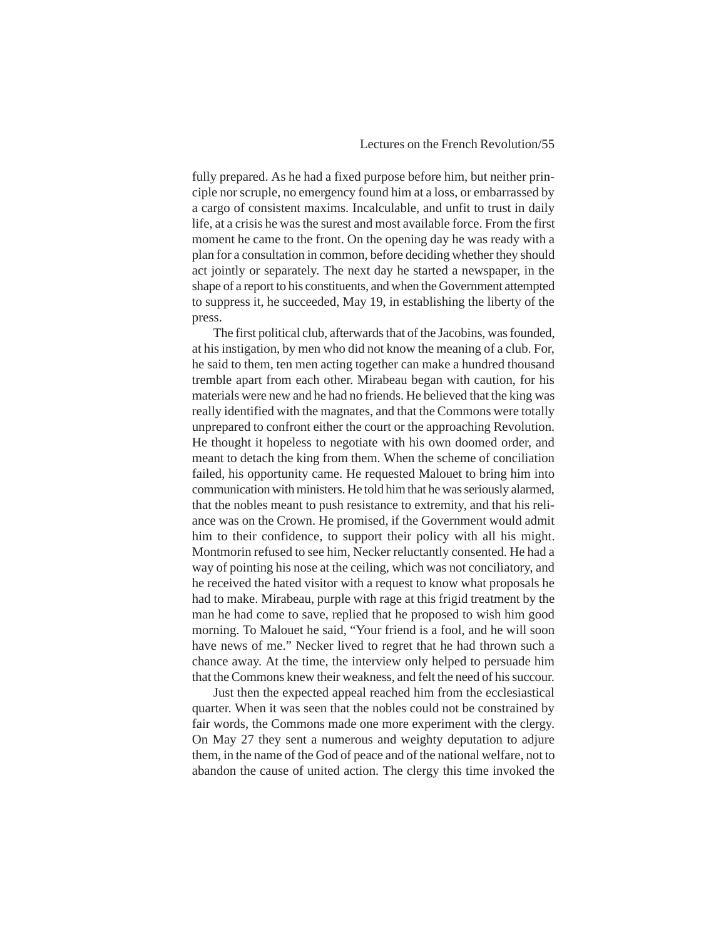fully prepared. As he had a fixed purpose before him, but neither principle nor scruple, no emergency found him at a loss, or embarrassed by a cargo of consistent maxims. Incalculable, and unfit to trust in daily life, at a crisis he was the surest and most available force. From the first moment he came to the front. On the opening day he was ready with a plan for a consultation in common, before deciding whether they should act jointly or separately. The next day he started a newspaper, in the shape of a report to his constituents, and when the Government attempted to suppress it, he succeeded, May 19, in establishing the liberty of the press.

The first political club, afterwards that of the Jacobins, was founded, at his instigation, by men who did not know the meaning of a club. For, he said to them, ten men acting together can make a hundred thousand tremble apart from each other. Mirabeau began with caution, for his materials were new and he had no friends. He believed that the king was really identified with the magnates, and that the Commons were totally unprepared to confront either the court or the approaching Revolution. He thought it hopeless to negotiate with his own doomed order, and meant to detach the king from them. When the scheme of conciliation failed, his opportunity came. He requested Malouet to bring him into communication with ministers. He told him that he was seriously alarmed, that the nobles meant to push resistance to extremity, and that his reliance was on the Crown. He promised, if the Government would admit him to their confidence, to support their policy with all his might. Montmorin refused to see him, Necker reluctantly consented. He had a way of pointing his nose at the ceiling, which was not conciliatory, and he received the hated visitor with a request to know what proposals he had to make. Mirabeau, purple with rage at this frigid treatment by the man he had come to save, replied that he proposed to wish him good morning. To Malouet he said, "Your friend is a fool, and he will soon have news of me." Necker lived to regret that he had thrown such a chance away. At the time, the interview only helped to persuade him that the Commons knew their weakness, and felt the need of his succour.

Just then the expected appeal reached him from the ecclesiastical quarter. When it was seen that the nobles could not be constrained by fair words, the Commons made one more experiment with the clergy. On May 27 they sent a numerous and weighty deputation to adjure them, in the name of the God of peace and of the national welfare, not to abandon the cause of united action. The clergy this time invoked the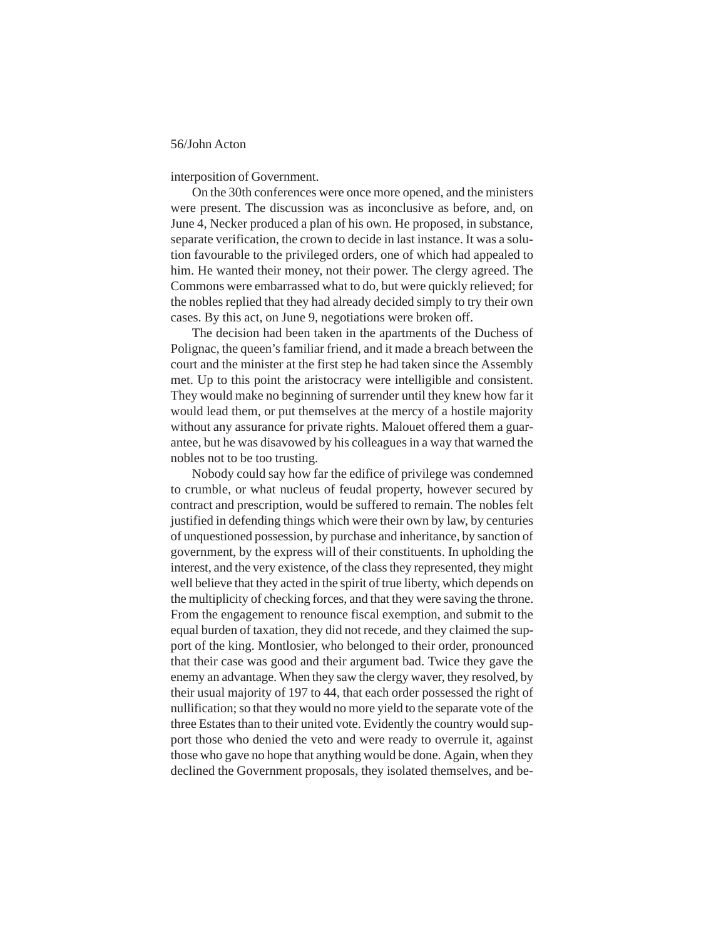interposition of Government.

On the 30th conferences were once more opened, and the ministers were present. The discussion was as inconclusive as before, and, on June 4, Necker produced a plan of his own. He proposed, in substance, separate verification, the crown to decide in last instance. It was a solution favourable to the privileged orders, one of which had appealed to him. He wanted their money, not their power. The clergy agreed. The Commons were embarrassed what to do, but were quickly relieved; for the nobles replied that they had already decided simply to try their own cases. By this act, on June 9, negotiations were broken off.

The decision had been taken in the apartments of the Duchess of Polignac, the queen's familiar friend, and it made a breach between the court and the minister at the first step he had taken since the Assembly met. Up to this point the aristocracy were intelligible and consistent. They would make no beginning of surrender until they knew how far it would lead them, or put themselves at the mercy of a hostile majority without any assurance for private rights. Malouet offered them a guarantee, but he was disavowed by his colleagues in a way that warned the nobles not to be too trusting.

Nobody could say how far the edifice of privilege was condemned to crumble, or what nucleus of feudal property, however secured by contract and prescription, would be suffered to remain. The nobles felt justified in defending things which were their own by law, by centuries of unquestioned possession, by purchase and inheritance, by sanction of government, by the express will of their constituents. In upholding the interest, and the very existence, of the class they represented, they might well believe that they acted in the spirit of true liberty, which depends on the multiplicity of checking forces, and that they were saving the throne. From the engagement to renounce fiscal exemption, and submit to the equal burden of taxation, they did not recede, and they claimed the support of the king. Montlosier, who belonged to their order, pronounced that their case was good and their argument bad. Twice they gave the enemy an advantage. When they saw the clergy waver, they resolved, by their usual majority of 197 to 44, that each order possessed the right of nullification; so that they would no more yield to the separate vote of the three Estates than to their united vote. Evidently the country would support those who denied the veto and were ready to overrule it, against those who gave no hope that anything would be done. Again, when they declined the Government proposals, they isolated themselves, and be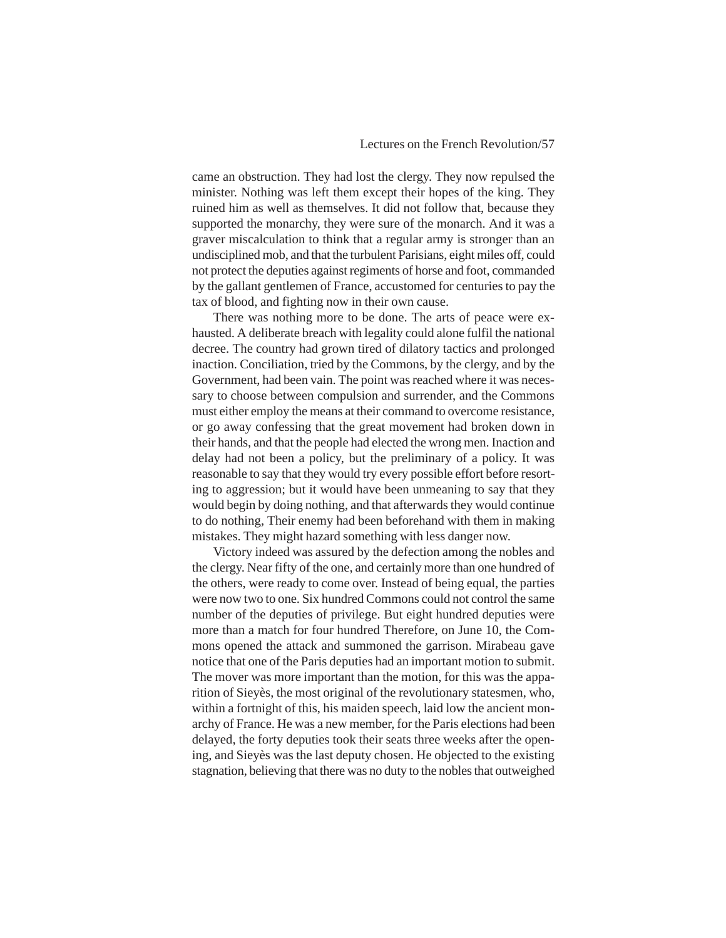came an obstruction. They had lost the clergy. They now repulsed the minister. Nothing was left them except their hopes of the king. They ruined him as well as themselves. It did not follow that, because they supported the monarchy, they were sure of the monarch. And it was a graver miscalculation to think that a regular army is stronger than an undisciplined mob, and that the turbulent Parisians, eight miles off, could not protect the deputies against regiments of horse and foot, commanded by the gallant gentlemen of France, accustomed for centuries to pay the tax of blood, and fighting now in their own cause.

There was nothing more to be done. The arts of peace were exhausted. A deliberate breach with legality could alone fulfil the national decree. The country had grown tired of dilatory tactics and prolonged inaction. Conciliation, tried by the Commons, by the clergy, and by the Government, had been vain. The point was reached where it was necessary to choose between compulsion and surrender, and the Commons must either employ the means at their command to overcome resistance, or go away confessing that the great movement had broken down in their hands, and that the people had elected the wrong men. Inaction and delay had not been a policy, but the preliminary of a policy. It was reasonable to say that they would try every possible effort before resorting to aggression; but it would have been unmeaning to say that they would begin by doing nothing, and that afterwards they would continue to do nothing, Their enemy had been beforehand with them in making mistakes. They might hazard something with less danger now.

Victory indeed was assured by the defection among the nobles and the clergy. Near fifty of the one, and certainly more than one hundred of the others, were ready to come over. Instead of being equal, the parties were now two to one. Six hundred Commons could not control the same number of the deputies of privilege. But eight hundred deputies were more than a match for four hundred Therefore, on June 10, the Commons opened the attack and summoned the garrison. Mirabeau gave notice that one of the Paris deputies had an important motion to submit. The mover was more important than the motion, for this was the apparition of Sieyès, the most original of the revolutionary statesmen, who, within a fortnight of this, his maiden speech, laid low the ancient monarchy of France. He was a new member, for the Paris elections had been delayed, the forty deputies took their seats three weeks after the opening, and Sieyès was the last deputy chosen. He objected to the existing stagnation, believing that there was no duty to the nobles that outweighed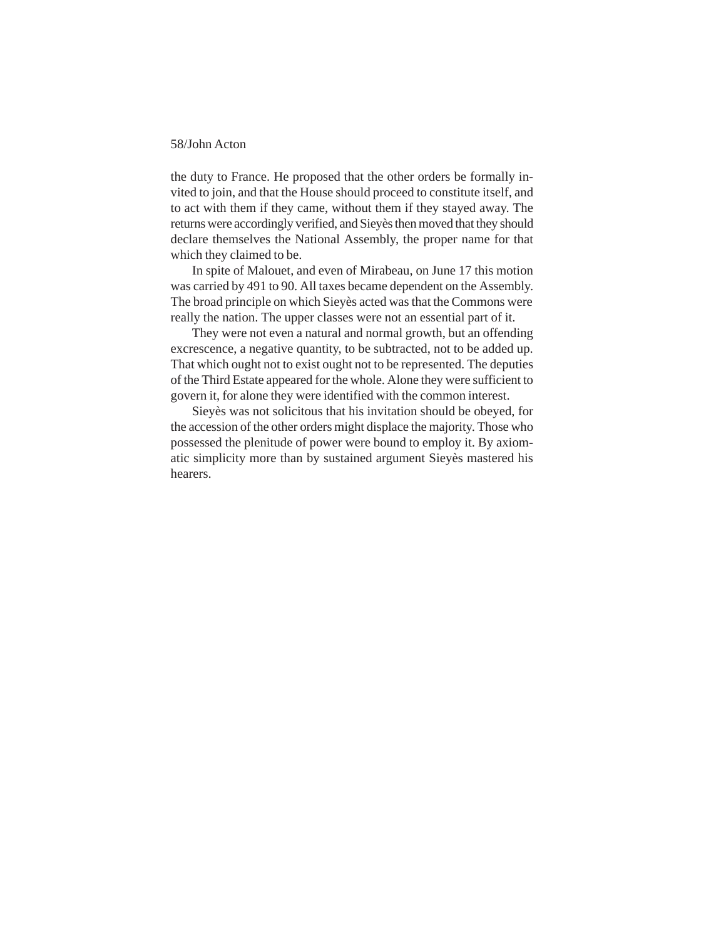the duty to France. He proposed that the other orders be formally invited to join, and that the House should proceed to constitute itself, and to act with them if they came, without them if they stayed away. The returns were accordingly verified, and Sieyès then moved that they should declare themselves the National Assembly, the proper name for that which they claimed to be.

In spite of Malouet, and even of Mirabeau, on June 17 this motion was carried by 491 to 90. All taxes became dependent on the Assembly. The broad principle on which Sieyès acted was that the Commons were really the nation. The upper classes were not an essential part of it.

They were not even a natural and normal growth, but an offending excrescence, a negative quantity, to be subtracted, not to be added up. That which ought not to exist ought not to be represented. The deputies of the Third Estate appeared for the whole. Alone they were sufficient to govern it, for alone they were identified with the common interest.

Sieyès was not solicitous that his invitation should be obeyed, for the accession of the other orders might displace the majority. Those who possessed the plenitude of power were bound to employ it. By axiomatic simplicity more than by sustained argument Sieyès mastered his hearers.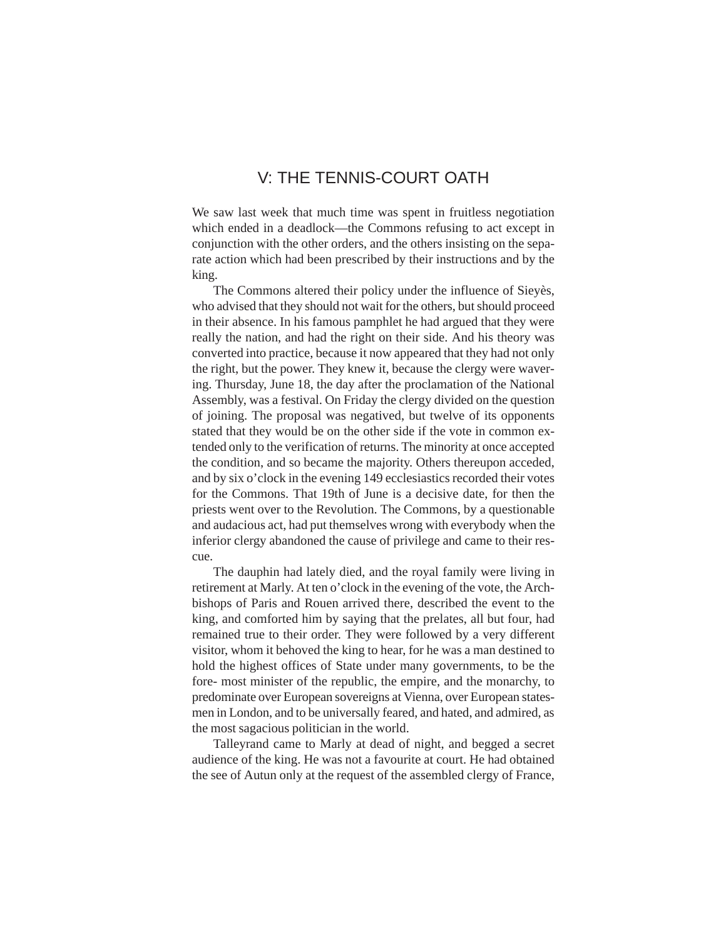# V: THE TENNIS-COURT OATH

We saw last week that much time was spent in fruitless negotiation which ended in a deadlock—the Commons refusing to act except in conjunction with the other orders, and the others insisting on the separate action which had been prescribed by their instructions and by the king.

The Commons altered their policy under the influence of Sieyès, who advised that they should not wait for the others, but should proceed in their absence. In his famous pamphlet he had argued that they were really the nation, and had the right on their side. And his theory was converted into practice, because it now appeared that they had not only the right, but the power. They knew it, because the clergy were wavering. Thursday, June 18, the day after the proclamation of the National Assembly, was a festival. On Friday the clergy divided on the question of joining. The proposal was negatived, but twelve of its opponents stated that they would be on the other side if the vote in common extended only to the verification of returns. The minority at once accepted the condition, and so became the majority. Others thereupon acceded, and by six o'clock in the evening 149 ecclesiastics recorded their votes for the Commons. That 19th of June is a decisive date, for then the priests went over to the Revolution. The Commons, by a questionable and audacious act, had put themselves wrong with everybody when the inferior clergy abandoned the cause of privilege and came to their rescue.

The dauphin had lately died, and the royal family were living in retirement at Marly. At ten o'clock in the evening of the vote, the Archbishops of Paris and Rouen arrived there, described the event to the king, and comforted him by saying that the prelates, all but four, had remained true to their order. They were followed by a very different visitor, whom it behoved the king to hear, for he was a man destined to hold the highest offices of State under many governments, to be the fore- most minister of the republic, the empire, and the monarchy, to predominate over European sovereigns at Vienna, over European statesmen in London, and to be universally feared, and hated, and admired, as the most sagacious politician in the world.

Talleyrand came to Marly at dead of night, and begged a secret audience of the king. He was not a favourite at court. He had obtained the see of Autun only at the request of the assembled clergy of France,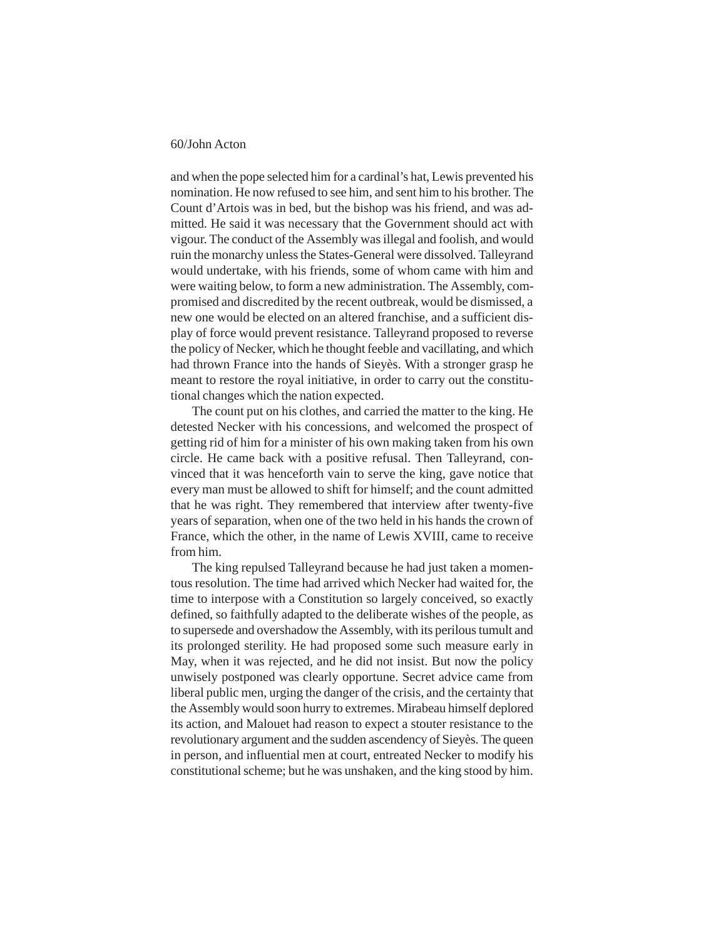and when the pope selected him for a cardinal's hat, Lewis prevented his nomination. He now refused to see him, and sent him to his brother. The Count d'Artois was in bed, but the bishop was his friend, and was admitted. He said it was necessary that the Government should act with vigour. The conduct of the Assembly was illegal and foolish, and would ruin the monarchy unless the States-General were dissolved. Talleyrand would undertake, with his friends, some of whom came with him and were waiting below, to form a new administration. The Assembly, compromised and discredited by the recent outbreak, would be dismissed, a new one would be elected on an altered franchise, and a sufficient display of force would prevent resistance. Talleyrand proposed to reverse the policy of Necker, which he thought feeble and vacillating, and which had thrown France into the hands of Sieyès. With a stronger grasp he meant to restore the royal initiative, in order to carry out the constitutional changes which the nation expected.

The count put on his clothes, and carried the matter to the king. He detested Necker with his concessions, and welcomed the prospect of getting rid of him for a minister of his own making taken from his own circle. He came back with a positive refusal. Then Talleyrand, convinced that it was henceforth vain to serve the king, gave notice that every man must be allowed to shift for himself; and the count admitted that he was right. They remembered that interview after twenty-five years of separation, when one of the two held in his hands the crown of France, which the other, in the name of Lewis XVIII, came to receive from him.

The king repulsed Talleyrand because he had just taken a momentous resolution. The time had arrived which Necker had waited for, the time to interpose with a Constitution so largely conceived, so exactly defined, so faithfully adapted to the deliberate wishes of the people, as to supersede and overshadow the Assembly, with its perilous tumult and its prolonged sterility. He had proposed some such measure early in May, when it was rejected, and he did not insist. But now the policy unwisely postponed was clearly opportune. Secret advice came from liberal public men, urging the danger of the crisis, and the certainty that the Assembly would soon hurry to extremes. Mirabeau himself deplored its action, and Malouet had reason to expect a stouter resistance to the revolutionary argument and the sudden ascendency of Sieyès. The queen in person, and influential men at court, entreated Necker to modify his constitutional scheme; but he was unshaken, and the king stood by him.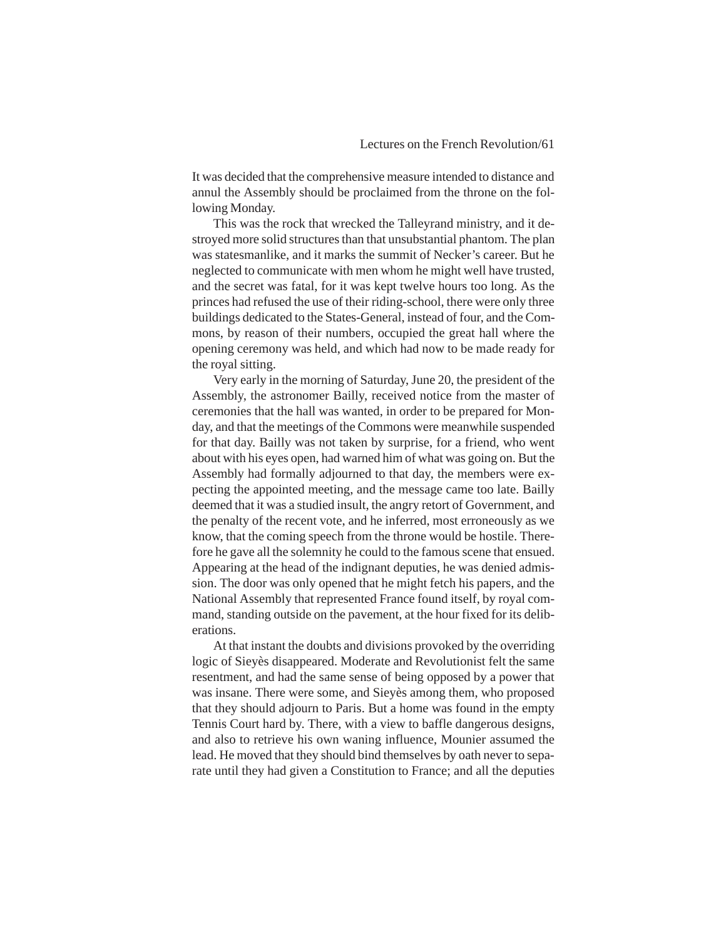It was decided that the comprehensive measure intended to distance and annul the Assembly should be proclaimed from the throne on the following Monday.

This was the rock that wrecked the Talleyrand ministry, and it destroyed more solid structures than that unsubstantial phantom. The plan was statesmanlike, and it marks the summit of Necker's career. But he neglected to communicate with men whom he might well have trusted, and the secret was fatal, for it was kept twelve hours too long. As the princes had refused the use of their riding-school, there were only three buildings dedicated to the States-General, instead of four, and the Commons, by reason of their numbers, occupied the great hall where the opening ceremony was held, and which had now to be made ready for the royal sitting.

Very early in the morning of Saturday, June 20, the president of the Assembly, the astronomer Bailly, received notice from the master of ceremonies that the hall was wanted, in order to be prepared for Monday, and that the meetings of the Commons were meanwhile suspended for that day. Bailly was not taken by surprise, for a friend, who went about with his eyes open, had warned him of what was going on. But the Assembly had formally adjourned to that day, the members were expecting the appointed meeting, and the message came too late. Bailly deemed that it was a studied insult, the angry retort of Government, and the penalty of the recent vote, and he inferred, most erroneously as we know, that the coming speech from the throne would be hostile. Therefore he gave all the solemnity he could to the famous scene that ensued. Appearing at the head of the indignant deputies, he was denied admission. The door was only opened that he might fetch his papers, and the National Assembly that represented France found itself, by royal command, standing outside on the pavement, at the hour fixed for its deliberations.

At that instant the doubts and divisions provoked by the overriding logic of Sieyès disappeared. Moderate and Revolutionist felt the same resentment, and had the same sense of being opposed by a power that was insane. There were some, and Sieyès among them, who proposed that they should adjourn to Paris. But a home was found in the empty Tennis Court hard by. There, with a view to baffle dangerous designs, and also to retrieve his own waning influence, Mounier assumed the lead. He moved that they should bind themselves by oath never to separate until they had given a Constitution to France; and all the deputies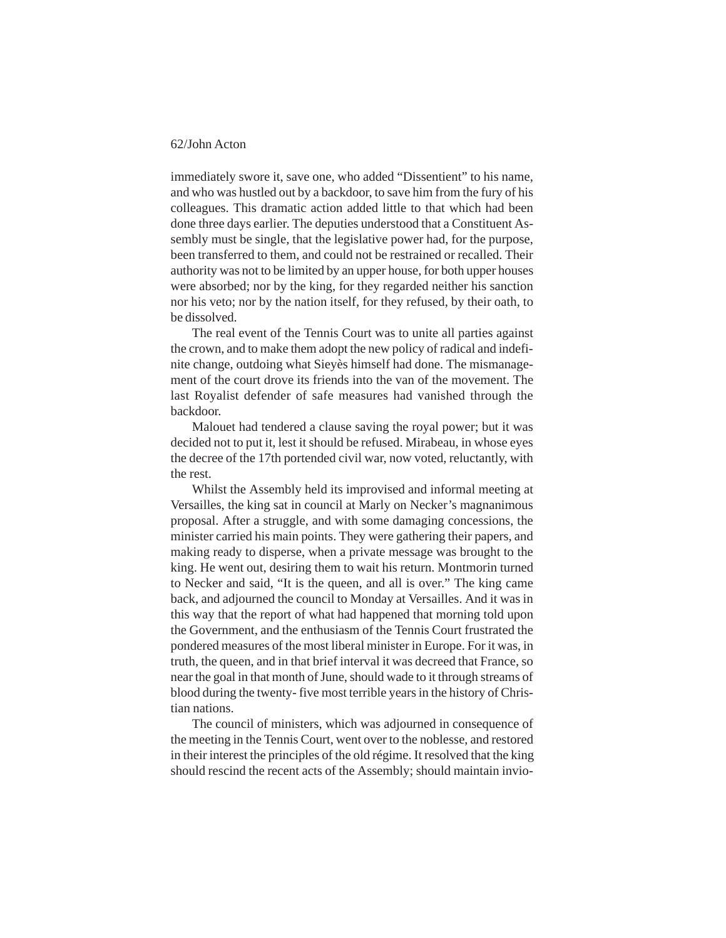immediately swore it, save one, who added "Dissentient" to his name, and who was hustled out by a backdoor, to save him from the fury of his colleagues. This dramatic action added little to that which had been done three days earlier. The deputies understood that a Constituent Assembly must be single, that the legislative power had, for the purpose, been transferred to them, and could not be restrained or recalled. Their authority was not to be limited by an upper house, for both upper houses were absorbed; nor by the king, for they regarded neither his sanction nor his veto; nor by the nation itself, for they refused, by their oath, to be dissolved.

The real event of the Tennis Court was to unite all parties against the crown, and to make them adopt the new policy of radical and indefinite change, outdoing what Sieyès himself had done. The mismanagement of the court drove its friends into the van of the movement. The last Royalist defender of safe measures had vanished through the backdoor.

Malouet had tendered a clause saving the royal power; but it was decided not to put it, lest it should be refused. Mirabeau, in whose eyes the decree of the 17th portended civil war, now voted, reluctantly, with the rest.

Whilst the Assembly held its improvised and informal meeting at Versailles, the king sat in council at Marly on Necker's magnanimous proposal. After a struggle, and with some damaging concessions, the minister carried his main points. They were gathering their papers, and making ready to disperse, when a private message was brought to the king. He went out, desiring them to wait his return. Montmorin turned to Necker and said, "It is the queen, and all is over." The king came back, and adjourned the council to Monday at Versailles. And it was in this way that the report of what had happened that morning told upon the Government, and the enthusiasm of the Tennis Court frustrated the pondered measures of the most liberal minister in Europe. For it was, in truth, the queen, and in that brief interval it was decreed that France, so near the goal in that month of June, should wade to it through streams of blood during the twenty- five most terrible years in the history of Christian nations.

The council of ministers, which was adjourned in consequence of the meeting in the Tennis Court, went over to the noblesse, and restored in their interest the principles of the old régime. It resolved that the king should rescind the recent acts of the Assembly; should maintain invio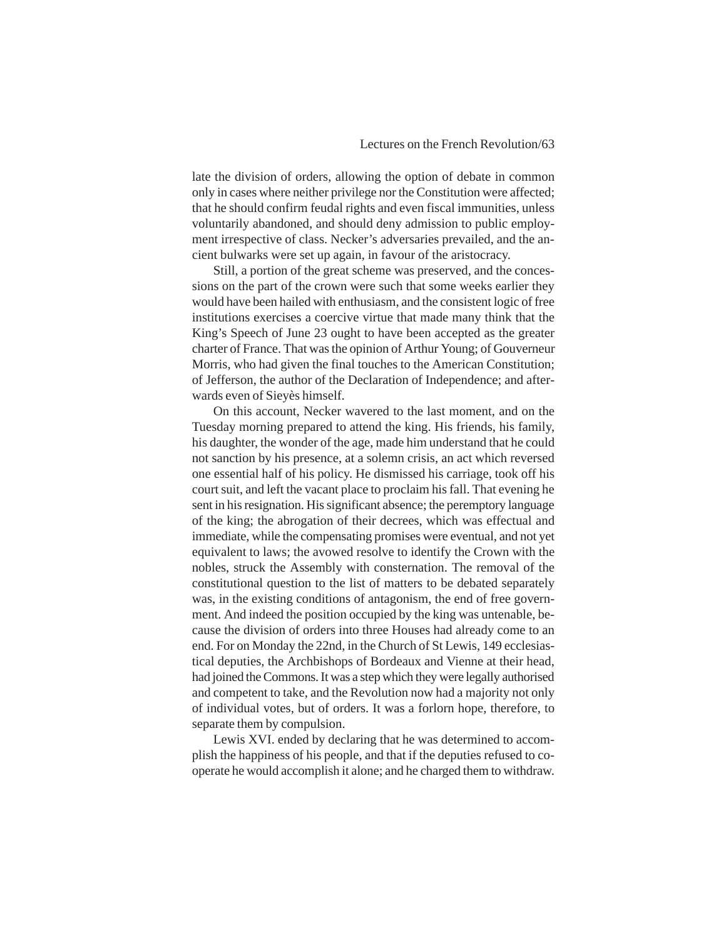late the division of orders, allowing the option of debate in common only in cases where neither privilege nor the Constitution were affected; that he should confirm feudal rights and even fiscal immunities, unless voluntarily abandoned, and should deny admission to public employment irrespective of class. Necker's adversaries prevailed, and the ancient bulwarks were set up again, in favour of the aristocracy.

Still, a portion of the great scheme was preserved, and the concessions on the part of the crown were such that some weeks earlier they would have been hailed with enthusiasm, and the consistent logic of free institutions exercises a coercive virtue that made many think that the King's Speech of June 23 ought to have been accepted as the greater charter of France. That was the opinion of Arthur Young; of Gouverneur Morris, who had given the final touches to the American Constitution; of Jefferson, the author of the Declaration of Independence; and afterwards even of Sieyès himself.

On this account, Necker wavered to the last moment, and on the Tuesday morning prepared to attend the king. His friends, his family, his daughter, the wonder of the age, made him understand that he could not sanction by his presence, at a solemn crisis, an act which reversed one essential half of his policy. He dismissed his carriage, took off his court suit, and left the vacant place to proclaim his fall. That evening he sent in his resignation. His significant absence; the peremptory language of the king; the abrogation of their decrees, which was effectual and immediate, while the compensating promises were eventual, and not yet equivalent to laws; the avowed resolve to identify the Crown with the nobles, struck the Assembly with consternation. The removal of the constitutional question to the list of matters to be debated separately was, in the existing conditions of antagonism, the end of free government. And indeed the position occupied by the king was untenable, because the division of orders into three Houses had already come to an end. For on Monday the 22nd, in the Church of St Lewis, 149 ecclesiastical deputies, the Archbishops of Bordeaux and Vienne at their head, had joined the Commons. It was a step which they were legally authorised and competent to take, and the Revolution now had a majority not only of individual votes, but of orders. It was a forlorn hope, therefore, to separate them by compulsion.

Lewis XVI. ended by declaring that he was determined to accomplish the happiness of his people, and that if the deputies refused to cooperate he would accomplish it alone; and he charged them to withdraw.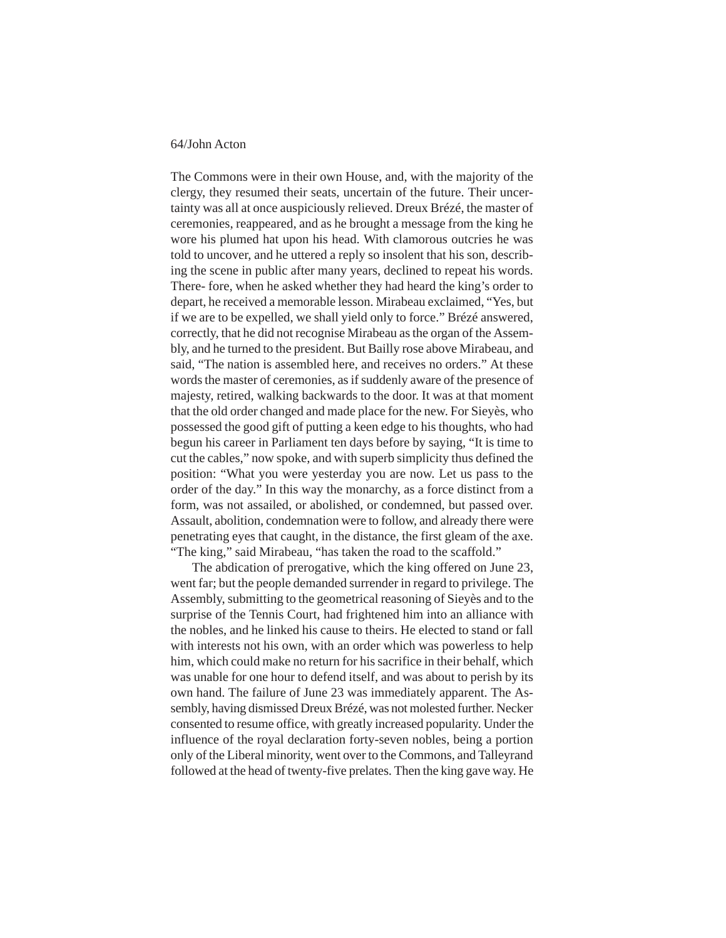The Commons were in their own House, and, with the majority of the clergy, they resumed their seats, uncertain of the future. Their uncertainty was all at once auspiciously relieved. Dreux Brézé, the master of ceremonies, reappeared, and as he brought a message from the king he wore his plumed hat upon his head. With clamorous outcries he was told to uncover, and he uttered a reply so insolent that his son, describing the scene in public after many years, declined to repeat his words. There- fore, when he asked whether they had heard the king's order to depart, he received a memorable lesson. Mirabeau exclaimed, "Yes, but if we are to be expelled, we shall yield only to force." Brézé answered, correctly, that he did not recognise Mirabeau as the organ of the Assembly, and he turned to the president. But Bailly rose above Mirabeau, and said, "The nation is assembled here, and receives no orders." At these words the master of ceremonies, as if suddenly aware of the presence of majesty, retired, walking backwards to the door. It was at that moment that the old order changed and made place for the new. For Sieyès, who possessed the good gift of putting a keen edge to his thoughts, who had begun his career in Parliament ten days before by saying, "It is time to cut the cables," now spoke, and with superb simplicity thus defined the position: "What you were yesterday you are now. Let us pass to the order of the day." In this way the monarchy, as a force distinct from a form, was not assailed, or abolished, or condemned, but passed over. Assault, abolition, condemnation were to follow, and already there were penetrating eyes that caught, in the distance, the first gleam of the axe. "The king," said Mirabeau, "has taken the road to the scaffold."

The abdication of prerogative, which the king offered on June 23, went far; but the people demanded surrender in regard to privilege. The Assembly, submitting to the geometrical reasoning of Sieyès and to the surprise of the Tennis Court, had frightened him into an alliance with the nobles, and he linked his cause to theirs. He elected to stand or fall with interests not his own, with an order which was powerless to help him, which could make no return for his sacrifice in their behalf, which was unable for one hour to defend itself, and was about to perish by its own hand. The failure of June 23 was immediately apparent. The Assembly, having dismissed Dreux Brézé, was not molested further. Necker consented to resume office, with greatly increased popularity. Under the influence of the royal declaration forty-seven nobles, being a portion only of the Liberal minority, went over to the Commons, and Talleyrand followed at the head of twenty-five prelates. Then the king gave way. He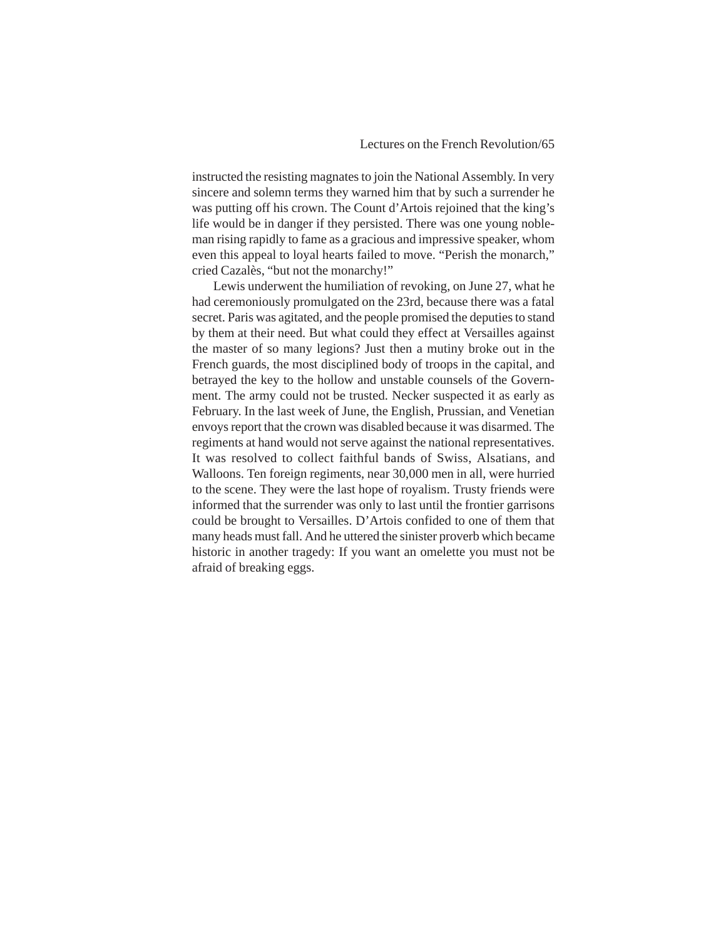instructed the resisting magnates to join the National Assembly. In very sincere and solemn terms they warned him that by such a surrender he was putting off his crown. The Count d'Artois rejoined that the king's life would be in danger if they persisted. There was one young nobleman rising rapidly to fame as a gracious and impressive speaker, whom even this appeal to loyal hearts failed to move. "Perish the monarch," cried Cazalès, "but not the monarchy!"

Lewis underwent the humiliation of revoking, on June 27, what he had ceremoniously promulgated on the 23rd, because there was a fatal secret. Paris was agitated, and the people promised the deputies to stand by them at their need. But what could they effect at Versailles against the master of so many legions? Just then a mutiny broke out in the French guards, the most disciplined body of troops in the capital, and betrayed the key to the hollow and unstable counsels of the Government. The army could not be trusted. Necker suspected it as early as February. In the last week of June, the English, Prussian, and Venetian envoys report that the crown was disabled because it was disarmed. The regiments at hand would not serve against the national representatives. It was resolved to collect faithful bands of Swiss, Alsatians, and Walloons. Ten foreign regiments, near 30,000 men in all, were hurried to the scene. They were the last hope of royalism. Trusty friends were informed that the surrender was only to last until the frontier garrisons could be brought to Versailles. D'Artois confided to one of them that many heads must fall. And he uttered the sinister proverb which became historic in another tragedy: If you want an omelette you must not be afraid of breaking eggs.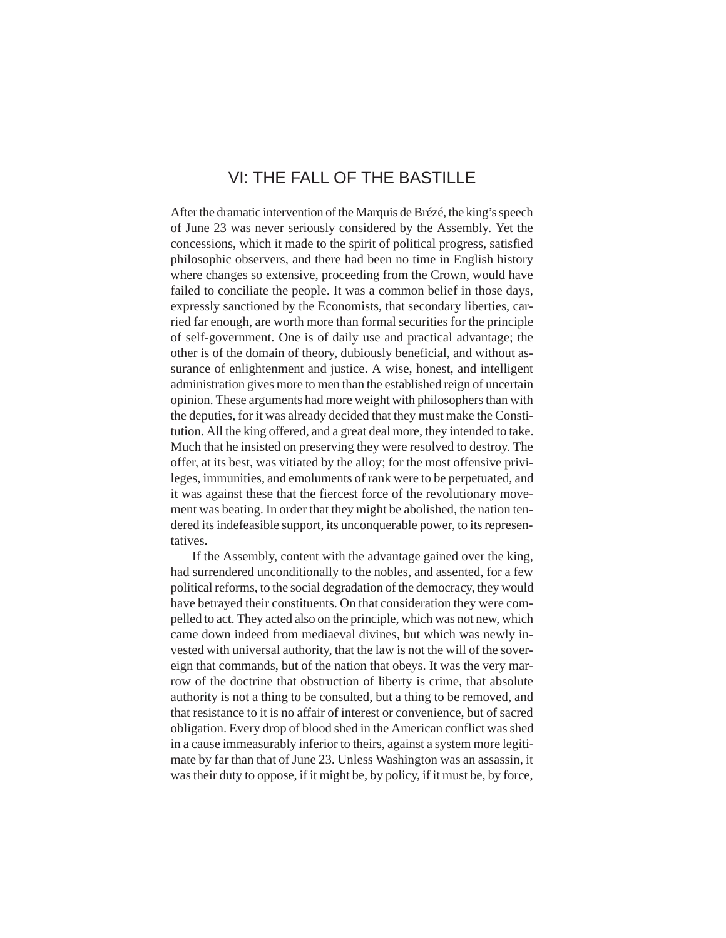# VI: THE FALL OF THE BASTILLE

After the dramatic intervention of the Marquis de Brézé, the king's speech of June 23 was never seriously considered by the Assembly. Yet the concessions, which it made to the spirit of political progress, satisfied philosophic observers, and there had been no time in English history where changes so extensive, proceeding from the Crown, would have failed to conciliate the people. It was a common belief in those days, expressly sanctioned by the Economists, that secondary liberties, carried far enough, are worth more than formal securities for the principle of self-government. One is of daily use and practical advantage; the other is of the domain of theory, dubiously beneficial, and without assurance of enlightenment and justice. A wise, honest, and intelligent administration gives more to men than the established reign of uncertain opinion. These arguments had more weight with philosophers than with the deputies, for it was already decided that they must make the Constitution. All the king offered, and a great deal more, they intended to take. Much that he insisted on preserving they were resolved to destroy. The offer, at its best, was vitiated by the alloy; for the most offensive privileges, immunities, and emoluments of rank were to be perpetuated, and it was against these that the fiercest force of the revolutionary movement was beating. In order that they might be abolished, the nation tendered its indefeasible support, its unconquerable power, to its representatives.

If the Assembly, content with the advantage gained over the king, had surrendered unconditionally to the nobles, and assented, for a few political reforms, to the social degradation of the democracy, they would have betrayed their constituents. On that consideration they were compelled to act. They acted also on the principle, which was not new, which came down indeed from mediaeval divines, but which was newly invested with universal authority, that the law is not the will of the sovereign that commands, but of the nation that obeys. It was the very marrow of the doctrine that obstruction of liberty is crime, that absolute authority is not a thing to be consulted, but a thing to be removed, and that resistance to it is no affair of interest or convenience, but of sacred obligation. Every drop of blood shed in the American conflict was shed in a cause immeasurably inferior to theirs, against a system more legitimate by far than that of June 23. Unless Washington was an assassin, it was their duty to oppose, if it might be, by policy, if it must be, by force,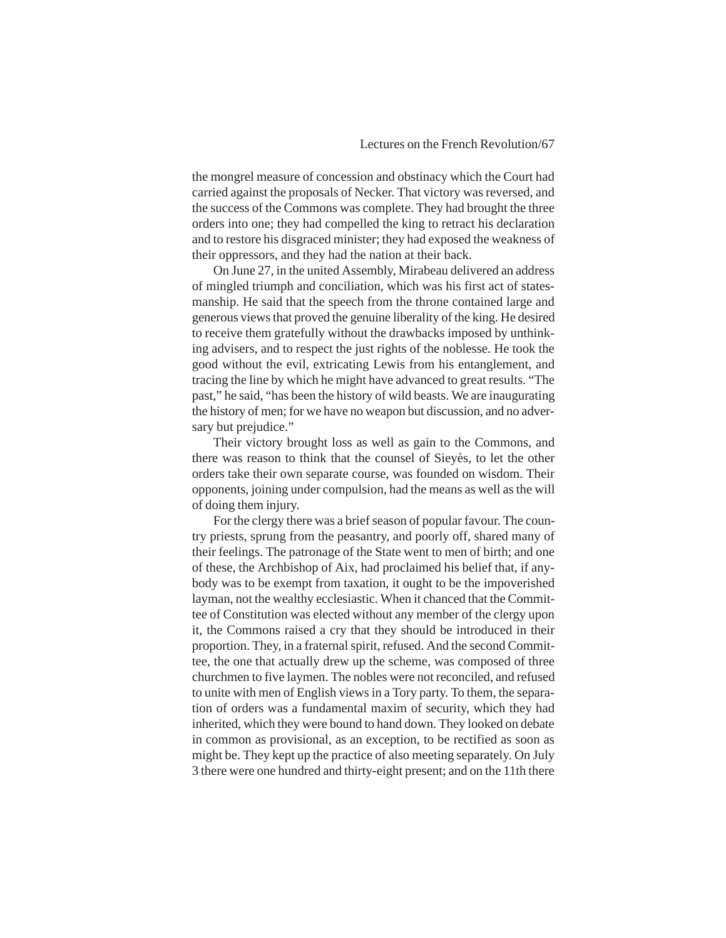the mongrel measure of concession and obstinacy which the Court had carried against the proposals of Necker. That victory was reversed, and the success of the Commons was complete. They had brought the three orders into one; they had compelled the king to retract his declaration and to restore his disgraced minister; they had exposed the weakness of their oppressors, and they had the nation at their back.

On June 27, in the united Assembly, Mirabeau delivered an address of mingled triumph and conciliation, which was his first act of statesmanship. He said that the speech from the throne contained large and generous views that proved the genuine liberality of the king. He desired to receive them gratefully without the drawbacks imposed by unthinking advisers, and to respect the just rights of the noblesse. He took the good without the evil, extricating Lewis from his entanglement, and tracing the line by which he might have advanced to great results. "The past," he said, "has been the history of wild beasts. We are inaugurating the history of men; for we have no weapon but discussion, and no adversary but prejudice."

Their victory brought loss as well as gain to the Commons, and there was reason to think that the counsel of Sieyès, to let the other orders take their own separate course, was founded on wisdom. Their opponents, joining under compulsion, had the means as well as the will of doing them injury.

For the clergy there was a brief season of popular favour. The country priests, sprung from the peasantry, and poorly off, shared many of their feelings. The patronage of the State went to men of birth; and one of these, the Archbishop of Aix, had proclaimed his belief that, if anybody was to be exempt from taxation, it ought to be the impoverished layman, not the wealthy ecclesiastic. When it chanced that the Committee of Constitution was elected without any member of the clergy upon it, the Commons raised a cry that they should be introduced in their proportion. They, in a fraternal spirit, refused. And the second Committee, the one that actually drew up the scheme, was composed of three churchmen to five laymen. The nobles were not reconciled, and refused to unite with men of English views in a Tory party. To them, the separation of orders was a fundamental maxim of security, which they had inherited, which they were bound to hand down. They looked on debate in common as provisional, as an exception, to be rectified as soon as might be. They kept up the practice of also meeting separately. On July 3 there were one hundred and thirty-eight present; and on the 11th there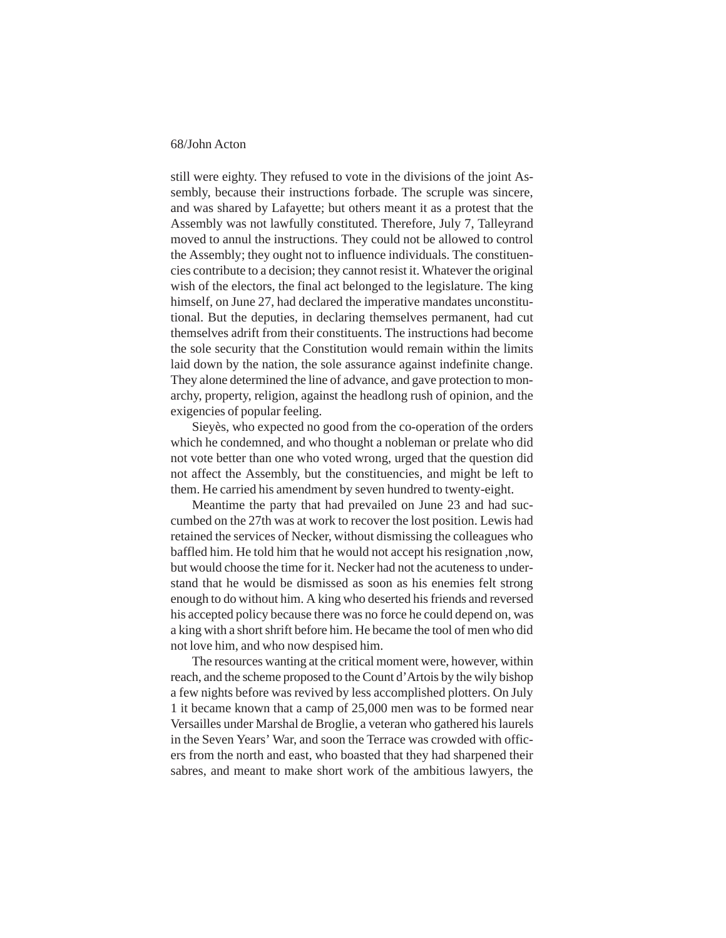still were eighty. They refused to vote in the divisions of the joint Assembly, because their instructions forbade. The scruple was sincere, and was shared by Lafayette; but others meant it as a protest that the Assembly was not lawfully constituted. Therefore, July 7, Talleyrand moved to annul the instructions. They could not be allowed to control the Assembly; they ought not to influence individuals. The constituencies contribute to a decision; they cannot resist it. Whatever the original wish of the electors, the final act belonged to the legislature. The king himself, on June 27, had declared the imperative mandates unconstitutional. But the deputies, in declaring themselves permanent, had cut themselves adrift from their constituents. The instructions had become the sole security that the Constitution would remain within the limits laid down by the nation, the sole assurance against indefinite change. They alone determined the line of advance, and gave protection to monarchy, property, religion, against the headlong rush of opinion, and the exigencies of popular feeling.

Sieyès, who expected no good from the co-operation of the orders which he condemned, and who thought a nobleman or prelate who did not vote better than one who voted wrong, urged that the question did not affect the Assembly, but the constituencies, and might be left to them. He carried his amendment by seven hundred to twenty-eight.

Meantime the party that had prevailed on June 23 and had succumbed on the 27th was at work to recover the lost position. Lewis had retained the services of Necker, without dismissing the colleagues who baffled him. He told him that he would not accept his resignation ,now, but would choose the time for it. Necker had not the acuteness to understand that he would be dismissed as soon as his enemies felt strong enough to do without him. A king who deserted his friends and reversed his accepted policy because there was no force he could depend on, was a king with a short shrift before him. He became the tool of men who did not love him, and who now despised him.

The resources wanting at the critical moment were, however, within reach, and the scheme proposed to the Count d'Artois by the wily bishop a few nights before was revived by less accomplished plotters. On July 1 it became known that a camp of 25,000 men was to be formed near Versailles under Marshal de Broglie, a veteran who gathered his laurels in the Seven Years' War, and soon the Terrace was crowded with officers from the north and east, who boasted that they had sharpened their sabres, and meant to make short work of the ambitious lawyers, the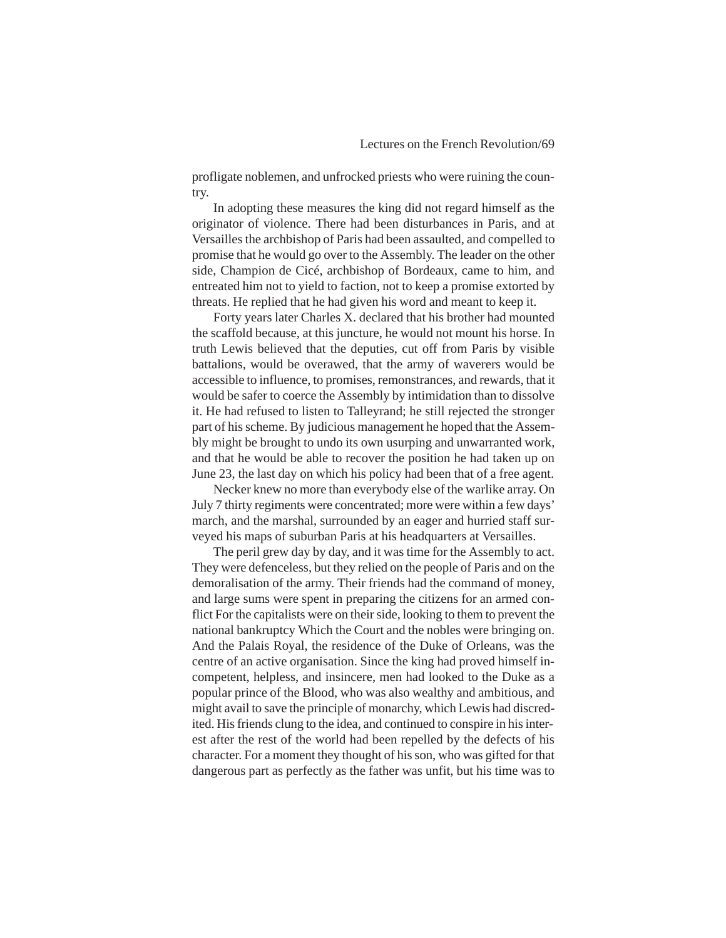profligate noblemen, and unfrocked priests who were ruining the country.

In adopting these measures the king did not regard himself as the originator of violence. There had been disturbances in Paris, and at Versailles the archbishop of Paris had been assaulted, and compelled to promise that he would go over to the Assembly. The leader on the other side, Champion de Cicé, archbishop of Bordeaux, came to him, and entreated him not to yield to faction, not to keep a promise extorted by threats. He replied that he had given his word and meant to keep it.

Forty years later Charles X. declared that his brother had mounted the scaffold because, at this juncture, he would not mount his horse. In truth Lewis believed that the deputies, cut off from Paris by visible battalions, would be overawed, that the army of waverers would be accessible to influence, to promises, remonstrances, and rewards, that it would be safer to coerce the Assembly by intimidation than to dissolve it. He had refused to listen to Talleyrand; he still rejected the stronger part of his scheme. By judicious management he hoped that the Assembly might be brought to undo its own usurping and unwarranted work, and that he would be able to recover the position he had taken up on June 23, the last day on which his policy had been that of a free agent.

Necker knew no more than everybody else of the warlike array. On July 7 thirty regiments were concentrated; more were within a few days' march, and the marshal, surrounded by an eager and hurried staff surveyed his maps of suburban Paris at his headquarters at Versailles.

The peril grew day by day, and it was time for the Assembly to act. They were defenceless, but they relied on the people of Paris and on the demoralisation of the army. Their friends had the command of money, and large sums were spent in preparing the citizens for an armed conflict For the capitalists were on their side, looking to them to prevent the national bankruptcy Which the Court and the nobles were bringing on. And the Palais Royal, the residence of the Duke of Orleans, was the centre of an active organisation. Since the king had proved himself incompetent, helpless, and insincere, men had looked to the Duke as a popular prince of the Blood, who was also wealthy and ambitious, and might avail to save the principle of monarchy, which Lewis had discredited. His friends clung to the idea, and continued to conspire in his interest after the rest of the world had been repelled by the defects of his character. For a moment they thought of his son, who was gifted for that dangerous part as perfectly as the father was unfit, but his time was to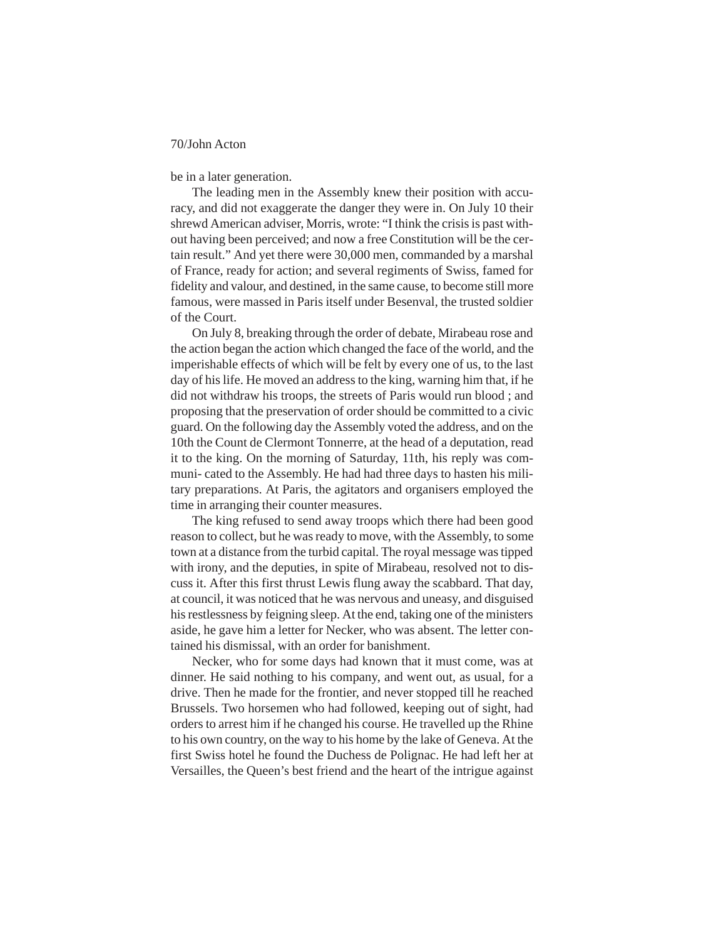be in a later generation.

The leading men in the Assembly knew their position with accuracy, and did not exaggerate the danger they were in. On July 10 their shrewd American adviser, Morris, wrote: "I think the crisis is past without having been perceived; and now a free Constitution will be the certain result." And yet there were 30,000 men, commanded by a marshal of France, ready for action; and several regiments of Swiss, famed for fidelity and valour, and destined, in the same cause, to become still more famous, were massed in Paris itself under Besenval, the trusted soldier of the Court.

On July 8, breaking through the order of debate, Mirabeau rose and the action began the action which changed the face of the world, and the imperishable effects of which will be felt by every one of us, to the last day of his life. He moved an address to the king, warning him that, if he did not withdraw his troops, the streets of Paris would run blood ; and proposing that the preservation of order should be committed to a civic guard. On the following day the Assembly voted the address, and on the 10th the Count de Clermont Tonnerre, at the head of a deputation, read it to the king. On the morning of Saturday, 11th, his reply was communi- cated to the Assembly. He had had three days to hasten his military preparations. At Paris, the agitators and organisers employed the time in arranging their counter measures.

The king refused to send away troops which there had been good reason to collect, but he was ready to move, with the Assembly, to some town at a distance from the turbid capital. The royal message was tipped with irony, and the deputies, in spite of Mirabeau, resolved not to discuss it. After this first thrust Lewis flung away the scabbard. That day, at council, it was noticed that he was nervous and uneasy, and disguised his restlessness by feigning sleep. At the end, taking one of the ministers aside, he gave him a letter for Necker, who was absent. The letter contained his dismissal, with an order for banishment.

Necker, who for some days had known that it must come, was at dinner. He said nothing to his company, and went out, as usual, for a drive. Then he made for the frontier, and never stopped till he reached Brussels. Two horsemen who had followed, keeping out of sight, had orders to arrest him if he changed his course. He travelled up the Rhine to his own country, on the way to his home by the lake of Geneva. At the first Swiss hotel he found the Duchess de Polignac. He had left her at Versailles, the Queen's best friend and the heart of the intrigue against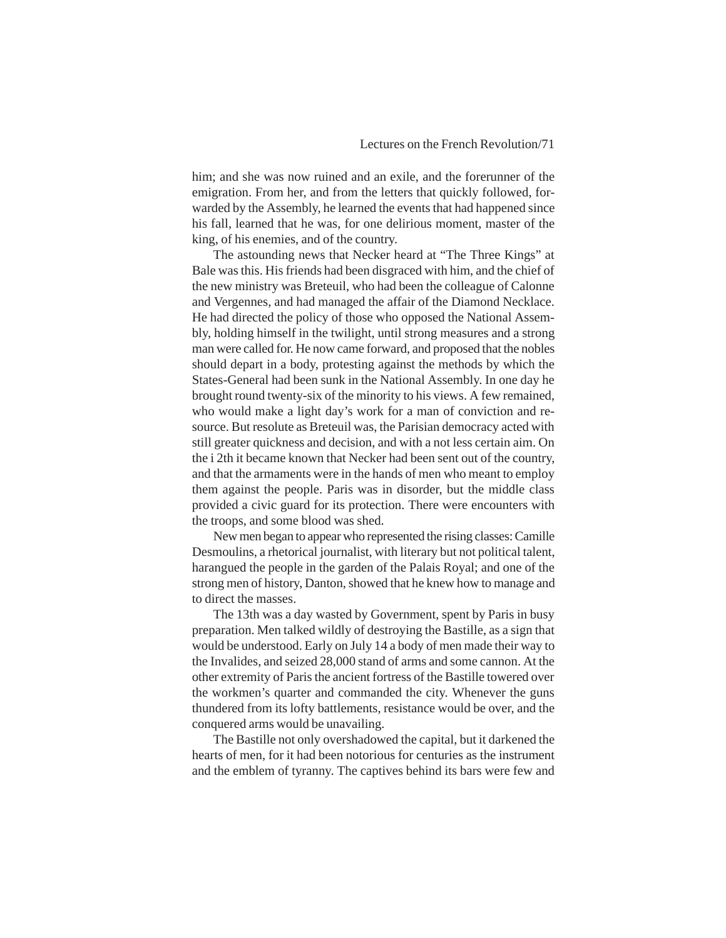him; and she was now ruined and an exile, and the forerunner of the emigration. From her, and from the letters that quickly followed, forwarded by the Assembly, he learned the events that had happened since his fall, learned that he was, for one delirious moment, master of the king, of his enemies, and of the country.

The astounding news that Necker heard at "The Three Kings" at Bale was this. His friends had been disgraced with him, and the chief of the new ministry was Breteuil, who had been the colleague of Calonne and Vergennes, and had managed the affair of the Diamond Necklace. He had directed the policy of those who opposed the National Assembly, holding himself in the twilight, until strong measures and a strong man were called for. He now came forward, and proposed that the nobles should depart in a body, protesting against the methods by which the States-General had been sunk in the National Assembly. In one day he brought round twenty-six of the minority to his views. A few remained, who would make a light day's work for a man of conviction and resource. But resolute as Breteuil was, the Parisian democracy acted with still greater quickness and decision, and with a not less certain aim. On the i 2th it became known that Necker had been sent out of the country, and that the armaments were in the hands of men who meant to employ them against the people. Paris was in disorder, but the middle class provided a civic guard for its protection. There were encounters with the troops, and some blood was shed.

New men began to appear who represented the rising classes: Camille Desmoulins, a rhetorical journalist, with literary but not political talent, harangued the people in the garden of the Palais Royal; and one of the strong men of history, Danton, showed that he knew how to manage and to direct the masses.

The 13th was a day wasted by Government, spent by Paris in busy preparation. Men talked wildly of destroying the Bastille, as a sign that would be understood. Early on July 14 a body of men made their way to the Invalides, and seized 28,000 stand of arms and some cannon. At the other extremity of Paris the ancient fortress of the Bastille towered over the workmen's quarter and commanded the city. Whenever the guns thundered from its lofty battlements, resistance would be over, and the conquered arms would be unavailing.

The Bastille not only overshadowed the capital, but it darkened the hearts of men, for it had been notorious for centuries as the instrument and the emblem of tyranny. The captives behind its bars were few and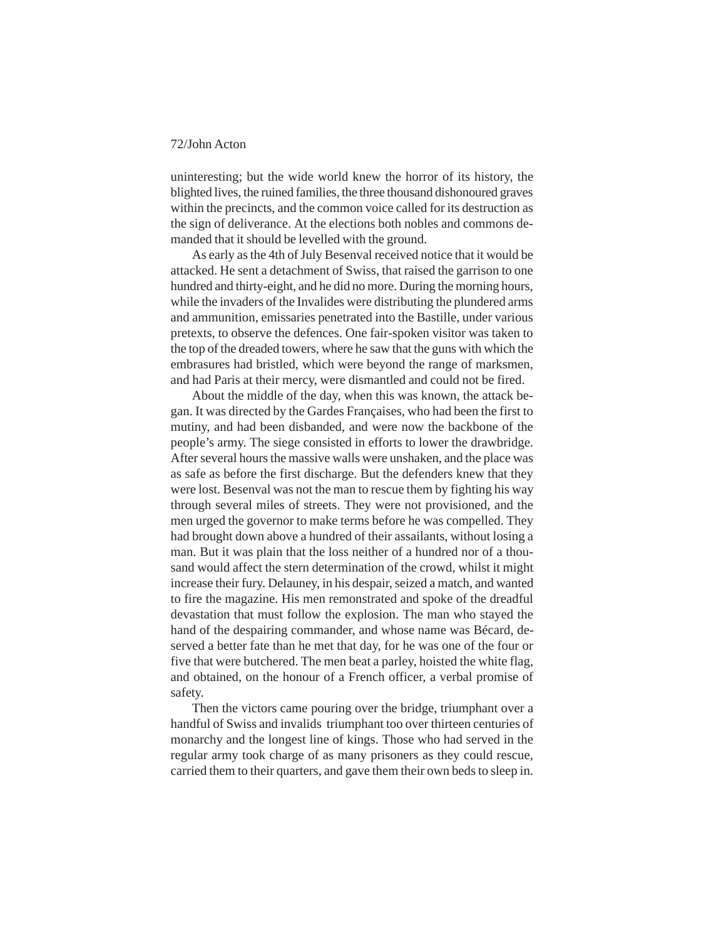uninteresting; but the wide world knew the horror of its history, the blighted lives, the ruined families, the three thousand dishonoured graves within the precincts, and the common voice called for its destruction as the sign of deliverance. At the elections both nobles and commons demanded that it should be levelled with the ground.

As early as the 4th of July Besenval received notice that it would be attacked. He sent a detachment of Swiss, that raised the garrison to one hundred and thirty-eight, and he did no more. During the morning hours, while the invaders of the Invalides were distributing the plundered arms and ammunition, emissaries penetrated into the Bastille, under various pretexts, to observe the defences. One fair-spoken visitor was taken to the top of the dreaded towers, where he saw that the guns with which the embrasures had bristled, which were beyond the range of marksmen, and had Paris at their mercy, were dismantled and could not be fired.

About the middle of the day, when this was known, the attack began. It was directed by the Gardes Françaises, who had been the first to mutiny, and had been disbanded, and were now the backbone of the people's army. The siege consisted in efforts to lower the drawbridge. After several hours the massive walls were unshaken, and the place was as safe as before the first discharge. But the defenders knew that they were lost. Besenval was not the man to rescue them by fighting his way through several miles of streets. They were not provisioned, and the men urged the governor to make terms before he was compelled. They had brought down above a hundred of their assailants, without losing a man. But it was plain that the loss neither of a hundred nor of a thousand would affect the stern determination of the crowd, whilst it might increase their fury. Delauney, in his despair, seized a match, and wanted to fire the magazine. His men remonstrated and spoke of the dreadful devastation that must follow the explosion. The man who stayed the hand of the despairing commander, and whose name was Bécard, deserved a better fate than he met that day, for he was one of the four or five that were butchered. The men beat a parley, hoisted the white flag, and obtained, on the honour of a French officer, a verbal promise of safety.

Then the victors came pouring over the bridge, triumphant over a handful of Swiss and invalids triumphant too over thirteen centuries of monarchy and the longest line of kings. Those who had served in the regular army took charge of as many prisoners as they could rescue, carried them to their quarters, and gave them their own beds to sleep in.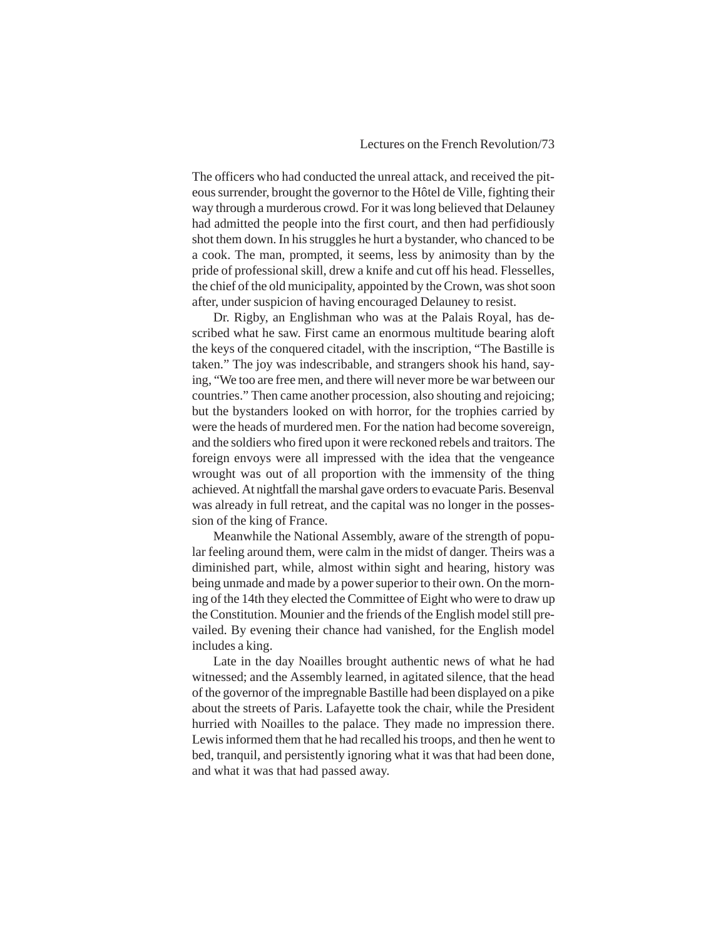The officers who had conducted the unreal attack, and received the piteous surrender, brought the governor to the Hôtel de Ville, fighting their way through a murderous crowd. For it was long believed that Delauney had admitted the people into the first court, and then had perfidiously shot them down. In his struggles he hurt a bystander, who chanced to be a cook. The man, prompted, it seems, less by animosity than by the pride of professional skill, drew a knife and cut off his head. Flesselles, the chief of the old municipality, appointed by the Crown, was shot soon after, under suspicion of having encouraged Delauney to resist.

Dr. Rigby, an Englishman who was at the Palais Royal, has described what he saw. First came an enormous multitude bearing aloft the keys of the conquered citadel, with the inscription, "The Bastille is taken." The joy was indescribable, and strangers shook his hand, saying, "We too are free men, and there will never more be war between our countries." Then came another procession, also shouting and rejoicing; but the bystanders looked on with horror, for the trophies carried by were the heads of murdered men. For the nation had become sovereign, and the soldiers who fired upon it were reckoned rebels and traitors. The foreign envoys were all impressed with the idea that the vengeance wrought was out of all proportion with the immensity of the thing achieved. At nightfall the marshal gave orders to evacuate Paris. Besenval was already in full retreat, and the capital was no longer in the possession of the king of France.

Meanwhile the National Assembly, aware of the strength of popular feeling around them, were calm in the midst of danger. Theirs was a diminished part, while, almost within sight and hearing, history was being unmade and made by a power superior to their own. On the morning of the 14th they elected the Committee of Eight who were to draw up the Constitution. Mounier and the friends of the English model still prevailed. By evening their chance had vanished, for the English model includes a king.

Late in the day Noailles brought authentic news of what he had witnessed; and the Assembly learned, in agitated silence, that the head of the governor of the impregnable Bastille had been displayed on a pike about the streets of Paris. Lafayette took the chair, while the President hurried with Noailles to the palace. They made no impression there. Lewis informed them that he had recalled his troops, and then he went to bed, tranquil, and persistently ignoring what it was that had been done, and what it was that had passed away.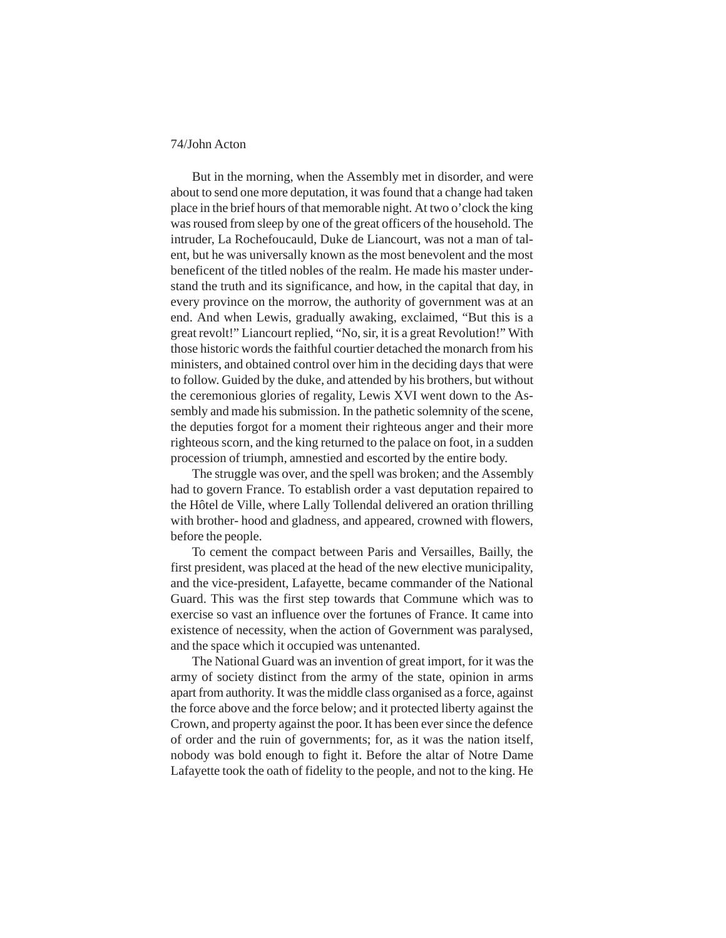But in the morning, when the Assembly met in disorder, and were about to send one more deputation, it was found that a change had taken place in the brief hours of that memorable night. At two o'clock the king was roused from sleep by one of the great officers of the household. The intruder, La Rochefoucauld, Duke de Liancourt, was not a man of talent, but he was universally known as the most benevolent and the most beneficent of the titled nobles of the realm. He made his master understand the truth and its significance, and how, in the capital that day, in every province on the morrow, the authority of government was at an end. And when Lewis, gradually awaking, exclaimed, "But this is a great revolt!" Liancourt replied, "No, sir, it is a great Revolution!" With those historic words the faithful courtier detached the monarch from his ministers, and obtained control over him in the deciding days that were to follow. Guided by the duke, and attended by his brothers, but without the ceremonious glories of regality, Lewis XVI went down to the Assembly and made his submission. In the pathetic solemnity of the scene, the deputies forgot for a moment their righteous anger and their more righteous scorn, and the king returned to the palace on foot, in a sudden procession of triumph, amnestied and escorted by the entire body.

The struggle was over, and the spell was broken; and the Assembly had to govern France. To establish order a vast deputation repaired to the Hôtel de Ville, where Lally Tollendal delivered an oration thrilling with brother- hood and gladness, and appeared, crowned with flowers, before the people.

To cement the compact between Paris and Versailles, Bailly, the first president, was placed at the head of the new elective municipality, and the vice-president, Lafayette, became commander of the National Guard. This was the first step towards that Commune which was to exercise so vast an influence over the fortunes of France. It came into existence of necessity, when the action of Government was paralysed, and the space which it occupied was untenanted.

The National Guard was an invention of great import, for it was the army of society distinct from the army of the state, opinion in arms apart from authority. It was the middle class organised as a force, against the force above and the force below; and it protected liberty against the Crown, and property against the poor. It has been ever since the defence of order and the ruin of governments; for, as it was the nation itself, nobody was bold enough to fight it. Before the altar of Notre Dame Lafayette took the oath of fidelity to the people, and not to the king. He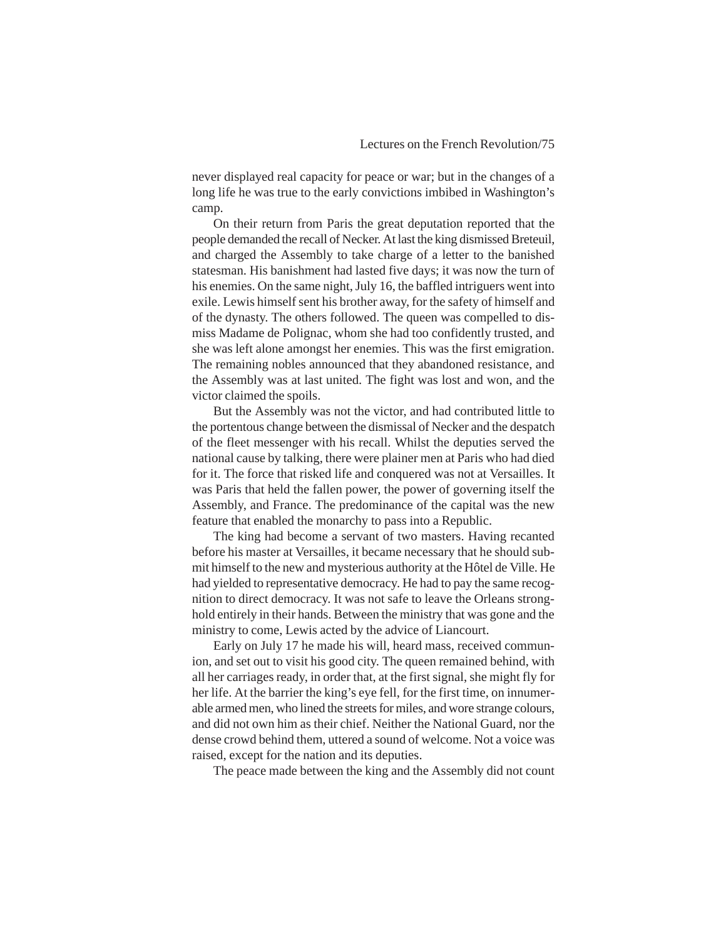never displayed real capacity for peace or war; but in the changes of a long life he was true to the early convictions imbibed in Washington's camp.

On their return from Paris the great deputation reported that the people demanded the recall of Necker. At last the king dismissed Breteuil, and charged the Assembly to take charge of a letter to the banished statesman. His banishment had lasted five days; it was now the turn of his enemies. On the same night, July 16, the baffled intriguers went into exile. Lewis himself sent his brother away, for the safety of himself and of the dynasty. The others followed. The queen was compelled to dismiss Madame de Polignac, whom she had too confidently trusted, and she was left alone amongst her enemies. This was the first emigration. The remaining nobles announced that they abandoned resistance, and the Assembly was at last united. The fight was lost and won, and the victor claimed the spoils.

But the Assembly was not the victor, and had contributed little to the portentous change between the dismissal of Necker and the despatch of the fleet messenger with his recall. Whilst the deputies served the national cause by talking, there were plainer men at Paris who had died for it. The force that risked life and conquered was not at Versailles. It was Paris that held the fallen power, the power of governing itself the Assembly, and France. The predominance of the capital was the new feature that enabled the monarchy to pass into a Republic.

The king had become a servant of two masters. Having recanted before his master at Versailles, it became necessary that he should submit himself to the new and mysterious authority at the Hôtel de Ville. He had yielded to representative democracy. He had to pay the same recognition to direct democracy. It was not safe to leave the Orleans stronghold entirely in their hands. Between the ministry that was gone and the ministry to come, Lewis acted by the advice of Liancourt.

Early on July 17 he made his will, heard mass, received communion, and set out to visit his good city. The queen remained behind, with all her carriages ready, in order that, at the first signal, she might fly for her life. At the barrier the king's eye fell, for the first time, on innumerable armed men, who lined the streets for miles, and wore strange colours, and did not own him as their chief. Neither the National Guard, nor the dense crowd behind them, uttered a sound of welcome. Not a voice was raised, except for the nation and its deputies.

The peace made between the king and the Assembly did not count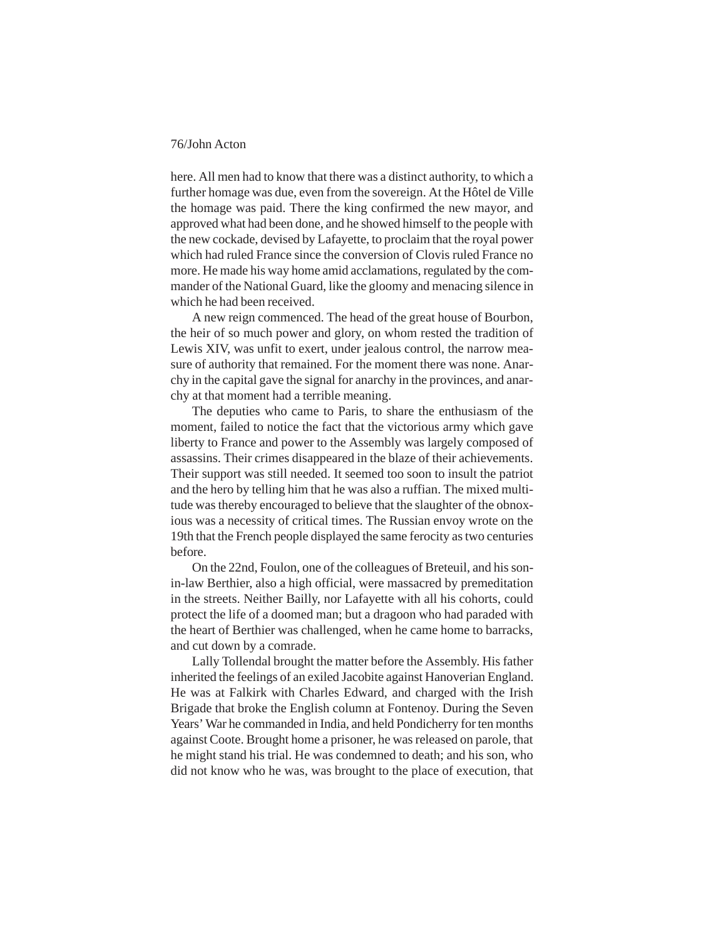here. All men had to know that there was a distinct authority, to which a further homage was due, even from the sovereign. At the Hôtel de Ville the homage was paid. There the king confirmed the new mayor, and approved what had been done, and he showed himself to the people with the new cockade, devised by Lafayette, to proclaim that the royal power which had ruled France since the conversion of Clovis ruled France no more. He made his way home amid acclamations, regulated by the commander of the National Guard, like the gloomy and menacing silence in which he had been received.

A new reign commenced. The head of the great house of Bourbon, the heir of so much power and glory, on whom rested the tradition of Lewis XIV, was unfit to exert, under jealous control, the narrow measure of authority that remained. For the moment there was none. Anarchy in the capital gave the signal for anarchy in the provinces, and anarchy at that moment had a terrible meaning.

The deputies who came to Paris, to share the enthusiasm of the moment, failed to notice the fact that the victorious army which gave liberty to France and power to the Assembly was largely composed of assassins. Their crimes disappeared in the blaze of their achievements. Their support was still needed. It seemed too soon to insult the patriot and the hero by telling him that he was also a ruffian. The mixed multitude was thereby encouraged to believe that the slaughter of the obnoxious was a necessity of critical times. The Russian envoy wrote on the 19th that the French people displayed the same ferocity as two centuries before.

On the 22nd, Foulon, one of the colleagues of Breteuil, and his sonin-law Berthier, also a high official, were massacred by premeditation in the streets. Neither Bailly, nor Lafayette with all his cohorts, could protect the life of a doomed man; but a dragoon who had paraded with the heart of Berthier was challenged, when he came home to barracks, and cut down by a comrade.

Lally Tollendal brought the matter before the Assembly. His father inherited the feelings of an exiled Jacobite against Hanoverian England. He was at Falkirk with Charles Edward, and charged with the Irish Brigade that broke the English column at Fontenoy. During the Seven Years' War he commanded in India, and held Pondicherry for ten months against Coote. Brought home a prisoner, he was released on parole, that he might stand his trial. He was condemned to death; and his son, who did not know who he was, was brought to the place of execution, that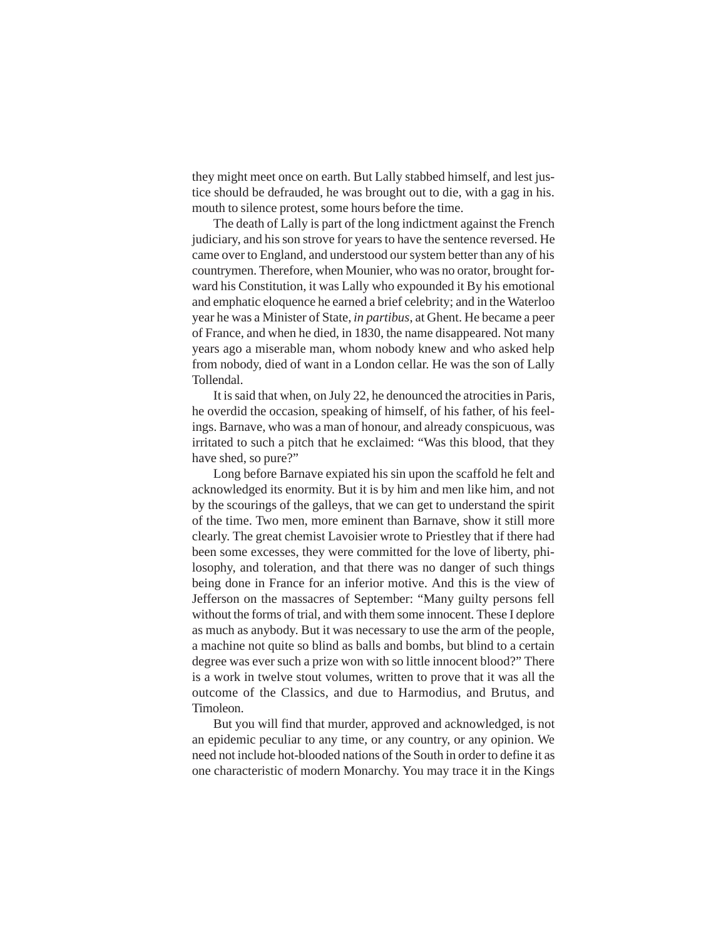they might meet once on earth. But Lally stabbed himself, and lest justice should be defrauded, he was brought out to die, with a gag in his. mouth to silence protest, some hours before the time.

The death of Lally is part of the long indictment against the French judiciary, and his son strove for years to have the sentence reversed. He came over to England, and understood our system better than any of his countrymen. Therefore, when Mounier, who was no orator, brought forward his Constitution, it was Lally who expounded it By his emotional and emphatic eloquence he earned a brief celebrity; and in the Waterloo year he was a Minister of State, *in partibus*, at Ghent. He became a peer of France, and when he died, in 1830, the name disappeared. Not many years ago a miserable man, whom nobody knew and who asked help from nobody, died of want in a London cellar. He was the son of Lally Tollendal.

It is said that when, on July 22, he denounced the atrocities in Paris, he overdid the occasion, speaking of himself, of his father, of his feelings. Barnave, who was a man of honour, and already conspicuous, was irritated to such a pitch that he exclaimed: "Was this blood, that they have shed, so pure?"

Long before Barnave expiated his sin upon the scaffold he felt and acknowledged its enormity. But it is by him and men like him, and not by the scourings of the galleys, that we can get to understand the spirit of the time. Two men, more eminent than Barnave, show it still more clearly. The great chemist Lavoisier wrote to Priestley that if there had been some excesses, they were committed for the love of liberty, philosophy, and toleration, and that there was no danger of such things being done in France for an inferior motive. And this is the view of Jefferson on the massacres of September: "Many guilty persons fell without the forms of trial, and with them some innocent. These I deplore as much as anybody. But it was necessary to use the arm of the people, a machine not quite so blind as balls and bombs, but blind to a certain degree was ever such a prize won with so little innocent blood?" There is a work in twelve stout volumes, written to prove that it was all the outcome of the Classics, and due to Harmodius, and Brutus, and Timoleon.

But you will find that murder, approved and acknowledged, is not an epidemic peculiar to any time, or any country, or any opinion. We need not include hot-blooded nations of the South in order to define it as one characteristic of modern Monarchy. You may trace it in the Kings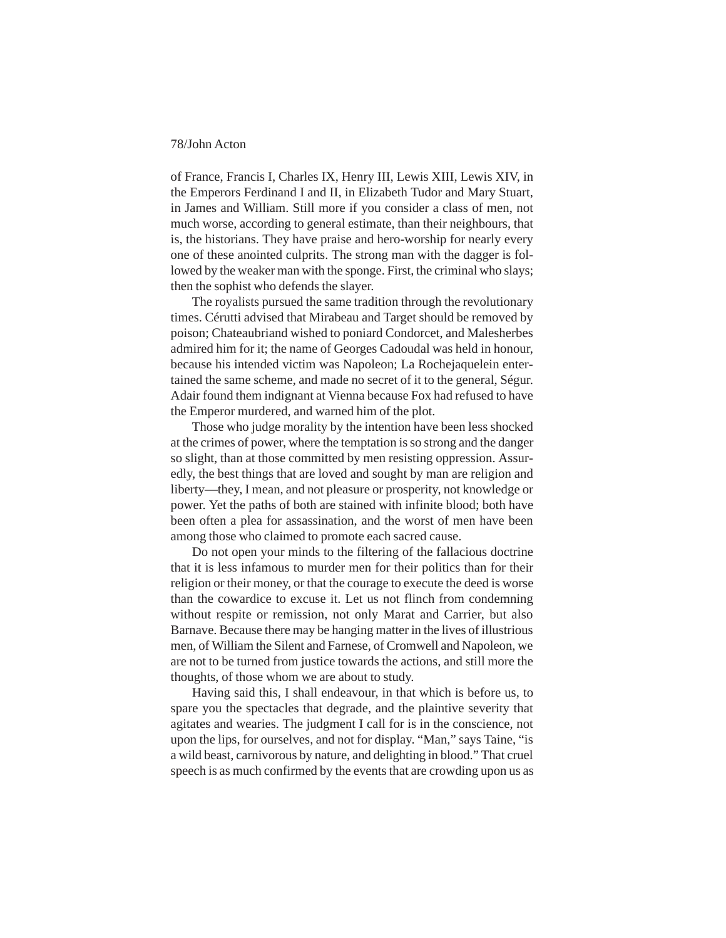of France, Francis I, Charles IX, Henry III, Lewis XIII, Lewis XIV, in the Emperors Ferdinand I and II, in Elizabeth Tudor and Mary Stuart, in James and William. Still more if you consider a class of men, not much worse, according to general estimate, than their neighbours, that is, the historians. They have praise and hero-worship for nearly every one of these anointed culprits. The strong man with the dagger is followed by the weaker man with the sponge. First, the criminal who slays; then the sophist who defends the slayer.

The royalists pursued the same tradition through the revolutionary times. Cérutti advised that Mirabeau and Target should be removed by poison; Chateaubriand wished to poniard Condorcet, and Malesherbes admired him for it; the name of Georges Cadoudal was held in honour, because his intended victim was Napoleon; La Rochejaquelein entertained the same scheme, and made no secret of it to the general, Ségur. Adair found them indignant at Vienna because Fox had refused to have the Emperor murdered, and warned him of the plot.

Those who judge morality by the intention have been less shocked at the crimes of power, where the temptation is so strong and the danger so slight, than at those committed by men resisting oppression. Assuredly, the best things that are loved and sought by man are religion and liberty—they, I mean, and not pleasure or prosperity, not knowledge or power. Yet the paths of both are stained with infinite blood; both have been often a plea for assassination, and the worst of men have been among those who claimed to promote each sacred cause.

Do not open your minds to the filtering of the fallacious doctrine that it is less infamous to murder men for their politics than for their religion or their money, or that the courage to execute the deed is worse than the cowardice to excuse it. Let us not flinch from condemning without respite or remission, not only Marat and Carrier, but also Barnave. Because there may be hanging matter in the lives of illustrious men, of William the Silent and Farnese, of Cromwell and Napoleon, we are not to be turned from justice towards the actions, and still more the thoughts, of those whom we are about to study.

Having said this, I shall endeavour, in that which is before us, to spare you the spectacles that degrade, and the plaintive severity that agitates and wearies. The judgment I call for is in the conscience, not upon the lips, for ourselves, and not for display. "Man," says Taine, "is a wild beast, carnivorous by nature, and delighting in blood." That cruel speech is as much confirmed by the events that are crowding upon us as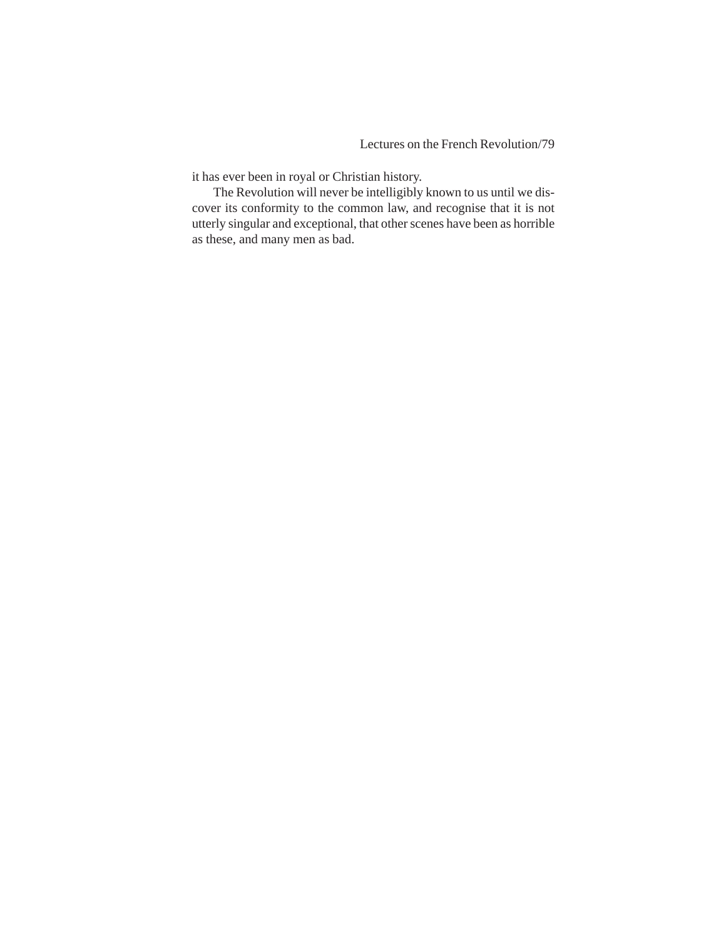it has ever been in royal or Christian history.

The Revolution will never be intelligibly known to us until we discover its conformity to the common law, and recognise that it is not utterly singular and exceptional, that other scenes have been as horrible as these, and many men as bad.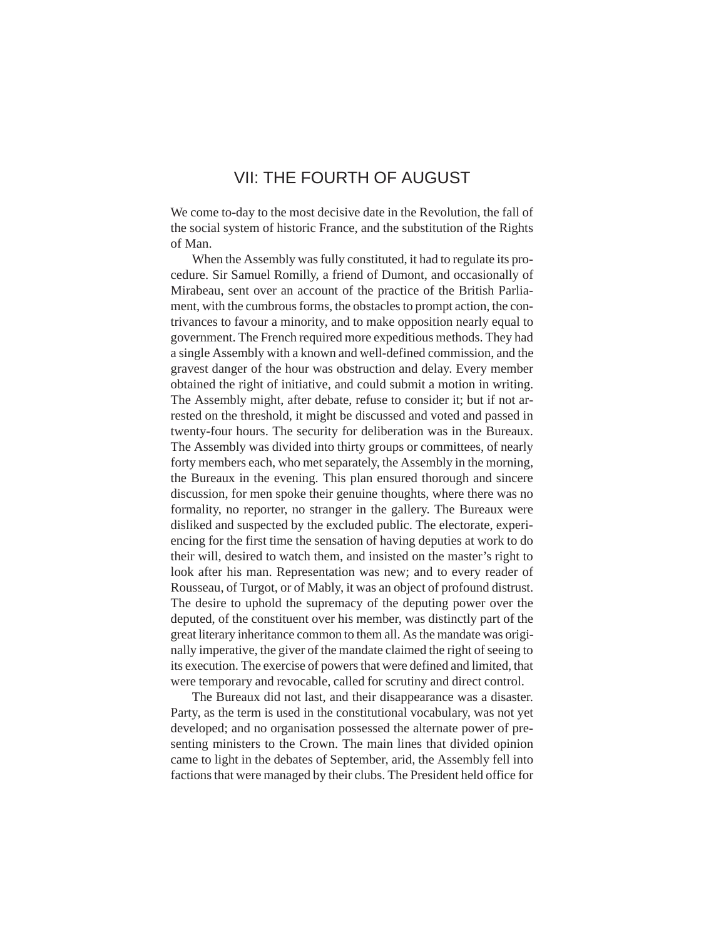# VII: THE FOURTH OF AUGUST

We come to-day to the most decisive date in the Revolution, the fall of the social system of historic France, and the substitution of the Rights of Man.

When the Assembly was fully constituted, it had to regulate its procedure. Sir Samuel Romilly, a friend of Dumont, and occasionally of Mirabeau, sent over an account of the practice of the British Parliament, with the cumbrous forms, the obstacles to prompt action, the contrivances to favour a minority, and to make opposition nearly equal to government. The French required more expeditious methods. They had a single Assembly with a known and well-defined commission, and the gravest danger of the hour was obstruction and delay. Every member obtained the right of initiative, and could submit a motion in writing. The Assembly might, after debate, refuse to consider it; but if not arrested on the threshold, it might be discussed and voted and passed in twenty-four hours. The security for deliberation was in the Bureaux. The Assembly was divided into thirty groups or committees, of nearly forty members each, who met separately, the Assembly in the morning, the Bureaux in the evening. This plan ensured thorough and sincere discussion, for men spoke their genuine thoughts, where there was no formality, no reporter, no stranger in the gallery. The Bureaux were disliked and suspected by the excluded public. The electorate, experiencing for the first time the sensation of having deputies at work to do their will, desired to watch them, and insisted on the master's right to look after his man. Representation was new; and to every reader of Rousseau, of Turgot, or of Mably, it was an object of profound distrust. The desire to uphold the supremacy of the deputing power over the deputed, of the constituent over his member, was distinctly part of the great literary inheritance common to them all. As the mandate was originally imperative, the giver of the mandate claimed the right of seeing to its execution. The exercise of powers that were defined and limited, that were temporary and revocable, called for scrutiny and direct control.

The Bureaux did not last, and their disappearance was a disaster. Party, as the term is used in the constitutional vocabulary, was not yet developed; and no organisation possessed the alternate power of presenting ministers to the Crown. The main lines that divided opinion came to light in the debates of September, arid, the Assembly fell into factions that were managed by their clubs. The President held office for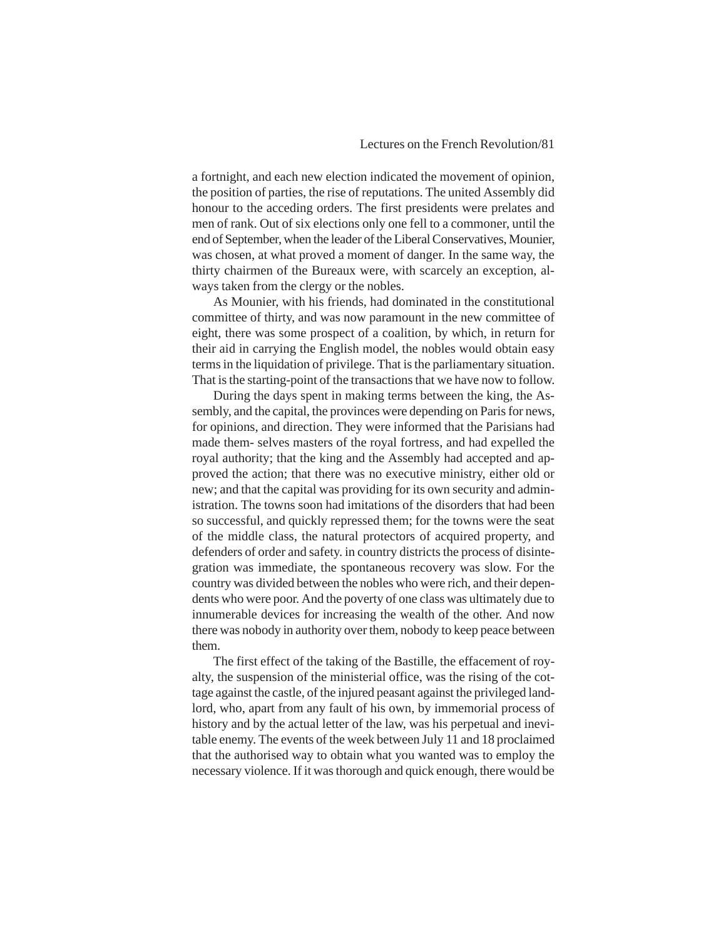# Lectures on the French Revolution/81

a fortnight, and each new election indicated the movement of opinion, the position of parties, the rise of reputations. The united Assembly did honour to the acceding orders. The first presidents were prelates and men of rank. Out of six elections only one fell to a commoner, until the end of September, when the leader of the Liberal Conservatives, Mounier, was chosen, at what proved a moment of danger. In the same way, the thirty chairmen of the Bureaux were, with scarcely an exception, always taken from the clergy or the nobles.

As Mounier, with his friends, had dominated in the constitutional committee of thirty, and was now paramount in the new committee of eight, there was some prospect of a coalition, by which, in return for their aid in carrying the English model, the nobles would obtain easy terms in the liquidation of privilege. That is the parliamentary situation. That is the starting-point of the transactions that we have now to follow.

During the days spent in making terms between the king, the Assembly, and the capital, the provinces were depending on Paris for news, for opinions, and direction. They were informed that the Parisians had made them- selves masters of the royal fortress, and had expelled the royal authority; that the king and the Assembly had accepted and approved the action; that there was no executive ministry, either old or new; and that the capital was providing for its own security and administration. The towns soon had imitations of the disorders that had been so successful, and quickly repressed them; for the towns were the seat of the middle class, the natural protectors of acquired property, and defenders of order and safety. in country districts the process of disintegration was immediate, the spontaneous recovery was slow. For the country was divided between the nobles who were rich, and their dependents who were poor. And the poverty of one class was ultimately due to innumerable devices for increasing the wealth of the other. And now there was nobody in authority over them, nobody to keep peace between them.

The first effect of the taking of the Bastille, the effacement of royalty, the suspension of the ministerial office, was the rising of the cottage against the castle, of the injured peasant against the privileged landlord, who, apart from any fault of his own, by immemorial process of history and by the actual letter of the law, was his perpetual and inevitable enemy. The events of the week between July 11 and 18 proclaimed that the authorised way to obtain what you wanted was to employ the necessary violence. If it was thorough and quick enough, there would be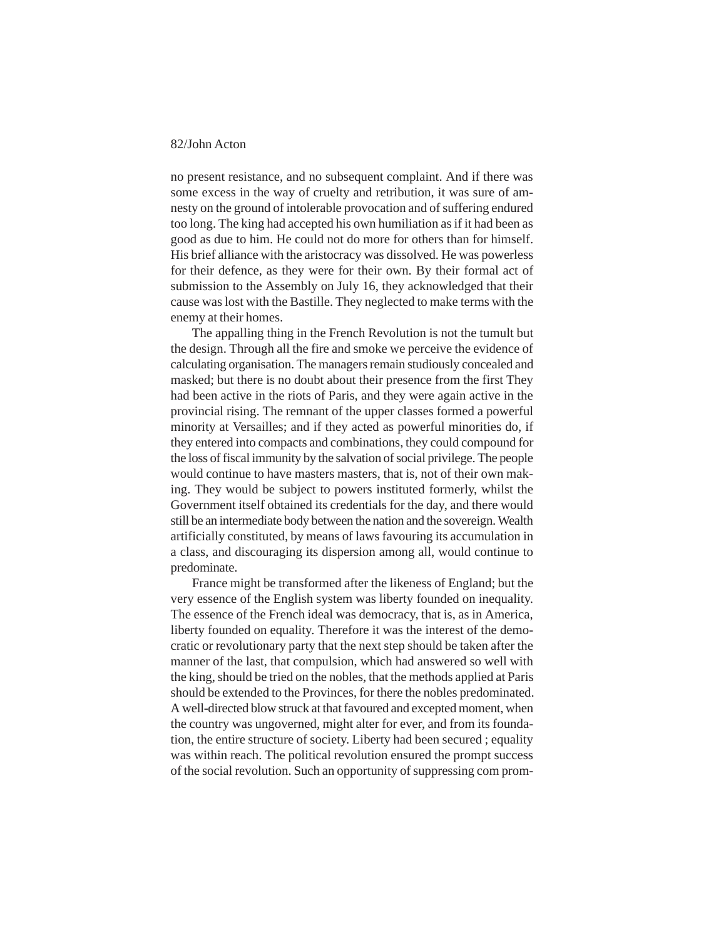no present resistance, and no subsequent complaint. And if there was some excess in the way of cruelty and retribution, it was sure of amnesty on the ground of intolerable provocation and of suffering endured too long. The king had accepted his own humiliation as if it had been as good as due to him. He could not do more for others than for himself. His brief alliance with the aristocracy was dissolved. He was powerless for their defence, as they were for their own. By their formal act of submission to the Assembly on July 16, they acknowledged that their cause was lost with the Bastille. They neglected to make terms with the enemy at their homes.

The appalling thing in the French Revolution is not the tumult but the design. Through all the fire and smoke we perceive the evidence of calculating organisation. The managers remain studiously concealed and masked; but there is no doubt about their presence from the first They had been active in the riots of Paris, and they were again active in the provincial rising. The remnant of the upper classes formed a powerful minority at Versailles; and if they acted as powerful minorities do, if they entered into compacts and combinations, they could compound for the loss of fiscal immunity by the salvation of social privilege. The people would continue to have masters masters, that is, not of their own making. They would be subject to powers instituted formerly, whilst the Government itself obtained its credentials for the day, and there would still be an intermediate body between the nation and the sovereign. Wealth artificially constituted, by means of laws favouring its accumulation in a class, and discouraging its dispersion among all, would continue to predominate.

France might be transformed after the likeness of England; but the very essence of the English system was liberty founded on inequality. The essence of the French ideal was democracy, that is, as in America, liberty founded on equality. Therefore it was the interest of the democratic or revolutionary party that the next step should be taken after the manner of the last, that compulsion, which had answered so well with the king, should be tried on the nobles, that the methods applied at Paris should be extended to the Provinces, for there the nobles predominated. A well-directed blow struck at that favoured and excepted moment, when the country was ungoverned, might alter for ever, and from its foundation, the entire structure of society. Liberty had been secured ; equality was within reach. The political revolution ensured the prompt success of the social revolution. Such an opportunity of suppressing com prom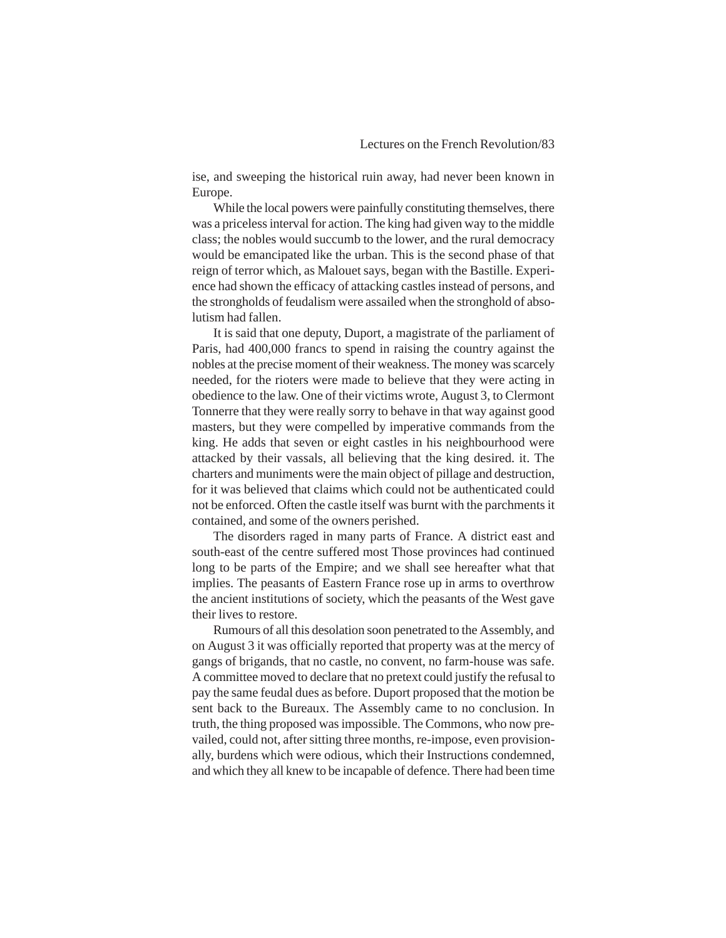ise, and sweeping the historical ruin away, had never been known in Europe.

While the local powers were painfully constituting themselves, there was a priceless interval for action. The king had given way to the middle class; the nobles would succumb to the lower, and the rural democracy would be emancipated like the urban. This is the second phase of that reign of terror which, as Malouet says, began with the Bastille. Experience had shown the efficacy of attacking castles instead of persons, and the strongholds of feudalism were assailed when the stronghold of absolutism had fallen.

It is said that one deputy, Duport, a magistrate of the parliament of Paris, had 400,000 francs to spend in raising the country against the nobles at the precise moment of their weakness. The money was scarcely needed, for the rioters were made to believe that they were acting in obedience to the law. One of their victims wrote, August 3, to Clermont Tonnerre that they were really sorry to behave in that way against good masters, but they were compelled by imperative commands from the king. He adds that seven or eight castles in his neighbourhood were attacked by their vassals, all believing that the king desired. it. The charters and muniments were the main object of pillage and destruction, for it was believed that claims which could not be authenticated could not be enforced. Often the castle itself was burnt with the parchments it contained, and some of the owners perished.

The disorders raged in many parts of France. A district east and south-east of the centre suffered most Those provinces had continued long to be parts of the Empire; and we shall see hereafter what that implies. The peasants of Eastern France rose up in arms to overthrow the ancient institutions of society, which the peasants of the West gave their lives to restore.

Rumours of all this desolation soon penetrated to the Assembly, and on August 3 it was officially reported that property was at the mercy of gangs of brigands, that no castle, no convent, no farm-house was safe. A committee moved to declare that no pretext could justify the refusal to pay the same feudal dues as before. Duport proposed that the motion be sent back to the Bureaux. The Assembly came to no conclusion. In truth, the thing proposed was impossible. The Commons, who now prevailed, could not, after sitting three months, re-impose, even provisionally, burdens which were odious, which their Instructions condemned, and which they all knew to be incapable of defence. There had been time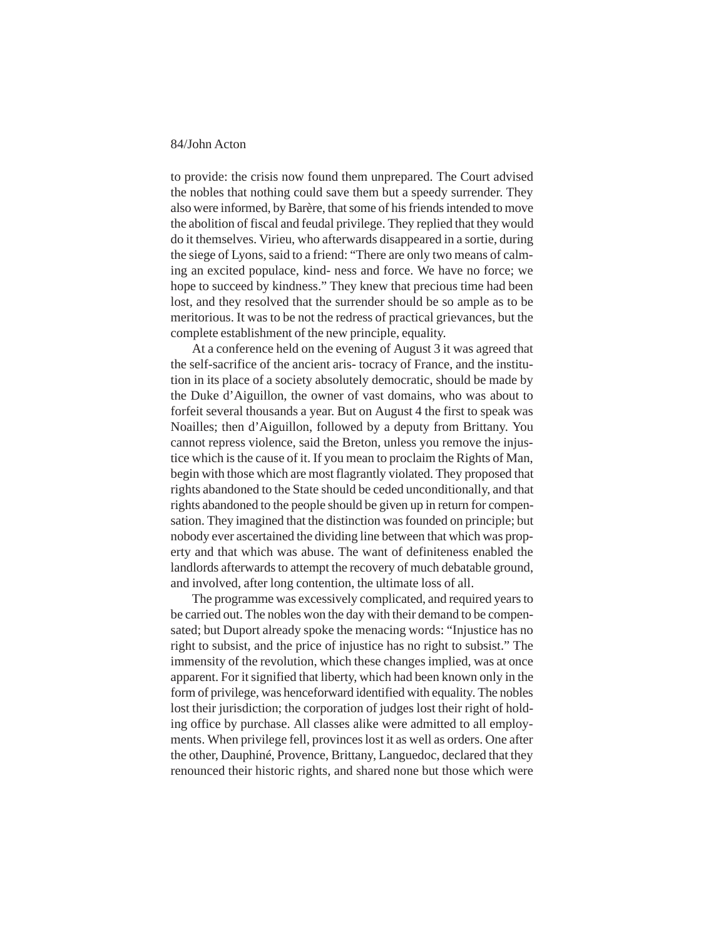to provide: the crisis now found them unprepared. The Court advised the nobles that nothing could save them but a speedy surrender. They also were informed, by Barère, that some of his friends intended to move the abolition of fiscal and feudal privilege. They replied that they would do it themselves. Virieu, who afterwards disappeared in a sortie, during the siege of Lyons, said to a friend: "There are only two means of calming an excited populace, kind- ness and force. We have no force; we hope to succeed by kindness." They knew that precious time had been lost, and they resolved that the surrender should be so ample as to be meritorious. It was to be not the redress of practical grievances, but the complete establishment of the new principle, equality.

At a conference held on the evening of August 3 it was agreed that the self-sacrifice of the ancient aris- tocracy of France, and the institution in its place of a society absolutely democratic, should be made by the Duke d'Aiguillon, the owner of vast domains, who was about to forfeit several thousands a year. But on August 4 the first to speak was Noailles; then d'Aiguillon, followed by a deputy from Brittany. You cannot repress violence, said the Breton, unless you remove the injustice which is the cause of it. If you mean to proclaim the Rights of Man, begin with those which are most flagrantly violated. They proposed that rights abandoned to the State should be ceded unconditionally, and that rights abandoned to the people should be given up in return for compensation. They imagined that the distinction was founded on principle; but nobody ever ascertained the dividing line between that which was property and that which was abuse. The want of definiteness enabled the landlords afterwards to attempt the recovery of much debatable ground, and involved, after long contention, the ultimate loss of all.

The programme was excessively complicated, and required years to be carried out. The nobles won the day with their demand to be compensated; but Duport already spoke the menacing words: "Injustice has no right to subsist, and the price of injustice has no right to subsist." The immensity of the revolution, which these changes implied, was at once apparent. For it signified that liberty, which had been known only in the form of privilege, was henceforward identified with equality. The nobles lost their jurisdiction; the corporation of judges lost their right of holding office by purchase. All classes alike were admitted to all employments. When privilege fell, provinces lost it as well as orders. One after the other, Dauphiné, Provence, Brittany, Languedoc, declared that they renounced their historic rights, and shared none but those which were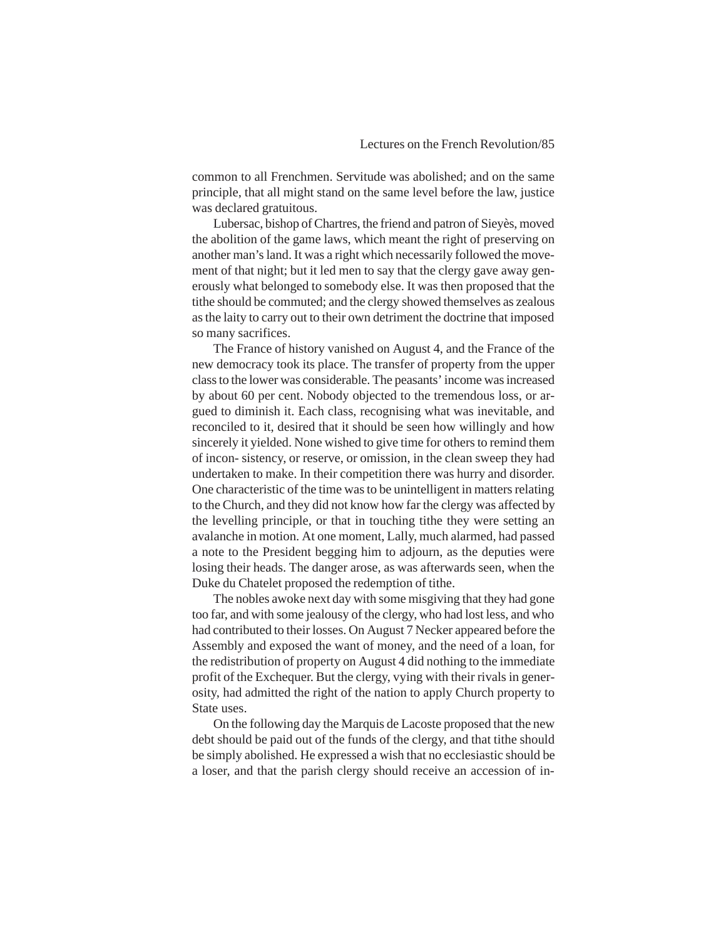common to all Frenchmen. Servitude was abolished; and on the same principle, that all might stand on the same level before the law, justice was declared gratuitous.

Lubersac, bishop of Chartres, the friend and patron of Sieyès, moved the abolition of the game laws, which meant the right of preserving on another man's land. It was a right which necessarily followed the movement of that night; but it led men to say that the clergy gave away generously what belonged to somebody else. It was then proposed that the tithe should be commuted; and the clergy showed themselves as zealous as the laity to carry out to their own detriment the doctrine that imposed so many sacrifices.

The France of history vanished on August 4, and the France of the new democracy took its place. The transfer of property from the upper class to the lower was considerable. The peasants' income was increased by about 60 per cent. Nobody objected to the tremendous loss, or argued to diminish it. Each class, recognising what was inevitable, and reconciled to it, desired that it should be seen how willingly and how sincerely it yielded. None wished to give time for others to remind them of incon- sistency, or reserve, or omission, in the clean sweep they had undertaken to make. In their competition there was hurry and disorder. One characteristic of the time was to be unintelligent in matters relating to the Church, and they did not know how far the clergy was affected by the levelling principle, or that in touching tithe they were setting an avalanche in motion. At one moment, Lally, much alarmed, had passed a note to the President begging him to adjourn, as the deputies were losing their heads. The danger arose, as was afterwards seen, when the Duke du Chatelet proposed the redemption of tithe.

The nobles awoke next day with some misgiving that they had gone too far, and with some jealousy of the clergy, who had lost less, and who had contributed to their losses. On August 7 Necker appeared before the Assembly and exposed the want of money, and the need of a loan, for the redistribution of property on August 4 did nothing to the immediate profit of the Exchequer. But the clergy, vying with their rivals in generosity, had admitted the right of the nation to apply Church property to State uses.

On the following day the Marquis de Lacoste proposed that the new debt should be paid out of the funds of the clergy, and that tithe should be simply abolished. He expressed a wish that no ecclesiastic should be a loser, and that the parish clergy should receive an accession of in-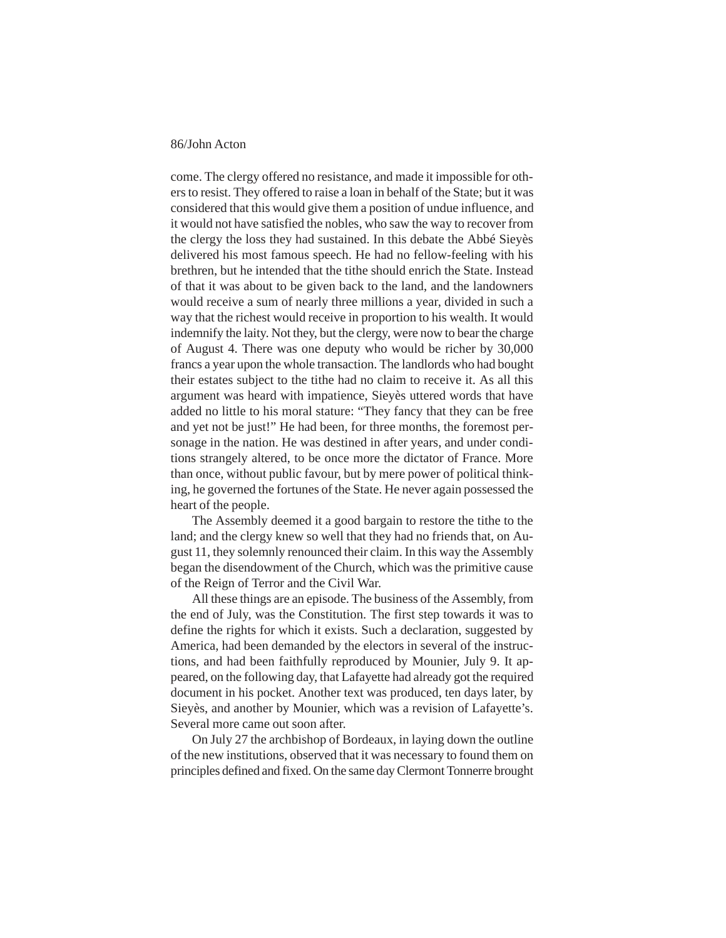come. The clergy offered no resistance, and made it impossible for others to resist. They offered to raise a loan in behalf of the State; but it was considered that this would give them a position of undue influence, and it would not have satisfied the nobles, who saw the way to recover from the clergy the loss they had sustained. In this debate the Abbé Sieyès delivered his most famous speech. He had no fellow-feeling with his brethren, but he intended that the tithe should enrich the State. Instead of that it was about to be given back to the land, and the landowners would receive a sum of nearly three millions a year, divided in such a way that the richest would receive in proportion to his wealth. It would indemnify the laity. Not they, but the clergy, were now to bear the charge of August 4. There was one deputy who would be richer by 30,000 francs a year upon the whole transaction. The landlords who had bought their estates subject to the tithe had no claim to receive it. As all this argument was heard with impatience, Sieyès uttered words that have added no little to his moral stature: "They fancy that they can be free and yet not be just!" He had been, for three months, the foremost personage in the nation. He was destined in after years, and under conditions strangely altered, to be once more the dictator of France. More than once, without public favour, but by mere power of political thinking, he governed the fortunes of the State. He never again possessed the heart of the people.

The Assembly deemed it a good bargain to restore the tithe to the land; and the clergy knew so well that they had no friends that, on August 11, they solemnly renounced their claim. In this way the Assembly began the disendowment of the Church, which was the primitive cause of the Reign of Terror and the Civil War.

All these things are an episode. The business of the Assembly, from the end of July, was the Constitution. The first step towards it was to define the rights for which it exists. Such a declaration, suggested by America, had been demanded by the electors in several of the instructions, and had been faithfully reproduced by Mounier, July 9. It appeared, on the following day, that Lafayette had already got the required document in his pocket. Another text was produced, ten days later, by Sieyès, and another by Mounier, which was a revision of Lafayette's. Several more came out soon after.

On July 27 the archbishop of Bordeaux, in laying down the outline of the new institutions, observed that it was necessary to found them on principles defined and fixed. On the same day Clermont Tonnerre brought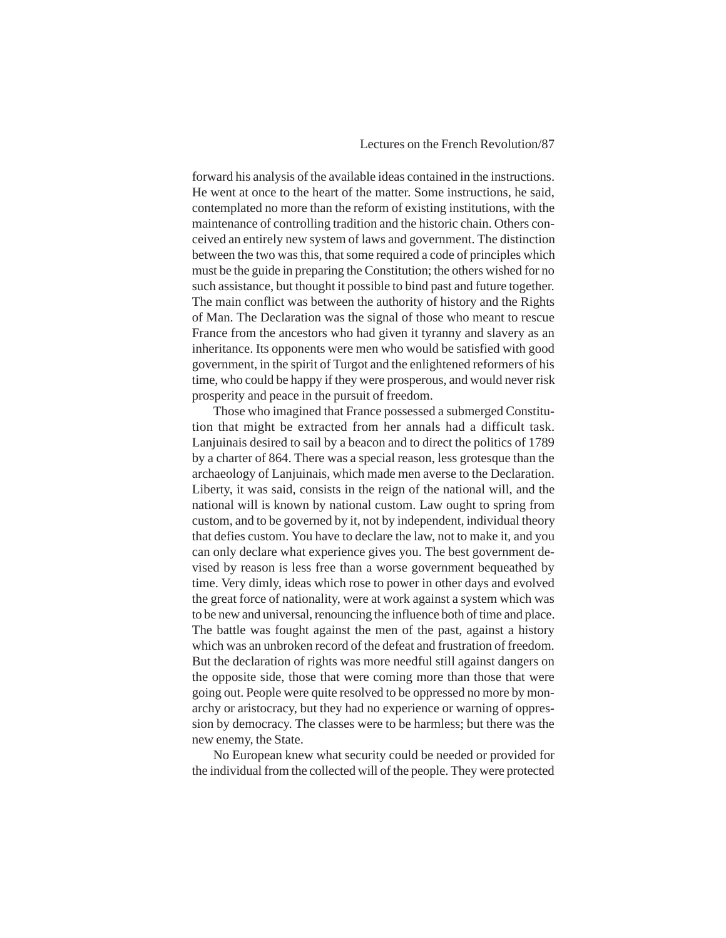forward his analysis of the available ideas contained in the instructions. He went at once to the heart of the matter. Some instructions, he said, contemplated no more than the reform of existing institutions, with the maintenance of controlling tradition and the historic chain. Others conceived an entirely new system of laws and government. The distinction between the two was this, that some required a code of principles which must be the guide in preparing the Constitution; the others wished for no such assistance, but thought it possible to bind past and future together. The main conflict was between the authority of history and the Rights of Man. The Declaration was the signal of those who meant to rescue France from the ancestors who had given it tyranny and slavery as an inheritance. Its opponents were men who would be satisfied with good government, in the spirit of Turgot and the enlightened reformers of his time, who could be happy if they were prosperous, and would never risk prosperity and peace in the pursuit of freedom.

Those who imagined that France possessed a submerged Constitution that might be extracted from her annals had a difficult task. Lanjuinais desired to sail by a beacon and to direct the politics of 1789 by a charter of 864. There was a special reason, less grotesque than the archaeology of Lanjuinais, which made men averse to the Declaration. Liberty, it was said, consists in the reign of the national will, and the national will is known by national custom. Law ought to spring from custom, and to be governed by it, not by independent, individual theory that defies custom. You have to declare the law, not to make it, and you can only declare what experience gives you. The best government devised by reason is less free than a worse government bequeathed by time. Very dimly, ideas which rose to power in other days and evolved the great force of nationality, were at work against a system which was to be new and universal, renouncing the influence both of time and place. The battle was fought against the men of the past, against a history which was an unbroken record of the defeat and frustration of freedom. But the declaration of rights was more needful still against dangers on the opposite side, those that were coming more than those that were going out. People were quite resolved to be oppressed no more by monarchy or aristocracy, but they had no experience or warning of oppression by democracy. The classes were to be harmless; but there was the new enemy, the State.

No European knew what security could be needed or provided for the individual from the collected will of the people. They were protected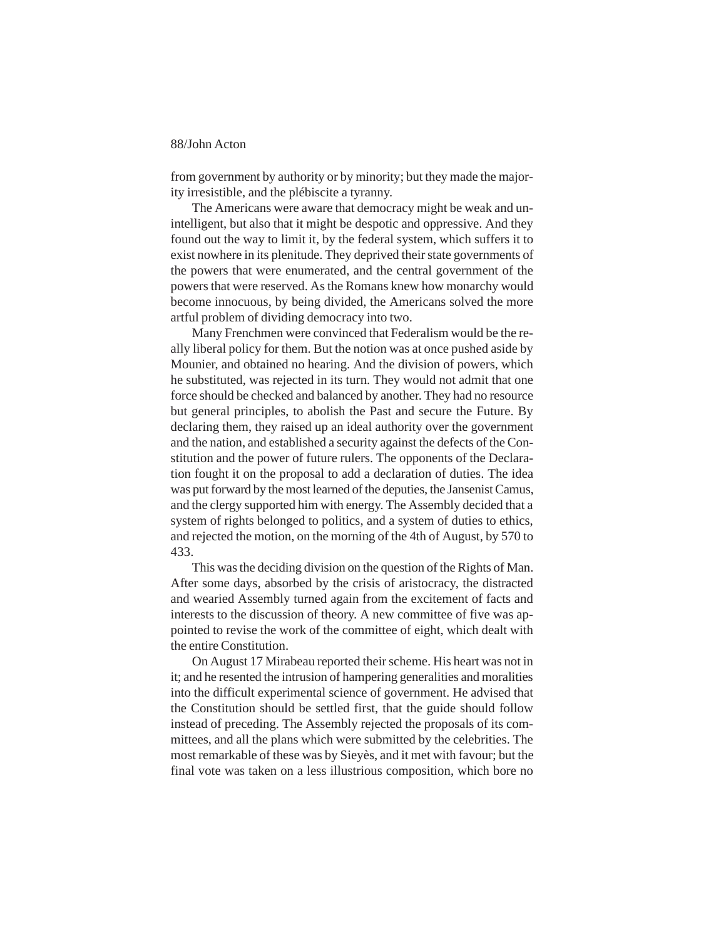from government by authority or by minority; but they made the majority irresistible, and the plébiscite a tyranny.

The Americans were aware that democracy might be weak and unintelligent, but also that it might be despotic and oppressive. And they found out the way to limit it, by the federal system, which suffers it to exist nowhere in its plenitude. They deprived their state governments of the powers that were enumerated, and the central government of the powers that were reserved. As the Romans knew how monarchy would become innocuous, by being divided, the Americans solved the more artful problem of dividing democracy into two.

Many Frenchmen were convinced that Federalism would be the really liberal policy for them. But the notion was at once pushed aside by Mounier, and obtained no hearing. And the division of powers, which he substituted, was rejected in its turn. They would not admit that one force should be checked and balanced by another. They had no resource but general principles, to abolish the Past and secure the Future. By declaring them, they raised up an ideal authority over the government and the nation, and established a security against the defects of the Constitution and the power of future rulers. The opponents of the Declaration fought it on the proposal to add a declaration of duties. The idea was put forward by the most learned of the deputies, the Jansenist Camus, and the clergy supported him with energy. The Assembly decided that a system of rights belonged to politics, and a system of duties to ethics, and rejected the motion, on the morning of the 4th of August, by 570 to 433.

This was the deciding division on the question of the Rights of Man. After some days, absorbed by the crisis of aristocracy, the distracted and wearied Assembly turned again from the excitement of facts and interests to the discussion of theory. A new committee of five was appointed to revise the work of the committee of eight, which dealt with the entire Constitution.

On August 17 Mirabeau reported their scheme. His heart was not in it; and he resented the intrusion of hampering generalities and moralities into the difficult experimental science of government. He advised that the Constitution should be settled first, that the guide should follow instead of preceding. The Assembly rejected the proposals of its committees, and all the plans which were submitted by the celebrities. The most remarkable of these was by Sieyès, and it met with favour; but the final vote was taken on a less illustrious composition, which bore no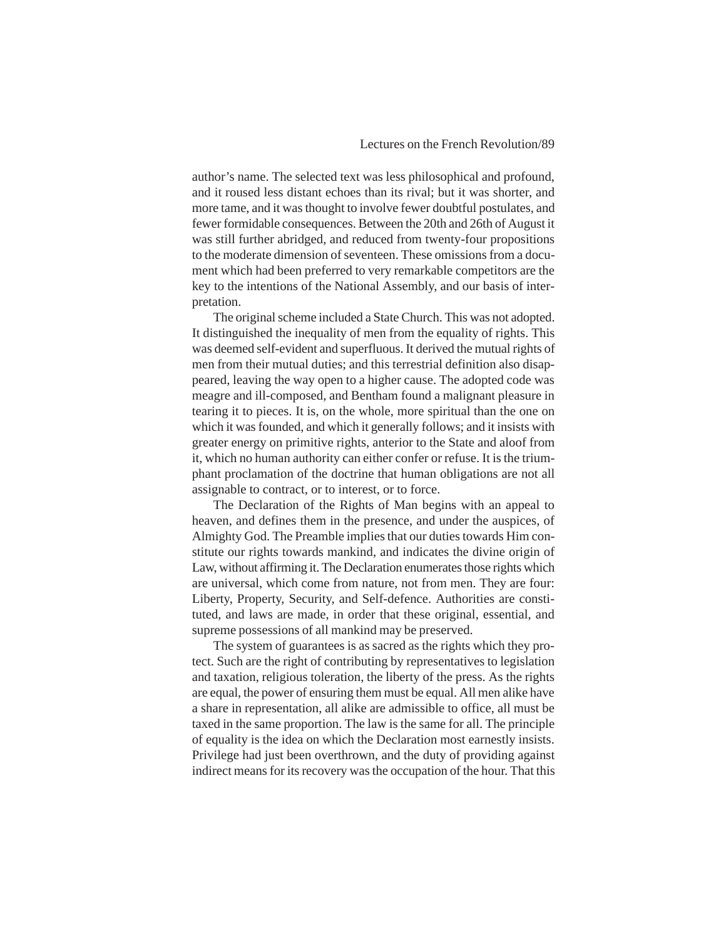author's name. The selected text was less philosophical and profound, and it roused less distant echoes than its rival; but it was shorter, and more tame, and it was thought to involve fewer doubtful postulates, and fewer formidable consequences. Between the 20th and 26th of August it was still further abridged, and reduced from twenty-four propositions to the moderate dimension of seventeen. These omissions from a document which had been preferred to very remarkable competitors are the key to the intentions of the National Assembly, and our basis of interpretation.

The original scheme included a State Church. This was not adopted. It distinguished the inequality of men from the equality of rights. This was deemed self-evident and superfluous. It derived the mutual rights of men from their mutual duties; and this terrestrial definition also disappeared, leaving the way open to a higher cause. The adopted code was meagre and ill-composed, and Bentham found a malignant pleasure in tearing it to pieces. It is, on the whole, more spiritual than the one on which it was founded, and which it generally follows; and it insists with greater energy on primitive rights, anterior to the State and aloof from it, which no human authority can either confer or refuse. It is the triumphant proclamation of the doctrine that human obligations are not all assignable to contract, or to interest, or to force.

The Declaration of the Rights of Man begins with an appeal to heaven, and defines them in the presence, and under the auspices, of Almighty God. The Preamble implies that our duties towards Him constitute our rights towards mankind, and indicates the divine origin of Law, without affirming it. The Declaration enumerates those rights which are universal, which come from nature, not from men. They are four: Liberty, Property, Security, and Self-defence. Authorities are constituted, and laws are made, in order that these original, essential, and supreme possessions of all mankind may be preserved.

The system of guarantees is as sacred as the rights which they protect. Such are the right of contributing by representatives to legislation and taxation, religious toleration, the liberty of the press. As the rights are equal, the power of ensuring them must be equal. All men alike have a share in representation, all alike are admissible to office, all must be taxed in the same proportion. The law is the same for all. The principle of equality is the idea on which the Declaration most earnestly insists. Privilege had just been overthrown, and the duty of providing against indirect means for its recovery was the occupation of the hour. That this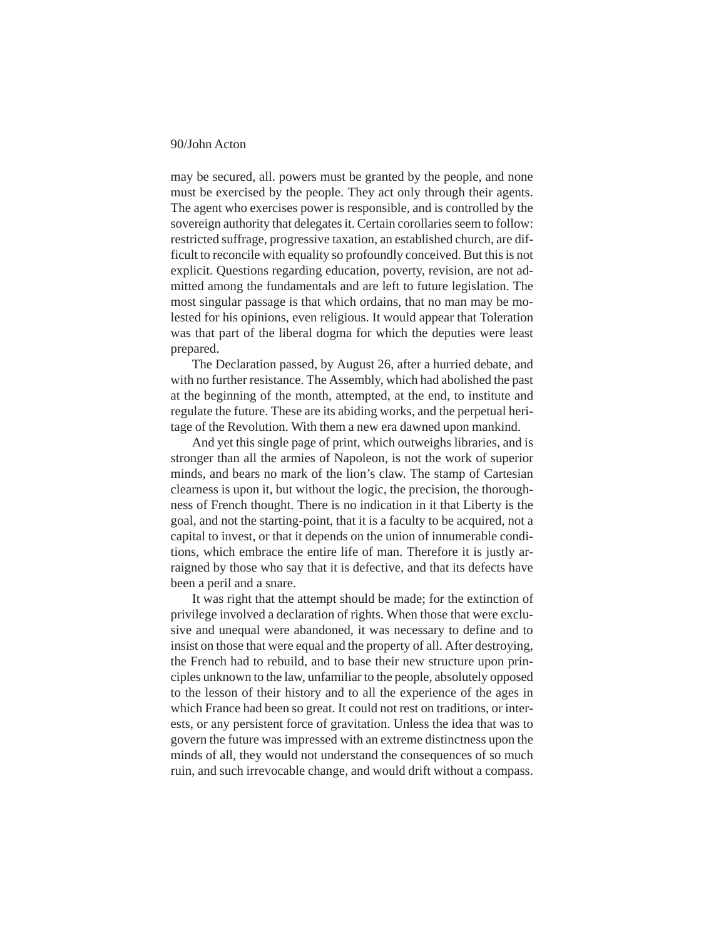may be secured, all. powers must be granted by the people, and none must be exercised by the people. They act only through their agents. The agent who exercises power is responsible, and is controlled by the sovereign authority that delegates it. Certain corollaries seem to follow: restricted suffrage, progressive taxation, an established church, are difficult to reconcile with equality so profoundly conceived. But this is not explicit. Questions regarding education, poverty, revision, are not admitted among the fundamentals and are left to future legislation. The most singular passage is that which ordains, that no man may be molested for his opinions, even religious. It would appear that Toleration was that part of the liberal dogma for which the deputies were least prepared.

The Declaration passed, by August 26, after a hurried debate, and with no further resistance. The Assembly, which had abolished the past at the beginning of the month, attempted, at the end, to institute and regulate the future. These are its abiding works, and the perpetual heritage of the Revolution. With them a new era dawned upon mankind.

And yet this single page of print, which outweighs libraries, and is stronger than all the armies of Napoleon, is not the work of superior minds, and bears no mark of the lion's claw. The stamp of Cartesian clearness is upon it, but without the logic, the precision, the thoroughness of French thought. There is no indication in it that Liberty is the goal, and not the starting-point, that it is a faculty to be acquired, not a capital to invest, or that it depends on the union of innumerable conditions, which embrace the entire life of man. Therefore it is justly arraigned by those who say that it is defective, and that its defects have been a peril and a snare.

It was right that the attempt should be made; for the extinction of privilege involved a declaration of rights. When those that were exclusive and unequal were abandoned, it was necessary to define and to insist on those that were equal and the property of all. After destroying, the French had to rebuild, and to base their new structure upon principles unknown to the law, unfamiliar to the people, absolutely opposed to the lesson of their history and to all the experience of the ages in which France had been so great. It could not rest on traditions, or interests, or any persistent force of gravitation. Unless the idea that was to govern the future was impressed with an extreme distinctness upon the minds of all, they would not understand the consequences of so much ruin, and such irrevocable change, and would drift without a compass.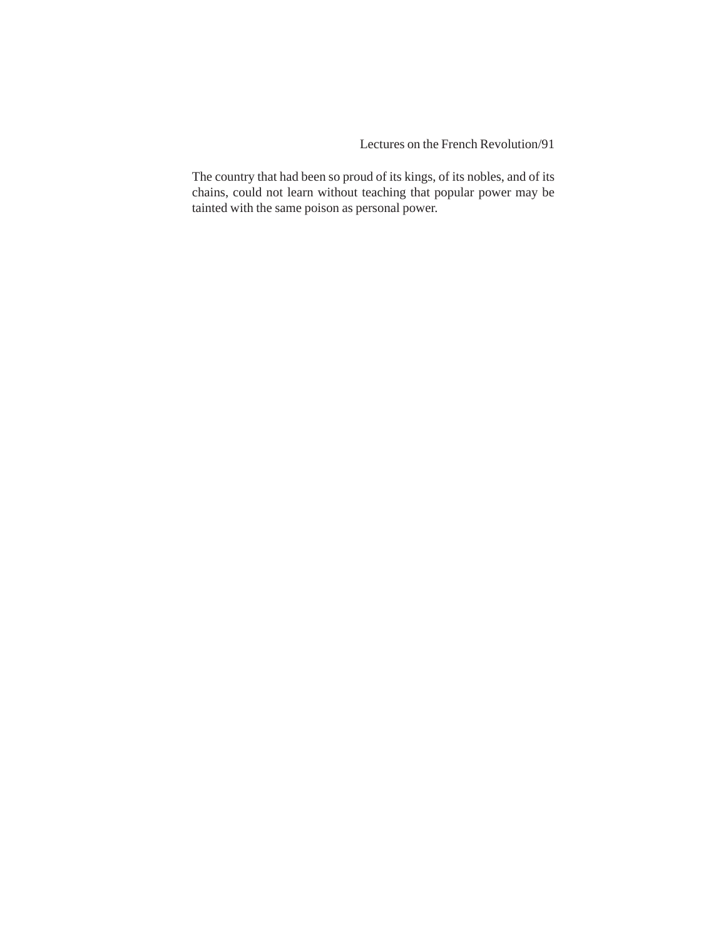Lectures on the French Revolution/91

The country that had been so proud of its kings, of its nobles, and of its chains, could not learn without teaching that popular power may be tainted with the same poison as personal power.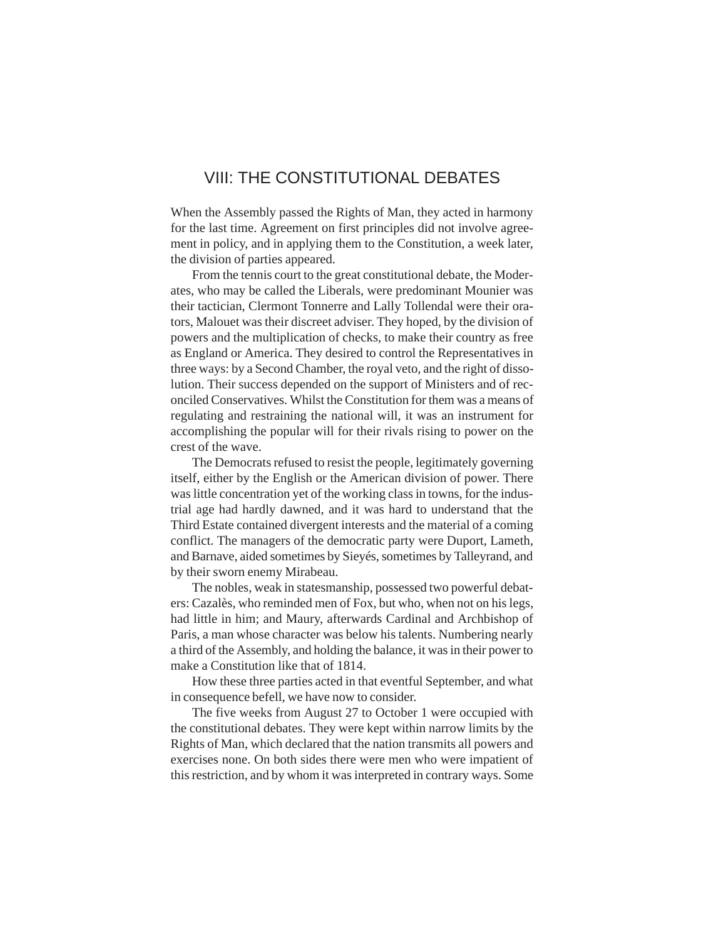# VIII: THE CONSTITUTIONAL DEBATES

When the Assembly passed the Rights of Man, they acted in harmony for the last time. Agreement on first principles did not involve agreement in policy, and in applying them to the Constitution, a week later, the division of parties appeared.

From the tennis court to the great constitutional debate, the Moderates, who may be called the Liberals, were predominant Mounier was their tactician, Clermont Tonnerre and Lally Tollendal were their orators, Malouet was their discreet adviser. They hoped, by the division of powers and the multiplication of checks, to make their country as free as England or America. They desired to control the Representatives in three ways: by a Second Chamber, the royal veto, and the right of dissolution. Their success depended on the support of Ministers and of reconciled Conservatives. Whilst the Constitution for them was a means of regulating and restraining the national will, it was an instrument for accomplishing the popular will for their rivals rising to power on the crest of the wave.

The Democrats refused to resist the people, legitimately governing itself, either by the English or the American division of power. There was little concentration yet of the working class in towns, for the industrial age had hardly dawned, and it was hard to understand that the Third Estate contained divergent interests and the material of a coming conflict. The managers of the democratic party were Duport, Lameth, and Barnave, aided sometimes by Sieyés, sometimes by Talleyrand, and by their sworn enemy Mirabeau.

The nobles, weak in statesmanship, possessed two powerful debaters: Cazalès, who reminded men of Fox, but who, when not on his legs, had little in him; and Maury, afterwards Cardinal and Archbishop of Paris, a man whose character was below his talents. Numbering nearly a third of the Assembly, and holding the balance, it was in their power to make a Constitution like that of 1814.

How these three parties acted in that eventful September, and what in consequence befell, we have now to consider.

The five weeks from August 27 to October 1 were occupied with the constitutional debates. They were kept within narrow limits by the Rights of Man, which declared that the nation transmits all powers and exercises none. On both sides there were men who were impatient of this restriction, and by whom it was interpreted in contrary ways. Some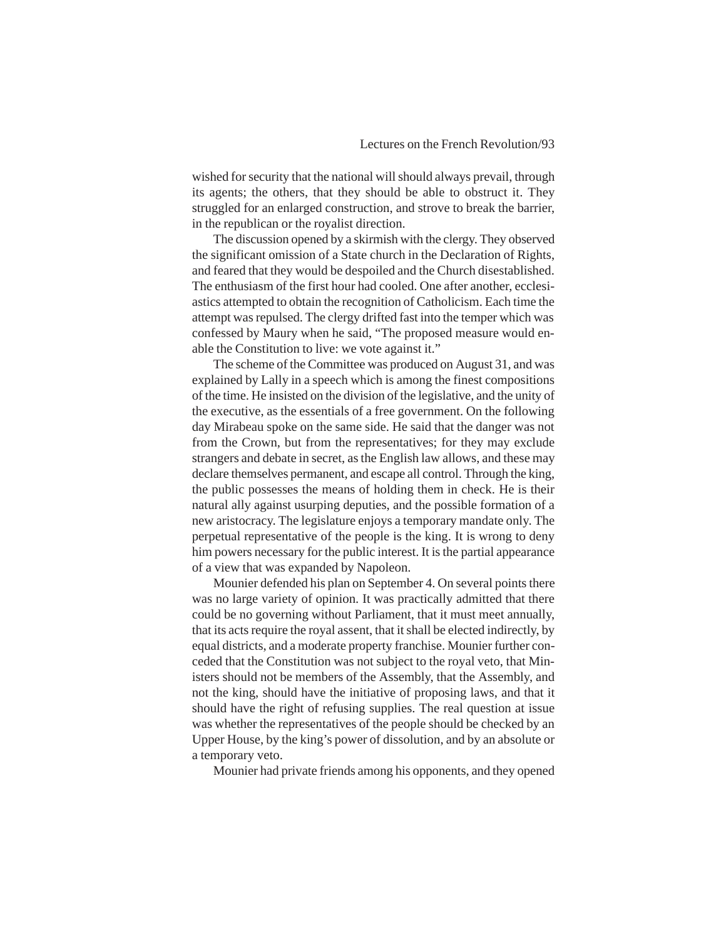wished for security that the national will should always prevail, through its agents; the others, that they should be able to obstruct it. They struggled for an enlarged construction, and strove to break the barrier, in the republican or the royalist direction.

The discussion opened by a skirmish with the clergy. They observed the significant omission of a State church in the Declaration of Rights, and feared that they would be despoiled and the Church disestablished. The enthusiasm of the first hour had cooled. One after another, ecclesiastics attempted to obtain the recognition of Catholicism. Each time the attempt was repulsed. The clergy drifted fast into the temper which was confessed by Maury when he said, "The proposed measure would enable the Constitution to live: we vote against it."

The scheme of the Committee was produced on August 31, and was explained by Lally in a speech which is among the finest compositions of the time. He insisted on the division of the legislative, and the unity of the executive, as the essentials of a free government. On the following day Mirabeau spoke on the same side. He said that the danger was not from the Crown, but from the representatives; for they may exclude strangers and debate in secret, as the English law allows, and these may declare themselves permanent, and escape all control. Through the king, the public possesses the means of holding them in check. He is their natural ally against usurping deputies, and the possible formation of a new aristocracy. The legislature enjoys a temporary mandate only. The perpetual representative of the people is the king. It is wrong to deny him powers necessary for the public interest. It is the partial appearance of a view that was expanded by Napoleon.

Mounier defended his plan on September 4. On several points there was no large variety of opinion. It was practically admitted that there could be no governing without Parliament, that it must meet annually, that its acts require the royal assent, that it shall be elected indirectly, by equal districts, and a moderate property franchise. Mounier further conceded that the Constitution was not subject to the royal veto, that Ministers should not be members of the Assembly, that the Assembly, and not the king, should have the initiative of proposing laws, and that it should have the right of refusing supplies. The real question at issue was whether the representatives of the people should be checked by an Upper House, by the king's power of dissolution, and by an absolute or a temporary veto.

Mounier had private friends among his opponents, and they opened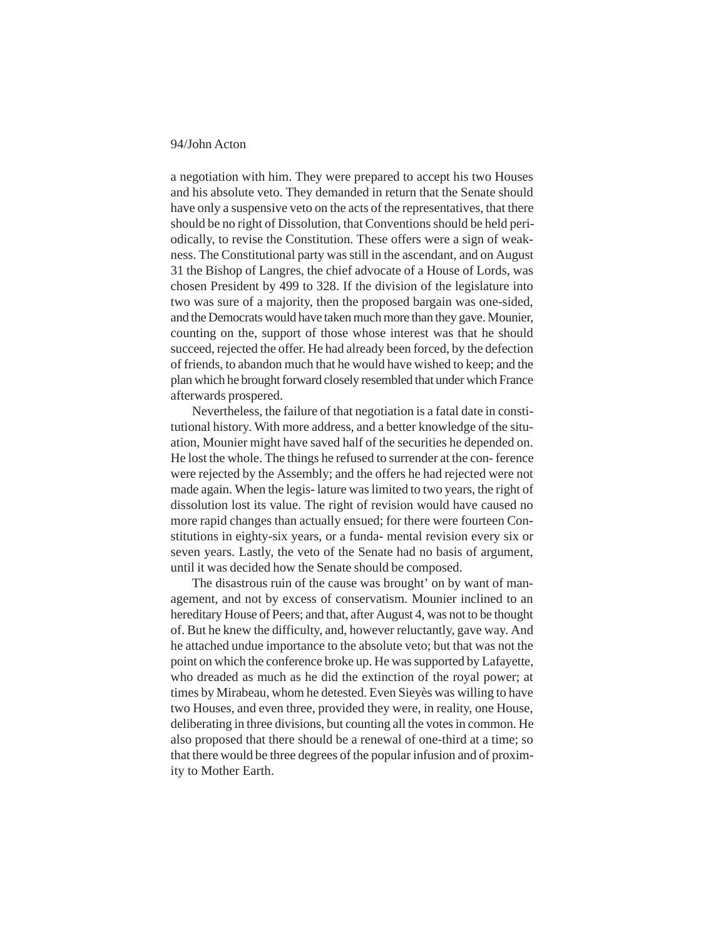a negotiation with him. They were prepared to accept his two Houses and his absolute veto. They demanded in return that the Senate should have only a suspensive veto on the acts of the representatives, that there should be no right of Dissolution, that Conventions should be held periodically, to revise the Constitution. These offers were a sign of weakness. The Constitutional party was still in the ascendant, and on August 31 the Bishop of Langres, the chief advocate of a House of Lords, was chosen President by 499 to 328. If the division of the legislature into two was sure of a majority, then the proposed bargain was one-sided, and the Democrats would have taken much more than they gave. Mounier, counting on the, support of those whose interest was that he should succeed, rejected the offer. He had already been forced, by the defection of friends, to abandon much that he would have wished to keep; and the plan which he brought forward closely resembled that under which France afterwards prospered.

Nevertheless, the failure of that negotiation is a fatal date in constitutional history. With more address, and a better knowledge of the situation, Mounier might have saved half of the securities he depended on. He lost the whole. The things he refused to surrender at the con- ference were rejected by the Assembly; and the offers he had rejected were not made again. When the legis- lature was limited to two years, the right of dissolution lost its value. The right of revision would have caused no more rapid changes than actually ensued; for there were fourteen Constitutions in eighty-six years, or a funda- mental revision every six or seven years. Lastly, the veto of the Senate had no basis of argument, until it was decided how the Senate should be composed.

The disastrous ruin of the cause was brought' on by want of management, and not by excess of conservatism. Mounier inclined to an hereditary House of Peers; and that, after August 4, was not to be thought of. But he knew the difficulty, and, however reluctantly, gave way. And he attached undue importance to the absolute veto; but that was not the point on which the conference broke up. He was supported by Lafayette, who dreaded as much as he did the extinction of the royal power; at times by Mirabeau, whom he detested. Even Sieyès was willing to have two Houses, and even three, provided they were, in reality, one House, deliberating in three divisions, but counting all the votes in common. He also proposed that there should be a renewal of one-third at a time; so that there would be three degrees of the popular infusion and of proximity to Mother Earth.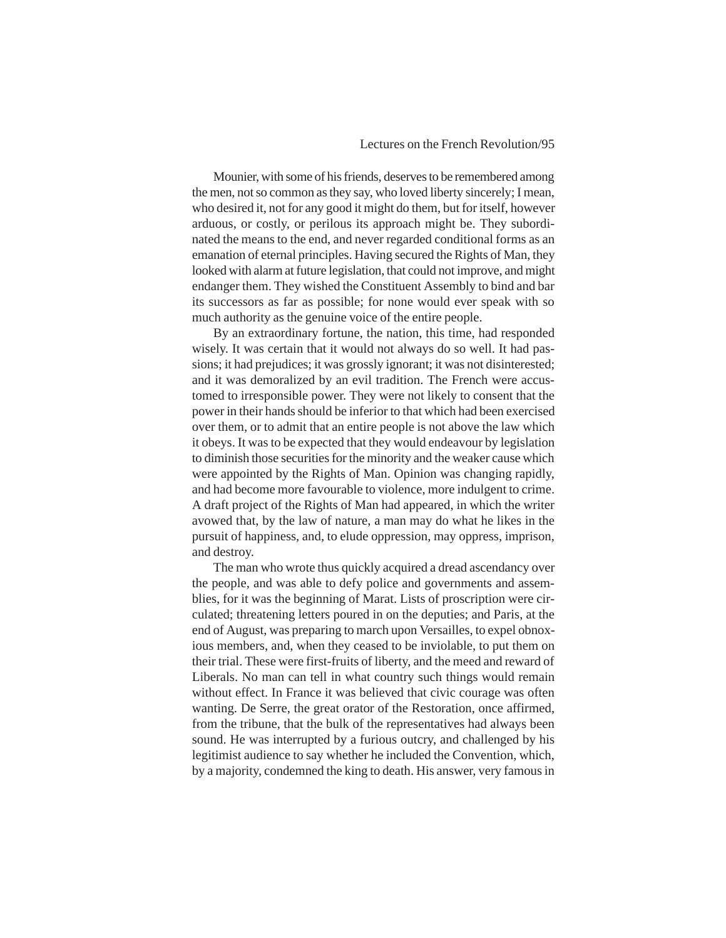# Lectures on the French Revolution/95

Mounier, with some of his friends, deserves to be remembered among the men, not so common as they say, who loved liberty sincerely; I mean, who desired it, not for any good it might do them, but for itself, however arduous, or costly, or perilous its approach might be. They subordinated the means to the end, and never regarded conditional forms as an emanation of eternal principles. Having secured the Rights of Man, they looked with alarm at future legislation, that could not improve, and might endanger them. They wished the Constituent Assembly to bind and bar its successors as far as possible; for none would ever speak with so much authority as the genuine voice of the entire people.

By an extraordinary fortune, the nation, this time, had responded wisely. It was certain that it would not always do so well. It had passions; it had prejudices; it was grossly ignorant; it was not disinterested; and it was demoralized by an evil tradition. The French were accustomed to irresponsible power. They were not likely to consent that the power in their hands should be inferior to that which had been exercised over them, or to admit that an entire people is not above the law which it obeys. It was to be expected that they would endeavour by legislation to diminish those securities for the minority and the weaker cause which were appointed by the Rights of Man. Opinion was changing rapidly, and had become more favourable to violence, more indulgent to crime. A draft project of the Rights of Man had appeared, in which the writer avowed that, by the law of nature, a man may do what he likes in the pursuit of happiness, and, to elude oppression, may oppress, imprison, and destroy.

The man who wrote thus quickly acquired a dread ascendancy over the people, and was able to defy police and governments and assemblies, for it was the beginning of Marat. Lists of proscription were circulated; threatening letters poured in on the deputies; and Paris, at the end of August, was preparing to march upon Versailles, to expel obnoxious members, and, when they ceased to be inviolable, to put them on their trial. These were first-fruits of liberty, and the meed and reward of Liberals. No man can tell in what country such things would remain without effect. In France it was believed that civic courage was often wanting. De Serre, the great orator of the Restoration, once affirmed, from the tribune, that the bulk of the representatives had always been sound. He was interrupted by a furious outcry, and challenged by his legitimist audience to say whether he included the Convention, which, by a majority, condemned the king to death. His answer, very famous in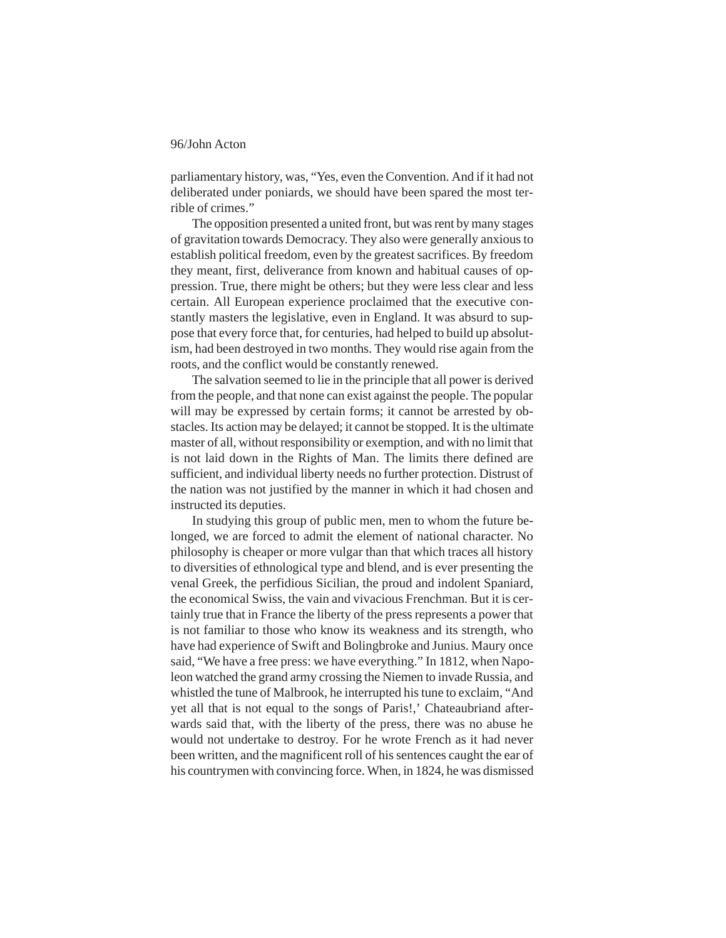parliamentary history, was, "Yes, even the Convention. And if it had not deliberated under poniards, we should have been spared the most terrible of crimes."

The opposition presented a united front, but was rent by many stages of gravitation towards Democracy. They also were generally anxious to establish political freedom, even by the greatest sacrifices. By freedom they meant, first, deliverance from known and habitual causes of oppression. True, there might be others; but they were less clear and less certain. All European experience proclaimed that the executive constantly masters the legislative, even in England. It was absurd to suppose that every force that, for centuries, had helped to build up absolutism, had been destroyed in two months. They would rise again from the roots, and the conflict would be constantly renewed.

The salvation seemed to lie in the principle that all power is derived from the people, and that none can exist against the people. The popular will may be expressed by certain forms; it cannot be arrested by obstacles. Its action may be delayed; it cannot be stopped. It is the ultimate master of all, without responsibility or exemption, and with no limit that is not laid down in the Rights of Man. The limits there defined are sufficient, and individual liberty needs no further protection. Distrust of the nation was not justified by the manner in which it had chosen and instructed its deputies.

In studying this group of public men, men to whom the future belonged, we are forced to admit the element of national character. No philosophy is cheaper or more vulgar than that which traces all history to diversities of ethnological type and blend, and is ever presenting the venal Greek, the perfidious Sicilian, the proud and indolent Spaniard, the economical Swiss, the vain and vivacious Frenchman. But it is certainly true that in France the liberty of the press represents a power that is not familiar to those who know its weakness and its strength, who have had experience of Swift and Bolingbroke and Junius. Maury once said, "We have a free press: we have everything." In 1812, when Napoleon watched the grand army crossing the Niemen to invade Russia, and whistled the tune of Malbrook, he interrupted his tune to exclaim, "And yet all that is not equal to the songs of Paris!,' Chateaubriand afterwards said that, with the liberty of the press, there was no abuse he would not undertake to destroy. For he wrote French as it had never been written, and the magnificent roll of his sentences caught the ear of his countrymen with convincing force. When, in 1824, he was dismissed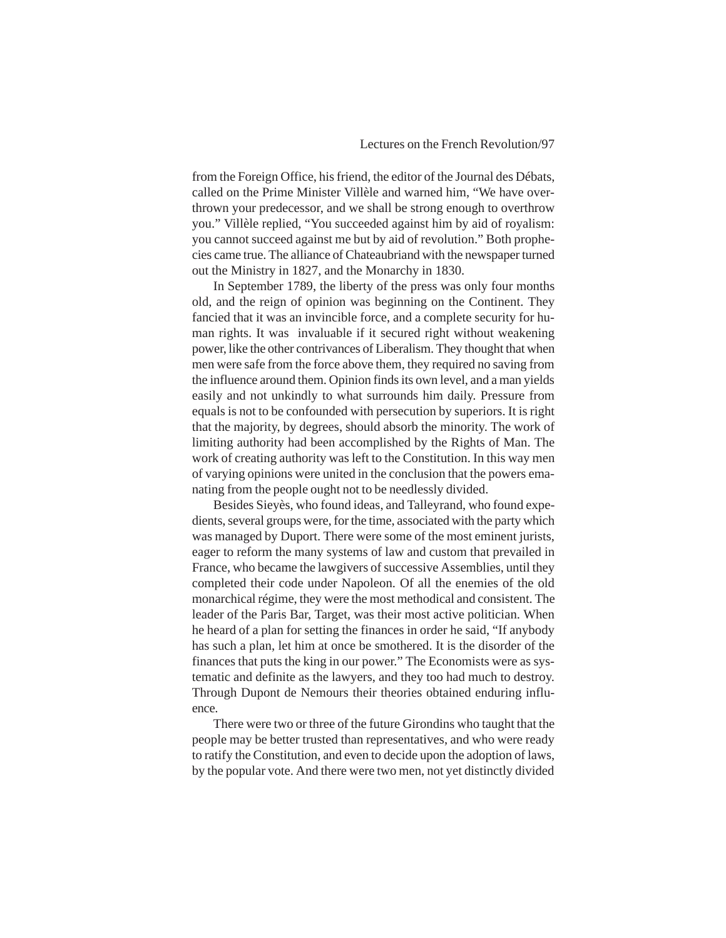from the Foreign Office, his friend, the editor of the Journal des Débats, called on the Prime Minister Villèle and warned him, "We have overthrown your predecessor, and we shall be strong enough to overthrow you." Villèle replied, "You succeeded against him by aid of royalism: you cannot succeed against me but by aid of revolution." Both prophecies came true. The alliance of Chateaubriand with the newspaper turned out the Ministry in 1827, and the Monarchy in 1830.

In September 1789, the liberty of the press was only four months old, and the reign of opinion was beginning on the Continent. They fancied that it was an invincible force, and a complete security for human rights. It was invaluable if it secured right without weakening power, like the other contrivances of Liberalism. They thought that when men were safe from the force above them, they required no saving from the influence around them. Opinion finds its own level, and a man yields easily and not unkindly to what surrounds him daily. Pressure from equals is not to be confounded with persecution by superiors. It is right that the majority, by degrees, should absorb the minority. The work of limiting authority had been accomplished by the Rights of Man. The work of creating authority was left to the Constitution. In this way men of varying opinions were united in the conclusion that the powers emanating from the people ought not to be needlessly divided.

Besides Sieyès, who found ideas, and Talleyrand, who found expedients, several groups were, for the time, associated with the party which was managed by Duport. There were some of the most eminent jurists, eager to reform the many systems of law and custom that prevailed in France, who became the lawgivers of successive Assemblies, until they completed their code under Napoleon. Of all the enemies of the old monarchical régime, they were the most methodical and consistent. The leader of the Paris Bar, Target, was their most active politician. When he heard of a plan for setting the finances in order he said, "If anybody has such a plan, let him at once be smothered. It is the disorder of the finances that puts the king in our power." The Economists were as systematic and definite as the lawyers, and they too had much to destroy. Through Dupont de Nemours their theories obtained enduring influence.

There were two or three of the future Girondins who taught that the people may be better trusted than representatives, and who were ready to ratify the Constitution, and even to decide upon the adoption of laws, by the popular vote. And there were two men, not yet distinctly divided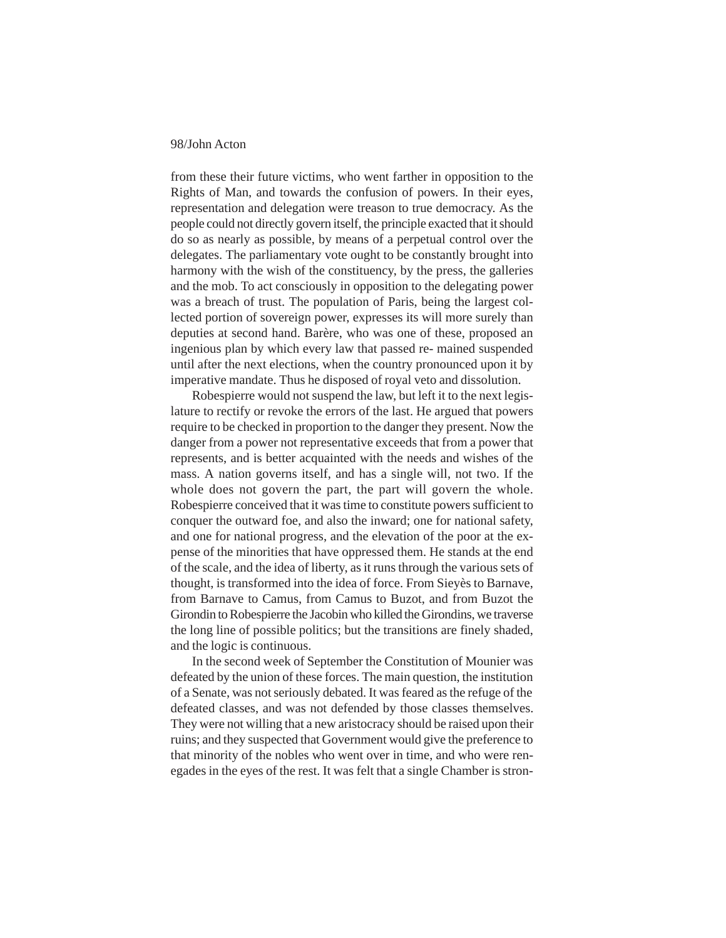from these their future victims, who went farther in opposition to the Rights of Man, and towards the confusion of powers. In their eyes, representation and delegation were treason to true democracy. As the people could not directly govern itself, the principle exacted that it should do so as nearly as possible, by means of a perpetual control over the delegates. The parliamentary vote ought to be constantly brought into harmony with the wish of the constituency, by the press, the galleries and the mob. To act consciously in opposition to the delegating power was a breach of trust. The population of Paris, being the largest collected portion of sovereign power, expresses its will more surely than deputies at second hand. Barère, who was one of these, proposed an ingenious plan by which every law that passed re- mained suspended until after the next elections, when the country pronounced upon it by imperative mandate. Thus he disposed of royal veto and dissolution.

Robespierre would not suspend the law, but left it to the next legislature to rectify or revoke the errors of the last. He argued that powers require to be checked in proportion to the danger they present. Now the danger from a power not representative exceeds that from a power that represents, and is better acquainted with the needs and wishes of the mass. A nation governs itself, and has a single will, not two. If the whole does not govern the part, the part will govern the whole. Robespierre conceived that it was time to constitute powers sufficient to conquer the outward foe, and also the inward; one for national safety, and one for national progress, and the elevation of the poor at the expense of the minorities that have oppressed them. He stands at the end of the scale, and the idea of liberty, as it runs through the various sets of thought, is transformed into the idea of force. From Sieyès to Barnave, from Barnave to Camus, from Camus to Buzot, and from Buzot the Girondin to Robespierre the Jacobin who killed the Girondins, we traverse the long line of possible politics; but the transitions are finely shaded, and the logic is continuous.

In the second week of September the Constitution of Mounier was defeated by the union of these forces. The main question, the institution of a Senate, was not seriously debated. It was feared as the refuge of the defeated classes, and was not defended by those classes themselves. They were not willing that a new aristocracy should be raised upon their ruins; and they suspected that Government would give the preference to that minority of the nobles who went over in time, and who were renegades in the eyes of the rest. It was felt that a single Chamber is stron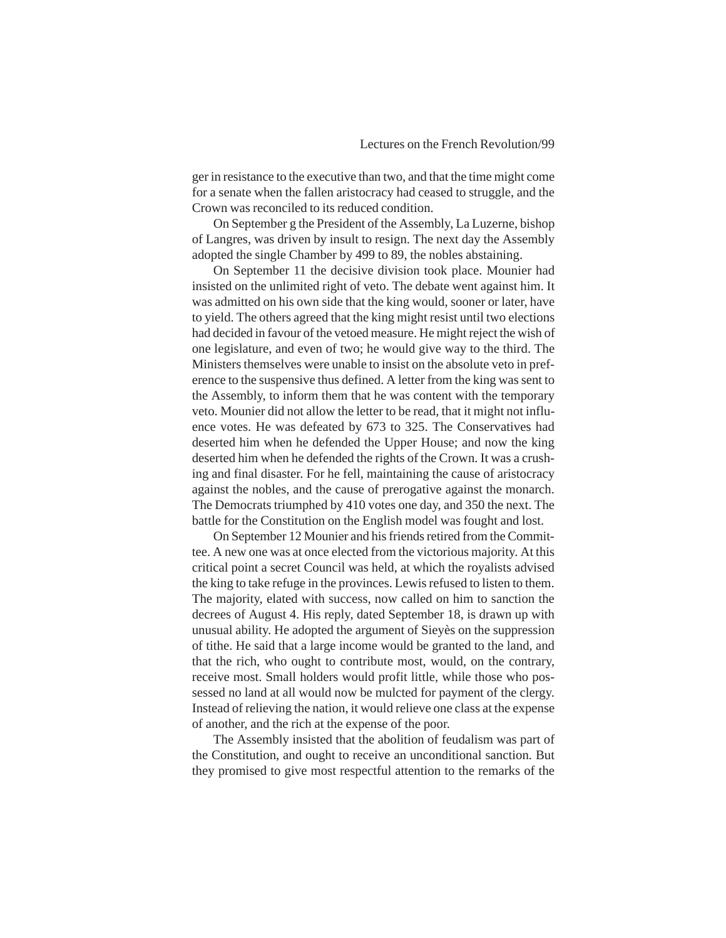ger in resistance to the executive than two, and that the time might come for a senate when the fallen aristocracy had ceased to struggle, and the Crown was reconciled to its reduced condition.

On September g the President of the Assembly, La Luzerne, bishop of Langres, was driven by insult to resign. The next day the Assembly adopted the single Chamber by 499 to 89, the nobles abstaining.

On September 11 the decisive division took place. Mounier had insisted on the unlimited right of veto. The debate went against him. It was admitted on his own side that the king would, sooner or later, have to yield. The others agreed that the king might resist until two elections had decided in favour of the vetoed measure. He might reject the wish of one legislature, and even of two; he would give way to the third. The Ministers themselves were unable to insist on the absolute veto in preference to the suspensive thus defined. A letter from the king was sent to the Assembly, to inform them that he was content with the temporary veto. Mounier did not allow the letter to be read, that it might not influence votes. He was defeated by 673 to 325. The Conservatives had deserted him when he defended the Upper House; and now the king deserted him when he defended the rights of the Crown. It was a crushing and final disaster. For he fell, maintaining the cause of aristocracy against the nobles, and the cause of prerogative against the monarch. The Democrats triumphed by 410 votes one day, and 350 the next. The battle for the Constitution on the English model was fought and lost.

On September 12 Mounier and his friends retired from the Committee. A new one was at once elected from the victorious majority. At this critical point a secret Council was held, at which the royalists advised the king to take refuge in the provinces. Lewis refused to listen to them. The majority, elated with success, now called on him to sanction the decrees of August 4. His reply, dated September 18, is drawn up with unusual ability. He adopted the argument of Sieyès on the suppression of tithe. He said that a large income would be granted to the land, and that the rich, who ought to contribute most, would, on the contrary, receive most. Small holders would profit little, while those who possessed no land at all would now be mulcted for payment of the clergy. Instead of relieving the nation, it would relieve one class at the expense of another, and the rich at the expense of the poor.

The Assembly insisted that the abolition of feudalism was part of the Constitution, and ought to receive an unconditional sanction. But they promised to give most respectful attention to the remarks of the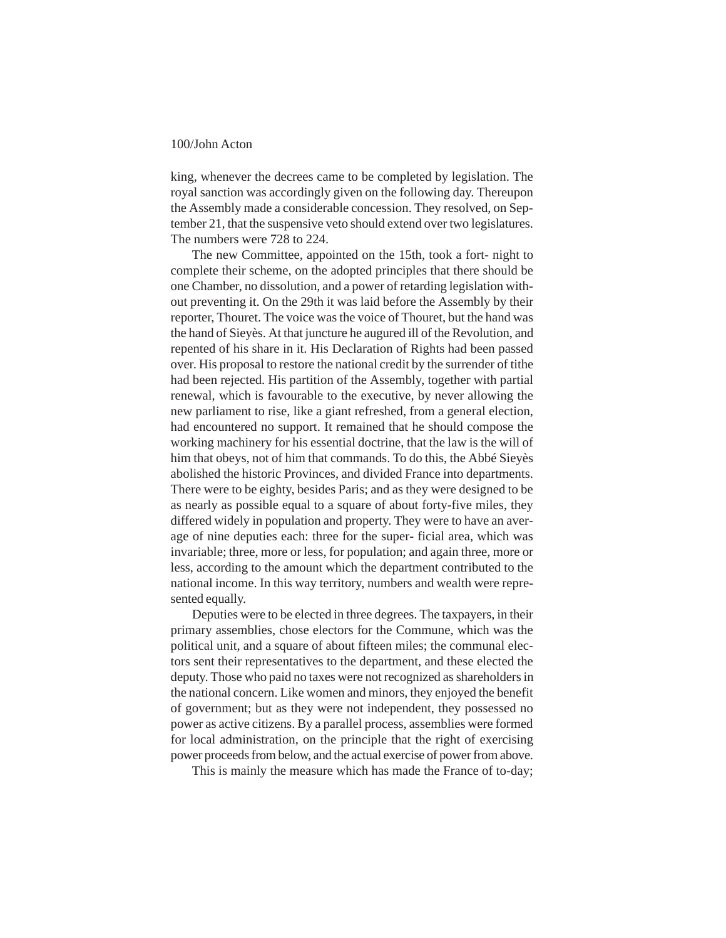king, whenever the decrees came to be completed by legislation. The royal sanction was accordingly given on the following day. Thereupon the Assembly made a considerable concession. They resolved, on September 21, that the suspensive veto should extend over two legislatures. The numbers were 728 to 224.

The new Committee, appointed on the 15th, took a fort- night to complete their scheme, on the adopted principles that there should be one Chamber, no dissolution, and a power of retarding legislation without preventing it. On the 29th it was laid before the Assembly by their reporter, Thouret. The voice was the voice of Thouret, but the hand was the hand of Sieyès. At that juncture he augured ill of the Revolution, and repented of his share in it. His Declaration of Rights had been passed over. His proposal to restore the national credit by the surrender of tithe had been rejected. His partition of the Assembly, together with partial renewal, which is favourable to the executive, by never allowing the new parliament to rise, like a giant refreshed, from a general election, had encountered no support. It remained that he should compose the working machinery for his essential doctrine, that the law is the will of him that obeys, not of him that commands. To do this, the Abbé Sieyès abolished the historic Provinces, and divided France into departments. There were to be eighty, besides Paris; and as they were designed to be as nearly as possible equal to a square of about forty-five miles, they differed widely in population and property. They were to have an average of nine deputies each: three for the super- ficial area, which was invariable; three, more or less, for population; and again three, more or less, according to the amount which the department contributed to the national income. In this way territory, numbers and wealth were represented equally.

Deputies were to be elected in three degrees. The taxpayers, in their primary assemblies, chose electors for the Commune, which was the political unit, and a square of about fifteen miles; the communal electors sent their representatives to the department, and these elected the deputy. Those who paid no taxes were not recognized as shareholders in the national concern. Like women and minors, they enjoyed the benefit of government; but as they were not independent, they possessed no power as active citizens. By a parallel process, assemblies were formed for local administration, on the principle that the right of exercising power proceeds from below, and the actual exercise of power from above.

This is mainly the measure which has made the France of to-day;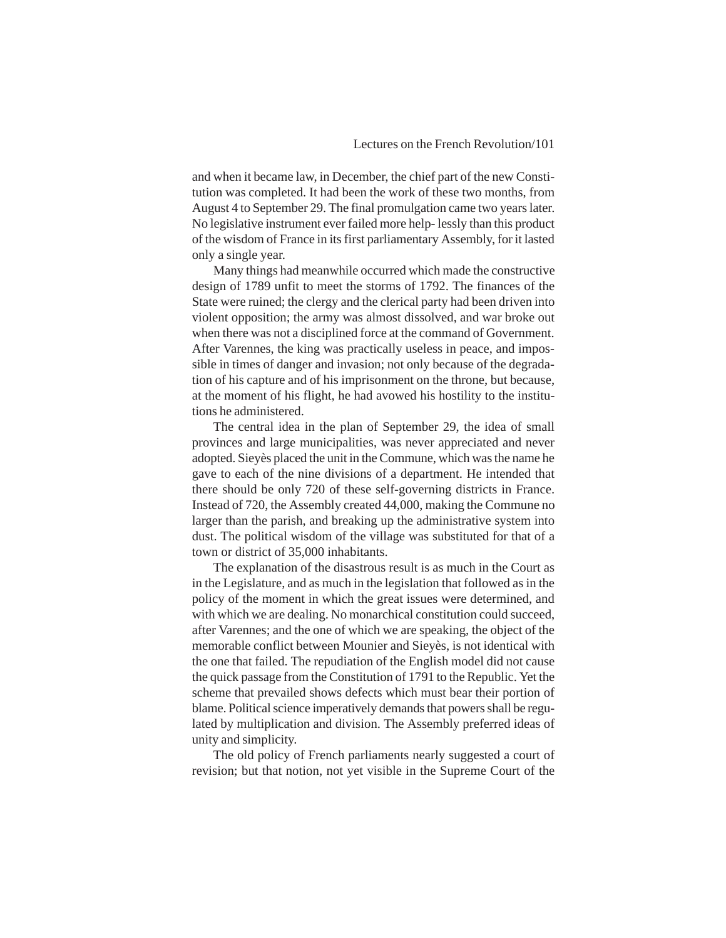and when it became law, in December, the chief part of the new Constitution was completed. It had been the work of these two months, from August 4 to September 29. The final promulgation came two years later. No legislative instrument ever failed more help- lessly than this product of the wisdom of France in its first parliamentary Assembly, for it lasted only a single year.

Many things had meanwhile occurred which made the constructive design of 1789 unfit to meet the storms of 1792. The finances of the State were ruined; the clergy and the clerical party had been driven into violent opposition; the army was almost dissolved, and war broke out when there was not a disciplined force at the command of Government. After Varennes, the king was practically useless in peace, and impossible in times of danger and invasion; not only because of the degradation of his capture and of his imprisonment on the throne, but because, at the moment of his flight, he had avowed his hostility to the institutions he administered.

The central idea in the plan of September 29, the idea of small provinces and large municipalities, was never appreciated and never adopted. Sieyès placed the unit in the Commune, which was the name he gave to each of the nine divisions of a department. He intended that there should be only 720 of these self-governing districts in France. Instead of 720, the Assembly created 44,000, making the Commune no larger than the parish, and breaking up the administrative system into dust. The political wisdom of the village was substituted for that of a town or district of 35,000 inhabitants.

The explanation of the disastrous result is as much in the Court as in the Legislature, and as much in the legislation that followed as in the policy of the moment in which the great issues were determined, and with which we are dealing. No monarchical constitution could succeed, after Varennes; and the one of which we are speaking, the object of the memorable conflict between Mounier and Sieyès, is not identical with the one that failed. The repudiation of the English model did not cause the quick passage from the Constitution of 1791 to the Republic. Yet the scheme that prevailed shows defects which must bear their portion of blame. Political science imperatively demands that powers shall be regulated by multiplication and division. The Assembly preferred ideas of unity and simplicity.

The old policy of French parliaments nearly suggested a court of revision; but that notion, not yet visible in the Supreme Court of the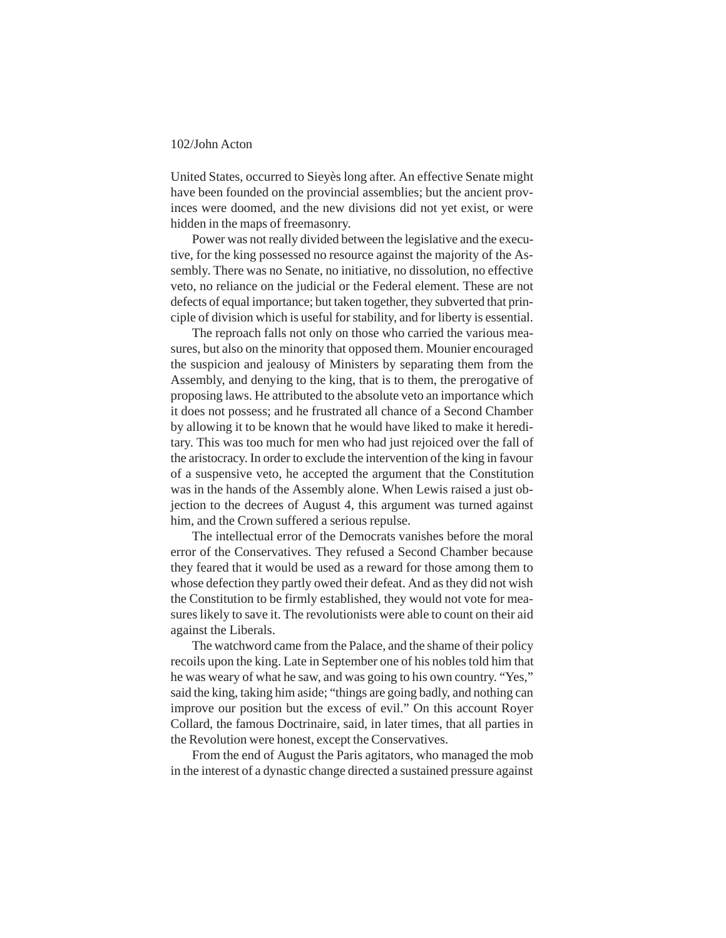United States, occurred to Sieyès long after. An effective Senate might have been founded on the provincial assemblies; but the ancient provinces were doomed, and the new divisions did not yet exist, or were hidden in the maps of freemasonry.

Power was not really divided between the legislative and the executive, for the king possessed no resource against the majority of the Assembly. There was no Senate, no initiative, no dissolution, no effective veto, no reliance on the judicial or the Federal element. These are not defects of equal importance; but taken together, they subverted that principle of division which is useful for stability, and for liberty is essential.

The reproach falls not only on those who carried the various measures, but also on the minority that opposed them. Mounier encouraged the suspicion and jealousy of Ministers by separating them from the Assembly, and denying to the king, that is to them, the prerogative of proposing laws. He attributed to the absolute veto an importance which it does not possess; and he frustrated all chance of a Second Chamber by allowing it to be known that he would have liked to make it hereditary. This was too much for men who had just rejoiced over the fall of the aristocracy. In order to exclude the intervention of the king in favour of a suspensive veto, he accepted the argument that the Constitution was in the hands of the Assembly alone. When Lewis raised a just objection to the decrees of August 4, this argument was turned against him, and the Crown suffered a serious repulse.

The intellectual error of the Democrats vanishes before the moral error of the Conservatives. They refused a Second Chamber because they feared that it would be used as a reward for those among them to whose defection they partly owed their defeat. And as they did not wish the Constitution to be firmly established, they would not vote for measures likely to save it. The revolutionists were able to count on their aid against the Liberals.

The watchword came from the Palace, and the shame of their policy recoils upon the king. Late in September one of his nobles told him that he was weary of what he saw, and was going to his own country. "Yes," said the king, taking him aside; "things are going badly, and nothing can improve our position but the excess of evil." On this account Royer Collard, the famous Doctrinaire, said, in later times, that all parties in the Revolution were honest, except the Conservatives.

From the end of August the Paris agitators, who managed the mob in the interest of a dynastic change directed a sustained pressure against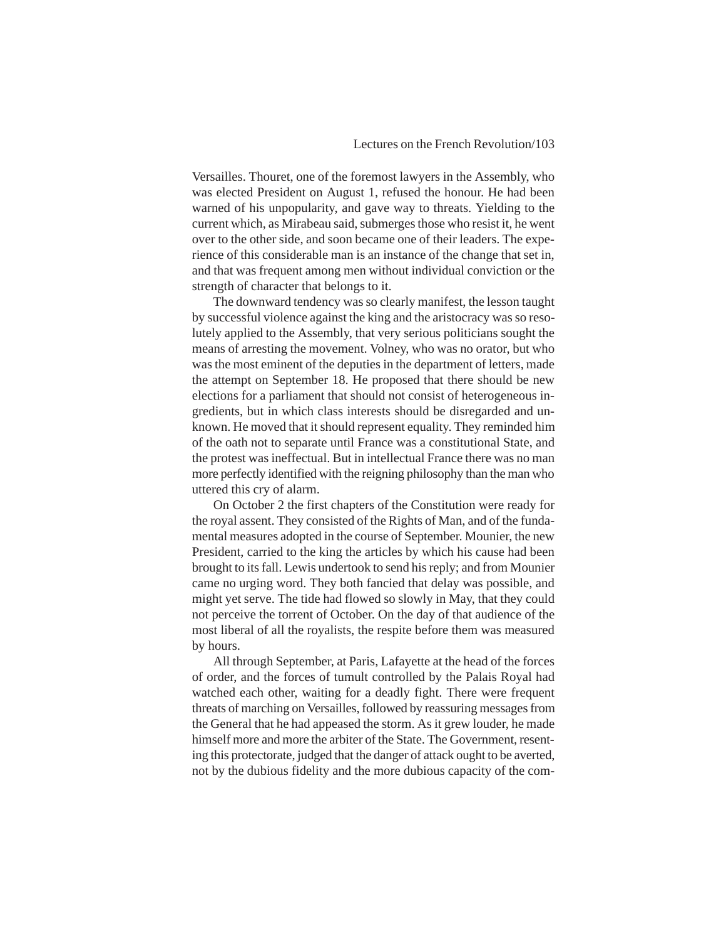Versailles. Thouret, one of the foremost lawyers in the Assembly, who was elected President on August 1, refused the honour. He had been warned of his unpopularity, and gave way to threats. Yielding to the current which, as Mirabeau said, submerges those who resist it, he went over to the other side, and soon became one of their leaders. The experience of this considerable man is an instance of the change that set in, and that was frequent among men without individual conviction or the strength of character that belongs to it.

The downward tendency was so clearly manifest, the lesson taught by successful violence against the king and the aristocracy was so resolutely applied to the Assembly, that very serious politicians sought the means of arresting the movement. Volney, who was no orator, but who was the most eminent of the deputies in the department of letters, made the attempt on September 18. He proposed that there should be new elections for a parliament that should not consist of heterogeneous ingredients, but in which class interests should be disregarded and unknown. He moved that it should represent equality. They reminded him of the oath not to separate until France was a constitutional State, and the protest was ineffectual. But in intellectual France there was no man more perfectly identified with the reigning philosophy than the man who uttered this cry of alarm.

On October 2 the first chapters of the Constitution were ready for the royal assent. They consisted of the Rights of Man, and of the fundamental measures adopted in the course of September. Mounier, the new President, carried to the king the articles by which his cause had been brought to its fall. Lewis undertook to send his reply; and from Mounier came no urging word. They both fancied that delay was possible, and might yet serve. The tide had flowed so slowly in May, that they could not perceive the torrent of October. On the day of that audience of the most liberal of all the royalists, the respite before them was measured by hours.

All through September, at Paris, Lafayette at the head of the forces of order, and the forces of tumult controlled by the Palais Royal had watched each other, waiting for a deadly fight. There were frequent threats of marching on Versailles, followed by reassuring messages from the General that he had appeased the storm. As it grew louder, he made himself more and more the arbiter of the State. The Government, resenting this protectorate, judged that the danger of attack ought to be averted, not by the dubious fidelity and the more dubious capacity of the com-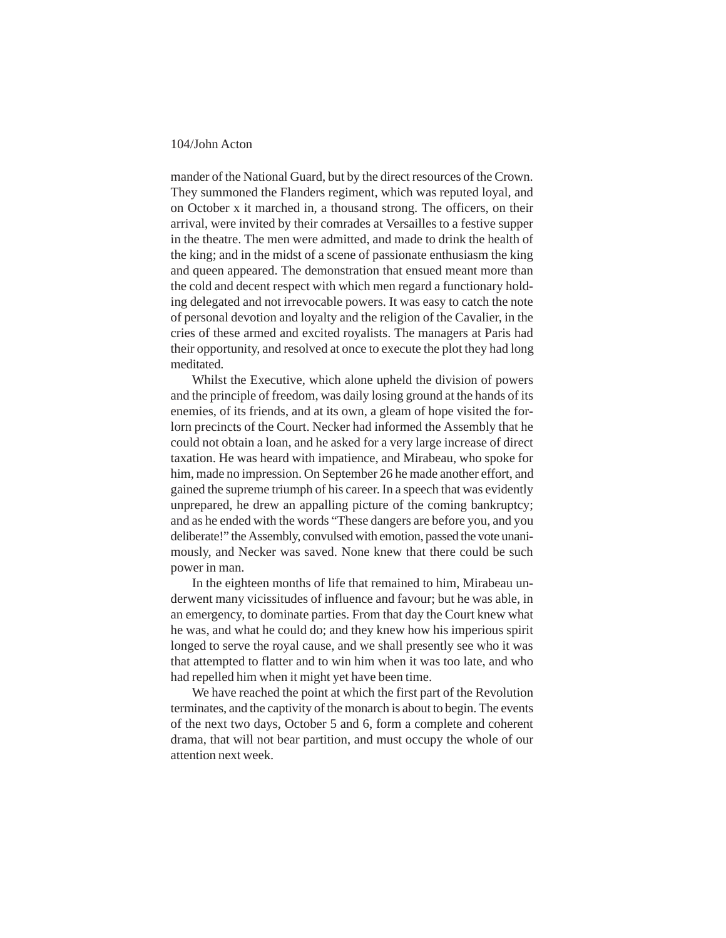mander of the National Guard, but by the direct resources of the Crown. They summoned the Flanders regiment, which was reputed loyal, and on October x it marched in, a thousand strong. The officers, on their arrival, were invited by their comrades at Versailles to a festive supper in the theatre. The men were admitted, and made to drink the health of the king; and in the midst of a scene of passionate enthusiasm the king and queen appeared. The demonstration that ensued meant more than the cold and decent respect with which men regard a functionary holding delegated and not irrevocable powers. It was easy to catch the note of personal devotion and loyalty and the religion of the Cavalier, in the cries of these armed and excited royalists. The managers at Paris had their opportunity, and resolved at once to execute the plot they had long meditated.

Whilst the Executive, which alone upheld the division of powers and the principle of freedom, was daily losing ground at the hands of its enemies, of its friends, and at its own, a gleam of hope visited the forlorn precincts of the Court. Necker had informed the Assembly that he could not obtain a loan, and he asked for a very large increase of direct taxation. He was heard with impatience, and Mirabeau, who spoke for him, made no impression. On September 26 he made another effort, and gained the supreme triumph of his career. In a speech that was evidently unprepared, he drew an appalling picture of the coming bankruptcy; and as he ended with the words "These dangers are before you, and you deliberate!" the Assembly, convulsed with emotion, passed the vote unanimously, and Necker was saved. None knew that there could be such power in man.

In the eighteen months of life that remained to him, Mirabeau underwent many vicissitudes of influence and favour; but he was able, in an emergency, to dominate parties. From that day the Court knew what he was, and what he could do; and they knew how his imperious spirit longed to serve the royal cause, and we shall presently see who it was that attempted to flatter and to win him when it was too late, and who had repelled him when it might yet have been time.

We have reached the point at which the first part of the Revolution terminates, and the captivity of the monarch is about to begin. The events of the next two days, October 5 and 6, form a complete and coherent drama, that will not bear partition, and must occupy the whole of our attention next week.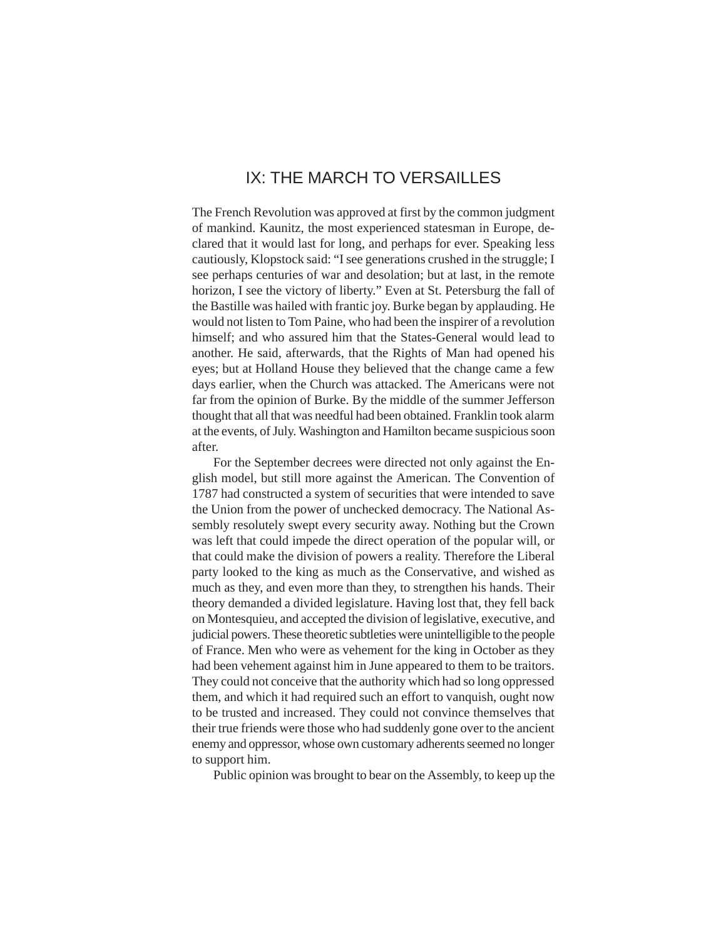# IX: THE MARCH TO VERSAILLES

The French Revolution was approved at first by the common judgment of mankind. Kaunitz, the most experienced statesman in Europe, declared that it would last for long, and perhaps for ever. Speaking less cautiously, Klopstock said: "I see generations crushed in the struggle; I see perhaps centuries of war and desolation; but at last, in the remote horizon, I see the victory of liberty." Even at St. Petersburg the fall of the Bastille was hailed with frantic joy. Burke began by applauding. He would not listen to Tom Paine, who had been the inspirer of a revolution himself; and who assured him that the States-General would lead to another. He said, afterwards, that the Rights of Man had opened his eyes; but at Holland House they believed that the change came a few days earlier, when the Church was attacked. The Americans were not far from the opinion of Burke. By the middle of the summer Jefferson thought that all that was needful had been obtained. Franklin took alarm at the events, of July. Washington and Hamilton became suspicious soon after.

For the September decrees were directed not only against the English model, but still more against the American. The Convention of 1787 had constructed a system of securities that were intended to save the Union from the power of unchecked democracy. The National Assembly resolutely swept every security away. Nothing but the Crown was left that could impede the direct operation of the popular will, or that could make the division of powers a reality. Therefore the Liberal party looked to the king as much as the Conservative, and wished as much as they, and even more than they, to strengthen his hands. Their theory demanded a divided legislature. Having lost that, they fell back on Montesquieu, and accepted the division of legislative, executive, and judicial powers. These theoretic subtleties were unintelligible to the people of France. Men who were as vehement for the king in October as they had been vehement against him in June appeared to them to be traitors. They could not conceive that the authority which had so long oppressed them, and which it had required such an effort to vanquish, ought now to be trusted and increased. They could not convince themselves that their true friends were those who had suddenly gone over to the ancient enemy and oppressor, whose own customary adherents seemed no longer to support him.

Public opinion was brought to bear on the Assembly, to keep up the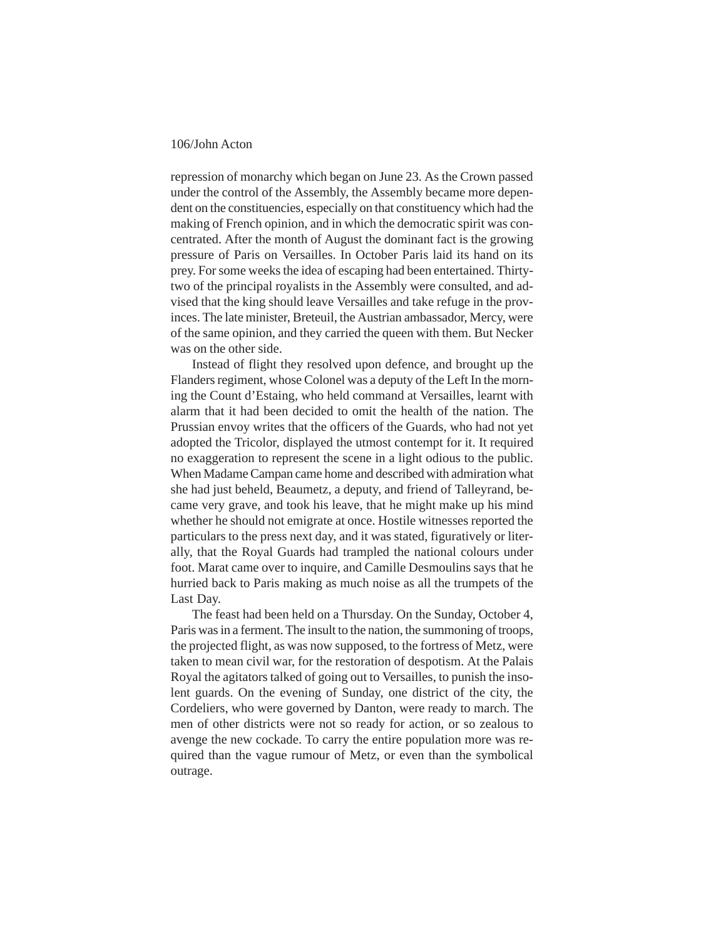repression of monarchy which began on June 23. As the Crown passed under the control of the Assembly, the Assembly became more dependent on the constituencies, especially on that constituency which had the making of French opinion, and in which the democratic spirit was concentrated. After the month of August the dominant fact is the growing pressure of Paris on Versailles. In October Paris laid its hand on its prey. For some weeks the idea of escaping had been entertained. Thirtytwo of the principal royalists in the Assembly were consulted, and advised that the king should leave Versailles and take refuge in the provinces. The late minister, Breteuil, the Austrian ambassador, Mercy, were of the same opinion, and they carried the queen with them. But Necker was on the other side.

Instead of flight they resolved upon defence, and brought up the Flanders regiment, whose Colonel was a deputy of the Left In the morning the Count d'Estaing, who held command at Versailles, learnt with alarm that it had been decided to omit the health of the nation. The Prussian envoy writes that the officers of the Guards, who had not yet adopted the Tricolor, displayed the utmost contempt for it. It required no exaggeration to represent the scene in a light odious to the public. When Madame Campan came home and described with admiration what she had just beheld, Beaumetz, a deputy, and friend of Talleyrand, became very grave, and took his leave, that he might make up his mind whether he should not emigrate at once. Hostile witnesses reported the particulars to the press next day, and it was stated, figuratively or literally, that the Royal Guards had trampled the national colours under foot. Marat came over to inquire, and Camille Desmoulins says that he hurried back to Paris making as much noise as all the trumpets of the Last Day.

The feast had been held on a Thursday. On the Sunday, October 4, Paris was in a ferment. The insult to the nation, the summoning of troops, the projected flight, as was now supposed, to the fortress of Metz, were taken to mean civil war, for the restoration of despotism. At the Palais Royal the agitators talked of going out to Versailles, to punish the insolent guards. On the evening of Sunday, one district of the city, the Cordeliers, who were governed by Danton, were ready to march. The men of other districts were not so ready for action, or so zealous to avenge the new cockade. To carry the entire population more was required than the vague rumour of Metz, or even than the symbolical outrage.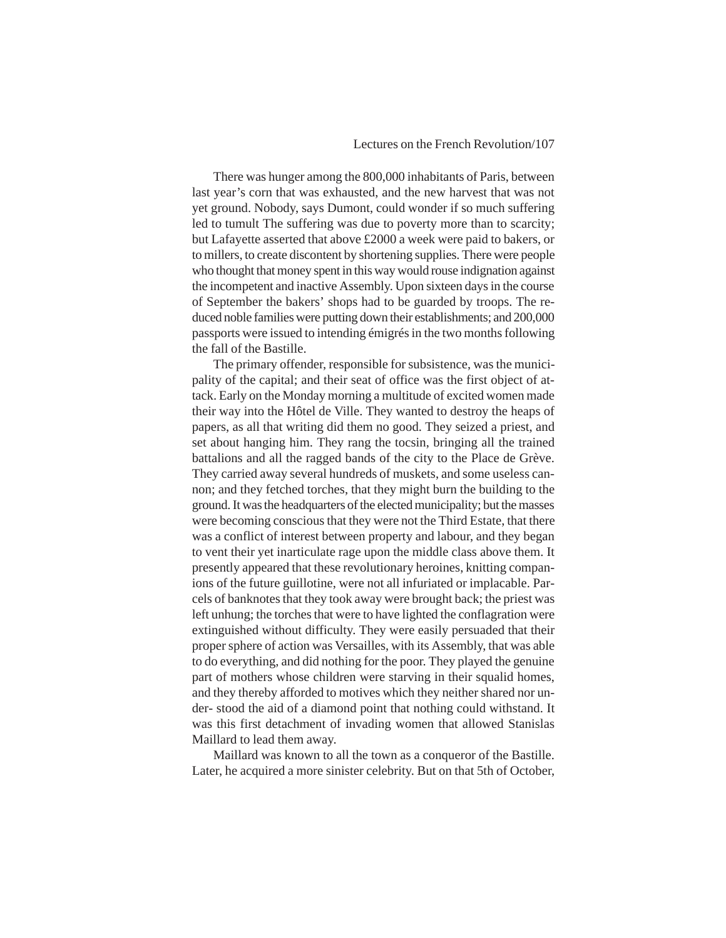# Lectures on the French Revolution/107

There was hunger among the 800,000 inhabitants of Paris, between last year's corn that was exhausted, and the new harvest that was not yet ground. Nobody, says Dumont, could wonder if so much suffering led to tumult The suffering was due to poverty more than to scarcity; but Lafayette asserted that above £2000 a week were paid to bakers, or to millers, to create discontent by shortening supplies. There were people who thought that money spent in this way would rouse indignation against the incompetent and inactive Assembly. Upon sixteen days in the course of September the bakers' shops had to be guarded by troops. The reduced noble families were putting down their establishments; and 200,000 passports were issued to intending émigrés in the two months following the fall of the Bastille.

The primary offender, responsible for subsistence, was the municipality of the capital; and their seat of office was the first object of attack. Early on the Monday morning a multitude of excited women made their way into the Hôtel de Ville. They wanted to destroy the heaps of papers, as all that writing did them no good. They seized a priest, and set about hanging him. They rang the tocsin, bringing all the trained battalions and all the ragged bands of the city to the Place de Grève. They carried away several hundreds of muskets, and some useless cannon; and they fetched torches, that they might burn the building to the ground. It was the headquarters of the elected municipality; but the masses were becoming conscious that they were not the Third Estate, that there was a conflict of interest between property and labour, and they began to vent their yet inarticulate rage upon the middle class above them. It presently appeared that these revolutionary heroines, knitting companions of the future guillotine, were not all infuriated or implacable. Parcels of banknotes that they took away were brought back; the priest was left unhung; the torches that were to have lighted the conflagration were extinguished without difficulty. They were easily persuaded that their proper sphere of action was Versailles, with its Assembly, that was able to do everything, and did nothing for the poor. They played the genuine part of mothers whose children were starving in their squalid homes, and they thereby afforded to motives which they neither shared nor under- stood the aid of a diamond point that nothing could withstand. It was this first detachment of invading women that allowed Stanislas Maillard to lead them away.

Maillard was known to all the town as a conqueror of the Bastille. Later, he acquired a more sinister celebrity. But on that 5th of October,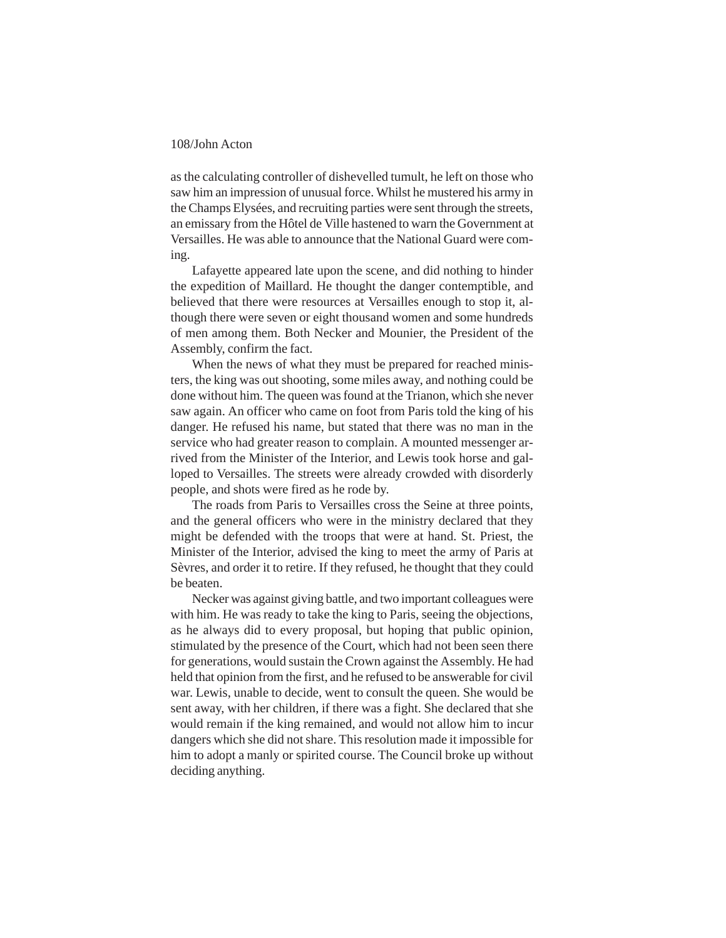as the calculating controller of dishevelled tumult, he left on those who saw him an impression of unusual force. Whilst he mustered his army in the Champs Elysées, and recruiting parties were sent through the streets, an emissary from the Hôtel de Ville hastened to warn the Government at Versailles. He was able to announce that the National Guard were coming.

Lafayette appeared late upon the scene, and did nothing to hinder the expedition of Maillard. He thought the danger contemptible, and believed that there were resources at Versailles enough to stop it, although there were seven or eight thousand women and some hundreds of men among them. Both Necker and Mounier, the President of the Assembly, confirm the fact.

When the news of what they must be prepared for reached ministers, the king was out shooting, some miles away, and nothing could be done without him. The queen was found at the Trianon, which she never saw again. An officer who came on foot from Paris told the king of his danger. He refused his name, but stated that there was no man in the service who had greater reason to complain. A mounted messenger arrived from the Minister of the Interior, and Lewis took horse and galloped to Versailles. The streets were already crowded with disorderly people, and shots were fired as he rode by.

The roads from Paris to Versailles cross the Seine at three points, and the general officers who were in the ministry declared that they might be defended with the troops that were at hand. St. Priest, the Minister of the Interior, advised the king to meet the army of Paris at Sèvres, and order it to retire. If they refused, he thought that they could be beaten.

Necker was against giving battle, and two important colleagues were with him. He was ready to take the king to Paris, seeing the objections, as he always did to every proposal, but hoping that public opinion, stimulated by the presence of the Court, which had not been seen there for generations, would sustain the Crown against the Assembly. He had held that opinion from the first, and he refused to be answerable for civil war. Lewis, unable to decide, went to consult the queen. She would be sent away, with her children, if there was a fight. She declared that she would remain if the king remained, and would not allow him to incur dangers which she did not share. This resolution made it impossible for him to adopt a manly or spirited course. The Council broke up without deciding anything.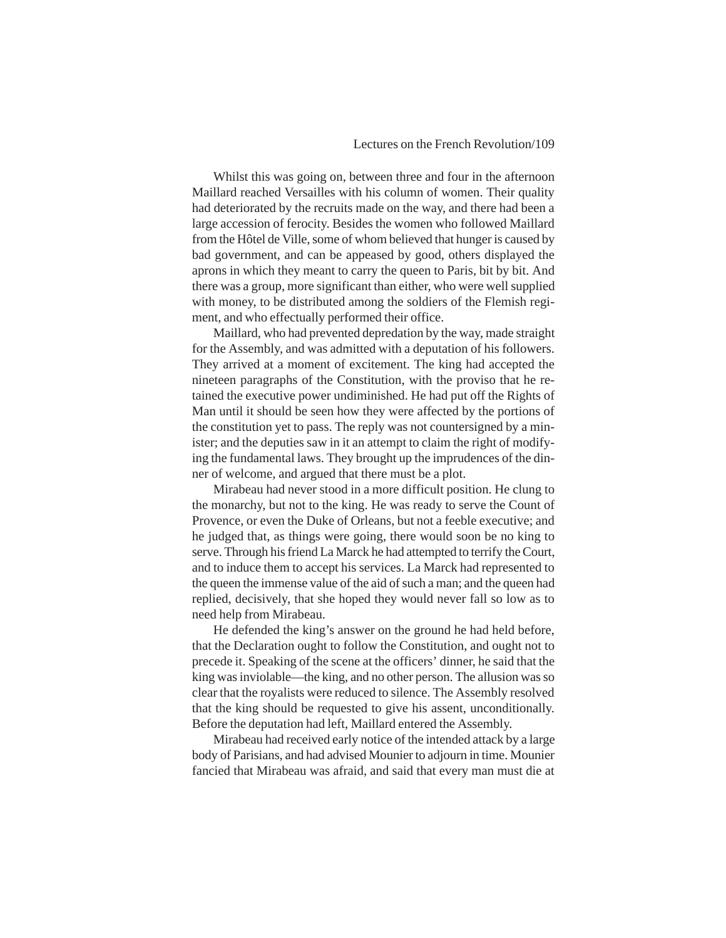#### Lectures on the French Revolution/109

Whilst this was going on, between three and four in the afternoon Maillard reached Versailles with his column of women. Their quality had deteriorated by the recruits made on the way, and there had been a large accession of ferocity. Besides the women who followed Maillard from the Hôtel de Ville, some of whom believed that hunger is caused by bad government, and can be appeased by good, others displayed the aprons in which they meant to carry the queen to Paris, bit by bit. And there was a group, more significant than either, who were well supplied with money, to be distributed among the soldiers of the Flemish regiment, and who effectually performed their office.

Maillard, who had prevented depredation by the way, made straight for the Assembly, and was admitted with a deputation of his followers. They arrived at a moment of excitement. The king had accepted the nineteen paragraphs of the Constitution, with the proviso that he retained the executive power undiminished. He had put off the Rights of Man until it should be seen how they were affected by the portions of the constitution yet to pass. The reply was not countersigned by a minister; and the deputies saw in it an attempt to claim the right of modifying the fundamental laws. They brought up the imprudences of the dinner of welcome, and argued that there must be a plot.

Mirabeau had never stood in a more difficult position. He clung to the monarchy, but not to the king. He was ready to serve the Count of Provence, or even the Duke of Orleans, but not a feeble executive; and he judged that, as things were going, there would soon be no king to serve. Through his friend La Marck he had attempted to terrify the Court, and to induce them to accept his services. La Marck had represented to the queen the immense value of the aid of such a man; and the queen had replied, decisively, that she hoped they would never fall so low as to need help from Mirabeau.

He defended the king's answer on the ground he had held before, that the Declaration ought to follow the Constitution, and ought not to precede it. Speaking of the scene at the officers' dinner, he said that the king was inviolable—the king, and no other person. The allusion was so clear that the royalists were reduced to silence. The Assembly resolved that the king should be requested to give his assent, unconditionally. Before the deputation had left, Maillard entered the Assembly.

Mirabeau had received early notice of the intended attack by a large body of Parisians, and had advised Mounier to adjourn in time. Mounier fancied that Mirabeau was afraid, and said that every man must die at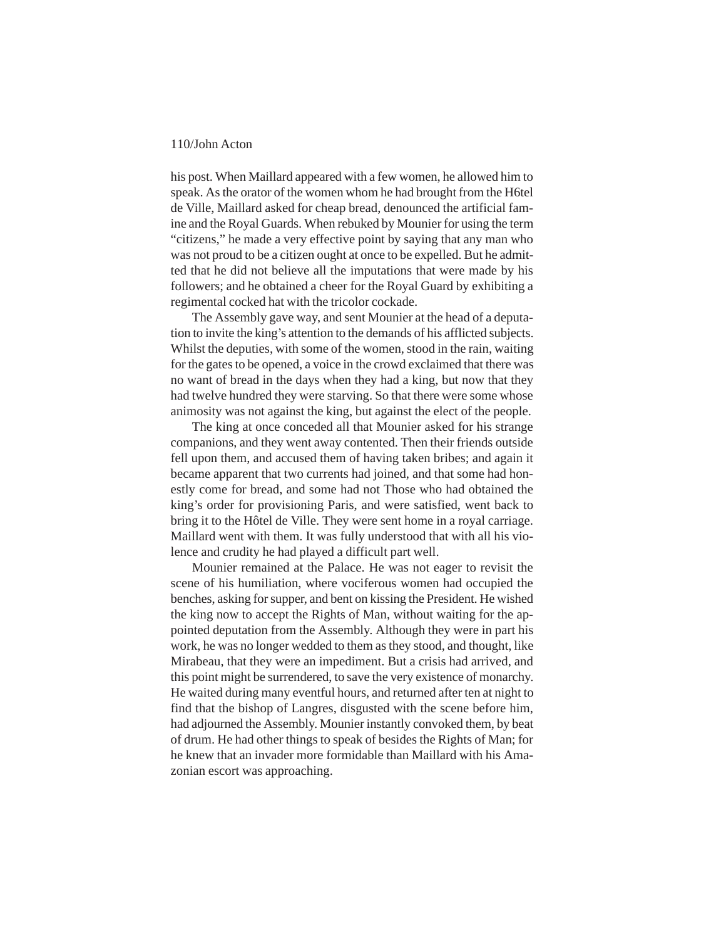his post. When Maillard appeared with a few women, he allowed him to speak. As the orator of the women whom he had brought from the H6tel de Ville, Maillard asked for cheap bread, denounced the artificial famine and the Royal Guards. When rebuked by Mounier for using the term "citizens," he made a very effective point by saying that any man who was not proud to be a citizen ought at once to be expelled. But he admitted that he did not believe all the imputations that were made by his followers; and he obtained a cheer for the Royal Guard by exhibiting a regimental cocked hat with the tricolor cockade.

The Assembly gave way, and sent Mounier at the head of a deputation to invite the king's attention to the demands of his afflicted subjects. Whilst the deputies, with some of the women, stood in the rain, waiting for the gates to be opened, a voice in the crowd exclaimed that there was no want of bread in the days when they had a king, but now that they had twelve hundred they were starving. So that there were some whose animosity was not against the king, but against the elect of the people.

The king at once conceded all that Mounier asked for his strange companions, and they went away contented. Then their friends outside fell upon them, and accused them of having taken bribes; and again it became apparent that two currents had joined, and that some had honestly come for bread, and some had not Those who had obtained the king's order for provisioning Paris, and were satisfied, went back to bring it to the Hôtel de Ville. They were sent home in a royal carriage. Maillard went with them. It was fully understood that with all his violence and crudity he had played a difficult part well.

Mounier remained at the Palace. He was not eager to revisit the scene of his humiliation, where vociferous women had occupied the benches, asking for supper, and bent on kissing the President. He wished the king now to accept the Rights of Man, without waiting for the appointed deputation from the Assembly. Although they were in part his work, he was no longer wedded to them as they stood, and thought, like Mirabeau, that they were an impediment. But a crisis had arrived, and this point might be surrendered, to save the very existence of monarchy. He waited during many eventful hours, and returned after ten at night to find that the bishop of Langres, disgusted with the scene before him, had adjourned the Assembly. Mounier instantly convoked them, by beat of drum. He had other things to speak of besides the Rights of Man; for he knew that an invader more formidable than Maillard with his Amazonian escort was approaching.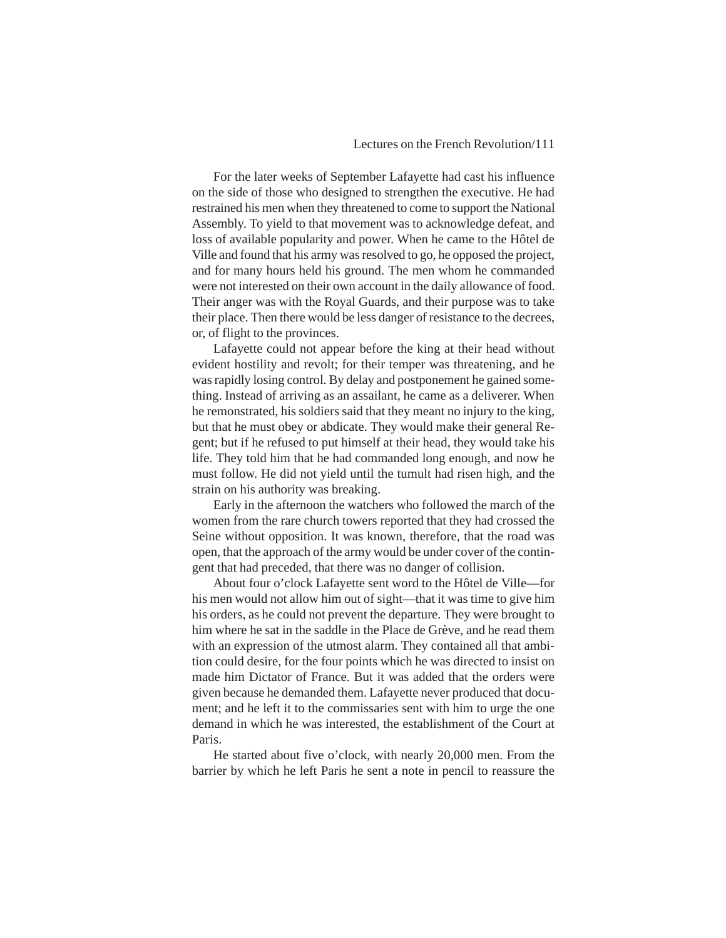#### Lectures on the French Revolution/111

For the later weeks of September Lafayette had cast his influence on the side of those who designed to strengthen the executive. He had restrained his men when they threatened to come to support the National Assembly. To yield to that movement was to acknowledge defeat, and loss of available popularity and power. When he came to the Hôtel de Ville and found that his army was resolved to go, he opposed the project, and for many hours held his ground. The men whom he commanded were not interested on their own account in the daily allowance of food. Their anger was with the Royal Guards, and their purpose was to take their place. Then there would be less danger of resistance to the decrees, or, of flight to the provinces.

Lafayette could not appear before the king at their head without evident hostility and revolt; for their temper was threatening, and he was rapidly losing control. By delay and postponement he gained something. Instead of arriving as an assailant, he came as a deliverer. When he remonstrated, his soldiers said that they meant no injury to the king, but that he must obey or abdicate. They would make their general Regent; but if he refused to put himself at their head, they would take his life. They told him that he had commanded long enough, and now he must follow. He did not yield until the tumult had risen high, and the strain on his authority was breaking.

Early in the afternoon the watchers who followed the march of the women from the rare church towers reported that they had crossed the Seine without opposition. It was known, therefore, that the road was open, that the approach of the army would be under cover of the contingent that had preceded, that there was no danger of collision.

About four o'clock Lafayette sent word to the Hôtel de Ville—for his men would not allow him out of sight—that it was time to give him his orders, as he could not prevent the departure. They were brought to him where he sat in the saddle in the Place de Grève, and he read them with an expression of the utmost alarm. They contained all that ambition could desire, for the four points which he was directed to insist on made him Dictator of France. But it was added that the orders were given because he demanded them. Lafayette never produced that document; and he left it to the commissaries sent with him to urge the one demand in which he was interested, the establishment of the Court at Paris.

He started about five o'clock, with nearly 20,000 men. From the barrier by which he left Paris he sent a note in pencil to reassure the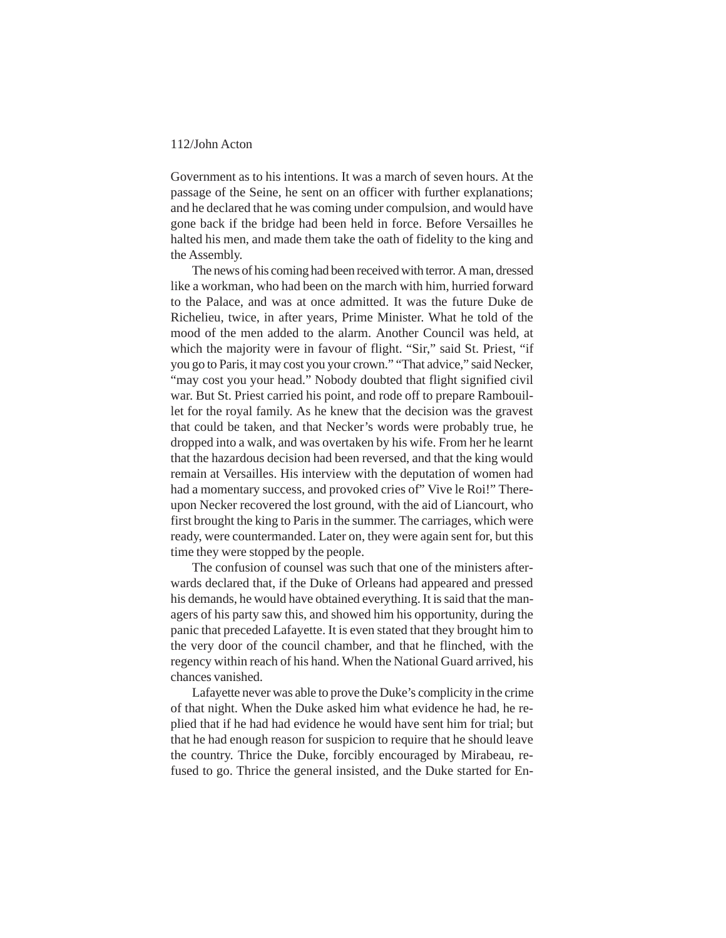Government as to his intentions. It was a march of seven hours. At the passage of the Seine, he sent on an officer with further explanations; and he declared that he was coming under compulsion, and would have gone back if the bridge had been held in force. Before Versailles he halted his men, and made them take the oath of fidelity to the king and the Assembly.

The news of his coming had been received with terror. A man, dressed like a workman, who had been on the march with him, hurried forward to the Palace, and was at once admitted. It was the future Duke de Richelieu, twice, in after years, Prime Minister. What he told of the mood of the men added to the alarm. Another Council was held, at which the majority were in favour of flight. "Sir," said St. Priest, "if you go to Paris, it may cost you your crown." "That advice," said Necker, "may cost you your head." Nobody doubted that flight signified civil war. But St. Priest carried his point, and rode off to prepare Rambouillet for the royal family. As he knew that the decision was the gravest that could be taken, and that Necker's words were probably true, he dropped into a walk, and was overtaken by his wife. From her he learnt that the hazardous decision had been reversed, and that the king would remain at Versailles. His interview with the deputation of women had had a momentary success, and provoked cries of" Vive le Roi!" Thereupon Necker recovered the lost ground, with the aid of Liancourt, who first brought the king to Paris in the summer. The carriages, which were ready, were countermanded. Later on, they were again sent for, but this time they were stopped by the people.

The confusion of counsel was such that one of the ministers afterwards declared that, if the Duke of Orleans had appeared and pressed his demands, he would have obtained everything. It is said that the managers of his party saw this, and showed him his opportunity, during the panic that preceded Lafayette. It is even stated that they brought him to the very door of the council chamber, and that he flinched, with the regency within reach of his hand. When the National Guard arrived, his chances vanished.

Lafayette never was able to prove the Duke's complicity in the crime of that night. When the Duke asked him what evidence he had, he replied that if he had had evidence he would have sent him for trial; but that he had enough reason for suspicion to require that he should leave the country. Thrice the Duke, forcibly encouraged by Mirabeau, refused to go. Thrice the general insisted, and the Duke started for En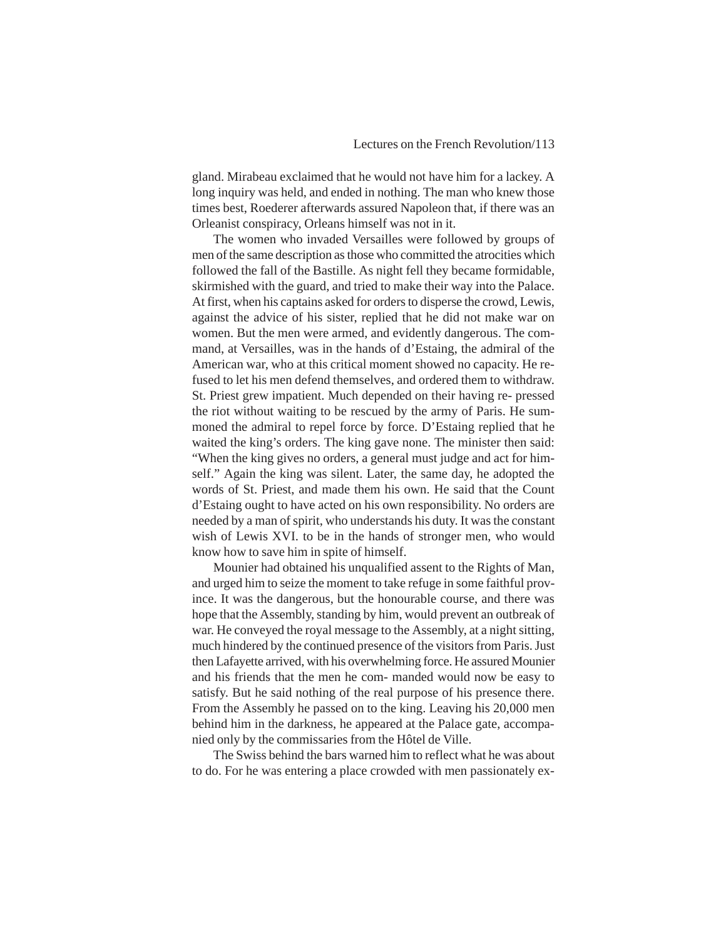gland. Mirabeau exclaimed that he would not have him for a lackey. A long inquiry was held, and ended in nothing. The man who knew those times best, Roederer afterwards assured Napoleon that, if there was an Orleanist conspiracy, Orleans himself was not in it.

The women who invaded Versailles were followed by groups of men of the same description as those who committed the atrocities which followed the fall of the Bastille. As night fell they became formidable, skirmished with the guard, and tried to make their way into the Palace. At first, when his captains asked for orders to disperse the crowd, Lewis, against the advice of his sister, replied that he did not make war on women. But the men were armed, and evidently dangerous. The command, at Versailles, was in the hands of d'Estaing, the admiral of the American war, who at this critical moment showed no capacity. He refused to let his men defend themselves, and ordered them to withdraw. St. Priest grew impatient. Much depended on their having re- pressed the riot without waiting to be rescued by the army of Paris. He summoned the admiral to repel force by force. D'Estaing replied that he waited the king's orders. The king gave none. The minister then said: "When the king gives no orders, a general must judge and act for himself." Again the king was silent. Later, the same day, he adopted the words of St. Priest, and made them his own. He said that the Count d'Estaing ought to have acted on his own responsibility. No orders are needed by a man of spirit, who understands his duty. It was the constant wish of Lewis XVI. to be in the hands of stronger men, who would know how to save him in spite of himself.

Mounier had obtained his unqualified assent to the Rights of Man, and urged him to seize the moment to take refuge in some faithful province. It was the dangerous, but the honourable course, and there was hope that the Assembly, standing by him, would prevent an outbreak of war. He conveyed the royal message to the Assembly, at a night sitting, much hindered by the continued presence of the visitors from Paris. Just then Lafayette arrived, with his overwhelming force. He assured Mounier and his friends that the men he com- manded would now be easy to satisfy. But he said nothing of the real purpose of his presence there. From the Assembly he passed on to the king. Leaving his 20,000 men behind him in the darkness, he appeared at the Palace gate, accompanied only by the commissaries from the Hôtel de Ville.

The Swiss behind the bars warned him to reflect what he was about to do. For he was entering a place crowded with men passionately ex-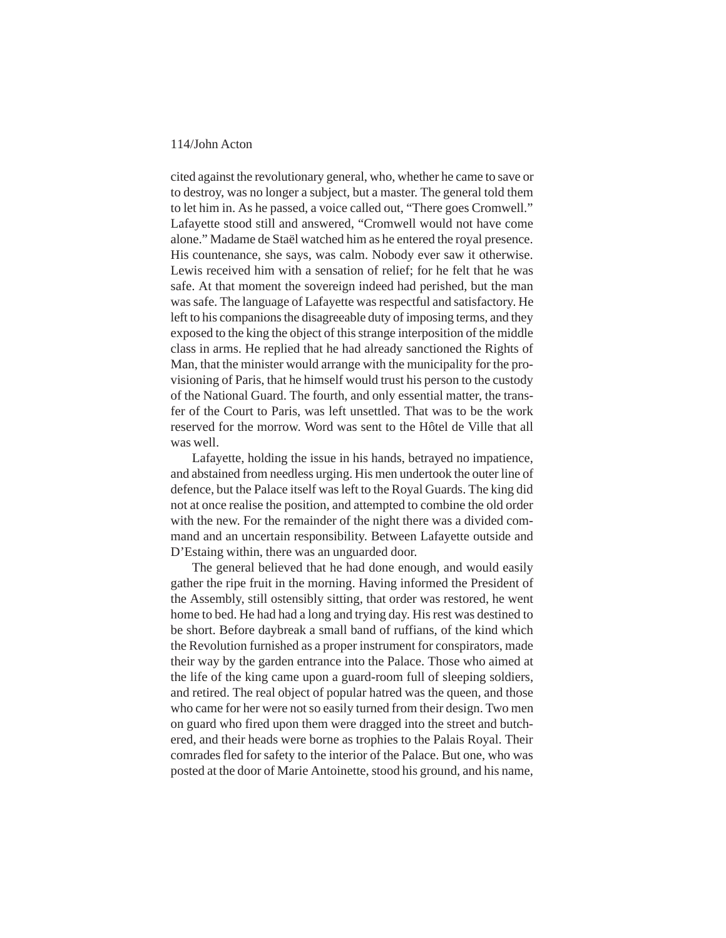cited against the revolutionary general, who, whether he came to save or to destroy, was no longer a subject, but a master. The general told them to let him in. As he passed, a voice called out, "There goes Cromwell." Lafayette stood still and answered, "Cromwell would not have come alone." Madame de Staël watched him as he entered the royal presence. His countenance, she says, was calm. Nobody ever saw it otherwise. Lewis received him with a sensation of relief; for he felt that he was safe. At that moment the sovereign indeed had perished, but the man was safe. The language of Lafayette was respectful and satisfactory. He left to his companions the disagreeable duty of imposing terms, and they exposed to the king the object of this strange interposition of the middle class in arms. He replied that he had already sanctioned the Rights of Man, that the minister would arrange with the municipality for the provisioning of Paris, that he himself would trust his person to the custody of the National Guard. The fourth, and only essential matter, the transfer of the Court to Paris, was left unsettled. That was to be the work reserved for the morrow. Word was sent to the Hôtel de Ville that all was well.

Lafayette, holding the issue in his hands, betrayed no impatience, and abstained from needless urging. His men undertook the outer line of defence, but the Palace itself was left to the Royal Guards. The king did not at once realise the position, and attempted to combine the old order with the new. For the remainder of the night there was a divided command and an uncertain responsibility. Between Lafayette outside and D'Estaing within, there was an unguarded door.

The general believed that he had done enough, and would easily gather the ripe fruit in the morning. Having informed the President of the Assembly, still ostensibly sitting, that order was restored, he went home to bed. He had had a long and trying day. His rest was destined to be short. Before daybreak a small band of ruffians, of the kind which the Revolution furnished as a proper instrument for conspirators, made their way by the garden entrance into the Palace. Those who aimed at the life of the king came upon a guard-room full of sleeping soldiers, and retired. The real object of popular hatred was the queen, and those who came for her were not so easily turned from their design. Two men on guard who fired upon them were dragged into the street and butchered, and their heads were borne as trophies to the Palais Royal. Their comrades fled for safety to the interior of the Palace. But one, who was posted at the door of Marie Antoinette, stood his ground, and his name,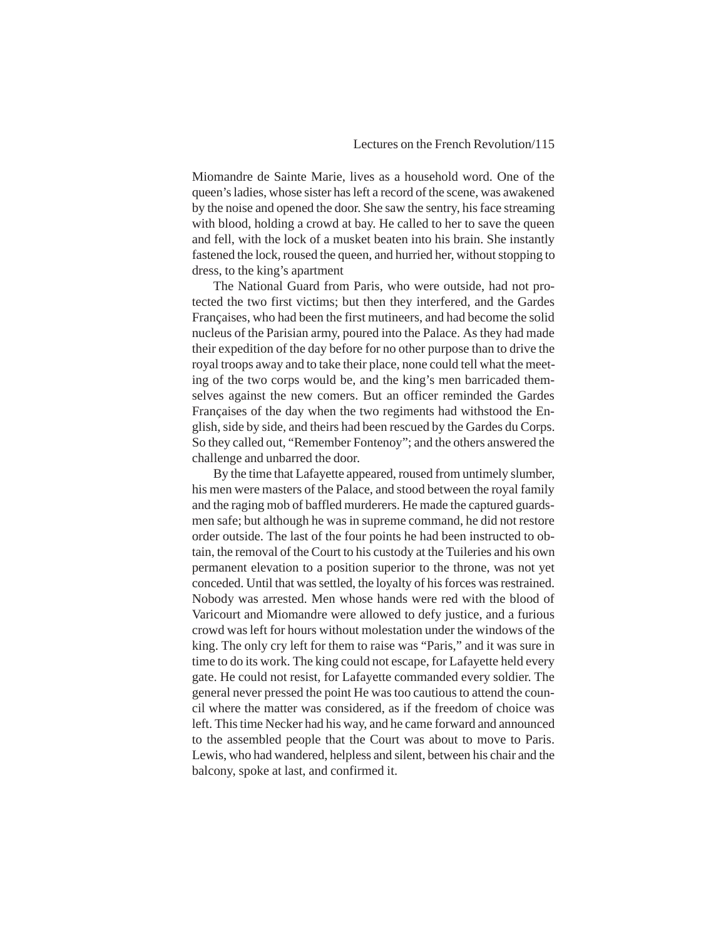Miomandre de Sainte Marie, lives as a household word. One of the queen's ladies, whose sister has left a record of the scene, was awakened by the noise and opened the door. She saw the sentry, his face streaming with blood, holding a crowd at bay. He called to her to save the queen and fell, with the lock of a musket beaten into his brain. She instantly fastened the lock, roused the queen, and hurried her, without stopping to dress, to the king's apartment

The National Guard from Paris, who were outside, had not protected the two first victims; but then they interfered, and the Gardes Françaises, who had been the first mutineers, and had become the solid nucleus of the Parisian army, poured into the Palace. As they had made their expedition of the day before for no other purpose than to drive the royal troops away and to take their place, none could tell what the meeting of the two corps would be, and the king's men barricaded themselves against the new comers. But an officer reminded the Gardes Françaises of the day when the two regiments had withstood the English, side by side, and theirs had been rescued by the Gardes du Corps. So they called out, "Remember Fontenoy"; and the others answered the challenge and unbarred the door.

By the time that Lafayette appeared, roused from untimely slumber, his men were masters of the Palace, and stood between the royal family and the raging mob of baffled murderers. He made the captured guardsmen safe; but although he was in supreme command, he did not restore order outside. The last of the four points he had been instructed to obtain, the removal of the Court to his custody at the Tuileries and his own permanent elevation to a position superior to the throne, was not yet conceded. Until that was settled, the loyalty of his forces was restrained. Nobody was arrested. Men whose hands were red with the blood of Varicourt and Miomandre were allowed to defy justice, and a furious crowd was left for hours without molestation under the windows of the king. The only cry left for them to raise was "Paris," and it was sure in time to do its work. The king could not escape, for Lafayette held every gate. He could not resist, for Lafayette commanded every soldier. The general never pressed the point He was too cautious to attend the council where the matter was considered, as if the freedom of choice was left. This time Necker had his way, and he came forward and announced to the assembled people that the Court was about to move to Paris. Lewis, who had wandered, helpless and silent, between his chair and the balcony, spoke at last, and confirmed it.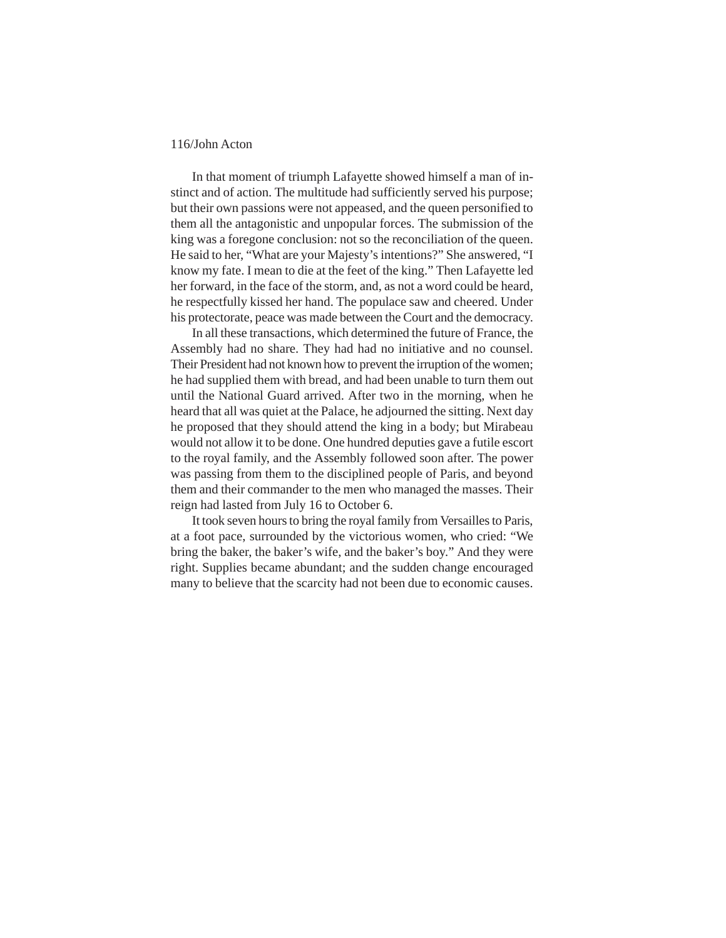In that moment of triumph Lafayette showed himself a man of instinct and of action. The multitude had sufficiently served his purpose; but their own passions were not appeased, and the queen personified to them all the antagonistic and unpopular forces. The submission of the king was a foregone conclusion: not so the reconciliation of the queen. He said to her, "What are your Majesty's intentions?" She answered, "I know my fate. I mean to die at the feet of the king." Then Lafayette led her forward, in the face of the storm, and, as not a word could be heard, he respectfully kissed her hand. The populace saw and cheered. Under his protectorate, peace was made between the Court and the democracy.

In all these transactions, which determined the future of France, the Assembly had no share. They had had no initiative and no counsel. Their President had not known how to prevent the irruption of the women; he had supplied them with bread, and had been unable to turn them out until the National Guard arrived. After two in the morning, when he heard that all was quiet at the Palace, he adjourned the sitting. Next day he proposed that they should attend the king in a body; but Mirabeau would not allow it to be done. One hundred deputies gave a futile escort to the royal family, and the Assembly followed soon after. The power was passing from them to the disciplined people of Paris, and beyond them and their commander to the men who managed the masses. Their reign had lasted from July 16 to October 6.

It took seven hours to bring the royal family from Versailles to Paris, at a foot pace, surrounded by the victorious women, who cried: "We bring the baker, the baker's wife, and the baker's boy." And they were right. Supplies became abundant; and the sudden change encouraged many to believe that the scarcity had not been due to economic causes.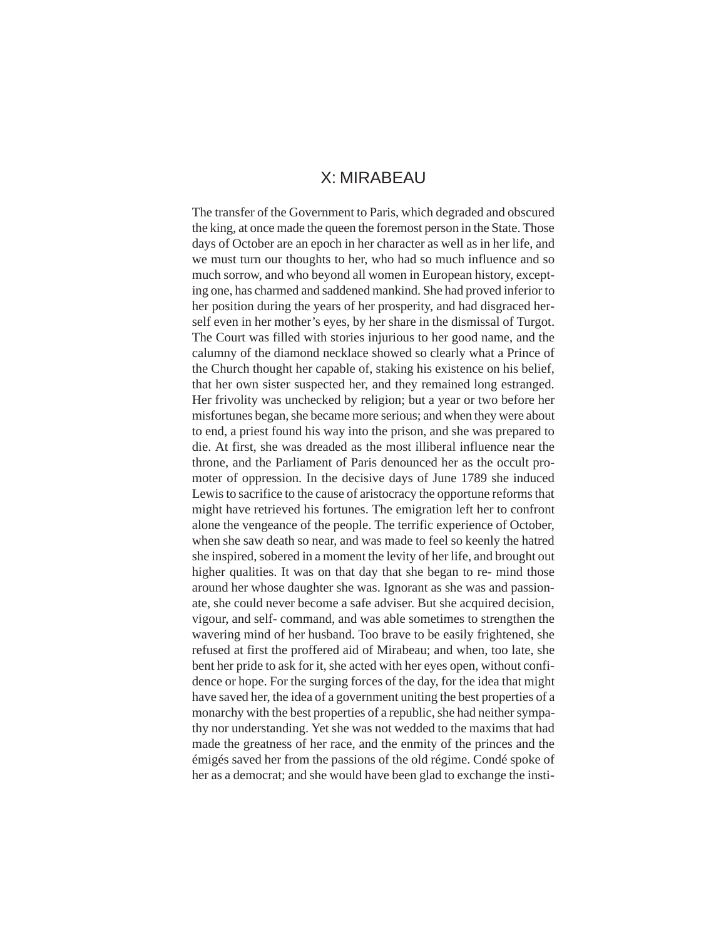# X: MIRABEAU

The transfer of the Government to Paris, which degraded and obscured the king, at once made the queen the foremost person in the State. Those days of October are an epoch in her character as well as in her life, and we must turn our thoughts to her, who had so much influence and so much sorrow, and who beyond all women in European history, excepting one, has charmed and saddened mankind. She had proved inferior to her position during the years of her prosperity, and had disgraced herself even in her mother's eyes, by her share in the dismissal of Turgot. The Court was filled with stories injurious to her good name, and the calumny of the diamond necklace showed so clearly what a Prince of the Church thought her capable of, staking his existence on his belief, that her own sister suspected her, and they remained long estranged. Her frivolity was unchecked by religion; but a year or two before her misfortunes began, she became more serious; and when they were about to end, a priest found his way into the prison, and she was prepared to die. At first, she was dreaded as the most illiberal influence near the throne, and the Parliament of Paris denounced her as the occult promoter of oppression. In the decisive days of June 1789 she induced Lewis to sacrifice to the cause of aristocracy the opportune reforms that might have retrieved his fortunes. The emigration left her to confront alone the vengeance of the people. The terrific experience of October, when she saw death so near, and was made to feel so keenly the hatred she inspired, sobered in a moment the levity of her life, and brought out higher qualities. It was on that day that she began to re- mind those around her whose daughter she was. Ignorant as she was and passionate, she could never become a safe adviser. But she acquired decision, vigour, and self- command, and was able sometimes to strengthen the wavering mind of her husband. Too brave to be easily frightened, she refused at first the proffered aid of Mirabeau; and when, too late, she bent her pride to ask for it, she acted with her eyes open, without confidence or hope. For the surging forces of the day, for the idea that might have saved her, the idea of a government uniting the best properties of a monarchy with the best properties of a republic, she had neither sympathy nor understanding. Yet she was not wedded to the maxims that had made the greatness of her race, and the enmity of the princes and the émigés saved her from the passions of the old régime. Condé spoke of her as a democrat; and she would have been glad to exchange the insti-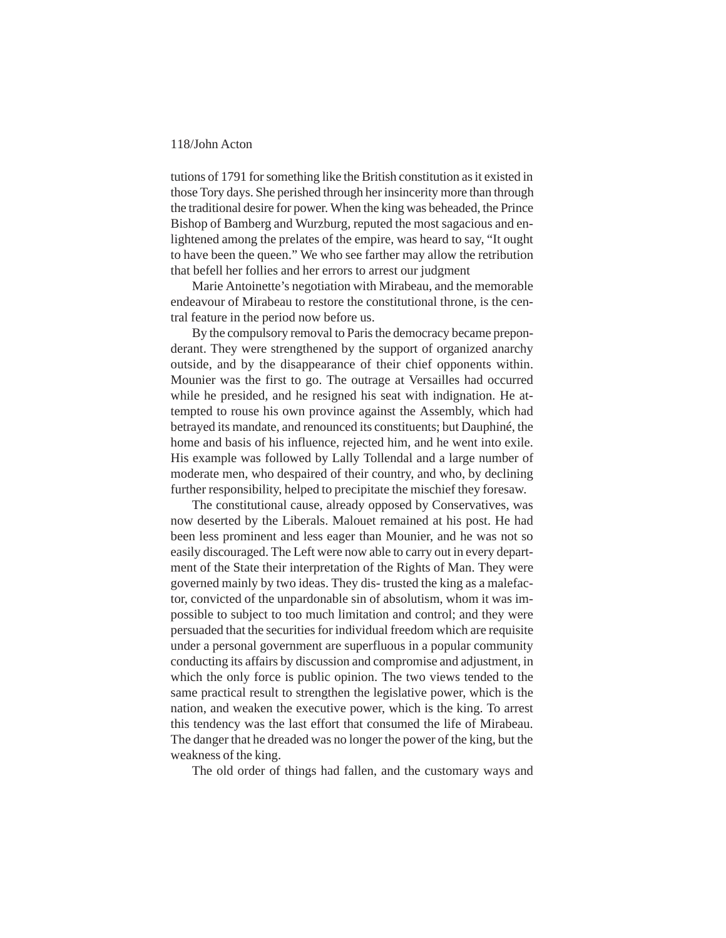tutions of 1791 for something like the British constitution as it existed in those Tory days. She perished through her insincerity more than through the traditional desire for power. When the king was beheaded, the Prince Bishop of Bamberg and Wurzburg, reputed the most sagacious and enlightened among the prelates of the empire, was heard to say, "It ought to have been the queen." We who see farther may allow the retribution that befell her follies and her errors to arrest our judgment

Marie Antoinette's negotiation with Mirabeau, and the memorable endeavour of Mirabeau to restore the constitutional throne, is the central feature in the period now before us.

By the compulsory removal to Paris the democracy became preponderant. They were strengthened by the support of organized anarchy outside, and by the disappearance of their chief opponents within. Mounier was the first to go. The outrage at Versailles had occurred while he presided, and he resigned his seat with indignation. He attempted to rouse his own province against the Assembly, which had betrayed its mandate, and renounced its constituents; but Dauphiné, the home and basis of his influence, rejected him, and he went into exile. His example was followed by Lally Tollendal and a large number of moderate men, who despaired of their country, and who, by declining further responsibility, helped to precipitate the mischief they foresaw.

The constitutional cause, already opposed by Conservatives, was now deserted by the Liberals. Malouet remained at his post. He had been less prominent and less eager than Mounier, and he was not so easily discouraged. The Left were now able to carry out in every department of the State their interpretation of the Rights of Man. They were governed mainly by two ideas. They dis- trusted the king as a malefactor, convicted of the unpardonable sin of absolutism, whom it was impossible to subject to too much limitation and control; and they were persuaded that the securities for individual freedom which are requisite under a personal government are superfluous in a popular community conducting its affairs by discussion and compromise and adjustment, in which the only force is public opinion. The two views tended to the same practical result to strengthen the legislative power, which is the nation, and weaken the executive power, which is the king. To arrest this tendency was the last effort that consumed the life of Mirabeau. The danger that he dreaded was no longer the power of the king, but the weakness of the king.

The old order of things had fallen, and the customary ways and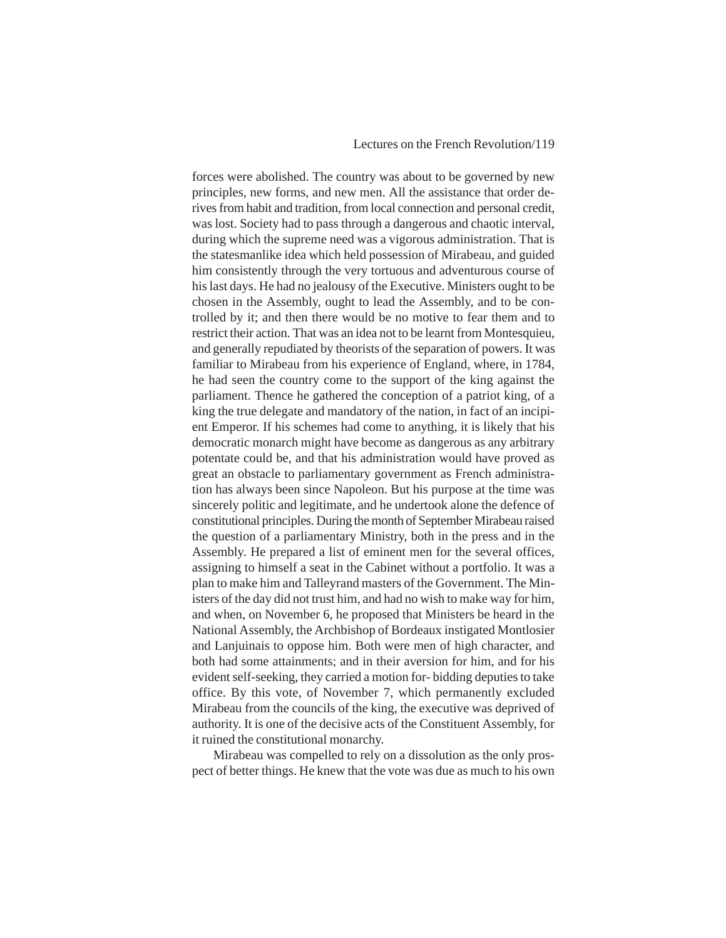forces were abolished. The country was about to be governed by new principles, new forms, and new men. All the assistance that order derives from habit and tradition, from local connection and personal credit, was lost. Society had to pass through a dangerous and chaotic interval, during which the supreme need was a vigorous administration. That is the statesmanlike idea which held possession of Mirabeau, and guided him consistently through the very tortuous and adventurous course of his last days. He had no jealousy of the Executive. Ministers ought to be chosen in the Assembly, ought to lead the Assembly, and to be controlled by it; and then there would be no motive to fear them and to restrict their action. That was an idea not to be learnt from Montesquieu, and generally repudiated by theorists of the separation of powers. It was familiar to Mirabeau from his experience of England, where, in 1784, he had seen the country come to the support of the king against the parliament. Thence he gathered the conception of a patriot king, of a king the true delegate and mandatory of the nation, in fact of an incipient Emperor. If his schemes had come to anything, it is likely that his democratic monarch might have become as dangerous as any arbitrary potentate could be, and that his administration would have proved as great an obstacle to parliamentary government as French administration has always been since Napoleon. But his purpose at the time was sincerely politic and legitimate, and he undertook alone the defence of constitutional principles. During the month of September Mirabeau raised the question of a parliamentary Ministry, both in the press and in the Assembly. He prepared a list of eminent men for the several offices, assigning to himself a seat in the Cabinet without a portfolio. It was a plan to make him and Talleyrand masters of the Government. The Ministers of the day did not trust him, and had no wish to make way for him, and when, on November 6, he proposed that Ministers be heard in the National Assembly, the Archbishop of Bordeaux instigated Montlosier and Lanjuinais to oppose him. Both were men of high character, and both had some attainments; and in their aversion for him, and for his evident self-seeking, they carried a motion for- bidding deputies to take office. By this vote, of November 7, which permanently excluded Mirabeau from the councils of the king, the executive was deprived of authority. It is one of the decisive acts of the Constituent Assembly, for it ruined the constitutional monarchy.

Mirabeau was compelled to rely on a dissolution as the only prospect of better things. He knew that the vote was due as much to his own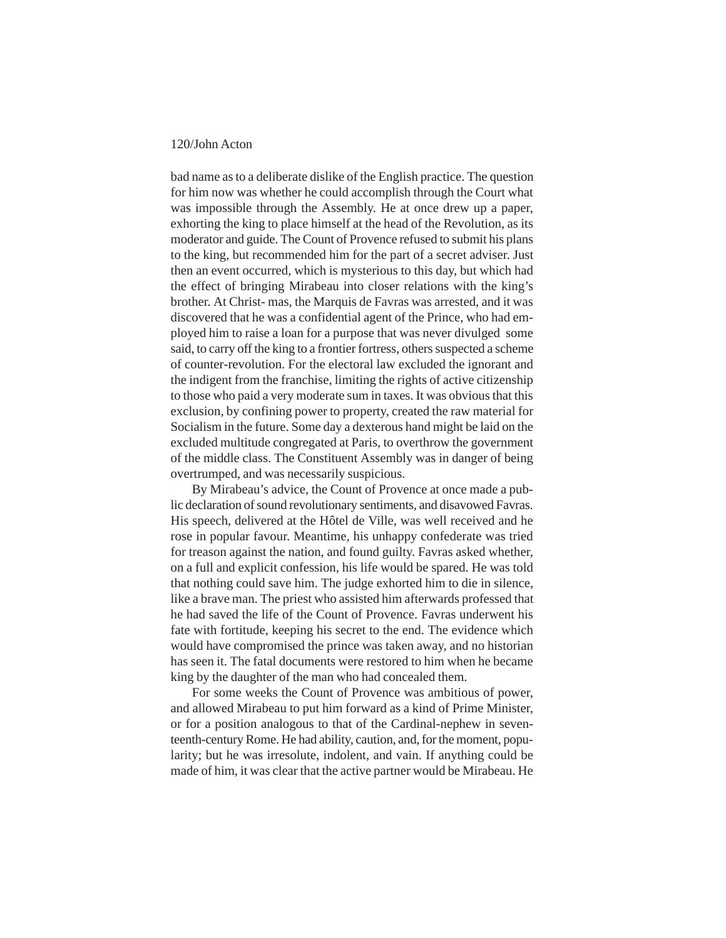bad name as to a deliberate dislike of the English practice. The question for him now was whether he could accomplish through the Court what was impossible through the Assembly. He at once drew up a paper, exhorting the king to place himself at the head of the Revolution, as its moderator and guide. The Count of Provence refused to submit his plans to the king, but recommended him for the part of a secret adviser. Just then an event occurred, which is mysterious to this day, but which had the effect of bringing Mirabeau into closer relations with the king's brother. At Christ- mas, the Marquis de Favras was arrested, and it was discovered that he was a confidential agent of the Prince, who had employed him to raise a loan for a purpose that was never divulged some said, to carry off the king to a frontier fortress, others suspected a scheme of counter-revolution. For the electoral law excluded the ignorant and the indigent from the franchise, limiting the rights of active citizenship to those who paid a very moderate sum in taxes. It was obvious that this exclusion, by confining power to property, created the raw material for Socialism in the future. Some day a dexterous hand might be laid on the excluded multitude congregated at Paris, to overthrow the government of the middle class. The Constituent Assembly was in danger of being overtrumped, and was necessarily suspicious.

By Mirabeau's advice, the Count of Provence at once made a public declaration of sound revolutionary sentiments, and disavowed Favras. His speech, delivered at the Hôtel de Ville, was well received and he rose in popular favour. Meantime, his unhappy confederate was tried for treason against the nation, and found guilty. Favras asked whether, on a full and explicit confession, his life would be spared. He was told that nothing could save him. The judge exhorted him to die in silence, like a brave man. The priest who assisted him afterwards professed that he had saved the life of the Count of Provence. Favras underwent his fate with fortitude, keeping his secret to the end. The evidence which would have compromised the prince was taken away, and no historian has seen it. The fatal documents were restored to him when he became king by the daughter of the man who had concealed them.

For some weeks the Count of Provence was ambitious of power, and allowed Mirabeau to put him forward as a kind of Prime Minister, or for a position analogous to that of the Cardinal-nephew in seventeenth-century Rome. He had ability, caution, and, for the moment, popularity; but he was irresolute, indolent, and vain. If anything could be made of him, it was clear that the active partner would be Mirabeau. He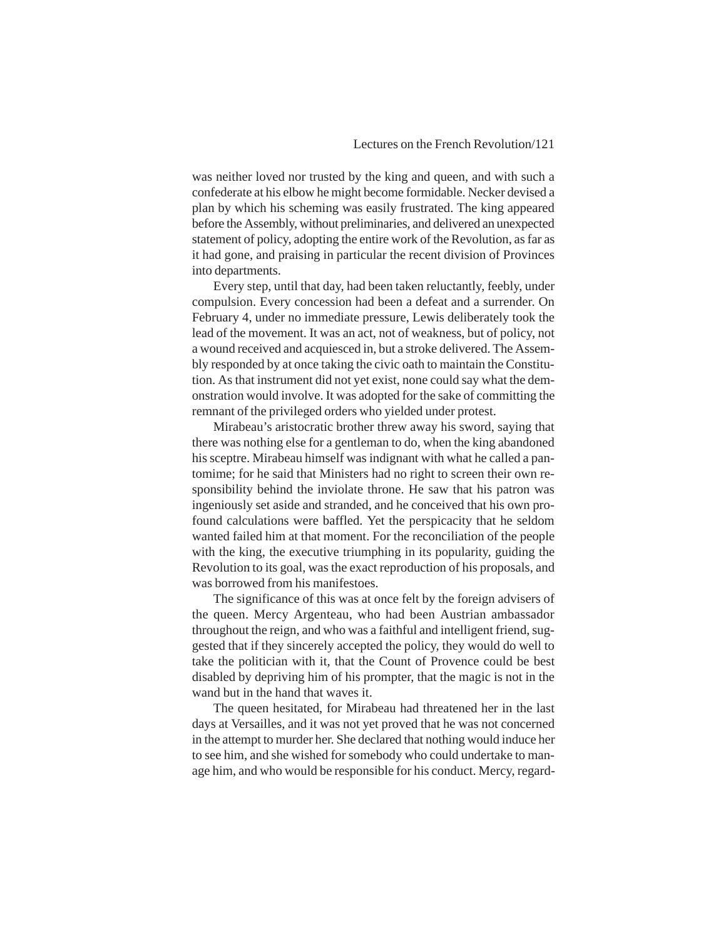was neither loved nor trusted by the king and queen, and with such a confederate at his elbow he might become formidable. Necker devised a plan by which his scheming was easily frustrated. The king appeared before the Assembly, without preliminaries, and delivered an unexpected statement of policy, adopting the entire work of the Revolution, as far as it had gone, and praising in particular the recent division of Provinces into departments.

Every step, until that day, had been taken reluctantly, feebly, under compulsion. Every concession had been a defeat and a surrender. On February 4, under no immediate pressure, Lewis deliberately took the lead of the movement. It was an act, not of weakness, but of policy, not a wound received and acquiesced in, but a stroke delivered. The Assembly responded by at once taking the civic oath to maintain the Constitution. As that instrument did not yet exist, none could say what the demonstration would involve. It was adopted for the sake of committing the remnant of the privileged orders who yielded under protest.

Mirabeau's aristocratic brother threw away his sword, saying that there was nothing else for a gentleman to do, when the king abandoned his sceptre. Mirabeau himself was indignant with what he called a pantomime; for he said that Ministers had no right to screen their own responsibility behind the inviolate throne. He saw that his patron was ingeniously set aside and stranded, and he conceived that his own profound calculations were baffled. Yet the perspicacity that he seldom wanted failed him at that moment. For the reconciliation of the people with the king, the executive triumphing in its popularity, guiding the Revolution to its goal, was the exact reproduction of his proposals, and was borrowed from his manifestoes.

The significance of this was at once felt by the foreign advisers of the queen. Mercy Argenteau, who had been Austrian ambassador throughout the reign, and who was a faithful and intelligent friend, suggested that if they sincerely accepted the policy, they would do well to take the politician with it, that the Count of Provence could be best disabled by depriving him of his prompter, that the magic is not in the wand but in the hand that waves it.

The queen hesitated, for Mirabeau had threatened her in the last days at Versailles, and it was not yet proved that he was not concerned in the attempt to murder her. She declared that nothing would induce her to see him, and she wished for somebody who could undertake to manage him, and who would be responsible for his conduct. Mercy, regard-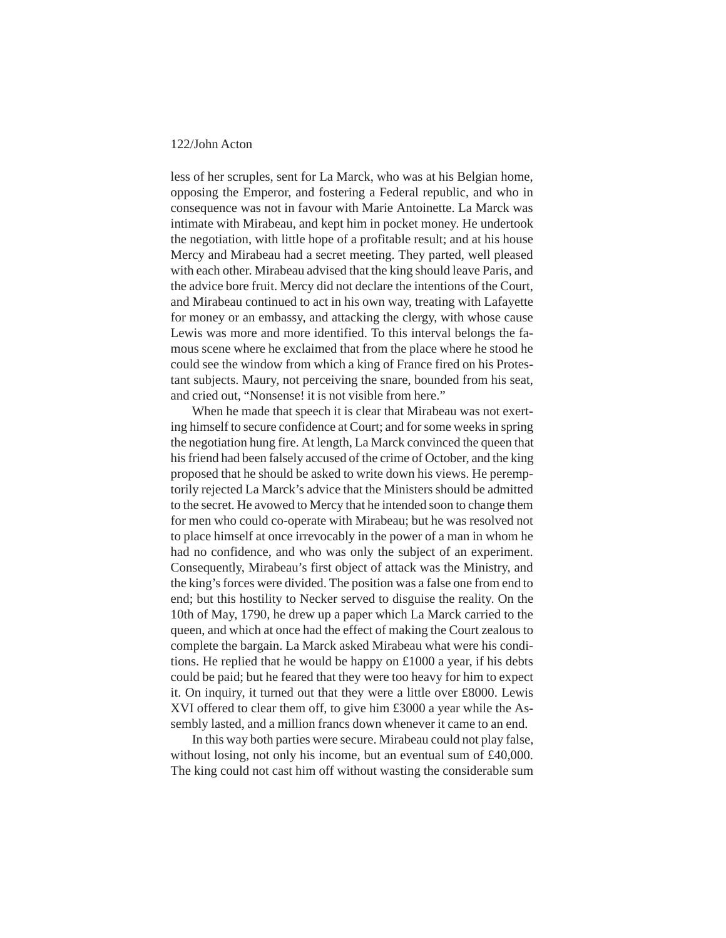less of her scruples, sent for La Marck, who was at his Belgian home, opposing the Emperor, and fostering a Federal republic, and who in consequence was not in favour with Marie Antoinette. La Marck was intimate with Mirabeau, and kept him in pocket money. He undertook the negotiation, with little hope of a profitable result; and at his house Mercy and Mirabeau had a secret meeting. They parted, well pleased with each other. Mirabeau advised that the king should leave Paris, and the advice bore fruit. Mercy did not declare the intentions of the Court, and Mirabeau continued to act in his own way, treating with Lafayette for money or an embassy, and attacking the clergy, with whose cause Lewis was more and more identified. To this interval belongs the famous scene where he exclaimed that from the place where he stood he could see the window from which a king of France fired on his Protestant subjects. Maury, not perceiving the snare, bounded from his seat, and cried out, "Nonsense! it is not visible from here."

When he made that speech it is clear that Mirabeau was not exerting himself to secure confidence at Court; and for some weeks in spring the negotiation hung fire. At length, La Marck convinced the queen that his friend had been falsely accused of the crime of October, and the king proposed that he should be asked to write down his views. He peremptorily rejected La Marck's advice that the Ministers should be admitted to the secret. He avowed to Mercy that he intended soon to change them for men who could co-operate with Mirabeau; but he was resolved not to place himself at once irrevocably in the power of a man in whom he had no confidence, and who was only the subject of an experiment. Consequently, Mirabeau's first object of attack was the Ministry, and the king's forces were divided. The position was a false one from end to end; but this hostility to Necker served to disguise the reality. On the 10th of May, 1790, he drew up a paper which La Marck carried to the queen, and which at once had the effect of making the Court zealous to complete the bargain. La Marck asked Mirabeau what were his conditions. He replied that he would be happy on £1000 a year, if his debts could be paid; but he feared that they were too heavy for him to expect it. On inquiry, it turned out that they were a little over £8000. Lewis XVI offered to clear them off, to give him £3000 a year while the Assembly lasted, and a million francs down whenever it came to an end.

In this way both parties were secure. Mirabeau could not play false, without losing, not only his income, but an eventual sum of £40,000. The king could not cast him off without wasting the considerable sum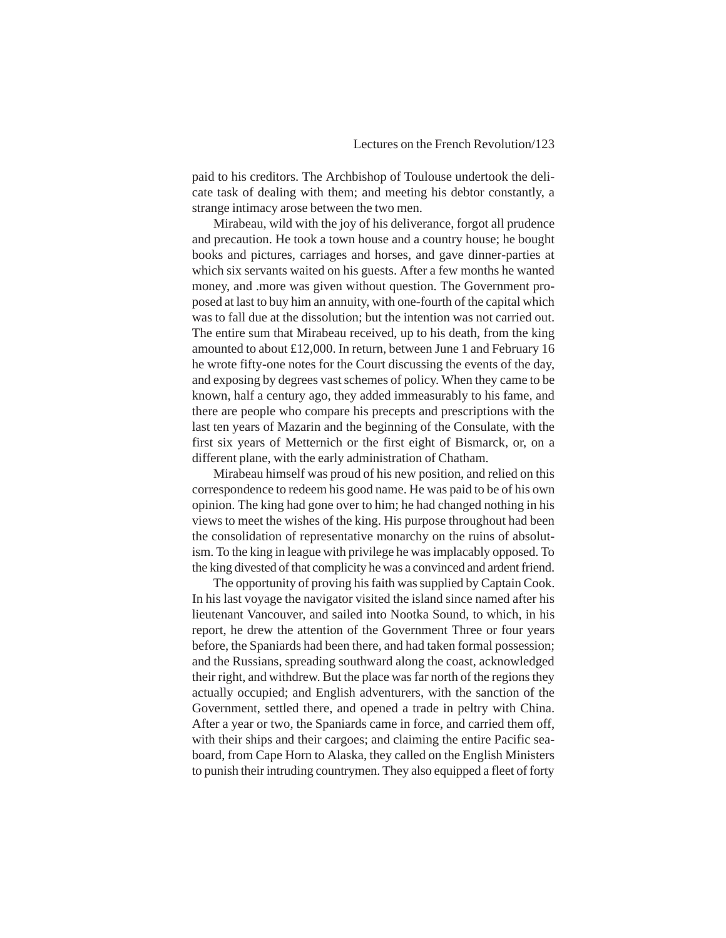paid to his creditors. The Archbishop of Toulouse undertook the delicate task of dealing with them; and meeting his debtor constantly, a strange intimacy arose between the two men.

Mirabeau, wild with the joy of his deliverance, forgot all prudence and precaution. He took a town house and a country house; he bought books and pictures, carriages and horses, and gave dinner-parties at which six servants waited on his guests. After a few months he wanted money, and .more was given without question. The Government proposed at last to buy him an annuity, with one-fourth of the capital which was to fall due at the dissolution; but the intention was not carried out. The entire sum that Mirabeau received, up to his death, from the king amounted to about £12,000. In return, between June 1 and February 16 he wrote fifty-one notes for the Court discussing the events of the day, and exposing by degrees vast schemes of policy. When they came to be known, half a century ago, they added immeasurably to his fame, and there are people who compare his precepts and prescriptions with the last ten years of Mazarin and the beginning of the Consulate, with the first six years of Metternich or the first eight of Bismarck, or, on a different plane, with the early administration of Chatham.

Mirabeau himself was proud of his new position, and relied on this correspondence to redeem his good name. He was paid to be of his own opinion. The king had gone over to him; he had changed nothing in his views to meet the wishes of the king. His purpose throughout had been the consolidation of representative monarchy on the ruins of absolutism. To the king in league with privilege he was implacably opposed. To the king divested of that complicity he was a convinced and ardent friend.

The opportunity of proving his faith was supplied by Captain Cook. In his last voyage the navigator visited the island since named after his lieutenant Vancouver, and sailed into Nootka Sound, to which, in his report, he drew the attention of the Government Three or four years before, the Spaniards had been there, and had taken formal possession; and the Russians, spreading southward along the coast, acknowledged their right, and withdrew. But the place was far north of the regions they actually occupied; and English adventurers, with the sanction of the Government, settled there, and opened a trade in peltry with China. After a year or two, the Spaniards came in force, and carried them off, with their ships and their cargoes; and claiming the entire Pacific seaboard, from Cape Horn to Alaska, they called on the English Ministers to punish their intruding countrymen. They also equipped a fleet of forty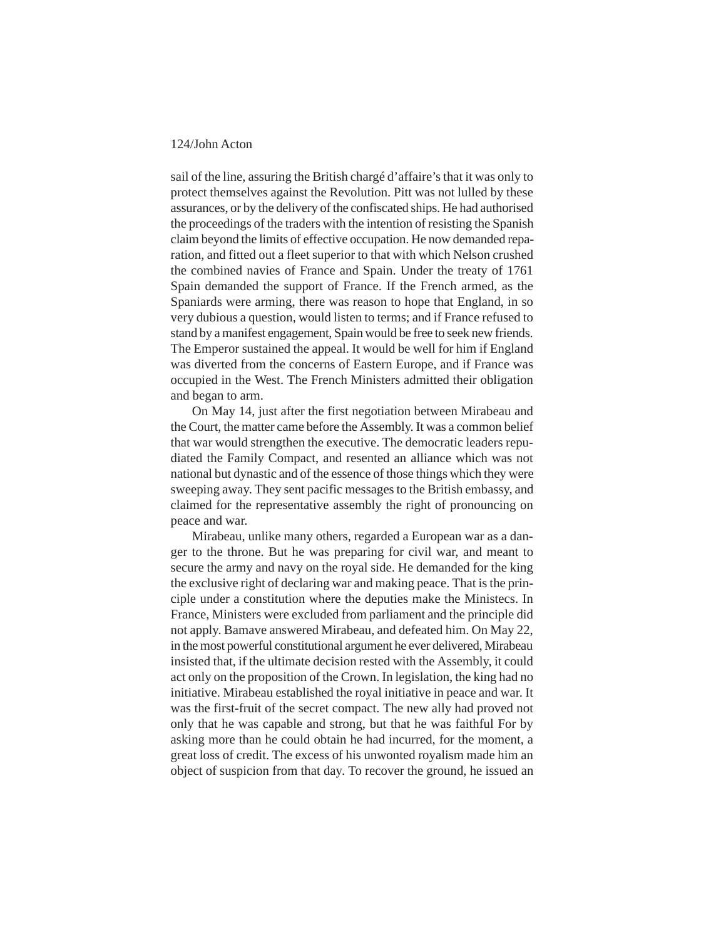sail of the line, assuring the British chargé d'affaire's that it was only to protect themselves against the Revolution. Pitt was not lulled by these assurances, or by the delivery of the confiscated ships. He had authorised the proceedings of the traders with the intention of resisting the Spanish claim beyond the limits of effective occupation. He now demanded reparation, and fitted out a fleet superior to that with which Nelson crushed the combined navies of France and Spain. Under the treaty of 1761 Spain demanded the support of France. If the French armed, as the Spaniards were arming, there was reason to hope that England, in so very dubious a question, would listen to terms; and if France refused to stand by a manifest engagement, Spain would be free to seek new friends. The Emperor sustained the appeal. It would be well for him if England was diverted from the concerns of Eastern Europe, and if France was occupied in the West. The French Ministers admitted their obligation and began to arm.

On May 14, just after the first negotiation between Mirabeau and the Court, the matter came before the Assembly. It was a common belief that war would strengthen the executive. The democratic leaders repudiated the Family Compact, and resented an alliance which was not national but dynastic and of the essence of those things which they were sweeping away. They sent pacific messages to the British embassy, and claimed for the representative assembly the right of pronouncing on peace and war.

Mirabeau, unlike many others, regarded a European war as a danger to the throne. But he was preparing for civil war, and meant to secure the army and navy on the royal side. He demanded for the king the exclusive right of declaring war and making peace. That is the principle under a constitution where the deputies make the Ministecs. In France, Ministers were excluded from parliament and the principle did not apply. Bamave answered Mirabeau, and defeated him. On May 22, in the most powerful constitutional argument he ever delivered, Mirabeau insisted that, if the ultimate decision rested with the Assembly, it could act only on the proposition of the Crown. In legislation, the king had no initiative. Mirabeau established the royal initiative in peace and war. It was the first-fruit of the secret compact. The new ally had proved not only that he was capable and strong, but that he was faithful For by asking more than he could obtain he had incurred, for the moment, a great loss of credit. The excess of his unwonted royalism made him an object of suspicion from that day. To recover the ground, he issued an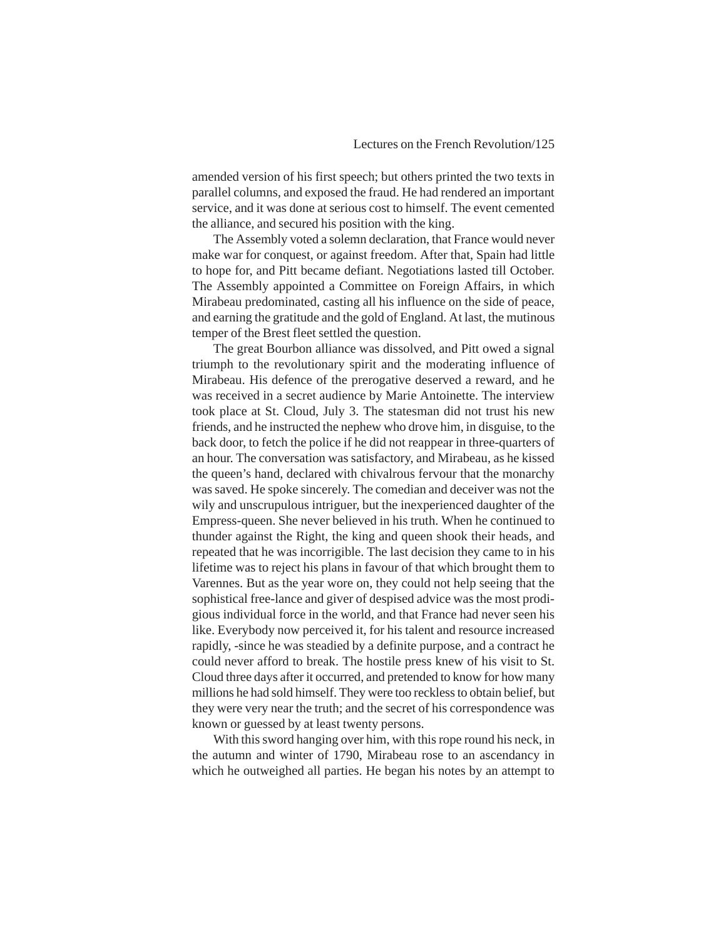amended version of his first speech; but others printed the two texts in parallel columns, and exposed the fraud. He had rendered an important service, and it was done at serious cost to himself. The event cemented the alliance, and secured his position with the king.

The Assembly voted a solemn declaration, that France would never make war for conquest, or against freedom. After that, Spain had little to hope for, and Pitt became defiant. Negotiations lasted till October. The Assembly appointed a Committee on Foreign Affairs, in which Mirabeau predominated, casting all his influence on the side of peace, and earning the gratitude and the gold of England. At last, the mutinous temper of the Brest fleet settled the question.

The great Bourbon alliance was dissolved, and Pitt owed a signal triumph to the revolutionary spirit and the moderating influence of Mirabeau. His defence of the prerogative deserved a reward, and he was received in a secret audience by Marie Antoinette. The interview took place at St. Cloud, July 3. The statesman did not trust his new friends, and he instructed the nephew who drove him, in disguise, to the back door, to fetch the police if he did not reappear in three-quarters of an hour. The conversation was satisfactory, and Mirabeau, as he kissed the queen's hand, declared with chivalrous fervour that the monarchy was saved. He spoke sincerely. The comedian and deceiver was not the wily and unscrupulous intriguer, but the inexperienced daughter of the Empress-queen. She never believed in his truth. When he continued to thunder against the Right, the king and queen shook their heads, and repeated that he was incorrigible. The last decision they came to in his lifetime was to reject his plans in favour of that which brought them to Varennes. But as the year wore on, they could not help seeing that the sophistical free-lance and giver of despised advice was the most prodigious individual force in the world, and that France had never seen his like. Everybody now perceived it, for his talent and resource increased rapidly, -since he was steadied by a definite purpose, and a contract he could never afford to break. The hostile press knew of his visit to St. Cloud three days after it occurred, and pretended to know for how many millions he had sold himself. They were too reckless to obtain belief, but they were very near the truth; and the secret of his correspondence was known or guessed by at least twenty persons.

With this sword hanging over him, with this rope round his neck, in the autumn and winter of 1790, Mirabeau rose to an ascendancy in which he outweighed all parties. He began his notes by an attempt to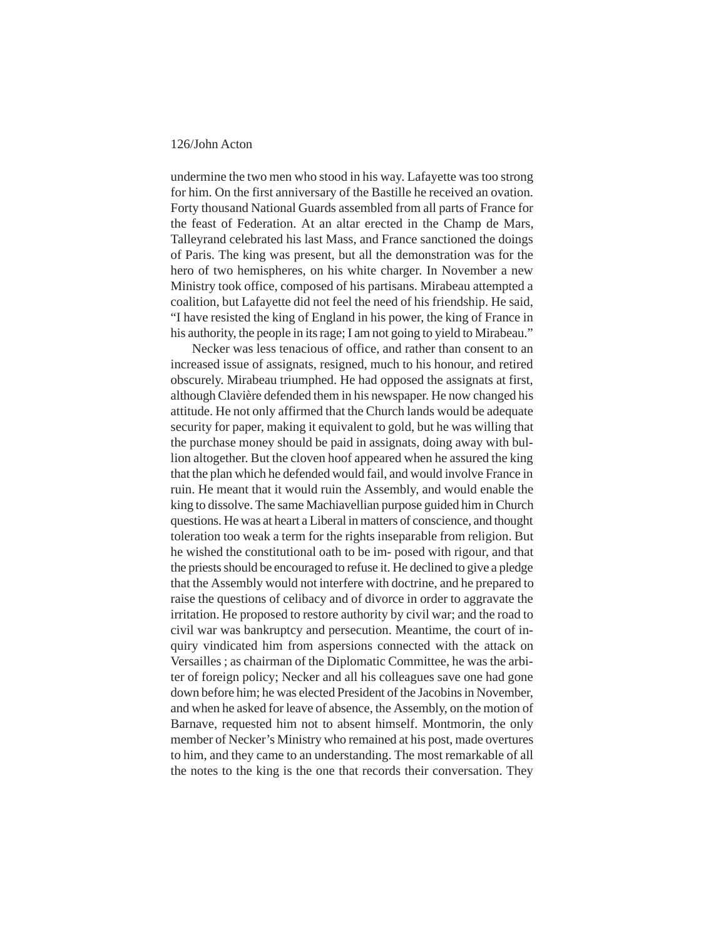undermine the two men who stood in his way. Lafayette was too strong for him. On the first anniversary of the Bastille he received an ovation. Forty thousand National Guards assembled from all parts of France for the feast of Federation. At an altar erected in the Champ de Mars, Talleyrand celebrated his last Mass, and France sanctioned the doings of Paris. The king was present, but all the demonstration was for the hero of two hemispheres, on his white charger. In November a new Ministry took office, composed of his partisans. Mirabeau attempted a coalition, but Lafayette did not feel the need of his friendship. He said, "I have resisted the king of England in his power, the king of France in his authority, the people in its rage; I am not going to yield to Mirabeau."

Necker was less tenacious of office, and rather than consent to an increased issue of assignats, resigned, much to his honour, and retired obscurely. Mirabeau triumphed. He had opposed the assignats at first, although Clavière defended them in his newspaper. He now changed his attitude. He not only affirmed that the Church lands would be adequate security for paper, making it equivalent to gold, but he was willing that the purchase money should be paid in assignats, doing away with bullion altogether. But the cloven hoof appeared when he assured the king that the plan which he defended would fail, and would involve France in ruin. He meant that it would ruin the Assembly, and would enable the king to dissolve. The same Machiavellian purpose guided him in Church questions. He was at heart a Liberal in matters of conscience, and thought toleration too weak a term for the rights inseparable from religion. But he wished the constitutional oath to be im- posed with rigour, and that the priests should be encouraged to refuse it. He declined to give a pledge that the Assembly would not interfere with doctrine, and he prepared to raise the questions of celibacy and of divorce in order to aggravate the irritation. He proposed to restore authority by civil war; and the road to civil war was bankruptcy and persecution. Meantime, the court of inquiry vindicated him from aspersions connected with the attack on Versailles ; as chairman of the Diplomatic Committee, he was the arbiter of foreign policy; Necker and all his colleagues save one had gone down before him; he was elected President of the Jacobins in November, and when he asked for leave of absence, the Assembly, on the motion of Barnave, requested him not to absent himself. Montmorin, the only member of Necker's Ministry who remained at his post, made overtures to him, and they came to an understanding. The most remarkable of all the notes to the king is the one that records their conversation. They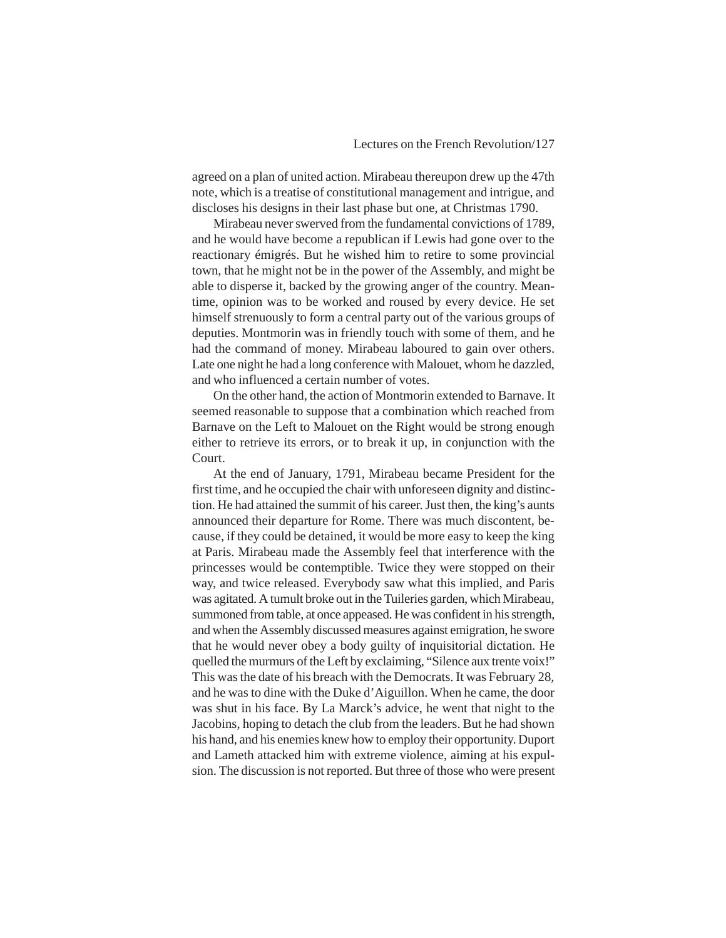agreed on a plan of united action. Mirabeau thereupon drew up the 47th note, which is a treatise of constitutional management and intrigue, and discloses his designs in their last phase but one, at Christmas 1790.

Mirabeau never swerved from the fundamental convictions of 1789, and he would have become a republican if Lewis had gone over to the reactionary émigrés. But he wished him to retire to some provincial town, that he might not be in the power of the Assembly, and might be able to disperse it, backed by the growing anger of the country. Meantime, opinion was to be worked and roused by every device. He set himself strenuously to form a central party out of the various groups of deputies. Montmorin was in friendly touch with some of them, and he had the command of money. Mirabeau laboured to gain over others. Late one night he had a long conference with Malouet, whom he dazzled, and who influenced a certain number of votes.

On the other hand, the action of Montmorin extended to Barnave. It seemed reasonable to suppose that a combination which reached from Barnave on the Left to Malouet on the Right would be strong enough either to retrieve its errors, or to break it up, in conjunction with the Court.

At the end of January, 1791, Mirabeau became President for the first time, and he occupied the chair with unforeseen dignity and distinction. He had attained the summit of his career. Just then, the king's aunts announced their departure for Rome. There was much discontent, because, if they could be detained, it would be more easy to keep the king at Paris. Mirabeau made the Assembly feel that interference with the princesses would be contemptible. Twice they were stopped on their way, and twice released. Everybody saw what this implied, and Paris was agitated. A tumult broke out in the Tuileries garden, which Mirabeau, summoned from table, at once appeased. He was confident in his strength, and when the Assembly discussed measures against emigration, he swore that he would never obey a body guilty of inquisitorial dictation. He quelled the murmurs of the Left by exclaiming, "Silence aux trente voix!" This was the date of his breach with the Democrats. It was February 28, and he was to dine with the Duke d'Aiguillon. When he came, the door was shut in his face. By La Marck's advice, he went that night to the Jacobins, hoping to detach the club from the leaders. But he had shown his hand, and his enemies knew how to employ their opportunity. Duport and Lameth attacked him with extreme violence, aiming at his expulsion. The discussion is not reported. But three of those who were present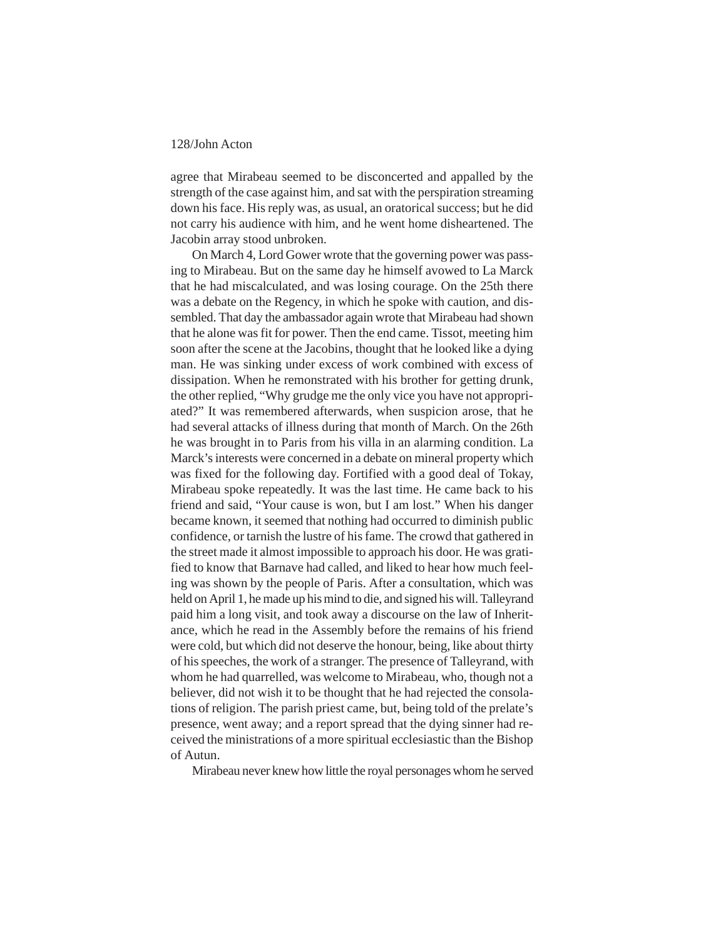agree that Mirabeau seemed to be disconcerted and appalled by the strength of the case against him, and sat with the perspiration streaming down his face. His reply was, as usual, an oratorical success; but he did not carry his audience with him, and he went home disheartened. The Jacobin array stood unbroken.

On March 4, Lord Gower wrote that the governing power was passing to Mirabeau. But on the same day he himself avowed to La Marck that he had miscalculated, and was losing courage. On the 25th there was a debate on the Regency, in which he spoke with caution, and dissembled. That day the ambassador again wrote that Mirabeau had shown that he alone was fit for power. Then the end came. Tissot, meeting him soon after the scene at the Jacobins, thought that he looked like a dying man. He was sinking under excess of work combined with excess of dissipation. When he remonstrated with his brother for getting drunk, the other replied, "Why grudge me the only vice you have not appropriated?" It was remembered afterwards, when suspicion arose, that he had several attacks of illness during that month of March. On the 26th he was brought in to Paris from his villa in an alarming condition. La Marck's interests were concerned in a debate on mineral property which was fixed for the following day. Fortified with a good deal of Tokay, Mirabeau spoke repeatedly. It was the last time. He came back to his friend and said, "Your cause is won, but I am lost." When his danger became known, it seemed that nothing had occurred to diminish public confidence, or tarnish the lustre of his fame. The crowd that gathered in the street made it almost impossible to approach his door. He was gratified to know that Barnave had called, and liked to hear how much feeling was shown by the people of Paris. After a consultation, which was held on April 1, he made up his mind to die, and signed his will. Talleyrand paid him a long visit, and took away a discourse on the law of Inheritance, which he read in the Assembly before the remains of his friend were cold, but which did not deserve the honour, being, like about thirty of his speeches, the work of a stranger. The presence of Talleyrand, with whom he had quarrelled, was welcome to Mirabeau, who, though not a believer, did not wish it to be thought that he had rejected the consolations of religion. The parish priest came, but, being told of the prelate's presence, went away; and a report spread that the dying sinner had received the ministrations of a more spiritual ecclesiastic than the Bishop of Autun.

Mirabeau never knew how little the royal personages whom he served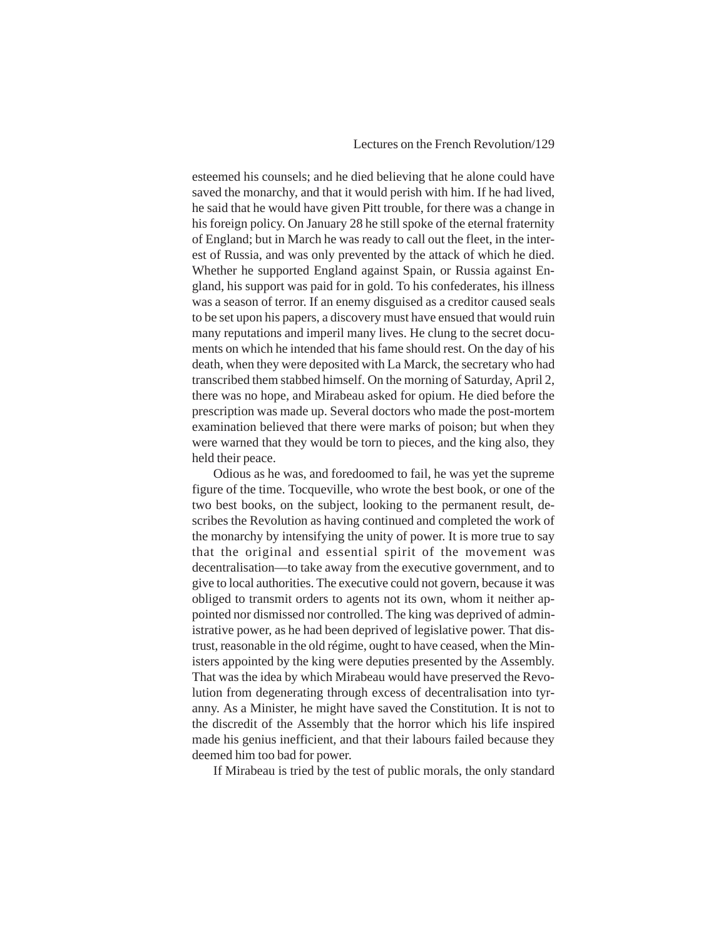esteemed his counsels; and he died believing that he alone could have saved the monarchy, and that it would perish with him. If he had lived, he said that he would have given Pitt trouble, for there was a change in his foreign policy. On January 28 he still spoke of the eternal fraternity of England; but in March he was ready to call out the fleet, in the interest of Russia, and was only prevented by the attack of which he died. Whether he supported England against Spain, or Russia against England, his support was paid for in gold. To his confederates, his illness was a season of terror. If an enemy disguised as a creditor caused seals to be set upon his papers, a discovery must have ensued that would ruin many reputations and imperil many lives. He clung to the secret documents on which he intended that his fame should rest. On the day of his death, when they were deposited with La Marck, the secretary who had transcribed them stabbed himself. On the morning of Saturday, April 2, there was no hope, and Mirabeau asked for opium. He died before the prescription was made up. Several doctors who made the post-mortem examination believed that there were marks of poison; but when they were warned that they would be torn to pieces, and the king also, they held their peace.

Odious as he was, and foredoomed to fail, he was yet the supreme figure of the time. Tocqueville, who wrote the best book, or one of the two best books, on the subject, looking to the permanent result, describes the Revolution as having continued and completed the work of the monarchy by intensifying the unity of power. It is more true to say that the original and essential spirit of the movement was decentralisation—to take away from the executive government, and to give to local authorities. The executive could not govern, because it was obliged to transmit orders to agents not its own, whom it neither appointed nor dismissed nor controlled. The king was deprived of administrative power, as he had been deprived of legislative power. That distrust, reasonable in the old régime, ought to have ceased, when the Ministers appointed by the king were deputies presented by the Assembly. That was the idea by which Mirabeau would have preserved the Revolution from degenerating through excess of decentralisation into tyranny. As a Minister, he might have saved the Constitution. It is not to the discredit of the Assembly that the horror which his life inspired made his genius inefficient, and that their labours failed because they deemed him too bad for power.

If Mirabeau is tried by the test of public morals, the only standard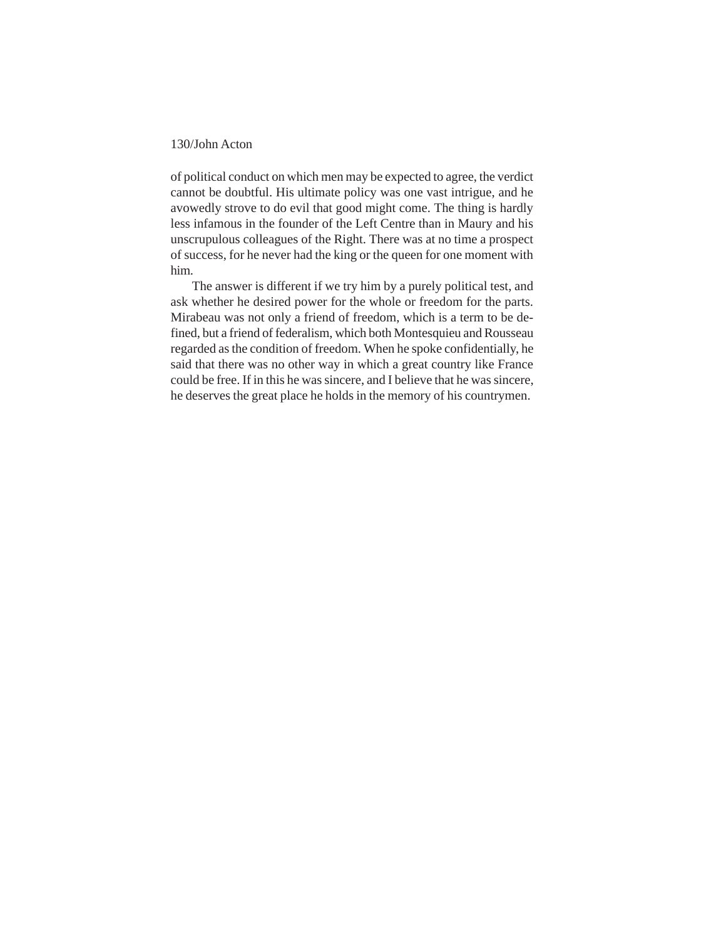of political conduct on which men may be expected to agree, the verdict cannot be doubtful. His ultimate policy was one vast intrigue, and he avowedly strove to do evil that good might come. The thing is hardly less infamous in the founder of the Left Centre than in Maury and his unscrupulous colleagues of the Right. There was at no time a prospect of success, for he never had the king or the queen for one moment with him.

The answer is different if we try him by a purely political test, and ask whether he desired power for the whole or freedom for the parts. Mirabeau was not only a friend of freedom, which is a term to be defined, but a friend of federalism, which both Montesquieu and Rousseau regarded as the condition of freedom. When he spoke confidentially, he said that there was no other way in which a great country like France could be free. If in this he was sincere, and I believe that he was sincere, he deserves the great place he holds in the memory of his countrymen.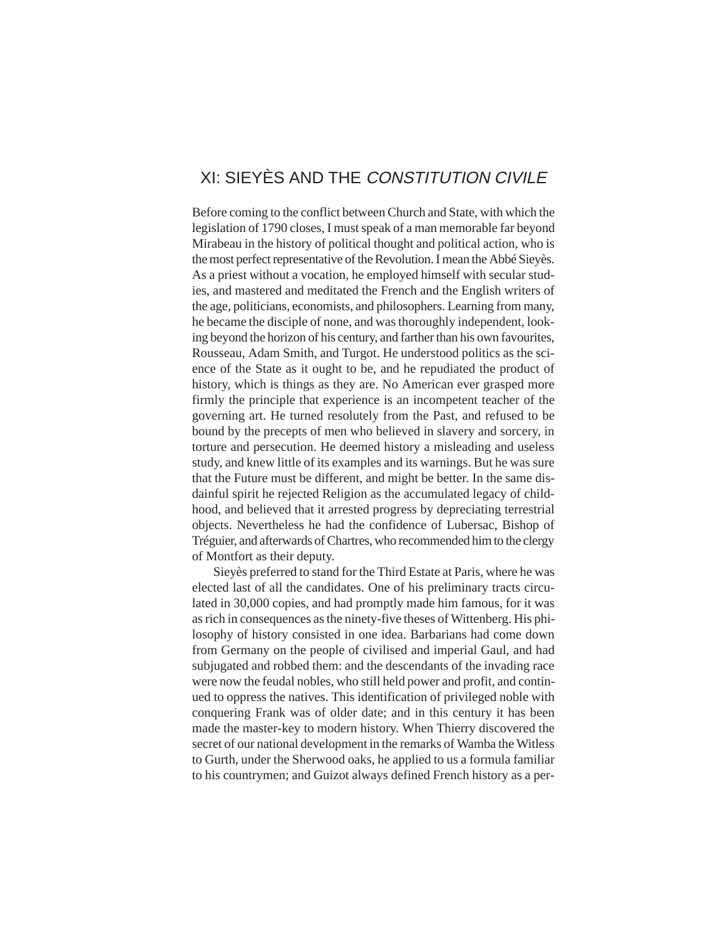# XI: SIEYÈS AND THE CONSTITUTION CIVILE

Before coming to the conflict between Church and State, with which the legislation of 1790 closes, I must speak of a man memorable far beyond Mirabeau in the history of political thought and political action, who is the most perfect representative of the Revolution. I mean the Abbé Sieyès. As a priest without a vocation, he employed himself with secular studies, and mastered and meditated the French and the English writers of the age, politicians, economists, and philosophers. Learning from many, he became the disciple of none, and was thoroughly independent, looking beyond the horizon of his century, and farther than his own favourites, Rousseau, Adam Smith, and Turgot. He understood politics as the science of the State as it ought to be, and he repudiated the product of history, which is things as they are. No American ever grasped more firmly the principle that experience is an incompetent teacher of the governing art. He turned resolutely from the Past, and refused to be bound by the precepts of men who believed in slavery and sorcery, in torture and persecution. He deemed history a misleading and useless study, and knew little of its examples and its warnings. But he was sure that the Future must be different, and might be better. In the same disdainful spirit he rejected Religion as the accumulated legacy of childhood, and believed that it arrested progress by depreciating terrestrial objects. Nevertheless he had the confidence of Lubersac, Bishop of Tréguier, and afterwards of Chartres, who recommended him to the clergy of Montfort as their deputy.

Sieyès preferred to stand for the Third Estate at Paris, where he was elected last of all the candidates. One of his preliminary tracts circulated in 30,000 copies, and had promptly made him famous, for it was as rich in consequences as the ninety-five theses of Wittenberg. His philosophy of history consisted in one idea. Barbarians had come down from Germany on the people of civilised and imperial Gaul, and had subjugated and robbed them: and the descendants of the invading race were now the feudal nobles, who still held power and profit, and continued to oppress the natives. This identification of privileged noble with conquering Frank was of older date; and in this century it has been made the master-key to modern history. When Thierry discovered the secret of our national development in the remarks of Wamba the Witless to Gurth, under the Sherwood oaks, he applied to us a formula familiar to his countrymen; and Guizot always defined French history as a per-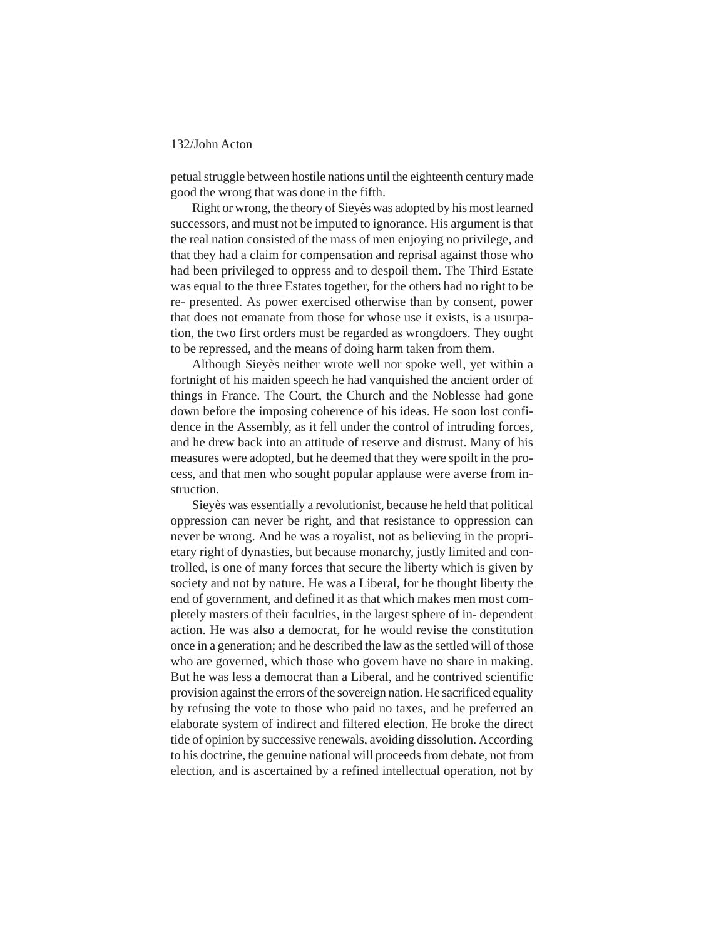petual struggle between hostile nations until the eighteenth century made good the wrong that was done in the fifth.

Right or wrong, the theory of Sieyès was adopted by his most learned successors, and must not be imputed to ignorance. His argument is that the real nation consisted of the mass of men enjoying no privilege, and that they had a claim for compensation and reprisal against those who had been privileged to oppress and to despoil them. The Third Estate was equal to the three Estates together, for the others had no right to be re- presented. As power exercised otherwise than by consent, power that does not emanate from those for whose use it exists, is a usurpation, the two first orders must be regarded as wrongdoers. They ought to be repressed, and the means of doing harm taken from them.

Although Sieyès neither wrote well nor spoke well, yet within a fortnight of his maiden speech he had vanquished the ancient order of things in France. The Court, the Church and the Noblesse had gone down before the imposing coherence of his ideas. He soon lost confidence in the Assembly, as it fell under the control of intruding forces, and he drew back into an attitude of reserve and distrust. Many of his measures were adopted, but he deemed that they were spoilt in the process, and that men who sought popular applause were averse from instruction.

Sieyès was essentially a revolutionist, because he held that political oppression can never be right, and that resistance to oppression can never be wrong. And he was a royalist, not as believing in the proprietary right of dynasties, but because monarchy, justly limited and controlled, is one of many forces that secure the liberty which is given by society and not by nature. He was a Liberal, for he thought liberty the end of government, and defined it as that which makes men most completely masters of their faculties, in the largest sphere of in- dependent action. He was also a democrat, for he would revise the constitution once in a generation; and he described the law as the settled will of those who are governed, which those who govern have no share in making. But he was less a democrat than a Liberal, and he contrived scientific provision against the errors of the sovereign nation. He sacrificed equality by refusing the vote to those who paid no taxes, and he preferred an elaborate system of indirect and filtered election. He broke the direct tide of opinion by successive renewals, avoiding dissolution. According to his doctrine, the genuine national will proceeds from debate, not from election, and is ascertained by a refined intellectual operation, not by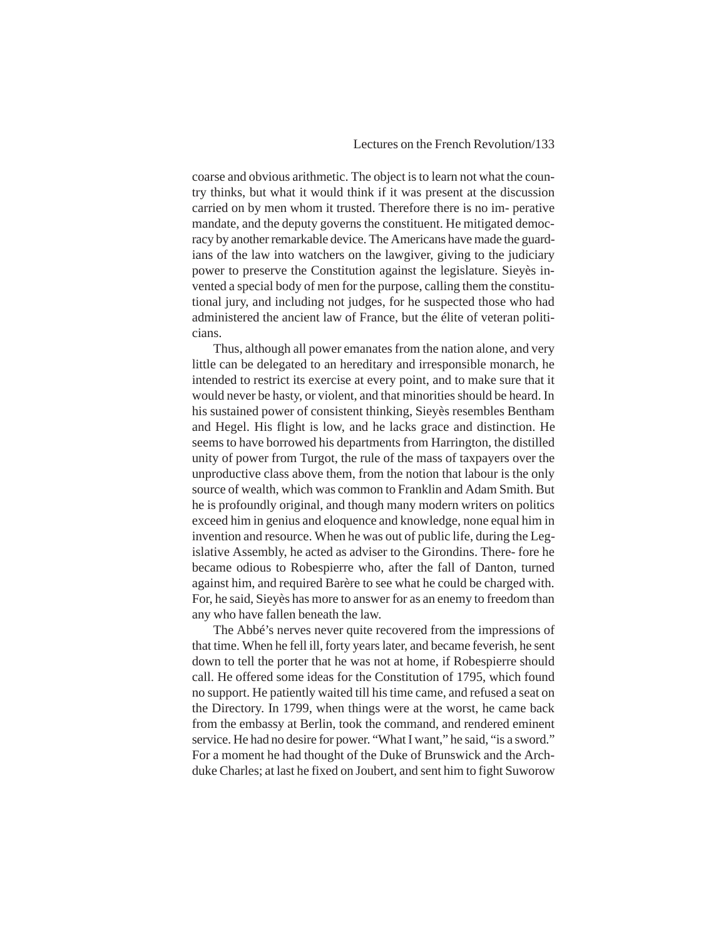coarse and obvious arithmetic. The object is to learn not what the country thinks, but what it would think if it was present at the discussion carried on by men whom it trusted. Therefore there is no im- perative mandate, and the deputy governs the constituent. He mitigated democracy by another remarkable device. The Americans have made the guardians of the law into watchers on the lawgiver, giving to the judiciary power to preserve the Constitution against the legislature. Sieyès invented a special body of men for the purpose, calling them the constitutional jury, and including not judges, for he suspected those who had administered the ancient law of France, but the élite of veteran politicians.

Thus, although all power emanates from the nation alone, and very little can be delegated to an hereditary and irresponsible monarch, he intended to restrict its exercise at every point, and to make sure that it would never be hasty, or violent, and that minorities should be heard. In his sustained power of consistent thinking, Sieyès resembles Bentham and Hegel. His flight is low, and he lacks grace and distinction. He seems to have borrowed his departments from Harrington, the distilled unity of power from Turgot, the rule of the mass of taxpayers over the unproductive class above them, from the notion that labour is the only source of wealth, which was common to Franklin and Adam Smith. But he is profoundly original, and though many modern writers on politics exceed him in genius and eloquence and knowledge, none equal him in invention and resource. When he was out of public life, during the Legislative Assembly, he acted as adviser to the Girondins. There- fore he became odious to Robespierre who, after the fall of Danton, turned against him, and required Barère to see what he could be charged with. For, he said, Sieyès has more to answer for as an enemy to freedom than any who have fallen beneath the law.

The Abbé's nerves never quite recovered from the impressions of that time. When he fell ill, forty years later, and became feverish, he sent down to tell the porter that he was not at home, if Robespierre should call. He offered some ideas for the Constitution of 1795, which found no support. He patiently waited till his time came, and refused a seat on the Directory. In 1799, when things were at the worst, he came back from the embassy at Berlin, took the command, and rendered eminent service. He had no desire for power. "What I want," he said, "is a sword." For a moment he had thought of the Duke of Brunswick and the Archduke Charles; at last he fixed on Joubert, and sent him to fight Suworow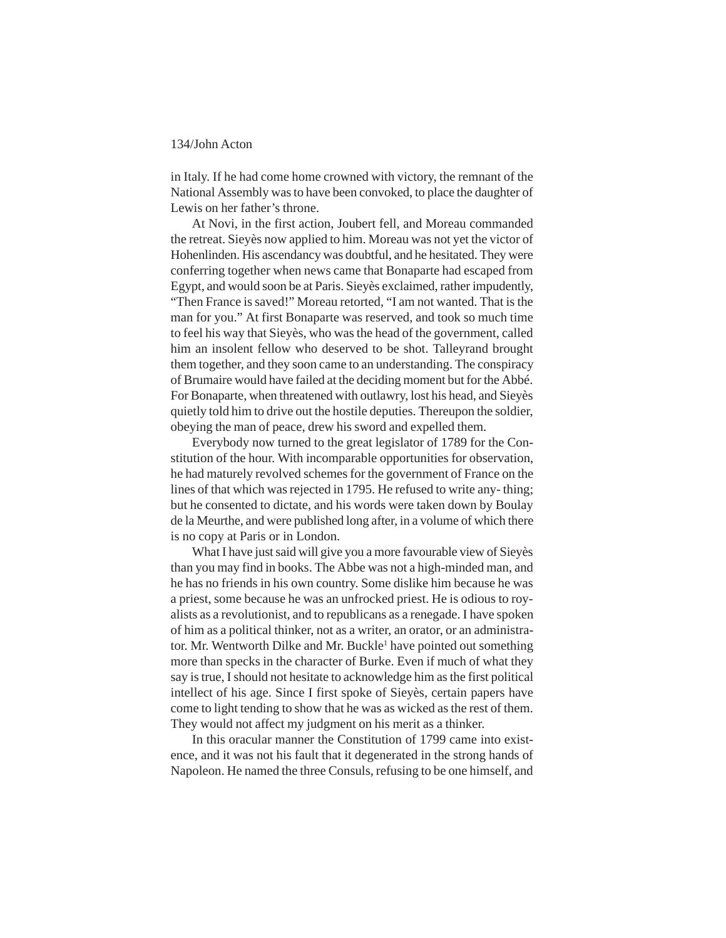in Italy. If he had come home crowned with victory, the remnant of the National Assembly was to have been convoked, to place the daughter of Lewis on her father's throne.

At Novi, in the first action, Joubert fell, and Moreau commanded the retreat. Sieyès now applied to him. Moreau was not yet the victor of Hohenlinden. His ascendancy was doubtful, and he hesitated. They were conferring together when news came that Bonaparte had escaped from Egypt, and would soon be at Paris. Sieyès exclaimed, rather impudently, "Then France is saved!" Moreau retorted, "I am not wanted. That is the man for you." At first Bonaparte was reserved, and took so much time to feel his way that Sieyès, who was the head of the government, called him an insolent fellow who deserved to be shot. Talleyrand brought them together, and they soon came to an understanding. The conspiracy of Brumaire would have failed at the deciding moment but for the Abbé. For Bonaparte, when threatened with outlawry, lost his head, and Sieyès quietly told him to drive out the hostile deputies. Thereupon the soldier, obeying the man of peace, drew his sword and expelled them.

Everybody now turned to the great legislator of 1789 for the Constitution of the hour. With incomparable opportunities for observation, he had maturely revolved schemes for the government of France on the lines of that which was rejected in 1795. He refused to write any- thing; but he consented to dictate, and his words were taken down by Boulay de la Meurthe, and were published long after, in a volume of which there is no copy at Paris or in London.

What I have just said will give you a more favourable view of Sieyès than you may find in books. The Abbe was not a high-minded man, and he has no friends in his own country. Some dislike him because he was a priest, some because he was an unfrocked priest. He is odious to royalists as a revolutionist, and to republicans as a renegade. I have spoken of him as a political thinker, not as a writer, an orator, or an administrator. Mr. Wentworth Dilke and Mr. Buckle<sup>1</sup> have pointed out something more than specks in the character of Burke. Even if much of what they say is true, I should not hesitate to acknowledge him as the first political intellect of his age. Since I first spoke of Sieyès, certain papers have come to light tending to show that he was as wicked as the rest of them. They would not affect my judgment on his merit as a thinker.

In this oracular manner the Constitution of 1799 came into existence, and it was not his fault that it degenerated in the strong hands of Napoleon. He named the three Consuls, refusing to be one himself, and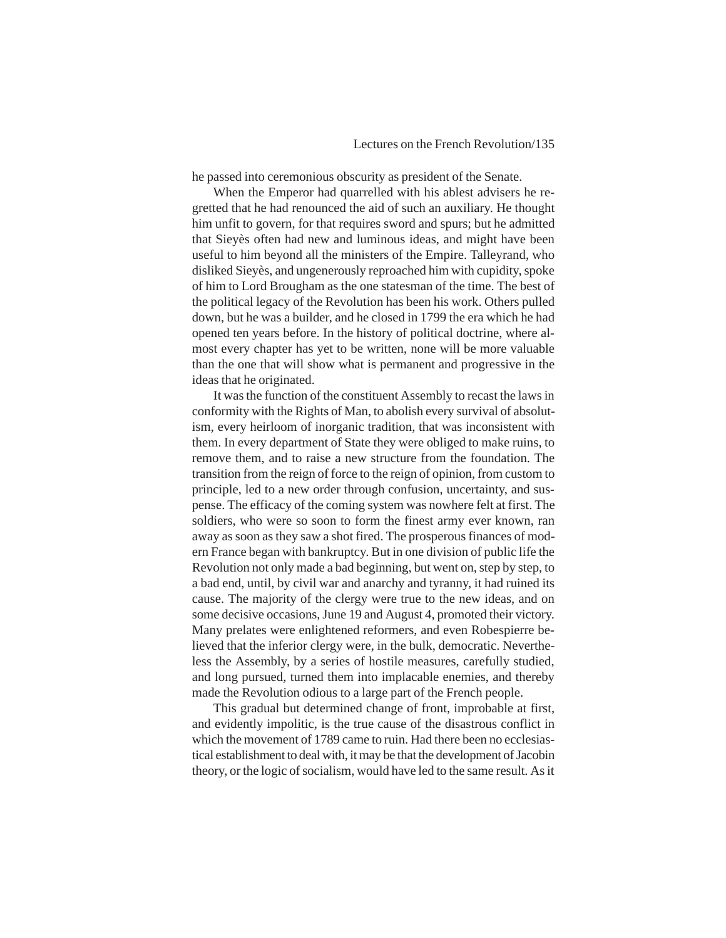he passed into ceremonious obscurity as president of the Senate.

When the Emperor had quarrelled with his ablest advisers he regretted that he had renounced the aid of such an auxiliary. He thought him unfit to govern, for that requires sword and spurs; but he admitted that Sieyès often had new and luminous ideas, and might have been useful to him beyond all the ministers of the Empire. Talleyrand, who disliked Sieyès, and ungenerously reproached him with cupidity, spoke of him to Lord Brougham as the one statesman of the time. The best of the political legacy of the Revolution has been his work. Others pulled down, but he was a builder, and he closed in 1799 the era which he had opened ten years before. In the history of political doctrine, where almost every chapter has yet to be written, none will be more valuable than the one that will show what is permanent and progressive in the ideas that he originated.

It was the function of the constituent Assembly to recast the laws in conformity with the Rights of Man, to abolish every survival of absolutism, every heirloom of inorganic tradition, that was inconsistent with them. In every department of State they were obliged to make ruins, to remove them, and to raise a new structure from the foundation. The transition from the reign of force to the reign of opinion, from custom to principle, led to a new order through confusion, uncertainty, and suspense. The efficacy of the coming system was nowhere felt at first. The soldiers, who were so soon to form the finest army ever known, ran away as soon as they saw a shot fired. The prosperous finances of modern France began with bankruptcy. But in one division of public life the Revolution not only made a bad beginning, but went on, step by step, to a bad end, until, by civil war and anarchy and tyranny, it had ruined its cause. The majority of the clergy were true to the new ideas, and on some decisive occasions, June 19 and August 4, promoted their victory. Many prelates were enlightened reformers, and even Robespierre believed that the inferior clergy were, in the bulk, democratic. Nevertheless the Assembly, by a series of hostile measures, carefully studied, and long pursued, turned them into implacable enemies, and thereby made the Revolution odious to a large part of the French people.

This gradual but determined change of front, improbable at first, and evidently impolitic, is the true cause of the disastrous conflict in which the movement of 1789 came to ruin. Had there been no ecclesiastical establishment to deal with, it may be that the development of Jacobin theory, or the logic of socialism, would have led to the same result. As it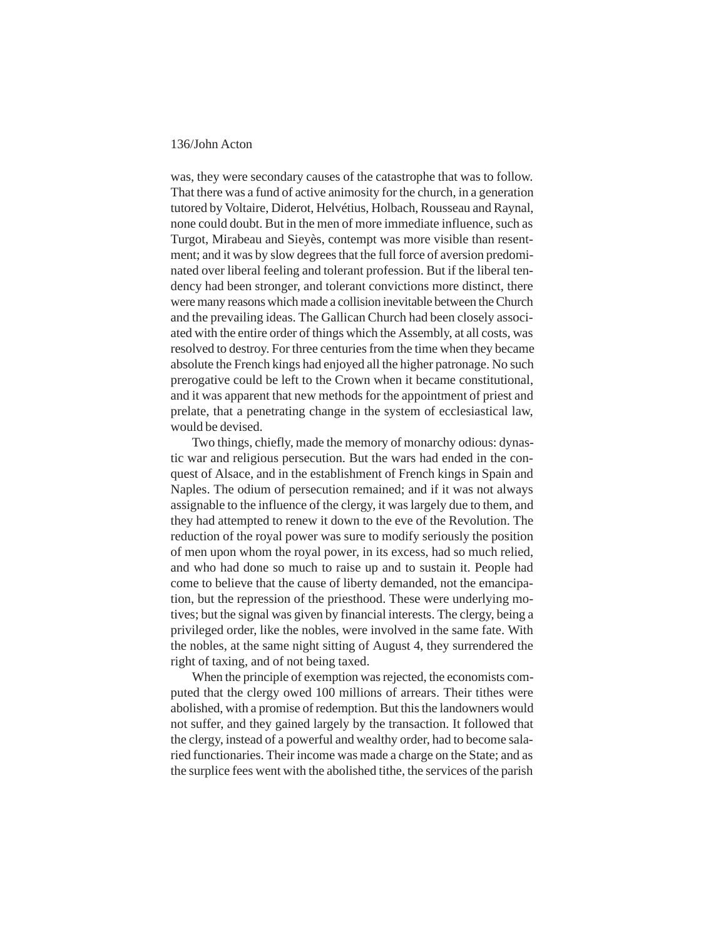was, they were secondary causes of the catastrophe that was to follow. That there was a fund of active animosity for the church, in a generation tutored by Voltaire, Diderot, Helvétius, Holbach, Rousseau and Raynal, none could doubt. But in the men of more immediate influence, such as Turgot, Mirabeau and Sieyès, contempt was more visible than resentment; and it was by slow degrees that the full force of aversion predominated over liberal feeling and tolerant profession. But if the liberal tendency had been stronger, and tolerant convictions more distinct, there were many reasons which made a collision inevitable between the Church and the prevailing ideas. The Gallican Church had been closely associated with the entire order of things which the Assembly, at all costs, was resolved to destroy. For three centuries from the time when they became absolute the French kings had enjoyed all the higher patronage. No such prerogative could be left to the Crown when it became constitutional, and it was apparent that new methods for the appointment of priest and prelate, that a penetrating change in the system of ecclesiastical law, would be devised.

Two things, chiefly, made the memory of monarchy odious: dynastic war and religious persecution. But the wars had ended in the conquest of Alsace, and in the establishment of French kings in Spain and Naples. The odium of persecution remained; and if it was not always assignable to the influence of the clergy, it was largely due to them, and they had attempted to renew it down to the eve of the Revolution. The reduction of the royal power was sure to modify seriously the position of men upon whom the royal power, in its excess, had so much relied, and who had done so much to raise up and to sustain it. People had come to believe that the cause of liberty demanded, not the emancipation, but the repression of the priesthood. These were underlying motives; but the signal was given by financial interests. The clergy, being a privileged order, like the nobles, were involved in the same fate. With the nobles, at the same night sitting of August 4, they surrendered the right of taxing, and of not being taxed.

When the principle of exemption was rejected, the economists computed that the clergy owed 100 millions of arrears. Their tithes were abolished, with a promise of redemption. But this the landowners would not suffer, and they gained largely by the transaction. It followed that the clergy, instead of a powerful and wealthy order, had to become salaried functionaries. Their income was made a charge on the State; and as the surplice fees went with the abolished tithe, the services of the parish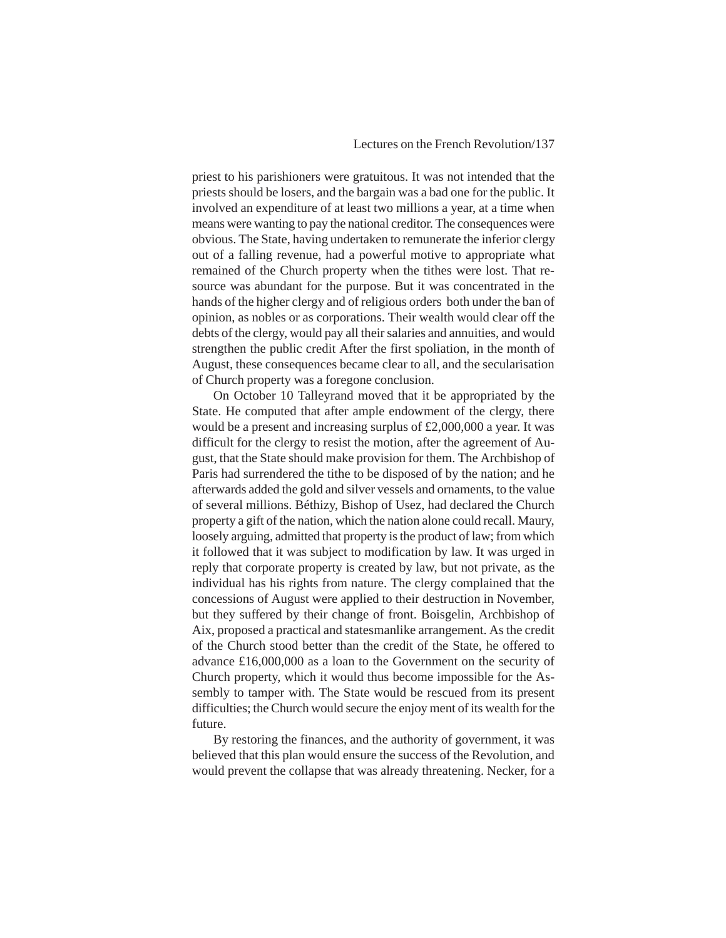priest to his parishioners were gratuitous. It was not intended that the priests should be losers, and the bargain was a bad one for the public. It involved an expenditure of at least two millions a year, at a time when means were wanting to pay the national creditor. The consequences were obvious. The State, having undertaken to remunerate the inferior clergy out of a falling revenue, had a powerful motive to appropriate what remained of the Church property when the tithes were lost. That resource was abundant for the purpose. But it was concentrated in the hands of the higher clergy and of religious orders both under the ban of opinion, as nobles or as corporations. Their wealth would clear off the debts of the clergy, would pay all their salaries and annuities, and would strengthen the public credit After the first spoliation, in the month of August, these consequences became clear to all, and the secularisation of Church property was a foregone conclusion.

On October 10 Talleyrand moved that it be appropriated by the State. He computed that after ample endowment of the clergy, there would be a present and increasing surplus of £2,000,000 a year. It was difficult for the clergy to resist the motion, after the agreement of August, that the State should make provision for them. The Archbishop of Paris had surrendered the tithe to be disposed of by the nation; and he afterwards added the gold and silver vessels and ornaments, to the value of several millions. Béthizy, Bishop of Usez, had declared the Church property a gift of the nation, which the nation alone could recall. Maury, loosely arguing, admitted that property is the product of law; from which it followed that it was subject to modification by law. It was urged in reply that corporate property is created by law, but not private, as the individual has his rights from nature. The clergy complained that the concessions of August were applied to their destruction in November, but they suffered by their change of front. Boisgelin, Archbishop of Aix, proposed a practical and statesmanlike arrangement. As the credit of the Church stood better than the credit of the State, he offered to advance £16,000,000 as a loan to the Government on the security of Church property, which it would thus become impossible for the Assembly to tamper with. The State would be rescued from its present difficulties; the Church would secure the enjoy ment of its wealth for the future.

By restoring the finances, and the authority of government, it was believed that this plan would ensure the success of the Revolution, and would prevent the collapse that was already threatening. Necker, for a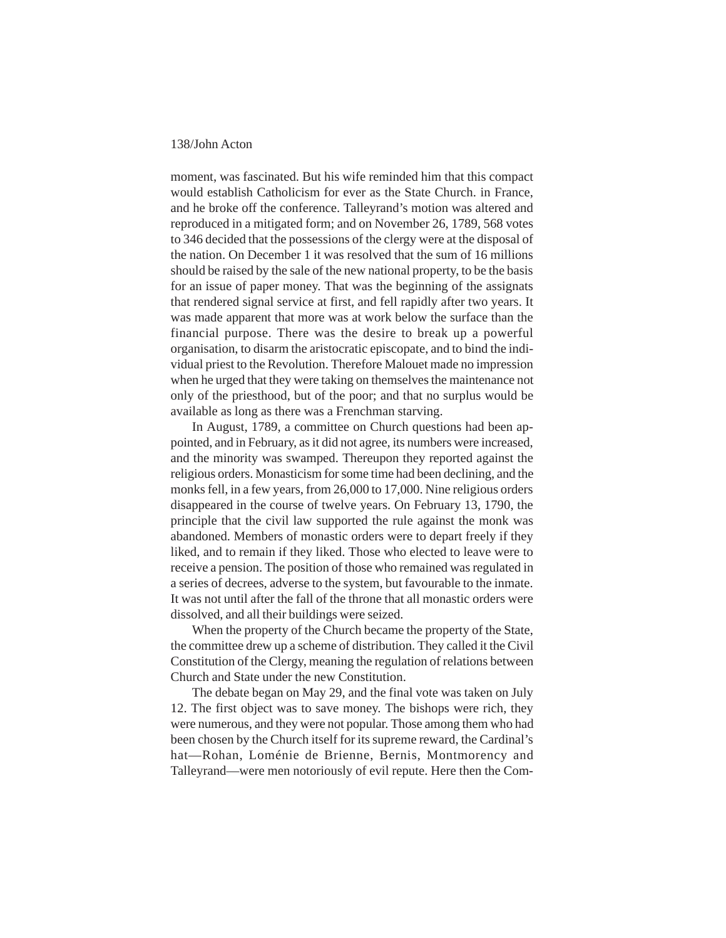moment, was fascinated. But his wife reminded him that this compact would establish Catholicism for ever as the State Church. in France, and he broke off the conference. Talleyrand's motion was altered and reproduced in a mitigated form; and on November 26, 1789, 568 votes to 346 decided that the possessions of the clergy were at the disposal of the nation. On December 1 it was resolved that the sum of 16 millions should be raised by the sale of the new national property, to be the basis for an issue of paper money. That was the beginning of the assignats that rendered signal service at first, and fell rapidly after two years. It was made apparent that more was at work below the surface than the financial purpose. There was the desire to break up a powerful organisation, to disarm the aristocratic episcopate, and to bind the individual priest to the Revolution. Therefore Malouet made no impression when he urged that they were taking on themselves the maintenance not only of the priesthood, but of the poor; and that no surplus would be available as long as there was a Frenchman starving.

In August, 1789, a committee on Church questions had been appointed, and in February, as it did not agree, its numbers were increased, and the minority was swamped. Thereupon they reported against the religious orders. Monasticism for some time had been declining, and the monks fell, in a few years, from 26,000 to 17,000. Nine religious orders disappeared in the course of twelve years. On February 13, 1790, the principle that the civil law supported the rule against the monk was abandoned. Members of monastic orders were to depart freely if they liked, and to remain if they liked. Those who elected to leave were to receive a pension. The position of those who remained was regulated in a series of decrees, adverse to the system, but favourable to the inmate. It was not until after the fall of the throne that all monastic orders were dissolved, and all their buildings were seized.

When the property of the Church became the property of the State, the committee drew up a scheme of distribution. They called it the Civil Constitution of the Clergy, meaning the regulation of relations between Church and State under the new Constitution.

The debate began on May 29, and the final vote was taken on July 12. The first object was to save money. The bishops were rich, they were numerous, and they were not popular. Those among them who had been chosen by the Church itself for its supreme reward, the Cardinal's hat—Rohan, Loménie de Brienne, Bernis, Montmorency and Talleyrand—were men notoriously of evil repute. Here then the Com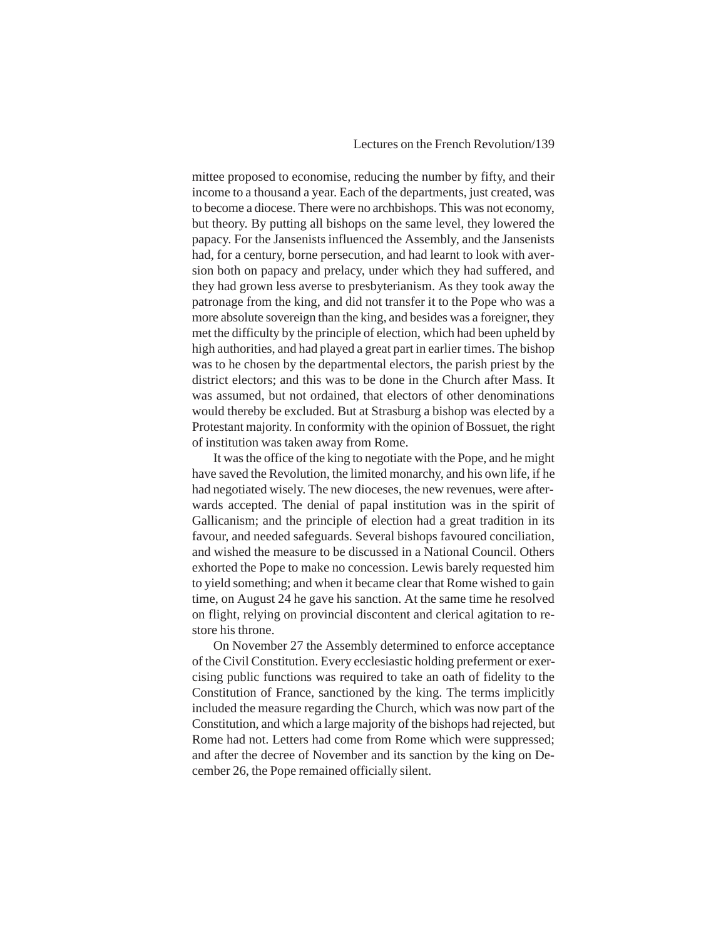mittee proposed to economise, reducing the number by fifty, and their income to a thousand a year. Each of the departments, just created, was to become a diocese. There were no archbishops. This was not economy, but theory. By putting all bishops on the same level, they lowered the papacy. For the Jansenists influenced the Assembly, and the Jansenists had, for a century, borne persecution, and had learnt to look with aversion both on papacy and prelacy, under which they had suffered, and they had grown less averse to presbyterianism. As they took away the patronage from the king, and did not transfer it to the Pope who was a more absolute sovereign than the king, and besides was a foreigner, they met the difficulty by the principle of election, which had been upheld by high authorities, and had played a great part in earlier times. The bishop was to he chosen by the departmental electors, the parish priest by the district electors; and this was to be done in the Church after Mass. It was assumed, but not ordained, that electors of other denominations would thereby be excluded. But at Strasburg a bishop was elected by a Protestant majority. In conformity with the opinion of Bossuet, the right of institution was taken away from Rome.

It was the office of the king to negotiate with the Pope, and he might have saved the Revolution, the limited monarchy, and his own life, if he had negotiated wisely. The new dioceses, the new revenues, were afterwards accepted. The denial of papal institution was in the spirit of Gallicanism; and the principle of election had a great tradition in its favour, and needed safeguards. Several bishops favoured conciliation, and wished the measure to be discussed in a National Council. Others exhorted the Pope to make no concession. Lewis barely requested him to yield something; and when it became clear that Rome wished to gain time, on August 24 he gave his sanction. At the same time he resolved on flight, relying on provincial discontent and clerical agitation to restore his throne.

On November 27 the Assembly determined to enforce acceptance of the Civil Constitution. Every ecclesiastic holding preferment or exercising public functions was required to take an oath of fidelity to the Constitution of France, sanctioned by the king. The terms implicitly included the measure regarding the Church, which was now part of the Constitution, and which a large majority of the bishops had rejected, but Rome had not. Letters had come from Rome which were suppressed; and after the decree of November and its sanction by the king on December 26, the Pope remained officially silent.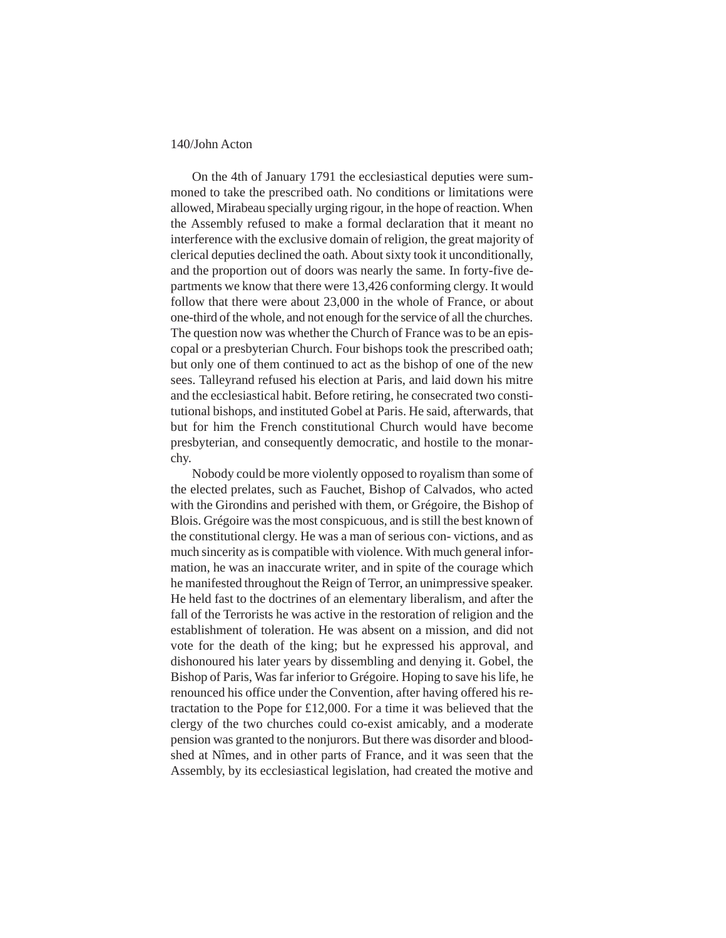On the 4th of January 1791 the ecclesiastical deputies were summoned to take the prescribed oath. No conditions or limitations were allowed, Mirabeau specially urging rigour, in the hope of reaction. When the Assembly refused to make a formal declaration that it meant no interference with the exclusive domain of religion, the great majority of clerical deputies declined the oath. About sixty took it unconditionally, and the proportion out of doors was nearly the same. In forty-five departments we know that there were 13,426 conforming clergy. It would follow that there were about 23,000 in the whole of France, or about one-third of the whole, and not enough for the service of all the churches. The question now was whether the Church of France was to be an episcopal or a presbyterian Church. Four bishops took the prescribed oath; but only one of them continued to act as the bishop of one of the new sees. Talleyrand refused his election at Paris, and laid down his mitre and the ecclesiastical habit. Before retiring, he consecrated two constitutional bishops, and instituted Gobel at Paris. He said, afterwards, that but for him the French constitutional Church would have become presbyterian, and consequently democratic, and hostile to the monarchy.

Nobody could be more violently opposed to royalism than some of the elected prelates, such as Fauchet, Bishop of Calvados, who acted with the Girondins and perished with them, or Grégoire, the Bishop of Blois. Grégoire was the most conspicuous, and is still the best known of the constitutional clergy. He was a man of serious con- victions, and as much sincerity as is compatible with violence. With much general information, he was an inaccurate writer, and in spite of the courage which he manifested throughout the Reign of Terror, an unimpressive speaker. He held fast to the doctrines of an elementary liberalism, and after the fall of the Terrorists he was active in the restoration of religion and the establishment of toleration. He was absent on a mission, and did not vote for the death of the king; but he expressed his approval, and dishonoured his later years by dissembling and denying it. Gobel, the Bishop of Paris, Was far inferior to Grégoire. Hoping to save his life, he renounced his office under the Convention, after having offered his retractation to the Pope for £12,000. For a time it was believed that the clergy of the two churches could co-exist amicably, and a moderate pension was granted to the nonjurors. But there was disorder and bloodshed at Nîmes, and in other parts of France, and it was seen that the Assembly, by its ecclesiastical legislation, had created the motive and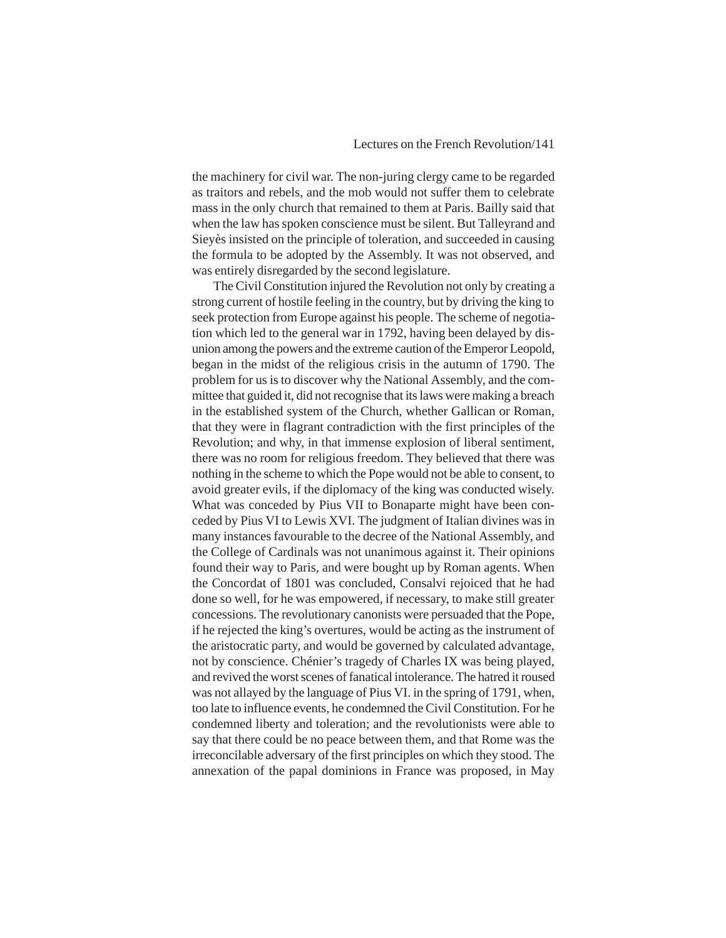the machinery for civil war. The non-juring clergy came to be regarded as traitors and rebels, and the mob would not suffer them to celebrate mass in the only church that remained to them at Paris. Bailly said that when the law has spoken conscience must be silent. But Talleyrand and Sieyès insisted on the principle of toleration, and succeeded in causing the formula to be adopted by the Assembly. It was not observed, and was entirely disregarded by the second legislature.

The Civil Constitution injured the Revolution not only by creating a strong current of hostile feeling in the country, but by driving the king to seek protection from Europe against his people. The scheme of negotiation which led to the general war in 1792, having been delayed by disunion among the powers and the extreme caution of the Emperor Leopold, began in the midst of the religious crisis in the autumn of 1790. The problem for us is to discover why the National Assembly, and the committee that guided it, did not recognise that its laws were making a breach in the established system of the Church, whether Gallican or Roman, that they were in flagrant contradiction with the first principles of the Revolution; and why, in that immense explosion of liberal sentiment, there was no room for religious freedom. They believed that there was nothing in the scheme to which the Pope would not be able to consent, to avoid greater evils, if the diplomacy of the king was conducted wisely. What was conceded by Pius VII to Bonaparte might have been conceded by Pius VI to Lewis XVI. The judgment of Italian divines was in many instances favourable to the decree of the National Assembly, and the College of Cardinals was not unanimous against it. Their opinions found their way to Paris, and were bought up by Roman agents. When the Concordat of 1801 was concluded, Consalvi rejoiced that he had done so well, for he was empowered, if necessary, to make still greater concessions. The revolutionary canonists were persuaded that the Pope, if he rejected the king's overtures, would be acting as the instrument of the aristocratic party, and would be governed by calculated advantage, not by conscience. Chénier's tragedy of Charles IX was being played, and revived the worst scenes of fanatical intolerance. The hatred it roused was not allayed by the language of Pius VI. in the spring of 1791, when, too late to influence events, he condemned the Civil Constitution. For he condemned liberty and toleration; and the revolutionists were able to say that there could be no peace between them, and that Rome was the irreconcilable adversary of the first principles on which they stood. The annexation of the papal dominions in France was proposed, in May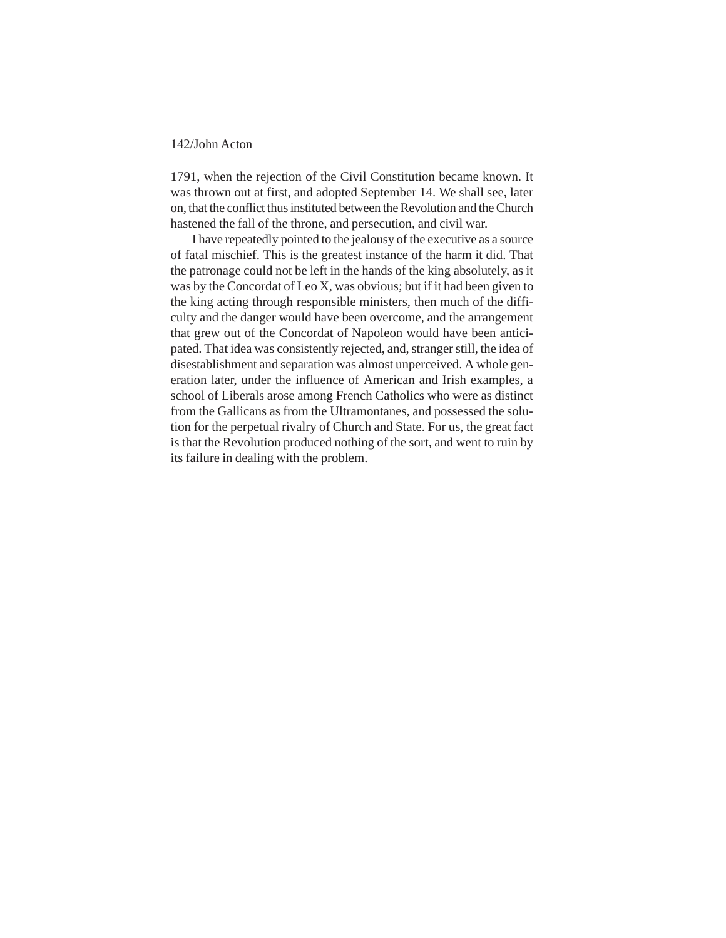1791, when the rejection of the Civil Constitution became known. It was thrown out at first, and adopted September 14. We shall see, later on, that the conflict thus instituted between the Revolution and the Church hastened the fall of the throne, and persecution, and civil war.

I have repeatedly pointed to the jealousy of the executive as a source of fatal mischief. This is the greatest instance of the harm it did. That the patronage could not be left in the hands of the king absolutely, as it was by the Concordat of Leo X, was obvious; but if it had been given to the king acting through responsible ministers, then much of the difficulty and the danger would have been overcome, and the arrangement that grew out of the Concordat of Napoleon would have been anticipated. That idea was consistently rejected, and, stranger still, the idea of disestablishment and separation was almost unperceived. A whole generation later, under the influence of American and Irish examples, a school of Liberals arose among French Catholics who were as distinct from the Gallicans as from the Ultramontanes, and possessed the solution for the perpetual rivalry of Church and State. For us, the great fact is that the Revolution produced nothing of the sort, and went to ruin by its failure in dealing with the problem.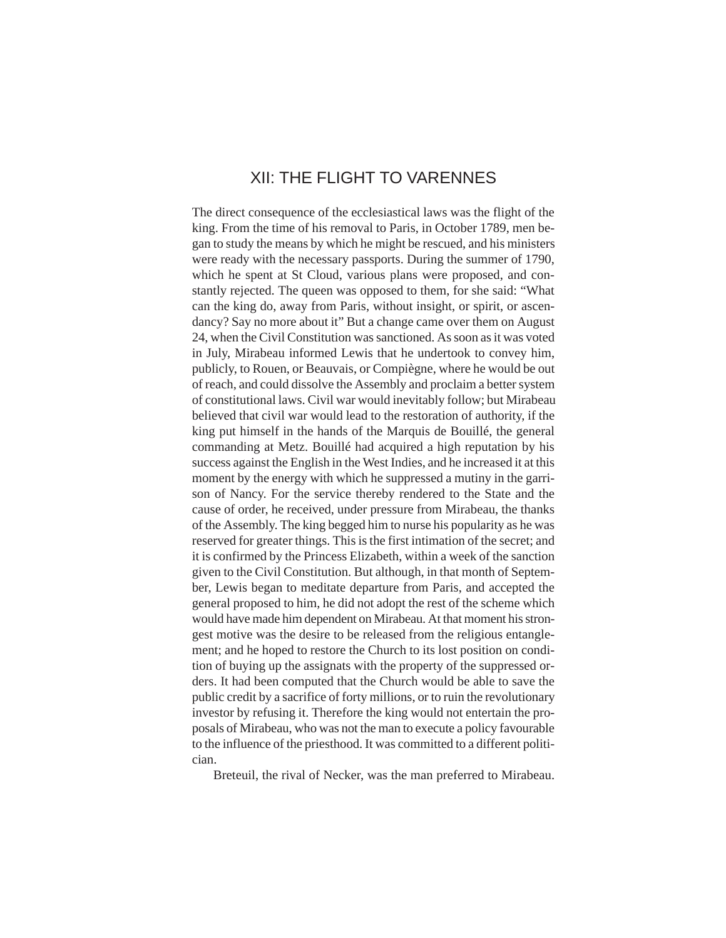# XII: THE FLIGHT TO VARENNES

The direct consequence of the ecclesiastical laws was the flight of the king. From the time of his removal to Paris, in October 1789, men began to study the means by which he might be rescued, and his ministers were ready with the necessary passports. During the summer of 1790, which he spent at St Cloud, various plans were proposed, and constantly rejected. The queen was opposed to them, for she said: "What can the king do, away from Paris, without insight, or spirit, or ascendancy? Say no more about it" But a change came over them on August 24, when the Civil Constitution was sanctioned. As soon as it was voted in July, Mirabeau informed Lewis that he undertook to convey him, publicly, to Rouen, or Beauvais, or Compiègne, where he would be out of reach, and could dissolve the Assembly and proclaim a better system of constitutional laws. Civil war would inevitably follow; but Mirabeau believed that civil war would lead to the restoration of authority, if the king put himself in the hands of the Marquis de Bouillé, the general commanding at Metz. Bouillé had acquired a high reputation by his success against the English in the West Indies, and he increased it at this moment by the energy with which he suppressed a mutiny in the garrison of Nancy. For the service thereby rendered to the State and the cause of order, he received, under pressure from Mirabeau, the thanks of the Assembly. The king begged him to nurse his popularity as he was reserved for greater things. This is the first intimation of the secret; and it is confirmed by the Princess Elizabeth, within a week of the sanction given to the Civil Constitution. But although, in that month of September, Lewis began to meditate departure from Paris, and accepted the general proposed to him, he did not adopt the rest of the scheme which would have made him dependent on Mirabeau. At that moment his strongest motive was the desire to be released from the religious entanglement; and he hoped to restore the Church to its lost position on condition of buying up the assignats with the property of the suppressed orders. It had been computed that the Church would be able to save the public credit by a sacrifice of forty millions, or to ruin the revolutionary investor by refusing it. Therefore the king would not entertain the proposals of Mirabeau, who was not the man to execute a policy favourable to the influence of the priesthood. It was committed to a different politician.

Breteuil, the rival of Necker, was the man preferred to Mirabeau.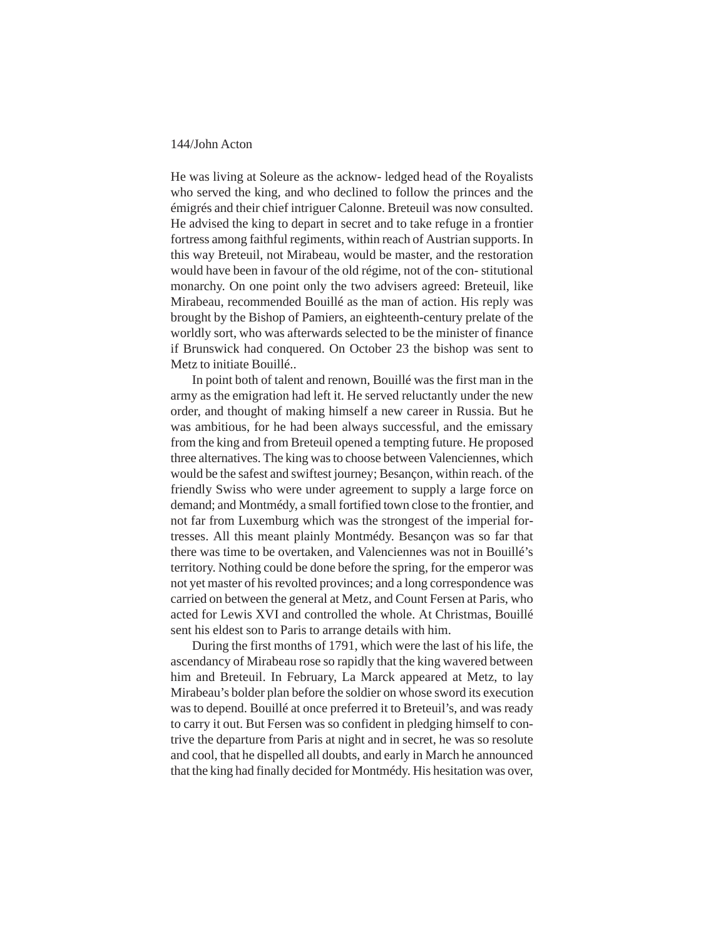He was living at Soleure as the acknow- ledged head of the Royalists who served the king, and who declined to follow the princes and the émigrés and their chief intriguer Calonne. Breteuil was now consulted. He advised the king to depart in secret and to take refuge in a frontier fortress among faithful regiments, within reach of Austrian supports. In this way Breteuil, not Mirabeau, would be master, and the restoration would have been in favour of the old régime, not of the con- stitutional monarchy. On one point only the two advisers agreed: Breteuil, like Mirabeau, recommended Bouillé as the man of action. His reply was brought by the Bishop of Pamiers, an eighteenth-century prelate of the worldly sort, who was afterwards selected to be the minister of finance if Brunswick had conquered. On October 23 the bishop was sent to Metz to initiate Bouillé..

In point both of talent and renown, Bouillé was the first man in the army as the emigration had left it. He served reluctantly under the new order, and thought of making himself a new career in Russia. But he was ambitious, for he had been always successful, and the emissary from the king and from Breteuil opened a tempting future. He proposed three alternatives. The king was to choose between Valenciennes, which would be the safest and swiftest journey; Besançon, within reach. of the friendly Swiss who were under agreement to supply a large force on demand; and Montmédy, a small fortified town close to the frontier, and not far from Luxemburg which was the strongest of the imperial fortresses. All this meant plainly Montmédy. Besançon was so far that there was time to be overtaken, and Valenciennes was not in Bouillé's territory. Nothing could be done before the spring, for the emperor was not yet master of his revolted provinces; and a long correspondence was carried on between the general at Metz, and Count Fersen at Paris, who acted for Lewis XVI and controlled the whole. At Christmas, Bouillé sent his eldest son to Paris to arrange details with him.

During the first months of 1791, which were the last of his life, the ascendancy of Mirabeau rose so rapidly that the king wavered between him and Breteuil. In February, La Marck appeared at Metz, to lay Mirabeau's bolder plan before the soldier on whose sword its execution was to depend. Bouillé at once preferred it to Breteuil's, and was ready to carry it out. But Fersen was so confident in pledging himself to contrive the departure from Paris at night and in secret, he was so resolute and cool, that he dispelled all doubts, and early in March he announced that the king had finally decided for Montmédy. His hesitation was over,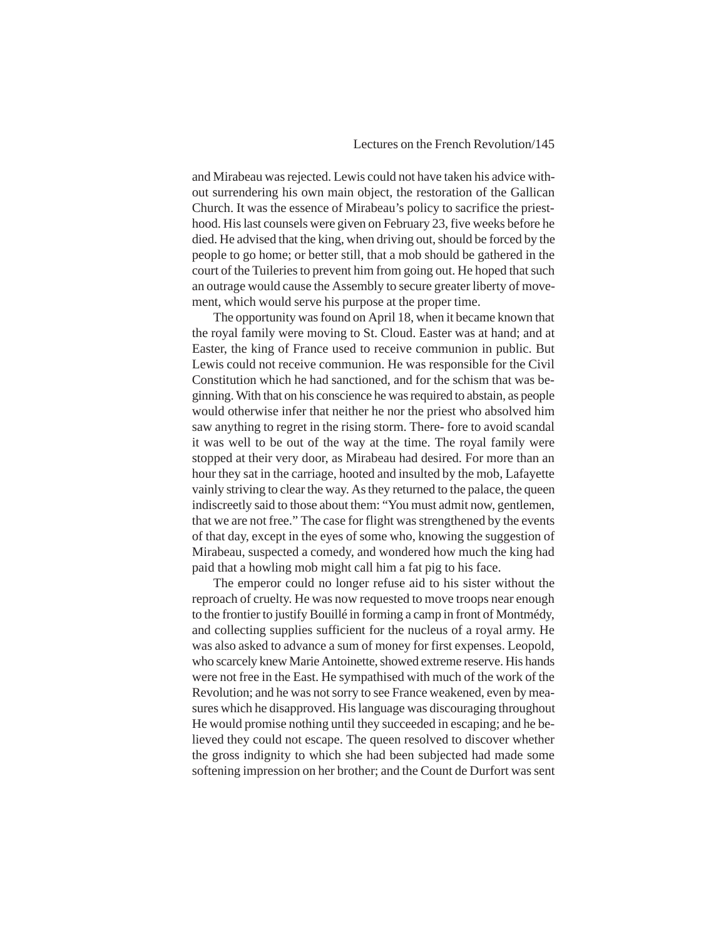and Mirabeau was rejected. Lewis could not have taken his advice without surrendering his own main object, the restoration of the Gallican Church. It was the essence of Mirabeau's policy to sacrifice the priesthood. His last counsels were given on February 23, five weeks before he died. He advised that the king, when driving out, should be forced by the people to go home; or better still, that a mob should be gathered in the court of the Tuileries to prevent him from going out. He hoped that such an outrage would cause the Assembly to secure greater liberty of movement, which would serve his purpose at the proper time.

The opportunity was found on April 18, when it became known that the royal family were moving to St. Cloud. Easter was at hand; and at Easter, the king of France used to receive communion in public. But Lewis could not receive communion. He was responsible for the Civil Constitution which he had sanctioned, and for the schism that was beginning. With that on his conscience he was required to abstain, as people would otherwise infer that neither he nor the priest who absolved him saw anything to regret in the rising storm. There- fore to avoid scandal it was well to be out of the way at the time. The royal family were stopped at their very door, as Mirabeau had desired. For more than an hour they sat in the carriage, hooted and insulted by the mob, Lafayette vainly striving to clear the way. As they returned to the palace, the queen indiscreetly said to those about them: "You must admit now, gentlemen, that we are not free." The case for flight was strengthened by the events of that day, except in the eyes of some who, knowing the suggestion of Mirabeau, suspected a comedy, and wondered how much the king had paid that a howling mob might call him a fat pig to his face.

The emperor could no longer refuse aid to his sister without the reproach of cruelty. He was now requested to move troops near enough to the frontier to justify Bouillé in forming a camp in front of Montmédy, and collecting supplies sufficient for the nucleus of a royal army. He was also asked to advance a sum of money for first expenses. Leopold, who scarcely knew Marie Antoinette, showed extreme reserve. His hands were not free in the East. He sympathised with much of the work of the Revolution; and he was not sorry to see France weakened, even by measures which he disapproved. His language was discouraging throughout He would promise nothing until they succeeded in escaping; and he believed they could not escape. The queen resolved to discover whether the gross indignity to which she had been subjected had made some softening impression on her brother; and the Count de Durfort was sent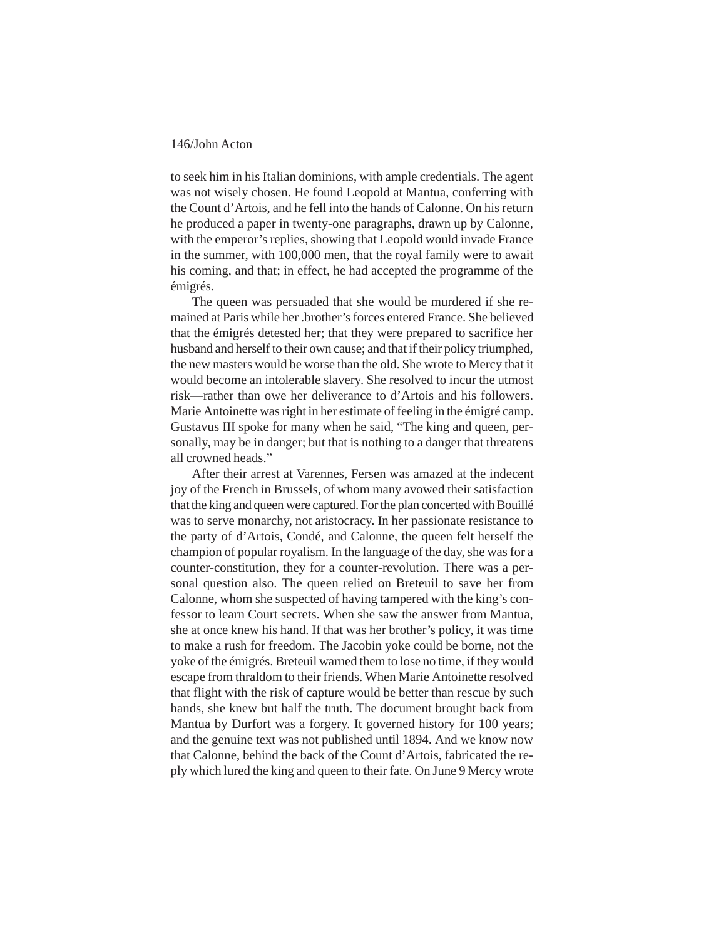to seek him in his Italian dominions, with ample credentials. The agent was not wisely chosen. He found Leopold at Mantua, conferring with the Count d'Artois, and he fell into the hands of Calonne. On his return he produced a paper in twenty-one paragraphs, drawn up by Calonne, with the emperor's replies, showing that Leopold would invade France in the summer, with 100,000 men, that the royal family were to await his coming, and that; in effect, he had accepted the programme of the émigrés.

The queen was persuaded that she would be murdered if she remained at Paris while her .brother's forces entered France. She believed that the émigrés detested her; that they were prepared to sacrifice her husband and herself to their own cause; and that if their policy triumphed, the new masters would be worse than the old. She wrote to Mercy that it would become an intolerable slavery. She resolved to incur the utmost risk—rather than owe her deliverance to d'Artois and his followers. Marie Antoinette was right in her estimate of feeling in the émigré camp. Gustavus III spoke for many when he said, "The king and queen, personally, may be in danger; but that is nothing to a danger that threatens all crowned heads."

After their arrest at Varennes, Fersen was amazed at the indecent joy of the French in Brussels, of whom many avowed their satisfaction that the king and queen were captured. For the plan concerted with Bouillé was to serve monarchy, not aristocracy. In her passionate resistance to the party of d'Artois, Condé, and Calonne, the queen felt herself the champion of popular royalism. In the language of the day, she was for a counter-constitution, they for a counter-revolution. There was a personal question also. The queen relied on Breteuil to save her from Calonne, whom she suspected of having tampered with the king's confessor to learn Court secrets. When she saw the answer from Mantua, she at once knew his hand. If that was her brother's policy, it was time to make a rush for freedom. The Jacobin yoke could be borne, not the yoke of the émigrés. Breteuil warned them to lose no time, if they would escape from thraldom to their friends. When Marie Antoinette resolved that flight with the risk of capture would be better than rescue by such hands, she knew but half the truth. The document brought back from Mantua by Durfort was a forgery. It governed history for 100 years; and the genuine text was not published until 1894. And we know now that Calonne, behind the back of the Count d'Artois, fabricated the reply which lured the king and queen to their fate. On June 9 Mercy wrote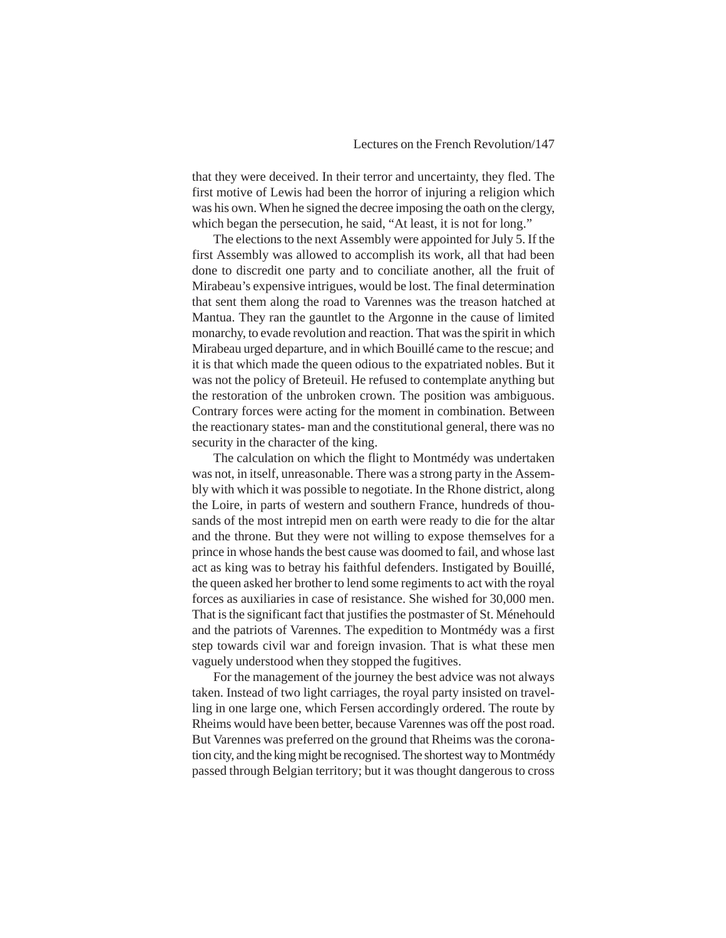that they were deceived. In their terror and uncertainty, they fled. The first motive of Lewis had been the horror of injuring a religion which was his own. When he signed the decree imposing the oath on the clergy, which began the persecution, he said, "At least, it is not for long."

The elections to the next Assembly were appointed for July 5. If the first Assembly was allowed to accomplish its work, all that had been done to discredit one party and to conciliate another, all the fruit of Mirabeau's expensive intrigues, would be lost. The final determination that sent them along the road to Varennes was the treason hatched at Mantua. They ran the gauntlet to the Argonne in the cause of limited monarchy, to evade revolution and reaction. That was the spirit in which Mirabeau urged departure, and in which Bouillé came to the rescue; and it is that which made the queen odious to the expatriated nobles. But it was not the policy of Breteuil. He refused to contemplate anything but the restoration of the unbroken crown. The position was ambiguous. Contrary forces were acting for the moment in combination. Between the reactionary states- man and the constitutional general, there was no security in the character of the king.

The calculation on which the flight to Montmédy was undertaken was not, in itself, unreasonable. There was a strong party in the Assembly with which it was possible to negotiate. In the Rhone district, along the Loire, in parts of western and southern France, hundreds of thousands of the most intrepid men on earth were ready to die for the altar and the throne. But they were not willing to expose themselves for a prince in whose hands the best cause was doomed to fail, and whose last act as king was to betray his faithful defenders. Instigated by Bouillé, the queen asked her brother to lend some regiments to act with the royal forces as auxiliaries in case of resistance. She wished for 30,000 men. That is the significant fact that justifies the postmaster of St. Ménehould and the patriots of Varennes. The expedition to Montmédy was a first step towards civil war and foreign invasion. That is what these men vaguely understood when they stopped the fugitives.

For the management of the journey the best advice was not always taken. Instead of two light carriages, the royal party insisted on travelling in one large one, which Fersen accordingly ordered. The route by Rheims would have been better, because Varennes was off the post road. But Varennes was preferred on the ground that Rheims was the coronation city, and the king might be recognised. The shortest way to Montmédy passed through Belgian territory; but it was thought dangerous to cross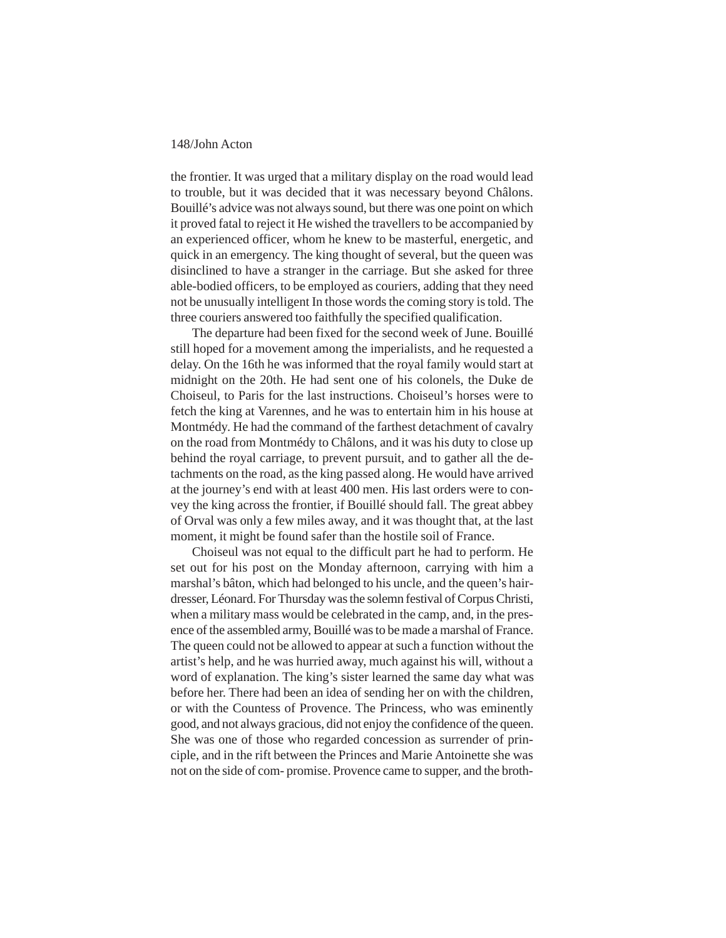the frontier. It was urged that a military display on the road would lead to trouble, but it was decided that it was necessary beyond Châlons. Bouillé's advice was not always sound, but there was one point on which it proved fatal to reject it He wished the travellers to be accompanied by an experienced officer, whom he knew to be masterful, energetic, and quick in an emergency. The king thought of several, but the queen was disinclined to have a stranger in the carriage. But she asked for three able-bodied officers, to be employed as couriers, adding that they need not be unusually intelligent In those words the coming story is told. The three couriers answered too faithfully the specified qualification.

The departure had been fixed for the second week of June. Bouillé still hoped for a movement among the imperialists, and he requested a delay. On the 16th he was informed that the royal family would start at midnight on the 20th. He had sent one of his colonels, the Duke de Choiseul, to Paris for the last instructions. Choiseul's horses were to fetch the king at Varennes, and he was to entertain him in his house at Montmédy. He had the command of the farthest detachment of cavalry on the road from Montmédy to Châlons, and it was his duty to close up behind the royal carriage, to prevent pursuit, and to gather all the detachments on the road, as the king passed along. He would have arrived at the journey's end with at least 400 men. His last orders were to convey the king across the frontier, if Bouillé should fall. The great abbey of Orval was only a few miles away, and it was thought that, at the last moment, it might be found safer than the hostile soil of France.

Choiseul was not equal to the difficult part he had to perform. He set out for his post on the Monday afternoon, carrying with him a marshal's bâton, which had belonged to his uncle, and the queen's hairdresser, Léonard. For Thursday was the solemn festival of Corpus Christi, when a military mass would be celebrated in the camp, and, in the presence of the assembled army, Bouillé was to be made a marshal of France. The queen could not be allowed to appear at such a function without the artist's help, and he was hurried away, much against his will, without a word of explanation. The king's sister learned the same day what was before her. There had been an idea of sending her on with the children, or with the Countess of Provence. The Princess, who was eminently good, and not always gracious, did not enjoy the confidence of the queen. She was one of those who regarded concession as surrender of principle, and in the rift between the Princes and Marie Antoinette she was not on the side of com- promise. Provence came to supper, and the broth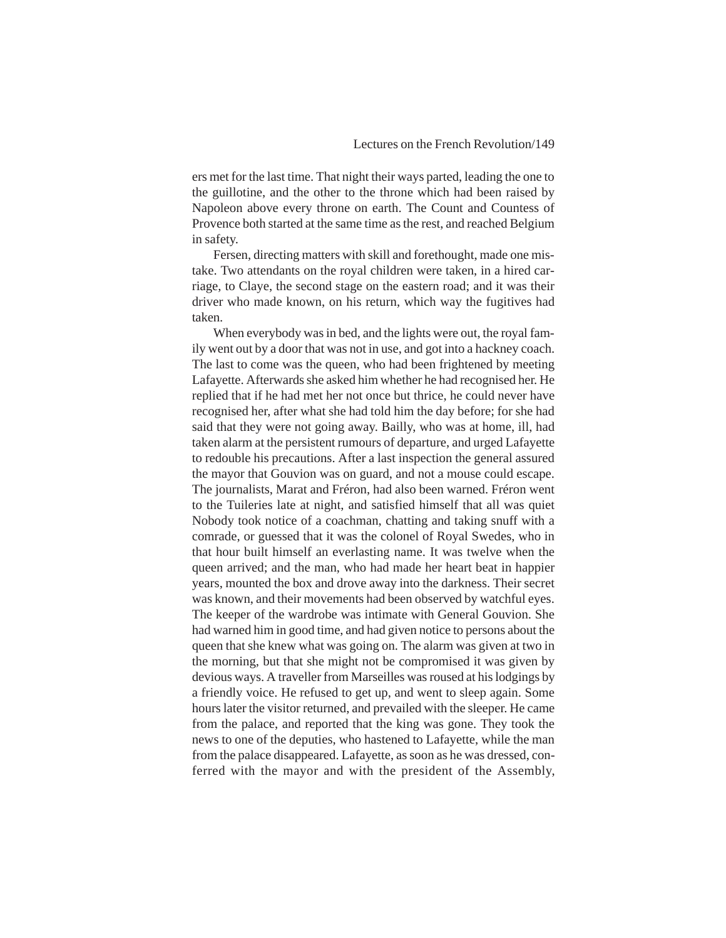ers met for the last time. That night their ways parted, leading the one to the guillotine, and the other to the throne which had been raised by Napoleon above every throne on earth. The Count and Countess of Provence both started at the same time as the rest, and reached Belgium in safety.

Fersen, directing matters with skill and forethought, made one mistake. Two attendants on the royal children were taken, in a hired carriage, to Claye, the second stage on the eastern road; and it was their driver who made known, on his return, which way the fugitives had taken.

When everybody was in bed, and the lights were out, the royal family went out by a door that was not in use, and got into a hackney coach. The last to come was the queen, who had been frightened by meeting Lafayette. Afterwards she asked him whether he had recognised her. He replied that if he had met her not once but thrice, he could never have recognised her, after what she had told him the day before; for she had said that they were not going away. Bailly, who was at home, ill, had taken alarm at the persistent rumours of departure, and urged Lafayette to redouble his precautions. After a last inspection the general assured the mayor that Gouvion was on guard, and not a mouse could escape. The journalists, Marat and Fréron, had also been warned. Fréron went to the Tuileries late at night, and satisfied himself that all was quiet Nobody took notice of a coachman, chatting and taking snuff with a comrade, or guessed that it was the colonel of Royal Swedes, who in that hour built himself an everlasting name. It was twelve when the queen arrived; and the man, who had made her heart beat in happier years, mounted the box and drove away into the darkness. Their secret was known, and their movements had been observed by watchful eyes. The keeper of the wardrobe was intimate with General Gouvion. She had warned him in good time, and had given notice to persons about the queen that she knew what was going on. The alarm was given at two in the morning, but that she might not be compromised it was given by devious ways. A traveller from Marseilles was roused at his lodgings by a friendly voice. He refused to get up, and went to sleep again. Some hours later the visitor returned, and prevailed with the sleeper. He came from the palace, and reported that the king was gone. They took the news to one of the deputies, who hastened to Lafayette, while the man from the palace disappeared. Lafayette, as soon as he was dressed, conferred with the mayor and with the president of the Assembly,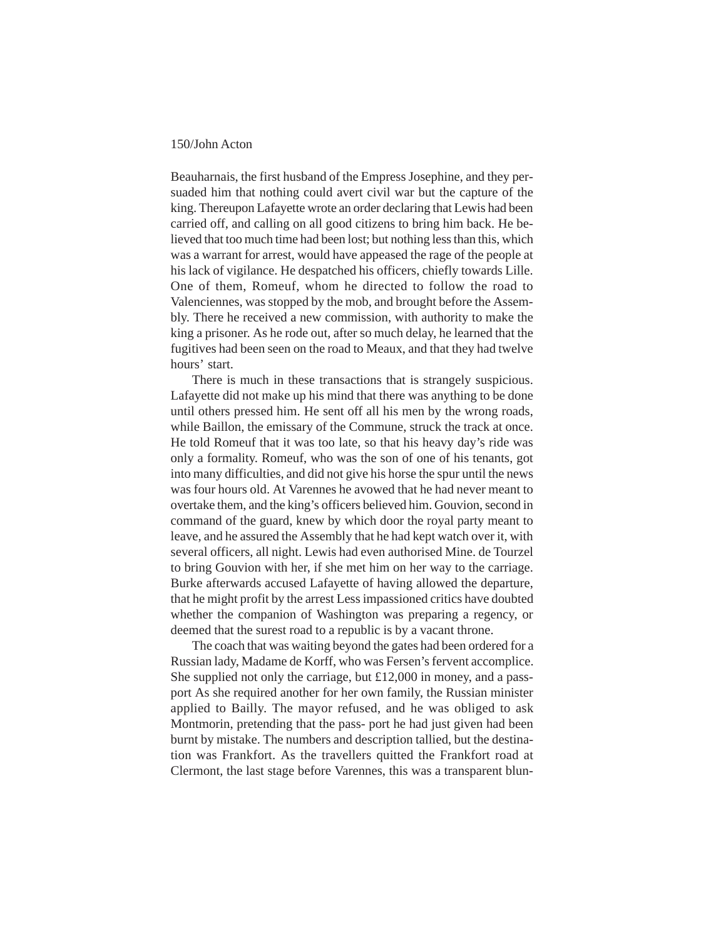Beauharnais, the first husband of the Empress Josephine, and they persuaded him that nothing could avert civil war but the capture of the king. Thereupon Lafayette wrote an order declaring that Lewis had been carried off, and calling on all good citizens to bring him back. He believed that too much time had been lost; but nothing less than this, which was a warrant for arrest, would have appeased the rage of the people at his lack of vigilance. He despatched his officers, chiefly towards Lille. One of them, Romeuf, whom he directed to follow the road to Valenciennes, was stopped by the mob, and brought before the Assembly. There he received a new commission, with authority to make the king a prisoner. As he rode out, after so much delay, he learned that the fugitives had been seen on the road to Meaux, and that they had twelve hours' start.

There is much in these transactions that is strangely suspicious. Lafayette did not make up his mind that there was anything to be done until others pressed him. He sent off all his men by the wrong roads, while Baillon, the emissary of the Commune, struck the track at once. He told Romeuf that it was too late, so that his heavy day's ride was only a formality. Romeuf, who was the son of one of his tenants, got into many difficulties, and did not give his horse the spur until the news was four hours old. At Varennes he avowed that he had never meant to overtake them, and the king's officers believed him. Gouvion, second in command of the guard, knew by which door the royal party meant to leave, and he assured the Assembly that he had kept watch over it, with several officers, all night. Lewis had even authorised Mine. de Tourzel to bring Gouvion with her, if she met him on her way to the carriage. Burke afterwards accused Lafayette of having allowed the departure, that he might profit by the arrest Less impassioned critics have doubted whether the companion of Washington was preparing a regency, or deemed that the surest road to a republic is by a vacant throne.

The coach that was waiting beyond the gates had been ordered for a Russian lady, Madame de Korff, who was Fersen's fervent accomplice. She supplied not only the carriage, but £12,000 in money, and a passport As she required another for her own family, the Russian minister applied to Bailly. The mayor refused, and he was obliged to ask Montmorin, pretending that the pass- port he had just given had been burnt by mistake. The numbers and description tallied, but the destination was Frankfort. As the travellers quitted the Frankfort road at Clermont, the last stage before Varennes, this was a transparent blun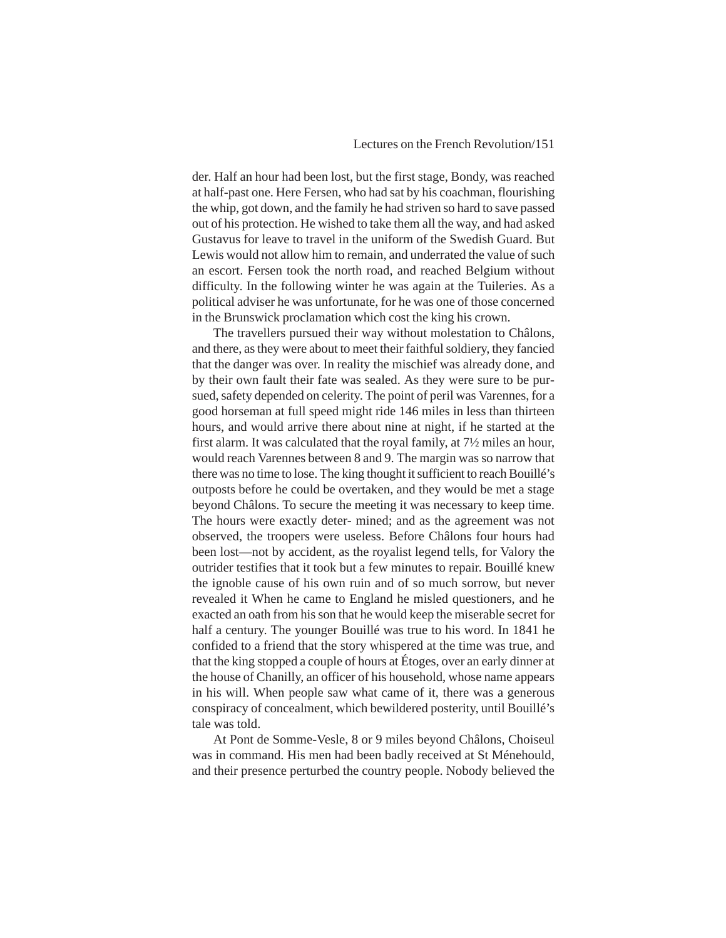der. Half an hour had been lost, but the first stage, Bondy, was reached at half-past one. Here Fersen, who had sat by his coachman, flourishing the whip, got down, and the family he had striven so hard to save passed out of his protection. He wished to take them all the way, and had asked Gustavus for leave to travel in the uniform of the Swedish Guard. But Lewis would not allow him to remain, and underrated the value of such an escort. Fersen took the north road, and reached Belgium without difficulty. In the following winter he was again at the Tuileries. As a political adviser he was unfortunate, for he was one of those concerned in the Brunswick proclamation which cost the king his crown.

The travellers pursued their way without molestation to Châlons, and there, as they were about to meet their faithful soldiery, they fancied that the danger was over. In reality the mischief was already done, and by their own fault their fate was sealed. As they were sure to be pursued, safety depended on celerity. The point of peril was Varennes, for a good horseman at full speed might ride 146 miles in less than thirteen hours, and would arrive there about nine at night, if he started at the first alarm. It was calculated that the royal family, at 7½ miles an hour, would reach Varennes between 8 and 9. The margin was so narrow that there was no time to lose. The king thought it sufficient to reach Bouillé's outposts before he could be overtaken, and they would be met a stage beyond Châlons. To secure the meeting it was necessary to keep time. The hours were exactly deter- mined; and as the agreement was not observed, the troopers were useless. Before Châlons four hours had been lost—not by accident, as the royalist legend tells, for Valory the outrider testifies that it took but a few minutes to repair. Bouillé knew the ignoble cause of his own ruin and of so much sorrow, but never revealed it When he came to England he misled questioners, and he exacted an oath from his son that he would keep the miserable secret for half a century. The younger Bouillé was true to his word. In 1841 he confided to a friend that the story whispered at the time was true, and that the king stopped a couple of hours at Étoges, over an early dinner at the house of Chanilly, an officer of his household, whose name appears in his will. When people saw what came of it, there was a generous conspiracy of concealment, which bewildered posterity, until Bouillé's tale was told.

At Pont de Somme-Vesle, 8 or 9 miles beyond Châlons, Choiseul was in command. His men had been badly received at St Ménehould, and their presence perturbed the country people. Nobody believed the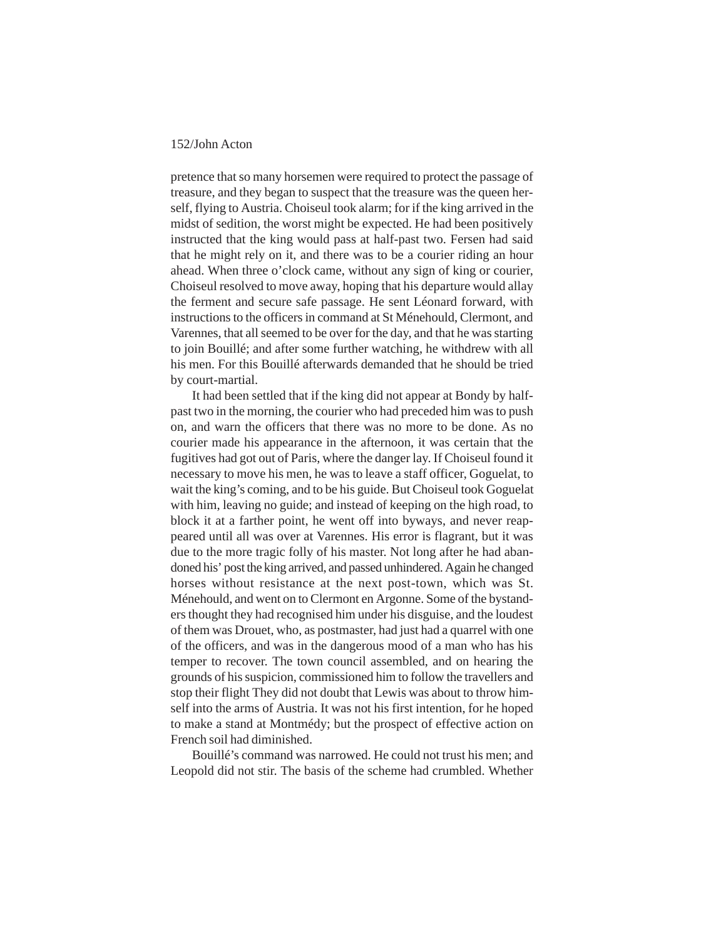pretence that so many horsemen were required to protect the passage of treasure, and they began to suspect that the treasure was the queen herself, flying to Austria. Choiseul took alarm; for if the king arrived in the midst of sedition, the worst might be expected. He had been positively instructed that the king would pass at half-past two. Fersen had said that he might rely on it, and there was to be a courier riding an hour ahead. When three o'clock came, without any sign of king or courier, Choiseul resolved to move away, hoping that his departure would allay the ferment and secure safe passage. He sent Léonard forward, with instructions to the officers in command at St Ménehould, Clermont, and Varennes, that all seemed to be over for the day, and that he was starting to join Bouillé; and after some further watching, he withdrew with all his men. For this Bouillé afterwards demanded that he should be tried by court-martial.

It had been settled that if the king did not appear at Bondy by halfpast two in the morning, the courier who had preceded him was to push on, and warn the officers that there was no more to be done. As no courier made his appearance in the afternoon, it was certain that the fugitives had got out of Paris, where the danger lay. If Choiseul found it necessary to move his men, he was to leave a staff officer, Goguelat, to wait the king's coming, and to be his guide. But Choiseul took Goguelat with him, leaving no guide; and instead of keeping on the high road, to block it at a farther point, he went off into byways, and never reappeared until all was over at Varennes. His error is flagrant, but it was due to the more tragic folly of his master. Not long after he had abandoned his' post the king arrived, and passed unhindered. Again he changed horses without resistance at the next post-town, which was St. Ménehould, and went on to Clermont en Argonne. Some of the bystanders thought they had recognised him under his disguise, and the loudest of them was Drouet, who, as postmaster, had just had a quarrel with one of the officers, and was in the dangerous mood of a man who has his temper to recover. The town council assembled, and on hearing the grounds of his suspicion, commissioned him to follow the travellers and stop their flight They did not doubt that Lewis was about to throw himself into the arms of Austria. It was not his first intention, for he hoped to make a stand at Montmédy; but the prospect of effective action on French soil had diminished.

Bouillé's command was narrowed. He could not trust his men; and Leopold did not stir. The basis of the scheme had crumbled. Whether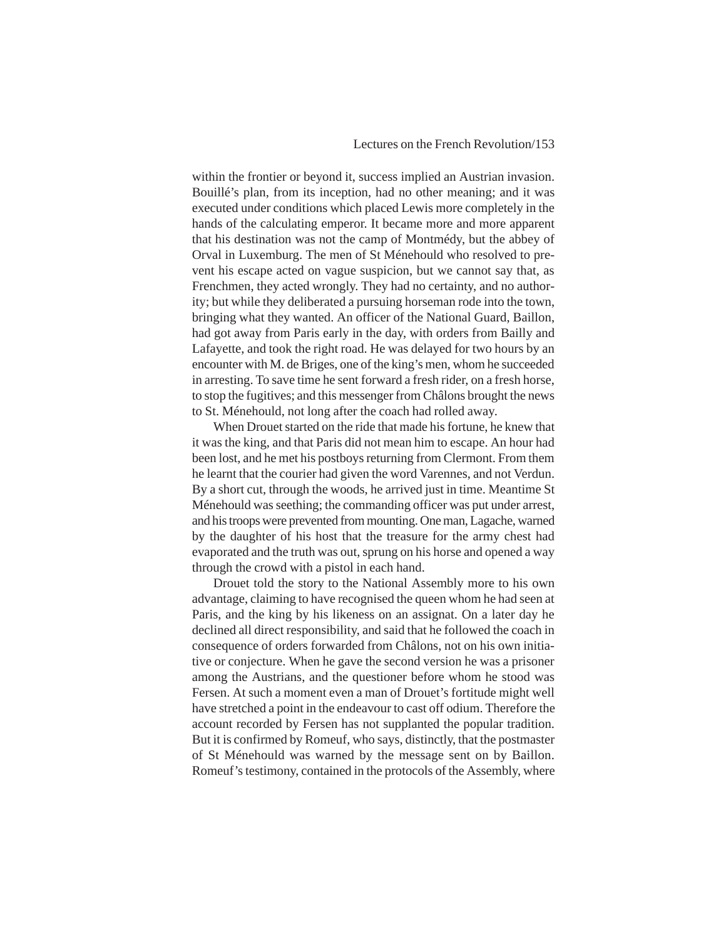within the frontier or beyond it, success implied an Austrian invasion. Bouillé's plan, from its inception, had no other meaning; and it was executed under conditions which placed Lewis more completely in the hands of the calculating emperor. It became more and more apparent that his destination was not the camp of Montmédy, but the abbey of Orval in Luxemburg. The men of St Ménehould who resolved to prevent his escape acted on vague suspicion, but we cannot say that, as Frenchmen, they acted wrongly. They had no certainty, and no authority; but while they deliberated a pursuing horseman rode into the town, bringing what they wanted. An officer of the National Guard, Baillon, had got away from Paris early in the day, with orders from Bailly and Lafayette, and took the right road. He was delayed for two hours by an encounter with M. de Briges, one of the king's men, whom he succeeded in arresting. To save time he sent forward a fresh rider, on a fresh horse, to stop the fugitives; and this messenger from Châlons brought the news to St. Ménehould, not long after the coach had rolled away.

When Drouet started on the ride that made his fortune, he knew that it was the king, and that Paris did not mean him to escape. An hour had been lost, and he met his postboys returning from Clermont. From them he learnt that the courier had given the word Varennes, and not Verdun. By a short cut, through the woods, he arrived just in time. Meantime St Ménehould was seething; the commanding officer was put under arrest, and his troops were prevented from mounting. One man, Lagache, warned by the daughter of his host that the treasure for the army chest had evaporated and the truth was out, sprung on his horse and opened a way through the crowd with a pistol in each hand.

Drouet told the story to the National Assembly more to his own advantage, claiming to have recognised the queen whom he had seen at Paris, and the king by his likeness on an assignat. On a later day he declined all direct responsibility, and said that he followed the coach in consequence of orders forwarded from Châlons, not on his own initiative or conjecture. When he gave the second version he was a prisoner among the Austrians, and the questioner before whom he stood was Fersen. At such a moment even a man of Drouet's fortitude might well have stretched a point in the endeavour to cast off odium. Therefore the account recorded by Fersen has not supplanted the popular tradition. But it is confirmed by Romeuf, who says, distinctly, that the postmaster of St Ménehould was warned by the message sent on by Baillon. Romeuf's testimony, contained in the protocols of the Assembly, where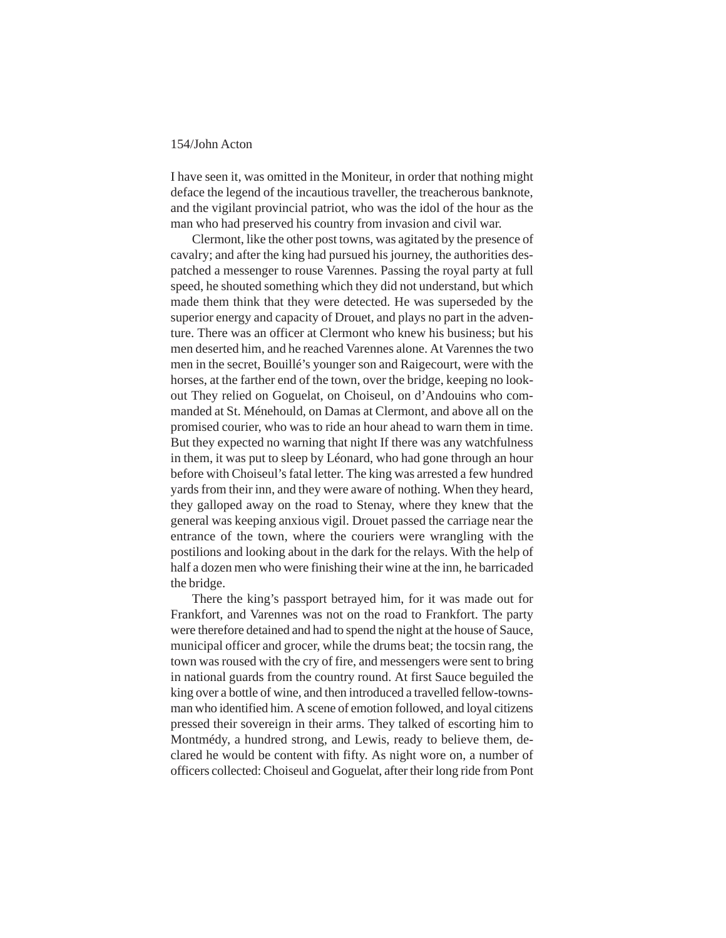I have seen it, was omitted in the Moniteur, in order that nothing might deface the legend of the incautious traveller, the treacherous banknote, and the vigilant provincial patriot, who was the idol of the hour as the man who had preserved his country from invasion and civil war.

Clermont, like the other post towns, was agitated by the presence of cavalry; and after the king had pursued his journey, the authorities despatched a messenger to rouse Varennes. Passing the royal party at full speed, he shouted something which they did not understand, but which made them think that they were detected. He was superseded by the superior energy and capacity of Drouet, and plays no part in the adventure. There was an officer at Clermont who knew his business; but his men deserted him, and he reached Varennes alone. At Varennes the two men in the secret, Bouillé's younger son and Raigecourt, were with the horses, at the farther end of the town, over the bridge, keeping no lookout They relied on Goguelat, on Choiseul, on d'Andouins who commanded at St. Ménehould, on Damas at Clermont, and above all on the promised courier, who was to ride an hour ahead to warn them in time. But they expected no warning that night If there was any watchfulness in them, it was put to sleep by Léonard, who had gone through an hour before with Choiseul's fatal letter. The king was arrested a few hundred yards from their inn, and they were aware of nothing. When they heard, they galloped away on the road to Stenay, where they knew that the general was keeping anxious vigil. Drouet passed the carriage near the entrance of the town, where the couriers were wrangling with the postilions and looking about in the dark for the relays. With the help of half a dozen men who were finishing their wine at the inn, he barricaded the bridge.

There the king's passport betrayed him, for it was made out for Frankfort, and Varennes was not on the road to Frankfort. The party were therefore detained and had to spend the night at the house of Sauce, municipal officer and grocer, while the drums beat; the tocsin rang, the town was roused with the cry of fire, and messengers were sent to bring in national guards from the country round. At first Sauce beguiled the king over a bottle of wine, and then introduced a travelled fellow-townsman who identified him. A scene of emotion followed, and loyal citizens pressed their sovereign in their arms. They talked of escorting him to Montmédy, a hundred strong, and Lewis, ready to believe them, declared he would be content with fifty. As night wore on, a number of officers collected: Choiseul and Goguelat, after their long ride from Pont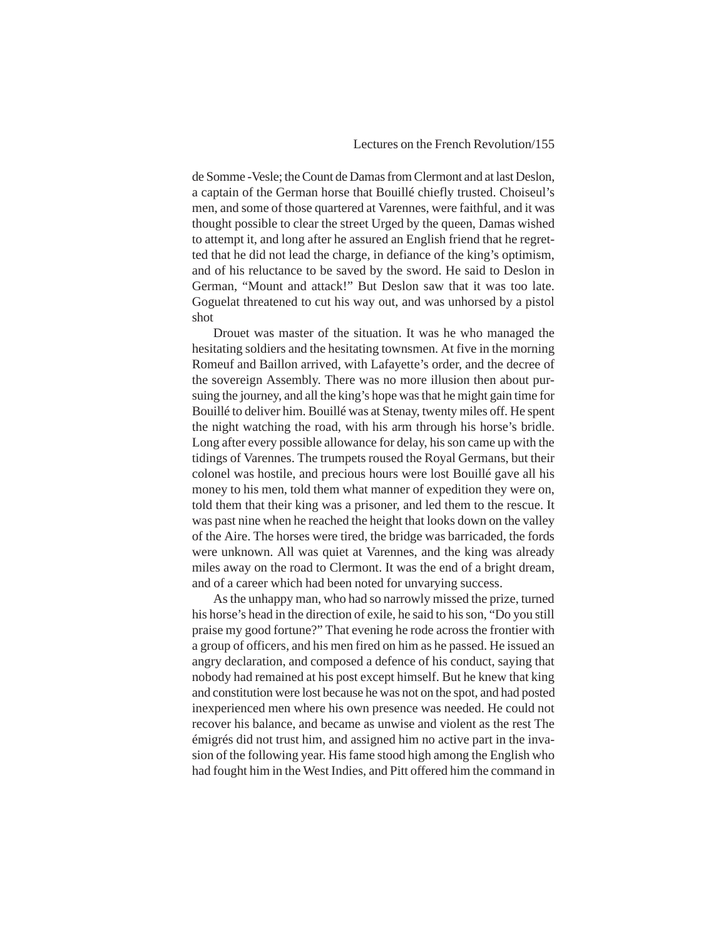de Somme -Vesle; the Count de Damas from Clermont and at last Deslon, a captain of the German horse that Bouillé chiefly trusted. Choiseul's men, and some of those quartered at Varennes, were faithful, and it was thought possible to clear the street Urged by the queen, Damas wished to attempt it, and long after he assured an English friend that he regretted that he did not lead the charge, in defiance of the king's optimism, and of his reluctance to be saved by the sword. He said to Deslon in German, "Mount and attack!" But Deslon saw that it was too late. Goguelat threatened to cut his way out, and was unhorsed by a pistol shot

Drouet was master of the situation. It was he who managed the hesitating soldiers and the hesitating townsmen. At five in the morning Romeuf and Baillon arrived, with Lafayette's order, and the decree of the sovereign Assembly. There was no more illusion then about pursuing the journey, and all the king's hope was that he might gain time for Bouillé to deliver him. Bouillé was at Stenay, twenty miles off. He spent the night watching the road, with his arm through his horse's bridle. Long after every possible allowance for delay, his son came up with the tidings of Varennes. The trumpets roused the Royal Germans, but their colonel was hostile, and precious hours were lost Bouillé gave all his money to his men, told them what manner of expedition they were on, told them that their king was a prisoner, and led them to the rescue. It was past nine when he reached the height that looks down on the valley of the Aire. The horses were tired, the bridge was barricaded, the fords were unknown. All was quiet at Varennes, and the king was already miles away on the road to Clermont. It was the end of a bright dream, and of a career which had been noted for unvarying success.

As the unhappy man, who had so narrowly missed the prize, turned his horse's head in the direction of exile, he said to his son, "Do you still praise my good fortune?" That evening he rode across the frontier with a group of officers, and his men fired on him as he passed. He issued an angry declaration, and composed a defence of his conduct, saying that nobody had remained at his post except himself. But he knew that king and constitution were lost because he was not on the spot, and had posted inexperienced men where his own presence was needed. He could not recover his balance, and became as unwise and violent as the rest The émigrés did not trust him, and assigned him no active part in the invasion of the following year. His fame stood high among the English who had fought him in the West Indies, and Pitt offered him the command in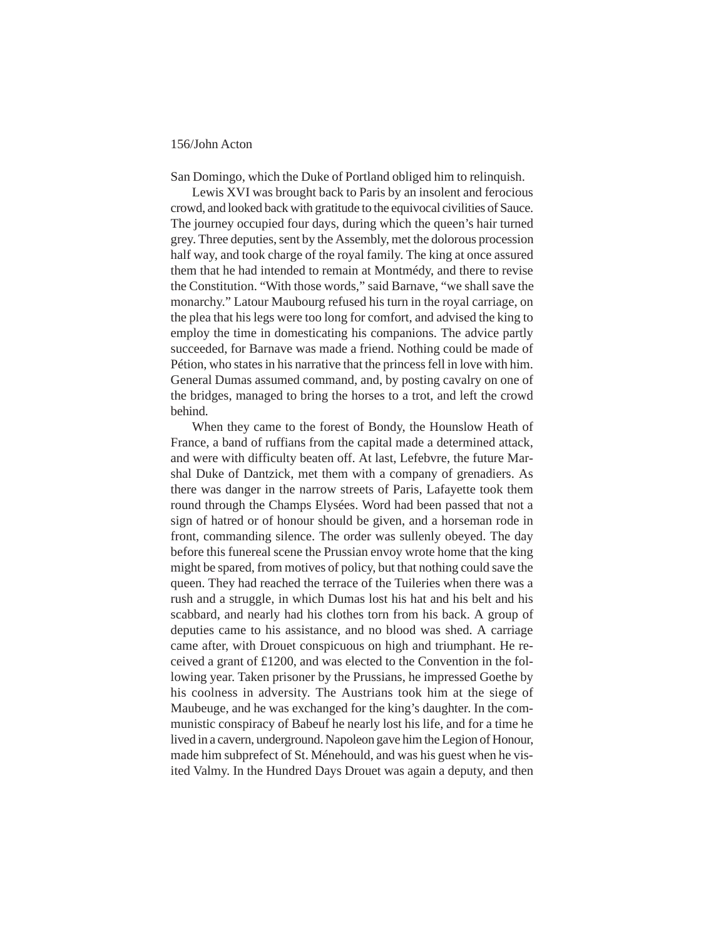San Domingo, which the Duke of Portland obliged him to relinquish.

Lewis XVI was brought back to Paris by an insolent and ferocious crowd, and looked back with gratitude to the equivocal civilities of Sauce. The journey occupied four days, during which the queen's hair turned grey. Three deputies, sent by the Assembly, met the dolorous procession half way, and took charge of the royal family. The king at once assured them that he had intended to remain at Montmédy, and there to revise the Constitution. "With those words," said Barnave, "we shall save the monarchy." Latour Maubourg refused his turn in the royal carriage, on the plea that his legs were too long for comfort, and advised the king to employ the time in domesticating his companions. The advice partly succeeded, for Barnave was made a friend. Nothing could be made of Pétion, who states in his narrative that the princess fell in love with him. General Dumas assumed command, and, by posting cavalry on one of the bridges, managed to bring the horses to a trot, and left the crowd behind.

When they came to the forest of Bondy, the Hounslow Heath of France, a band of ruffians from the capital made a determined attack, and were with difficulty beaten off. At last, Lefebvre, the future Marshal Duke of Dantzick, met them with a company of grenadiers. As there was danger in the narrow streets of Paris, Lafayette took them round through the Champs Elysées. Word had been passed that not a sign of hatred or of honour should be given, and a horseman rode in front, commanding silence. The order was sullenly obeyed. The day before this funereal scene the Prussian envoy wrote home that the king might be spared, from motives of policy, but that nothing could save the queen. They had reached the terrace of the Tuileries when there was a rush and a struggle, in which Dumas lost his hat and his belt and his scabbard, and nearly had his clothes torn from his back. A group of deputies came to his assistance, and no blood was shed. A carriage came after, with Drouet conspicuous on high and triumphant. He received a grant of £1200, and was elected to the Convention in the following year. Taken prisoner by the Prussians, he impressed Goethe by his coolness in adversity. The Austrians took him at the siege of Maubeuge, and he was exchanged for the king's daughter. In the communistic conspiracy of Babeuf he nearly lost his life, and for a time he lived in a cavern, underground. Napoleon gave him the Legion of Honour, made him subprefect of St. Ménehould, and was his guest when he visited Valmy. In the Hundred Days Drouet was again a deputy, and then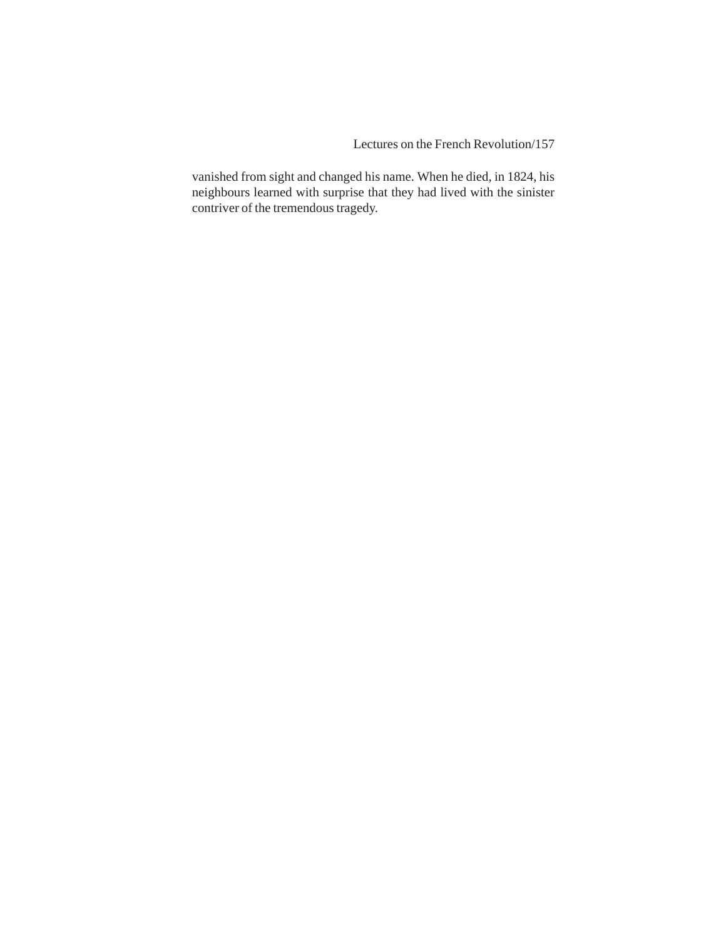Lectures on the French Revolution/157

vanished from sight and changed his name. When he died, in 1824, his neighbours learned with surprise that they had lived with the sinister contriver of the tremendous tragedy.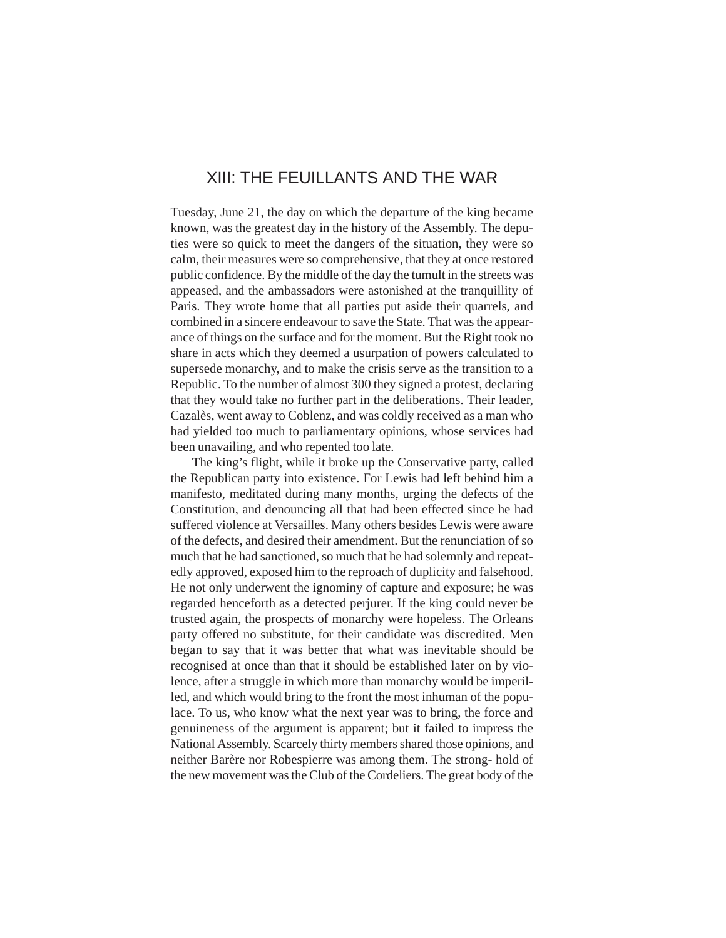# XIII: THE FEUILLANTS AND THE WAR

Tuesday, June 21, the day on which the departure of the king became known, was the greatest day in the history of the Assembly. The deputies were so quick to meet the dangers of the situation, they were so calm, their measures were so comprehensive, that they at once restored public confidence. By the middle of the day the tumult in the streets was appeased, and the ambassadors were astonished at the tranquillity of Paris. They wrote home that all parties put aside their quarrels, and combined in a sincere endeavour to save the State. That was the appearance of things on the surface and for the moment. But the Right took no share in acts which they deemed a usurpation of powers calculated to supersede monarchy, and to make the crisis serve as the transition to a Republic. To the number of almost 300 they signed a protest, declaring that they would take no further part in the deliberations. Their leader, Cazalès, went away to Coblenz, and was coldly received as a man who had yielded too much to parliamentary opinions, whose services had been unavailing, and who repented too late.

The king's flight, while it broke up the Conservative party, called the Republican party into existence. For Lewis had left behind him a manifesto, meditated during many months, urging the defects of the Constitution, and denouncing all that had been effected since he had suffered violence at Versailles. Many others besides Lewis were aware of the defects, and desired their amendment. But the renunciation of so much that he had sanctioned, so much that he had solemnly and repeatedly approved, exposed him to the reproach of duplicity and falsehood. He not only underwent the ignominy of capture and exposure; he was regarded henceforth as a detected perjurer. If the king could never be trusted again, the prospects of monarchy were hopeless. The Orleans party offered no substitute, for their candidate was discredited. Men began to say that it was better that what was inevitable should be recognised at once than that it should be established later on by violence, after a struggle in which more than monarchy would be imperilled, and which would bring to the front the most inhuman of the populace. To us, who know what the next year was to bring, the force and genuineness of the argument is apparent; but it failed to impress the National Assembly. Scarcely thirty members shared those opinions, and neither Barère nor Robespierre was among them. The strong- hold of the new movement was the Club of the Cordeliers. The great body of the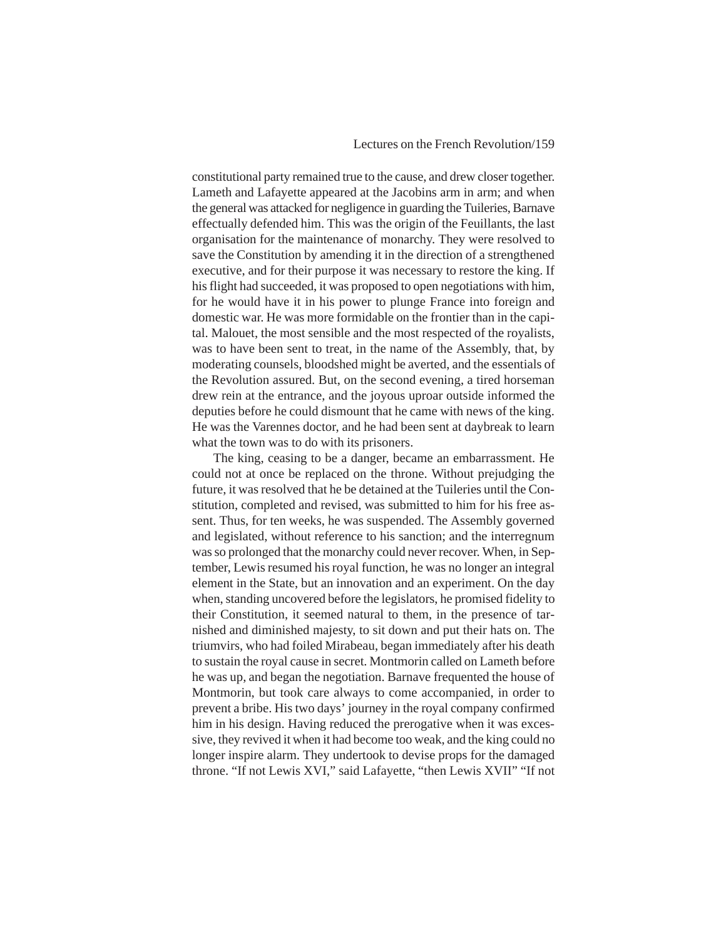constitutional party remained true to the cause, and drew closer together. Lameth and Lafayette appeared at the Jacobins arm in arm; and when the general was attacked for negligence in guarding the Tuileries, Barnave effectually defended him. This was the origin of the Feuillants, the last organisation for the maintenance of monarchy. They were resolved to save the Constitution by amending it in the direction of a strengthened executive, and for their purpose it was necessary to restore the king. If his flight had succeeded, it was proposed to open negotiations with him, for he would have it in his power to plunge France into foreign and domestic war. He was more formidable on the frontier than in the capital. Malouet, the most sensible and the most respected of the royalists, was to have been sent to treat, in the name of the Assembly, that, by moderating counsels, bloodshed might be averted, and the essentials of the Revolution assured. But, on the second evening, a tired horseman drew rein at the entrance, and the joyous uproar outside informed the deputies before he could dismount that he came with news of the king. He was the Varennes doctor, and he had been sent at daybreak to learn what the town was to do with its prisoners.

The king, ceasing to be a danger, became an embarrassment. He could not at once be replaced on the throne. Without prejudging the future, it was resolved that he be detained at the Tuileries until the Constitution, completed and revised, was submitted to him for his free assent. Thus, for ten weeks, he was suspended. The Assembly governed and legislated, without reference to his sanction; and the interregnum was so prolonged that the monarchy could never recover. When, in September, Lewis resumed his royal function, he was no longer an integral element in the State, but an innovation and an experiment. On the day when, standing uncovered before the legislators, he promised fidelity to their Constitution, it seemed natural to them, in the presence of tarnished and diminished majesty, to sit down and put their hats on. The triumvirs, who had foiled Mirabeau, began immediately after his death to sustain the royal cause in secret. Montmorin called on Lameth before he was up, and began the negotiation. Barnave frequented the house of Montmorin, but took care always to come accompanied, in order to prevent a bribe. His two days' journey in the royal company confirmed him in his design. Having reduced the prerogative when it was excessive, they revived it when it had become too weak, and the king could no longer inspire alarm. They undertook to devise props for the damaged throne. "If not Lewis XVI," said Lafayette, "then Lewis XVII" "If not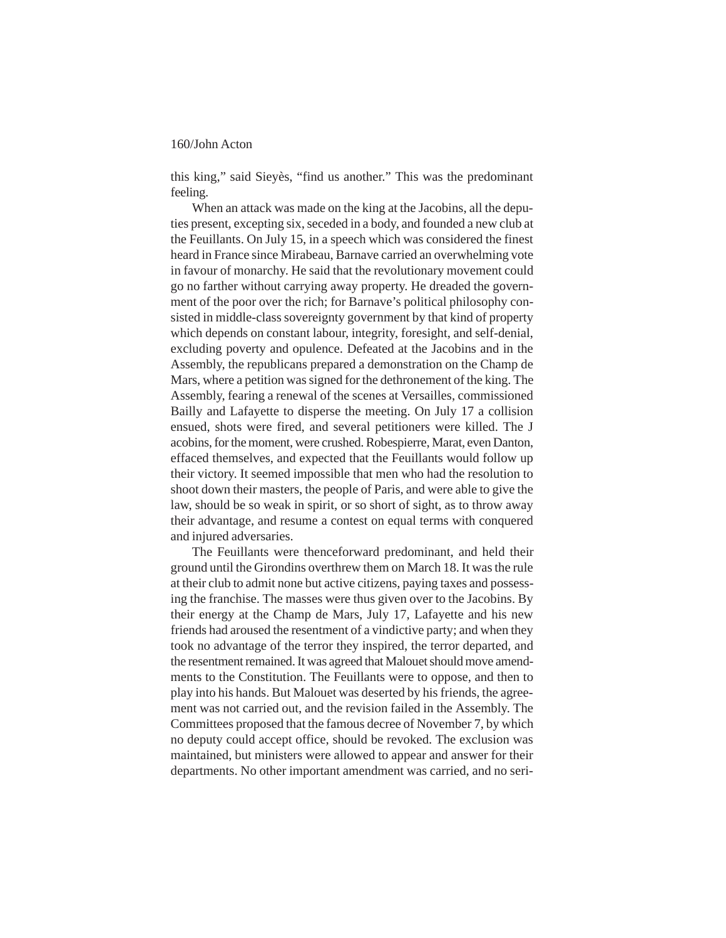this king," said Sieyès, "find us another." This was the predominant feeling.

When an attack was made on the king at the Jacobins, all the deputies present, excepting six, seceded in a body, and founded a new club at the Feuillants. On July 15, in a speech which was considered the finest heard in France since Mirabeau, Barnave carried an overwhelming vote in favour of monarchy. He said that the revolutionary movement could go no farther without carrying away property. He dreaded the government of the poor over the rich; for Barnave's political philosophy consisted in middle-class sovereignty government by that kind of property which depends on constant labour, integrity, foresight, and self-denial, excluding poverty and opulence. Defeated at the Jacobins and in the Assembly, the republicans prepared a demonstration on the Champ de Mars, where a petition was signed for the dethronement of the king. The Assembly, fearing a renewal of the scenes at Versailles, commissioned Bailly and Lafayette to disperse the meeting. On July 17 a collision ensued, shots were fired, and several petitioners were killed. The J acobins, for the moment, were crushed. Robespierre, Marat, even Danton, effaced themselves, and expected that the Feuillants would follow up their victory. It seemed impossible that men who had the resolution to shoot down their masters, the people of Paris, and were able to give the law, should be so weak in spirit, or so short of sight, as to throw away their advantage, and resume a contest on equal terms with conquered and injured adversaries.

The Feuillants were thenceforward predominant, and held their ground until the Girondins overthrew them on March 18. It was the rule at their club to admit none but active citizens, paying taxes and possessing the franchise. The masses were thus given over to the Jacobins. By their energy at the Champ de Mars, July 17, Lafayette and his new friends had aroused the resentment of a vindictive party; and when they took no advantage of the terror they inspired, the terror departed, and the resentment remained. It was agreed that Malouet should move amendments to the Constitution. The Feuillants were to oppose, and then to play into his hands. But Malouet was deserted by his friends, the agreement was not carried out, and the revision failed in the Assembly. The Committees proposed that the famous decree of November 7, by which no deputy could accept office, should be revoked. The exclusion was maintained, but ministers were allowed to appear and answer for their departments. No other important amendment was carried, and no seri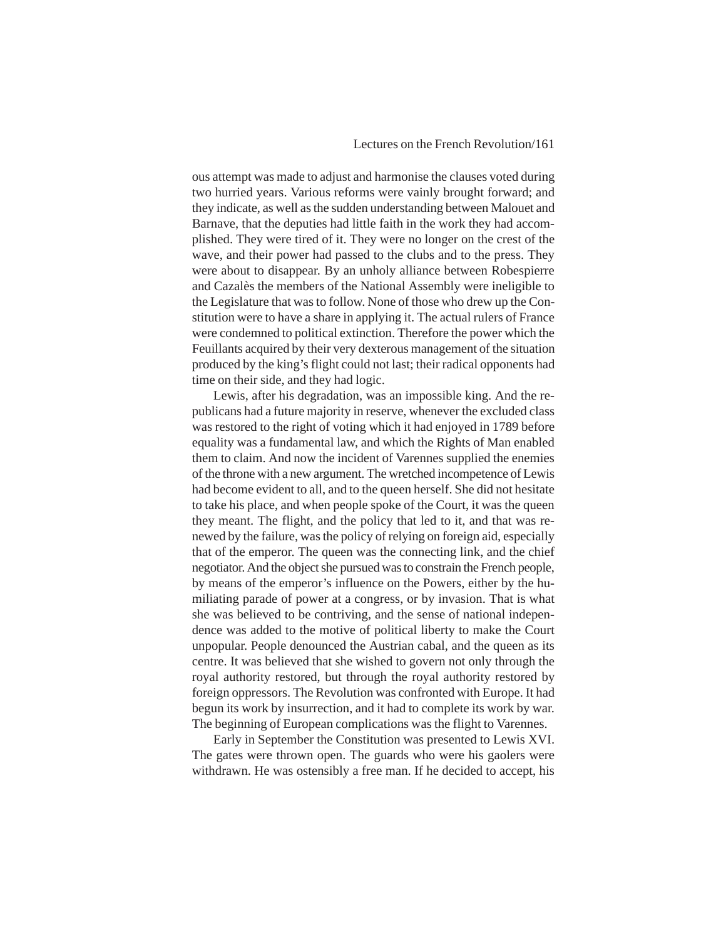ous attempt was made to adjust and harmonise the clauses voted during two hurried years. Various reforms were vainly brought forward; and they indicate, as well as the sudden understanding between Malouet and Barnave, that the deputies had little faith in the work they had accomplished. They were tired of it. They were no longer on the crest of the wave, and their power had passed to the clubs and to the press. They were about to disappear. By an unholy alliance between Robespierre and Cazalès the members of the National Assembly were ineligible to the Legislature that was to follow. None of those who drew up the Constitution were to have a share in applying it. The actual rulers of France were condemned to political extinction. Therefore the power which the Feuillants acquired by their very dexterous management of the situation produced by the king's flight could not last; their radical opponents had time on their side, and they had logic.

Lewis, after his degradation, was an impossible king. And the republicans had a future majority in reserve, whenever the excluded class was restored to the right of voting which it had enjoyed in 1789 before equality was a fundamental law, and which the Rights of Man enabled them to claim. And now the incident of Varennes supplied the enemies of the throne with a new argument. The wretched incompetence of Lewis had become evident to all, and to the queen herself. She did not hesitate to take his place, and when people spoke of the Court, it was the queen they meant. The flight, and the policy that led to it, and that was renewed by the failure, was the policy of relying on foreign aid, especially that of the emperor. The queen was the connecting link, and the chief negotiator. And the object she pursued was to constrain the French people, by means of the emperor's influence on the Powers, either by the humiliating parade of power at a congress, or by invasion. That is what she was believed to be contriving, and the sense of national independence was added to the motive of political liberty to make the Court unpopular. People denounced the Austrian cabal, and the queen as its centre. It was believed that she wished to govern not only through the royal authority restored, but through the royal authority restored by foreign oppressors. The Revolution was confronted with Europe. It had begun its work by insurrection, and it had to complete its work by war. The beginning of European complications was the flight to Varennes.

Early in September the Constitution was presented to Lewis XVI. The gates were thrown open. The guards who were his gaolers were withdrawn. He was ostensibly a free man. If he decided to accept, his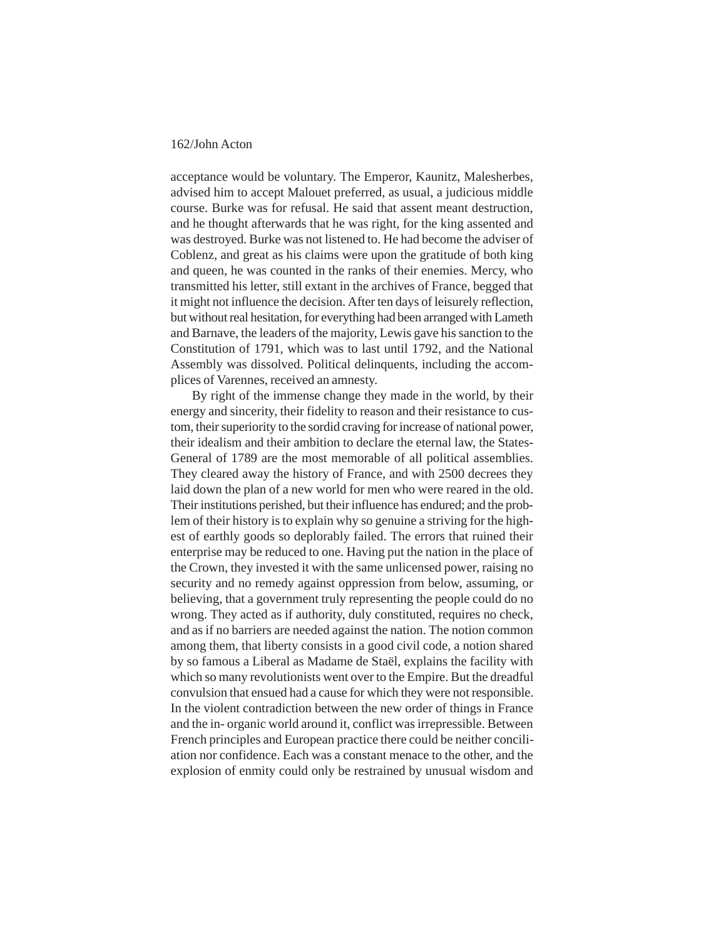acceptance would be voluntary. The Emperor, Kaunitz, Malesherbes, advised him to accept Malouet preferred, as usual, a judicious middle course. Burke was for refusal. He said that assent meant destruction, and he thought afterwards that he was right, for the king assented and was destroyed. Burke was not listened to. He had become the adviser of Coblenz, and great as his claims were upon the gratitude of both king and queen, he was counted in the ranks of their enemies. Mercy, who transmitted his letter, still extant in the archives of France, begged that it might not influence the decision. After ten days of leisurely reflection, but without real hesitation, for everything had been arranged with Lameth and Barnave, the leaders of the majority, Lewis gave his sanction to the Constitution of 1791, which was to last until 1792, and the National Assembly was dissolved. Political delinquents, including the accomplices of Varennes, received an amnesty.

By right of the immense change they made in the world, by their energy and sincerity, their fidelity to reason and their resistance to custom, their superiority to the sordid craving for increase of national power, their idealism and their ambition to declare the eternal law, the States-General of 1789 are the most memorable of all political assemblies. They cleared away the history of France, and with 2500 decrees they laid down the plan of a new world for men who were reared in the old. Their institutions perished, but their influence has endured; and the problem of their history is to explain why so genuine a striving for the highest of earthly goods so deplorably failed. The errors that ruined their enterprise may be reduced to one. Having put the nation in the place of the Crown, they invested it with the same unlicensed power, raising no security and no remedy against oppression from below, assuming, or believing, that a government truly representing the people could do no wrong. They acted as if authority, duly constituted, requires no check, and as if no barriers are needed against the nation. The notion common among them, that liberty consists in a good civil code, a notion shared by so famous a Liberal as Madame de Staël, explains the facility with which so many revolutionists went over to the Empire. But the dreadful convulsion that ensued had a cause for which they were not responsible. In the violent contradiction between the new order of things in France and the in- organic world around it, conflict was irrepressible. Between French principles and European practice there could be neither conciliation nor confidence. Each was a constant menace to the other, and the explosion of enmity could only be restrained by unusual wisdom and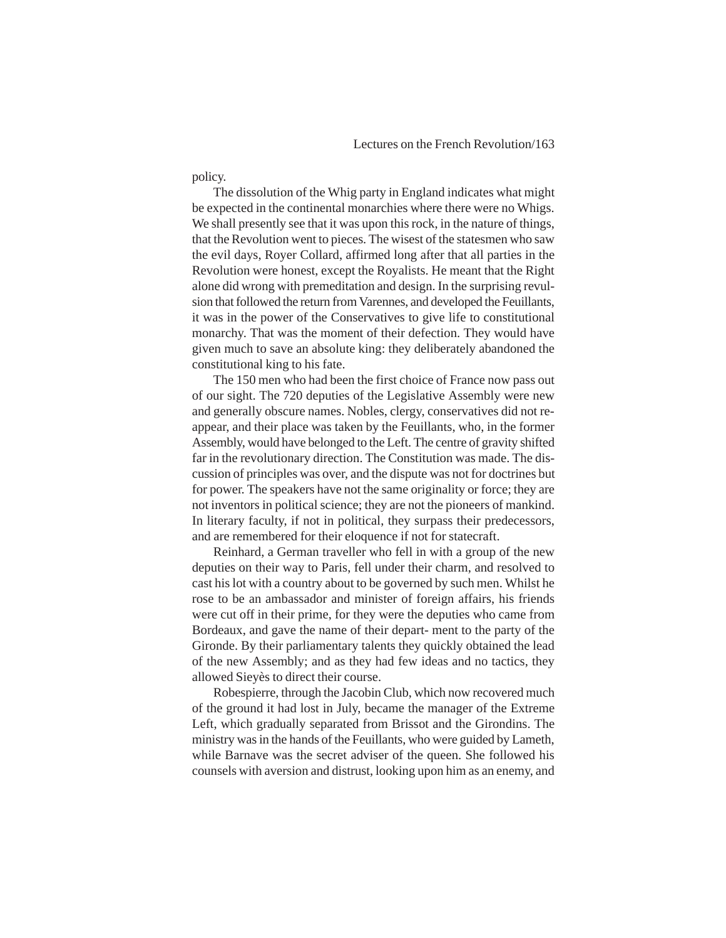policy.

The dissolution of the Whig party in England indicates what might be expected in the continental monarchies where there were no Whigs. We shall presently see that it was upon this rock, in the nature of things, that the Revolution went to pieces. The wisest of the statesmen who saw the evil days, Royer Collard, affirmed long after that all parties in the Revolution were honest, except the Royalists. He meant that the Right alone did wrong with premeditation and design. In the surprising revulsion that followed the return from Varennes, and developed the Feuillants, it was in the power of the Conservatives to give life to constitutional monarchy. That was the moment of their defection. They would have given much to save an absolute king: they deliberately abandoned the constitutional king to his fate.

The 150 men who had been the first choice of France now pass out of our sight. The 720 deputies of the Legislative Assembly were new and generally obscure names. Nobles, clergy, conservatives did not reappear, and their place was taken by the Feuillants, who, in the former Assembly, would have belonged to the Left. The centre of gravity shifted far in the revolutionary direction. The Constitution was made. The discussion of principles was over, and the dispute was not for doctrines but for power. The speakers have not the same originality or force; they are not inventors in political science; they are not the pioneers of mankind. In literary faculty, if not in political, they surpass their predecessors, and are remembered for their eloquence if not for statecraft.

Reinhard, a German traveller who fell in with a group of the new deputies on their way to Paris, fell under their charm, and resolved to cast his lot with a country about to be governed by such men. Whilst he rose to be an ambassador and minister of foreign affairs, his friends were cut off in their prime, for they were the deputies who came from Bordeaux, and gave the name of their depart- ment to the party of the Gironde. By their parliamentary talents they quickly obtained the lead of the new Assembly; and as they had few ideas and no tactics, they allowed Sieyès to direct their course.

Robespierre, through the Jacobin Club, which now recovered much of the ground it had lost in July, became the manager of the Extreme Left, which gradually separated from Brissot and the Girondins. The ministry was in the hands of the Feuillants, who were guided by Lameth, while Barnave was the secret adviser of the queen. She followed his counsels with aversion and distrust, looking upon him as an enemy, and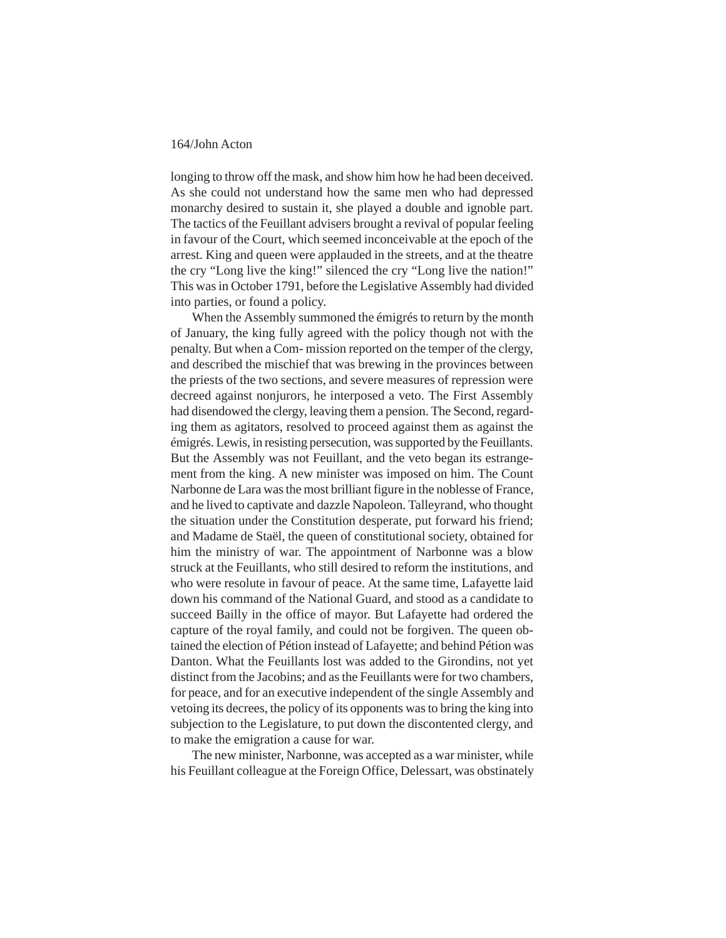longing to throw off the mask, and show him how he had been deceived. As she could not understand how the same men who had depressed monarchy desired to sustain it, she played a double and ignoble part. The tactics of the Feuillant advisers brought a revival of popular feeling in favour of the Court, which seemed inconceivable at the epoch of the arrest. King and queen were applauded in the streets, and at the theatre the cry "Long live the king!" silenced the cry "Long live the nation!" This was in October 1791, before the Legislative Assembly had divided into parties, or found a policy.

When the Assembly summoned the émigrés to return by the month of January, the king fully agreed with the policy though not with the penalty. But when a Com- mission reported on the temper of the clergy, and described the mischief that was brewing in the provinces between the priests of the two sections, and severe measures of repression were decreed against nonjurors, he interposed a veto. The First Assembly had disendowed the clergy, leaving them a pension. The Second, regarding them as agitators, resolved to proceed against them as against the émigrés. Lewis, in resisting persecution, was supported by the Feuillants. But the Assembly was not Feuillant, and the veto began its estrangement from the king. A new minister was imposed on him. The Count Narbonne de Lara was the most brilliant figure in the noblesse of France, and he lived to captivate and dazzle Napoleon. Talleyrand, who thought the situation under the Constitution desperate, put forward his friend; and Madame de Staël, the queen of constitutional society, obtained for him the ministry of war. The appointment of Narbonne was a blow struck at the Feuillants, who still desired to reform the institutions, and who were resolute in favour of peace. At the same time, Lafayette laid down his command of the National Guard, and stood as a candidate to succeed Bailly in the office of mayor. But Lafayette had ordered the capture of the royal family, and could not be forgiven. The queen obtained the election of Pétion instead of Lafayette; and behind Pétion was Danton. What the Feuillants lost was added to the Girondins, not yet distinct from the Jacobins; and as the Feuillants were for two chambers, for peace, and for an executive independent of the single Assembly and vetoing its decrees, the policy of its opponents was to bring the king into subjection to the Legislature, to put down the discontented clergy, and to make the emigration a cause for war.

The new minister, Narbonne, was accepted as a war minister, while his Feuillant colleague at the Foreign Office, Delessart, was obstinately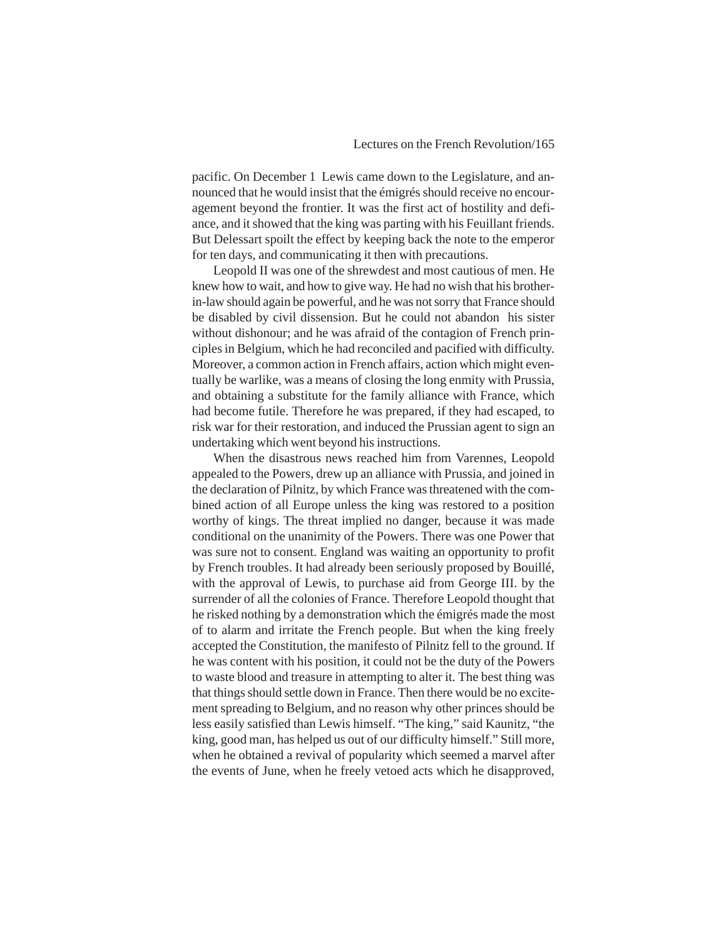pacific. On December 1 Lewis came down to the Legislature, and announced that he would insist that the émigrés should receive no encouragement beyond the frontier. It was the first act of hostility and defiance, and it showed that the king was parting with his Feuillant friends. But Delessart spoilt the effect by keeping back the note to the emperor for ten days, and communicating it then with precautions.

Leopold II was one of the shrewdest and most cautious of men. He knew how to wait, and how to give way. He had no wish that his brotherin-law should again be powerful, and he was not sorry that France should be disabled by civil dissension. But he could not abandon his sister without dishonour; and he was afraid of the contagion of French principles in Belgium, which he had reconciled and pacified with difficulty. Moreover, a common action in French affairs, action which might eventually be warlike, was a means of closing the long enmity with Prussia, and obtaining a substitute for the family alliance with France, which had become futile. Therefore he was prepared, if they had escaped, to risk war for their restoration, and induced the Prussian agent to sign an undertaking which went beyond his instructions.

When the disastrous news reached him from Varennes, Leopold appealed to the Powers, drew up an alliance with Prussia, and joined in the declaration of Pilnitz, by which France was threatened with the combined action of all Europe unless the king was restored to a position worthy of kings. The threat implied no danger, because it was made conditional on the unanimity of the Powers. There was one Power that was sure not to consent. England was waiting an opportunity to profit by French troubles. It had already been seriously proposed by Bouillé, with the approval of Lewis, to purchase aid from George III. by the surrender of all the colonies of France. Therefore Leopold thought that he risked nothing by a demonstration which the émigrés made the most of to alarm and irritate the French people. But when the king freely accepted the Constitution, the manifesto of Pilnitz fell to the ground. If he was content with his position, it could not be the duty of the Powers to waste blood and treasure in attempting to alter it. The best thing was that things should settle down in France. Then there would be no excitement spreading to Belgium, and no reason why other princes should be less easily satisfied than Lewis himself. "The king," said Kaunitz, "the king, good man, has helped us out of our difficulty himself." Still more, when he obtained a revival of popularity which seemed a marvel after the events of June, when he freely vetoed acts which he disapproved,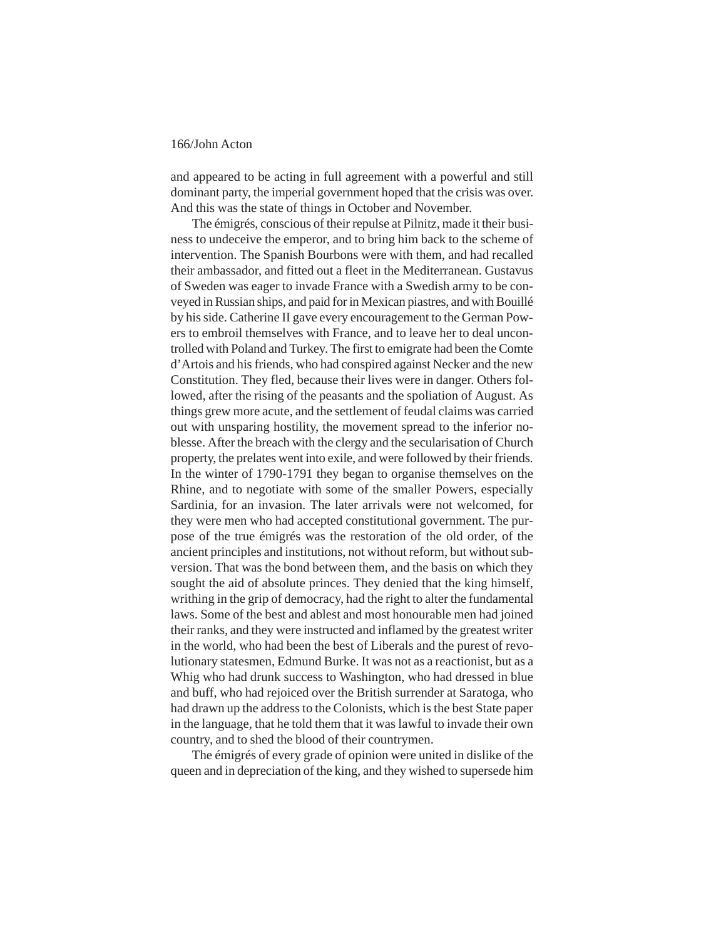and appeared to be acting in full agreement with a powerful and still dominant party, the imperial government hoped that the crisis was over. And this was the state of things in October and November.

The émigrés, conscious of their repulse at Pilnitz, made it their business to undeceive the emperor, and to bring him back to the scheme of intervention. The Spanish Bourbons were with them, and had recalled their ambassador, and fitted out a fleet in the Mediterranean. Gustavus of Sweden was eager to invade France with a Swedish army to be conveyed in Russian ships, and paid for in Mexican piastres, and with Bouillé by his side. Catherine II gave every encouragement to the German Powers to embroil themselves with France, and to leave her to deal uncontrolled with Poland and Turkey. The first to emigrate had been the Comte d'Artois and his friends, who had conspired against Necker and the new Constitution. They fled, because their lives were in danger. Others followed, after the rising of the peasants and the spoliation of August. As things grew more acute, and the settlement of feudal claims was carried out with unsparing hostility, the movement spread to the inferior noblesse. After the breach with the clergy and the secularisation of Church property, the prelates went into exile, and were followed by their friends. In the winter of 1790-1791 they began to organise themselves on the Rhine, and to negotiate with some of the smaller Powers, especially Sardinia, for an invasion. The later arrivals were not welcomed, for they were men who had accepted constitutional government. The purpose of the true émigrés was the restoration of the old order, of the ancient principles and institutions, not without reform, but without subversion. That was the bond between them, and the basis on which they sought the aid of absolute princes. They denied that the king himself, writhing in the grip of democracy, had the right to alter the fundamental laws. Some of the best and ablest and most honourable men had joined their ranks, and they were instructed and inflamed by the greatest writer in the world, who had been the best of Liberals and the purest of revolutionary statesmen, Edmund Burke. It was not as a reactionist, but as a Whig who had drunk success to Washington, who had dressed in blue and buff, who had rejoiced over the British surrender at Saratoga, who had drawn up the address to the Colonists, which is the best State paper in the language, that he told them that it was lawful to invade their own country, and to shed the blood of their countrymen.

The émigrés of every grade of opinion were united in dislike of the queen and in depreciation of the king, and they wished to supersede him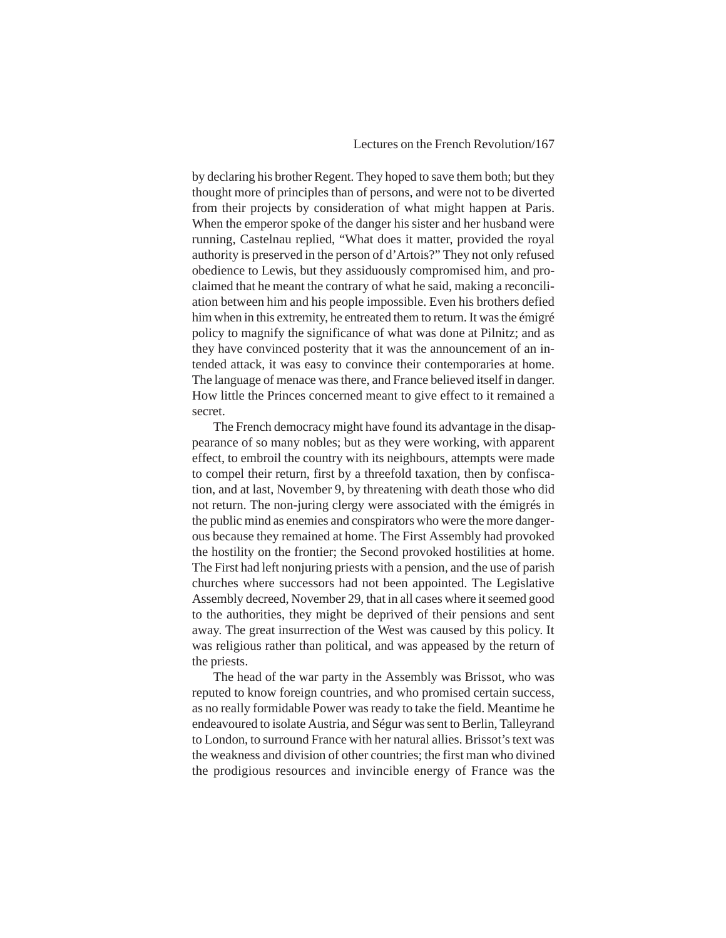by declaring his brother Regent. They hoped to save them both; but they thought more of principles than of persons, and were not to be diverted from their projects by consideration of what might happen at Paris. When the emperor spoke of the danger his sister and her husband were running, Castelnau replied, "What does it matter, provided the royal authority is preserved in the person of d'Artois?" They not only refused obedience to Lewis, but they assiduously compromised him, and proclaimed that he meant the contrary of what he said, making a reconciliation between him and his people impossible. Even his brothers defied him when in this extremity, he entreated them to return. It was the émigré policy to magnify the significance of what was done at Pilnitz; and as they have convinced posterity that it was the announcement of an intended attack, it was easy to convince their contemporaries at home. The language of menace was there, and France believed itself in danger. How little the Princes concerned meant to give effect to it remained a secret.

The French democracy might have found its advantage in the disappearance of so many nobles; but as they were working, with apparent effect, to embroil the country with its neighbours, attempts were made to compel their return, first by a threefold taxation, then by confiscation, and at last, November 9, by threatening with death those who did not return. The non-juring clergy were associated with the émigrés in the public mind as enemies and conspirators who were the more dangerous because they remained at home. The First Assembly had provoked the hostility on the frontier; the Second provoked hostilities at home. The First had left nonjuring priests with a pension, and the use of parish churches where successors had not been appointed. The Legislative Assembly decreed, November 29, that in all cases where it seemed good to the authorities, they might be deprived of their pensions and sent away. The great insurrection of the West was caused by this policy. It was religious rather than political, and was appeased by the return of the priests.

The head of the war party in the Assembly was Brissot, who was reputed to know foreign countries, and who promised certain success, as no really formidable Power was ready to take the field. Meantime he endeavoured to isolate Austria, and Ségur was sent to Berlin, Talleyrand to London, to surround France with her natural allies. Brissot's text was the weakness and division of other countries; the first man who divined the prodigious resources and invincible energy of France was the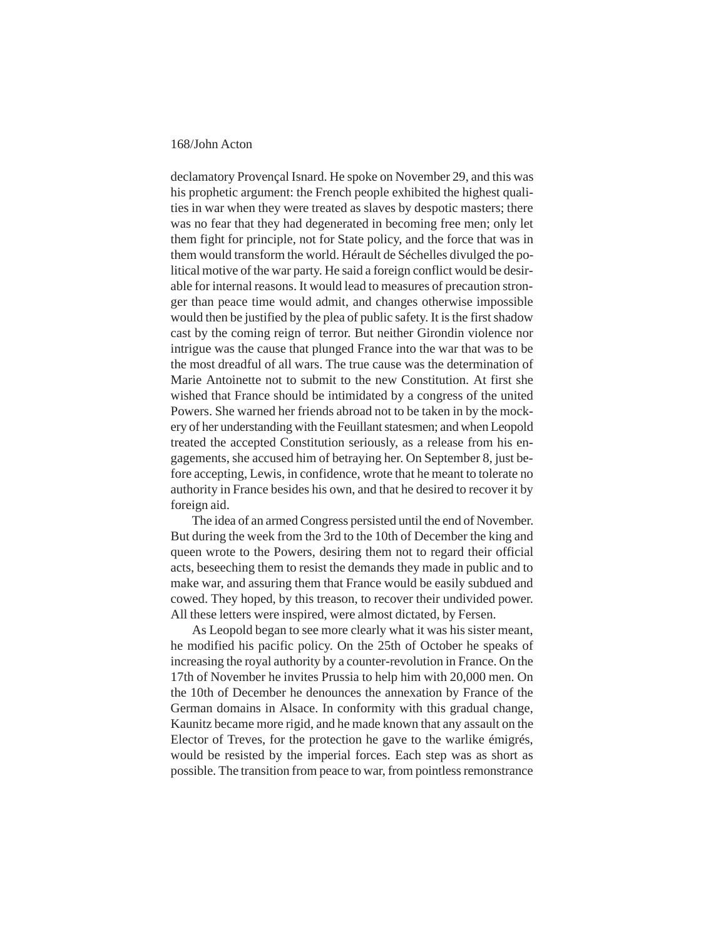declamatory Provençal Isnard. He spoke on November 29, and this was his prophetic argument: the French people exhibited the highest qualities in war when they were treated as slaves by despotic masters; there was no fear that they had degenerated in becoming free men; only let them fight for principle, not for State policy, and the force that was in them would transform the world. Hérault de Séchelles divulged the political motive of the war party. He said a foreign conflict would be desirable for internal reasons. It would lead to measures of precaution stronger than peace time would admit, and changes otherwise impossible would then be justified by the plea of public safety. It is the first shadow cast by the coming reign of terror. But neither Girondin violence nor intrigue was the cause that plunged France into the war that was to be the most dreadful of all wars. The true cause was the determination of Marie Antoinette not to submit to the new Constitution. At first she wished that France should be intimidated by a congress of the united Powers. She warned her friends abroad not to be taken in by the mockery of her understanding with the Feuillant statesmen; and when Leopold treated the accepted Constitution seriously, as a release from his engagements, she accused him of betraying her. On September 8, just before accepting, Lewis, in confidence, wrote that he meant to tolerate no authority in France besides his own, and that he desired to recover it by foreign aid.

The idea of an armed Congress persisted until the end of November. But during the week from the 3rd to the 10th of December the king and queen wrote to the Powers, desiring them not to regard their official acts, beseeching them to resist the demands they made in public and to make war, and assuring them that France would be easily subdued and cowed. They hoped, by this treason, to recover their undivided power. All these letters were inspired, were almost dictated, by Fersen.

As Leopold began to see more clearly what it was his sister meant, he modified his pacific policy. On the 25th of October he speaks of increasing the royal authority by a counter-revolution in France. On the 17th of November he invites Prussia to help him with 20,000 men. On the 10th of December he denounces the annexation by France of the German domains in Alsace. In conformity with this gradual change, Kaunitz became more rigid, and he made known that any assault on the Elector of Treves, for the protection he gave to the warlike émigrés, would be resisted by the imperial forces. Each step was as short as possible. The transition from peace to war, from pointless remonstrance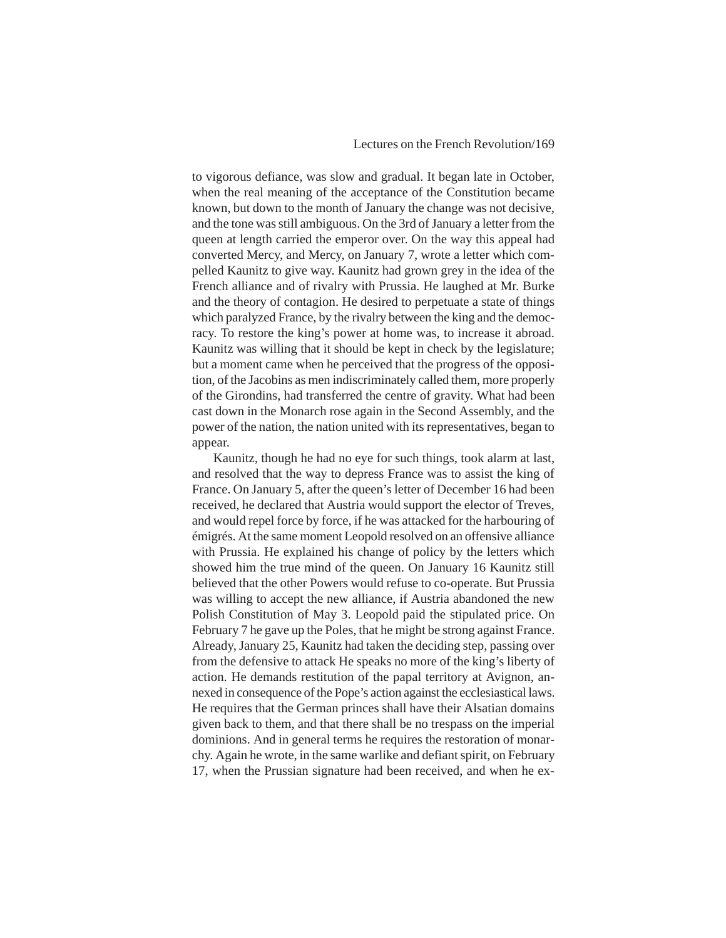to vigorous defiance, was slow and gradual. It began late in October, when the real meaning of the acceptance of the Constitution became known, but down to the month of January the change was not decisive, and the tone was still ambiguous. On the 3rd of January a letter from the queen at length carried the emperor over. On the way this appeal had converted Mercy, and Mercy, on January 7, wrote a letter which compelled Kaunitz to give way. Kaunitz had grown grey in the idea of the French alliance and of rivalry with Prussia. He laughed at Mr. Burke and the theory of contagion. He desired to perpetuate a state of things which paralyzed France, by the rivalry between the king and the democracy. To restore the king's power at home was, to increase it abroad. Kaunitz was willing that it should be kept in check by the legislature; but a moment came when he perceived that the progress of the opposition, of the Jacobins as men indiscriminately called them, more properly of the Girondins, had transferred the centre of gravity. What had been cast down in the Monarch rose again in the Second Assembly, and the power of the nation, the nation united with its representatives, began to appear.

Kaunitz, though he had no eye for such things, took alarm at last, and resolved that the way to depress France was to assist the king of France. On January 5, after the queen's letter of December 16 had been received, he declared that Austria would support the elector of Treves, and would repel force by force, if he was attacked for the harbouring of émigrés. At the same moment Leopold resolved on an offensive alliance with Prussia. He explained his change of policy by the letters which showed him the true mind of the queen. On January 16 Kaunitz still believed that the other Powers would refuse to co-operate. But Prussia was willing to accept the new alliance, if Austria abandoned the new Polish Constitution of May 3. Leopold paid the stipulated price. On February 7 he gave up the Poles, that he might be strong against France. Already, January 25, Kaunitz had taken the deciding step, passing over from the defensive to attack He speaks no more of the king's liberty of action. He demands restitution of the papal territory at Avignon, annexed in consequence of the Pope's action against the ecclesiastical laws. He requires that the German princes shall have their Alsatian domains given back to them, and that there shall be no trespass on the imperial dominions. And in general terms he requires the restoration of monarchy. Again he wrote, in the same warlike and defiant spirit, on February 17, when the Prussian signature had been received, and when he ex-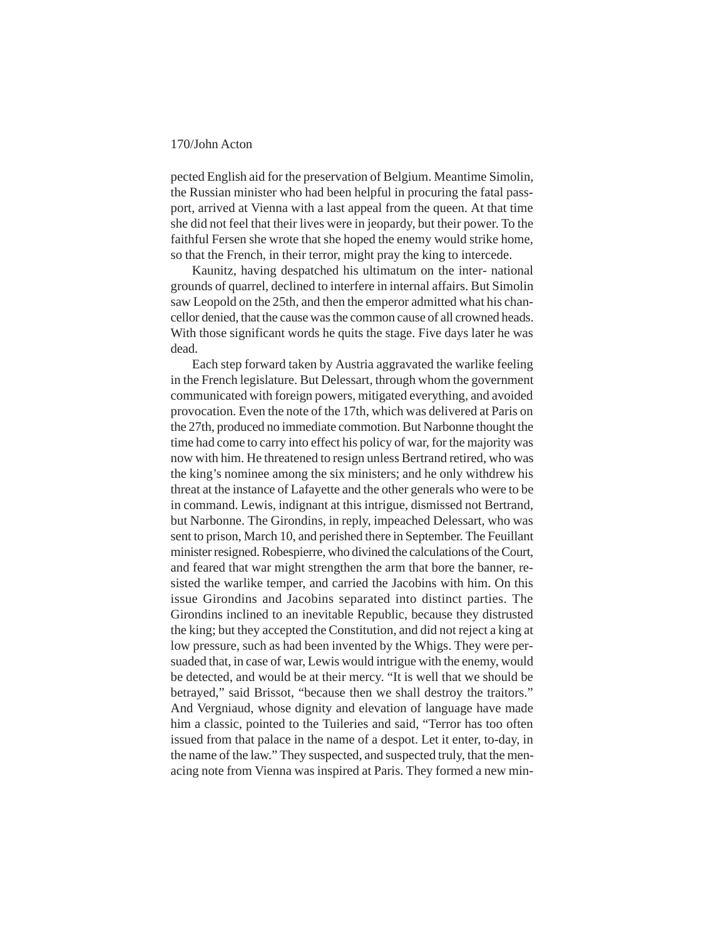pected English aid for the preservation of Belgium. Meantime Simolin, the Russian minister who had been helpful in procuring the fatal passport, arrived at Vienna with a last appeal from the queen. At that time she did not feel that their lives were in jeopardy, but their power. To the faithful Fersen she wrote that she hoped the enemy would strike home, so that the French, in their terror, might pray the king to intercede.

Kaunitz, having despatched his ultimatum on the inter- national grounds of quarrel, declined to interfere in internal affairs. But Simolin saw Leopold on the 25th, and then the emperor admitted what his chancellor denied, that the cause was the common cause of all crowned heads. With those significant words he quits the stage. Five days later he was dead.

Each step forward taken by Austria aggravated the warlike feeling in the French legislature. But Delessart, through whom the government communicated with foreign powers, mitigated everything, and avoided provocation. Even the note of the 17th, which was delivered at Paris on the 27th, produced no immediate commotion. But Narbonne thought the time had come to carry into effect his policy of war, for the majority was now with him. He threatened to resign unless Bertrand retired, who was the king's nominee among the six ministers; and he only withdrew his threat at the instance of Lafayette and the other generals who were to be in command. Lewis, indignant at this intrigue, dismissed not Bertrand, but Narbonne. The Girondins, in reply, impeached Delessart, who was sent to prison, March 10, and perished there in September. The Feuillant minister resigned. Robespierre, who divined the calculations of the Court, and feared that war might strengthen the arm that bore the banner, resisted the warlike temper, and carried the Jacobins with him. On this issue Girondins and Jacobins separated into distinct parties. The Girondins inclined to an inevitable Republic, because they distrusted the king; but they accepted the Constitution, and did not reject a king at low pressure, such as had been invented by the Whigs. They were persuaded that, in case of war, Lewis would intrigue with the enemy, would be detected, and would be at their mercy. "It is well that we should be betrayed," said Brissot, "because then we shall destroy the traitors." And Vergniaud, whose dignity and elevation of language have made him a classic, pointed to the Tuileries and said, "Terror has too often issued from that palace in the name of a despot. Let it enter, to-day, in the name of the law." They suspected, and suspected truly, that the menacing note from Vienna was inspired at Paris. They formed a new min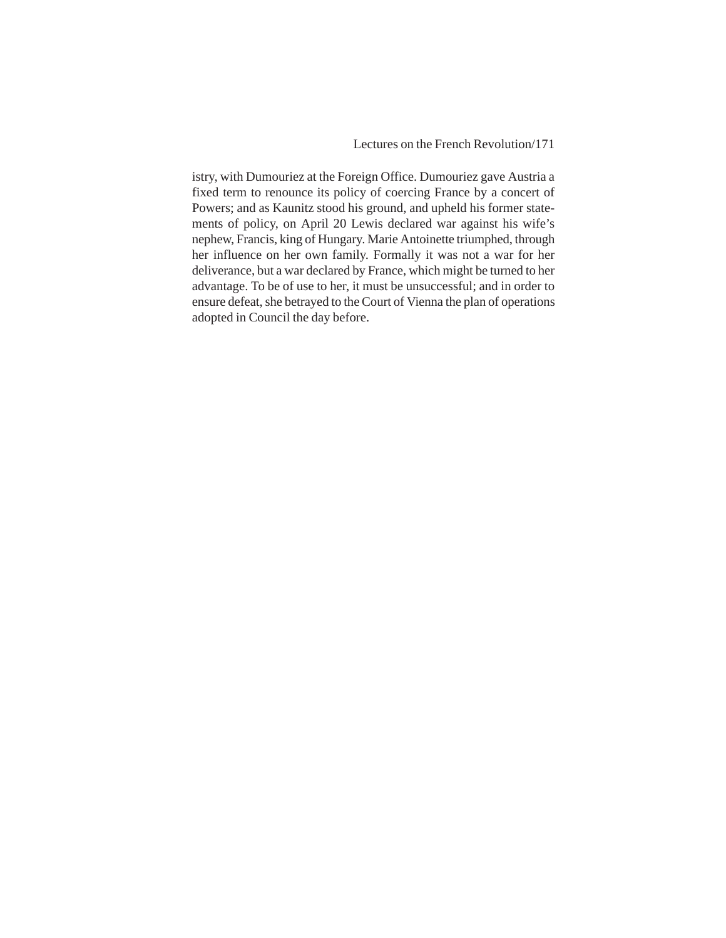Lectures on the French Revolution/171

istry, with Dumouriez at the Foreign Office. Dumouriez gave Austria a fixed term to renounce its policy of coercing France by a concert of Powers; and as Kaunitz stood his ground, and upheld his former statements of policy, on April 20 Lewis declared war against his wife's nephew, Francis, king of Hungary. Marie Antoinette triumphed, through her influence on her own family. Formally it was not a war for her deliverance, but a war declared by France, which might be turned to her advantage. To be of use to her, it must be unsuccessful; and in order to ensure defeat, she betrayed to the Court of Vienna the plan of operations adopted in Council the day before.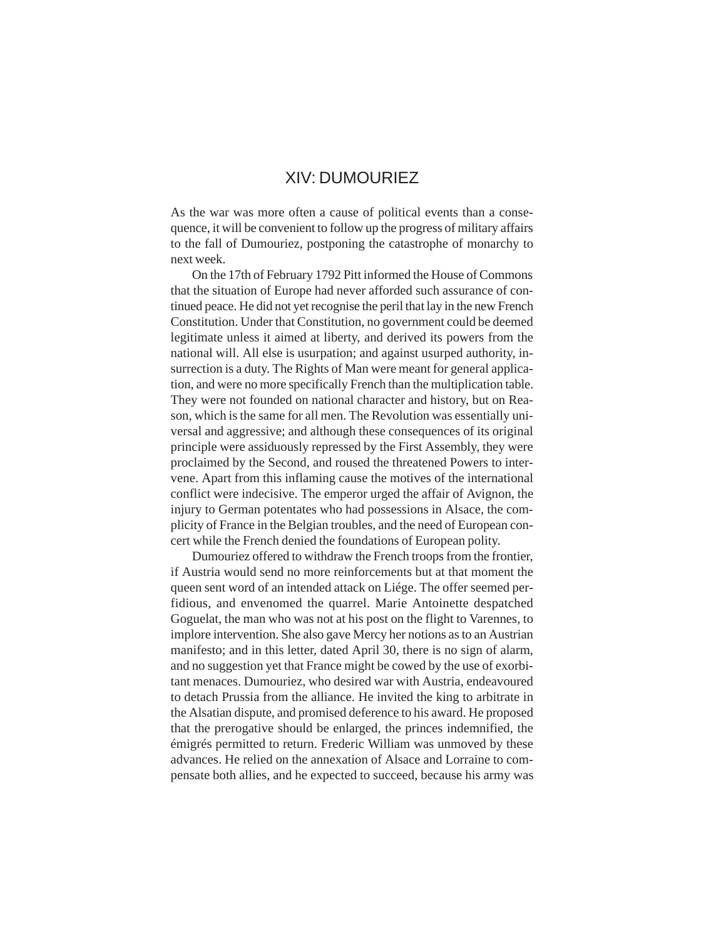# XIV: DUMOURIEZ

As the war was more often a cause of political events than a consequence, it will be convenient to follow up the progress of military affairs to the fall of Dumouriez, postponing the catastrophe of monarchy to next week.

On the 17th of February 1792 Pitt informed the House of Commons that the situation of Europe had never afforded such assurance of continued peace. He did not yet recognise the peril that lay in the new French Constitution. Under that Constitution, no government could be deemed legitimate unless it aimed at liberty, and derived its powers from the national will. All else is usurpation; and against usurped authority, insurrection is a duty. The Rights of Man were meant for general application, and were no more specifically French than the multiplication table. They were not founded on national character and history, but on Reason, which is the same for all men. The Revolution was essentially universal and aggressive; and although these consequences of its original principle were assiduously repressed by the First Assembly, they were proclaimed by the Second, and roused the threatened Powers to intervene. Apart from this inflaming cause the motives of the international conflict were indecisive. The emperor urged the affair of Avignon, the injury to German potentates who had possessions in Alsace, the complicity of France in the Belgian troubles, and the need of European concert while the French denied the foundations of European polity.

Dumouriez offered to withdraw the French troops from the frontier, if Austria would send no more reinforcements but at that moment the queen sent word of an intended attack on Liége. The offer seemed perfidious, and envenomed the quarrel. Marie Antoinette despatched Goguelat, the man who was not at his post on the flight to Varennes, to implore intervention. She also gave Mercy her notions as to an Austrian manifesto; and in this letter, dated April 30, there is no sign of alarm, and no suggestion yet that France might be cowed by the use of exorbitant menaces. Dumouriez, who desired war with Austria, endeavoured to detach Prussia from the alliance. He invited the king to arbitrate in the Alsatian dispute, and promised deference to his award. He proposed that the prerogative should be enlarged, the princes indemnified, the émigrés permitted to return. Frederic William was unmoved by these advances. He relied on the annexation of Alsace and Lorraine to compensate both allies, and he expected to succeed, because his army was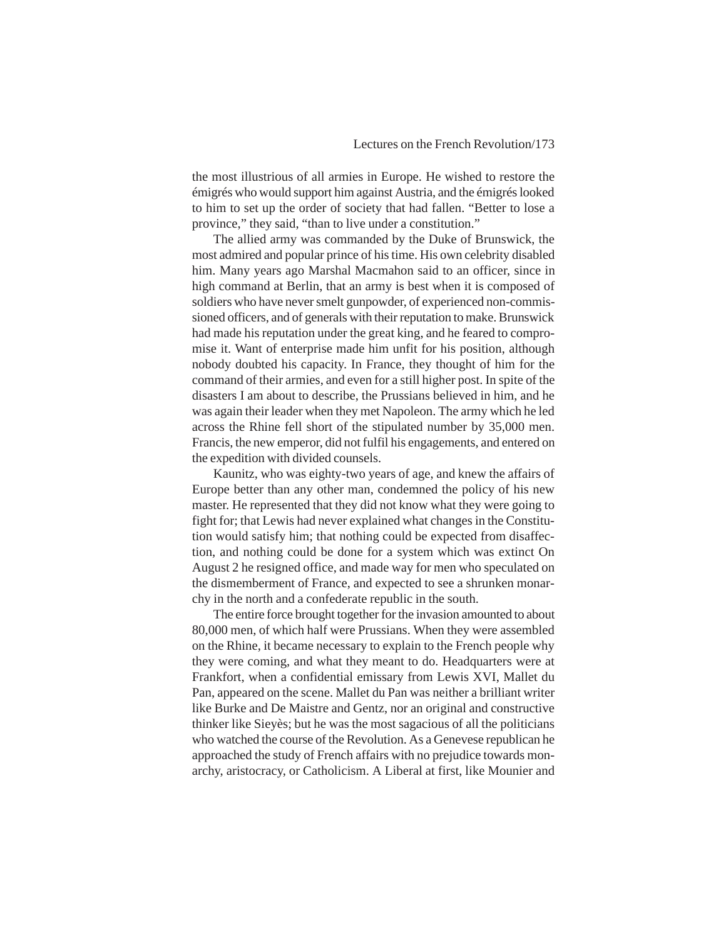the most illustrious of all armies in Europe. He wished to restore the émigrés who would support him against Austria, and the émigrés looked to him to set up the order of society that had fallen. "Better to lose a province," they said, "than to live under a constitution."

The allied army was commanded by the Duke of Brunswick, the most admired and popular prince of his time. His own celebrity disabled him. Many years ago Marshal Macmahon said to an officer, since in high command at Berlin, that an army is best when it is composed of soldiers who have never smelt gunpowder, of experienced non-commissioned officers, and of generals with their reputation to make. Brunswick had made his reputation under the great king, and he feared to compromise it. Want of enterprise made him unfit for his position, although nobody doubted his capacity. In France, they thought of him for the command of their armies, and even for a still higher post. In spite of the disasters I am about to describe, the Prussians believed in him, and he was again their leader when they met Napoleon. The army which he led across the Rhine fell short of the stipulated number by 35,000 men. Francis, the new emperor, did not fulfil his engagements, and entered on the expedition with divided counsels.

Kaunitz, who was eighty-two years of age, and knew the affairs of Europe better than any other man, condemned the policy of his new master. He represented that they did not know what they were going to fight for; that Lewis had never explained what changes in the Constitution would satisfy him; that nothing could be expected from disaffection, and nothing could be done for a system which was extinct On August 2 he resigned office, and made way for men who speculated on the dismemberment of France, and expected to see a shrunken monarchy in the north and a confederate republic in the south.

The entire force brought together for the invasion amounted to about 80,000 men, of which half were Prussians. When they were assembled on the Rhine, it became necessary to explain to the French people why they were coming, and what they meant to do. Headquarters were at Frankfort, when a confidential emissary from Lewis XVI, Mallet du Pan, appeared on the scene. Mallet du Pan was neither a brilliant writer like Burke and De Maistre and Gentz, nor an original and constructive thinker like Sieyès; but he was the most sagacious of all the politicians who watched the course of the Revolution. As a Genevese republican he approached the study of French affairs with no prejudice towards monarchy, aristocracy, or Catholicism. A Liberal at first, like Mounier and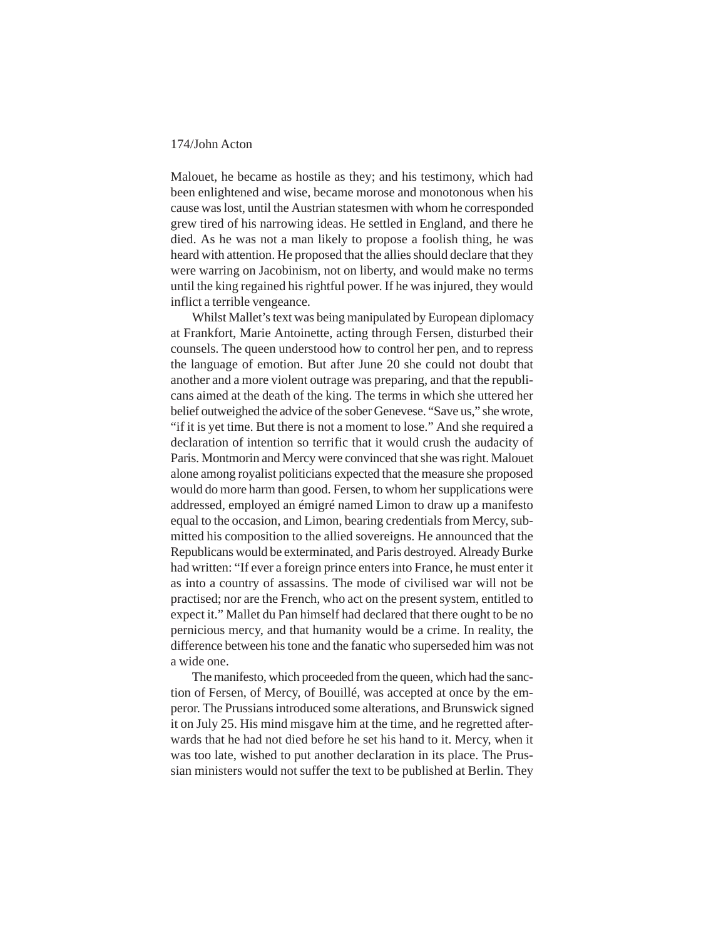Malouet, he became as hostile as they; and his testimony, which had been enlightened and wise, became morose and monotonous when his cause was lost, until the Austrian statesmen with whom he corresponded grew tired of his narrowing ideas. He settled in England, and there he died. As he was not a man likely to propose a foolish thing, he was heard with attention. He proposed that the allies should declare that they were warring on Jacobinism, not on liberty, and would make no terms until the king regained his rightful power. If he was injured, they would inflict a terrible vengeance.

Whilst Mallet's text was being manipulated by European diplomacy at Frankfort, Marie Antoinette, acting through Fersen, disturbed their counsels. The queen understood how to control her pen, and to repress the language of emotion. But after June 20 she could not doubt that another and a more violent outrage was preparing, and that the republicans aimed at the death of the king. The terms in which she uttered her belief outweighed the advice of the sober Genevese. "Save us," she wrote, "if it is yet time. But there is not a moment to lose." And she required a declaration of intention so terrific that it would crush the audacity of Paris. Montmorin and Mercy were convinced that she was right. Malouet alone among royalist politicians expected that the measure she proposed would do more harm than good. Fersen, to whom her supplications were addressed, employed an émigré named Limon to draw up a manifesto equal to the occasion, and Limon, bearing credentials from Mercy, submitted his composition to the allied sovereigns. He announced that the Republicans would be exterminated, and Paris destroyed. Already Burke had written: "If ever a foreign prince enters into France, he must enter it as into a country of assassins. The mode of civilised war will not be practised; nor are the French, who act on the present system, entitled to expect it." Mallet du Pan himself had declared that there ought to be no pernicious mercy, and that humanity would be a crime. In reality, the difference between his tone and the fanatic who superseded him was not a wide one.

The manifesto, which proceeded from the queen, which had the sanction of Fersen, of Mercy, of Bouillé, was accepted at once by the emperor. The Prussians introduced some alterations, and Brunswick signed it on July 25. His mind misgave him at the time, and he regretted afterwards that he had not died before he set his hand to it. Mercy, when it was too late, wished to put another declaration in its place. The Prussian ministers would not suffer the text to be published at Berlin. They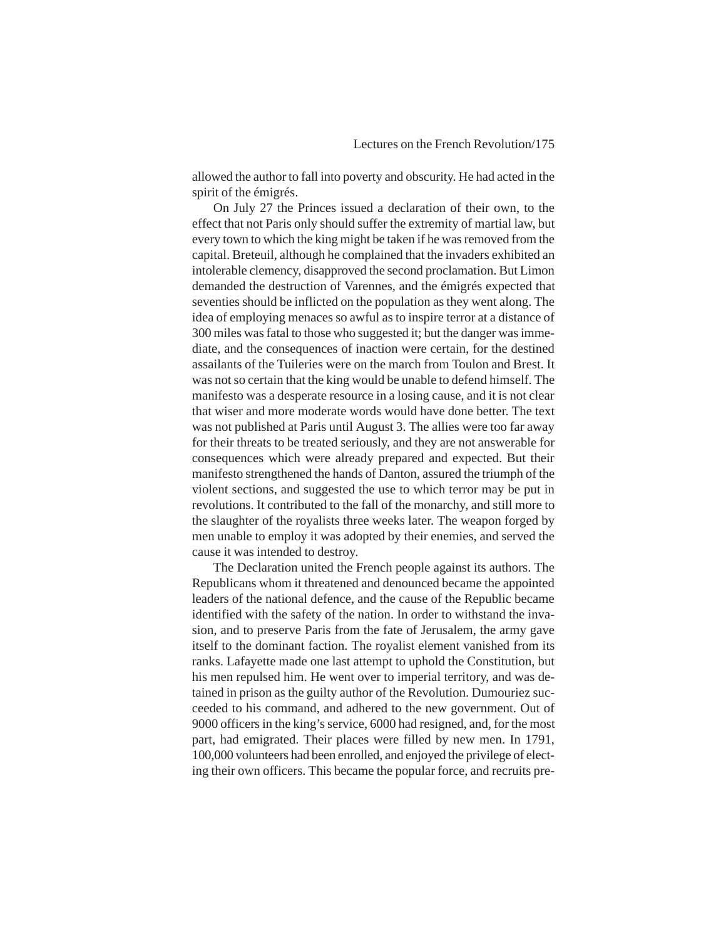allowed the author to fall into poverty and obscurity. He had acted in the spirit of the émigrés.

On July 27 the Princes issued a declaration of their own, to the effect that not Paris only should suffer the extremity of martial law, but every town to which the king might be taken if he was removed from the capital. Breteuil, although he complained that the invaders exhibited an intolerable clemency, disapproved the second proclamation. But Limon demanded the destruction of Varennes, and the émigrés expected that seventies should be inflicted on the population as they went along. The idea of employing menaces so awful as to inspire terror at a distance of 300 miles was fatal to those who suggested it; but the danger was immediate, and the consequences of inaction were certain, for the destined assailants of the Tuileries were on the march from Toulon and Brest. It was not so certain that the king would be unable to defend himself. The manifesto was a desperate resource in a losing cause, and it is not clear that wiser and more moderate words would have done better. The text was not published at Paris until August 3. The allies were too far away for their threats to be treated seriously, and they are not answerable for consequences which were already prepared and expected. But their manifesto strengthened the hands of Danton, assured the triumph of the violent sections, and suggested the use to which terror may be put in revolutions. It contributed to the fall of the monarchy, and still more to the slaughter of the royalists three weeks later. The weapon forged by men unable to employ it was adopted by their enemies, and served the cause it was intended to destroy.

The Declaration united the French people against its authors. The Republicans whom it threatened and denounced became the appointed leaders of the national defence, and the cause of the Republic became identified with the safety of the nation. In order to withstand the invasion, and to preserve Paris from the fate of Jerusalem, the army gave itself to the dominant faction. The royalist element vanished from its ranks. Lafayette made one last attempt to uphold the Constitution, but his men repulsed him. He went over to imperial territory, and was detained in prison as the guilty author of the Revolution. Dumouriez succeeded to his command, and adhered to the new government. Out of 9000 officers in the king's service, 6000 had resigned, and, for the most part, had emigrated. Their places were filled by new men. In 1791, 100,000 volunteers had been enrolled, and enjoyed the privilege of electing their own officers. This became the popular force, and recruits pre-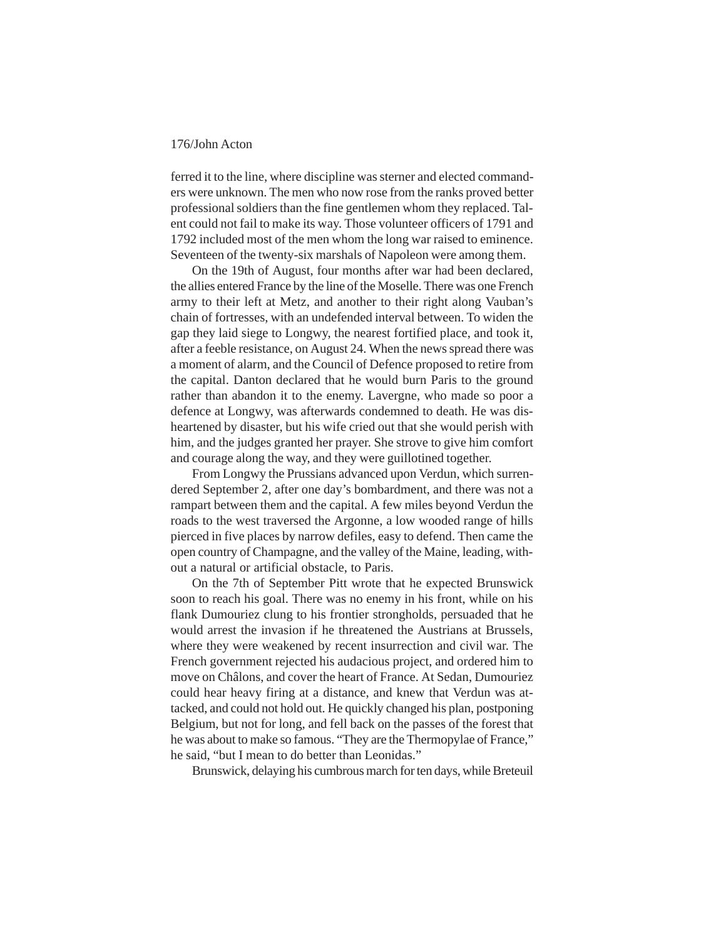ferred it to the line, where discipline was sterner and elected commanders were unknown. The men who now rose from the ranks proved better professional soldiers than the fine gentlemen whom they replaced. Talent could not fail to make its way. Those volunteer officers of 1791 and 1792 included most of the men whom the long war raised to eminence. Seventeen of the twenty-six marshals of Napoleon were among them.

On the 19th of August, four months after war had been declared, the allies entered France by the line of the Moselle. There was one French army to their left at Metz, and another to their right along Vauban's chain of fortresses, with an undefended interval between. To widen the gap they laid siege to Longwy, the nearest fortified place, and took it, after a feeble resistance, on August 24. When the news spread there was a moment of alarm, and the Council of Defence proposed to retire from the capital. Danton declared that he would burn Paris to the ground rather than abandon it to the enemy. Lavergne, who made so poor a defence at Longwy, was afterwards condemned to death. He was disheartened by disaster, but his wife cried out that she would perish with him, and the judges granted her prayer. She strove to give him comfort and courage along the way, and they were guillotined together.

From Longwy the Prussians advanced upon Verdun, which surrendered September 2, after one day's bombardment, and there was not a rampart between them and the capital. A few miles beyond Verdun the roads to the west traversed the Argonne, a low wooded range of hills pierced in five places by narrow defiles, easy to defend. Then came the open country of Champagne, and the valley of the Maine, leading, without a natural or artificial obstacle, to Paris.

On the 7th of September Pitt wrote that he expected Brunswick soon to reach his goal. There was no enemy in his front, while on his flank Dumouriez clung to his frontier strongholds, persuaded that he would arrest the invasion if he threatened the Austrians at Brussels, where they were weakened by recent insurrection and civil war. The French government rejected his audacious project, and ordered him to move on Châlons, and cover the heart of France. At Sedan, Dumouriez could hear heavy firing at a distance, and knew that Verdun was attacked, and could not hold out. He quickly changed his plan, postponing Belgium, but not for long, and fell back on the passes of the forest that he was about to make so famous. "They are the Thermopylae of France," he said, "but I mean to do better than Leonidas."

Brunswick, delaying his cumbrous march for ten days, while Breteuil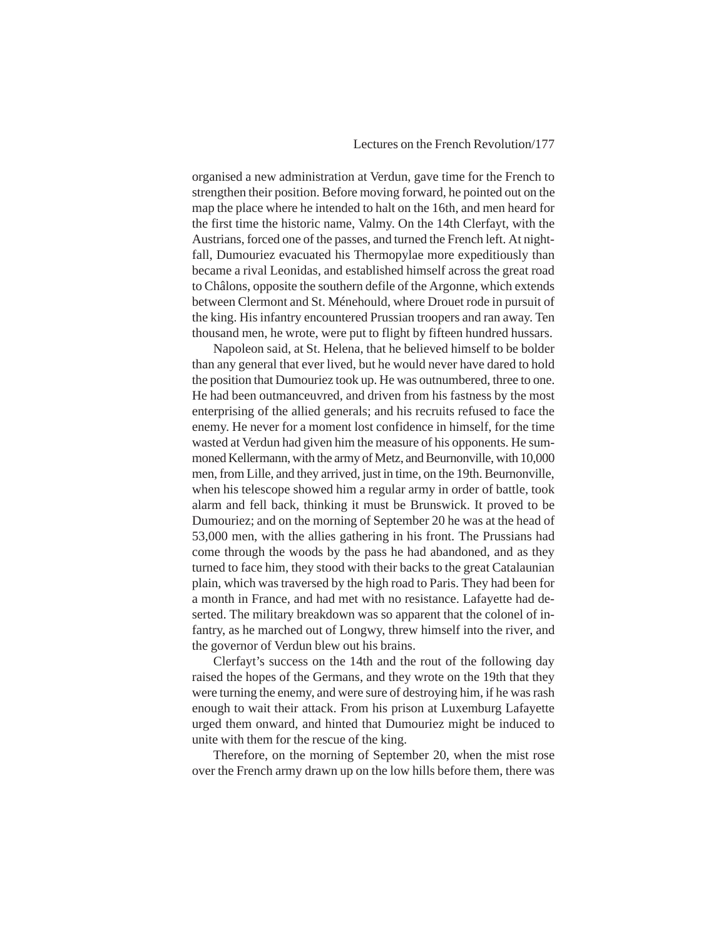organised a new administration at Verdun, gave time for the French to strengthen their position. Before moving forward, he pointed out on the map the place where he intended to halt on the 16th, and men heard for the first time the historic name, Valmy. On the 14th Clerfayt, with the Austrians, forced one of the passes, and turned the French left. At nightfall, Dumouriez evacuated his Thermopylae more expeditiously than became a rival Leonidas, and established himself across the great road to Châlons, opposite the southern defile of the Argonne, which extends between Clermont and St. Ménehould, where Drouet rode in pursuit of the king. His infantry encountered Prussian troopers and ran away. Ten thousand men, he wrote, were put to flight by fifteen hundred hussars.

Napoleon said, at St. Helena, that he believed himself to be bolder than any general that ever lived, but he would never have dared to hold the position that Dumouriez took up. He was outnumbered, three to one. He had been outmanceuvred, and driven from his fastness by the most enterprising of the allied generals; and his recruits refused to face the enemy. He never for a moment lost confidence in himself, for the time wasted at Verdun had given him the measure of his opponents. He summoned Kellermann, with the army of Metz, and Beurnonville, with 10,000 men, from Lille, and they arrived, just in time, on the 19th. Beurnonville, when his telescope showed him a regular army in order of battle, took alarm and fell back, thinking it must be Brunswick. It proved to be Dumouriez; and on the morning of September 20 he was at the head of 53,000 men, with the allies gathering in his front. The Prussians had come through the woods by the pass he had abandoned, and as they turned to face him, they stood with their backs to the great Catalaunian plain, which was traversed by the high road to Paris. They had been for a month in France, and had met with no resistance. Lafayette had deserted. The military breakdown was so apparent that the colonel of infantry, as he marched out of Longwy, threw himself into the river, and the governor of Verdun blew out his brains.

Clerfayt's success on the 14th and the rout of the following day raised the hopes of the Germans, and they wrote on the 19th that they were turning the enemy, and were sure of destroying him, if he was rash enough to wait their attack. From his prison at Luxemburg Lafayette urged them onward, and hinted that Dumouriez might be induced to unite with them for the rescue of the king.

Therefore, on the morning of September 20, when the mist rose over the French army drawn up on the low hills before them, there was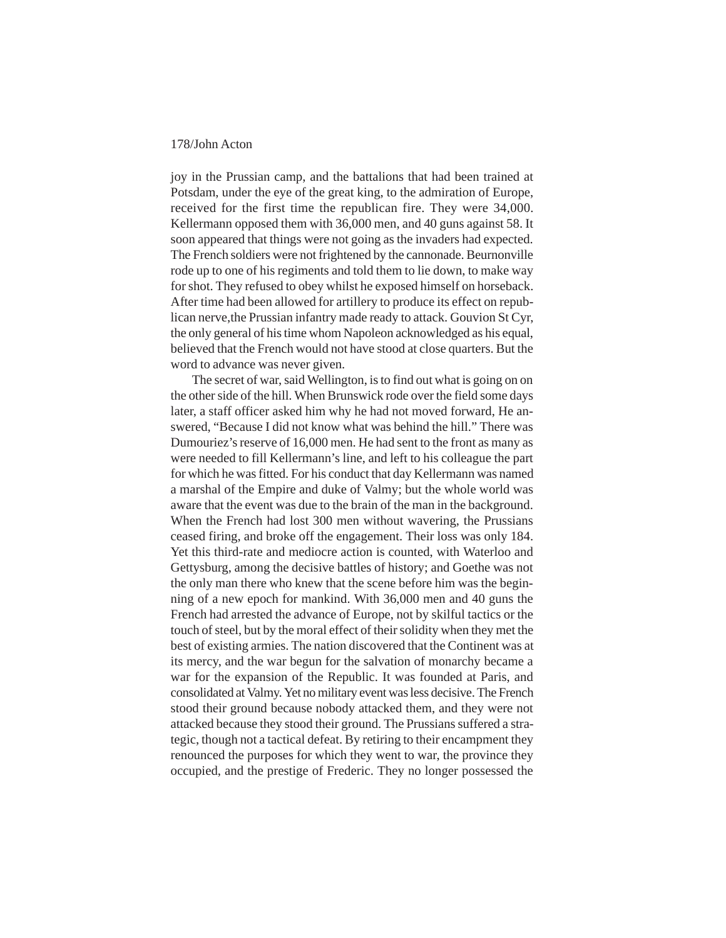joy in the Prussian camp, and the battalions that had been trained at Potsdam, under the eye of the great king, to the admiration of Europe, received for the first time the republican fire. They were 34,000. Kellermann opposed them with 36,000 men, and 40 guns against 58. It soon appeared that things were not going as the invaders had expected. The French soldiers were not frightened by the cannonade. Beurnonville rode up to one of his regiments and told them to lie down, to make way for shot. They refused to obey whilst he exposed himself on horseback. After time had been allowed for artillery to produce its effect on republican nerve,the Prussian infantry made ready to attack. Gouvion St Cyr, the only general of his time whom Napoleon acknowledged as his equal, believed that the French would not have stood at close quarters. But the word to advance was never given.

The secret of war, said Wellington, is to find out what is going on on the other side of the hill. When Brunswick rode over the field some days later, a staff officer asked him why he had not moved forward, He answered, "Because I did not know what was behind the hill." There was Dumouriez's reserve of 16,000 men. He had sent to the front as many as were needed to fill Kellermann's line, and left to his colleague the part for which he was fitted. For his conduct that day Kellermann was named a marshal of the Empire and duke of Valmy; but the whole world was aware that the event was due to the brain of the man in the background. When the French had lost 300 men without wavering, the Prussians ceased firing, and broke off the engagement. Their loss was only 184. Yet this third-rate and mediocre action is counted, with Waterloo and Gettysburg, among the decisive battles of history; and Goethe was not the only man there who knew that the scene before him was the beginning of a new epoch for mankind. With 36,000 men and 40 guns the French had arrested the advance of Europe, not by skilful tactics or the touch of steel, but by the moral effect of their solidity when they met the best of existing armies. The nation discovered that the Continent was at its mercy, and the war begun for the salvation of monarchy became a war for the expansion of the Republic. It was founded at Paris, and consolidated at Valmy. Yet no military event was less decisive. The French stood their ground because nobody attacked them, and they were not attacked because they stood their ground. The Prussians suffered a strategic, though not a tactical defeat. By retiring to their encampment they renounced the purposes for which they went to war, the province they occupied, and the prestige of Frederic. They no longer possessed the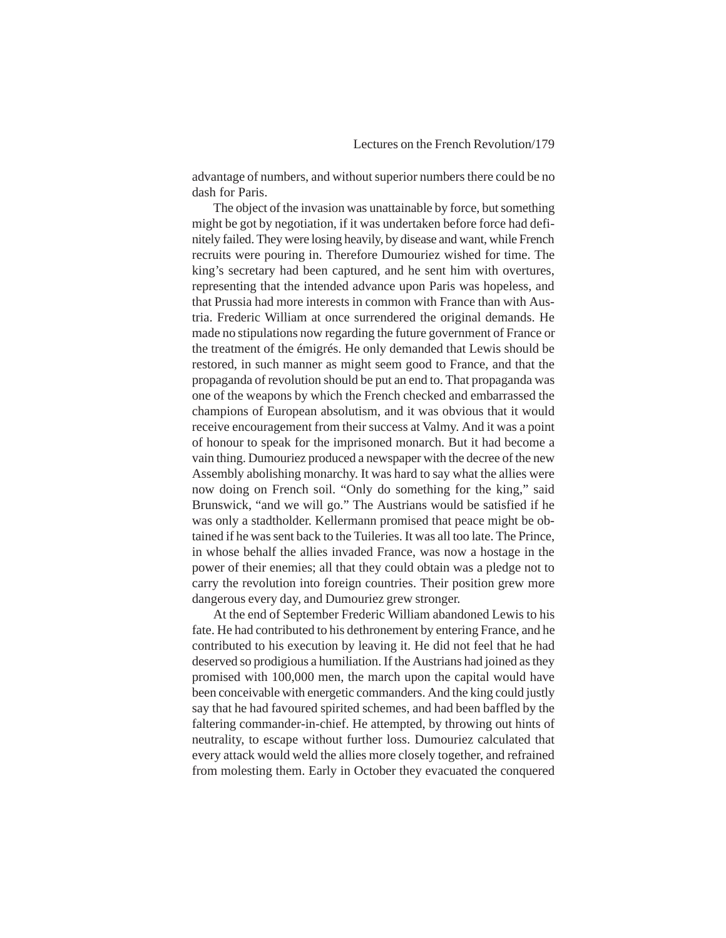advantage of numbers, and without superior numbers there could be no dash for Paris.

The object of the invasion was unattainable by force, but something might be got by negotiation, if it was undertaken before force had definitely failed. They were losing heavily, by disease and want, while French recruits were pouring in. Therefore Dumouriez wished for time. The king's secretary had been captured, and he sent him with overtures, representing that the intended advance upon Paris was hopeless, and that Prussia had more interests in common with France than with Austria. Frederic William at once surrendered the original demands. He made no stipulations now regarding the future government of France or the treatment of the émigrés. He only demanded that Lewis should be restored, in such manner as might seem good to France, and that the propaganda of revolution should be put an end to. That propaganda was one of the weapons by which the French checked and embarrassed the champions of European absolutism, and it was obvious that it would receive encouragement from their success at Valmy. And it was a point of honour to speak for the imprisoned monarch. But it had become a vain thing. Dumouriez produced a newspaper with the decree of the new Assembly abolishing monarchy. It was hard to say what the allies were now doing on French soil. "Only do something for the king," said Brunswick, "and we will go." The Austrians would be satisfied if he was only a stadtholder. Kellermann promised that peace might be obtained if he was sent back to the Tuileries. It was all too late. The Prince, in whose behalf the allies invaded France, was now a hostage in the power of their enemies; all that they could obtain was a pledge not to carry the revolution into foreign countries. Their position grew more dangerous every day, and Dumouriez grew stronger.

At the end of September Frederic William abandoned Lewis to his fate. He had contributed to his dethronement by entering France, and he contributed to his execution by leaving it. He did not feel that he had deserved so prodigious a humiliation. If the Austrians had joined as they promised with 100,000 men, the march upon the capital would have been conceivable with energetic commanders. And the king could justly say that he had favoured spirited schemes, and had been baffled by the faltering commander-in-chief. He attempted, by throwing out hints of neutrality, to escape without further loss. Dumouriez calculated that every attack would weld the allies more closely together, and refrained from molesting them. Early in October they evacuated the conquered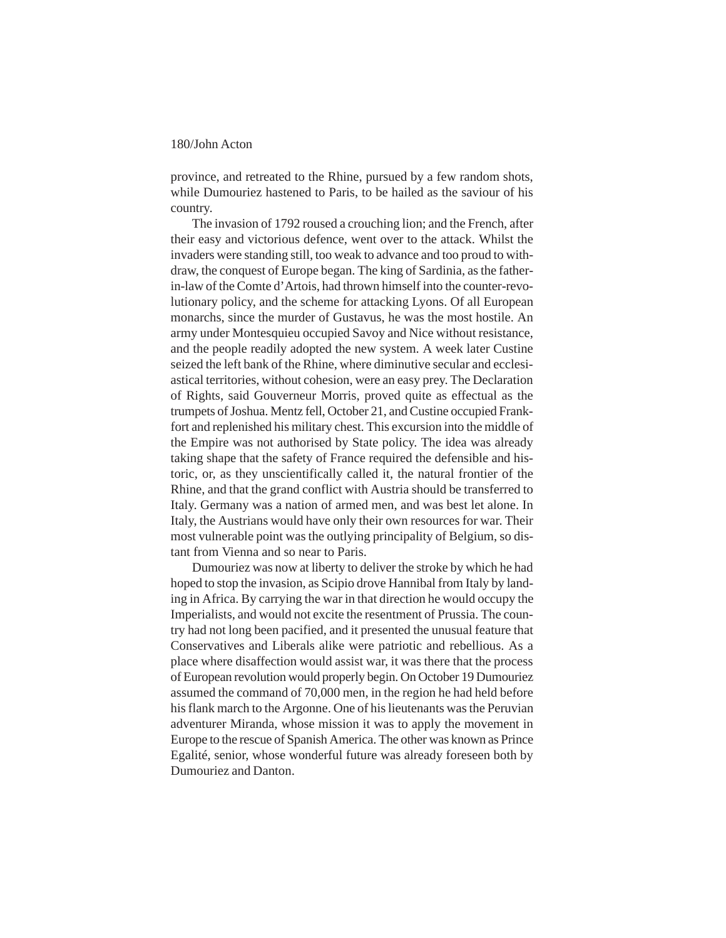province, and retreated to the Rhine, pursued by a few random shots, while Dumouriez hastened to Paris, to be hailed as the saviour of his country.

The invasion of 1792 roused a crouching lion; and the French, after their easy and victorious defence, went over to the attack. Whilst the invaders were standing still, too weak to advance and too proud to withdraw, the conquest of Europe began. The king of Sardinia, as the fatherin-law of the Comte d'Artois, had thrown himself into the counter-revolutionary policy, and the scheme for attacking Lyons. Of all European monarchs, since the murder of Gustavus, he was the most hostile. An army under Montesquieu occupied Savoy and Nice without resistance, and the people readily adopted the new system. A week later Custine seized the left bank of the Rhine, where diminutive secular and ecclesiastical territories, without cohesion, were an easy prey. The Declaration of Rights, said Gouverneur Morris, proved quite as effectual as the trumpets of Joshua. Mentz fell, October 21, and Custine occupied Frankfort and replenished his military chest. This excursion into the middle of the Empire was not authorised by State policy. The idea was already taking shape that the safety of France required the defensible and historic, or, as they unscientifically called it, the natural frontier of the Rhine, and that the grand conflict with Austria should be transferred to Italy. Germany was a nation of armed men, and was best let alone. In Italy, the Austrians would have only their own resources for war. Their most vulnerable point was the outlying principality of Belgium, so distant from Vienna and so near to Paris.

Dumouriez was now at liberty to deliver the stroke by which he had hoped to stop the invasion, as Scipio drove Hannibal from Italy by landing in Africa. By carrying the war in that direction he would occupy the Imperialists, and would not excite the resentment of Prussia. The country had not long been pacified, and it presented the unusual feature that Conservatives and Liberals alike were patriotic and rebellious. As a place where disaffection would assist war, it was there that the process of European revolution would properly begin. On October 19 Dumouriez assumed the command of 70,000 men, in the region he had held before his flank march to the Argonne. One of his lieutenants was the Peruvian adventurer Miranda, whose mission it was to apply the movement in Europe to the rescue of Spanish America. The other was known as Prince Egalité, senior, whose wonderful future was already foreseen both by Dumouriez and Danton.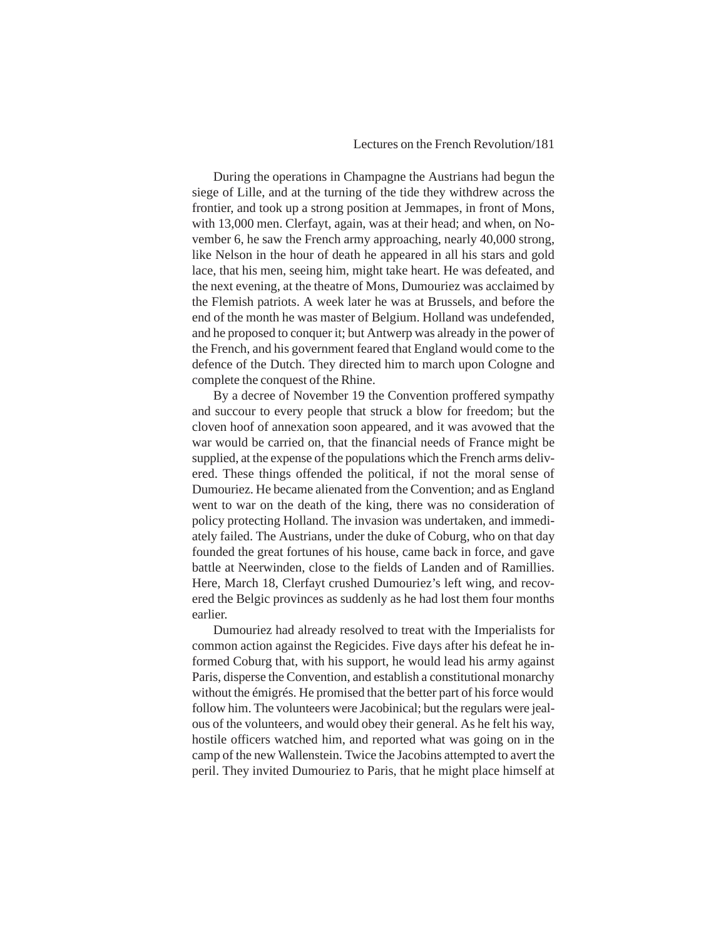#### Lectures on the French Revolution/181

During the operations in Champagne the Austrians had begun the siege of Lille, and at the turning of the tide they withdrew across the frontier, and took up a strong position at Jemmapes, in front of Mons, with 13,000 men. Clerfayt, again, was at their head; and when, on November 6, he saw the French army approaching, nearly 40,000 strong, like Nelson in the hour of death he appeared in all his stars and gold lace, that his men, seeing him, might take heart. He was defeated, and the next evening, at the theatre of Mons, Dumouriez was acclaimed by the Flemish patriots. A week later he was at Brussels, and before the end of the month he was master of Belgium. Holland was undefended, and he proposed to conquer it; but Antwerp was already in the power of the French, and his government feared that England would come to the defence of the Dutch. They directed him to march upon Cologne and complete the conquest of the Rhine.

By a decree of November 19 the Convention proffered sympathy and succour to every people that struck a blow for freedom; but the cloven hoof of annexation soon appeared, and it was avowed that the war would be carried on, that the financial needs of France might be supplied, at the expense of the populations which the French arms delivered. These things offended the political, if not the moral sense of Dumouriez. He became alienated from the Convention; and as England went to war on the death of the king, there was no consideration of policy protecting Holland. The invasion was undertaken, and immediately failed. The Austrians, under the duke of Coburg, who on that day founded the great fortunes of his house, came back in force, and gave battle at Neerwinden, close to the fields of Landen and of Ramillies. Here, March 18, Clerfayt crushed Dumouriez's left wing, and recovered the Belgic provinces as suddenly as he had lost them four months earlier.

Dumouriez had already resolved to treat with the Imperialists for common action against the Regicides. Five days after his defeat he informed Coburg that, with his support, he would lead his army against Paris, disperse the Convention, and establish a constitutional monarchy without the émigrés. He promised that the better part of his force would follow him. The volunteers were Jacobinical; but the regulars were jealous of the volunteers, and would obey their general. As he felt his way, hostile officers watched him, and reported what was going on in the camp of the new Wallenstein. Twice the Jacobins attempted to avert the peril. They invited Dumouriez to Paris, that he might place himself at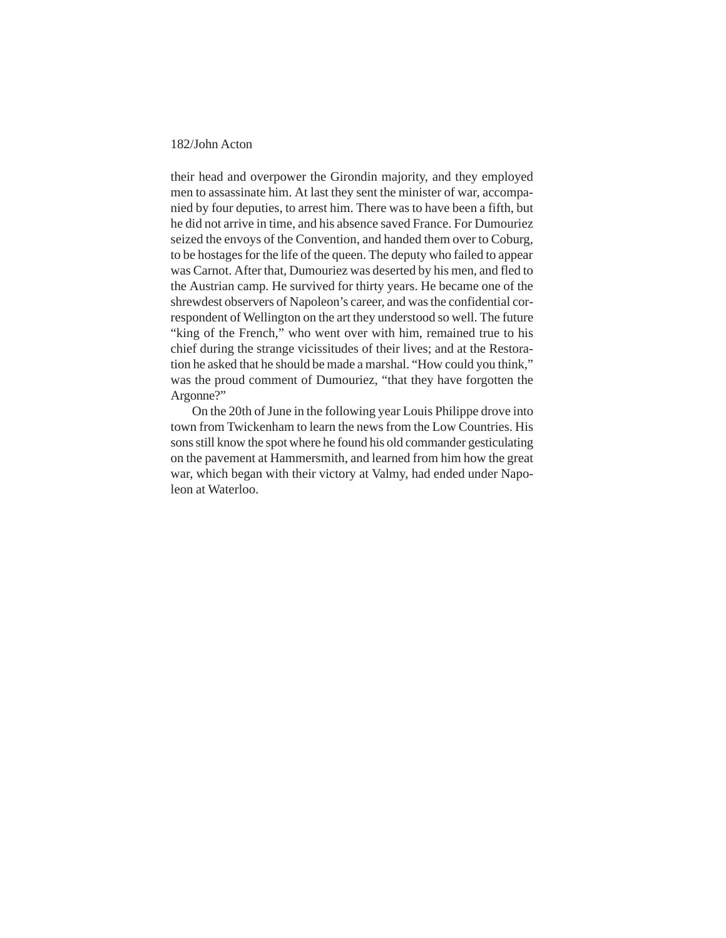their head and overpower the Girondin majority, and they employed men to assassinate him. At last they sent the minister of war, accompanied by four deputies, to arrest him. There was to have been a fifth, but he did not arrive in time, and his absence saved France. For Dumouriez seized the envoys of the Convention, and handed them over to Coburg, to be hostages for the life of the queen. The deputy who failed to appear was Carnot. After that, Dumouriez was deserted by his men, and fled to the Austrian camp. He survived for thirty years. He became one of the shrewdest observers of Napoleon's career, and was the confidential correspondent of Wellington on the art they understood so well. The future "king of the French," who went over with him, remained true to his chief during the strange vicissitudes of their lives; and at the Restoration he asked that he should be made a marshal. "How could you think," was the proud comment of Dumouriez, "that they have forgotten the Argonne?"

On the 20th of June in the following year Louis Philippe drove into town from Twickenham to learn the news from the Low Countries. His sons still know the spot where he found his old commander gesticulating on the pavement at Hammersmith, and learned from him how the great war, which began with their victory at Valmy, had ended under Napoleon at Waterloo.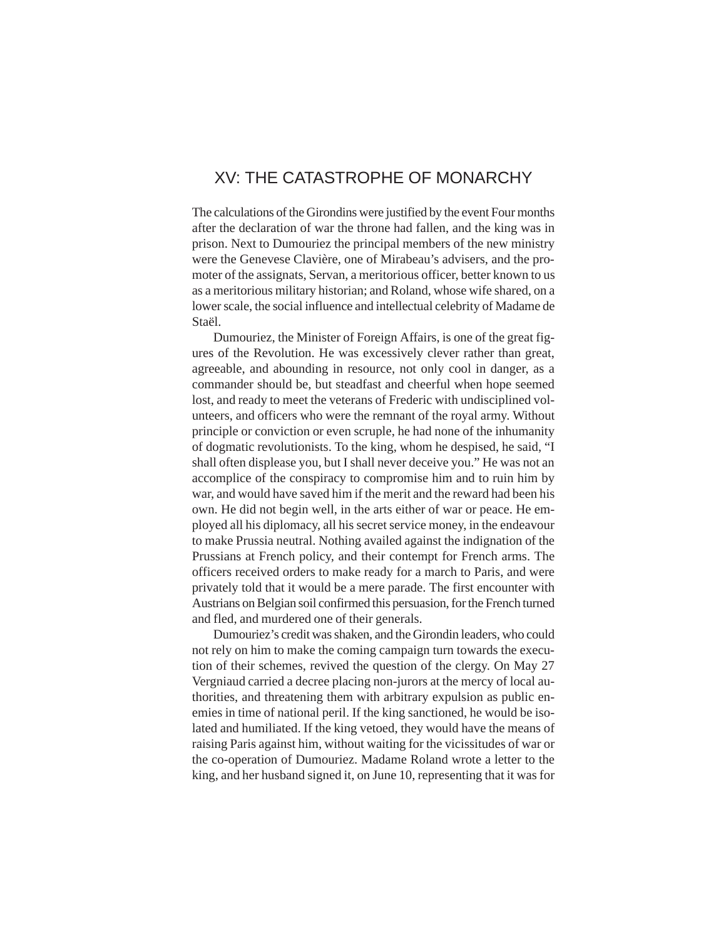## XV: THE CATASTROPHE OF MONARCHY

The calculations of the Girondins were justified by the event Four months after the declaration of war the throne had fallen, and the king was in prison. Next to Dumouriez the principal members of the new ministry were the Genevese Clavière, one of Mirabeau's advisers, and the promoter of the assignats, Servan, a meritorious officer, better known to us as a meritorious military historian; and Roland, whose wife shared, on a lower scale, the social influence and intellectual celebrity of Madame de Staël.

Dumouriez, the Minister of Foreign Affairs, is one of the great figures of the Revolution. He was excessively clever rather than great, agreeable, and abounding in resource, not only cool in danger, as a commander should be, but steadfast and cheerful when hope seemed lost, and ready to meet the veterans of Frederic with undisciplined volunteers, and officers who were the remnant of the royal army. Without principle or conviction or even scruple, he had none of the inhumanity of dogmatic revolutionists. To the king, whom he despised, he said, "I shall often displease you, but I shall never deceive you." He was not an accomplice of the conspiracy to compromise him and to ruin him by war, and would have saved him if the merit and the reward had been his own. He did not begin well, in the arts either of war or peace. He employed all his diplomacy, all his secret service money, in the endeavour to make Prussia neutral. Nothing availed against the indignation of the Prussians at French policy, and their contempt for French arms. The officers received orders to make ready for a march to Paris, and were privately told that it would be a mere parade. The first encounter with Austrians on Belgian soil confirmed this persuasion, for the French turned and fled, and murdered one of their generals.

Dumouriez's credit was shaken, and the Girondin leaders, who could not rely on him to make the coming campaign turn towards the execution of their schemes, revived the question of the clergy. On May 27 Vergniaud carried a decree placing non-jurors at the mercy of local authorities, and threatening them with arbitrary expulsion as public enemies in time of national peril. If the king sanctioned, he would be isolated and humiliated. If the king vetoed, they would have the means of raising Paris against him, without waiting for the vicissitudes of war or the co-operation of Dumouriez. Madame Roland wrote a letter to the king, and her husband signed it, on June 10, representing that it was for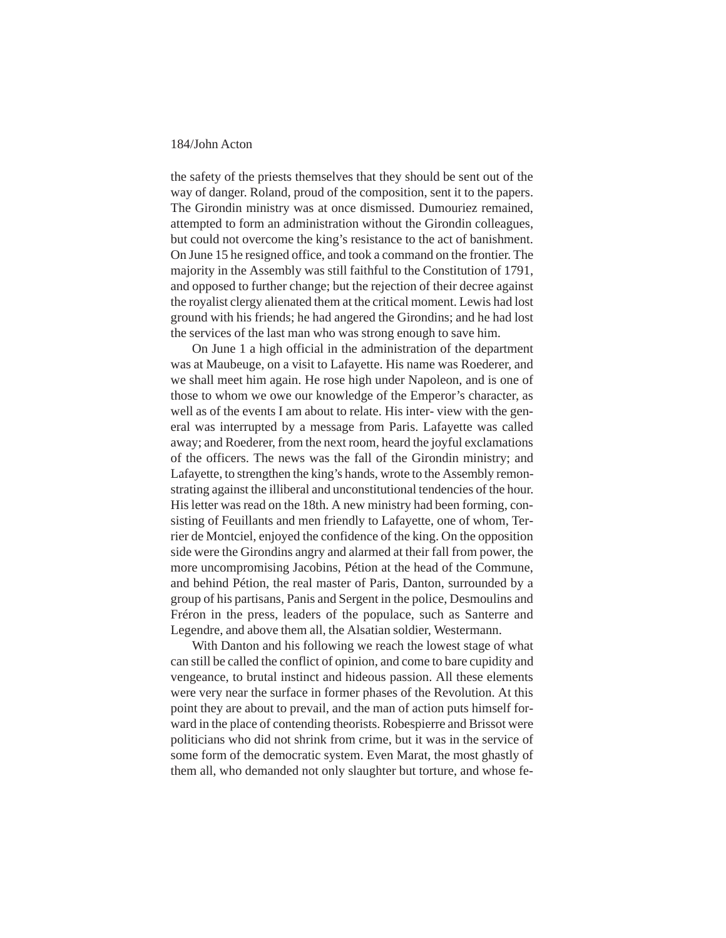the safety of the priests themselves that they should be sent out of the way of danger. Roland, proud of the composition, sent it to the papers. The Girondin ministry was at once dismissed. Dumouriez remained, attempted to form an administration without the Girondin colleagues, but could not overcome the king's resistance to the act of banishment. On June 15 he resigned office, and took a command on the frontier. The majority in the Assembly was still faithful to the Constitution of 1791, and opposed to further change; but the rejection of their decree against the royalist clergy alienated them at the critical moment. Lewis had lost ground with his friends; he had angered the Girondins; and he had lost the services of the last man who was strong enough to save him.

On June 1 a high official in the administration of the department was at Maubeuge, on a visit to Lafayette. His name was Roederer, and we shall meet him again. He rose high under Napoleon, and is one of those to whom we owe our knowledge of the Emperor's character, as well as of the events I am about to relate. His inter- view with the general was interrupted by a message from Paris. Lafayette was called away; and Roederer, from the next room, heard the joyful exclamations of the officers. The news was the fall of the Girondin ministry; and Lafayette, to strengthen the king's hands, wrote to the Assembly remonstrating against the illiberal and unconstitutional tendencies of the hour. His letter was read on the 18th. A new ministry had been forming, consisting of Feuillants and men friendly to Lafayette, one of whom, Terrier de Montciel, enjoyed the confidence of the king. On the opposition side were the Girondins angry and alarmed at their fall from power, the more uncompromising Jacobins, Pétion at the head of the Commune, and behind Pétion, the real master of Paris, Danton, surrounded by a group of his partisans, Panis and Sergent in the police, Desmoulins and Fréron in the press, leaders of the populace, such as Santerre and Legendre, and above them all, the Alsatian soldier, Westermann.

With Danton and his following we reach the lowest stage of what can still be called the conflict of opinion, and come to bare cupidity and vengeance, to brutal instinct and hideous passion. All these elements were very near the surface in former phases of the Revolution. At this point they are about to prevail, and the man of action puts himself forward in the place of contending theorists. Robespierre and Brissot were politicians who did not shrink from crime, but it was in the service of some form of the democratic system. Even Marat, the most ghastly of them all, who demanded not only slaughter but torture, and whose fe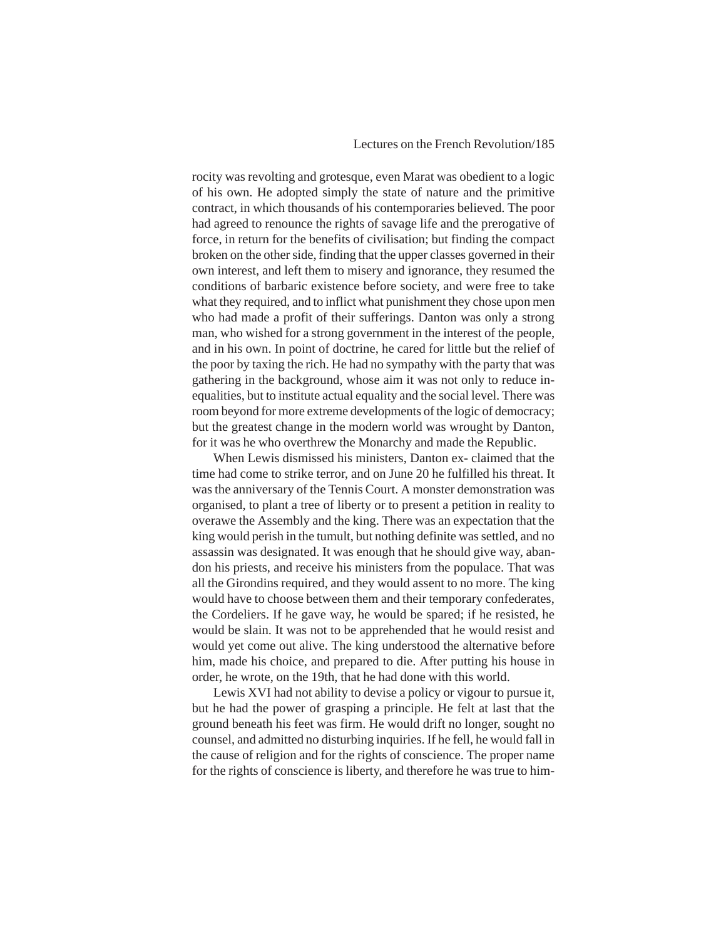rocity was revolting and grotesque, even Marat was obedient to a logic of his own. He adopted simply the state of nature and the primitive contract, in which thousands of his contemporaries believed. The poor had agreed to renounce the rights of savage life and the prerogative of force, in return for the benefits of civilisation; but finding the compact broken on the other side, finding that the upper classes governed in their own interest, and left them to misery and ignorance, they resumed the conditions of barbaric existence before society, and were free to take what they required, and to inflict what punishment they chose upon men who had made a profit of their sufferings. Danton was only a strong man, who wished for a strong government in the interest of the people, and in his own. In point of doctrine, he cared for little but the relief of the poor by taxing the rich. He had no sympathy with the party that was gathering in the background, whose aim it was not only to reduce inequalities, but to institute actual equality and the social level. There was room beyond for more extreme developments of the logic of democracy; but the greatest change in the modern world was wrought by Danton, for it was he who overthrew the Monarchy and made the Republic.

When Lewis dismissed his ministers, Danton ex- claimed that the time had come to strike terror, and on June 20 he fulfilled his threat. It was the anniversary of the Tennis Court. A monster demonstration was organised, to plant a tree of liberty or to present a petition in reality to overawe the Assembly and the king. There was an expectation that the king would perish in the tumult, but nothing definite was settled, and no assassin was designated. It was enough that he should give way, abandon his priests, and receive his ministers from the populace. That was all the Girondins required, and they would assent to no more. The king would have to choose between them and their temporary confederates, the Cordeliers. If he gave way, he would be spared; if he resisted, he would be slain. It was not to be apprehended that he would resist and would yet come out alive. The king understood the alternative before him, made his choice, and prepared to die. After putting his house in order, he wrote, on the 19th, that he had done with this world.

Lewis XVI had not ability to devise a policy or vigour to pursue it, but he had the power of grasping a principle. He felt at last that the ground beneath his feet was firm. He would drift no longer, sought no counsel, and admitted no disturbing inquiries. If he fell, he would fall in the cause of religion and for the rights of conscience. The proper name for the rights of conscience is liberty, and therefore he was true to him-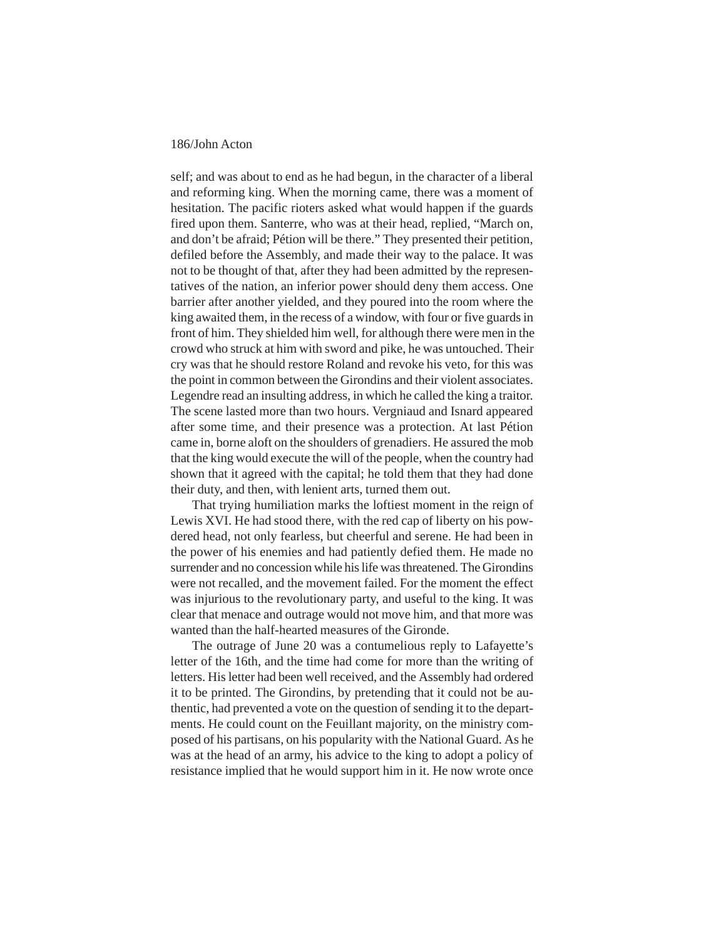self; and was about to end as he had begun, in the character of a liberal and reforming king. When the morning came, there was a moment of hesitation. The pacific rioters asked what would happen if the guards fired upon them. Santerre, who was at their head, replied, "March on, and don't be afraid; Pétion will be there." They presented their petition, defiled before the Assembly, and made their way to the palace. It was not to be thought of that, after they had been admitted by the representatives of the nation, an inferior power should deny them access. One barrier after another yielded, and they poured into the room where the king awaited them, in the recess of a window, with four or five guards in front of him. They shielded him well, for although there were men in the crowd who struck at him with sword and pike, he was untouched. Their cry was that he should restore Roland and revoke his veto, for this was the point in common between the Girondins and their violent associates. Legendre read an insulting address, in which he called the king a traitor. The scene lasted more than two hours. Vergniaud and Isnard appeared after some time, and their presence was a protection. At last Pétion came in, borne aloft on the shoulders of grenadiers. He assured the mob that the king would execute the will of the people, when the country had shown that it agreed with the capital; he told them that they had done their duty, and then, with lenient arts, turned them out.

That trying humiliation marks the loftiest moment in the reign of Lewis XVI. He had stood there, with the red cap of liberty on his powdered head, not only fearless, but cheerful and serene. He had been in the power of his enemies and had patiently defied them. He made no surrender and no concession while his life was threatened. The Girondins were not recalled, and the movement failed. For the moment the effect was injurious to the revolutionary party, and useful to the king. It was clear that menace and outrage would not move him, and that more was wanted than the half-hearted measures of the Gironde.

The outrage of June 20 was a contumelious reply to Lafayette's letter of the 16th, and the time had come for more than the writing of letters. His letter had been well received, and the Assembly had ordered it to be printed. The Girondins, by pretending that it could not be authentic, had prevented a vote on the question of sending it to the departments. He could count on the Feuillant majority, on the ministry composed of his partisans, on his popularity with the National Guard. As he was at the head of an army, his advice to the king to adopt a policy of resistance implied that he would support him in it. He now wrote once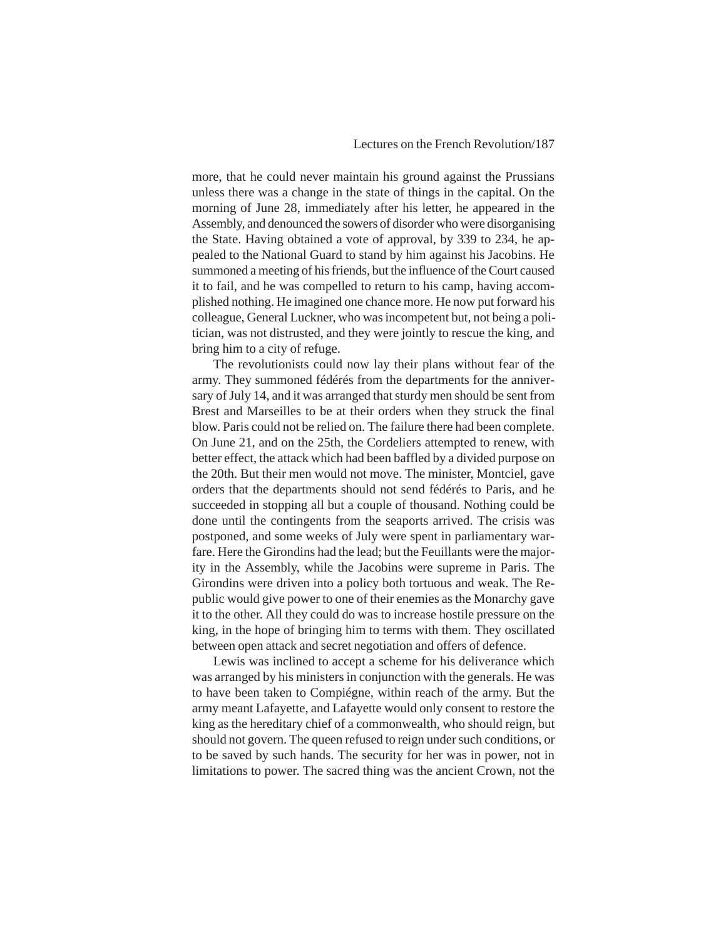more, that he could never maintain his ground against the Prussians unless there was a change in the state of things in the capital. On the morning of June 28, immediately after his letter, he appeared in the Assembly, and denounced the sowers of disorder who were disorganising the State. Having obtained a vote of approval, by 339 to 234, he appealed to the National Guard to stand by him against his Jacobins. He summoned a meeting of his friends, but the influence of the Court caused it to fail, and he was compelled to return to his camp, having accomplished nothing. He imagined one chance more. He now put forward his colleague, General Luckner, who was incompetent but, not being a politician, was not distrusted, and they were jointly to rescue the king, and bring him to a city of refuge.

The revolutionists could now lay their plans without fear of the army. They summoned fédérés from the departments for the anniversary of July 14, and it was arranged that sturdy men should be sent from Brest and Marseilles to be at their orders when they struck the final blow. Paris could not be relied on. The failure there had been complete. On June 21, and on the 25th, the Cordeliers attempted to renew, with better effect, the attack which had been baffled by a divided purpose on the 20th. But their men would not move. The minister, Montciel, gave orders that the departments should not send fédérés to Paris, and he succeeded in stopping all but a couple of thousand. Nothing could be done until the contingents from the seaports arrived. The crisis was postponed, and some weeks of July were spent in parliamentary warfare. Here the Girondins had the lead; but the Feuillants were the majority in the Assembly, while the Jacobins were supreme in Paris. The Girondins were driven into a policy both tortuous and weak. The Republic would give power to one of their enemies as the Monarchy gave it to the other. All they could do was to increase hostile pressure on the king, in the hope of bringing him to terms with them. They oscillated between open attack and secret negotiation and offers of defence.

Lewis was inclined to accept a scheme for his deliverance which was arranged by his ministers in conjunction with the generals. He was to have been taken to Compiégne, within reach of the army. But the army meant Lafayette, and Lafayette would only consent to restore the king as the hereditary chief of a commonwealth, who should reign, but should not govern. The queen refused to reign under such conditions, or to be saved by such hands. The security for her was in power, not in limitations to power. The sacred thing was the ancient Crown, not the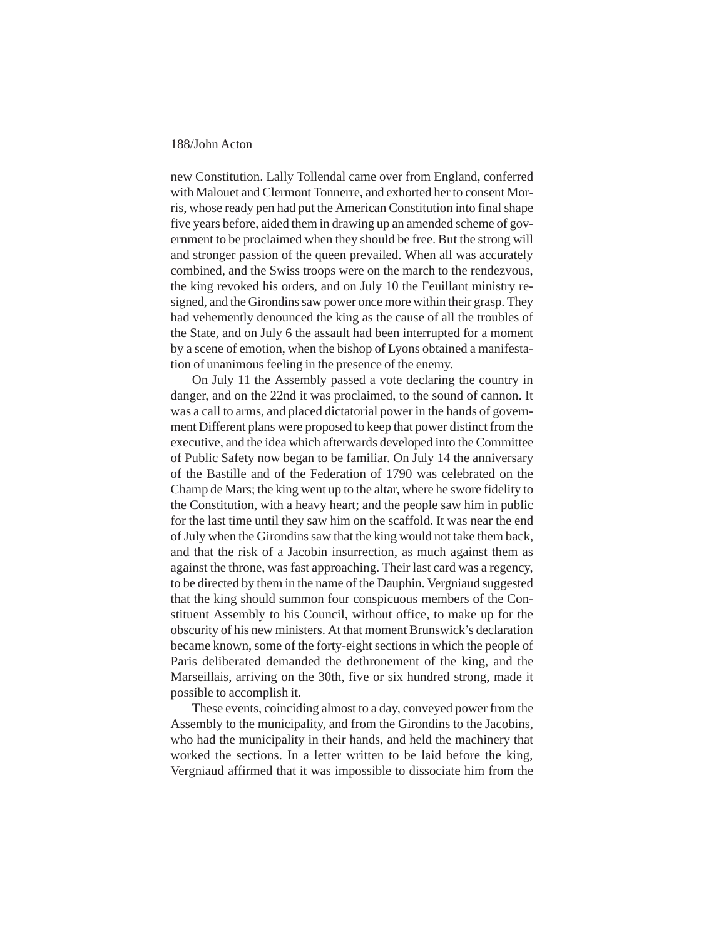new Constitution. Lally Tollendal came over from England, conferred with Malouet and Clermont Tonnerre, and exhorted her to consent Morris, whose ready pen had put the American Constitution into final shape five years before, aided them in drawing up an amended scheme of government to be proclaimed when they should be free. But the strong will and stronger passion of the queen prevailed. When all was accurately combined, and the Swiss troops were on the march to the rendezvous, the king revoked his orders, and on July 10 the Feuillant ministry resigned, and the Girondins saw power once more within their grasp. They had vehemently denounced the king as the cause of all the troubles of the State, and on July 6 the assault had been interrupted for a moment by a scene of emotion, when the bishop of Lyons obtained a manifestation of unanimous feeling in the presence of the enemy.

On July 11 the Assembly passed a vote declaring the country in danger, and on the 22nd it was proclaimed, to the sound of cannon. It was a call to arms, and placed dictatorial power in the hands of government Different plans were proposed to keep that power distinct from the executive, and the idea which afterwards developed into the Committee of Public Safety now began to be familiar. On July 14 the anniversary of the Bastille and of the Federation of 1790 was celebrated on the Champ de Mars; the king went up to the altar, where he swore fidelity to the Constitution, with a heavy heart; and the people saw him in public for the last time until they saw him on the scaffold. It was near the end of July when the Girondins saw that the king would not take them back, and that the risk of a Jacobin insurrection, as much against them as against the throne, was fast approaching. Their last card was a regency, to be directed by them in the name of the Dauphin. Vergniaud suggested that the king should summon four conspicuous members of the Constituent Assembly to his Council, without office, to make up for the obscurity of his new ministers. At that moment Brunswick's declaration became known, some of the forty-eight sections in which the people of Paris deliberated demanded the dethronement of the king, and the Marseillais, arriving on the 30th, five or six hundred strong, made it possible to accomplish it.

These events, coinciding almost to a day, conveyed power from the Assembly to the municipality, and from the Girondins to the Jacobins, who had the municipality in their hands, and held the machinery that worked the sections. In a letter written to be laid before the king, Vergniaud affirmed that it was impossible to dissociate him from the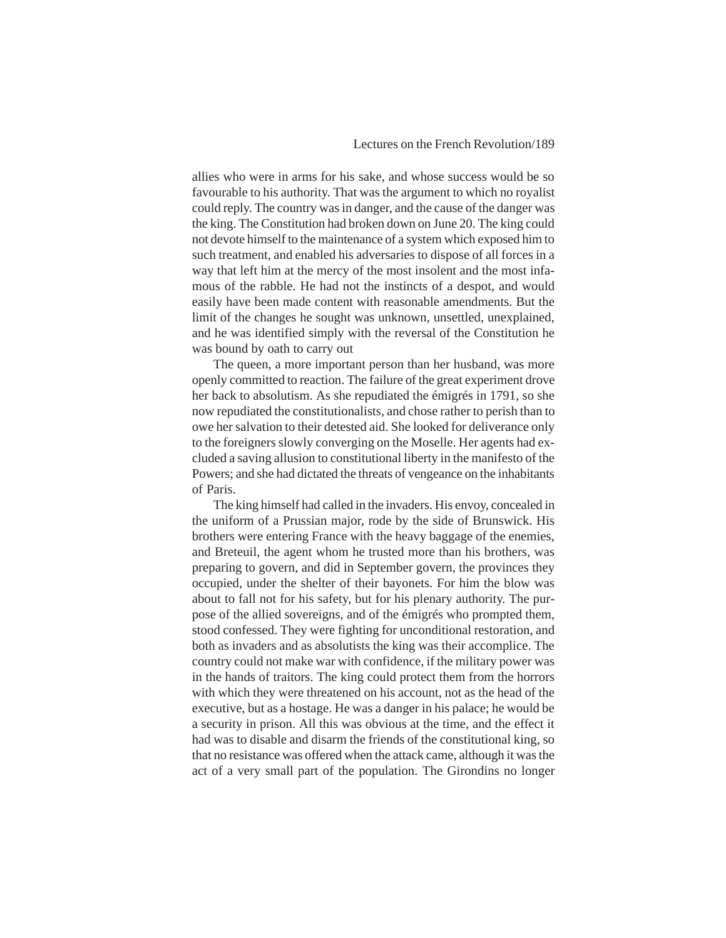allies who were in arms for his sake, and whose success would be so favourable to his authority. That was the argument to which no royalist could reply. The country was in danger, and the cause of the danger was the king. The Constitution had broken down on June 20. The king could not devote himself to the maintenance of a system which exposed him to such treatment, and enabled his adversaries to dispose of all forces in a way that left him at the mercy of the most insolent and the most infamous of the rabble. He had not the instincts of a despot, and would easily have been made content with reasonable amendments. But the limit of the changes he sought was unknown, unsettled, unexplained, and he was identified simply with the reversal of the Constitution he was bound by oath to carry out

The queen, a more important person than her husband, was more openly committed to reaction. The failure of the great experiment drove her back to absolutism. As she repudiated the émigrés in 1791, so she now repudiated the constitutionalists, and chose rather to perish than to owe her salvation to their detested aid. She looked for deliverance only to the foreigners slowly converging on the Moselle. Her agents had excluded a saving allusion to constitutional liberty in the manifesto of the Powers; and she had dictated the threats of vengeance on the inhabitants of Paris.

The king himself had called in the invaders. His envoy, concealed in the uniform of a Prussian major, rode by the side of Brunswick. His brothers were entering France with the heavy baggage of the enemies, and Breteuil, the agent whom he trusted more than his brothers, was preparing to govern, and did in September govern, the provinces they occupied, under the shelter of their bayonets. For him the blow was about to fall not for his safety, but for his plenary authority. The purpose of the allied sovereigns, and of the émigrés who prompted them, stood confessed. They were fighting for unconditional restoration, and both as invaders and as absolutists the king was their accomplice. The country could not make war with confidence, if the military power was in the hands of traitors. The king could protect them from the horrors with which they were threatened on his account, not as the head of the executive, but as a hostage. He was a danger in his palace; he would be a security in prison. All this was obvious at the time, and the effect it had was to disable and disarm the friends of the constitutional king, so that no resistance was offered when the attack came, although it was the act of a very small part of the population. The Girondins no longer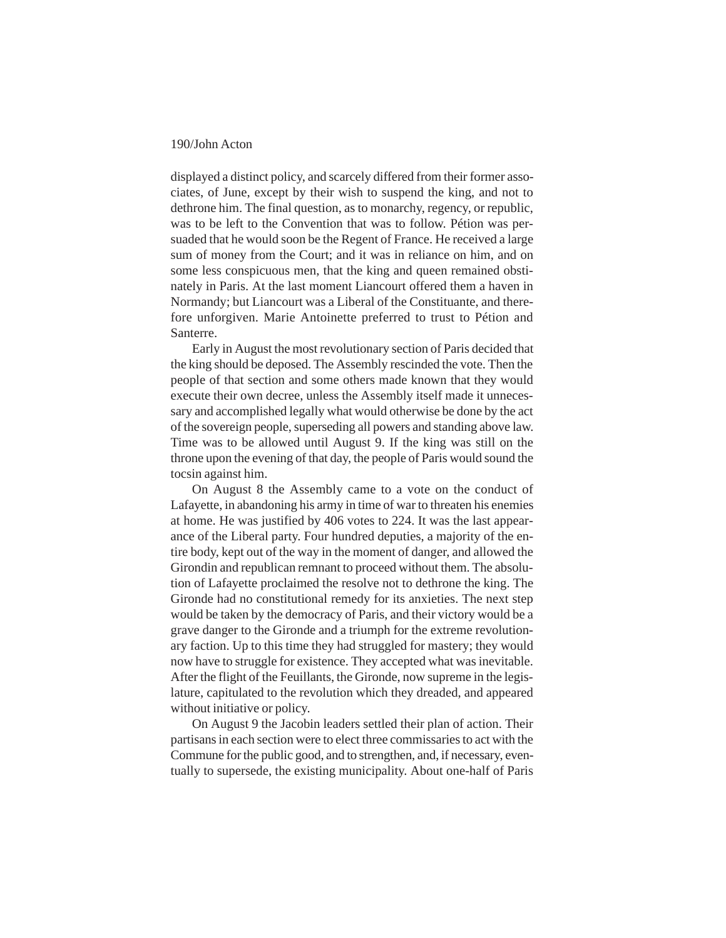displayed a distinct policy, and scarcely differed from their former associates, of June, except by their wish to suspend the king, and not to dethrone him. The final question, as to monarchy, regency, or republic, was to be left to the Convention that was to follow. Pétion was persuaded that he would soon be the Regent of France. He received a large sum of money from the Court; and it was in reliance on him, and on some less conspicuous men, that the king and queen remained obstinately in Paris. At the last moment Liancourt offered them a haven in Normandy; but Liancourt was a Liberal of the Constituante, and therefore unforgiven. Marie Antoinette preferred to trust to Pétion and Santerre.

Early in August the most revolutionary section of Paris decided that the king should be deposed. The Assembly rescinded the vote. Then the people of that section and some others made known that they would execute their own decree, unless the Assembly itself made it unnecessary and accomplished legally what would otherwise be done by the act of the sovereign people, superseding all powers and standing above law. Time was to be allowed until August 9. If the king was still on the throne upon the evening of that day, the people of Paris would sound the tocsin against him.

On August 8 the Assembly came to a vote on the conduct of Lafayette, in abandoning his army in time of war to threaten his enemies at home. He was justified by 406 votes to 224. It was the last appearance of the Liberal party. Four hundred deputies, a majority of the entire body, kept out of the way in the moment of danger, and allowed the Girondin and republican remnant to proceed without them. The absolution of Lafayette proclaimed the resolve not to dethrone the king. The Gironde had no constitutional remedy for its anxieties. The next step would be taken by the democracy of Paris, and their victory would be a grave danger to the Gironde and a triumph for the extreme revolutionary faction. Up to this time they had struggled for mastery; they would now have to struggle for existence. They accepted what was inevitable. After the flight of the Feuillants, the Gironde, now supreme in the legislature, capitulated to the revolution which they dreaded, and appeared without initiative or policy.

On August 9 the Jacobin leaders settled their plan of action. Their partisans in each section were to elect three commissaries to act with the Commune for the public good, and to strengthen, and, if necessary, eventually to supersede, the existing municipality. About one-half of Paris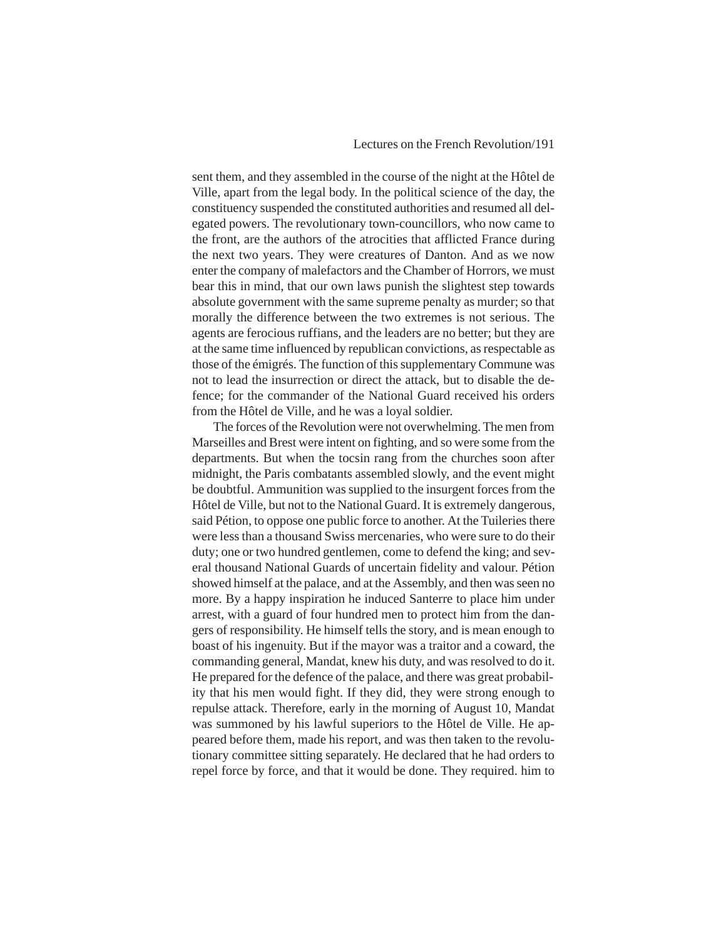sent them, and they assembled in the course of the night at the Hôtel de Ville, apart from the legal body. In the political science of the day, the constituency suspended the constituted authorities and resumed all delegated powers. The revolutionary town-councillors, who now came to the front, are the authors of the atrocities that afflicted France during the next two years. They were creatures of Danton. And as we now enter the company of malefactors and the Chamber of Horrors, we must bear this in mind, that our own laws punish the slightest step towards absolute government with the same supreme penalty as murder; so that morally the difference between the two extremes is not serious. The agents are ferocious ruffians, and the leaders are no better; but they are at the same time influenced by republican convictions, as respectable as those of the émigrés. The function of this supplementary Commune was not to lead the insurrection or direct the attack, but to disable the defence; for the commander of the National Guard received his orders from the Hôtel de Ville, and he was a loyal soldier.

The forces of the Revolution were not overwhelming. The men from Marseilles and Brest were intent on fighting, and so were some from the departments. But when the tocsin rang from the churches soon after midnight, the Paris combatants assembled slowly, and the event might be doubtful. Ammunition was supplied to the insurgent forces from the Hôtel de Ville, but not to the National Guard. It is extremely dangerous, said Pétion, to oppose one public force to another. At the Tuileries there were less than a thousand Swiss mercenaries, who were sure to do their duty; one or two hundred gentlemen, come to defend the king; and several thousand National Guards of uncertain fidelity and valour. Pétion showed himself at the palace, and at the Assembly, and then was seen no more. By a happy inspiration he induced Santerre to place him under arrest, with a guard of four hundred men to protect him from the dangers of responsibility. He himself tells the story, and is mean enough to boast of his ingenuity. But if the mayor was a traitor and a coward, the commanding general, Mandat, knew his duty, and was resolved to do it. He prepared for the defence of the palace, and there was great probability that his men would fight. If they did, they were strong enough to repulse attack. Therefore, early in the morning of August 10, Mandat was summoned by his lawful superiors to the Hôtel de Ville. He appeared before them, made his report, and was then taken to the revolutionary committee sitting separately. He declared that he had orders to repel force by force, and that it would be done. They required. him to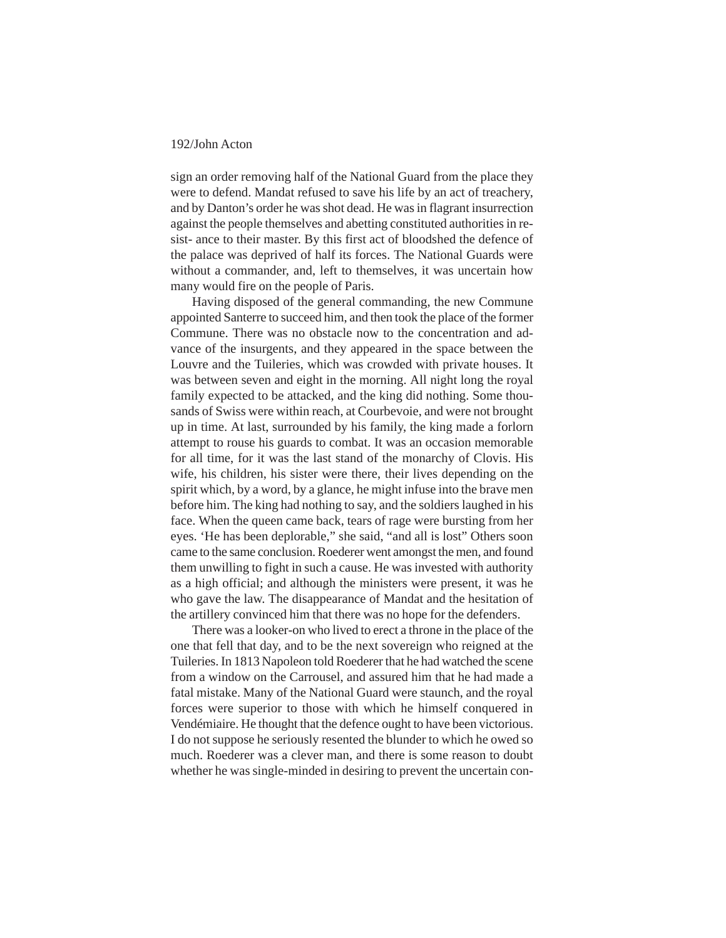sign an order removing half of the National Guard from the place they were to defend. Mandat refused to save his life by an act of treachery, and by Danton's order he was shot dead. He was in flagrant insurrection against the people themselves and abetting constituted authorities in resist- ance to their master. By this first act of bloodshed the defence of the palace was deprived of half its forces. The National Guards were without a commander, and, left to themselves, it was uncertain how many would fire on the people of Paris.

Having disposed of the general commanding, the new Commune appointed Santerre to succeed him, and then took the place of the former Commune. There was no obstacle now to the concentration and advance of the insurgents, and they appeared in the space between the Louvre and the Tuileries, which was crowded with private houses. It was between seven and eight in the morning. All night long the royal family expected to be attacked, and the king did nothing. Some thousands of Swiss were within reach, at Courbevoie, and were not brought up in time. At last, surrounded by his family, the king made a forlorn attempt to rouse his guards to combat. It was an occasion memorable for all time, for it was the last stand of the monarchy of Clovis. His wife, his children, his sister were there, their lives depending on the spirit which, by a word, by a glance, he might infuse into the brave men before him. The king had nothing to say, and the soldiers laughed in his face. When the queen came back, tears of rage were bursting from her eyes. 'He has been deplorable," she said, "and all is lost" Others soon came to the same conclusion. Roederer went amongst the men, and found them unwilling to fight in such a cause. He was invested with authority as a high official; and although the ministers were present, it was he who gave the law. The disappearance of Mandat and the hesitation of the artillery convinced him that there was no hope for the defenders.

There was a looker-on who lived to erect a throne in the place of the one that fell that day, and to be the next sovereign who reigned at the Tuileries. In 1813 Napoleon told Roederer that he had watched the scene from a window on the Carrousel, and assured him that he had made a fatal mistake. Many of the National Guard were staunch, and the royal forces were superior to those with which he himself conquered in Vendémiaire. He thought that the defence ought to have been victorious. I do not suppose he seriously resented the blunder to which he owed so much. Roederer was a clever man, and there is some reason to doubt whether he was single-minded in desiring to prevent the uncertain con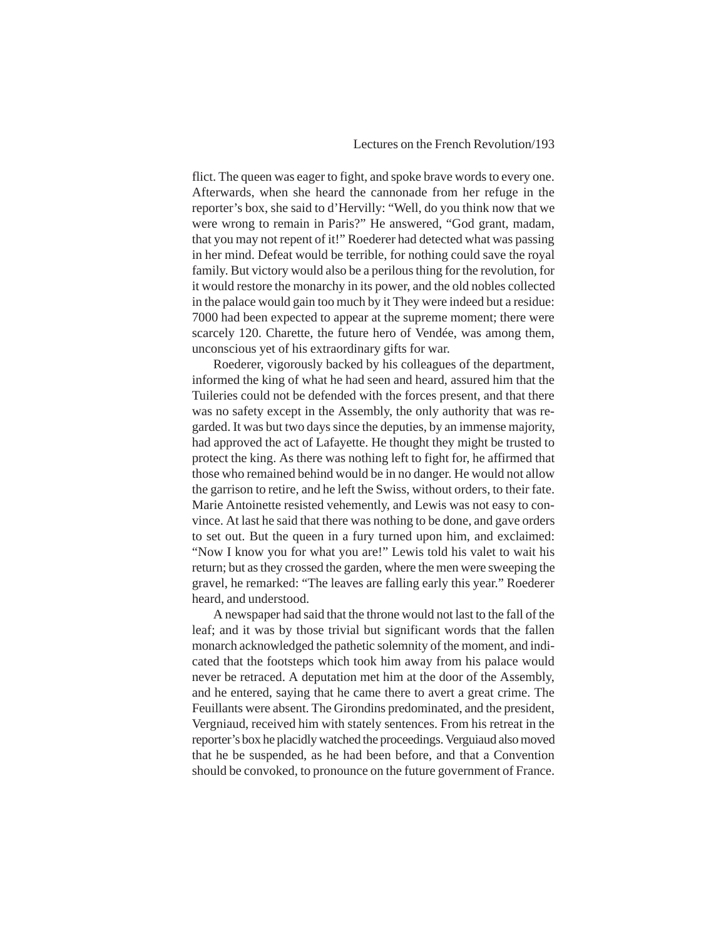flict. The queen was eager to fight, and spoke brave words to every one. Afterwards, when she heard the cannonade from her refuge in the reporter's box, she said to d'Hervilly: "Well, do you think now that we were wrong to remain in Paris?" He answered, "God grant, madam, that you may not repent of it!" Roederer had detected what was passing in her mind. Defeat would be terrible, for nothing could save the royal family. But victory would also be a perilous thing for the revolution, for it would restore the monarchy in its power, and the old nobles collected in the palace would gain too much by it They were indeed but a residue: 7000 had been expected to appear at the supreme moment; there were scarcely 120. Charette, the future hero of Vendée, was among them, unconscious yet of his extraordinary gifts for war.

Roederer, vigorously backed by his colleagues of the department, informed the king of what he had seen and heard, assured him that the Tuileries could not be defended with the forces present, and that there was no safety except in the Assembly, the only authority that was regarded. It was but two days since the deputies, by an immense majority, had approved the act of Lafayette. He thought they might be trusted to protect the king. As there was nothing left to fight for, he affirmed that those who remained behind would be in no danger. He would not allow the garrison to retire, and he left the Swiss, without orders, to their fate. Marie Antoinette resisted vehemently, and Lewis was not easy to convince. At last he said that there was nothing to be done, and gave orders to set out. But the queen in a fury turned upon him, and exclaimed: "Now I know you for what you are!" Lewis told his valet to wait his return; but as they crossed the garden, where the men were sweeping the gravel, he remarked: "The leaves are falling early this year." Roederer heard, and understood.

A newspaper had said that the throne would not last to the fall of the leaf; and it was by those trivial but significant words that the fallen monarch acknowledged the pathetic solemnity of the moment, and indicated that the footsteps which took him away from his palace would never be retraced. A deputation met him at the door of the Assembly, and he entered, saying that he came there to avert a great crime. The Feuillants were absent. The Girondins predominated, and the president, Vergniaud, received him with stately sentences. From his retreat in the reporter's box he placidly watched the proceedings. Verguiaud also moved that he be suspended, as he had been before, and that a Convention should be convoked, to pronounce on the future government of France.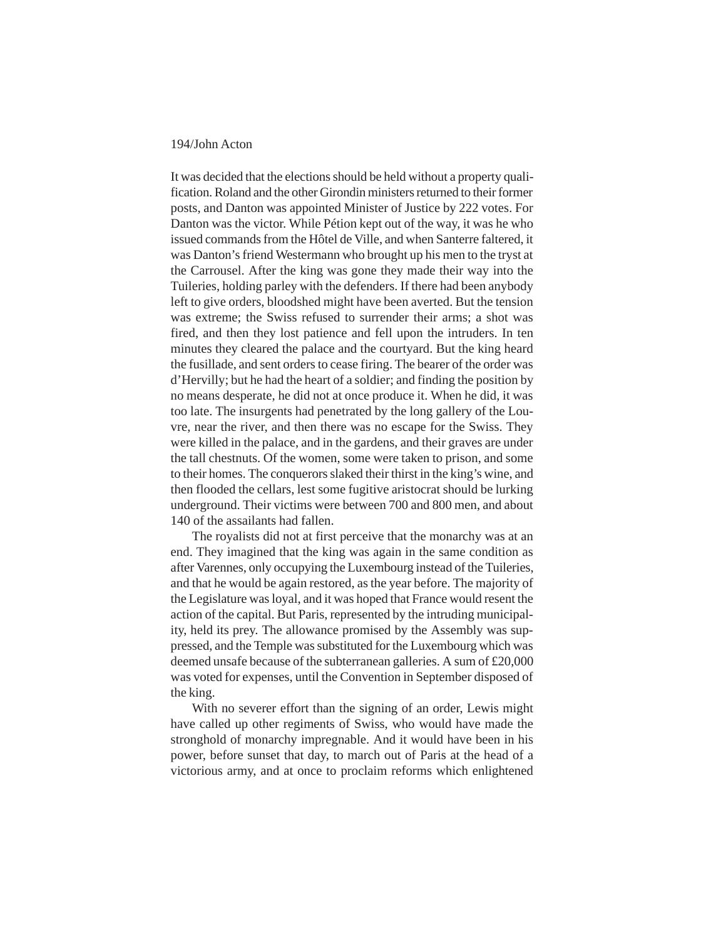It was decided that the elections should be held without a property qualification. Roland and the other Girondin ministers returned to their former posts, and Danton was appointed Minister of Justice by 222 votes. For Danton was the victor. While Pétion kept out of the way, it was he who issued commands from the Hôtel de Ville, and when Santerre faltered, it was Danton's friend Westermann who brought up his men to the tryst at the Carrousel. After the king was gone they made their way into the Tuileries, holding parley with the defenders. If there had been anybody left to give orders, bloodshed might have been averted. But the tension was extreme; the Swiss refused to surrender their arms; a shot was fired, and then they lost patience and fell upon the intruders. In ten minutes they cleared the palace and the courtyard. But the king heard the fusillade, and sent orders to cease firing. The bearer of the order was d'Hervilly; but he had the heart of a soldier; and finding the position by no means desperate, he did not at once produce it. When he did, it was too late. The insurgents had penetrated by the long gallery of the Louvre, near the river, and then there was no escape for the Swiss. They were killed in the palace, and in the gardens, and their graves are under the tall chestnuts. Of the women, some were taken to prison, and some to their homes. The conquerors slaked their thirst in the king's wine, and then flooded the cellars, lest some fugitive aristocrat should be lurking underground. Their victims were between 700 and 800 men, and about 140 of the assailants had fallen.

The royalists did not at first perceive that the monarchy was at an end. They imagined that the king was again in the same condition as after Varennes, only occupying the Luxembourg instead of the Tuileries, and that he would be again restored, as the year before. The majority of the Legislature was loyal, and it was hoped that France would resent the action of the capital. But Paris, represented by the intruding municipality, held its prey. The allowance promised by the Assembly was suppressed, and the Temple was substituted for the Luxembourg which was deemed unsafe because of the subterranean galleries. A sum of £20,000 was voted for expenses, until the Convention in September disposed of the king.

With no severer effort than the signing of an order, Lewis might have called up other regiments of Swiss, who would have made the stronghold of monarchy impregnable. And it would have been in his power, before sunset that day, to march out of Paris at the head of a victorious army, and at once to proclaim reforms which enlightened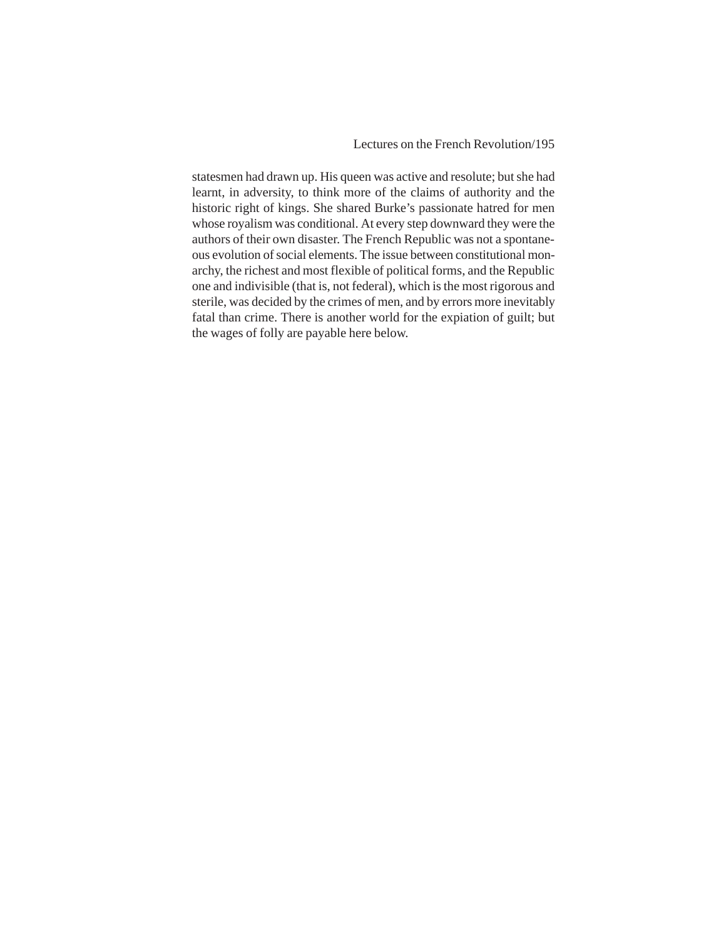Lectures on the French Revolution/195

statesmen had drawn up. His queen was active and resolute; but she had learnt, in adversity, to think more of the claims of authority and the historic right of kings. She shared Burke's passionate hatred for men whose royalism was conditional. At every step downward they were the authors of their own disaster. The French Republic was not a spontaneous evolution of social elements. The issue between constitutional monarchy, the richest and most flexible of political forms, and the Republic one and indivisible (that is, not federal), which is the most rigorous and sterile, was decided by the crimes of men, and by errors more inevitably fatal than crime. There is another world for the expiation of guilt; but the wages of folly are payable here below.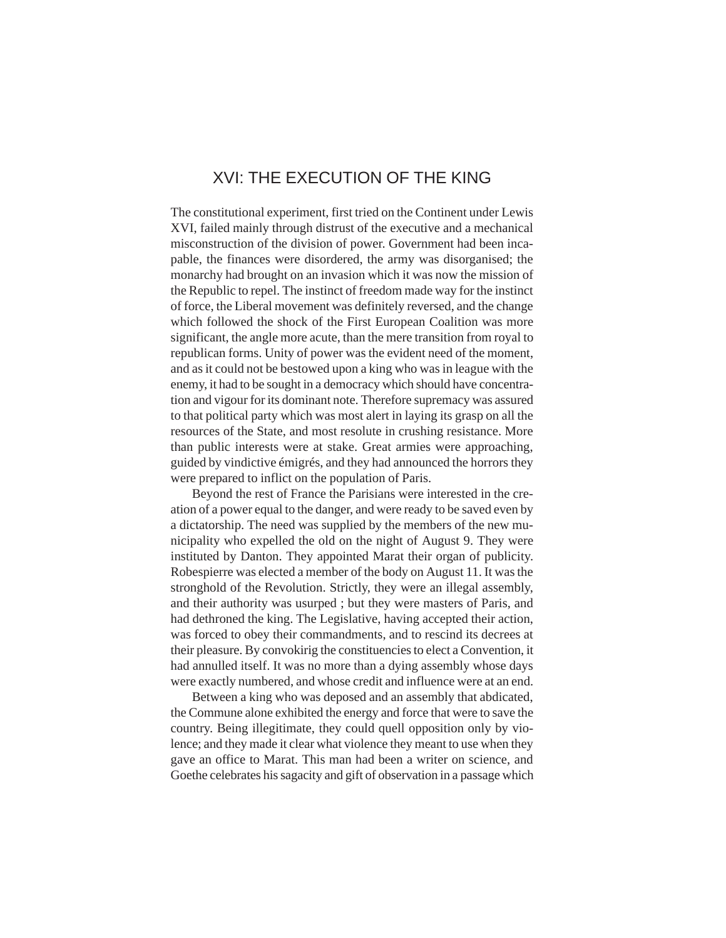## XVI: THE EXECUTION OF THE KING

The constitutional experiment, first tried on the Continent under Lewis XVI, failed mainly through distrust of the executive and a mechanical misconstruction of the division of power. Government had been incapable, the finances were disordered, the army was disorganised; the monarchy had brought on an invasion which it was now the mission of the Republic to repel. The instinct of freedom made way for the instinct of force, the Liberal movement was definitely reversed, and the change which followed the shock of the First European Coalition was more significant, the angle more acute, than the mere transition from royal to republican forms. Unity of power was the evident need of the moment, and as it could not be bestowed upon a king who was in league with the enemy, it had to be sought in a democracy which should have concentration and vigour for its dominant note. Therefore supremacy was assured to that political party which was most alert in laying its grasp on all the resources of the State, and most resolute in crushing resistance. More than public interests were at stake. Great armies were approaching, guided by vindictive émigrés, and they had announced the horrors they were prepared to inflict on the population of Paris.

Beyond the rest of France the Parisians were interested in the creation of a power equal to the danger, and were ready to be saved even by a dictatorship. The need was supplied by the members of the new municipality who expelled the old on the night of August 9. They were instituted by Danton. They appointed Marat their organ of publicity. Robespierre was elected a member of the body on August 11. It was the stronghold of the Revolution. Strictly, they were an illegal assembly, and their authority was usurped ; but they were masters of Paris, and had dethroned the king. The Legislative, having accepted their action, was forced to obey their commandments, and to rescind its decrees at their pleasure. By convokirig the constituencies to elect a Convention, it had annulled itself. It was no more than a dying assembly whose days were exactly numbered, and whose credit and influence were at an end.

Between a king who was deposed and an assembly that abdicated, the Commune alone exhibited the energy and force that were to save the country. Being illegitimate, they could quell opposition only by violence; and they made it clear what violence they meant to use when they gave an office to Marat. This man had been a writer on science, and Goethe celebrates his sagacity and gift of observation in a passage which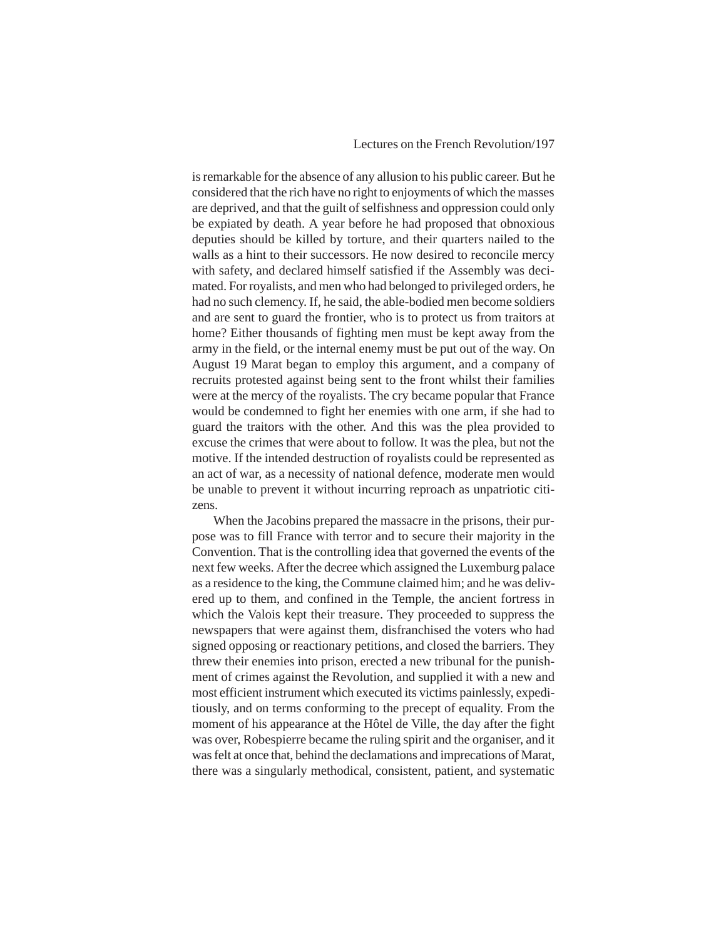#### Lectures on the French Revolution/197

is remarkable for the absence of any allusion to his public career. But he considered that the rich have no right to enjoyments of which the masses are deprived, and that the guilt of selfishness and oppression could only be expiated by death. A year before he had proposed that obnoxious deputies should be killed by torture, and their quarters nailed to the walls as a hint to their successors. He now desired to reconcile mercy with safety, and declared himself satisfied if the Assembly was decimated. For royalists, and men who had belonged to privileged orders, he had no such clemency. If, he said, the able-bodied men become soldiers and are sent to guard the frontier, who is to protect us from traitors at home? Either thousands of fighting men must be kept away from the army in the field, or the internal enemy must be put out of the way. On August 19 Marat began to employ this argument, and a company of recruits protested against being sent to the front whilst their families were at the mercy of the royalists. The cry became popular that France would be condemned to fight her enemies with one arm, if she had to guard the traitors with the other. And this was the plea provided to excuse the crimes that were about to follow. It was the plea, but not the motive. If the intended destruction of royalists could be represented as an act of war, as a necessity of national defence, moderate men would be unable to prevent it without incurring reproach as unpatriotic citizens.

When the Jacobins prepared the massacre in the prisons, their purpose was to fill France with terror and to secure their majority in the Convention. That is the controlling idea that governed the events of the next few weeks. After the decree which assigned the Luxemburg palace as a residence to the king, the Commune claimed him; and he was delivered up to them, and confined in the Temple, the ancient fortress in which the Valois kept their treasure. They proceeded to suppress the newspapers that were against them, disfranchised the voters who had signed opposing or reactionary petitions, and closed the barriers. They threw their enemies into prison, erected a new tribunal for the punishment of crimes against the Revolution, and supplied it with a new and most efficient instrument which executed its victims painlessly, expeditiously, and on terms conforming to the precept of equality. From the moment of his appearance at the Hôtel de Ville, the day after the fight was over, Robespierre became the ruling spirit and the organiser, and it was felt at once that, behind the declamations and imprecations of Marat, there was a singularly methodical, consistent, patient, and systematic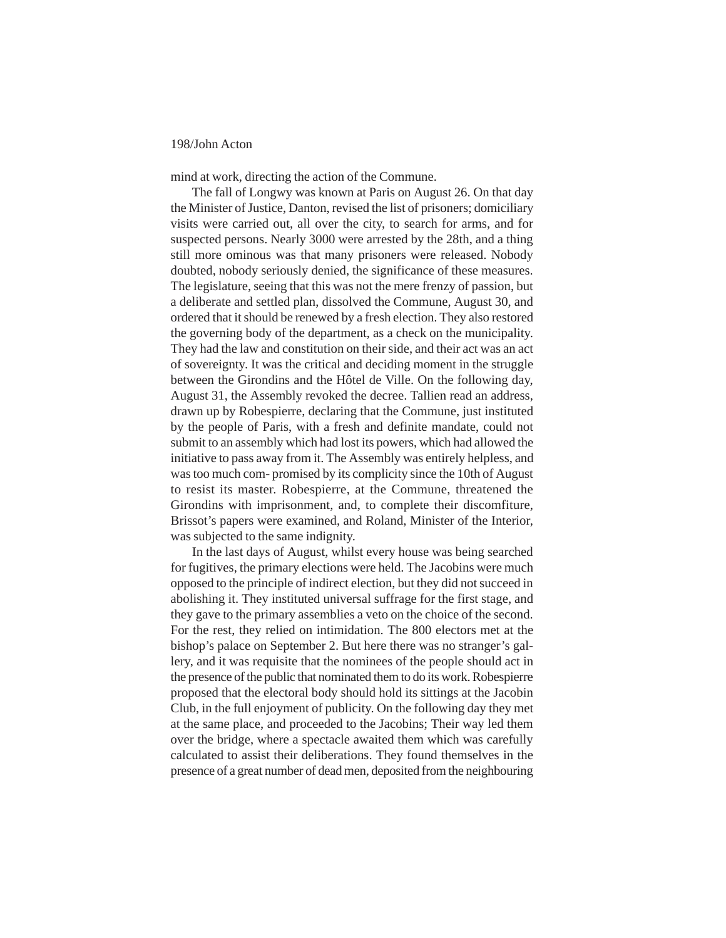mind at work, directing the action of the Commune.

The fall of Longwy was known at Paris on August 26. On that day the Minister of Justice, Danton, revised the list of prisoners; domiciliary visits were carried out, all over the city, to search for arms, and for suspected persons. Nearly 3000 were arrested by the 28th, and a thing still more ominous was that many prisoners were released. Nobody doubted, nobody seriously denied, the significance of these measures. The legislature, seeing that this was not the mere frenzy of passion, but a deliberate and settled plan, dissolved the Commune, August 30, and ordered that it should be renewed by a fresh election. They also restored the governing body of the department, as a check on the municipality. They had the law and constitution on their side, and their act was an act of sovereignty. It was the critical and deciding moment in the struggle between the Girondins and the Hôtel de Ville. On the following day, August 31, the Assembly revoked the decree. Tallien read an address, drawn up by Robespierre, declaring that the Commune, just instituted by the people of Paris, with a fresh and definite mandate, could not submit to an assembly which had lost its powers, which had allowed the initiative to pass away from it. The Assembly was entirely helpless, and was too much com- promised by its complicity since the 10th of August to resist its master. Robespierre, at the Commune, threatened the Girondins with imprisonment, and, to complete their discomfiture, Brissot's papers were examined, and Roland, Minister of the Interior, was subjected to the same indignity.

In the last days of August, whilst every house was being searched for fugitives, the primary elections were held. The Jacobins were much opposed to the principle of indirect election, but they did not succeed in abolishing it. They instituted universal suffrage for the first stage, and they gave to the primary assemblies a veto on the choice of the second. For the rest, they relied on intimidation. The 800 electors met at the bishop's palace on September 2. But here there was no stranger's gallery, and it was requisite that the nominees of the people should act in the presence of the public that nominated them to do its work. Robespierre proposed that the electoral body should hold its sittings at the Jacobin Club, in the full enjoyment of publicity. On the following day they met at the same place, and proceeded to the Jacobins; Their way led them over the bridge, where a spectacle awaited them which was carefully calculated to assist their deliberations. They found themselves in the presence of a great number of dead men, deposited from the neighbouring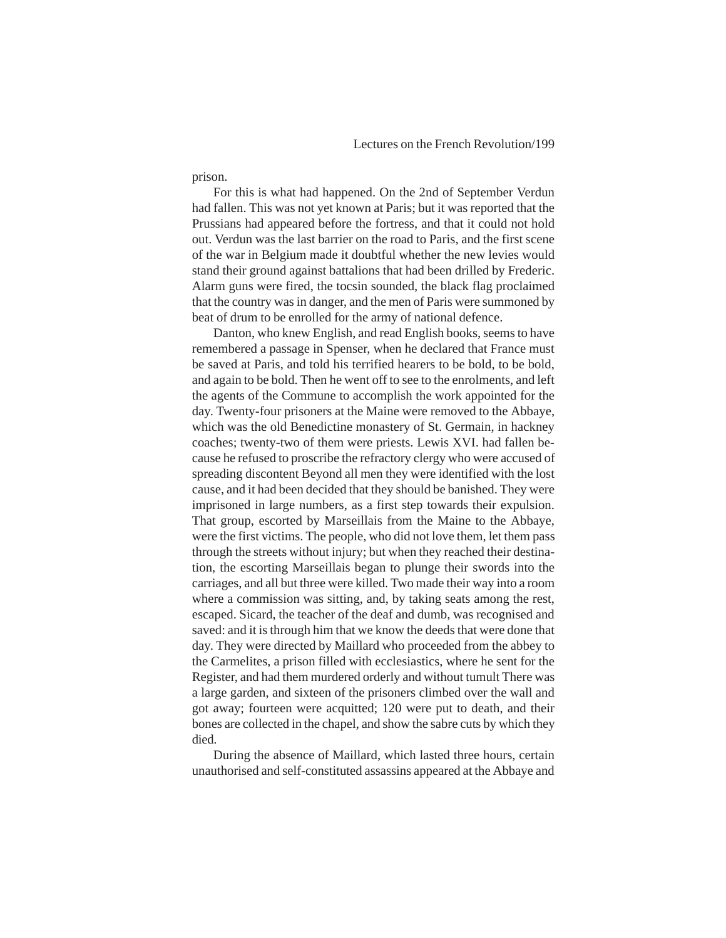prison.

For this is what had happened. On the 2nd of September Verdun had fallen. This was not yet known at Paris; but it was reported that the Prussians had appeared before the fortress, and that it could not hold out. Verdun was the last barrier on the road to Paris, and the first scene of the war in Belgium made it doubtful whether the new levies would stand their ground against battalions that had been drilled by Frederic. Alarm guns were fired, the tocsin sounded, the black flag proclaimed that the country was in danger, and the men of Paris were summoned by beat of drum to be enrolled for the army of national defence.

Danton, who knew English, and read English books, seems to have remembered a passage in Spenser, when he declared that France must be saved at Paris, and told his terrified hearers to be bold, to be bold, and again to be bold. Then he went off to see to the enrolments, and left the agents of the Commune to accomplish the work appointed for the day. Twenty-four prisoners at the Maine were removed to the Abbaye, which was the old Benedictine monastery of St. Germain, in hackney coaches; twenty-two of them were priests. Lewis XVI. had fallen because he refused to proscribe the refractory clergy who were accused of spreading discontent Beyond all men they were identified with the lost cause, and it had been decided that they should be banished. They were imprisoned in large numbers, as a first step towards their expulsion. That group, escorted by Marseillais from the Maine to the Abbaye, were the first victims. The people, who did not love them, let them pass through the streets without injury; but when they reached their destination, the escorting Marseillais began to plunge their swords into the carriages, and all but three were killed. Two made their way into a room where a commission was sitting, and, by taking seats among the rest, escaped. Sicard, the teacher of the deaf and dumb, was recognised and saved: and it is through him that we know the deeds that were done that day. They were directed by Maillard who proceeded from the abbey to the Carmelites, a prison filled with ecclesiastics, where he sent for the Register, and had them murdered orderly and without tumult There was a large garden, and sixteen of the prisoners climbed over the wall and got away; fourteen were acquitted; 120 were put to death, and their bones are collected in the chapel, and show the sabre cuts by which they died.

During the absence of Maillard, which lasted three hours, certain unauthorised and self-constituted assassins appeared at the Abbaye and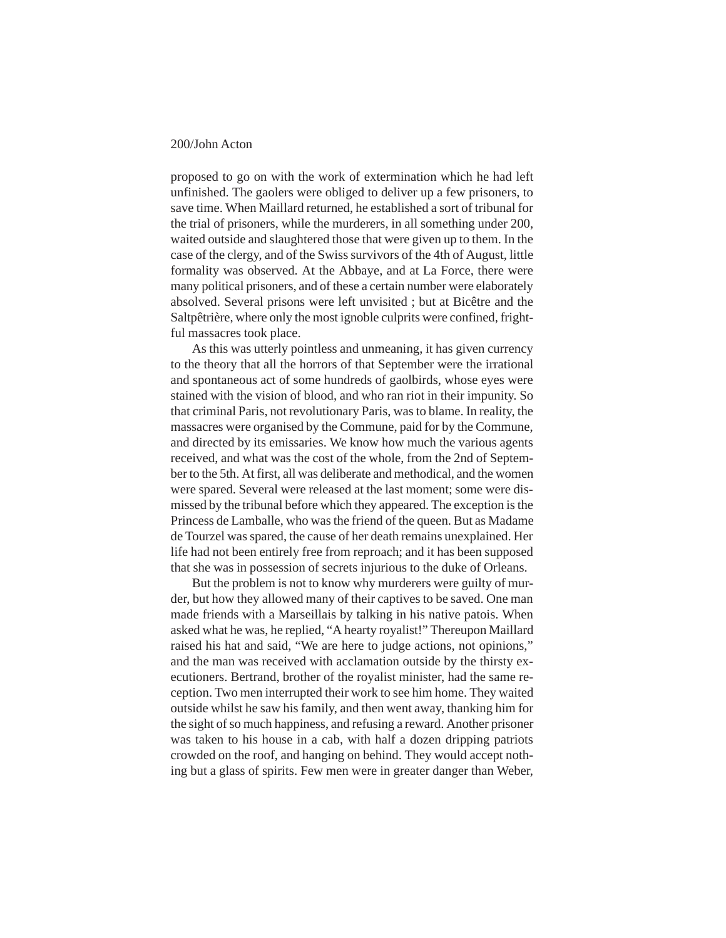proposed to go on with the work of extermination which he had left unfinished. The gaolers were obliged to deliver up a few prisoners, to save time. When Maillard returned, he established a sort of tribunal for the trial of prisoners, while the murderers, in all something under 200, waited outside and slaughtered those that were given up to them. In the case of the clergy, and of the Swiss survivors of the 4th of August, little formality was observed. At the Abbaye, and at La Force, there were many political prisoners, and of these a certain number were elaborately absolved. Several prisons were left unvisited ; but at Bicêtre and the Saltpêtrière, where only the most ignoble culprits were confined, frightful massacres took place.

As this was utterly pointless and unmeaning, it has given currency to the theory that all the horrors of that September were the irrational and spontaneous act of some hundreds of gaolbirds, whose eyes were stained with the vision of blood, and who ran riot in their impunity. So that criminal Paris, not revolutionary Paris, was to blame. In reality, the massacres were organised by the Commune, paid for by the Commune, and directed by its emissaries. We know how much the various agents received, and what was the cost of the whole, from the 2nd of September to the 5th. At first, all was deliberate and methodical, and the women were spared. Several were released at the last moment; some were dismissed by the tribunal before which they appeared. The exception is the Princess de Lamballe, who was the friend of the queen. But as Madame de Tourzel was spared, the cause of her death remains unexplained. Her life had not been entirely free from reproach; and it has been supposed that she was in possession of secrets injurious to the duke of Orleans.

But the problem is not to know why murderers were guilty of murder, but how they allowed many of their captives to be saved. One man made friends with a Marseillais by talking in his native patois. When asked what he was, he replied, "A hearty royalist!" Thereupon Maillard raised his hat and said, "We are here to judge actions, not opinions," and the man was received with acclamation outside by the thirsty executioners. Bertrand, brother of the royalist minister, had the same reception. Two men interrupted their work to see him home. They waited outside whilst he saw his family, and then went away, thanking him for the sight of so much happiness, and refusing a reward. Another prisoner was taken to his house in a cab, with half a dozen dripping patriots crowded on the roof, and hanging on behind. They would accept nothing but a glass of spirits. Few men were in greater danger than Weber,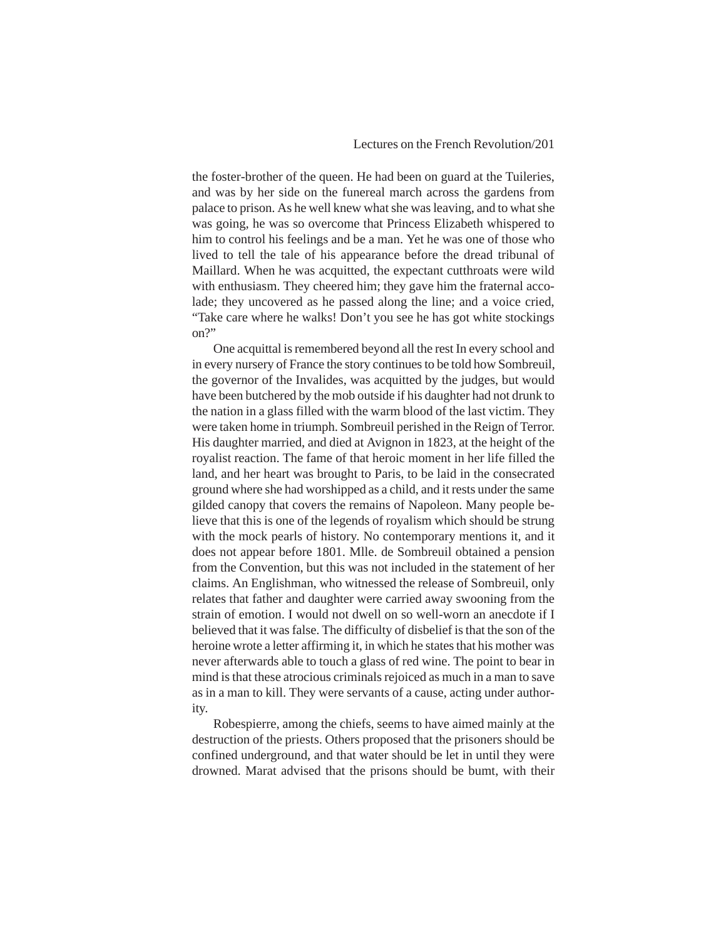the foster-brother of the queen. He had been on guard at the Tuileries, and was by her side on the funereal march across the gardens from palace to prison. As he well knew what she was leaving, and to what she was going, he was so overcome that Princess Elizabeth whispered to him to control his feelings and be a man. Yet he was one of those who lived to tell the tale of his appearance before the dread tribunal of Maillard. When he was acquitted, the expectant cutthroats were wild with enthusiasm. They cheered him; they gave him the fraternal accolade; they uncovered as he passed along the line; and a voice cried, "Take care where he walks! Don't you see he has got white stockings on?"

One acquittal is remembered beyond all the rest In every school and in every nursery of France the story continues to be told how Sombreuil, the governor of the Invalides, was acquitted by the judges, but would have been butchered by the mob outside if his daughter had not drunk to the nation in a glass filled with the warm blood of the last victim. They were taken home in triumph. Sombreuil perished in the Reign of Terror. His daughter married, and died at Avignon in 1823, at the height of the royalist reaction. The fame of that heroic moment in her life filled the land, and her heart was brought to Paris, to be laid in the consecrated ground where she had worshipped as a child, and it rests under the same gilded canopy that covers the remains of Napoleon. Many people believe that this is one of the legends of royalism which should be strung with the mock pearls of history. No contemporary mentions it, and it does not appear before 1801. Mlle. de Sombreuil obtained a pension from the Convention, but this was not included in the statement of her claims. An Englishman, who witnessed the release of Sombreuil, only relates that father and daughter were carried away swooning from the strain of emotion. I would not dwell on so well-worn an anecdote if I believed that it was false. The difficulty of disbelief is that the son of the heroine wrote a letter affirming it, in which he states that his mother was never afterwards able to touch a glass of red wine. The point to bear in mind is that these atrocious criminals rejoiced as much in a man to save as in a man to kill. They were servants of a cause, acting under authority.

Robespierre, among the chiefs, seems to have aimed mainly at the destruction of the priests. Others proposed that the prisoners should be confined underground, and that water should be let in until they were drowned. Marat advised that the prisons should be bumt, with their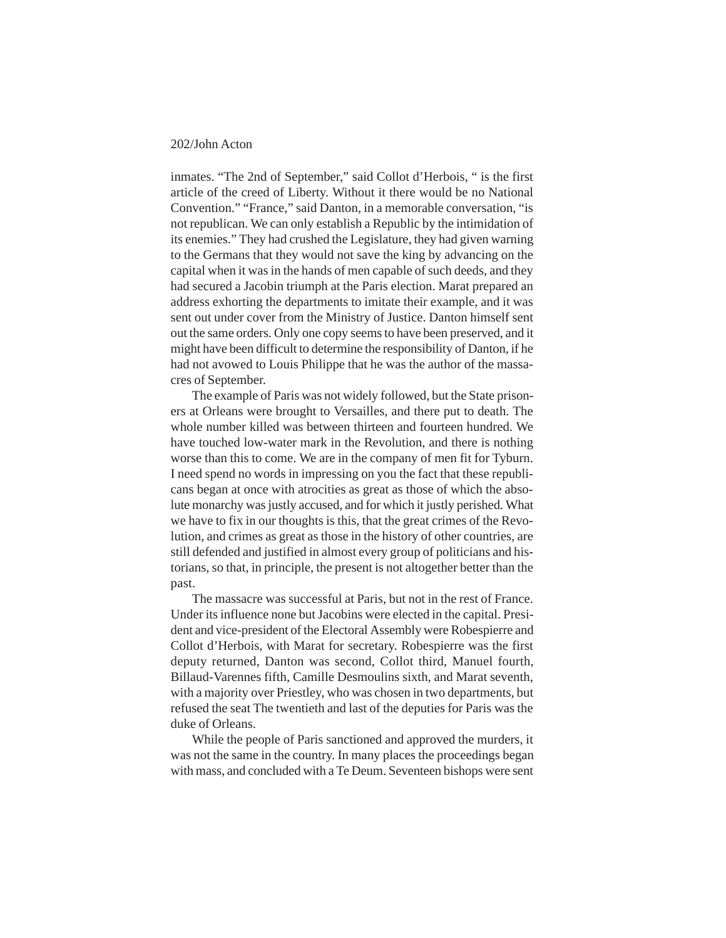inmates. "The 2nd of September," said Collot d'Herbois, " is the first article of the creed of Liberty. Without it there would be no National Convention." "France," said Danton, in a memorable conversation, "is not republican. We can only establish a Republic by the intimidation of its enemies." They had crushed the Legislature, they had given warning to the Germans that they would not save the king by advancing on the capital when it was in the hands of men capable of such deeds, and they had secured a Jacobin triumph at the Paris election. Marat prepared an address exhorting the departments to imitate their example, and it was sent out under cover from the Ministry of Justice. Danton himself sent out the same orders. Only one copy seems to have been preserved, and it might have been difficult to determine the responsibility of Danton, if he had not avowed to Louis Philippe that he was the author of the massacres of September.

The example of Paris was not widely followed, but the State prisoners at Orleans were brought to Versailles, and there put to death. The whole number killed was between thirteen and fourteen hundred. We have touched low-water mark in the Revolution, and there is nothing worse than this to come. We are in the company of men fit for Tyburn. I need spend no words in impressing on you the fact that these republicans began at once with atrocities as great as those of which the absolute monarchy was justly accused, and for which it justly perished. What we have to fix in our thoughts is this, that the great crimes of the Revolution, and crimes as great as those in the history of other countries, are still defended and justified in almost every group of politicians and historians, so that, in principle, the present is not altogether better than the past.

The massacre was successful at Paris, but not in the rest of France. Under its influence none but Jacobins were elected in the capital. President and vice-president of the Electoral Assembly were Robespierre and Collot d'Herbois, with Marat for secretary. Robespierre was the first deputy returned, Danton was second, Collot third, Manuel fourth, Billaud-Varennes fifth, Camille Desmoulins sixth, and Marat seventh, with a majority over Priestley, who was chosen in two departments, but refused the seat The twentieth and last of the deputies for Paris was the duke of Orleans.

While the people of Paris sanctioned and approved the murders, it was not the same in the country. In many places the proceedings began with mass, and concluded with a Te Deum. Seventeen bishops were sent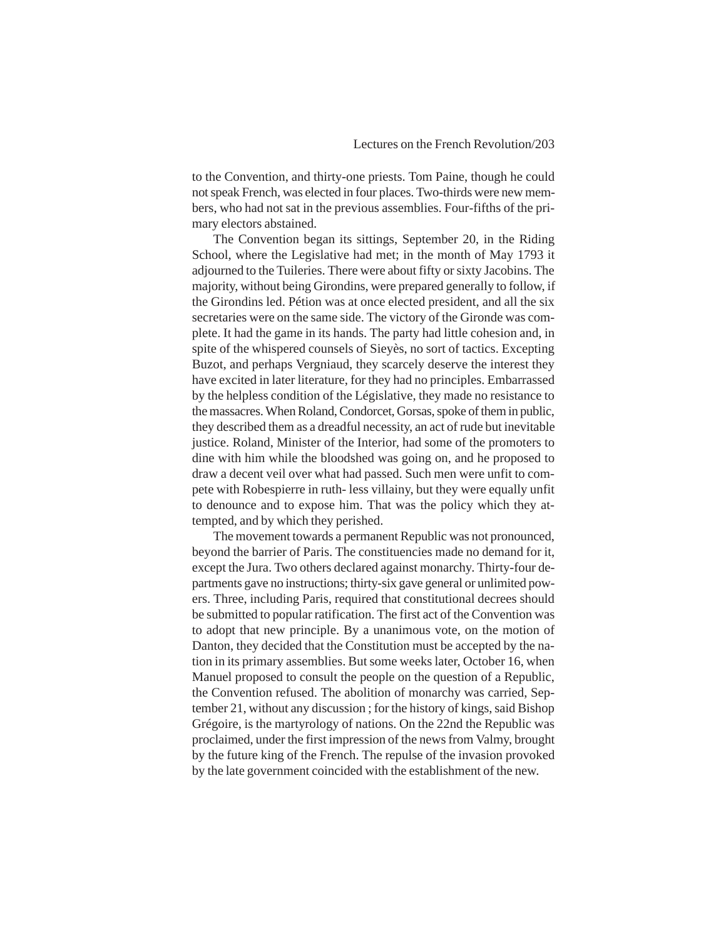to the Convention, and thirty-one priests. Tom Paine, though he could not speak French, was elected in four places. Two-thirds were new members, who had not sat in the previous assemblies. Four-fifths of the primary electors abstained.

The Convention began its sittings, September 20, in the Riding School, where the Legislative had met; in the month of May 1793 it adjourned to the Tuileries. There were about fifty or sixty Jacobins. The majority, without being Girondins, were prepared generally to follow, if the Girondins led. Pétion was at once elected president, and all the six secretaries were on the same side. The victory of the Gironde was complete. It had the game in its hands. The party had little cohesion and, in spite of the whispered counsels of Sieyès, no sort of tactics. Excepting Buzot, and perhaps Vergniaud, they scarcely deserve the interest they have excited in later literature, for they had no principles. Embarrassed by the helpless condition of the Législative, they made no resistance to the massacres. When Roland, Condorcet, Gorsas, spoke of them in public, they described them as a dreadful necessity, an act of rude but inevitable justice. Roland, Minister of the Interior, had some of the promoters to dine with him while the bloodshed was going on, and he proposed to draw a decent veil over what had passed. Such men were unfit to compete with Robespierre in ruth- less villainy, but they were equally unfit to denounce and to expose him. That was the policy which they attempted, and by which they perished.

The movement towards a permanent Republic was not pronounced, beyond the barrier of Paris. The constituencies made no demand for it, except the Jura. Two others declared against monarchy. Thirty-four departments gave no instructions; thirty-six gave general or unlimited powers. Three, including Paris, required that constitutional decrees should be submitted to popular ratification. The first act of the Convention was to adopt that new principle. By a unanimous vote, on the motion of Danton, they decided that the Constitution must be accepted by the nation in its primary assemblies. But some weeks later, October 16, when Manuel proposed to consult the people on the question of a Republic, the Convention refused. The abolition of monarchy was carried, September 21, without any discussion ; for the history of kings, said Bishop Grégoire, is the martyrology of nations. On the 22nd the Republic was proclaimed, under the first impression of the news from Valmy, brought by the future king of the French. The repulse of the invasion provoked by the late government coincided with the establishment of the new.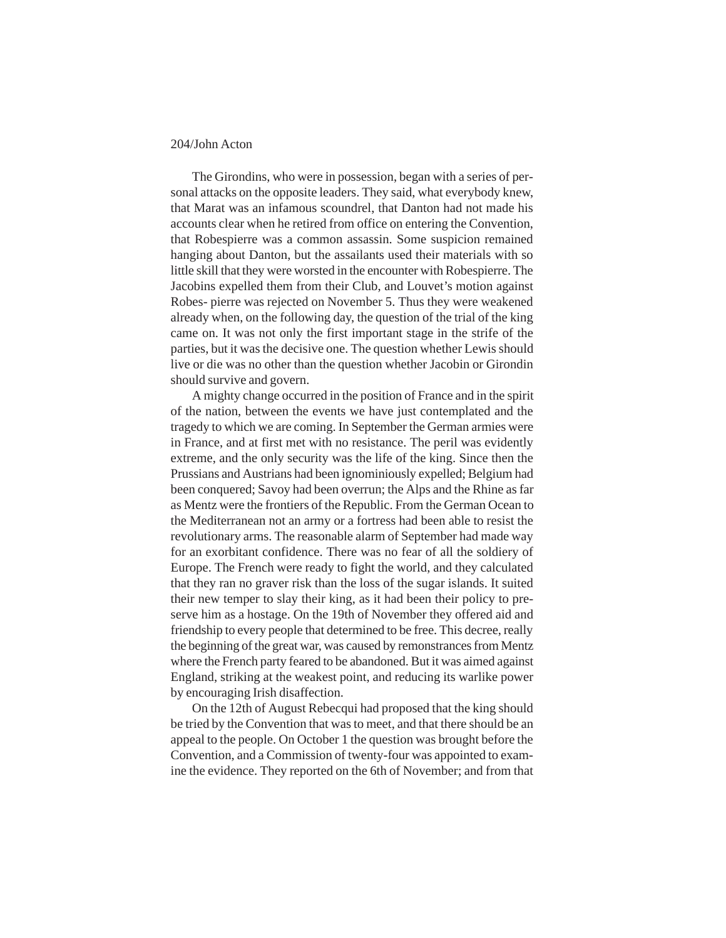The Girondins, who were in possession, began with a series of personal attacks on the opposite leaders. They said, what everybody knew, that Marat was an infamous scoundrel, that Danton had not made his accounts clear when he retired from office on entering the Convention, that Robespierre was a common assassin. Some suspicion remained hanging about Danton, but the assailants used their materials with so little skill that they were worsted in the encounter with Robespierre. The Jacobins expelled them from their Club, and Louvet's motion against Robes- pierre was rejected on November 5. Thus they were weakened already when, on the following day, the question of the trial of the king came on. It was not only the first important stage in the strife of the parties, but it was the decisive one. The question whether Lewis should live or die was no other than the question whether Jacobin or Girondin should survive and govern.

A mighty change occurred in the position of France and in the spirit of the nation, between the events we have just contemplated and the tragedy to which we are coming. In September the German armies were in France, and at first met with no resistance. The peril was evidently extreme, and the only security was the life of the king. Since then the Prussians and Austrians had been ignominiously expelled; Belgium had been conquered; Savoy had been overrun; the Alps and the Rhine as far as Mentz were the frontiers of the Republic. From the German Ocean to the Mediterranean not an army or a fortress had been able to resist the revolutionary arms. The reasonable alarm of September had made way for an exorbitant confidence. There was no fear of all the soldiery of Europe. The French were ready to fight the world, and they calculated that they ran no graver risk than the loss of the sugar islands. It suited their new temper to slay their king, as it had been their policy to preserve him as a hostage. On the 19th of November they offered aid and friendship to every people that determined to be free. This decree, really the beginning of the great war, was caused by remonstrances from Mentz where the French party feared to be abandoned. But it was aimed against England, striking at the weakest point, and reducing its warlike power by encouraging Irish disaffection.

On the 12th of August Rebecqui had proposed that the king should be tried by the Convention that was to meet, and that there should be an appeal to the people. On October 1 the question was brought before the Convention, and a Commission of twenty-four was appointed to examine the evidence. They reported on the 6th of November; and from that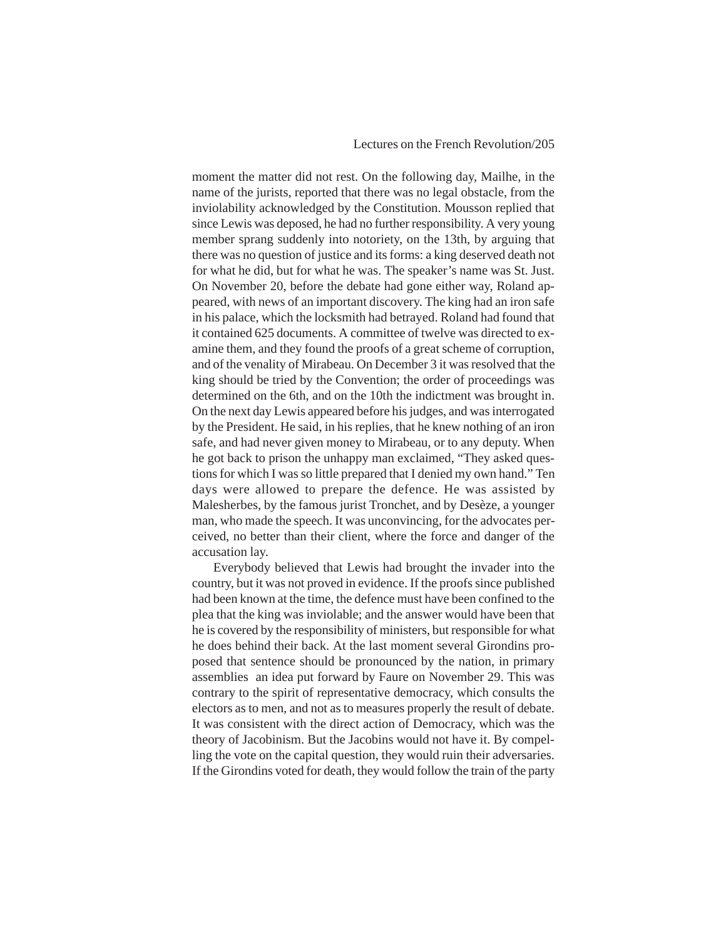moment the matter did not rest. On the following day, Mailhe, in the name of the jurists, reported that there was no legal obstacle, from the inviolability acknowledged by the Constitution. Mousson replied that since Lewis was deposed, he had no further responsibility. A very young member sprang suddenly into notoriety, on the 13th, by arguing that there was no question of justice and its forms: a king deserved death not for what he did, but for what he was. The speaker's name was St. Just. On November 20, before the debate had gone either way, Roland appeared, with news of an important discovery. The king had an iron safe in his palace, which the locksmith had betrayed. Roland had found that it contained 625 documents. A committee of twelve was directed to examine them, and they found the proofs of a great scheme of corruption, and of the venality of Mirabeau. On December 3 it was resolved that the king should be tried by the Convention; the order of proceedings was determined on the 6th, and on the 10th the indictment was brought in. On the next day Lewis appeared before his judges, and was interrogated by the President. He said, in his replies, that he knew nothing of an iron safe, and had never given money to Mirabeau, or to any deputy. When he got back to prison the unhappy man exclaimed, "They asked questions for which I was so little prepared that I denied my own hand." Ten days were allowed to prepare the defence. He was assisted by Malesherbes, by the famous jurist Tronchet, and by Desèze, a younger man, who made the speech. It was unconvincing, for the advocates perceived, no better than their client, where the force and danger of the accusation lay.

Everybody believed that Lewis had brought the invader into the country, but it was not proved in evidence. If the proofs since published had been known at the time, the defence must have been confined to the plea that the king was inviolable; and the answer would have been that he is covered by the responsibility of ministers, but responsible for what he does behind their back. At the last moment several Girondins proposed that sentence should be pronounced by the nation, in primary assemblies an idea put forward by Faure on November 29. This was contrary to the spirit of representative democracy, which consults the electors as to men, and not as to measures properly the result of debate. It was consistent with the direct action of Democracy, which was the theory of Jacobinism. But the Jacobins would not have it. By compelling the vote on the capital question, they would ruin their adversaries. If the Girondins voted for death, they would follow the train of the party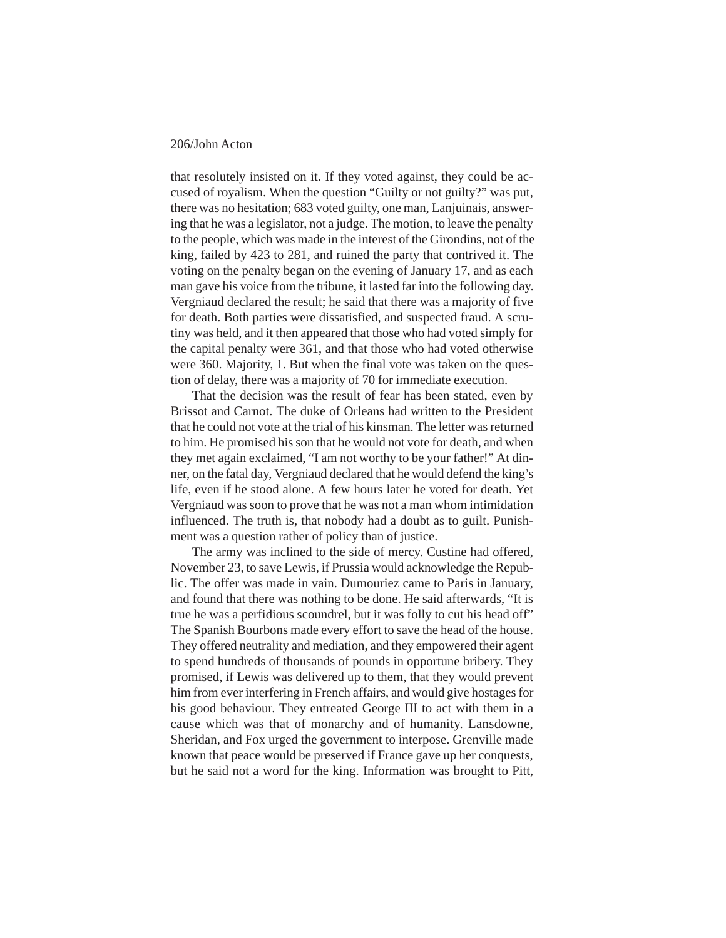that resolutely insisted on it. If they voted against, they could be accused of royalism. When the question "Guilty or not guilty?" was put, there was no hesitation; 683 voted guilty, one man, Lanjuinais, answering that he was a legislator, not a judge. The motion, to leave the penalty to the people, which was made in the interest of the Girondins, not of the king, failed by 423 to 281, and ruined the party that contrived it. The voting on the penalty began on the evening of January 17, and as each man gave his voice from the tribune, it lasted far into the following day. Vergniaud declared the result; he said that there was a majority of five for death. Both parties were dissatisfied, and suspected fraud. A scrutiny was held, and it then appeared that those who had voted simply for the capital penalty were 361, and that those who had voted otherwise were 360. Majority, 1. But when the final vote was taken on the question of delay, there was a majority of 70 for immediate execution.

That the decision was the result of fear has been stated, even by Brissot and Carnot. The duke of Orleans had written to the President that he could not vote at the trial of his kinsman. The letter was returned to him. He promised his son that he would not vote for death, and when they met again exclaimed, "I am not worthy to be your father!" At dinner, on the fatal day, Vergniaud declared that he would defend the king's life, even if he stood alone. A few hours later he voted for death. Yet Vergniaud was soon to prove that he was not a man whom intimidation influenced. The truth is, that nobody had a doubt as to guilt. Punishment was a question rather of policy than of justice.

The army was inclined to the side of mercy. Custine had offered, November 23, to save Lewis, if Prussia would acknowledge the Republic. The offer was made in vain. Dumouriez came to Paris in January, and found that there was nothing to be done. He said afterwards, "It is true he was a perfidious scoundrel, but it was folly to cut his head off" The Spanish Bourbons made every effort to save the head of the house. They offered neutrality and mediation, and they empowered their agent to spend hundreds of thousands of pounds in opportune bribery. They promised, if Lewis was delivered up to them, that they would prevent him from ever interfering in French affairs, and would give hostages for his good behaviour. They entreated George III to act with them in a cause which was that of monarchy and of humanity. Lansdowne, Sheridan, and Fox urged the government to interpose. Grenville made known that peace would be preserved if France gave up her conquests, but he said not a word for the king. Information was brought to Pitt,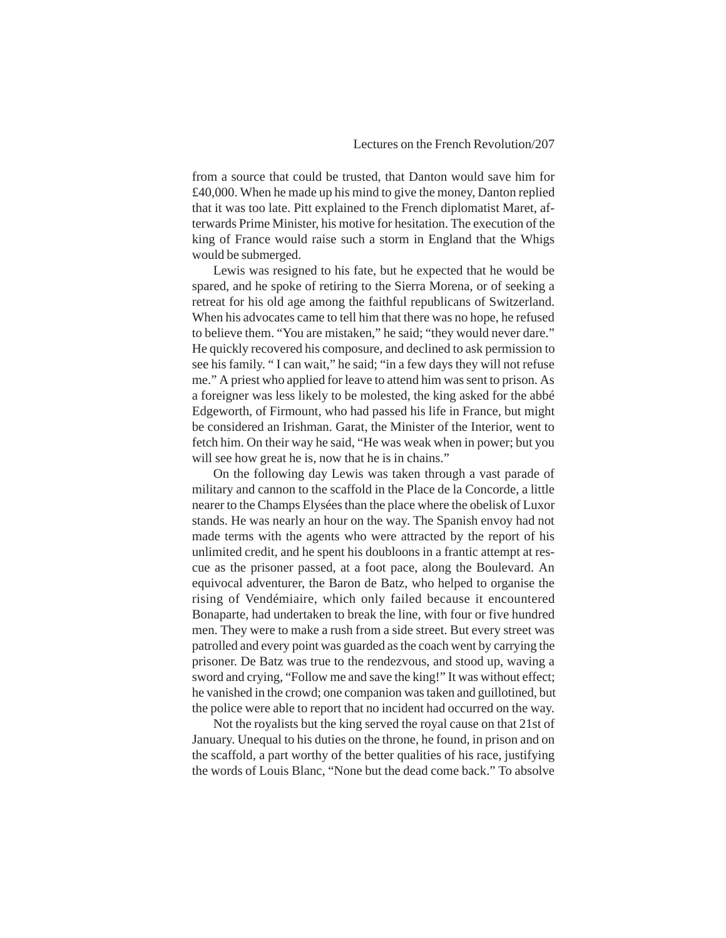from a source that could be trusted, that Danton would save him for £40,000. When he made up his mind to give the money, Danton replied that it was too late. Pitt explained to the French diplomatist Maret, afterwards Prime Minister, his motive for hesitation. The execution of the king of France would raise such a storm in England that the Whigs would be submerged.

Lewis was resigned to his fate, but he expected that he would be spared, and he spoke of retiring to the Sierra Morena, or of seeking a retreat for his old age among the faithful republicans of Switzerland. When his advocates came to tell him that there was no hope, he refused to believe them. "You are mistaken," he said; "they would never dare." He quickly recovered his composure, and declined to ask permission to see his family. " I can wait," he said; "in a few days they will not refuse me." A priest who applied for leave to attend him was sent to prison. As a foreigner was less likely to be molested, the king asked for the abbé Edgeworth, of Firmount, who had passed his life in France, but might be considered an Irishman. Garat, the Minister of the Interior, went to fetch him. On their way he said, "He was weak when in power; but you will see how great he is, now that he is in chains."

On the following day Lewis was taken through a vast parade of military and cannon to the scaffold in the Place de la Concorde, a little nearer to the Champs Elysées than the place where the obelisk of Luxor stands. He was nearly an hour on the way. The Spanish envoy had not made terms with the agents who were attracted by the report of his unlimited credit, and he spent his doubloons in a frantic attempt at rescue as the prisoner passed, at a foot pace, along the Boulevard. An equivocal adventurer, the Baron de Batz, who helped to organise the rising of Vendémiaire, which only failed because it encountered Bonaparte, had undertaken to break the line, with four or five hundred men. They were to make a rush from a side street. But every street was patrolled and every point was guarded as the coach went by carrying the prisoner. De Batz was true to the rendezvous, and stood up, waving a sword and crying, "Follow me and save the king!" It was without effect; he vanished in the crowd; one companion was taken and guillotined, but the police were able to report that no incident had occurred on the way.

Not the royalists but the king served the royal cause on that 21st of January. Unequal to his duties on the throne, he found, in prison and on the scaffold, a part worthy of the better qualities of his race, justifying the words of Louis Blanc, "None but the dead come back." To absolve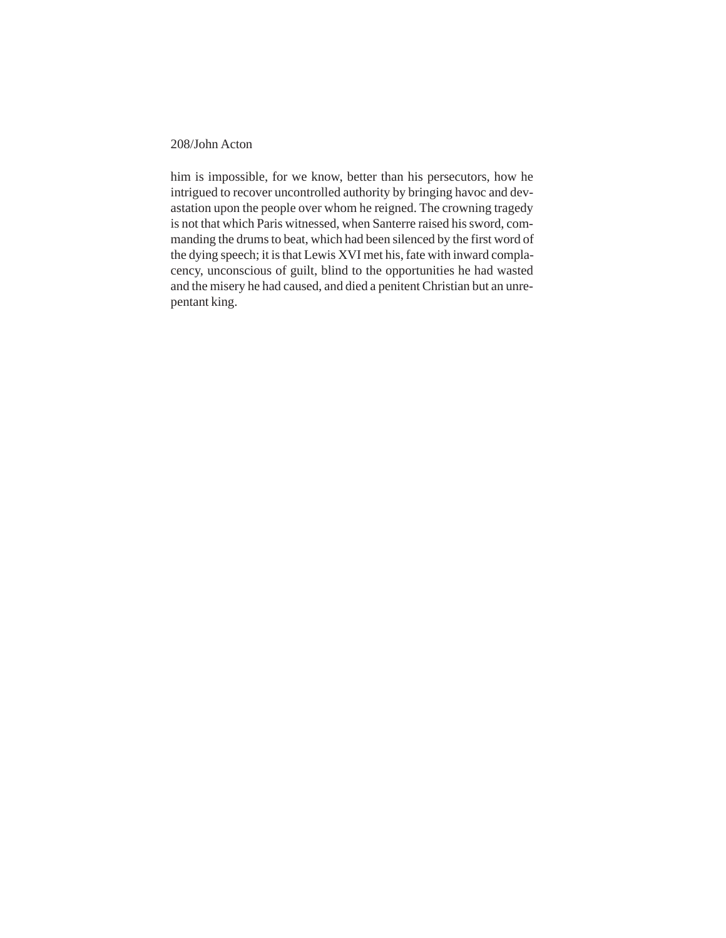him is impossible, for we know, better than his persecutors, how he intrigued to recover uncontrolled authority by bringing havoc and devastation upon the people over whom he reigned. The crowning tragedy is not that which Paris witnessed, when Santerre raised his sword, commanding the drums to beat, which had been silenced by the first word of the dying speech; it is that Lewis XVI met his, fate with inward complacency, unconscious of guilt, blind to the opportunities he had wasted and the misery he had caused, and died a penitent Christian but an unrepentant king.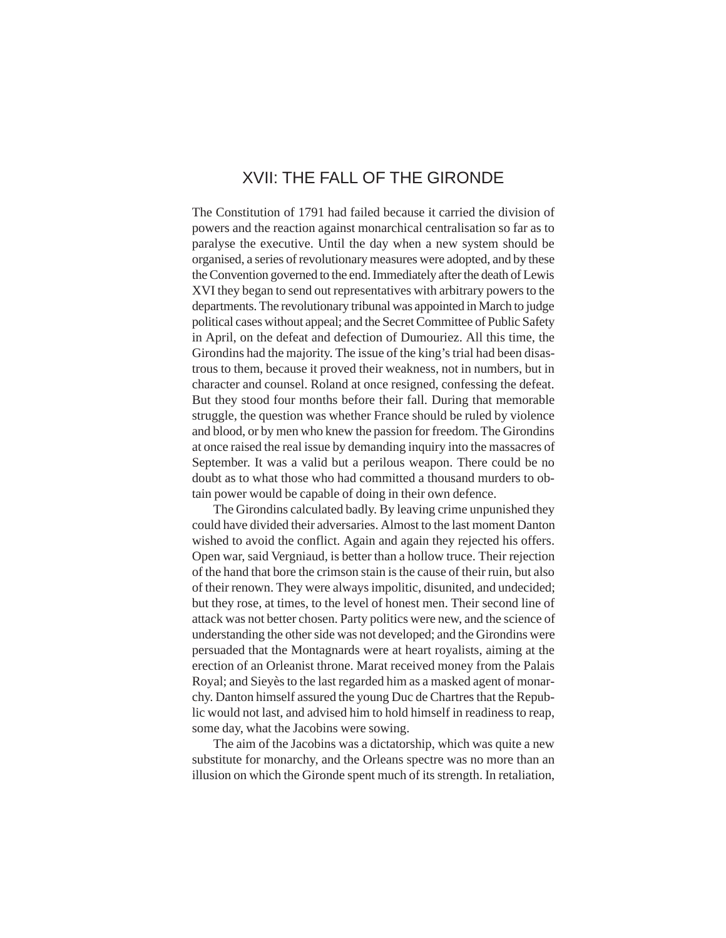# XVII: THE FALL OF THE GIRONDE

The Constitution of 1791 had failed because it carried the division of powers and the reaction against monarchical centralisation so far as to paralyse the executive. Until the day when a new system should be organised, a series of revolutionary measures were adopted, and by these the Convention governed to the end. Immediately after the death of Lewis XVI they began to send out representatives with arbitrary powers to the departments. The revolutionary tribunal was appointed in March to judge political cases without appeal; and the Secret Committee of Public Safety in April, on the defeat and defection of Dumouriez. All this time, the Girondins had the majority. The issue of the king's trial had been disastrous to them, because it proved their weakness, not in numbers, but in character and counsel. Roland at once resigned, confessing the defeat. But they stood four months before their fall. During that memorable struggle, the question was whether France should be ruled by violence and blood, or by men who knew the passion for freedom. The Girondins at once raised the real issue by demanding inquiry into the massacres of September. It was a valid but a perilous weapon. There could be no doubt as to what those who had committed a thousand murders to obtain power would be capable of doing in their own defence.

The Girondins calculated badly. By leaving crime unpunished they could have divided their adversaries. Almost to the last moment Danton wished to avoid the conflict. Again and again they rejected his offers. Open war, said Vergniaud, is better than a hollow truce. Their rejection of the hand that bore the crimson stain is the cause of their ruin, but also of their renown. They were always impolitic, disunited, and undecided; but they rose, at times, to the level of honest men. Their second line of attack was not better chosen. Party politics were new, and the science of understanding the other side was not developed; and the Girondins were persuaded that the Montagnards were at heart royalists, aiming at the erection of an Orleanist throne. Marat received money from the Palais Royal; and Sieyès to the last regarded him as a masked agent of monarchy. Danton himself assured the young Duc de Chartres that the Republic would not last, and advised him to hold himself in readiness to reap, some day, what the Jacobins were sowing.

The aim of the Jacobins was a dictatorship, which was quite a new substitute for monarchy, and the Orleans spectre was no more than an illusion on which the Gironde spent much of its strength. In retaliation,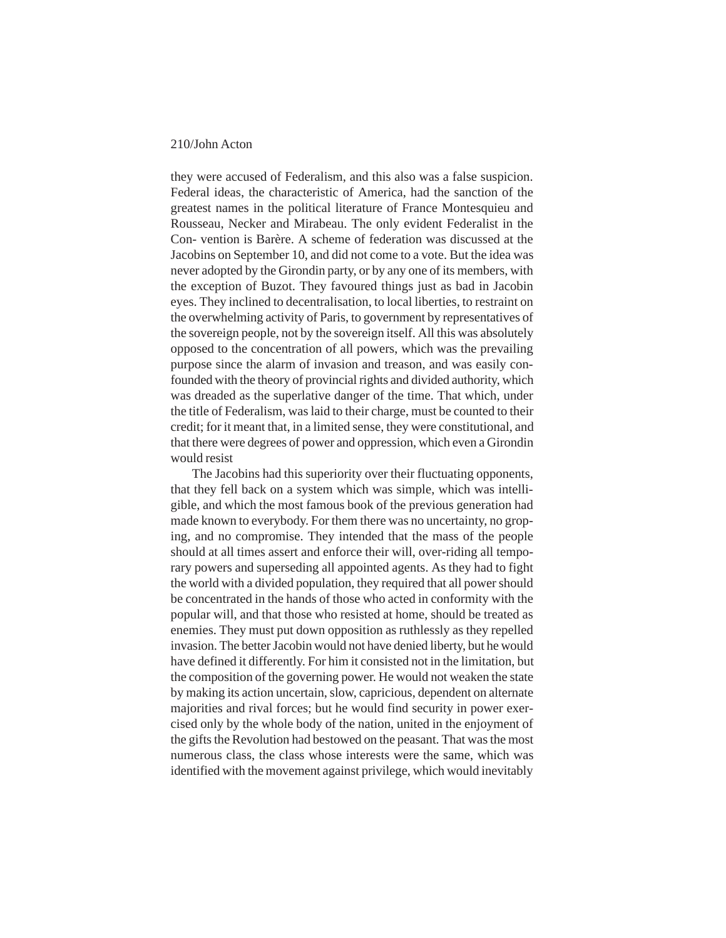they were accused of Federalism, and this also was a false suspicion. Federal ideas, the characteristic of America, had the sanction of the greatest names in the political literature of France Montesquieu and Rousseau, Necker and Mirabeau. The only evident Federalist in the Con- vention is Barère. A scheme of federation was discussed at the Jacobins on September 10, and did not come to a vote. But the idea was never adopted by the Girondin party, or by any one of its members, with the exception of Buzot. They favoured things just as bad in Jacobin eyes. They inclined to decentralisation, to local liberties, to restraint on the overwhelming activity of Paris, to government by representatives of the sovereign people, not by the sovereign itself. All this was absolutely opposed to the concentration of all powers, which was the prevailing purpose since the alarm of invasion and treason, and was easily confounded with the theory of provincial rights and divided authority, which was dreaded as the superlative danger of the time. That which, under the title of Federalism, was laid to their charge, must be counted to their credit; for it meant that, in a limited sense, they were constitutional, and that there were degrees of power and oppression, which even a Girondin would resist

The Jacobins had this superiority over their fluctuating opponents, that they fell back on a system which was simple, which was intelligible, and which the most famous book of the previous generation had made known to everybody. For them there was no uncertainty, no groping, and no compromise. They intended that the mass of the people should at all times assert and enforce their will, over-riding all temporary powers and superseding all appointed agents. As they had to fight the world with a divided population, they required that all power should be concentrated in the hands of those who acted in conformity with the popular will, and that those who resisted at home, should be treated as enemies. They must put down opposition as ruthlessly as they repelled invasion. The better Jacobin would not have denied liberty, but he would have defined it differently. For him it consisted not in the limitation, but the composition of the governing power. He would not weaken the state by making its action uncertain, slow, capricious, dependent on alternate majorities and rival forces; but he would find security in power exercised only by the whole body of the nation, united in the enjoyment of the gifts the Revolution had bestowed on the peasant. That was the most numerous class, the class whose interests were the same, which was identified with the movement against privilege, which would inevitably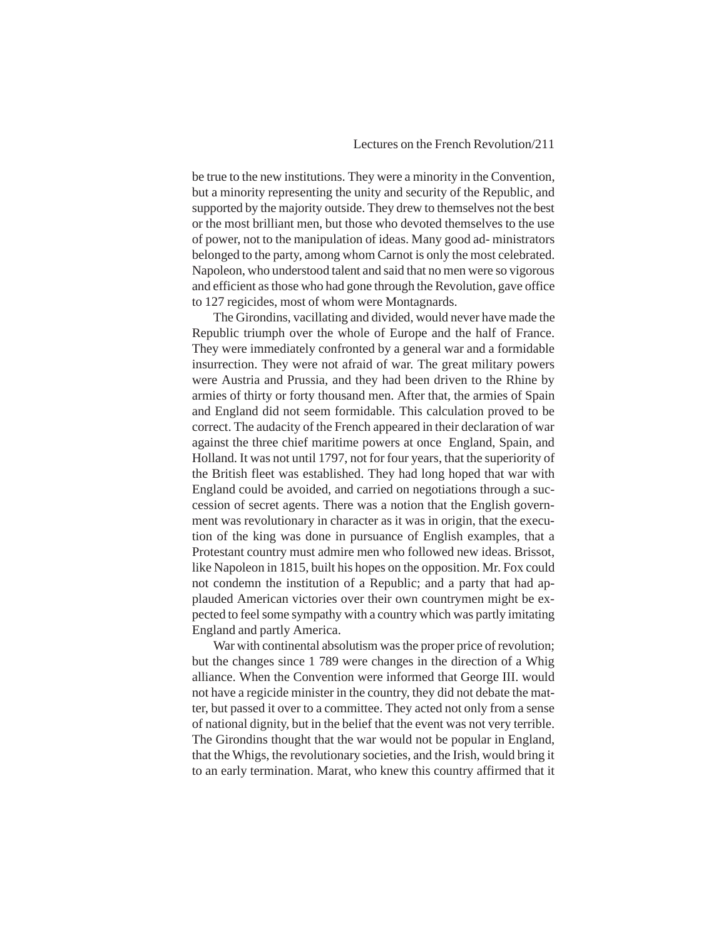be true to the new institutions. They were a minority in the Convention, but a minority representing the unity and security of the Republic, and supported by the majority outside. They drew to themselves not the best or the most brilliant men, but those who devoted themselves to the use of power, not to the manipulation of ideas. Many good ad- ministrators belonged to the party, among whom Carnot is only the most celebrated. Napoleon, who understood talent and said that no men were so vigorous and efficient as those who had gone through the Revolution, gave office to 127 regicides, most of whom were Montagnards.

The Girondins, vacillating and divided, would never have made the Republic triumph over the whole of Europe and the half of France. They were immediately confronted by a general war and a formidable insurrection. They were not afraid of war. The great military powers were Austria and Prussia, and they had been driven to the Rhine by armies of thirty or forty thousand men. After that, the armies of Spain and England did not seem formidable. This calculation proved to be correct. The audacity of the French appeared in their declaration of war against the three chief maritime powers at once England, Spain, and Holland. It was not until 1797, not for four years, that the superiority of the British fleet was established. They had long hoped that war with England could be avoided, and carried on negotiations through a succession of secret agents. There was a notion that the English government was revolutionary in character as it was in origin, that the execution of the king was done in pursuance of English examples, that a Protestant country must admire men who followed new ideas. Brissot, like Napoleon in 1815, built his hopes on the opposition. Mr. Fox could not condemn the institution of a Republic; and a party that had applauded American victories over their own countrymen might be expected to feel some sympathy with a country which was partly imitating England and partly America.

War with continental absolutism was the proper price of revolution; but the changes since 1 789 were changes in the direction of a Whig alliance. When the Convention were informed that George III. would not have a regicide minister in the country, they did not debate the matter, but passed it over to a committee. They acted not only from a sense of national dignity, but in the belief that the event was not very terrible. The Girondins thought that the war would not be popular in England, that the Whigs, the revolutionary societies, and the Irish, would bring it to an early termination. Marat, who knew this country affirmed that it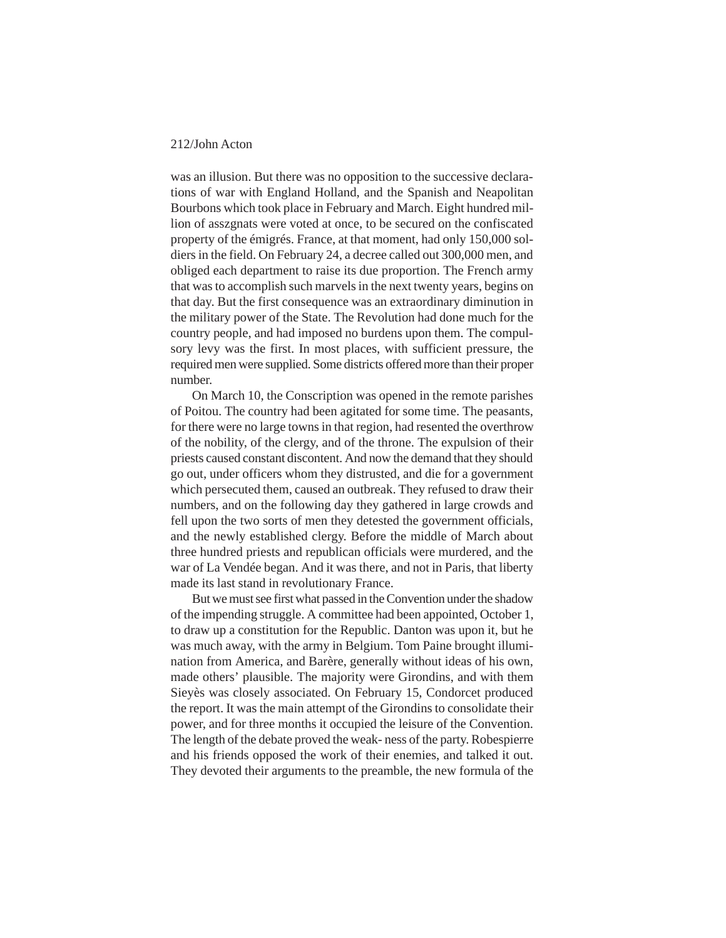was an illusion. But there was no opposition to the successive declarations of war with England Holland, and the Spanish and Neapolitan Bourbons which took place in February and March. Eight hundred million of asszgnats were voted at once, to be secured on the confiscated property of the émigrés. France, at that moment, had only 150,000 soldiers in the field. On February 24, a decree called out 300,000 men, and obliged each department to raise its due proportion. The French army that was to accomplish such marvels in the next twenty years, begins on that day. But the first consequence was an extraordinary diminution in the military power of the State. The Revolution had done much for the country people, and had imposed no burdens upon them. The compulsory levy was the first. In most places, with sufficient pressure, the required men were supplied. Some districts offered more than their proper number.

On March 10, the Conscription was opened in the remote parishes of Poitou. The country had been agitated for some time. The peasants, for there were no large towns in that region, had resented the overthrow of the nobility, of the clergy, and of the throne. The expulsion of their priests caused constant discontent. And now the demand that they should go out, under officers whom they distrusted, and die for a government which persecuted them, caused an outbreak. They refused to draw their numbers, and on the following day they gathered in large crowds and fell upon the two sorts of men they detested the government officials, and the newly established clergy. Before the middle of March about three hundred priests and republican officials were murdered, and the war of La Vendée began. And it was there, and not in Paris, that liberty made its last stand in revolutionary France.

But we must see first what passed in the Convention under the shadow of the impending struggle. A committee had been appointed, October 1, to draw up a constitution for the Republic. Danton was upon it, but he was much away, with the army in Belgium. Tom Paine brought illumination from America, and Barère, generally without ideas of his own, made others' plausible. The majority were Girondins, and with them Sieyès was closely associated. On February 15, Condorcet produced the report. It was the main attempt of the Girondins to consolidate their power, and for three months it occupied the leisure of the Convention. The length of the debate proved the weak- ness of the party. Robespierre and his friends opposed the work of their enemies, and talked it out. They devoted their arguments to the preamble, the new formula of the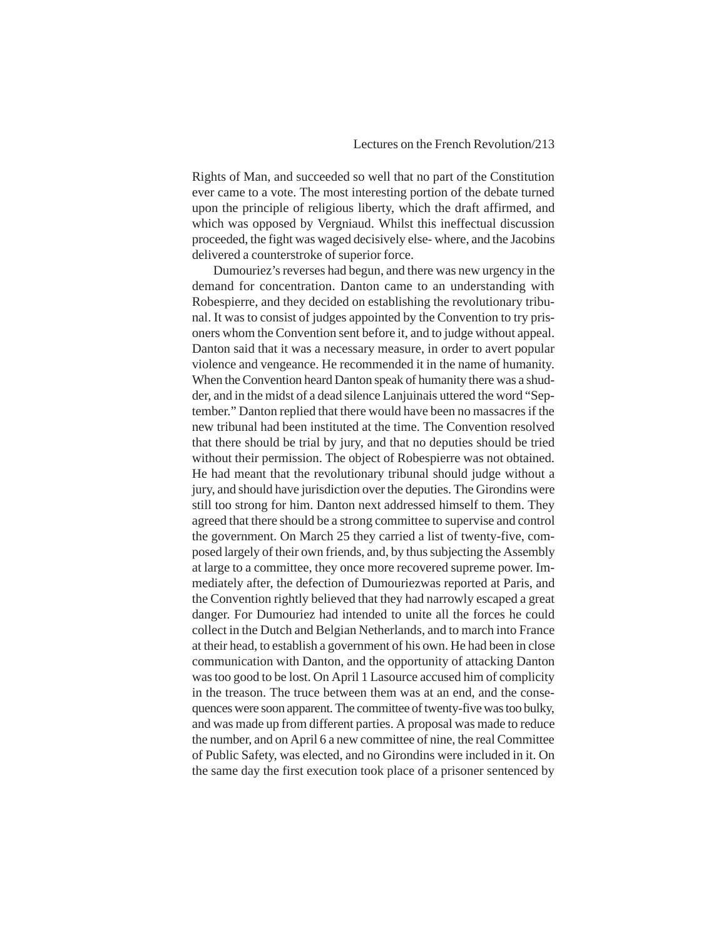#### Lectures on the French Revolution/213

Rights of Man, and succeeded so well that no part of the Constitution ever came to a vote. The most interesting portion of the debate turned upon the principle of religious liberty, which the draft affirmed, and which was opposed by Vergniaud. Whilst this ineffectual discussion proceeded, the fight was waged decisively else- where, and the Jacobins delivered a counterstroke of superior force.

Dumouriez's reverses had begun, and there was new urgency in the demand for concentration. Danton came to an understanding with Robespierre, and they decided on establishing the revolutionary tribunal. It was to consist of judges appointed by the Convention to try prisoners whom the Convention sent before it, and to judge without appeal. Danton said that it was a necessary measure, in order to avert popular violence and vengeance. He recommended it in the name of humanity. When the Convention heard Danton speak of humanity there was a shudder, and in the midst of a dead silence Lanjuinais uttered the word "September." Danton replied that there would have been no massacres if the new tribunal had been instituted at the time. The Convention resolved that there should be trial by jury, and that no deputies should be tried without their permission. The object of Robespierre was not obtained. He had meant that the revolutionary tribunal should judge without a jury, and should have jurisdiction over the deputies. The Girondins were still too strong for him. Danton next addressed himself to them. They agreed that there should be a strong committee to supervise and control the government. On March 25 they carried a list of twenty-five, composed largely of their own friends, and, by thus subjecting the Assembly at large to a committee, they once more recovered supreme power. Immediately after, the defection of Dumouriezwas reported at Paris, and the Convention rightly believed that they had narrowly escaped a great danger. For Dumouriez had intended to unite all the forces he could collect in the Dutch and Belgian Netherlands, and to march into France at their head, to establish a government of his own. He had been in close communication with Danton, and the opportunity of attacking Danton was too good to be lost. On April 1 Lasource accused him of complicity in the treason. The truce between them was at an end, and the consequences were soon apparent. The committee of twenty-five was too bulky, and was made up from different parties. A proposal was made to reduce the number, and on April 6 a new committee of nine, the real Committee of Public Safety, was elected, and no Girondins were included in it. On the same day the first execution took place of a prisoner sentenced by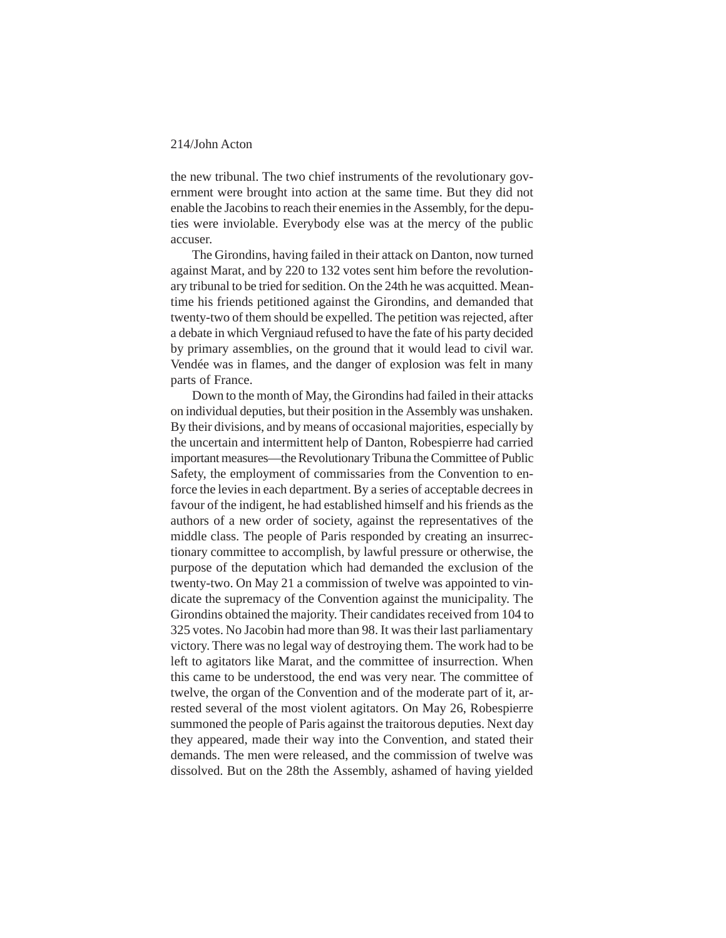the new tribunal. The two chief instruments of the revolutionary government were brought into action at the same time. But they did not enable the Jacobins to reach their enemies in the Assembly, for the deputies were inviolable. Everybody else was at the mercy of the public accuser.

The Girondins, having failed in their attack on Danton, now turned against Marat, and by 220 to 132 votes sent him before the revolutionary tribunal to be tried for sedition. On the 24th he was acquitted. Meantime his friends petitioned against the Girondins, and demanded that twenty-two of them should be expelled. The petition was rejected, after a debate in which Vergniaud refused to have the fate of his party decided by primary assemblies, on the ground that it would lead to civil war. Vendée was in flames, and the danger of explosion was felt in many parts of France.

Down to the month of May, the Girondins had failed in their attacks on individual deputies, but their position in the Assembly was unshaken. By their divisions, and by means of occasional majorities, especially by the uncertain and intermittent help of Danton, Robespierre had carried important measures—the Revolutionary Tribuna the Committee of Public Safety, the employment of commissaries from the Convention to enforce the levies in each department. By a series of acceptable decrees in favour of the indigent, he had established himself and his friends as the authors of a new order of society, against the representatives of the middle class. The people of Paris responded by creating an insurrectionary committee to accomplish, by lawful pressure or otherwise, the purpose of the deputation which had demanded the exclusion of the twenty-two. On May 21 a commission of twelve was appointed to vindicate the supremacy of the Convention against the municipality. The Girondins obtained the majority. Their candidates received from 104 to 325 votes. No Jacobin had more than 98. It was their last parliamentary victory. There was no legal way of destroying them. The work had to be left to agitators like Marat, and the committee of insurrection. When this came to be understood, the end was very near. The committee of twelve, the organ of the Convention and of the moderate part of it, arrested several of the most violent agitators. On May 26, Robespierre summoned the people of Paris against the traitorous deputies. Next day they appeared, made their way into the Convention, and stated their demands. The men were released, and the commission of twelve was dissolved. But on the 28th the Assembly, ashamed of having yielded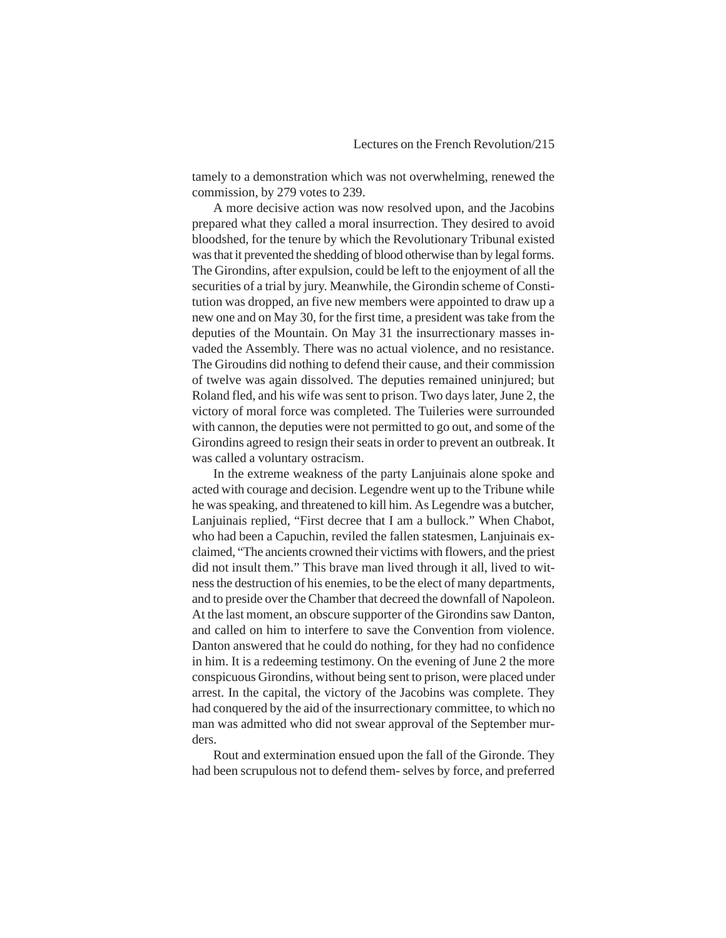tamely to a demonstration which was not overwhelming, renewed the commission, by 279 votes to 239.

A more decisive action was now resolved upon, and the Jacobins prepared what they called a moral insurrection. They desired to avoid bloodshed, for the tenure by which the Revolutionary Tribunal existed was that it prevented the shedding of blood otherwise than by legal forms. The Girondins, after expulsion, could be left to the enjoyment of all the securities of a trial by jury. Meanwhile, the Girondin scheme of Constitution was dropped, an five new members were appointed to draw up a new one and on May 30, for the first time, a president was take from the deputies of the Mountain. On May 31 the insurrectionary masses invaded the Assembly. There was no actual violence, and no resistance. The Giroudins did nothing to defend their cause, and their commission of twelve was again dissolved. The deputies remained uninjured; but Roland fled, and his wife was sent to prison. Two days later, June 2, the victory of moral force was completed. The Tuileries were surrounded with cannon, the deputies were not permitted to go out, and some of the Girondins agreed to resign their seats in order to prevent an outbreak. It was called a voluntary ostracism.

In the extreme weakness of the party Lanjuinais alone spoke and acted with courage and decision. Legendre went up to the Tribune while he was speaking, and threatened to kill him. As Legendre was a butcher, Lanjuinais replied, "First decree that I am a bullock." When Chabot, who had been a Capuchin, reviled the fallen statesmen, Lanjuinais exclaimed, "The ancients crowned their victims with flowers, and the priest did not insult them." This brave man lived through it all, lived to witness the destruction of his enemies, to be the elect of many departments, and to preside over the Chamber that decreed the downfall of Napoleon. At the last moment, an obscure supporter of the Girondins saw Danton, and called on him to interfere to save the Convention from violence. Danton answered that he could do nothing, for they had no confidence in him. It is a redeeming testimony. On the evening of June 2 the more conspicuous Girondins, without being sent to prison, were placed under arrest. In the capital, the victory of the Jacobins was complete. They had conquered by the aid of the insurrectionary committee, to which no man was admitted who did not swear approval of the September murders.

Rout and extermination ensued upon the fall of the Gironde. They had been scrupulous not to defend them- selves by force, and preferred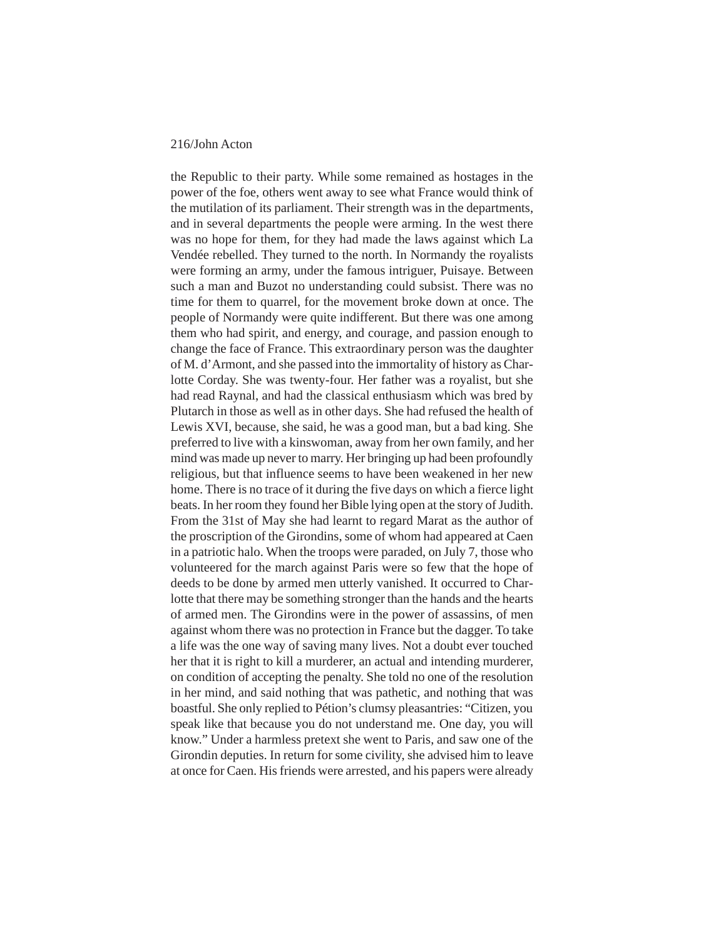the Republic to their party. While some remained as hostages in the power of the foe, others went away to see what France would think of the mutilation of its parliament. Their strength was in the departments, and in several departments the people were arming. In the west there was no hope for them, for they had made the laws against which La Vendée rebelled. They turned to the north. In Normandy the royalists were forming an army, under the famous intriguer, Puisaye. Between such a man and Buzot no understanding could subsist. There was no time for them to quarrel, for the movement broke down at once. The people of Normandy were quite indifferent. But there was one among them who had spirit, and energy, and courage, and passion enough to change the face of France. This extraordinary person was the daughter of M. d'Armont, and she passed into the immortality of history as Charlotte Corday. She was twenty-four. Her father was a royalist, but she had read Raynal, and had the classical enthusiasm which was bred by Plutarch in those as well as in other days. She had refused the health of Lewis XVI, because, she said, he was a good man, but a bad king. She preferred to live with a kinswoman, away from her own family, and her mind was made up never to marry. Her bringing up had been profoundly religious, but that influence seems to have been weakened in her new home. There is no trace of it during the five days on which a fierce light beats. In her room they found her Bible lying open at the story of Judith. From the 31st of May she had learnt to regard Marat as the author of the proscription of the Girondins, some of whom had appeared at Caen in a patriotic halo. When the troops were paraded, on July 7, those who volunteered for the march against Paris were so few that the hope of deeds to be done by armed men utterly vanished. It occurred to Charlotte that there may be something stronger than the hands and the hearts of armed men. The Girondins were in the power of assassins, of men against whom there was no protection in France but the dagger. To take a life was the one way of saving many lives. Not a doubt ever touched her that it is right to kill a murderer, an actual and intending murderer, on condition of accepting the penalty. She told no one of the resolution in her mind, and said nothing that was pathetic, and nothing that was boastful. She only replied to Pétion's clumsy pleasantries: "Citizen, you speak like that because you do not understand me. One day, you will know." Under a harmless pretext she went to Paris, and saw one of the Girondin deputies. In return for some civility, she advised him to leave at once for Caen. His friends were arrested, and his papers were already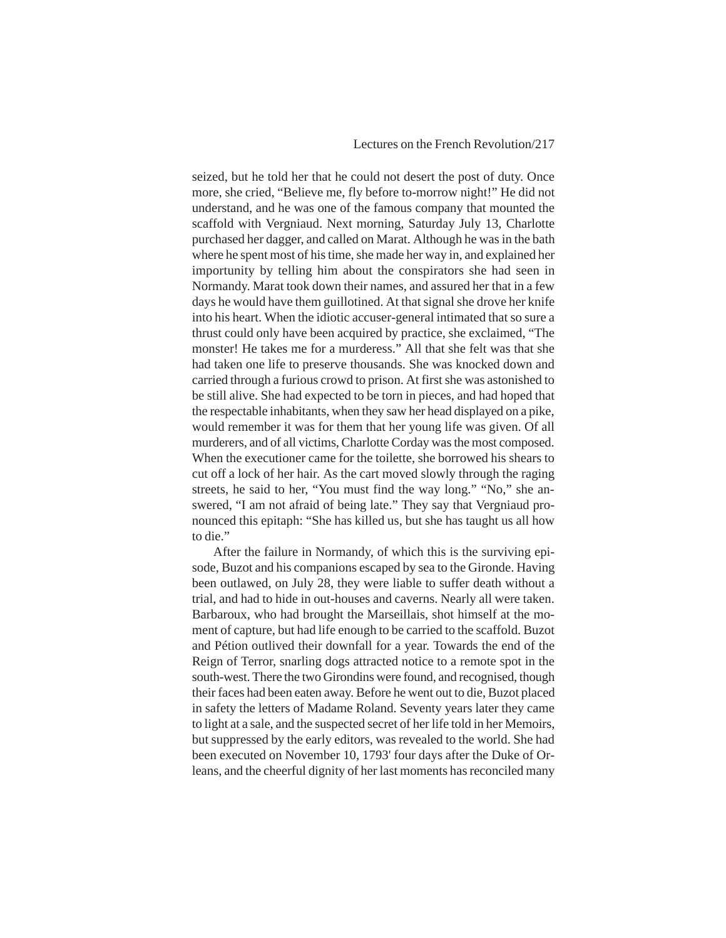seized, but he told her that he could not desert the post of duty. Once more, she cried, "Believe me, fly before to-morrow night!" He did not understand, and he was one of the famous company that mounted the scaffold with Vergniaud. Next morning, Saturday July 13, Charlotte purchased her dagger, and called on Marat. Although he was in the bath where he spent most of his time, she made her way in, and explained her importunity by telling him about the conspirators she had seen in Normandy. Marat took down their names, and assured her that in a few days he would have them guillotined. At that signal she drove her knife into his heart. When the idiotic accuser-general intimated that so sure a thrust could only have been acquired by practice, she exclaimed, "The monster! He takes me for a murderess." All that she felt was that she had taken one life to preserve thousands. She was knocked down and carried through a furious crowd to prison. At first she was astonished to be still alive. She had expected to be torn in pieces, and had hoped that the respectable inhabitants, when they saw her head displayed on a pike, would remember it was for them that her young life was given. Of all murderers, and of all victims, Charlotte Corday was the most composed. When the executioner came for the toilette, she borrowed his shears to cut off a lock of her hair. As the cart moved slowly through the raging streets, he said to her, "You must find the way long." "No," she answered, "I am not afraid of being late." They say that Vergniaud pronounced this epitaph: "She has killed us, but she has taught us all how to die."

After the failure in Normandy, of which this is the surviving episode, Buzot and his companions escaped by sea to the Gironde. Having been outlawed, on July 28, they were liable to suffer death without a trial, and had to hide in out-houses and caverns. Nearly all were taken. Barbaroux, who had brought the Marseillais, shot himself at the moment of capture, but had life enough to be carried to the scaffold. Buzot and Pétion outlived their downfall for a year. Towards the end of the Reign of Terror, snarling dogs attracted notice to a remote spot in the south-west. There the two Girondins were found, and recognised, though their faces had been eaten away. Before he went out to die, Buzot placed in safety the letters of Madame Roland. Seventy years later they came to light at a sale, and the suspected secret of her life told in her Memoirs, but suppressed by the early editors, was revealed to the world. She had been executed on November 10, 1793' four days after the Duke of Orleans, and the cheerful dignity of her last moments has reconciled many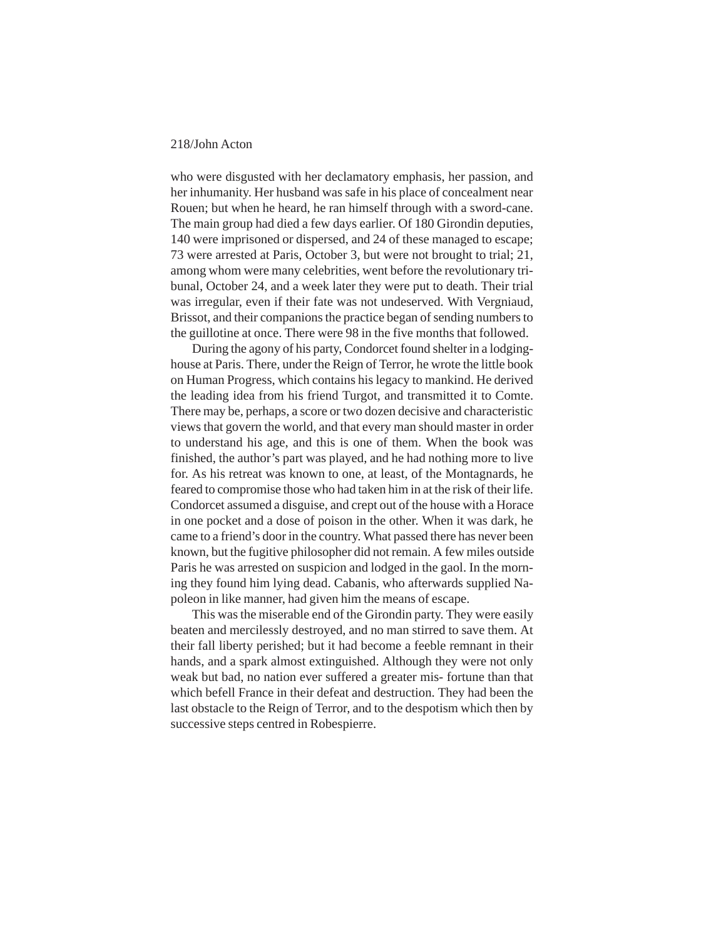who were disgusted with her declamatory emphasis, her passion, and her inhumanity. Her husband was safe in his place of concealment near Rouen; but when he heard, he ran himself through with a sword-cane. The main group had died a few days earlier. Of 180 Girondin deputies, 140 were imprisoned or dispersed, and 24 of these managed to escape; 73 were arrested at Paris, October 3, but were not brought to trial; 21, among whom were many celebrities, went before the revolutionary tribunal, October 24, and a week later they were put to death. Their trial was irregular, even if their fate was not undeserved. With Vergniaud, Brissot, and their companions the practice began of sending numbers to the guillotine at once. There were 98 in the five months that followed.

During the agony of his party, Condorcet found shelter in a lodginghouse at Paris. There, under the Reign of Terror, he wrote the little book on Human Progress, which contains his legacy to mankind. He derived the leading idea from his friend Turgot, and transmitted it to Comte. There may be, perhaps, a score or two dozen decisive and characteristic views that govern the world, and that every man should master in order to understand his age, and this is one of them. When the book was finished, the author's part was played, and he had nothing more to live for. As his retreat was known to one, at least, of the Montagnards, he feared to compromise those who had taken him in at the risk of their life. Condorcet assumed a disguise, and crept out of the house with a Horace in one pocket and a dose of poison in the other. When it was dark, he came to a friend's door in the country. What passed there has never been known, but the fugitive philosopher did not remain. A few miles outside Paris he was arrested on suspicion and lodged in the gaol. In the morning they found him lying dead. Cabanis, who afterwards supplied Napoleon in like manner, had given him the means of escape.

This was the miserable end of the Girondin party. They were easily beaten and mercilessly destroyed, and no man stirred to save them. At their fall liberty perished; but it had become a feeble remnant in their hands, and a spark almost extinguished. Although they were not only weak but bad, no nation ever suffered a greater mis- fortune than that which befell France in their defeat and destruction. They had been the last obstacle to the Reign of Terror, and to the despotism which then by successive steps centred in Robespierre.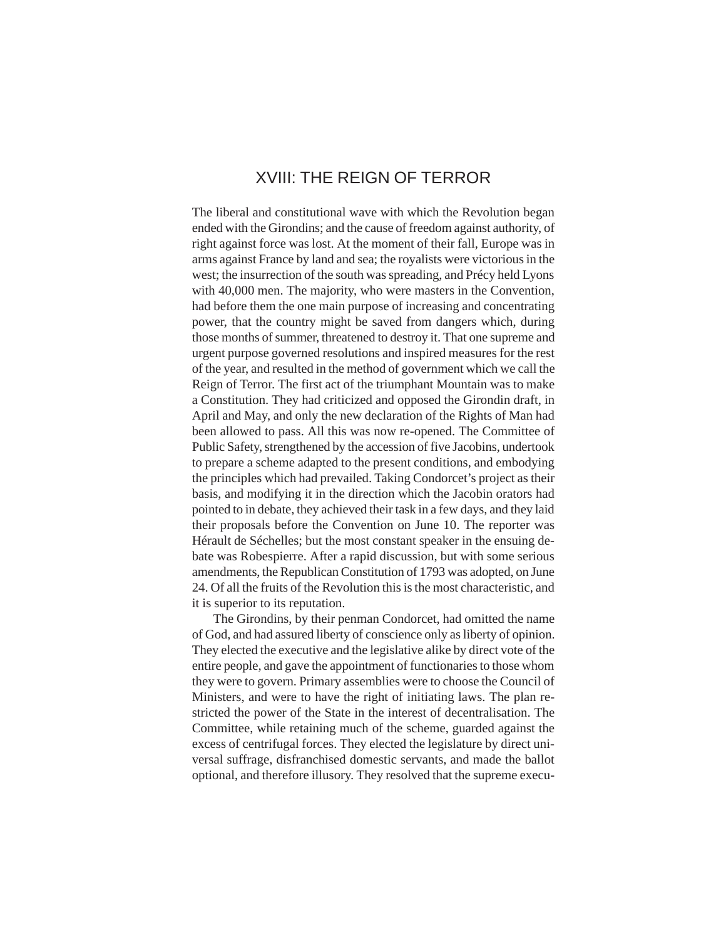## XVIII: THE REIGN OF TERROR

The liberal and constitutional wave with which the Revolution began ended with the Girondins; and the cause of freedom against authority, of right against force was lost. At the moment of their fall, Europe was in arms against France by land and sea; the royalists were victorious in the west; the insurrection of the south was spreading, and Précy held Lyons with 40,000 men. The majority, who were masters in the Convention, had before them the one main purpose of increasing and concentrating power, that the country might be saved from dangers which, during those months of summer, threatened to destroy it. That one supreme and urgent purpose governed resolutions and inspired measures for the rest of the year, and resulted in the method of government which we call the Reign of Terror. The first act of the triumphant Mountain was to make a Constitution. They had criticized and opposed the Girondin draft, in April and May, and only the new declaration of the Rights of Man had been allowed to pass. All this was now re-opened. The Committee of Public Safety, strengthened by the accession of five Jacobins, undertook to prepare a scheme adapted to the present conditions, and embodying the principles which had prevailed. Taking Condorcet's project as their basis, and modifying it in the direction which the Jacobin orators had pointed to in debate, they achieved their task in a few days, and they laid their proposals before the Convention on June 10. The reporter was Hérault de Séchelles; but the most constant speaker in the ensuing debate was Robespierre. After a rapid discussion, but with some serious amendments, the Republican Constitution of 1793 was adopted, on June 24. Of all the fruits of the Revolution this is the most characteristic, and it is superior to its reputation.

The Girondins, by their penman Condorcet, had omitted the name of God, and had assured liberty of conscience only as liberty of opinion. They elected the executive and the legislative alike by direct vote of the entire people, and gave the appointment of functionaries to those whom they were to govern. Primary assemblies were to choose the Council of Ministers, and were to have the right of initiating laws. The plan restricted the power of the State in the interest of decentralisation. The Committee, while retaining much of the scheme, guarded against the excess of centrifugal forces. They elected the legislature by direct universal suffrage, disfranchised domestic servants, and made the ballot optional, and therefore illusory. They resolved that the supreme execu-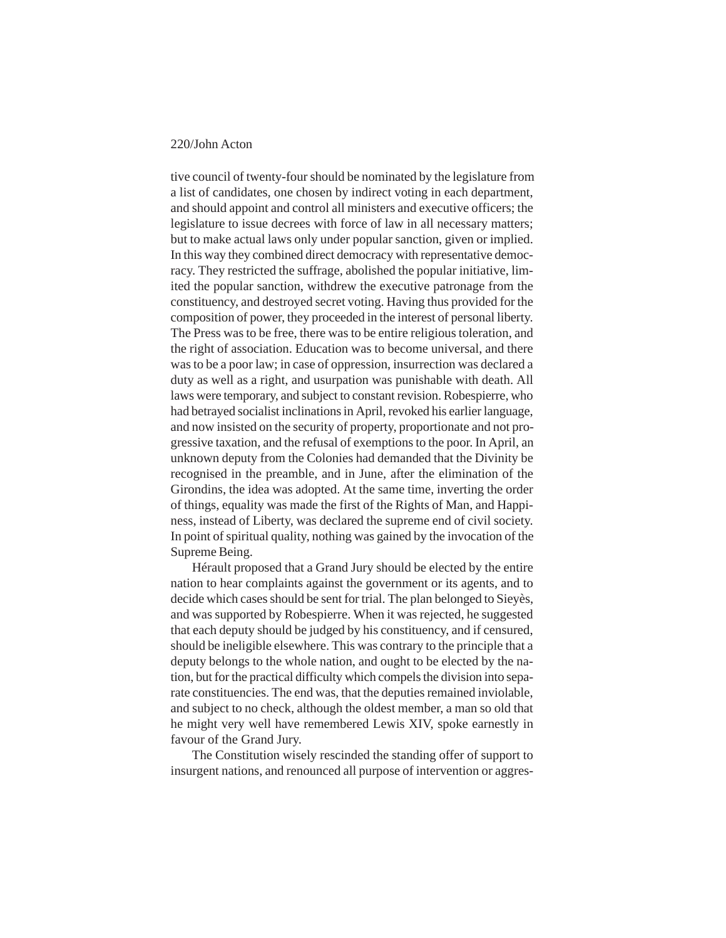tive council of twenty-four should be nominated by the legislature from a list of candidates, one chosen by indirect voting in each department, and should appoint and control all ministers and executive officers; the legislature to issue decrees with force of law in all necessary matters; but to make actual laws only under popular sanction, given or implied. In this way they combined direct democracy with representative democracy. They restricted the suffrage, abolished the popular initiative, limited the popular sanction, withdrew the executive patronage from the constituency, and destroyed secret voting. Having thus provided for the composition of power, they proceeded in the interest of personal liberty. The Press was to be free, there was to be entire religious toleration, and the right of association. Education was to become universal, and there was to be a poor law; in case of oppression, insurrection was declared a duty as well as a right, and usurpation was punishable with death. All laws were temporary, and subject to constant revision. Robespierre, who had betrayed socialist inclinations in April, revoked his earlier language, and now insisted on the security of property, proportionate and not progressive taxation, and the refusal of exemptions to the poor. In April, an unknown deputy from the Colonies had demanded that the Divinity be recognised in the preamble, and in June, after the elimination of the Girondins, the idea was adopted. At the same time, inverting the order of things, equality was made the first of the Rights of Man, and Happiness, instead of Liberty, was declared the supreme end of civil society. In point of spiritual quality, nothing was gained by the invocation of the Supreme Being.

Hérault proposed that a Grand Jury should be elected by the entire nation to hear complaints against the government or its agents, and to decide which cases should be sent for trial. The plan belonged to Sieyès, and was supported by Robespierre. When it was rejected, he suggested that each deputy should be judged by his constituency, and if censured, should be ineligible elsewhere. This was contrary to the principle that a deputy belongs to the whole nation, and ought to be elected by the nation, but for the practical difficulty which compels the division into separate constituencies. The end was, that the deputies remained inviolable, and subject to no check, although the oldest member, a man so old that he might very well have remembered Lewis XIV, spoke earnestly in favour of the Grand Jury.

The Constitution wisely rescinded the standing offer of support to insurgent nations, and renounced all purpose of intervention or aggres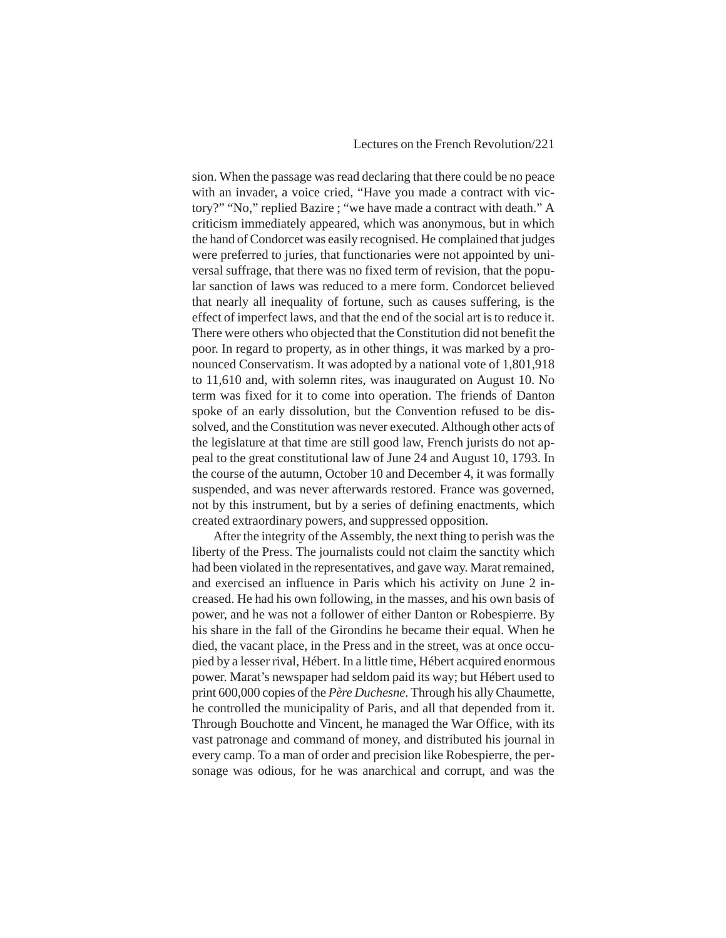sion. When the passage was read declaring that there could be no peace with an invader, a voice cried, "Have you made a contract with victory?" "No," replied Bazire ; "we have made a contract with death." A criticism immediately appeared, which was anonymous, but in which the hand of Condorcet was easily recognised. He complained that judges were preferred to juries, that functionaries were not appointed by universal suffrage, that there was no fixed term of revision, that the popular sanction of laws was reduced to a mere form. Condorcet believed that nearly all inequality of fortune, such as causes suffering, is the effect of imperfect laws, and that the end of the social art is to reduce it. There were others who objected that the Constitution did not benefit the poor. In regard to property, as in other things, it was marked by a pronounced Conservatism. It was adopted by a national vote of 1,801,918 to 11,610 and, with solemn rites, was inaugurated on August 10. No term was fixed for it to come into operation. The friends of Danton spoke of an early dissolution, but the Convention refused to be dissolved, and the Constitution was never executed. Although other acts of the legislature at that time are still good law, French jurists do not appeal to the great constitutional law of June 24 and August 10, 1793. In the course of the autumn, October 10 and December 4, it was formally suspended, and was never afterwards restored. France was governed, not by this instrument, but by a series of defining enactments, which created extraordinary powers, and suppressed opposition.

After the integrity of the Assembly, the next thing to perish was the liberty of the Press. The journalists could not claim the sanctity which had been violated in the representatives, and gave way. Marat remained, and exercised an influence in Paris which his activity on June 2 increased. He had his own following, in the masses, and his own basis of power, and he was not a follower of either Danton or Robespierre. By his share in the fall of the Girondins he became their equal. When he died, the vacant place, in the Press and in the street, was at once occupied by a lesser rival, Hébert. In a little time, Hébert acquired enormous power. Marat's newspaper had seldom paid its way; but Hébert used to print 600,000 copies of the *Père Duchesne*. Through his ally Chaumette, he controlled the municipality of Paris, and all that depended from it. Through Bouchotte and Vincent, he managed the War Office, with its vast patronage and command of money, and distributed his journal in every camp. To a man of order and precision like Robespierre, the personage was odious, for he was anarchical and corrupt, and was the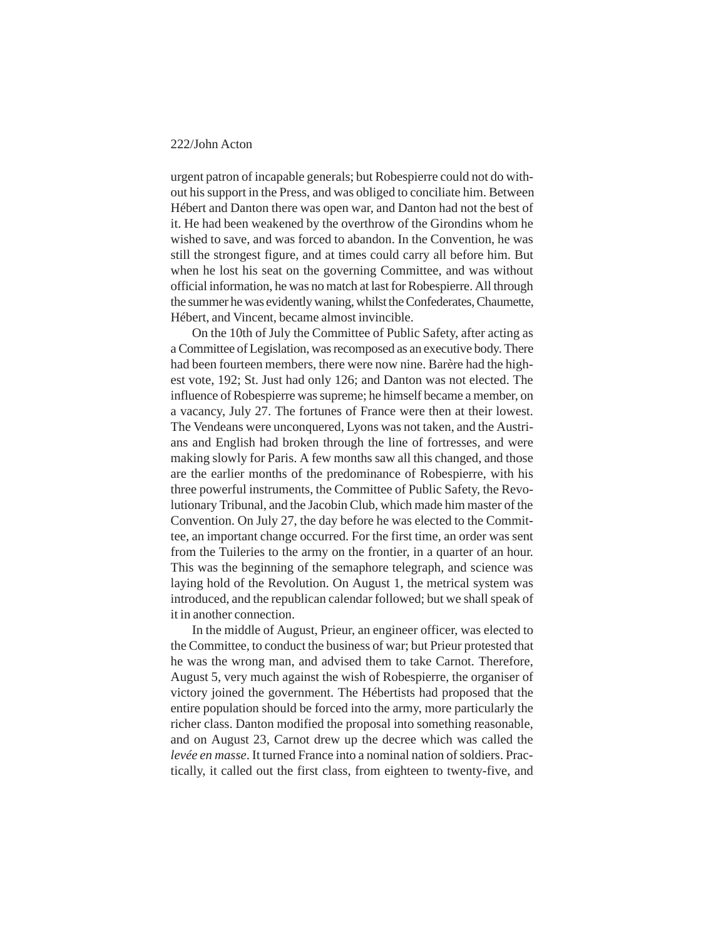urgent patron of incapable generals; but Robespierre could not do without his support in the Press, and was obliged to conciliate him. Between Hébert and Danton there was open war, and Danton had not the best of it. He had been weakened by the overthrow of the Girondins whom he wished to save, and was forced to abandon. In the Convention, he was still the strongest figure, and at times could carry all before him. But when he lost his seat on the governing Committee, and was without official information, he was no match at last for Robespierre. All through the summer he was evidently waning, whilst the Confederates, Chaumette, Hébert, and Vincent, became almost invincible.

On the 10th of July the Committee of Public Safety, after acting as a Committee of Legislation, was recomposed as an executive body. There had been fourteen members, there were now nine. Barère had the highest vote, 192; St. Just had only 126; and Danton was not elected. The influence of Robespierre was supreme; he himself became a member, on a vacancy, July 27. The fortunes of France were then at their lowest. The Vendeans were unconquered, Lyons was not taken, and the Austrians and English had broken through the line of fortresses, and were making slowly for Paris. A few months saw all this changed, and those are the earlier months of the predominance of Robespierre, with his three powerful instruments, the Committee of Public Safety, the Revolutionary Tribunal, and the Jacobin Club, which made him master of the Convention. On July 27, the day before he was elected to the Committee, an important change occurred. For the first time, an order was sent from the Tuileries to the army on the frontier, in a quarter of an hour. This was the beginning of the semaphore telegraph, and science was laying hold of the Revolution. On August 1, the metrical system was introduced, and the republican calendar followed; but we shall speak of it in another connection.

In the middle of August, Prieur, an engineer officer, was elected to the Committee, to conduct the business of war; but Prieur protested that he was the wrong man, and advised them to take Carnot. Therefore, August 5, very much against the wish of Robespierre, the organiser of victory joined the government. The Hébertists had proposed that the entire population should be forced into the army, more particularly the richer class. Danton modified the proposal into something reasonable, and on August 23, Carnot drew up the decree which was called the *levée en masse*. It turned France into a nominal nation of soldiers. Practically, it called out the first class, from eighteen to twenty-five, and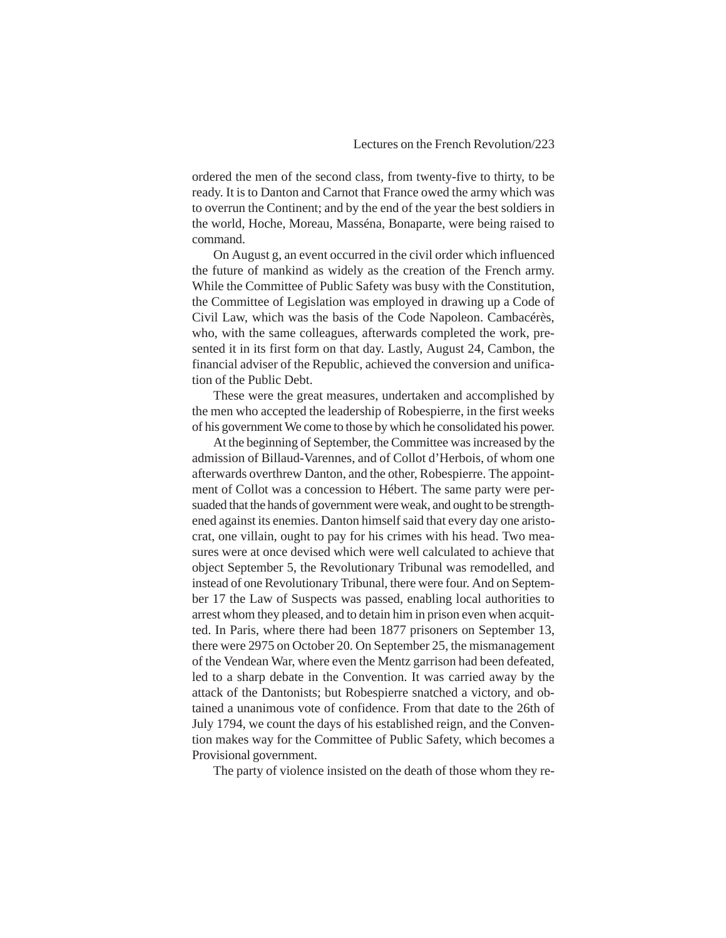ordered the men of the second class, from twenty-five to thirty, to be ready. It is to Danton and Carnot that France owed the army which was to overrun the Continent; and by the end of the year the best soldiers in the world, Hoche, Moreau, Masséna, Bonaparte, were being raised to command.

On August g, an event occurred in the civil order which influenced the future of mankind as widely as the creation of the French army. While the Committee of Public Safety was busy with the Constitution, the Committee of Legislation was employed in drawing up a Code of Civil Law, which was the basis of the Code Napoleon. Cambacérès, who, with the same colleagues, afterwards completed the work, presented it in its first form on that day. Lastly, August 24, Cambon, the financial adviser of the Republic, achieved the conversion and unification of the Public Debt.

These were the great measures, undertaken and accomplished by the men who accepted the leadership of Robespierre, in the first weeks of his government We come to those by which he consolidated his power.

At the beginning of September, the Committee was increased by the admission of Billaud-Varennes, and of Collot d'Herbois, of whom one afterwards overthrew Danton, and the other, Robespierre. The appointment of Collot was a concession to Hébert. The same party were persuaded that the hands of government were weak, and ought to be strengthened against its enemies. Danton himself said that every day one aristocrat, one villain, ought to pay for his crimes with his head. Two measures were at once devised which were well calculated to achieve that object September 5, the Revolutionary Tribunal was remodelled, and instead of one Revolutionary Tribunal, there were four. And on September 17 the Law of Suspects was passed, enabling local authorities to arrest whom they pleased, and to detain him in prison even when acquitted. In Paris, where there had been 1877 prisoners on September 13, there were 2975 on October 20. On September 25, the mismanagement of the Vendean War, where even the Mentz garrison had been defeated, led to a sharp debate in the Convention. It was carried away by the attack of the Dantonists; but Robespierre snatched a victory, and obtained a unanimous vote of confidence. From that date to the 26th of July 1794, we count the days of his established reign, and the Convention makes way for the Committee of Public Safety, which becomes a Provisional government.

The party of violence insisted on the death of those whom they re-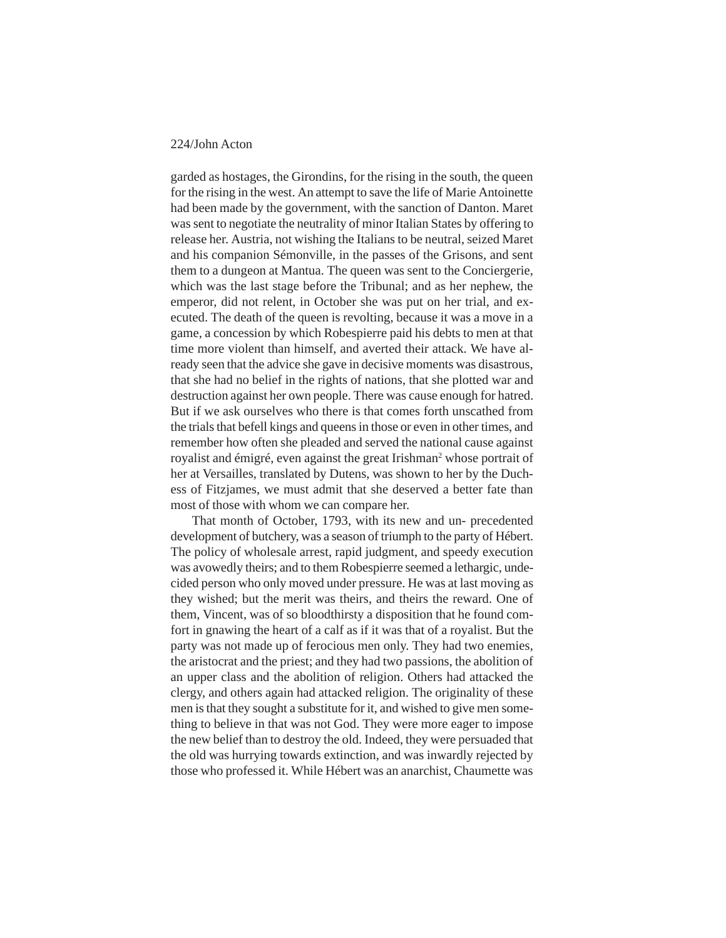garded as hostages, the Girondins, for the rising in the south, the queen for the rising in the west. An attempt to save the life of Marie Antoinette had been made by the government, with the sanction of Danton. Maret was sent to negotiate the neutrality of minor Italian States by offering to release her. Austria, not wishing the Italians to be neutral, seized Maret and his companion Sémonville, in the passes of the Grisons, and sent them to a dungeon at Mantua. The queen was sent to the Conciergerie, which was the last stage before the Tribunal; and as her nephew, the emperor, did not relent, in October she was put on her trial, and executed. The death of the queen is revolting, because it was a move in a game, a concession by which Robespierre paid his debts to men at that time more violent than himself, and averted their attack. We have already seen that the advice she gave in decisive moments was disastrous, that she had no belief in the rights of nations, that she plotted war and destruction against her own people. There was cause enough for hatred. But if we ask ourselves who there is that comes forth unscathed from the trials that befell kings and queens in those or even in other times, and remember how often she pleaded and served the national cause against royalist and émigré, even against the great Irishman<sup>2</sup> whose portrait of her at Versailles, translated by Dutens, was shown to her by the Duchess of Fitzjames, we must admit that she deserved a better fate than most of those with whom we can compare her.

That month of October, 1793, with its new and un- precedented development of butchery, was a season of triumph to the party of Hébert. The policy of wholesale arrest, rapid judgment, and speedy execution was avowedly theirs; and to them Robespierre seemed a lethargic, undecided person who only moved under pressure. He was at last moving as they wished; but the merit was theirs, and theirs the reward. One of them, Vincent, was of so bloodthirsty a disposition that he found comfort in gnawing the heart of a calf as if it was that of a royalist. But the party was not made up of ferocious men only. They had two enemies, the aristocrat and the priest; and they had two passions, the abolition of an upper class and the abolition of religion. Others had attacked the clergy, and others again had attacked religion. The originality of these men is that they sought a substitute for it, and wished to give men something to believe in that was not God. They were more eager to impose the new belief than to destroy the old. Indeed, they were persuaded that the old was hurrying towards extinction, and was inwardly rejected by those who professed it. While Hébert was an anarchist, Chaumette was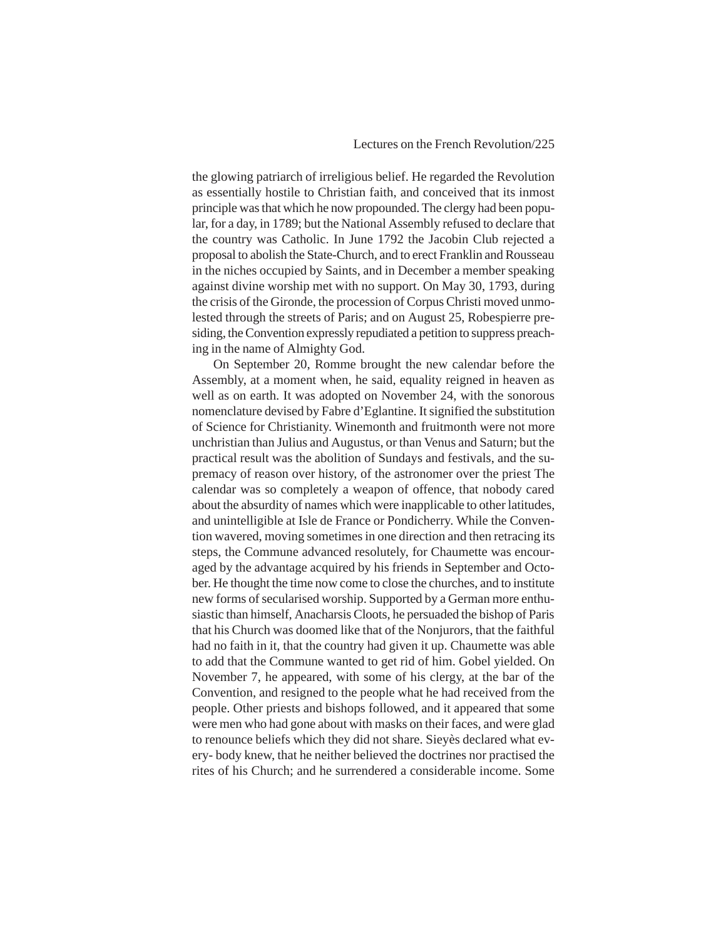the glowing patriarch of irreligious belief. He regarded the Revolution as essentially hostile to Christian faith, and conceived that its inmost principle was that which he now propounded. The clergy had been popular, for a day, in 1789; but the National Assembly refused to declare that the country was Catholic. In June 1792 the Jacobin Club rejected a proposal to abolish the State-Church, and to erect Franklin and Rousseau in the niches occupied by Saints, and in December a member speaking against divine worship met with no support. On May 30, 1793, during the crisis of the Gironde, the procession of Corpus Christi moved unmolested through the streets of Paris; and on August 25, Robespierre presiding, the Convention expressly repudiated a petition to suppress preaching in the name of Almighty God.

On September 20, Romme brought the new calendar before the Assembly, at a moment when, he said, equality reigned in heaven as well as on earth. It was adopted on November 24, with the sonorous nomenclature devised by Fabre d'Eglantine. It signified the substitution of Science for Christianity. Winemonth and fruitmonth were not more unchristian than Julius and Augustus, or than Venus and Saturn; but the practical result was the abolition of Sundays and festivals, and the supremacy of reason over history, of the astronomer over the priest The calendar was so completely a weapon of offence, that nobody cared about the absurdity of names which were inapplicable to other latitudes, and unintelligible at Isle de France or Pondicherry. While the Convention wavered, moving sometimes in one direction and then retracing its steps, the Commune advanced resolutely, for Chaumette was encouraged by the advantage acquired by his friends in September and October. He thought the time now come to close the churches, and to institute new forms of secularised worship. Supported by a German more enthusiastic than himself, Anacharsis Cloots, he persuaded the bishop of Paris that his Church was doomed like that of the Nonjurors, that the faithful had no faith in it, that the country had given it up. Chaumette was able to add that the Commune wanted to get rid of him. Gobel yielded. On November 7, he appeared, with some of his clergy, at the bar of the Convention, and resigned to the people what he had received from the people. Other priests and bishops followed, and it appeared that some were men who had gone about with masks on their faces, and were glad to renounce beliefs which they did not share. Sieyès declared what every- body knew, that he neither believed the doctrines nor practised the rites of his Church; and he surrendered a considerable income. Some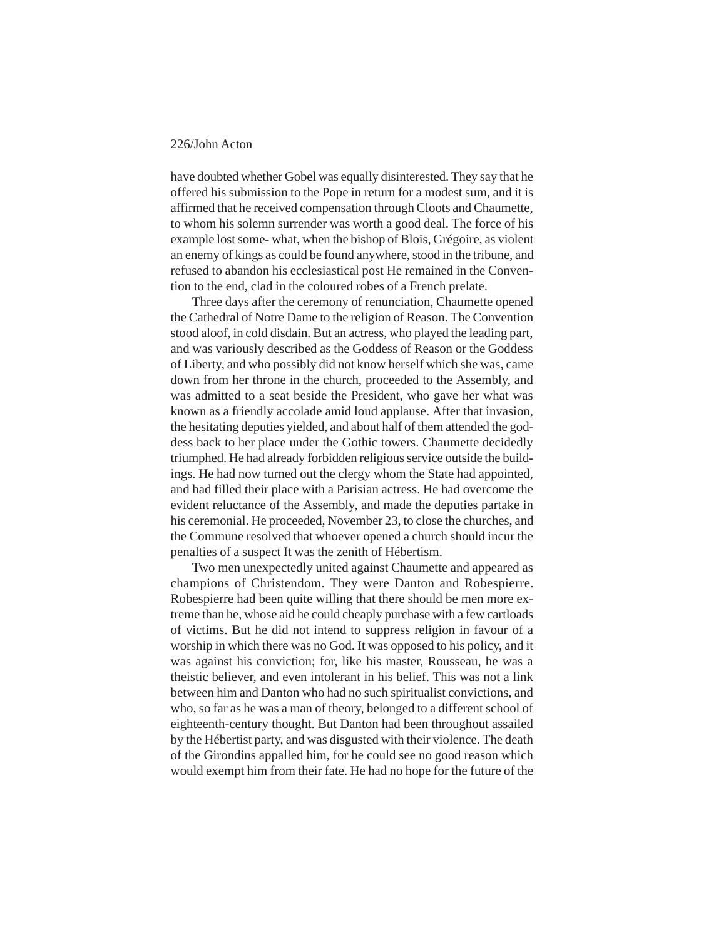have doubted whether Gobel was equally disinterested. They say that he offered his submission to the Pope in return for a modest sum, and it is affirmed that he received compensation through Cloots and Chaumette, to whom his solemn surrender was worth a good deal. The force of his example lost some- what, when the bishop of Blois, Grégoire, as violent an enemy of kings as could be found anywhere, stood in the tribune, and refused to abandon his ecclesiastical post He remained in the Convention to the end, clad in the coloured robes of a French prelate.

Three days after the ceremony of renunciation, Chaumette opened the Cathedral of Notre Dame to the religion of Reason. The Convention stood aloof, in cold disdain. But an actress, who played the leading part, and was variously described as the Goddess of Reason or the Goddess of Liberty, and who possibly did not know herself which she was, came down from her throne in the church, proceeded to the Assembly, and was admitted to a seat beside the President, who gave her what was known as a friendly accolade amid loud applause. After that invasion, the hesitating deputies yielded, and about half of them attended the goddess back to her place under the Gothic towers. Chaumette decidedly triumphed. He had already forbidden religious service outside the buildings. He had now turned out the clergy whom the State had appointed, and had filled their place with a Parisian actress. He had overcome the evident reluctance of the Assembly, and made the deputies partake in his ceremonial. He proceeded, November 23, to close the churches, and the Commune resolved that whoever opened a church should incur the penalties of a suspect It was the zenith of Hébertism.

Two men unexpectedly united against Chaumette and appeared as champions of Christendom. They were Danton and Robespierre. Robespierre had been quite willing that there should be men more extreme than he, whose aid he could cheaply purchase with a few cartloads of victims. But he did not intend to suppress religion in favour of a worship in which there was no God. It was opposed to his policy, and it was against his conviction; for, like his master, Rousseau, he was a theistic believer, and even intolerant in his belief. This was not a link between him and Danton who had no such spiritualist convictions, and who, so far as he was a man of theory, belonged to a different school of eighteenth-century thought. But Danton had been throughout assailed by the Hébertist party, and was disgusted with their violence. The death of the Girondins appalled him, for he could see no good reason which would exempt him from their fate. He had no hope for the future of the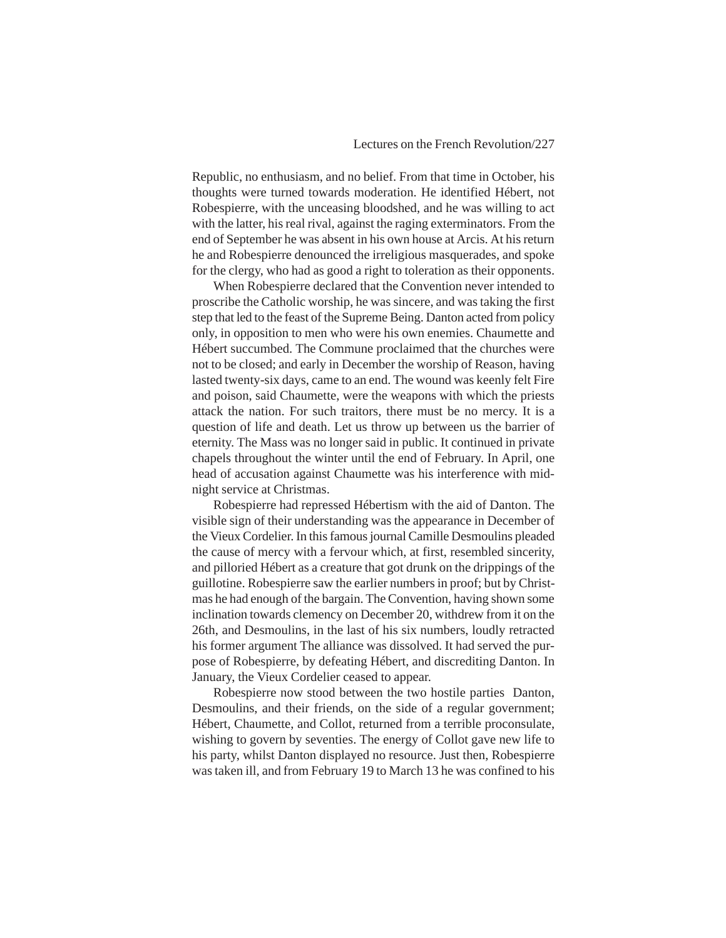Republic, no enthusiasm, and no belief. From that time in October, his thoughts were turned towards moderation. He identified Hébert, not Robespierre, with the unceasing bloodshed, and he was willing to act with the latter, his real rival, against the raging exterminators. From the end of September he was absent in his own house at Arcis. At his return he and Robespierre denounced the irreligious masquerades, and spoke for the clergy, who had as good a right to toleration as their opponents.

When Robespierre declared that the Convention never intended to proscribe the Catholic worship, he was sincere, and was taking the first step that led to the feast of the Supreme Being. Danton acted from policy only, in opposition to men who were his own enemies. Chaumette and Hébert succumbed. The Commune proclaimed that the churches were not to be closed; and early in December the worship of Reason, having lasted twenty-six days, came to an end. The wound was keenly felt Fire and poison, said Chaumette, were the weapons with which the priests attack the nation. For such traitors, there must be no mercy. It is a question of life and death. Let us throw up between us the barrier of eternity. The Mass was no longer said in public. It continued in private chapels throughout the winter until the end of February. In April, one head of accusation against Chaumette was his interference with midnight service at Christmas.

Robespierre had repressed Hébertism with the aid of Danton. The visible sign of their understanding was the appearance in December of the Vieux Cordelier. In this famous journal Camille Desmoulins pleaded the cause of mercy with a fervour which, at first, resembled sincerity, and pilloried Hébert as a creature that got drunk on the drippings of the guillotine. Robespierre saw the earlier numbers in proof; but by Christmas he had enough of the bargain. The Convention, having shown some inclination towards clemency on December 20, withdrew from it on the 26th, and Desmoulins, in the last of his six numbers, loudly retracted his former argument The alliance was dissolved. It had served the purpose of Robespierre, by defeating Hébert, and discrediting Danton. In January, the Vieux Cordelier ceased to appear.

Robespierre now stood between the two hostile parties Danton, Desmoulins, and their friends, on the side of a regular government; Hébert, Chaumette, and Collot, returned from a terrible proconsulate, wishing to govern by seventies. The energy of Collot gave new life to his party, whilst Danton displayed no resource. Just then, Robespierre was taken ill, and from February 19 to March 13 he was confined to his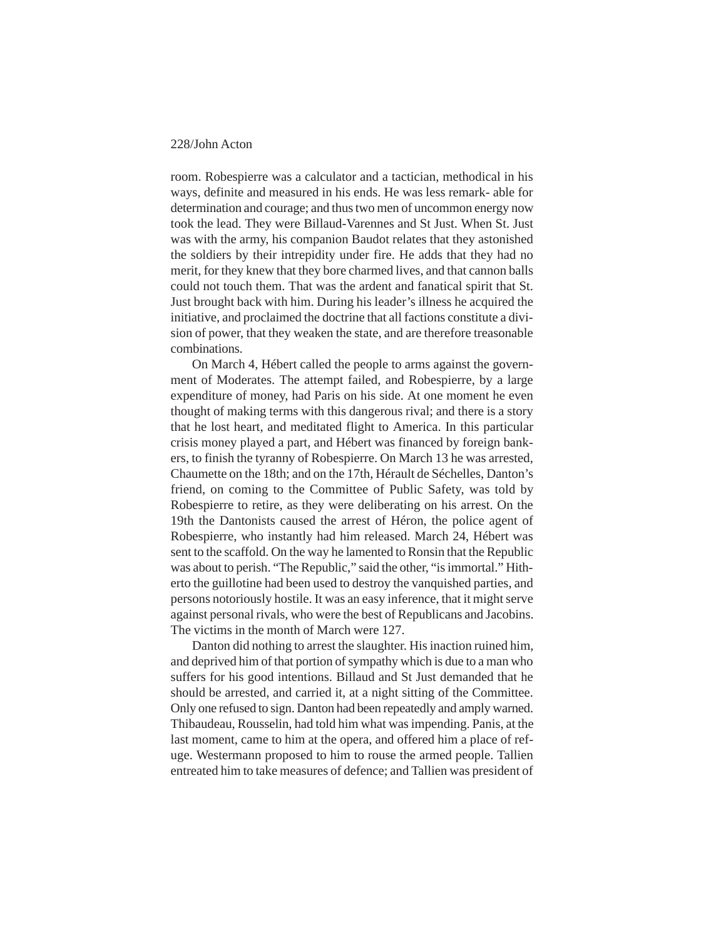room. Robespierre was a calculator and a tactician, methodical in his ways, definite and measured in his ends. He was less remark- able for determination and courage; and thus two men of uncommon energy now took the lead. They were Billaud-Varennes and St Just. When St. Just was with the army, his companion Baudot relates that they astonished the soldiers by their intrepidity under fire. He adds that they had no merit, for they knew that they bore charmed lives, and that cannon balls could not touch them. That was the ardent and fanatical spirit that St. Just brought back with him. During his leader's illness he acquired the initiative, and proclaimed the doctrine that all factions constitute a division of power, that they weaken the state, and are therefore treasonable combinations.

On March 4, Hébert called the people to arms against the government of Moderates. The attempt failed, and Robespierre, by a large expenditure of money, had Paris on his side. At one moment he even thought of making terms with this dangerous rival; and there is a story that he lost heart, and meditated flight to America. In this particular crisis money played a part, and Hébert was financed by foreign bankers, to finish the tyranny of Robespierre. On March 13 he was arrested, Chaumette on the 18th; and on the 17th, Hérault de Séchelles, Danton's friend, on coming to the Committee of Public Safety, was told by Robespierre to retire, as they were deliberating on his arrest. On the 19th the Dantonists caused the arrest of Héron, the police agent of Robespierre, who instantly had him released. March 24, Hébert was sent to the scaffold. On the way he lamented to Ronsin that the Republic was about to perish. "The Republic," said the other, "is immortal." Hitherto the guillotine had been used to destroy the vanquished parties, and persons notoriously hostile. It was an easy inference, that it might serve against personal rivals, who were the best of Republicans and Jacobins. The victims in the month of March were 127.

Danton did nothing to arrest the slaughter. His inaction ruined him, and deprived him of that portion of sympathy which is due to a man who suffers for his good intentions. Billaud and St Just demanded that he should be arrested, and carried it, at a night sitting of the Committee. Only one refused to sign. Danton had been repeatedly and amply warned. Thibaudeau, Rousselin, had told him what was impending. Panis, at the last moment, came to him at the opera, and offered him a place of refuge. Westermann proposed to him to rouse the armed people. Tallien entreated him to take measures of defence; and Tallien was president of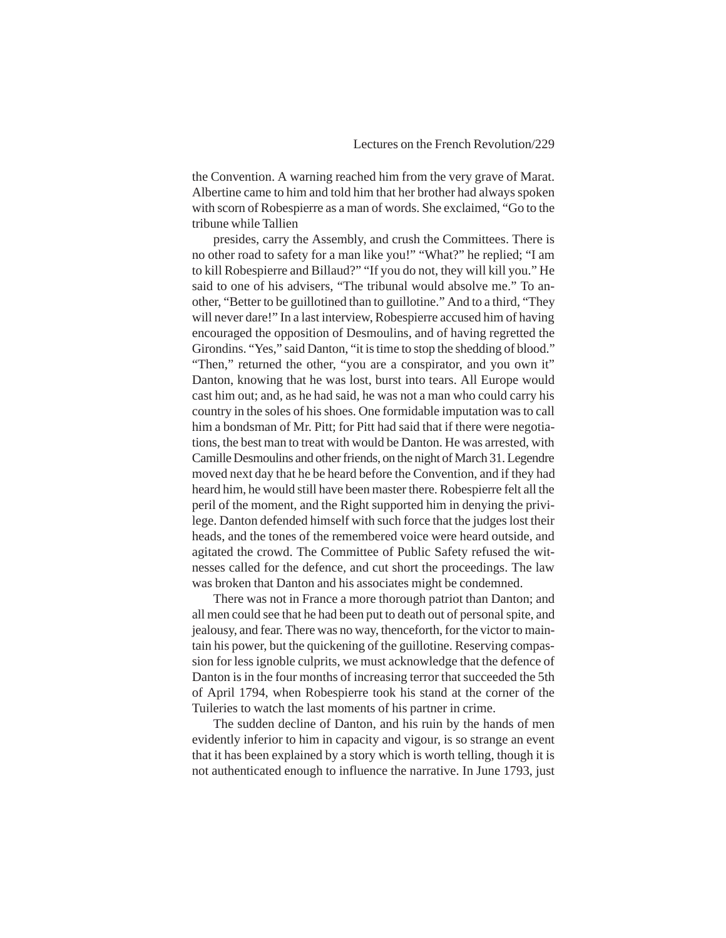the Convention. A warning reached him from the very grave of Marat. Albertine came to him and told him that her brother had always spoken with scorn of Robespierre as a man of words. She exclaimed, "Go to the tribune while Tallien

presides, carry the Assembly, and crush the Committees. There is no other road to safety for a man like you!" "What?" he replied; "I am to kill Robespierre and Billaud?" "If you do not, they will kill you." He said to one of his advisers, "The tribunal would absolve me." To another, "Better to be guillotined than to guillotine." And to a third, "They will never dare!" In a last interview, Robespierre accused him of having encouraged the opposition of Desmoulins, and of having regretted the Girondins. "Yes," said Danton, "it is time to stop the shedding of blood." "Then," returned the other, "you are a conspirator, and you own it" Danton, knowing that he was lost, burst into tears. All Europe would cast him out; and, as he had said, he was not a man who could carry his country in the soles of his shoes. One formidable imputation was to call him a bondsman of Mr. Pitt; for Pitt had said that if there were negotiations, the best man to treat with would be Danton. He was arrested, with Camille Desmoulins and other friends, on the night of March 31. Legendre moved next day that he be heard before the Convention, and if they had heard him, he would still have been master there. Robespierre felt all the peril of the moment, and the Right supported him in denying the privilege. Danton defended himself with such force that the judges lost their heads, and the tones of the remembered voice were heard outside, and agitated the crowd. The Committee of Public Safety refused the witnesses called for the defence, and cut short the proceedings. The law was broken that Danton and his associates might be condemned.

There was not in France a more thorough patriot than Danton; and all men could see that he had been put to death out of personal spite, and jealousy, and fear. There was no way, thenceforth, for the victor to maintain his power, but the quickening of the guillotine. Reserving compassion for less ignoble culprits, we must acknowledge that the defence of Danton is in the four months of increasing terror that succeeded the 5th of April 1794, when Robespierre took his stand at the corner of the Tuileries to watch the last moments of his partner in crime.

The sudden decline of Danton, and his ruin by the hands of men evidently inferior to him in capacity and vigour, is so strange an event that it has been explained by a story which is worth telling, though it is not authenticated enough to influence the narrative. In June 1793, just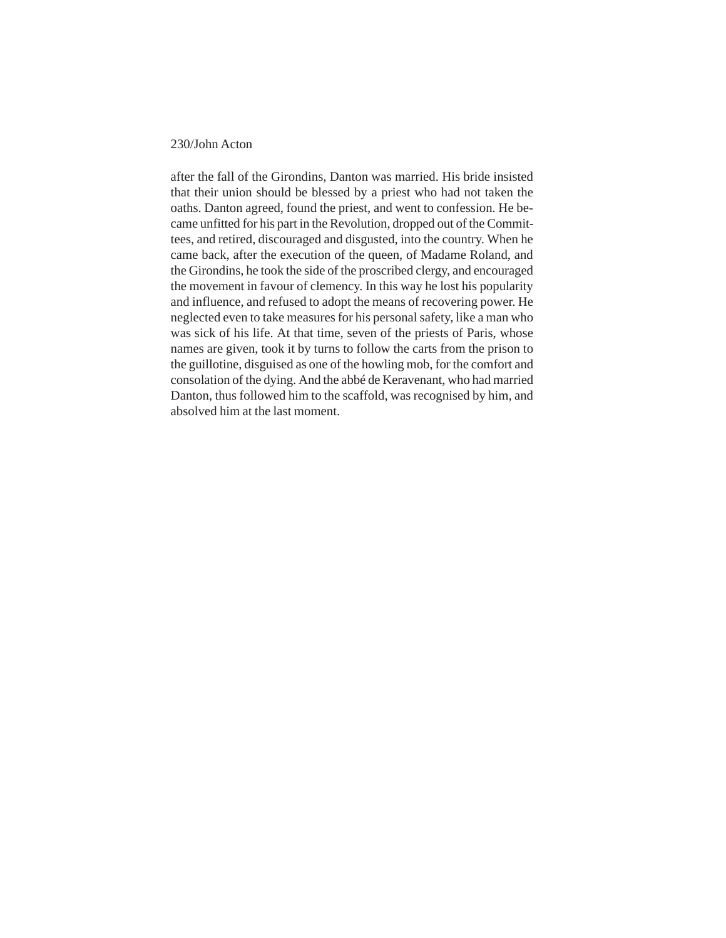after the fall of the Girondins, Danton was married. His bride insisted that their union should be blessed by a priest who had not taken the oaths. Danton agreed, found the priest, and went to confession. He became unfitted for his part in the Revolution, dropped out of the Committees, and retired, discouraged and disgusted, into the country. When he came back, after the execution of the queen, of Madame Roland, and the Girondins, he took the side of the proscribed clergy, and encouraged the movement in favour of clemency. In this way he lost his popularity and influence, and refused to adopt the means of recovering power. He neglected even to take measures for his personal safety, like a man who was sick of his life. At that time, seven of the priests of Paris, whose names are given, took it by turns to follow the carts from the prison to the guillotine, disguised as one of the howling mob, for the comfort and consolation of the dying. And the abbé de Keravenant, who had married Danton, thus followed him to the scaffold, was recognised by him, and absolved him at the last moment.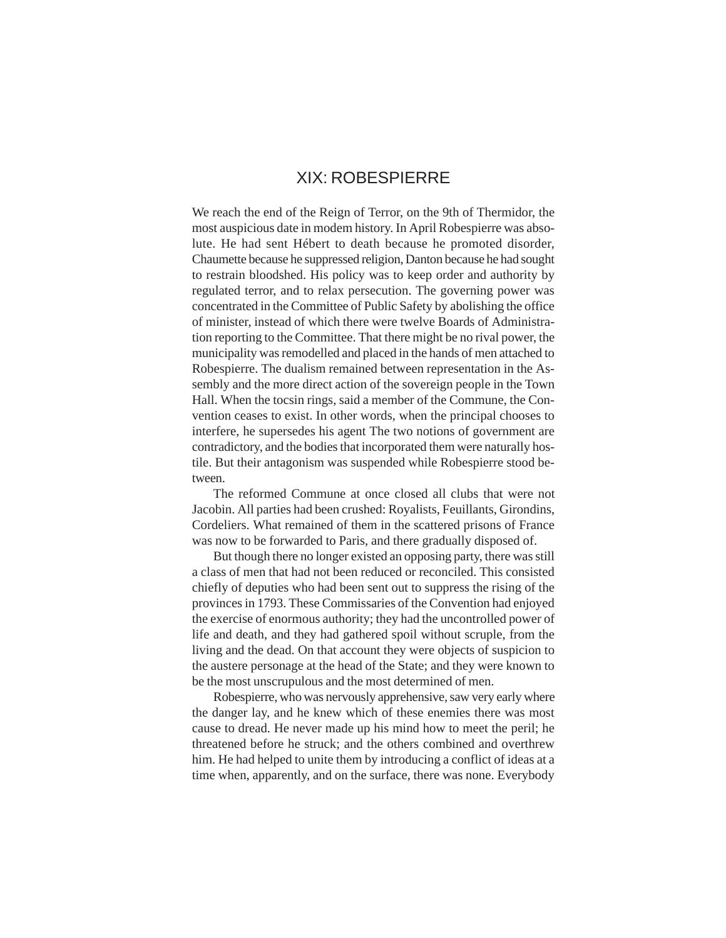### XIX: ROBESPIERRE

We reach the end of the Reign of Terror, on the 9th of Thermidor, the most auspicious date in modem history. In April Robespierre was absolute. He had sent Hébert to death because he promoted disorder, Chaumette because he suppressed religion, Danton because he had sought to restrain bloodshed. His policy was to keep order and authority by regulated terror, and to relax persecution. The governing power was concentrated in the Committee of Public Safety by abolishing the office of minister, instead of which there were twelve Boards of Administration reporting to the Committee. That there might be no rival power, the municipality was remodelled and placed in the hands of men attached to Robespierre. The dualism remained between representation in the Assembly and the more direct action of the sovereign people in the Town Hall. When the tocsin rings, said a member of the Commune, the Convention ceases to exist. In other words, when the principal chooses to interfere, he supersedes his agent The two notions of government are contradictory, and the bodies that incorporated them were naturally hostile. But their antagonism was suspended while Robespierre stood between.

The reformed Commune at once closed all clubs that were not Jacobin. All parties had been crushed: Royalists, Feuillants, Girondins, Cordeliers. What remained of them in the scattered prisons of France was now to be forwarded to Paris, and there gradually disposed of.

But though there no longer existed an opposing party, there was still a class of men that had not been reduced or reconciled. This consisted chiefly of deputies who had been sent out to suppress the rising of the provinces in 1793. These Commissaries of the Convention had enjoyed the exercise of enormous authority; they had the uncontrolled power of life and death, and they had gathered spoil without scruple, from the living and the dead. On that account they were objects of suspicion to the austere personage at the head of the State; and they were known to be the most unscrupulous and the most determined of men.

Robespierre, who was nervously apprehensive, saw very early where the danger lay, and he knew which of these enemies there was most cause to dread. He never made up his mind how to meet the peril; he threatened before he struck; and the others combined and overthrew him. He had helped to unite them by introducing a conflict of ideas at a time when, apparently, and on the surface, there was none. Everybody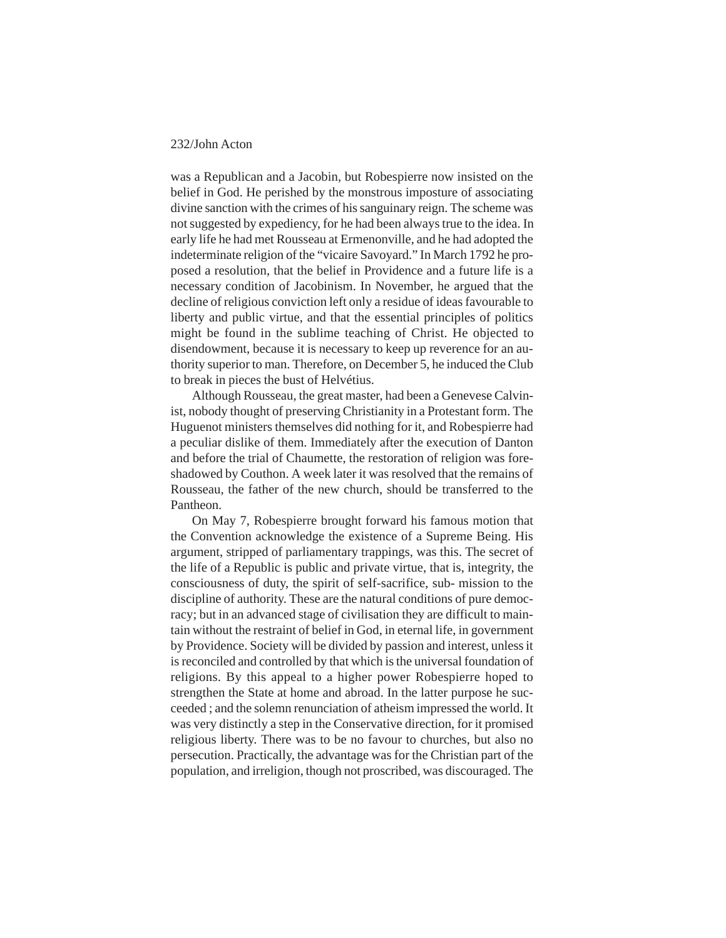was a Republican and a Jacobin, but Robespierre now insisted on the belief in God. He perished by the monstrous imposture of associating divine sanction with the crimes of his sanguinary reign. The scheme was not suggested by expediency, for he had been always true to the idea. In early life he had met Rousseau at Ermenonville, and he had adopted the indeterminate religion of the "vicaire Savoyard." In March 1792 he proposed a resolution, that the belief in Providence and a future life is a necessary condition of Jacobinism. In November, he argued that the decline of religious conviction left only a residue of ideas favourable to liberty and public virtue, and that the essential principles of politics might be found in the sublime teaching of Christ. He objected to disendowment, because it is necessary to keep up reverence for an authority superior to man. Therefore, on December 5, he induced the Club to break in pieces the bust of Helvétius.

Although Rousseau, the great master, had been a Genevese Calvinist, nobody thought of preserving Christianity in a Protestant form. The Huguenot ministers themselves did nothing for it, and Robespierre had a peculiar dislike of them. Immediately after the execution of Danton and before the trial of Chaumette, the restoration of religion was foreshadowed by Couthon. A week later it was resolved that the remains of Rousseau, the father of the new church, should be transferred to the Pantheon.

On May 7, Robespierre brought forward his famous motion that the Convention acknowledge the existence of a Supreme Being. His argument, stripped of parliamentary trappings, was this. The secret of the life of a Republic is public and private virtue, that is, integrity, the consciousness of duty, the spirit of self-sacrifice, sub- mission to the discipline of authority. These are the natural conditions of pure democracy; but in an advanced stage of civilisation they are difficult to maintain without the restraint of belief in God, in eternal life, in government by Providence. Society will be divided by passion and interest, unless it is reconciled and controlled by that which is the universal foundation of religions. By this appeal to a higher power Robespierre hoped to strengthen the State at home and abroad. In the latter purpose he succeeded ; and the solemn renunciation of atheism impressed the world. It was very distinctly a step in the Conservative direction, for it promised religious liberty. There was to be no favour to churches, but also no persecution. Practically, the advantage was for the Christian part of the population, and irreligion, though not proscribed, was discouraged. The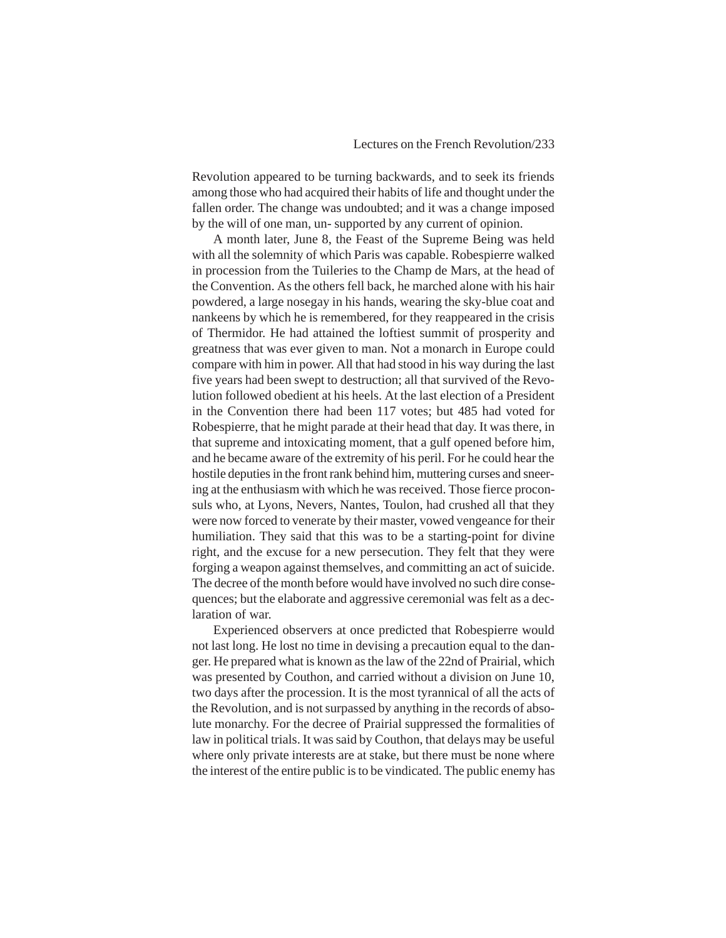Revolution appeared to be turning backwards, and to seek its friends among those who had acquired their habits of life and thought under the fallen order. The change was undoubted; and it was a change imposed by the will of one man, un- supported by any current of opinion.

A month later, June 8, the Feast of the Supreme Being was held with all the solemnity of which Paris was capable. Robespierre walked in procession from the Tuileries to the Champ de Mars, at the head of the Convention. As the others fell back, he marched alone with his hair powdered, a large nosegay in his hands, wearing the sky-blue coat and nankeens by which he is remembered, for they reappeared in the crisis of Thermidor. He had attained the loftiest summit of prosperity and greatness that was ever given to man. Not a monarch in Europe could compare with him in power. All that had stood in his way during the last five years had been swept to destruction; all that survived of the Revolution followed obedient at his heels. At the last election of a President in the Convention there had been 117 votes; but 485 had voted for Robespierre, that he might parade at their head that day. It was there, in that supreme and intoxicating moment, that a gulf opened before him, and he became aware of the extremity of his peril. For he could hear the hostile deputies in the front rank behind him, muttering curses and sneering at the enthusiasm with which he was received. Those fierce proconsuls who, at Lyons, Nevers, Nantes, Toulon, had crushed all that they were now forced to venerate by their master, vowed vengeance for their humiliation. They said that this was to be a starting-point for divine right, and the excuse for a new persecution. They felt that they were forging a weapon against themselves, and committing an act of suicide. The decree of the month before would have involved no such dire consequences; but the elaborate and aggressive ceremonial was felt as a declaration of war.

Experienced observers at once predicted that Robespierre would not last long. He lost no time in devising a precaution equal to the danger. He prepared what is known as the law of the 22nd of Prairial, which was presented by Couthon, and carried without a division on June 10, two days after the procession. It is the most tyrannical of all the acts of the Revolution, and is not surpassed by anything in the records of absolute monarchy. For the decree of Prairial suppressed the formalities of law in political trials. It was said by Couthon, that delays may be useful where only private interests are at stake, but there must be none where the interest of the entire public is to be vindicated. The public enemy has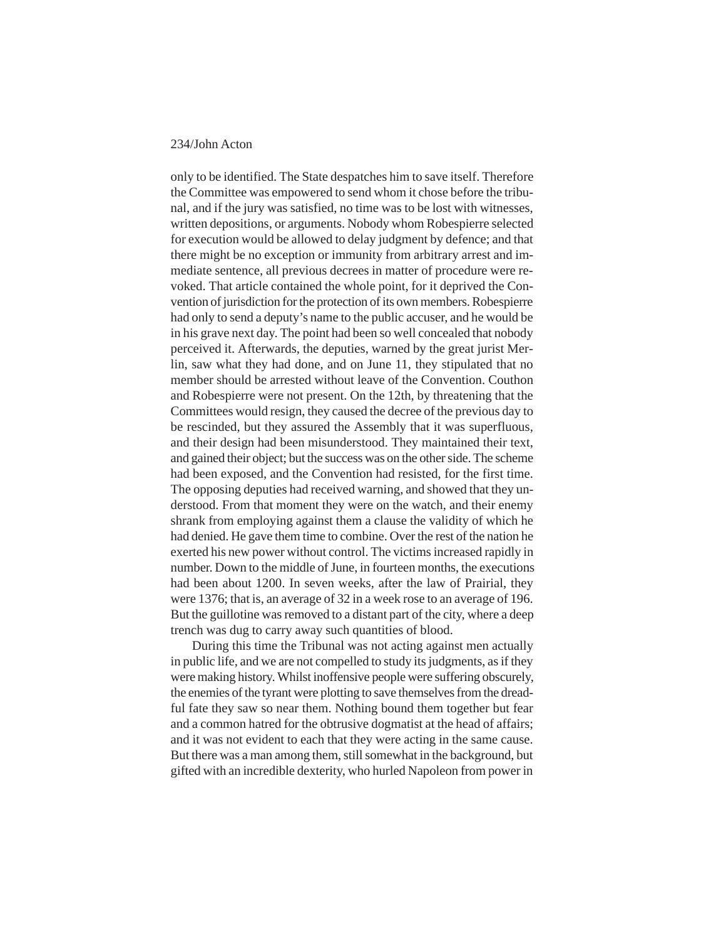only to be identified. The State despatches him to save itself. Therefore the Committee was empowered to send whom it chose before the tribunal, and if the jury was satisfied, no time was to be lost with witnesses, written depositions, or arguments. Nobody whom Robespierre selected for execution would be allowed to delay judgment by defence; and that there might be no exception or immunity from arbitrary arrest and immediate sentence, all previous decrees in matter of procedure were revoked. That article contained the whole point, for it deprived the Convention of jurisdiction for the protection of its own members. Robespierre had only to send a deputy's name to the public accuser, and he would be in his grave next day. The point had been so well concealed that nobody perceived it. Afterwards, the deputies, warned by the great jurist Merlin, saw what they had done, and on June 11, they stipulated that no member should be arrested without leave of the Convention. Couthon and Robespierre were not present. On the 12th, by threatening that the Committees would resign, they caused the decree of the previous day to be rescinded, but they assured the Assembly that it was superfluous, and their design had been misunderstood. They maintained their text, and gained their object; but the success was on the other side. The scheme had been exposed, and the Convention had resisted, for the first time. The opposing deputies had received warning, and showed that they understood. From that moment they were on the watch, and their enemy shrank from employing against them a clause the validity of which he had denied. He gave them time to combine. Over the rest of the nation he exerted his new power without control. The victims increased rapidly in number. Down to the middle of June, in fourteen months, the executions had been about 1200. In seven weeks, after the law of Prairial, they were 1376; that is, an average of 32 in a week rose to an average of 196. But the guillotine was removed to a distant part of the city, where a deep trench was dug to carry away such quantities of blood.

During this time the Tribunal was not acting against men actually in public life, and we are not compelled to study its judgments, as if they were making history. Whilst inoffensive people were suffering obscurely, the enemies of the tyrant were plotting to save themselves from the dreadful fate they saw so near them. Nothing bound them together but fear and a common hatred for the obtrusive dogmatist at the head of affairs; and it was not evident to each that they were acting in the same cause. But there was a man among them, still somewhat in the background, but gifted with an incredible dexterity, who hurled Napoleon from power in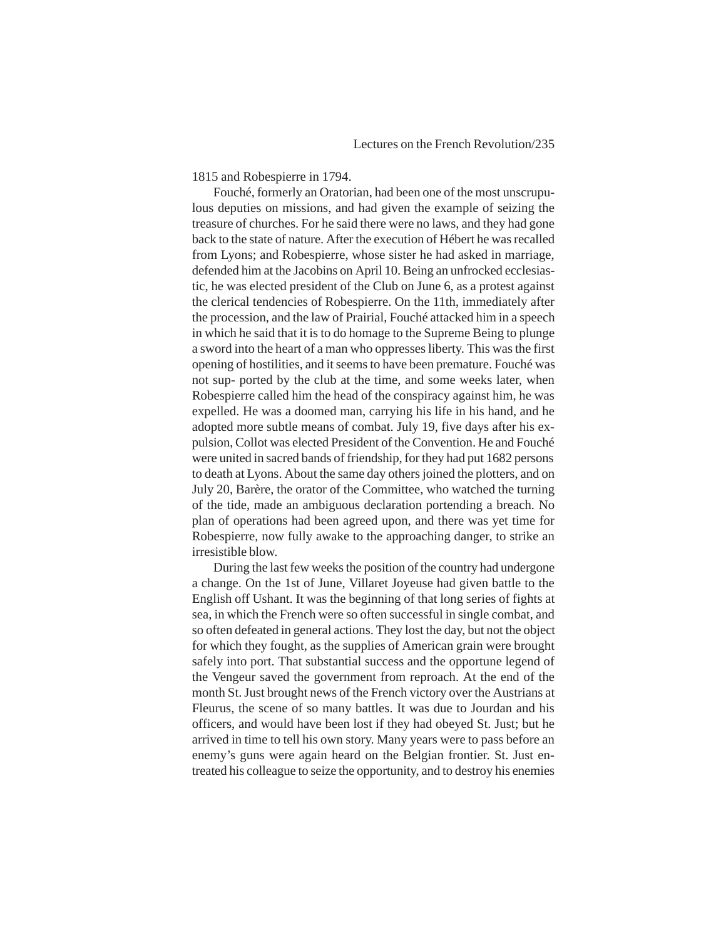1815 and Robespierre in 1794.

Fouché, formerly an Oratorian, had been one of the most unscrupulous deputies on missions, and had given the example of seizing the treasure of churches. For he said there were no laws, and they had gone back to the state of nature. After the execution of Hébert he was recalled from Lyons; and Robespierre, whose sister he had asked in marriage, defended him at the Jacobins on April 10. Being an unfrocked ecclesiastic, he was elected president of the Club on June 6, as a protest against the clerical tendencies of Robespierre. On the 11th, immediately after the procession, and the law of Prairial, Fouché attacked him in a speech in which he said that it is to do homage to the Supreme Being to plunge a sword into the heart of a man who oppresses liberty. This was the first opening of hostilities, and it seems to have been premature. Fouché was not sup- ported by the club at the time, and some weeks later, when Robespierre called him the head of the conspiracy against him, he was expelled. He was a doomed man, carrying his life in his hand, and he adopted more subtle means of combat. July 19, five days after his expulsion, Collot was elected President of the Convention. He and Fouché were united in sacred bands of friendship, for they had put 1682 persons to death at Lyons. About the same day others joined the plotters, and on July 20, Barère, the orator of the Committee, who watched the turning of the tide, made an ambiguous declaration portending a breach. No plan of operations had been agreed upon, and there was yet time for Robespierre, now fully awake to the approaching danger, to strike an irresistible blow.

During the last few weeks the position of the country had undergone a change. On the 1st of June, Villaret Joyeuse had given battle to the English off Ushant. It was the beginning of that long series of fights at sea, in which the French were so often successful in single combat, and so often defeated in general actions. They lost the day, but not the object for which they fought, as the supplies of American grain were brought safely into port. That substantial success and the opportune legend of the Vengeur saved the government from reproach. At the end of the month St. Just brought news of the French victory over the Austrians at Fleurus, the scene of so many battles. It was due to Jourdan and his officers, and would have been lost if they had obeyed St. Just; but he arrived in time to tell his own story. Many years were to pass before an enemy's guns were again heard on the Belgian frontier. St. Just entreated his colleague to seize the opportunity, and to destroy his enemies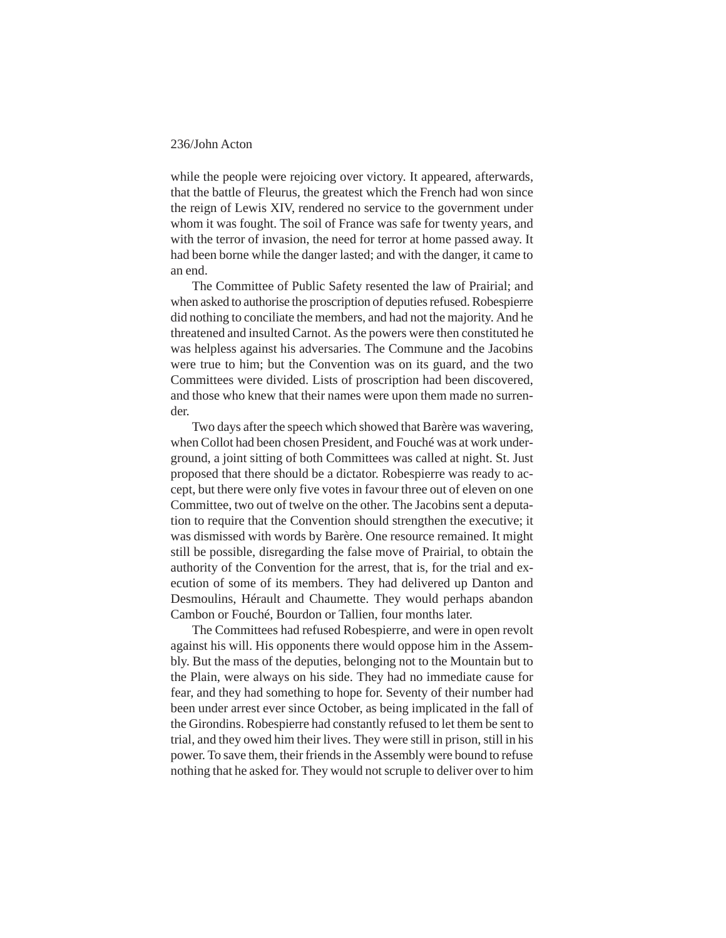while the people were rejoicing over victory. It appeared, afterwards, that the battle of Fleurus, the greatest which the French had won since the reign of Lewis XIV, rendered no service to the government under whom it was fought. The soil of France was safe for twenty years, and with the terror of invasion, the need for terror at home passed away. It had been borne while the danger lasted; and with the danger, it came to an end.

The Committee of Public Safety resented the law of Prairial; and when asked to authorise the proscription of deputies refused. Robespierre did nothing to conciliate the members, and had not the majority. And he threatened and insulted Carnot. As the powers were then constituted he was helpless against his adversaries. The Commune and the Jacobins were true to him; but the Convention was on its guard, and the two Committees were divided. Lists of proscription had been discovered, and those who knew that their names were upon them made no surrender.

Two days after the speech which showed that Barère was wavering, when Collot had been chosen President, and Fouché was at work underground, a joint sitting of both Committees was called at night. St. Just proposed that there should be a dictator. Robespierre was ready to accept, but there were only five votes in favour three out of eleven on one Committee, two out of twelve on the other. The Jacobins sent a deputation to require that the Convention should strengthen the executive; it was dismissed with words by Barère. One resource remained. It might still be possible, disregarding the false move of Prairial, to obtain the authority of the Convention for the arrest, that is, for the trial and execution of some of its members. They had delivered up Danton and Desmoulins, Hérault and Chaumette. They would perhaps abandon Cambon or Fouché, Bourdon or Tallien, four months later.

The Committees had refused Robespierre, and were in open revolt against his will. His opponents there would oppose him in the Assembly. But the mass of the deputies, belonging not to the Mountain but to the Plain, were always on his side. They had no immediate cause for fear, and they had something to hope for. Seventy of their number had been under arrest ever since October, as being implicated in the fall of the Girondins. Robespierre had constantly refused to let them be sent to trial, and they owed him their lives. They were still in prison, still in his power. To save them, their friends in the Assembly were bound to refuse nothing that he asked for. They would not scruple to deliver over to him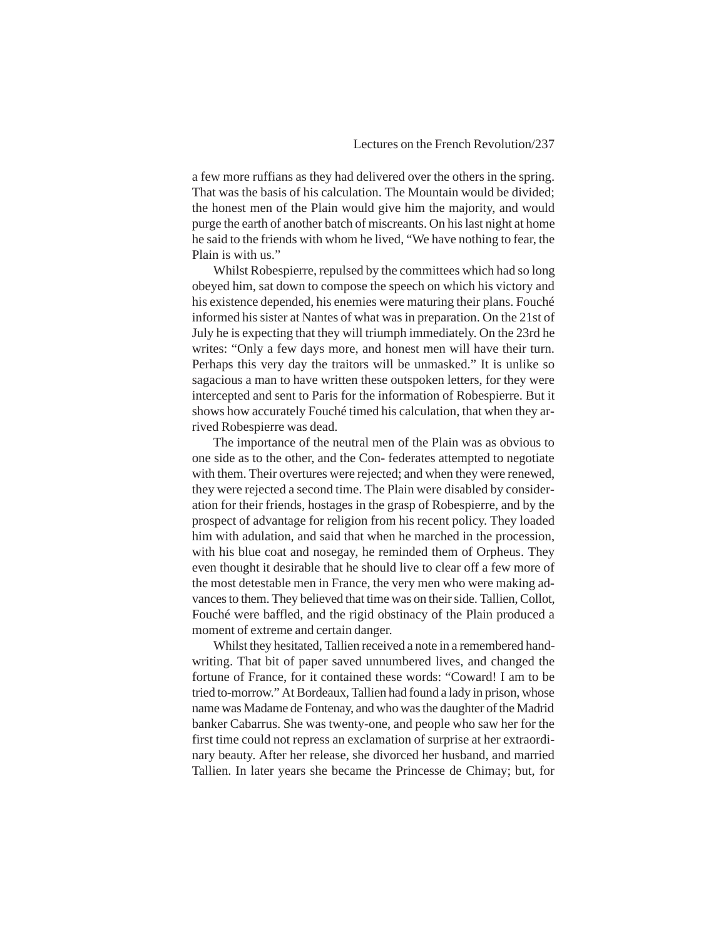a few more ruffians as they had delivered over the others in the spring. That was the basis of his calculation. The Mountain would be divided; the honest men of the Plain would give him the majority, and would purge the earth of another batch of miscreants. On his last night at home he said to the friends with whom he lived, "We have nothing to fear, the Plain is with us."

Whilst Robespierre, repulsed by the committees which had so long obeyed him, sat down to compose the speech on which his victory and his existence depended, his enemies were maturing their plans. Fouché informed his sister at Nantes of what was in preparation. On the 21st of July he is expecting that they will triumph immediately. On the 23rd he writes: "Only a few days more, and honest men will have their turn. Perhaps this very day the traitors will be unmasked." It is unlike so sagacious a man to have written these outspoken letters, for they were intercepted and sent to Paris for the information of Robespierre. But it shows how accurately Fouché timed his calculation, that when they arrived Robespierre was dead.

The importance of the neutral men of the Plain was as obvious to one side as to the other, and the Con- federates attempted to negotiate with them. Their overtures were rejected; and when they were renewed, they were rejected a second time. The Plain were disabled by consideration for their friends, hostages in the grasp of Robespierre, and by the prospect of advantage for religion from his recent policy. They loaded him with adulation, and said that when he marched in the procession, with his blue coat and nosegay, he reminded them of Orpheus. They even thought it desirable that he should live to clear off a few more of the most detestable men in France, the very men who were making advances to them. They believed that time was on their side. Tallien, Collot, Fouché were baffled, and the rigid obstinacy of the Plain produced a moment of extreme and certain danger.

Whilst they hesitated, Tallien received a note in a remembered handwriting. That bit of paper saved unnumbered lives, and changed the fortune of France, for it contained these words: "Coward! I am to be tried to-morrow." At Bordeaux, Tallien had found a lady in prison, whose name was Madame de Fontenay, and who was the daughter of the Madrid banker Cabarrus. She was twenty-one, and people who saw her for the first time could not repress an exclamation of surprise at her extraordinary beauty. After her release, she divorced her husband, and married Tallien. In later years she became the Princesse de Chimay; but, for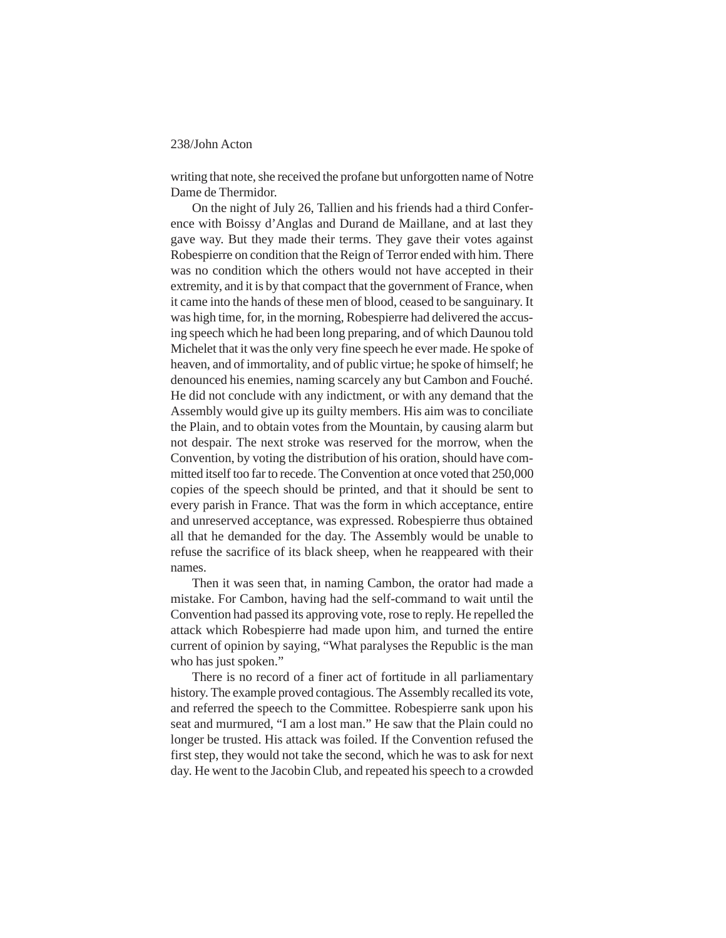writing that note, she received the profane but unforgotten name of Notre Dame de Thermidor.

On the night of July 26, Tallien and his friends had a third Conference with Boissy d'Anglas and Durand de Maillane, and at last they gave way. But they made their terms. They gave their votes against Robespierre on condition that the Reign of Terror ended with him. There was no condition which the others would not have accepted in their extremity, and it is by that compact that the government of France, when it came into the hands of these men of blood, ceased to be sanguinary. It was high time, for, in the morning, Robespierre had delivered the accusing speech which he had been long preparing, and of which Daunou told Michelet that it was the only very fine speech he ever made. He spoke of heaven, and of immortality, and of public virtue; he spoke of himself; he denounced his enemies, naming scarcely any but Cambon and Fouché. He did not conclude with any indictment, or with any demand that the Assembly would give up its guilty members. His aim was to conciliate the Plain, and to obtain votes from the Mountain, by causing alarm but not despair. The next stroke was reserved for the morrow, when the Convention, by voting the distribution of his oration, should have committed itself too far to recede. The Convention at once voted that 250,000 copies of the speech should be printed, and that it should be sent to every parish in France. That was the form in which acceptance, entire and unreserved acceptance, was expressed. Robespierre thus obtained all that he demanded for the day. The Assembly would be unable to refuse the sacrifice of its black sheep, when he reappeared with their names.

Then it was seen that, in naming Cambon, the orator had made a mistake. For Cambon, having had the self-command to wait until the Convention had passed its approving vote, rose to reply. He repelled the attack which Robespierre had made upon him, and turned the entire current of opinion by saying, "What paralyses the Republic is the man who has just spoken."

There is no record of a finer act of fortitude in all parliamentary history. The example proved contagious. The Assembly recalled its vote, and referred the speech to the Committee. Robespierre sank upon his seat and murmured, "I am a lost man." He saw that the Plain could no longer be trusted. His attack was foiled. If the Convention refused the first step, they would not take the second, which he was to ask for next day. He went to the Jacobin Club, and repeated his speech to a crowded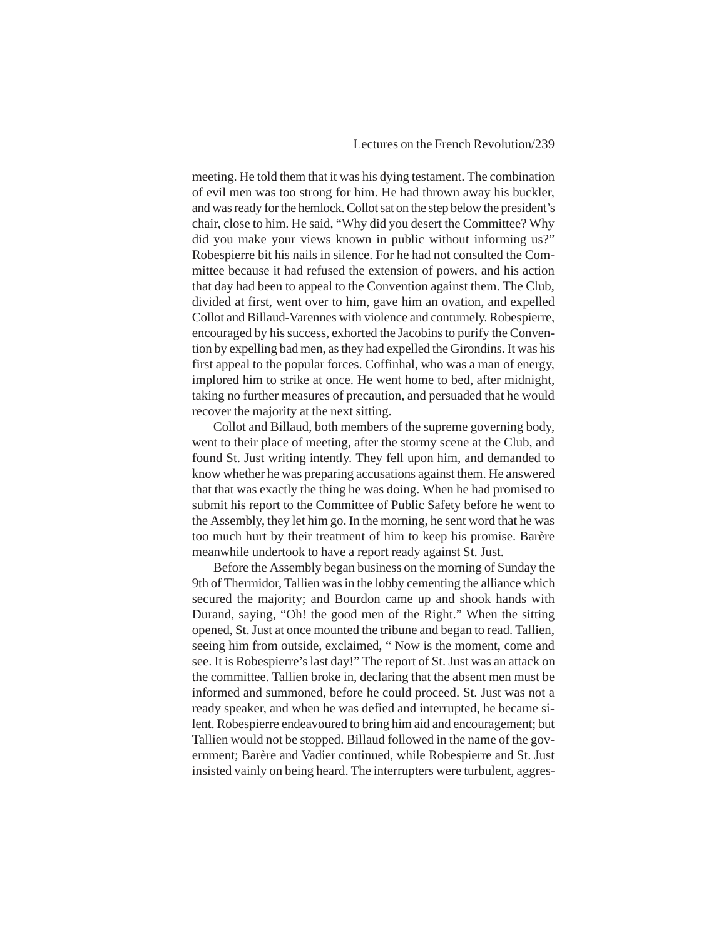meeting. He told them that it was his dying testament. The combination of evil men was too strong for him. He had thrown away his buckler, and was ready for the hemlock. Collot sat on the step below the president's chair, close to him. He said, "Why did you desert the Committee? Why did you make your views known in public without informing us?" Robespierre bit his nails in silence. For he had not consulted the Committee because it had refused the extension of powers, and his action that day had been to appeal to the Convention against them. The Club, divided at first, went over to him, gave him an ovation, and expelled Collot and Billaud-Varennes with violence and contumely. Robespierre, encouraged by his success, exhorted the Jacobins to purify the Convention by expelling bad men, as they had expelled the Girondins. It was his first appeal to the popular forces. Coffinhal, who was a man of energy, implored him to strike at once. He went home to bed, after midnight, taking no further measures of precaution, and persuaded that he would recover the majority at the next sitting.

Collot and Billaud, both members of the supreme governing body, went to their place of meeting, after the stormy scene at the Club, and found St. Just writing intently. They fell upon him, and demanded to know whether he was preparing accusations against them. He answered that that was exactly the thing he was doing. When he had promised to submit his report to the Committee of Public Safety before he went to the Assembly, they let him go. In the morning, he sent word that he was too much hurt by their treatment of him to keep his promise. Barère meanwhile undertook to have a report ready against St. Just.

Before the Assembly began business on the morning of Sunday the 9th of Thermidor, Tallien was in the lobby cementing the alliance which secured the majority; and Bourdon came up and shook hands with Durand, saying, "Oh! the good men of the Right." When the sitting opened, St. Just at once mounted the tribune and began to read. Tallien, seeing him from outside, exclaimed, " Now is the moment, come and see. It is Robespierre's last day!" The report of St. Just was an attack on the committee. Tallien broke in, declaring that the absent men must be informed and summoned, before he could proceed. St. Just was not a ready speaker, and when he was defied and interrupted, he became silent. Robespierre endeavoured to bring him aid and encouragement; but Tallien would not be stopped. Billaud followed in the name of the government; Barère and Vadier continued, while Robespierre and St. Just insisted vainly on being heard. The interrupters were turbulent, aggres-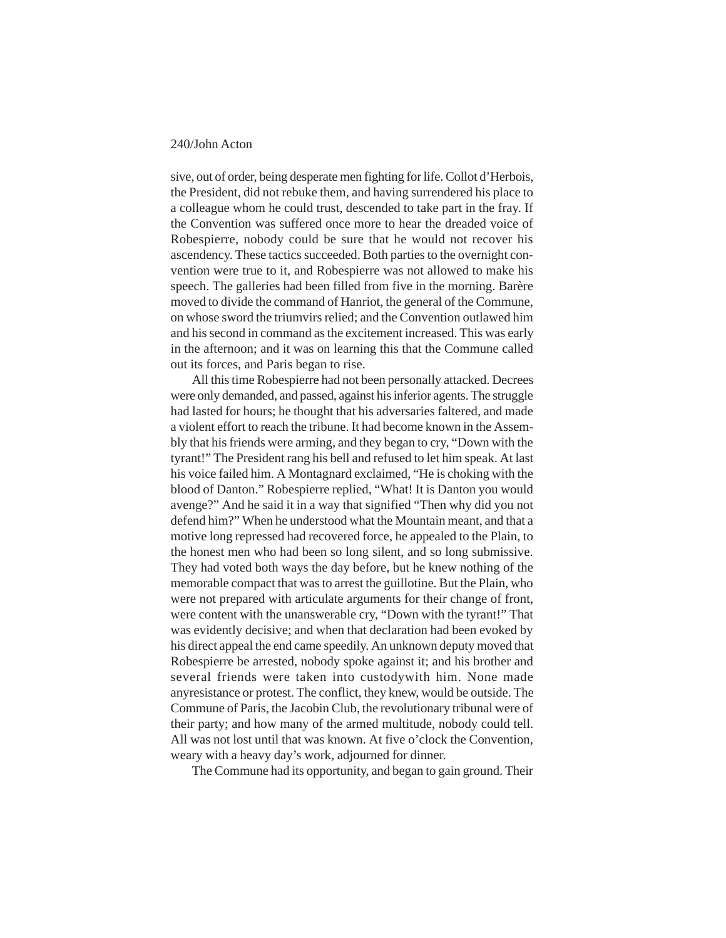sive, out of order, being desperate men fighting for life. Collot d'Herbois, the President, did not rebuke them, and having surrendered his place to a colleague whom he could trust, descended to take part in the fray. If the Convention was suffered once more to hear the dreaded voice of Robespierre, nobody could be sure that he would not recover his ascendency. These tactics succeeded. Both parties to the overnight convention were true to it, and Robespierre was not allowed to make his speech. The galleries had been filled from five in the morning. Barère moved to divide the command of Hanriot, the general of the Commune, on whose sword the triumvirs relied; and the Convention outlawed him and his second in command as the excitement increased. This was early in the afternoon; and it was on learning this that the Commune called out its forces, and Paris began to rise.

All this time Robespierre had not been personally attacked. Decrees were only demanded, and passed, against his inferior agents. The struggle had lasted for hours; he thought that his adversaries faltered, and made a violent effort to reach the tribune. It had become known in the Assembly that his friends were arming, and they began to cry, "Down with the tyrant!" The President rang his bell and refused to let him speak. At last his voice failed him. A Montagnard exclaimed, "He is choking with the blood of Danton." Robespierre replied, "What! It is Danton you would avenge?" And he said it in a way that signified "Then why did you not defend him?" When he understood what the Mountain meant, and that a motive long repressed had recovered force, he appealed to the Plain, to the honest men who had been so long silent, and so long submissive. They had voted both ways the day before, but he knew nothing of the memorable compact that was to arrest the guillotine. But the Plain, who were not prepared with articulate arguments for their change of front, were content with the unanswerable cry, "Down with the tyrant!" That was evidently decisive; and when that declaration had been evoked by his direct appeal the end came speedily. An unknown deputy moved that Robespierre be arrested, nobody spoke against it; and his brother and several friends were taken into custodywith him. None made anyresistance or protest. The conflict, they knew, would be outside. The Commune of Paris, the Jacobin Club, the revolutionary tribunal were of their party; and how many of the armed multitude, nobody could tell. All was not lost until that was known. At five o'clock the Convention, weary with a heavy day's work, adjourned for dinner.

The Commune had its opportunity, and began to gain ground. Their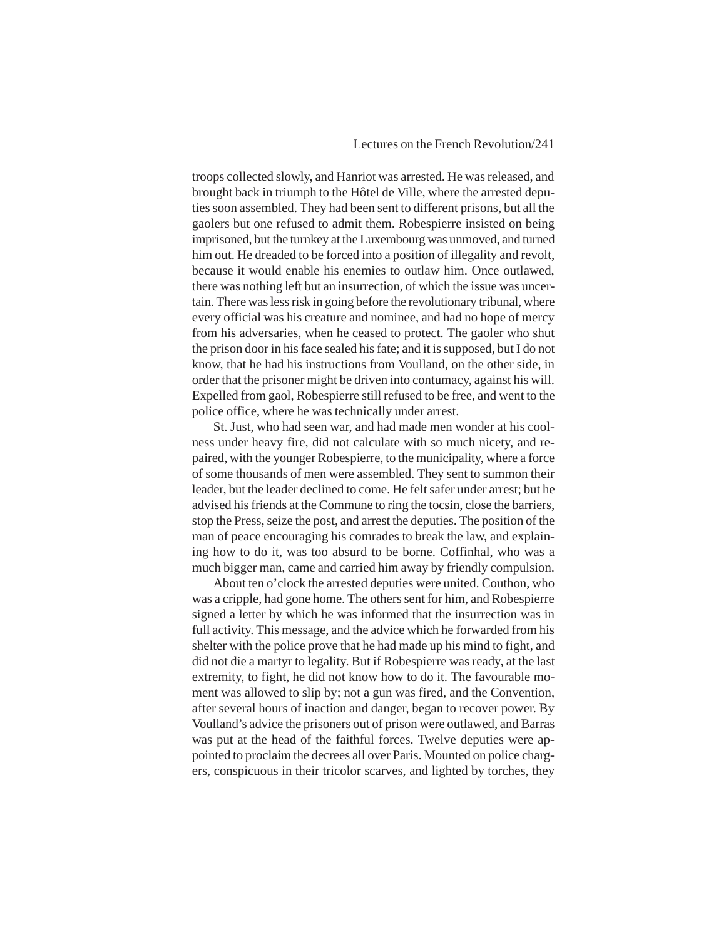troops collected slowly, and Hanriot was arrested. He was released, and brought back in triumph to the Hôtel de Ville, where the arrested deputies soon assembled. They had been sent to different prisons, but all the gaolers but one refused to admit them. Robespierre insisted on being imprisoned, but the turnkey at the Luxembourg was unmoved, and turned him out. He dreaded to be forced into a position of illegality and revolt, because it would enable his enemies to outlaw him. Once outlawed, there was nothing left but an insurrection, of which the issue was uncertain. There was less risk in going before the revolutionary tribunal, where every official was his creature and nominee, and had no hope of mercy from his adversaries, when he ceased to protect. The gaoler who shut the prison door in his face sealed his fate; and it is supposed, but I do not know, that he had his instructions from Voulland, on the other side, in order that the prisoner might be driven into contumacy, against his will. Expelled from gaol, Robespierre still refused to be free, and went to the police office, where he was technically under arrest.

St. Just, who had seen war, and had made men wonder at his coolness under heavy fire, did not calculate with so much nicety, and repaired, with the younger Robespierre, to the municipality, where a force of some thousands of men were assembled. They sent to summon their leader, but the leader declined to come. He felt safer under arrest; but he advised his friends at the Commune to ring the tocsin, close the barriers, stop the Press, seize the post, and arrest the deputies. The position of the man of peace encouraging his comrades to break the law, and explaining how to do it, was too absurd to be borne. Coffinhal, who was a much bigger man, came and carried him away by friendly compulsion.

About ten o'clock the arrested deputies were united. Couthon, who was a cripple, had gone home. The others sent for him, and Robespierre signed a letter by which he was informed that the insurrection was in full activity. This message, and the advice which he forwarded from his shelter with the police prove that he had made up his mind to fight, and did not die a martyr to legality. But if Robespierre was ready, at the last extremity, to fight, he did not know how to do it. The favourable moment was allowed to slip by; not a gun was fired, and the Convention, after several hours of inaction and danger, began to recover power. By Voulland's advice the prisoners out of prison were outlawed, and Barras was put at the head of the faithful forces. Twelve deputies were appointed to proclaim the decrees all over Paris. Mounted on police chargers, conspicuous in their tricolor scarves, and lighted by torches, they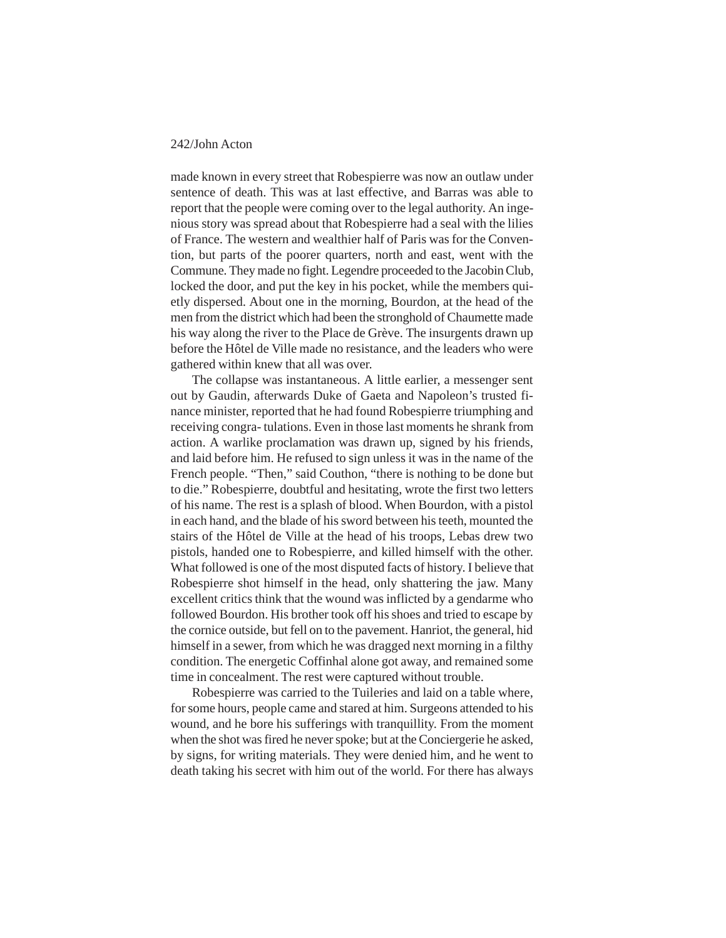made known in every street that Robespierre was now an outlaw under sentence of death. This was at last effective, and Barras was able to report that the people were coming over to the legal authority. An ingenious story was spread about that Robespierre had a seal with the lilies of France. The western and wealthier half of Paris was for the Convention, but parts of the poorer quarters, north and east, went with the Commune. They made no fight. Legendre proceeded to the Jacobin Club, locked the door, and put the key in his pocket, while the members quietly dispersed. About one in the morning, Bourdon, at the head of the men from the district which had been the stronghold of Chaumette made his way along the river to the Place de Grève. The insurgents drawn up before the Hôtel de Ville made no resistance, and the leaders who were gathered within knew that all was over.

The collapse was instantaneous. A little earlier, a messenger sent out by Gaudin, afterwards Duke of Gaeta and Napoleon's trusted finance minister, reported that he had found Robespierre triumphing and receiving congra- tulations. Even in those last moments he shrank from action. A warlike proclamation was drawn up, signed by his friends, and laid before him. He refused to sign unless it was in the name of the French people. "Then," said Couthon, "there is nothing to be done but to die." Robespierre, doubtful and hesitating, wrote the first two letters of his name. The rest is a splash of blood. When Bourdon, with a pistol in each hand, and the blade of his sword between his teeth, mounted the stairs of the Hôtel de Ville at the head of his troops, Lebas drew two pistols, handed one to Robespierre, and killed himself with the other. What followed is one of the most disputed facts of history. I believe that Robespierre shot himself in the head, only shattering the jaw. Many excellent critics think that the wound was inflicted by a gendarme who followed Bourdon. His brother took off his shoes and tried to escape by the cornice outside, but fell on to the pavement. Hanriot, the general, hid himself in a sewer, from which he was dragged next morning in a filthy condition. The energetic Coffinhal alone got away, and remained some time in concealment. The rest were captured without trouble.

Robespierre was carried to the Tuileries and laid on a table where, for some hours, people came and stared at him. Surgeons attended to his wound, and he bore his sufferings with tranquillity. From the moment when the shot was fired he never spoke; but at the Conciergerie he asked, by signs, for writing materials. They were denied him, and he went to death taking his secret with him out of the world. For there has always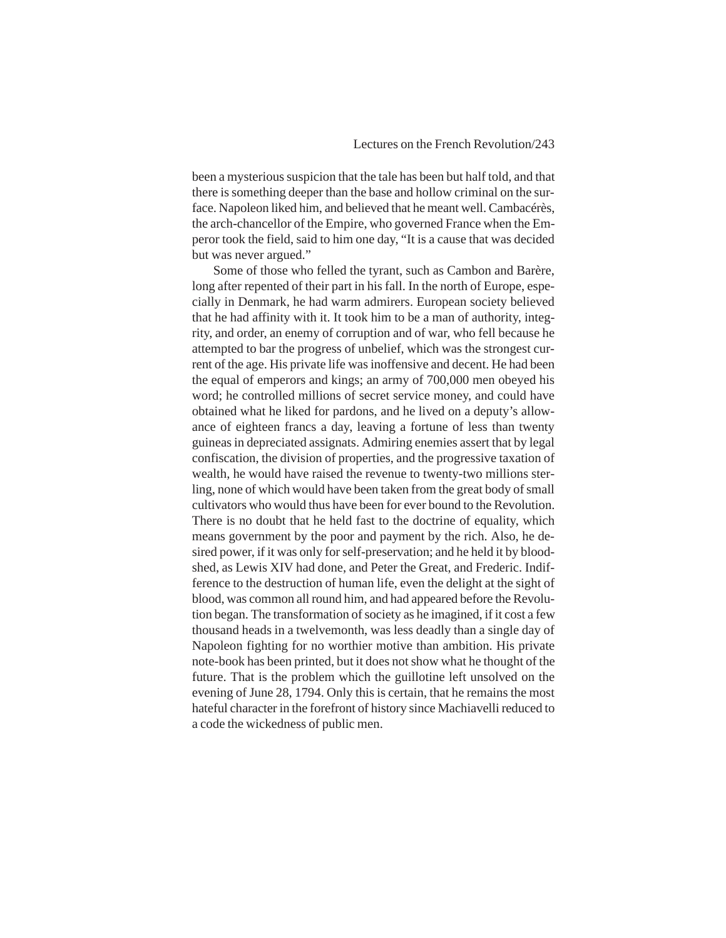been a mysterious suspicion that the tale has been but half told, and that there is something deeper than the base and hollow criminal on the surface. Napoleon liked him, and believed that he meant well. Cambacérès, the arch-chancellor of the Empire, who governed France when the Emperor took the field, said to him one day, "It is a cause that was decided but was never argued."

Some of those who felled the tyrant, such as Cambon and Barère, long after repented of their part in his fall. In the north of Europe, especially in Denmark, he had warm admirers. European society believed that he had affinity with it. It took him to be a man of authority, integrity, and order, an enemy of corruption and of war, who fell because he attempted to bar the progress of unbelief, which was the strongest current of the age. His private life was inoffensive and decent. He had been the equal of emperors and kings; an army of 700,000 men obeyed his word; he controlled millions of secret service money, and could have obtained what he liked for pardons, and he lived on a deputy's allowance of eighteen francs a day, leaving a fortune of less than twenty guineas in depreciated assignats. Admiring enemies assert that by legal confiscation, the division of properties, and the progressive taxation of wealth, he would have raised the revenue to twenty-two millions sterling, none of which would have been taken from the great body of small cultivators who would thus have been for ever bound to the Revolution. There is no doubt that he held fast to the doctrine of equality, which means government by the poor and payment by the rich. Also, he desired power, if it was only for self-preservation; and he held it by bloodshed, as Lewis XIV had done, and Peter the Great, and Frederic. Indifference to the destruction of human life, even the delight at the sight of blood, was common all round him, and had appeared before the Revolution began. The transformation of society as he imagined, if it cost a few thousand heads in a twelvemonth, was less deadly than a single day of Napoleon fighting for no worthier motive than ambition. His private note-book has been printed, but it does not show what he thought of the future. That is the problem which the guillotine left unsolved on the evening of June 28, 1794. Only this is certain, that he remains the most hateful character in the forefront of history since Machiavelli reduced to a code the wickedness of public men.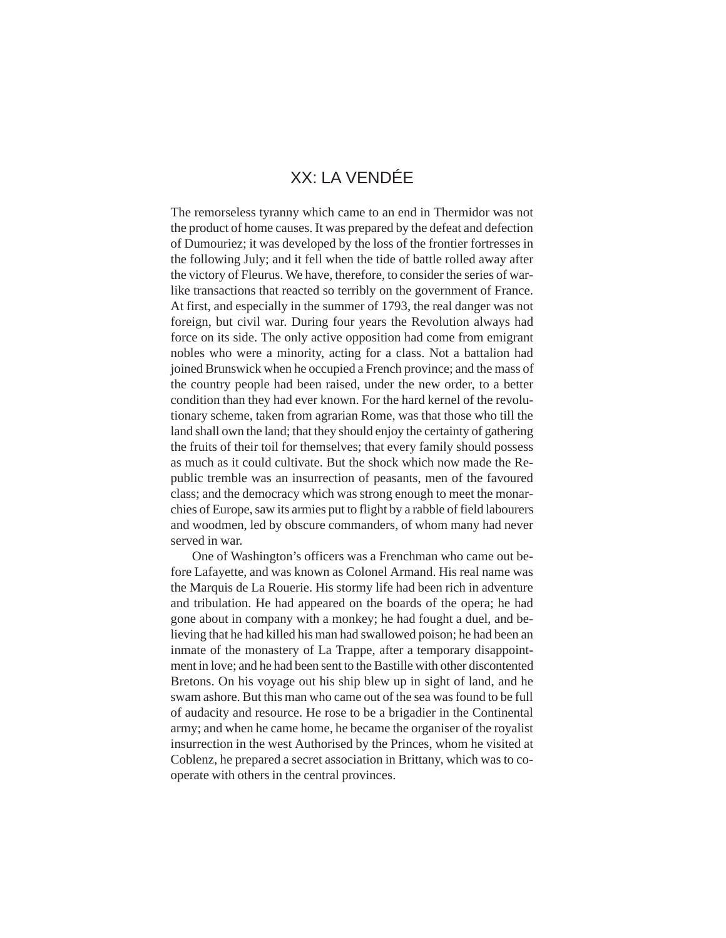# XX: LA VENDÉE

The remorseless tyranny which came to an end in Thermidor was not the product of home causes. It was prepared by the defeat and defection of Dumouriez; it was developed by the loss of the frontier fortresses in the following July; and it fell when the tide of battle rolled away after the victory of Fleurus. We have, therefore, to consider the series of warlike transactions that reacted so terribly on the government of France. At first, and especially in the summer of 1793, the real danger was not foreign, but civil war. During four years the Revolution always had force on its side. The only active opposition had come from emigrant nobles who were a minority, acting for a class. Not a battalion had joined Brunswick when he occupied a French province; and the mass of the country people had been raised, under the new order, to a better condition than they had ever known. For the hard kernel of the revolutionary scheme, taken from agrarian Rome, was that those who till the land shall own the land; that they should enjoy the certainty of gathering the fruits of their toil for themselves; that every family should possess as much as it could cultivate. But the shock which now made the Republic tremble was an insurrection of peasants, men of the favoured class; and the democracy which was strong enough to meet the monarchies of Europe, saw its armies put to flight by a rabble of field labourers and woodmen, led by obscure commanders, of whom many had never served in war.

One of Washington's officers was a Frenchman who came out before Lafayette, and was known as Colonel Armand. His real name was the Marquis de La Rouerie. His stormy life had been rich in adventure and tribulation. He had appeared on the boards of the opera; he had gone about in company with a monkey; he had fought a duel, and believing that he had killed his man had swallowed poison; he had been an inmate of the monastery of La Trappe, after a temporary disappointment in love; and he had been sent to the Bastille with other discontented Bretons. On his voyage out his ship blew up in sight of land, and he swam ashore. But this man who came out of the sea was found to be full of audacity and resource. He rose to be a brigadier in the Continental army; and when he came home, he became the organiser of the royalist insurrection in the west Authorised by the Princes, whom he visited at Coblenz, he prepared a secret association in Brittany, which was to cooperate with others in the central provinces.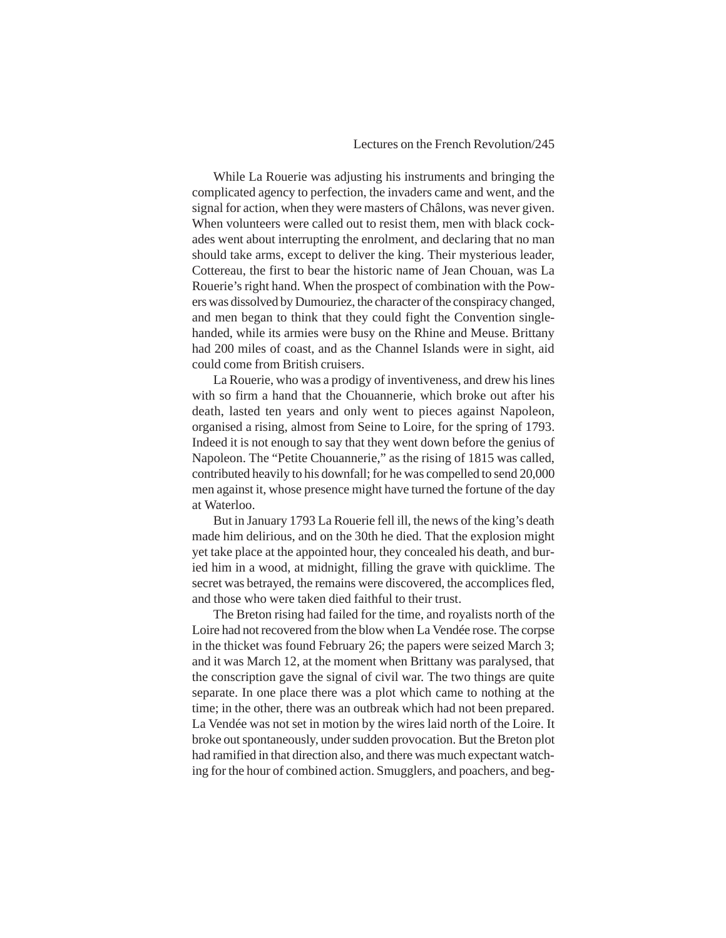#### Lectures on the French Revolution/245

While La Rouerie was adjusting his instruments and bringing the complicated agency to perfection, the invaders came and went, and the signal for action, when they were masters of Châlons, was never given. When volunteers were called out to resist them, men with black cockades went about interrupting the enrolment, and declaring that no man should take arms, except to deliver the king. Their mysterious leader, Cottereau, the first to bear the historic name of Jean Chouan, was La Rouerie's right hand. When the prospect of combination with the Powers was dissolved by Dumouriez, the character of the conspiracy changed, and men began to think that they could fight the Convention singlehanded, while its armies were busy on the Rhine and Meuse. Brittany had 200 miles of coast, and as the Channel Islands were in sight, aid could come from British cruisers.

La Rouerie, who was a prodigy of inventiveness, and drew his lines with so firm a hand that the Chouannerie, which broke out after his death, lasted ten years and only went to pieces against Napoleon, organised a rising, almost from Seine to Loire, for the spring of 1793. Indeed it is not enough to say that they went down before the genius of Napoleon. The "Petite Chouannerie," as the rising of 1815 was called, contributed heavily to his downfall; for he was compelled to send 20,000 men against it, whose presence might have turned the fortune of the day at Waterloo.

But in January 1793 La Rouerie fell ill, the news of the king's death made him delirious, and on the 30th he died. That the explosion might yet take place at the appointed hour, they concealed his death, and buried him in a wood, at midnight, filling the grave with quicklime. The secret was betrayed, the remains were discovered, the accomplices fled, and those who were taken died faithful to their trust.

The Breton rising had failed for the time, and royalists north of the Loire had not recovered from the blow when La Vendée rose. The corpse in the thicket was found February 26; the papers were seized March 3; and it was March 12, at the moment when Brittany was paralysed, that the conscription gave the signal of civil war. The two things are quite separate. In one place there was a plot which came to nothing at the time; in the other, there was an outbreak which had not been prepared. La Vendée was not set in motion by the wires laid north of the Loire. It broke out spontaneously, under sudden provocation. But the Breton plot had ramified in that direction also, and there was much expectant watching for the hour of combined action. Smugglers, and poachers, and beg-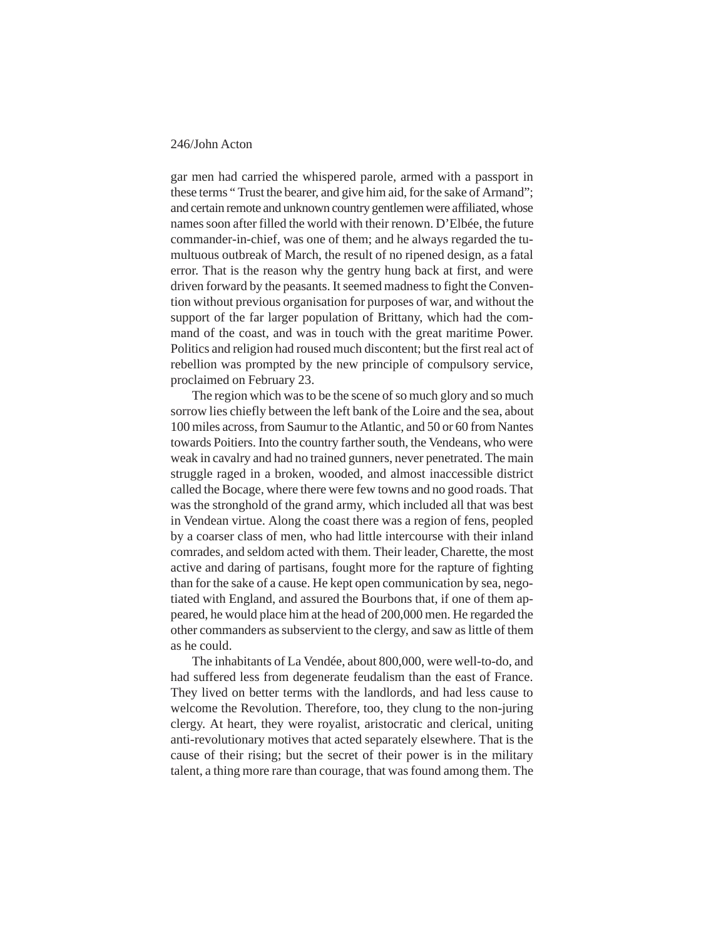gar men had carried the whispered parole, armed with a passport in these terms " Trust the bearer, and give him aid, for the sake of Armand"; and certain remote and unknown country gentlemen were affiliated, whose names soon after filled the world with their renown. D'Elbée, the future commander-in-chief, was one of them; and he always regarded the tumultuous outbreak of March, the result of no ripened design, as a fatal error. That is the reason why the gentry hung back at first, and were driven forward by the peasants. It seemed madness to fight the Convention without previous organisation for purposes of war, and without the support of the far larger population of Brittany, which had the command of the coast, and was in touch with the great maritime Power. Politics and religion had roused much discontent; but the first real act of rebellion was prompted by the new principle of compulsory service, proclaimed on February 23.

The region which was to be the scene of so much glory and so much sorrow lies chiefly between the left bank of the Loire and the sea, about 100 miles across, from Saumur to the Atlantic, and 50 or 60 from Nantes towards Poitiers. Into the country farther south, the Vendeans, who were weak in cavalry and had no trained gunners, never penetrated. The main struggle raged in a broken, wooded, and almost inaccessible district called the Bocage, where there were few towns and no good roads. That was the stronghold of the grand army, which included all that was best in Vendean virtue. Along the coast there was a region of fens, peopled by a coarser class of men, who had little intercourse with their inland comrades, and seldom acted with them. Their leader, Charette, the most active and daring of partisans, fought more for the rapture of fighting than for the sake of a cause. He kept open communication by sea, negotiated with England, and assured the Bourbons that, if one of them appeared, he would place him at the head of 200,000 men. He regarded the other commanders as subservient to the clergy, and saw as little of them as he could.

The inhabitants of La Vendée, about 800,000, were well-to-do, and had suffered less from degenerate feudalism than the east of France. They lived on better terms with the landlords, and had less cause to welcome the Revolution. Therefore, too, they clung to the non-juring clergy. At heart, they were royalist, aristocratic and clerical, uniting anti-revolutionary motives that acted separately elsewhere. That is the cause of their rising; but the secret of their power is in the military talent, a thing more rare than courage, that was found among them. The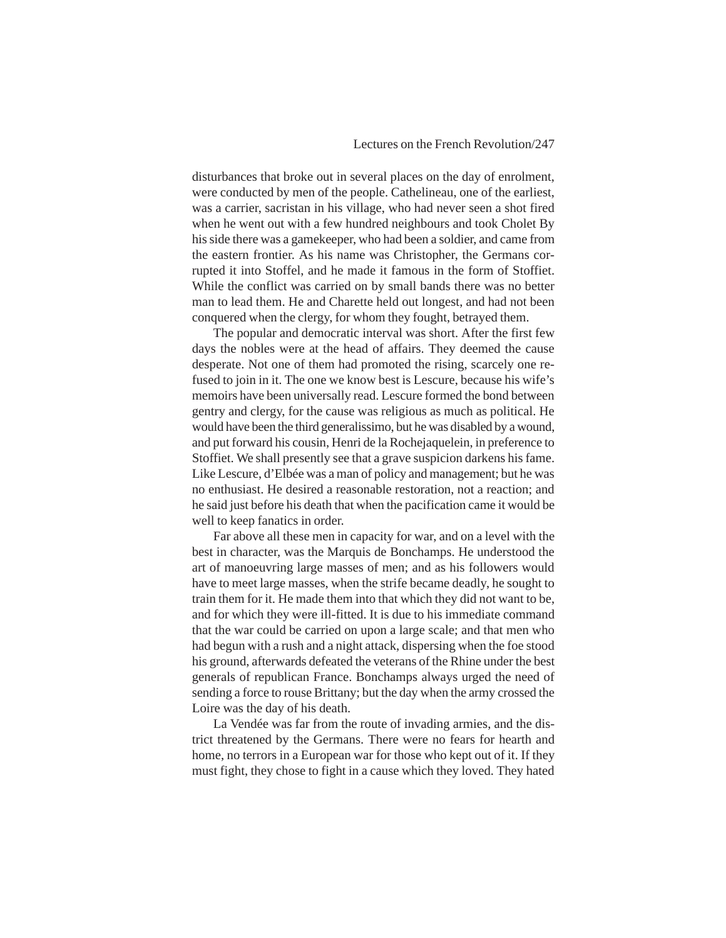disturbances that broke out in several places on the day of enrolment, were conducted by men of the people. Cathelineau, one of the earliest, was a carrier, sacristan in his village, who had never seen a shot fired when he went out with a few hundred neighbours and took Cholet By his side there was a gamekeeper, who had been a soldier, and came from the eastern frontier. As his name was Christopher, the Germans corrupted it into Stoffel, and he made it famous in the form of Stoffiet. While the conflict was carried on by small bands there was no better man to lead them. He and Charette held out longest, and had not been conquered when the clergy, for whom they fought, betrayed them.

The popular and democratic interval was short. After the first few days the nobles were at the head of affairs. They deemed the cause desperate. Not one of them had promoted the rising, scarcely one refused to join in it. The one we know best is Lescure, because his wife's memoirs have been universally read. Lescure formed the bond between gentry and clergy, for the cause was religious as much as political. He would have been the third generalissimo, but he was disabled by a wound, and put forward his cousin, Henri de la Rochejaquelein, in preference to Stoffiet. We shall presently see that a grave suspicion darkens his fame. Like Lescure, d'Elbée was a man of policy and management; but he was no enthusiast. He desired a reasonable restoration, not a reaction; and he said just before his death that when the pacification came it would be well to keep fanatics in order.

Far above all these men in capacity for war, and on a level with the best in character, was the Marquis de Bonchamps. He understood the art of manoeuvring large masses of men; and as his followers would have to meet large masses, when the strife became deadly, he sought to train them for it. He made them into that which they did not want to be, and for which they were ill-fitted. It is due to his immediate command that the war could be carried on upon a large scale; and that men who had begun with a rush and a night attack, dispersing when the foe stood his ground, afterwards defeated the veterans of the Rhine under the best generals of republican France. Bonchamps always urged the need of sending a force to rouse Brittany; but the day when the army crossed the Loire was the day of his death.

La Vendée was far from the route of invading armies, and the district threatened by the Germans. There were no fears for hearth and home, no terrors in a European war for those who kept out of it. If they must fight, they chose to fight in a cause which they loved. They hated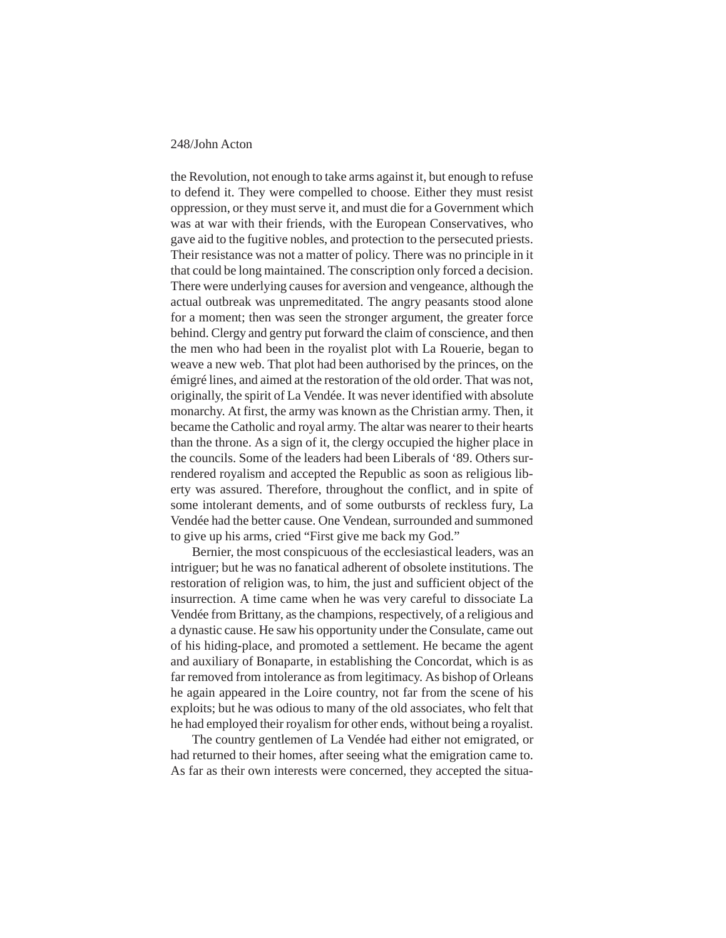the Revolution, not enough to take arms against it, but enough to refuse to defend it. They were compelled to choose. Either they must resist oppression, or they must serve it, and must die for a Government which was at war with their friends, with the European Conservatives, who gave aid to the fugitive nobles, and protection to the persecuted priests. Their resistance was not a matter of policy. There was no principle in it that could be long maintained. The conscription only forced a decision. There were underlying causes for aversion and vengeance, although the actual outbreak was unpremeditated. The angry peasants stood alone for a moment; then was seen the stronger argument, the greater force behind. Clergy and gentry put forward the claim of conscience, and then the men who had been in the royalist plot with La Rouerie, began to weave a new web. That plot had been authorised by the princes, on the émigré lines, and aimed at the restoration of the old order. That was not, originally, the spirit of La Vendée. It was never identified with absolute monarchy. At first, the army was known as the Christian army. Then, it became the Catholic and royal army. The altar was nearer to their hearts than the throne. As a sign of it, the clergy occupied the higher place in the councils. Some of the leaders had been Liberals of '89. Others surrendered royalism and accepted the Republic as soon as religious liberty was assured. Therefore, throughout the conflict, and in spite of some intolerant dements, and of some outbursts of reckless fury, La Vendée had the better cause. One Vendean, surrounded and summoned to give up his arms, cried "First give me back my God."

Bernier, the most conspicuous of the ecclesiastical leaders, was an intriguer; but he was no fanatical adherent of obsolete institutions. The restoration of religion was, to him, the just and sufficient object of the insurrection. A time came when he was very careful to dissociate La Vendée from Brittany, as the champions, respectively, of a religious and a dynastic cause. He saw his opportunity under the Consulate, came out of his hiding-place, and promoted a settlement. He became the agent and auxiliary of Bonaparte, in establishing the Concordat, which is as far removed from intolerance as from legitimacy. As bishop of Orleans he again appeared in the Loire country, not far from the scene of his exploits; but he was odious to many of the old associates, who felt that he had employed their royalism for other ends, without being a royalist.

The country gentlemen of La Vendée had either not emigrated, or had returned to their homes, after seeing what the emigration came to. As far as their own interests were concerned, they accepted the situa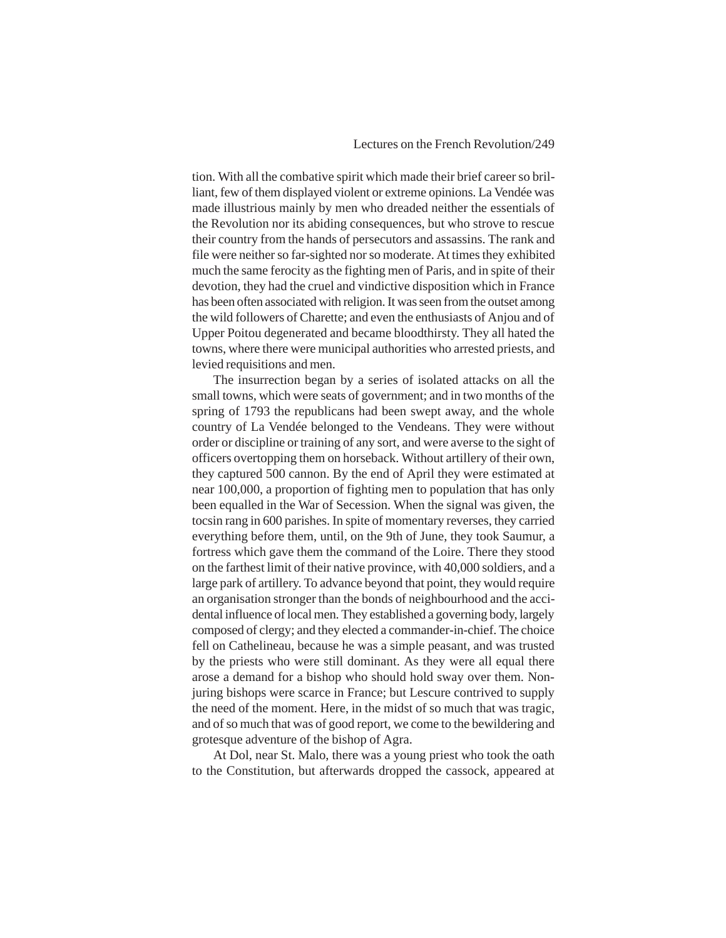tion. With all the combative spirit which made their brief career so brilliant, few of them displayed violent or extreme opinions. La Vendée was made illustrious mainly by men who dreaded neither the essentials of the Revolution nor its abiding consequences, but who strove to rescue their country from the hands of persecutors and assassins. The rank and file were neither so far-sighted nor so moderate. At times they exhibited much the same ferocity as the fighting men of Paris, and in spite of their devotion, they had the cruel and vindictive disposition which in France has been often associated with religion. It was seen from the outset among the wild followers of Charette; and even the enthusiasts of Anjou and of Upper Poitou degenerated and became bloodthirsty. They all hated the towns, where there were municipal authorities who arrested priests, and levied requisitions and men.

The insurrection began by a series of isolated attacks on all the small towns, which were seats of government; and in two months of the spring of 1793 the republicans had been swept away, and the whole country of La Vendée belonged to the Vendeans. They were without order or discipline or training of any sort, and were averse to the sight of officers overtopping them on horseback. Without artillery of their own, they captured 500 cannon. By the end of April they were estimated at near 100,000, a proportion of fighting men to population that has only been equalled in the War of Secession. When the signal was given, the tocsin rang in 600 parishes. In spite of momentary reverses, they carried everything before them, until, on the 9th of June, they took Saumur, a fortress which gave them the command of the Loire. There they stood on the farthest limit of their native province, with 40,000 soldiers, and a large park of artillery. To advance beyond that point, they would require an organisation stronger than the bonds of neighbourhood and the accidental influence of local men. They established a governing body, largely composed of clergy; and they elected a commander-in-chief. The choice fell on Cathelineau, because he was a simple peasant, and was trusted by the priests who were still dominant. As they were all equal there arose a demand for a bishop who should hold sway over them. Nonjuring bishops were scarce in France; but Lescure contrived to supply the need of the moment. Here, in the midst of so much that was tragic, and of so much that was of good report, we come to the bewildering and grotesque adventure of the bishop of Agra.

At Dol, near St. Malo, there was a young priest who took the oath to the Constitution, but afterwards dropped the cassock, appeared at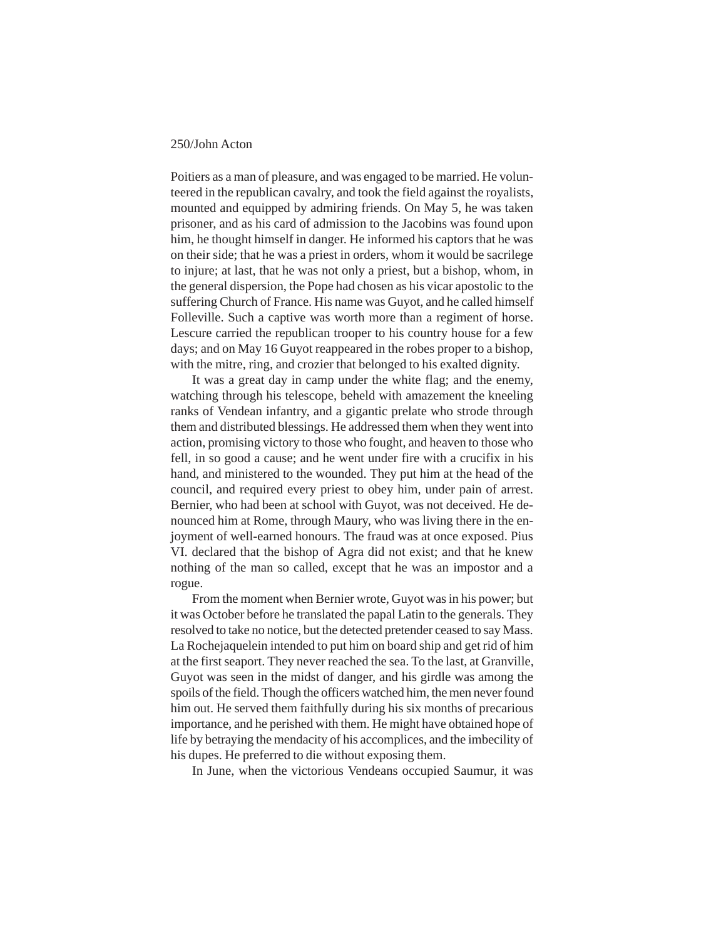Poitiers as a man of pleasure, and was engaged to be married. He volunteered in the republican cavalry, and took the field against the royalists, mounted and equipped by admiring friends. On May 5, he was taken prisoner, and as his card of admission to the Jacobins was found upon him, he thought himself in danger. He informed his captors that he was on their side; that he was a priest in orders, whom it would be sacrilege to injure; at last, that he was not only a priest, but a bishop, whom, in the general dispersion, the Pope had chosen as his vicar apostolic to the suffering Church of France. His name was Guyot, and he called himself Folleville. Such a captive was worth more than a regiment of horse. Lescure carried the republican trooper to his country house for a few days; and on May 16 Guyot reappeared in the robes proper to a bishop, with the mitre, ring, and crozier that belonged to his exalted dignity.

It was a great day in camp under the white flag; and the enemy, watching through his telescope, beheld with amazement the kneeling ranks of Vendean infantry, and a gigantic prelate who strode through them and distributed blessings. He addressed them when they went into action, promising victory to those who fought, and heaven to those who fell, in so good a cause; and he went under fire with a crucifix in his hand, and ministered to the wounded. They put him at the head of the council, and required every priest to obey him, under pain of arrest. Bernier, who had been at school with Guyot, was not deceived. He denounced him at Rome, through Maury, who was living there in the enjoyment of well-earned honours. The fraud was at once exposed. Pius VI. declared that the bishop of Agra did not exist; and that he knew nothing of the man so called, except that he was an impostor and a rogue.

From the moment when Bernier wrote, Guyot was in his power; but it was October before he translated the papal Latin to the generals. They resolved to take no notice, but the detected pretender ceased to say Mass. La Rochejaquelein intended to put him on board ship and get rid of him at the first seaport. They never reached the sea. To the last, at Granville, Guyot was seen in the midst of danger, and his girdle was among the spoils of the field. Though the officers watched him, the men never found him out. He served them faithfully during his six months of precarious importance, and he perished with them. He might have obtained hope of life by betraying the mendacity of his accomplices, and the imbecility of his dupes. He preferred to die without exposing them.

In June, when the victorious Vendeans occupied Saumur, it was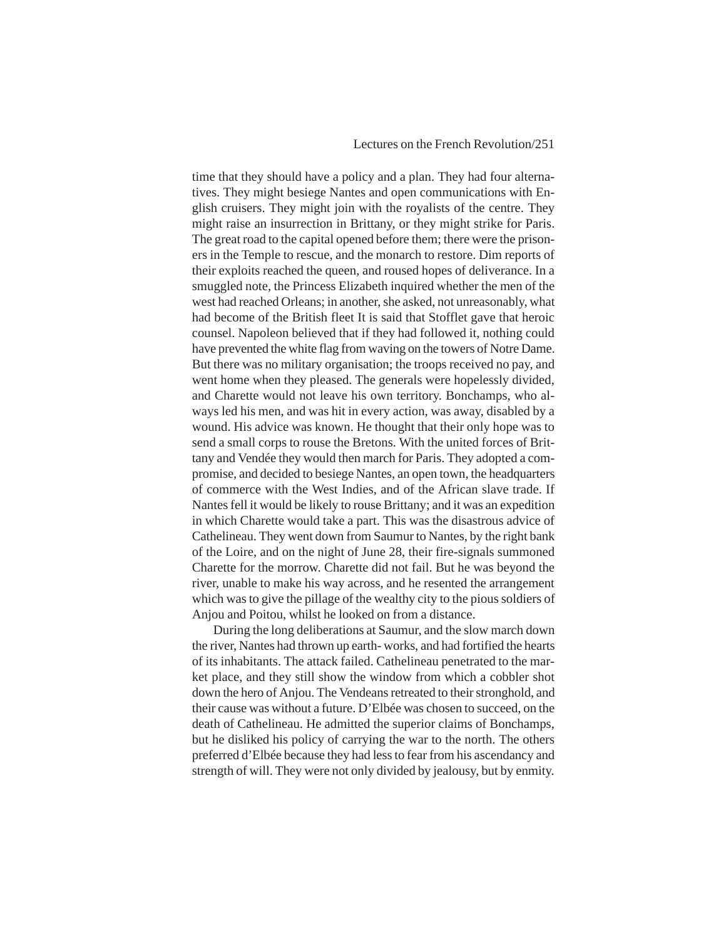time that they should have a policy and a plan. They had four alternatives. They might besiege Nantes and open communications with English cruisers. They might join with the royalists of the centre. They might raise an insurrection in Brittany, or they might strike for Paris. The great road to the capital opened before them; there were the prisoners in the Temple to rescue, and the monarch to restore. Dim reports of their exploits reached the queen, and roused hopes of deliverance. In a smuggled note, the Princess Elizabeth inquired whether the men of the west had reached Orleans; in another, she asked, not unreasonably, what had become of the British fleet It is said that Stofflet gave that heroic counsel. Napoleon believed that if they had followed it, nothing could have prevented the white flag from waving on the towers of Notre Dame. But there was no military organisation; the troops received no pay, and went home when they pleased. The generals were hopelessly divided, and Charette would not leave his own territory. Bonchamps, who always led his men, and was hit in every action, was away, disabled by a wound. His advice was known. He thought that their only hope was to send a small corps to rouse the Bretons. With the united forces of Brittany and Vendée they would then march for Paris. They adopted a compromise, and decided to besiege Nantes, an open town, the headquarters of commerce with the West Indies, and of the African slave trade. If Nantes fell it would be likely to rouse Brittany; and it was an expedition in which Charette would take a part. This was the disastrous advice of Cathelineau. They went down from Saumur to Nantes, by the right bank of the Loire, and on the night of June 28, their fire-signals summoned Charette for the morrow. Charette did not fail. But he was beyond the river, unable to make his way across, and he resented the arrangement which was to give the pillage of the wealthy city to the pious soldiers of Anjou and Poitou, whilst he looked on from a distance.

During the long deliberations at Saumur, and the slow march down the river, Nantes had thrown up earth- works, and had fortified the hearts of its inhabitants. The attack failed. Cathelineau penetrated to the market place, and they still show the window from which a cobbler shot down the hero of Anjou. The Vendeans retreated to their stronghold, and their cause was without a future. D'Elbée was chosen to succeed, on the death of Cathelineau. He admitted the superior claims of Bonchamps, but he disliked his policy of carrying the war to the north. The others preferred d'Elbée because they had less to fear from his ascendancy and strength of will. They were not only divided by jealousy, but by enmity.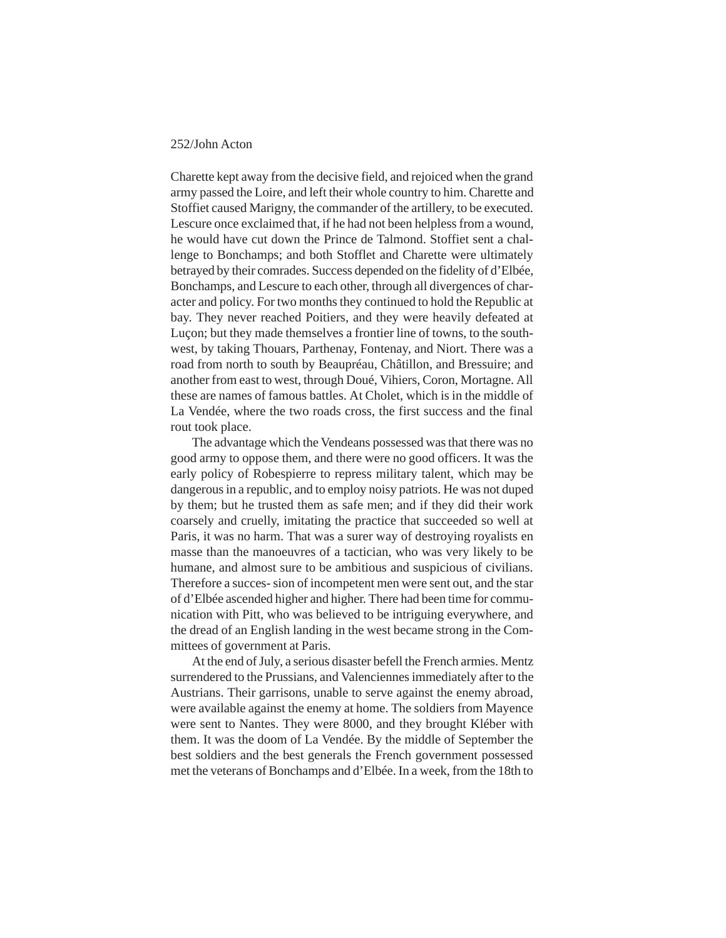Charette kept away from the decisive field, and rejoiced when the grand army passed the Loire, and left their whole country to him. Charette and Stoffiet caused Marigny, the commander of the artillery, to be executed. Lescure once exclaimed that, if he had not been helpless from a wound, he would have cut down the Prince de Talmond. Stoffiet sent a challenge to Bonchamps; and both Stofflet and Charette were ultimately betrayed by their comrades. Success depended on the fidelity of d'Elbée, Bonchamps, and Lescure to each other, through all divergences of character and policy. For two months they continued to hold the Republic at bay. They never reached Poitiers, and they were heavily defeated at Luçon; but they made themselves a frontier line of towns, to the southwest, by taking Thouars, Parthenay, Fontenay, and Niort. There was a road from north to south by Beaupréau, Châtillon, and Bressuire; and another from east to west, through Doué, Vihiers, Coron, Mortagne. All these are names of famous battles. At Cholet, which is in the middle of La Vendée, where the two roads cross, the first success and the final rout took place.

The advantage which the Vendeans possessed was that there was no good army to oppose them, and there were no good officers. It was the early policy of Robespierre to repress military talent, which may be dangerous in a republic, and to employ noisy patriots. He was not duped by them; but he trusted them as safe men; and if they did their work coarsely and cruelly, imitating the practice that succeeded so well at Paris, it was no harm. That was a surer way of destroying royalists en masse than the manoeuvres of a tactician, who was very likely to be humane, and almost sure to be ambitious and suspicious of civilians. Therefore a succes- sion of incompetent men were sent out, and the star of d'Elbée ascended higher and higher. There had been time for communication with Pitt, who was believed to be intriguing everywhere, and the dread of an English landing in the west became strong in the Committees of government at Paris.

At the end of July, a serious disaster befell the French armies. Mentz surrendered to the Prussians, and Valenciennes immediately after to the Austrians. Their garrisons, unable to serve against the enemy abroad, were available against the enemy at home. The soldiers from Mayence were sent to Nantes. They were 8000, and they brought Kléber with them. It was the doom of La Vendée. By the middle of September the best soldiers and the best generals the French government possessed met the veterans of Bonchamps and d'Elbée. In a week, from the 18th to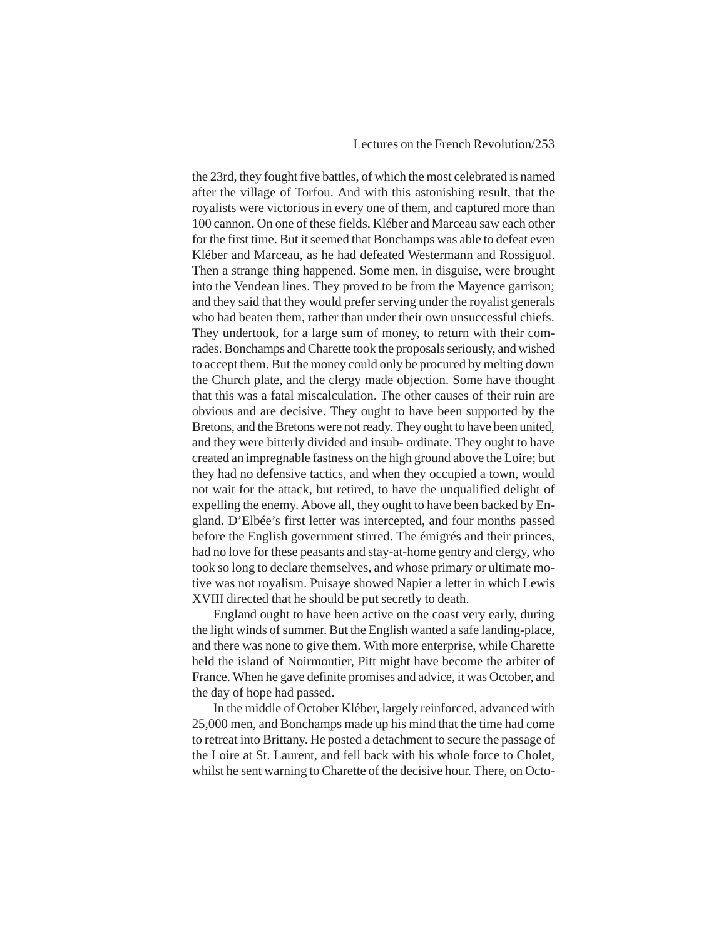the 23rd, they fought five battles, of which the most celebrated is named after the village of Torfou. And with this astonishing result, that the royalists were victorious in every one of them, and captured more than 100 cannon. On one of these fields, Kléber and Marceau saw each other for the first time. But it seemed that Bonchamps was able to defeat even Kléber and Marceau, as he had defeated Westermann and Rossiguol. Then a strange thing happened. Some men, in disguise, were brought into the Vendean lines. They proved to be from the Mayence garrison; and they said that they would prefer serving under the royalist generals who had beaten them, rather than under their own unsuccessful chiefs. They undertook, for a large sum of money, to return with their comrades. Bonchamps and Charette took the proposals seriously, and wished to accept them. But the money could only be procured by melting down the Church plate, and the clergy made objection. Some have thought that this was a fatal miscalculation. The other causes of their ruin are obvious and are decisive. They ought to have been supported by the Bretons, and the Bretons were not ready. They ought to have been united, and they were bitterly divided and insub- ordinate. They ought to have created an impregnable fastness on the high ground above the Loire; but they had no defensive tactics, and when they occupied a town, would not wait for the attack, but retired, to have the unqualified delight of expelling the enemy. Above all, they ought to have been backed by England. D'Elbée's first letter was intercepted, and four months passed before the English government stirred. The émigrés and their princes, had no love for these peasants and stay-at-home gentry and clergy, who took so long to declare themselves, and whose primary or ultimate motive was not royalism. Puisaye showed Napier a letter in which Lewis XVIII directed that he should be put secretly to death.

England ought to have been active on the coast very early, during the light winds of summer. But the English wanted a safe landing-place, and there was none to give them. With more enterprise, while Charette held the island of Noirmoutier, Pitt might have become the arbiter of France. When he gave definite promises and advice, it was October, and the day of hope had passed.

In the middle of October Kléber, largely reinforced, advanced with 25,000 men, and Bonchamps made up his mind that the time had come to retreat into Brittany. He posted a detachment to secure the passage of the Loire at St. Laurent, and fell back with his whole force to Cholet, whilst he sent warning to Charette of the decisive hour. There, on Octo-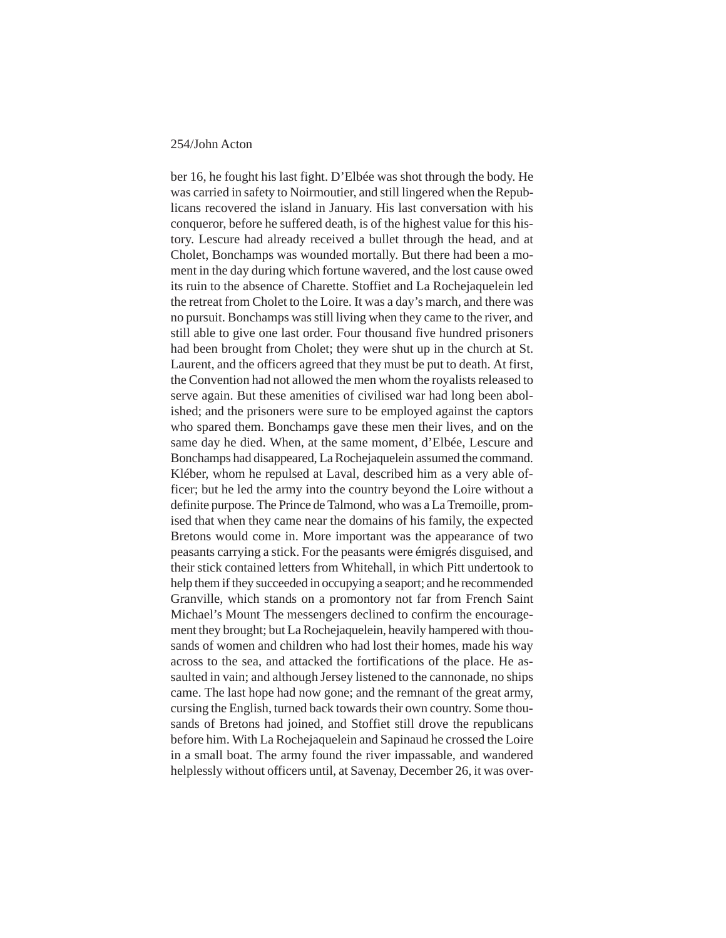ber 16, he fought his last fight. D'Elbée was shot through the body. He was carried in safety to Noirmoutier, and still lingered when the Republicans recovered the island in January. His last conversation with his conqueror, before he suffered death, is of the highest value for this history. Lescure had already received a bullet through the head, and at Cholet, Bonchamps was wounded mortally. But there had been a moment in the day during which fortune wavered, and the lost cause owed its ruin to the absence of Charette. Stoffiet and La Rochejaquelein led the retreat from Cholet to the Loire. It was a day's march, and there was no pursuit. Bonchamps was still living when they came to the river, and still able to give one last order. Four thousand five hundred prisoners had been brought from Cholet; they were shut up in the church at St. Laurent, and the officers agreed that they must be put to death. At first, the Convention had not allowed the men whom the royalists released to serve again. But these amenities of civilised war had long been abolished; and the prisoners were sure to be employed against the captors who spared them. Bonchamps gave these men their lives, and on the same day he died. When, at the same moment, d'Elbée, Lescure and Bonchamps had disappeared, La Rochejaquelein assumed the command. Kléber, whom he repulsed at Laval, described him as a very able officer; but he led the army into the country beyond the Loire without a definite purpose. The Prince de Talmond, who was a La Tremoille, promised that when they came near the domains of his family, the expected Bretons would come in. More important was the appearance of two peasants carrying a stick. For the peasants were émigrés disguised, and their stick contained letters from Whitehall, in which Pitt undertook to help them if they succeeded in occupying a seaport; and he recommended Granville, which stands on a promontory not far from French Saint Michael's Mount The messengers declined to confirm the encouragement they brought; but La Rochejaquelein, heavily hampered with thousands of women and children who had lost their homes, made his way across to the sea, and attacked the fortifications of the place. He assaulted in vain; and although Jersey listened to the cannonade, no ships came. The last hope had now gone; and the remnant of the great army, cursing the English, turned back towards their own country. Some thousands of Bretons had joined, and Stoffiet still drove the republicans before him. With La Rochejaquelein and Sapinaud he crossed the Loire in a small boat. The army found the river impassable, and wandered helplessly without officers until, at Savenay, December 26, it was over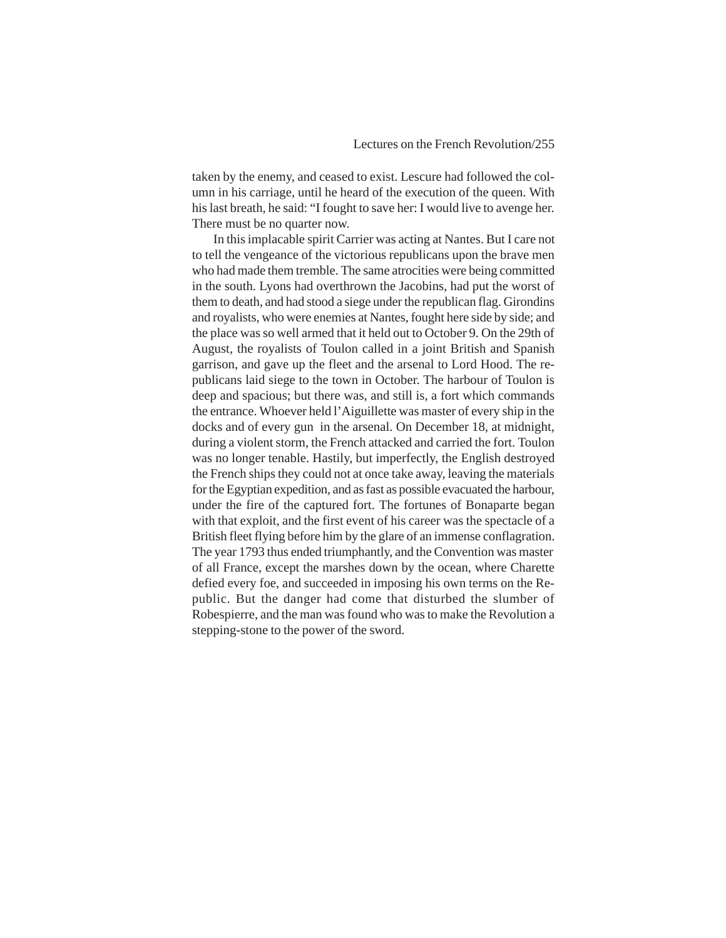taken by the enemy, and ceased to exist. Lescure had followed the column in his carriage, until he heard of the execution of the queen. With his last breath, he said: "I fought to save her: I would live to avenge her. There must be no quarter now.

In this implacable spirit Carrier was acting at Nantes. But I care not to tell the vengeance of the victorious republicans upon the brave men who had made them tremble. The same atrocities were being committed in the south. Lyons had overthrown the Jacobins, had put the worst of them to death, and had stood a siege under the republican flag. Girondins and royalists, who were enemies at Nantes, fought here side by side; and the place was so well armed that it held out to October 9. On the 29th of August, the royalists of Toulon called in a joint British and Spanish garrison, and gave up the fleet and the arsenal to Lord Hood. The republicans laid siege to the town in October. The harbour of Toulon is deep and spacious; but there was, and still is, a fort which commands the entrance. Whoever held l'Aiguillette was master of every ship in the docks and of every gun in the arsenal. On December 18, at midnight, during a violent storm, the French attacked and carried the fort. Toulon was no longer tenable. Hastily, but imperfectly, the English destroyed the French ships they could not at once take away, leaving the materials for the Egyptian expedition, and as fast as possible evacuated the harbour, under the fire of the captured fort. The fortunes of Bonaparte began with that exploit, and the first event of his career was the spectacle of a British fleet flying before him by the glare of an immense conflagration. The year 1793 thus ended triumphantly, and the Convention was master of all France, except the marshes down by the ocean, where Charette defied every foe, and succeeded in imposing his own terms on the Republic. But the danger had come that disturbed the slumber of Robespierre, and the man was found who was to make the Revolution a stepping-stone to the power of the sword.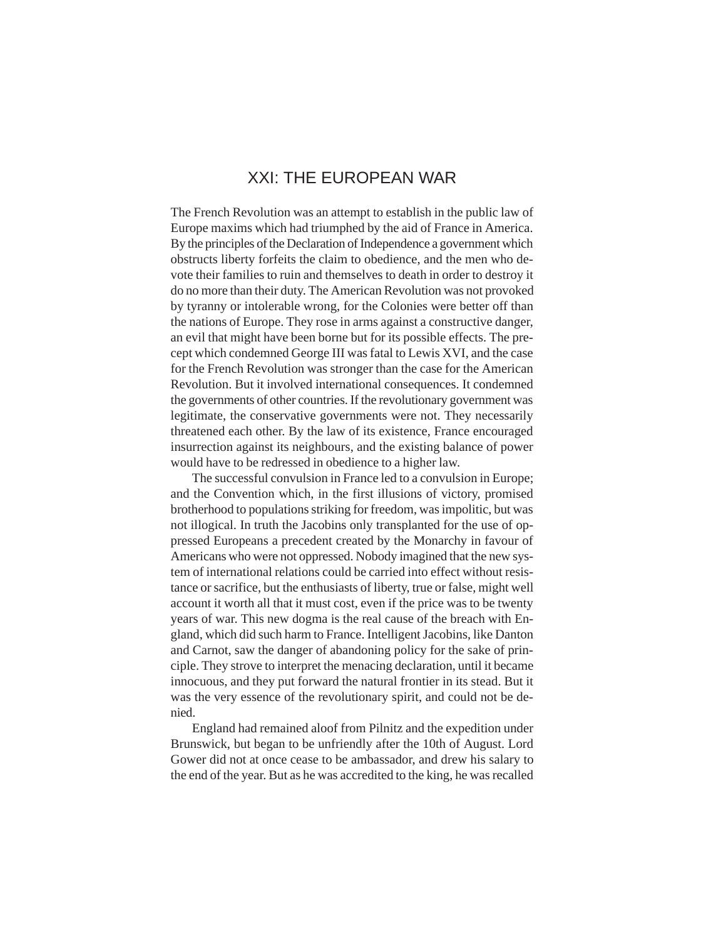# XXI: THE EUROPEAN WAR

The French Revolution was an attempt to establish in the public law of Europe maxims which had triumphed by the aid of France in America. By the principles of the Declaration of Independence a government which obstructs liberty forfeits the claim to obedience, and the men who devote their families to ruin and themselves to death in order to destroy it do no more than their duty. The American Revolution was not provoked by tyranny or intolerable wrong, for the Colonies were better off than the nations of Europe. They rose in arms against a constructive danger, an evil that might have been borne but for its possible effects. The precept which condemned George III was fatal to Lewis XVI, and the case for the French Revolution was stronger than the case for the American Revolution. But it involved international consequences. It condemned the governments of other countries. If the revolutionary government was legitimate, the conservative governments were not. They necessarily threatened each other. By the law of its existence, France encouraged insurrection against its neighbours, and the existing balance of power would have to be redressed in obedience to a higher law.

The successful convulsion in France led to a convulsion in Europe; and the Convention which, in the first illusions of victory, promised brotherhood to populations striking for freedom, was impolitic, but was not illogical. In truth the Jacobins only transplanted for the use of oppressed Europeans a precedent created by the Monarchy in favour of Americans who were not oppressed. Nobody imagined that the new system of international relations could be carried into effect without resistance or sacrifice, but the enthusiasts of liberty, true or false, might well account it worth all that it must cost, even if the price was to be twenty years of war. This new dogma is the real cause of the breach with England, which did such harm to France. Intelligent Jacobins, like Danton and Carnot, saw the danger of abandoning policy for the sake of principle. They strove to interpret the menacing declaration, until it became innocuous, and they put forward the natural frontier in its stead. But it was the very essence of the revolutionary spirit, and could not be denied.

England had remained aloof from Pilnitz and the expedition under Brunswick, but began to be unfriendly after the 10th of August. Lord Gower did not at once cease to be ambassador, and drew his salary to the end of the year. But as he was accredited to the king, he was recalled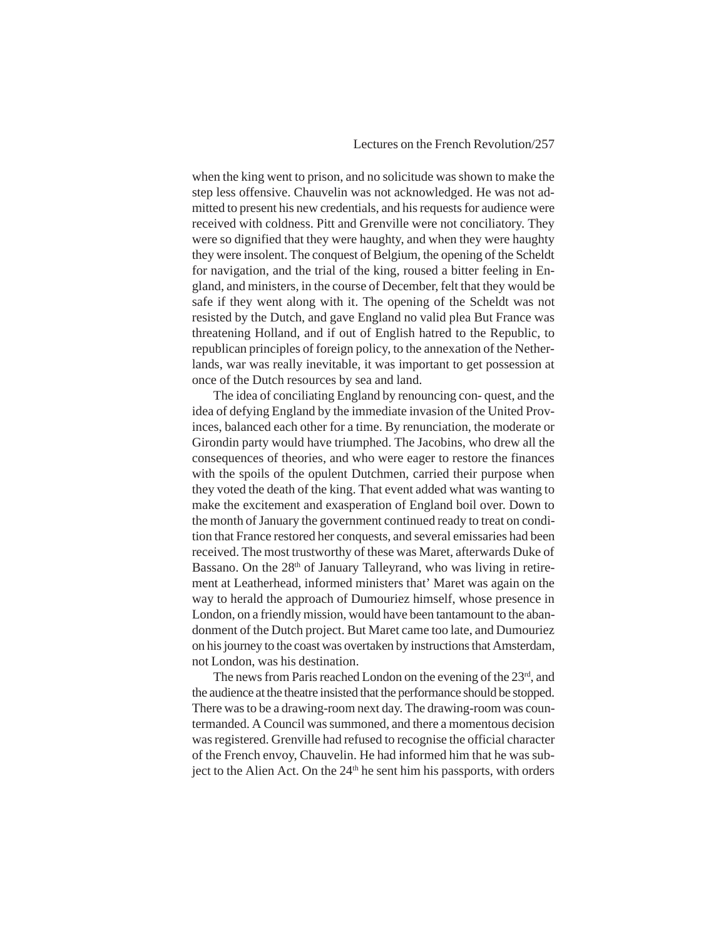when the king went to prison, and no solicitude was shown to make the step less offensive. Chauvelin was not acknowledged. He was not admitted to present his new credentials, and his requests for audience were received with coldness. Pitt and Grenville were not conciliatory. They were so dignified that they were haughty, and when they were haughty they were insolent. The conquest of Belgium, the opening of the Scheldt for navigation, and the trial of the king, roused a bitter feeling in England, and ministers, in the course of December, felt that they would be safe if they went along with it. The opening of the Scheldt was not resisted by the Dutch, and gave England no valid plea But France was threatening Holland, and if out of English hatred to the Republic, to republican principles of foreign policy, to the annexation of the Netherlands, war was really inevitable, it was important to get possession at once of the Dutch resources by sea and land.

The idea of conciliating England by renouncing con- quest, and the idea of defying England by the immediate invasion of the United Provinces, balanced each other for a time. By renunciation, the moderate or Girondin party would have triumphed. The Jacobins, who drew all the consequences of theories, and who were eager to restore the finances with the spoils of the opulent Dutchmen, carried their purpose when they voted the death of the king. That event added what was wanting to make the excitement and exasperation of England boil over. Down to the month of January the government continued ready to treat on condition that France restored her conquests, and several emissaries had been received. The most trustworthy of these was Maret, afterwards Duke of Bassano. On the 28<sup>th</sup> of January Talleyrand, who was living in retirement at Leatherhead, informed ministers that' Maret was again on the way to herald the approach of Dumouriez himself, whose presence in London, on a friendly mission, would have been tantamount to the abandonment of the Dutch project. But Maret came too late, and Dumouriez on his journey to the coast was overtaken by instructions that Amsterdam, not London, was his destination.

The news from Paris reached London on the evening of the 23<sup>rd</sup>, and the audience at the theatre insisted that the performance should be stopped. There was to be a drawing-room next day. The drawing-room was countermanded. A Council was summoned, and there a momentous decision was registered. Grenville had refused to recognise the official character of the French envoy, Chauvelin. He had informed him that he was subject to the Alien Act. On the 24<sup>th</sup> he sent him his passports, with orders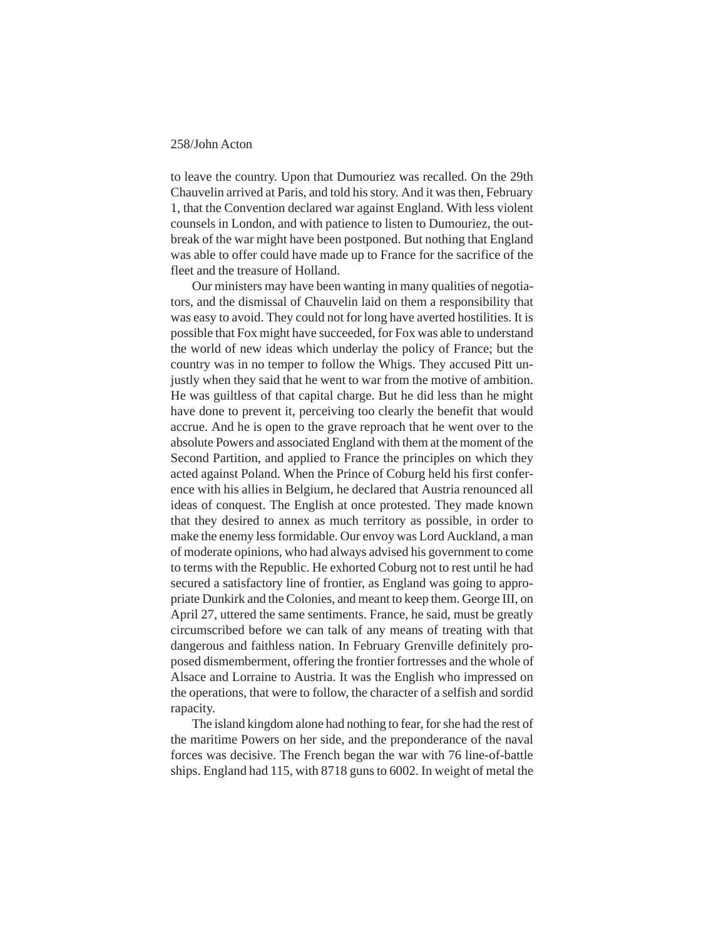to leave the country. Upon that Dumouriez was recalled. On the 29th Chauvelin arrived at Paris, and told his story. And it was then, February 1, that the Convention declared war against England. With less violent counsels in London, and with patience to listen to Dumouriez, the outbreak of the war might have been postponed. But nothing that England was able to offer could have made up to France for the sacrifice of the fleet and the treasure of Holland.

Our ministers may have been wanting in many qualities of negotiators, and the dismissal of Chauvelin laid on them a responsibility that was easy to avoid. They could not for long have averted hostilities. It is possible that Fox might have succeeded, for Fox was able to understand the world of new ideas which underlay the policy of France; but the country was in no temper to follow the Whigs. They accused Pitt unjustly when they said that he went to war from the motive of ambition. He was guiltless of that capital charge. But he did less than he might have done to prevent it, perceiving too clearly the benefit that would accrue. And he is open to the grave reproach that he went over to the absolute Powers and associated England with them at the moment of the Second Partition, and applied to France the principles on which they acted against Poland. When the Prince of Coburg held his first conference with his allies in Belgium, he declared that Austria renounced all ideas of conquest. The English at once protested. They made known that they desired to annex as much territory as possible, in order to make the enemy less formidable. Our envoy was Lord Auckland, a man of moderate opinions, who had always advised his government to come to terms with the Republic. He exhorted Coburg not to rest until he had secured a satisfactory line of frontier, as England was going to appropriate Dunkirk and the Colonies, and meant to keep them. George III, on April 27, uttered the same sentiments. France, he said, must be greatly circumscribed before we can talk of any means of treating with that dangerous and faithless nation. In February Grenville definitely proposed dismemberment, offering the frontier fortresses and the whole of Alsace and Lorraine to Austria. It was the English who impressed on the operations, that were to follow, the character of a selfish and sordid rapacity.

The island kingdom alone had nothing to fear, for she had the rest of the maritime Powers on her side, and the preponderance of the naval forces was decisive. The French began the war with 76 line-of-battle ships. England had 115, with 8718 guns to 6002. In weight of metal the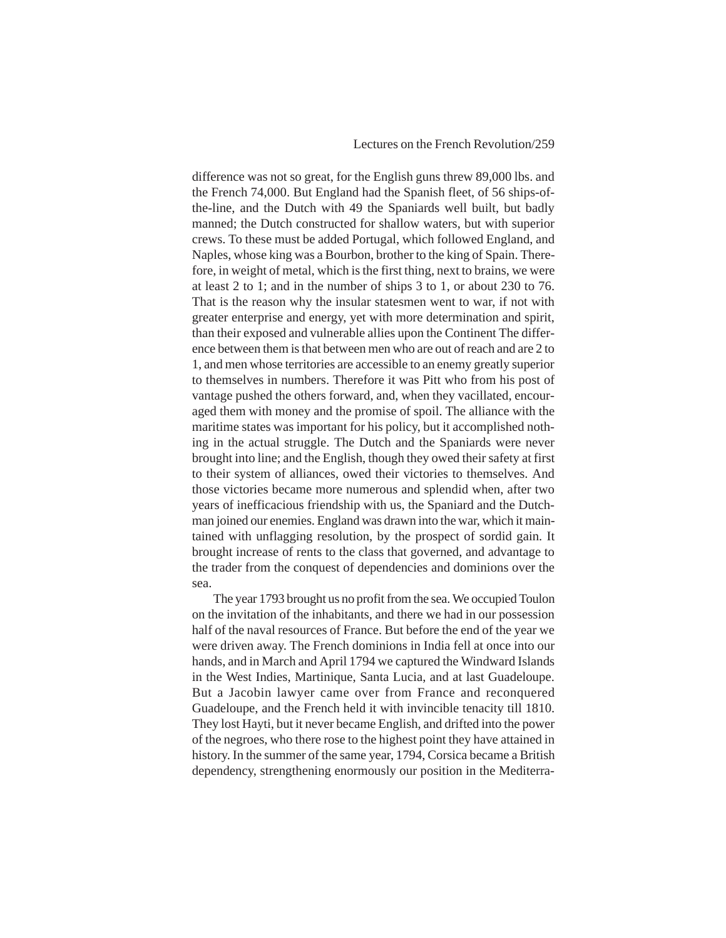difference was not so great, for the English guns threw 89,000 lbs. and the French 74,000. But England had the Spanish fleet, of 56 ships-ofthe-line, and the Dutch with 49 the Spaniards well built, but badly manned; the Dutch constructed for shallow waters, but with superior crews. To these must be added Portugal, which followed England, and Naples, whose king was a Bourbon, brother to the king of Spain. Therefore, in weight of metal, which is the first thing, next to brains, we were at least 2 to 1; and in the number of ships 3 to 1, or about 230 to 76. That is the reason why the insular statesmen went to war, if not with greater enterprise and energy, yet with more determination and spirit, than their exposed and vulnerable allies upon the Continent The difference between them is that between men who are out of reach and are 2 to 1, and men whose territories are accessible to an enemy greatly superior to themselves in numbers. Therefore it was Pitt who from his post of vantage pushed the others forward, and, when they vacillated, encouraged them with money and the promise of spoil. The alliance with the maritime states was important for his policy, but it accomplished nothing in the actual struggle. The Dutch and the Spaniards were never brought into line; and the English, though they owed their safety at first to their system of alliances, owed their victories to themselves. And those victories became more numerous and splendid when, after two years of inefficacious friendship with us, the Spaniard and the Dutchman joined our enemies. England was drawn into the war, which it maintained with unflagging resolution, by the prospect of sordid gain. It brought increase of rents to the class that governed, and advantage to the trader from the conquest of dependencies and dominions over the sea.

The year 1793 brought us no profit from the sea. We occupied Toulon on the invitation of the inhabitants, and there we had in our possession half of the naval resources of France. But before the end of the year we were driven away. The French dominions in India fell at once into our hands, and in March and April 1794 we captured the Windward Islands in the West Indies, Martinique, Santa Lucia, and at last Guadeloupe. But a Jacobin lawyer came over from France and reconquered Guadeloupe, and the French held it with invincible tenacity till 1810. They lost Hayti, but it never became English, and drifted into the power of the negroes, who there rose to the highest point they have attained in history. In the summer of the same year, 1794, Corsica became a British dependency, strengthening enormously our position in the Mediterra-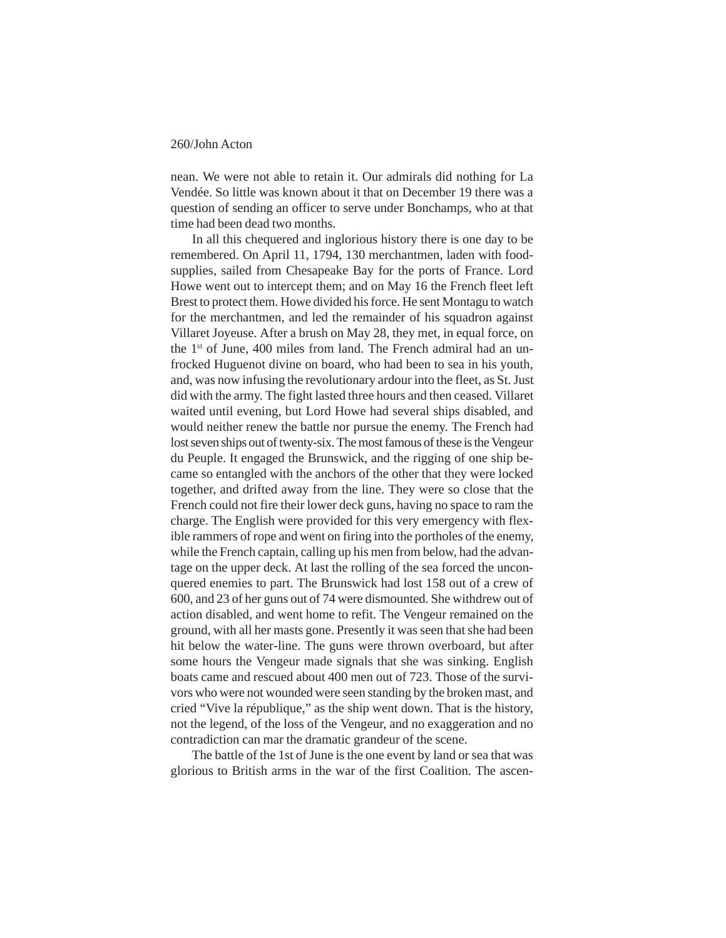nean. We were not able to retain it. Our admirals did nothing for La Vendée. So little was known about it that on December 19 there was a question of sending an officer to serve under Bonchamps, who at that time had been dead two months.

In all this chequered and inglorious history there is one day to be remembered. On April 11, 1794, 130 merchantmen, laden with foodsupplies, sailed from Chesapeake Bay for the ports of France. Lord Howe went out to intercept them; and on May 16 the French fleet left Brest to protect them. Howe divided his force. He sent Montagu to watch for the merchantmen, and led the remainder of his squadron against Villaret Joyeuse. After a brush on May 28, they met, in equal force, on the 1st of June, 400 miles from land. The French admiral had an unfrocked Huguenot divine on board, who had been to sea in his youth, and, was now infusing the revolutionary ardour into the fleet, as St. Just did with the army. The fight lasted three hours and then ceased. Villaret waited until evening, but Lord Howe had several ships disabled, and would neither renew the battle nor pursue the enemy. The French had lost seven ships out of twenty-six. The most famous of these is the Vengeur du Peuple. It engaged the Brunswick, and the rigging of one ship became so entangled with the anchors of the other that they were locked together, and drifted away from the line. They were so close that the French could not fire their lower deck guns, having no space to ram the charge. The English were provided for this very emergency with flexible rammers of rope and went on firing into the portholes of the enemy, while the French captain, calling up his men from below, had the advantage on the upper deck. At last the rolling of the sea forced the unconquered enemies to part. The Brunswick had lost 158 out of a crew of 600, and 23 of her guns out of 74 were dismounted. She withdrew out of action disabled, and went home to refit. The Vengeur remained on the ground, with all her masts gone. Presently it was seen that she had been hit below the water-line. The guns were thrown overboard, but after some hours the Vengeur made signals that she was sinking. English boats came and rescued about 400 men out of 723. Those of the survivors who were not wounded were seen standing by the broken mast, and cried "Vive la république," as the ship went down. That is the history, not the legend, of the loss of the Vengeur, and no exaggeration and no contradiction can mar the dramatic grandeur of the scene.

The battle of the 1st of June is the one event by land or sea that was glorious to British arms in the war of the first Coalition. The ascen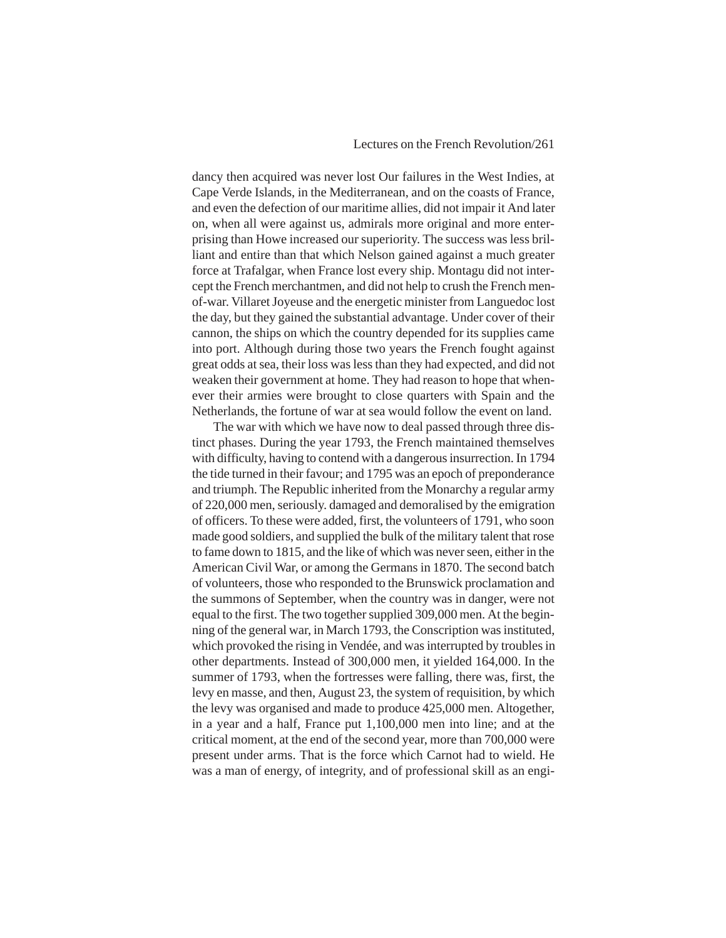dancy then acquired was never lost Our failures in the West Indies, at Cape Verde Islands, in the Mediterranean, and on the coasts of France, and even the defection of our maritime allies, did not impair it And later on, when all were against us, admirals more original and more enterprising than Howe increased our superiority. The success was less brilliant and entire than that which Nelson gained against a much greater force at Trafalgar, when France lost every ship. Montagu did not intercept the French merchantmen, and did not help to crush the French menof-war. Villaret Joyeuse and the energetic minister from Languedoc lost the day, but they gained the substantial advantage. Under cover of their cannon, the ships on which the country depended for its supplies came into port. Although during those two years the French fought against great odds at sea, their loss was less than they had expected, and did not weaken their government at home. They had reason to hope that whenever their armies were brought to close quarters with Spain and the Netherlands, the fortune of war at sea would follow the event on land.

The war with which we have now to deal passed through three distinct phases. During the year 1793, the French maintained themselves with difficulty, having to contend with a dangerous insurrection. In 1794 the tide turned in their favour; and 1795 was an epoch of preponderance and triumph. The Republic inherited from the Monarchy a regular army of 220,000 men, seriously. damaged and demoralised by the emigration of officers. To these were added, first, the volunteers of 1791, who soon made good soldiers, and supplied the bulk of the military talent that rose to fame down to 1815, and the like of which was never seen, either in the American Civil War, or among the Germans in 1870. The second batch of volunteers, those who responded to the Brunswick proclamation and the summons of September, when the country was in danger, were not equal to the first. The two together supplied 309,000 men. At the beginning of the general war, in March 1793, the Conscription was instituted, which provoked the rising in Vendée, and was interrupted by troubles in other departments. Instead of 300,000 men, it yielded 164,000. In the summer of 1793, when the fortresses were falling, there was, first, the levy en masse, and then, August 23, the system of requisition, by which the levy was organised and made to produce 425,000 men. Altogether, in a year and a half, France put 1,100,000 men into line; and at the critical moment, at the end of the second year, more than 700,000 were present under arms. That is the force which Carnot had to wield. He was a man of energy, of integrity, and of professional skill as an engi-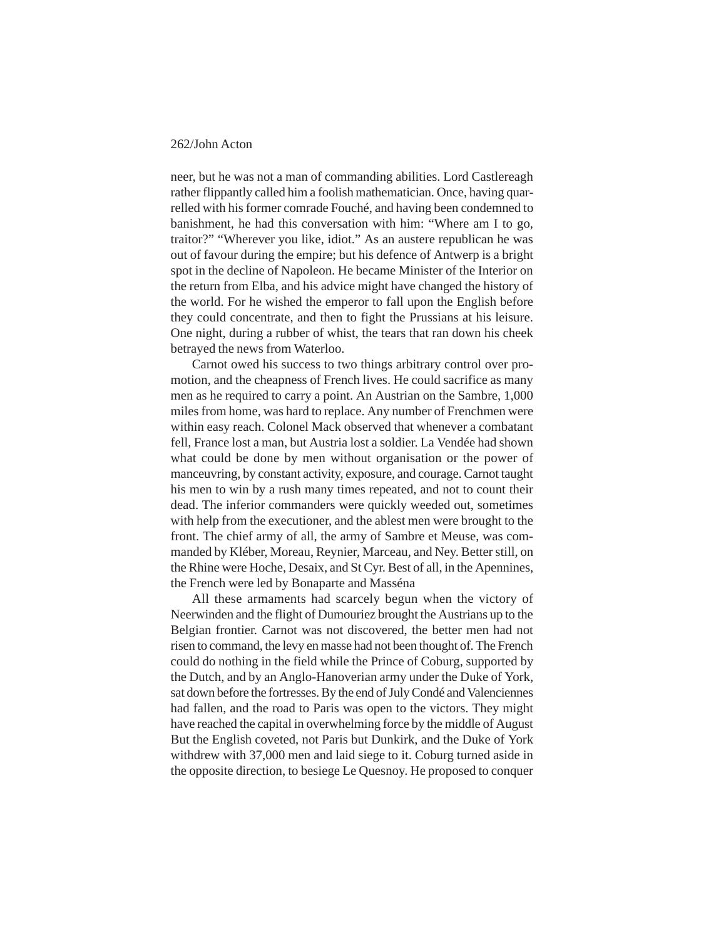neer, but he was not a man of commanding abilities. Lord Castlereagh rather flippantly called him a foolish mathematician. Once, having quarrelled with his former comrade Fouché, and having been condemned to banishment, he had this conversation with him: "Where am I to go, traitor?" "Wherever you like, idiot." As an austere republican he was out of favour during the empire; but his defence of Antwerp is a bright spot in the decline of Napoleon. He became Minister of the Interior on the return from Elba, and his advice might have changed the history of the world. For he wished the emperor to fall upon the English before they could concentrate, and then to fight the Prussians at his leisure. One night, during a rubber of whist, the tears that ran down his cheek betrayed the news from Waterloo.

Carnot owed his success to two things arbitrary control over promotion, and the cheapness of French lives. He could sacrifice as many men as he required to carry a point. An Austrian on the Sambre, 1,000 miles from home, was hard to replace. Any number of Frenchmen were within easy reach. Colonel Mack observed that whenever a combatant fell, France lost a man, but Austria lost a soldier. La Vendée had shown what could be done by men without organisation or the power of manceuvring, by constant activity, exposure, and courage. Carnot taught his men to win by a rush many times repeated, and not to count their dead. The inferior commanders were quickly weeded out, sometimes with help from the executioner, and the ablest men were brought to the front. The chief army of all, the army of Sambre et Meuse, was commanded by Kléber, Moreau, Reynier, Marceau, and Ney. Better still, on the Rhine were Hoche, Desaix, and St Cyr. Best of all, in the Apennines, the French were led by Bonaparte and Masséna

All these armaments had scarcely begun when the victory of Neerwinden and the flight of Dumouriez brought the Austrians up to the Belgian frontier. Carnot was not discovered, the better men had not risen to command, the levy en masse had not been thought of. The French could do nothing in the field while the Prince of Coburg, supported by the Dutch, and by an Anglo-Hanoverian army under the Duke of York, sat down before the fortresses. By the end of July Condé and Valenciennes had fallen, and the road to Paris was open to the victors. They might have reached the capital in overwhelming force by the middle of August But the English coveted, not Paris but Dunkirk, and the Duke of York withdrew with 37,000 men and laid siege to it. Coburg turned aside in the opposite direction, to besiege Le Quesnoy. He proposed to conquer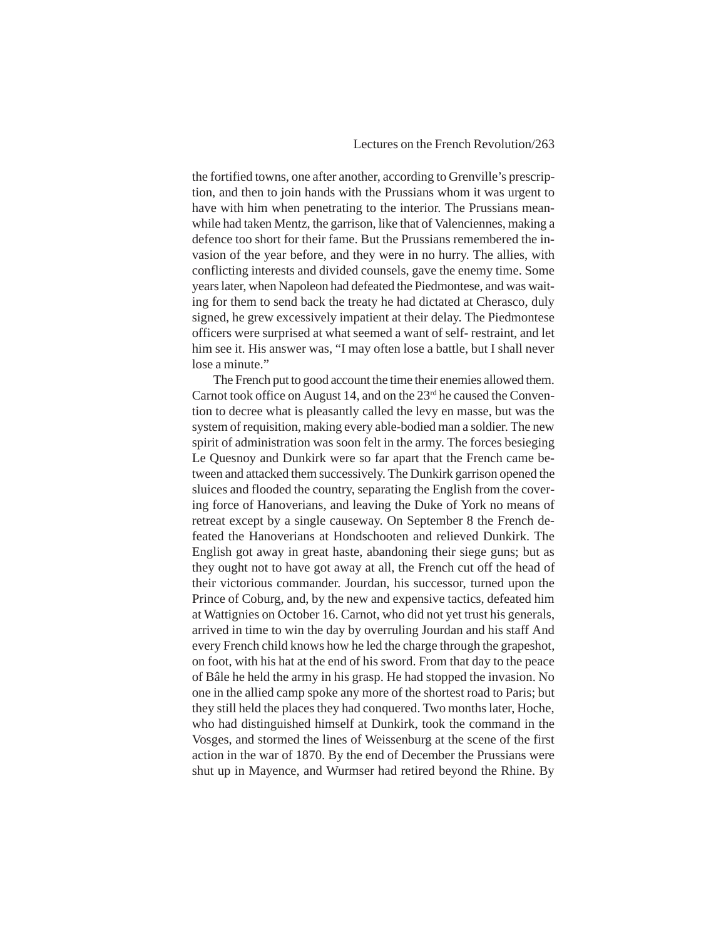the fortified towns, one after another, according to Grenville's prescription, and then to join hands with the Prussians whom it was urgent to have with him when penetrating to the interior. The Prussians meanwhile had taken Mentz, the garrison, like that of Valenciennes, making a defence too short for their fame. But the Prussians remembered the invasion of the year before, and they were in no hurry. The allies, with conflicting interests and divided counsels, gave the enemy time. Some years later, when Napoleon had defeated the Piedmontese, and was waiting for them to send back the treaty he had dictated at Cherasco, duly signed, he grew excessively impatient at their delay. The Piedmontese officers were surprised at what seemed a want of self- restraint, and let him see it. His answer was, "I may often lose a battle, but I shall never lose a minute."

The French put to good account the time their enemies allowed them. Carnot took office on August 14, and on the  $23<sup>rd</sup>$  he caused the Convention to decree what is pleasantly called the levy en masse, but was the system of requisition, making every able-bodied man a soldier. The new spirit of administration was soon felt in the army. The forces besieging Le Quesnoy and Dunkirk were so far apart that the French came between and attacked them successively. The Dunkirk garrison opened the sluices and flooded the country, separating the English from the covering force of Hanoverians, and leaving the Duke of York no means of retreat except by a single causeway. On September 8 the French defeated the Hanoverians at Hondschooten and relieved Dunkirk. The English got away in great haste, abandoning their siege guns; but as they ought not to have got away at all, the French cut off the head of their victorious commander. Jourdan, his successor, turned upon the Prince of Coburg, and, by the new and expensive tactics, defeated him at Wattignies on October 16. Carnot, who did not yet trust his generals, arrived in time to win the day by overruling Jourdan and his staff And every French child knows how he led the charge through the grapeshot, on foot, with his hat at the end of his sword. From that day to the peace of Bâle he held the army in his grasp. He had stopped the invasion. No one in the allied camp spoke any more of the shortest road to Paris; but they still held the places they had conquered. Two months later, Hoche, who had distinguished himself at Dunkirk, took the command in the Vosges, and stormed the lines of Weissenburg at the scene of the first action in the war of 1870. By the end of December the Prussians were shut up in Mayence, and Wurmser had retired beyond the Rhine. By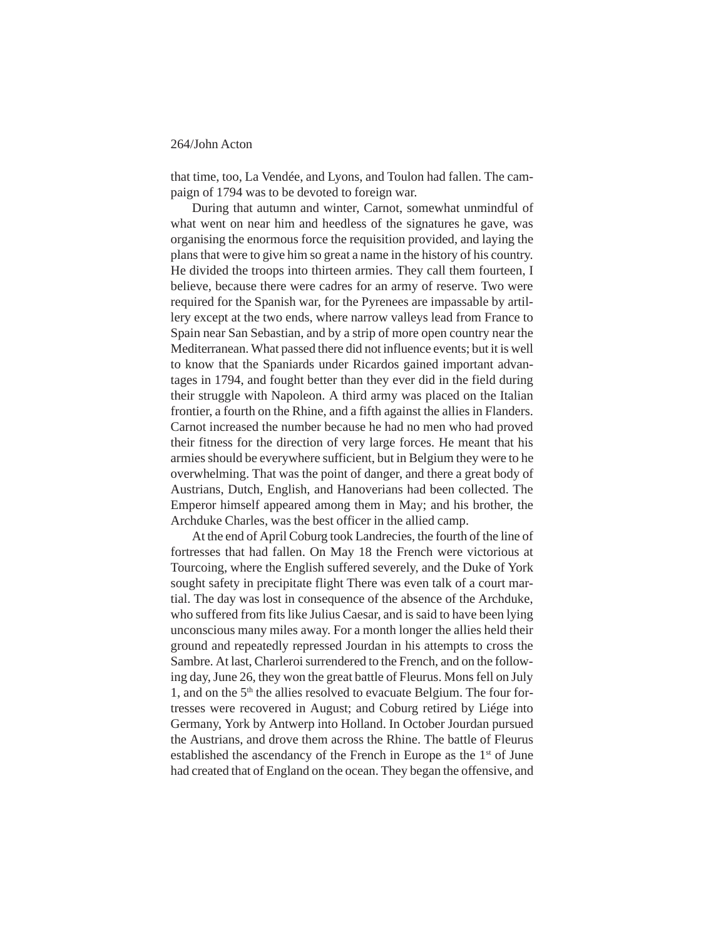that time, too, La Vendée, and Lyons, and Toulon had fallen. The campaign of 1794 was to be devoted to foreign war.

During that autumn and winter, Carnot, somewhat unmindful of what went on near him and heedless of the signatures he gave, was organising the enormous force the requisition provided, and laying the plans that were to give him so great a name in the history of his country. He divided the troops into thirteen armies. They call them fourteen, I believe, because there were cadres for an army of reserve. Two were required for the Spanish war, for the Pyrenees are impassable by artillery except at the two ends, where narrow valleys lead from France to Spain near San Sebastian, and by a strip of more open country near the Mediterranean. What passed there did not influence events; but it is well to know that the Spaniards under Ricardos gained important advantages in 1794, and fought better than they ever did in the field during their struggle with Napoleon. A third army was placed on the Italian frontier, a fourth on the Rhine, and a fifth against the allies in Flanders. Carnot increased the number because he had no men who had proved their fitness for the direction of very large forces. He meant that his armies should be everywhere sufficient, but in Belgium they were to he overwhelming. That was the point of danger, and there a great body of Austrians, Dutch, English, and Hanoverians had been collected. The Emperor himself appeared among them in May; and his brother, the Archduke Charles, was the best officer in the allied camp.

At the end of April Coburg took Landrecies, the fourth of the line of fortresses that had fallen. On May 18 the French were victorious at Tourcoing, where the English suffered severely, and the Duke of York sought safety in precipitate flight There was even talk of a court martial. The day was lost in consequence of the absence of the Archduke, who suffered from fits like Julius Caesar, and is said to have been lying unconscious many miles away. For a month longer the allies held their ground and repeatedly repressed Jourdan in his attempts to cross the Sambre. At last, Charleroi surrendered to the French, and on the following day, June 26, they won the great battle of Fleurus. Mons fell on July 1, and on the 5<sup>th</sup> the allies resolved to evacuate Belgium. The four fortresses were recovered in August; and Coburg retired by Liége into Germany, York by Antwerp into Holland. In October Jourdan pursued the Austrians, and drove them across the Rhine. The battle of Fleurus established the ascendancy of the French in Europe as the 1<sup>st</sup> of June had created that of England on the ocean. They began the offensive, and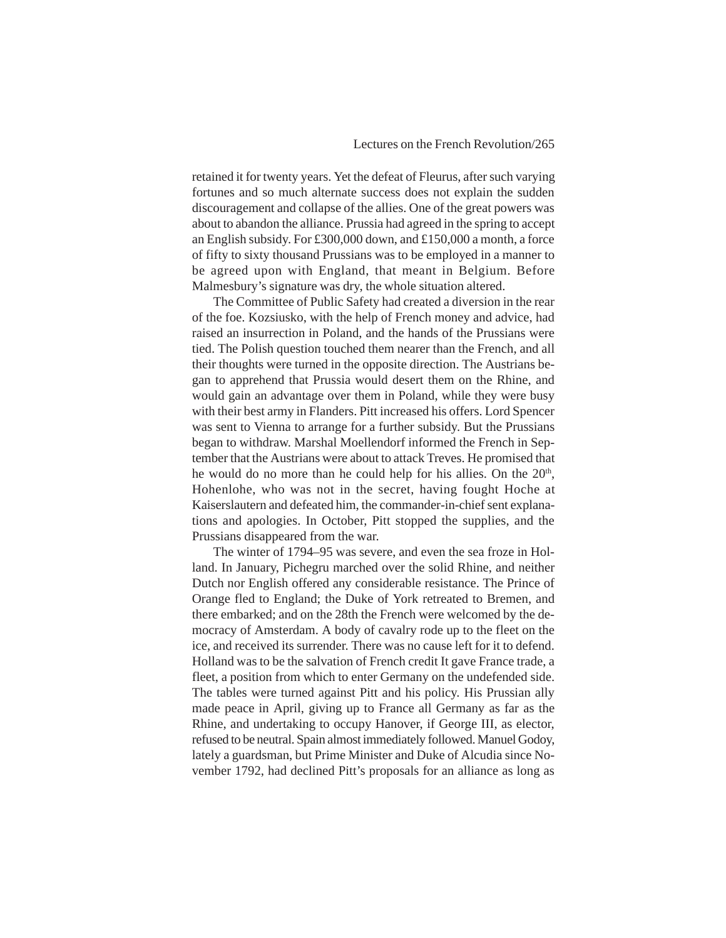retained it for twenty years. Yet the defeat of Fleurus, after such varying fortunes and so much alternate success does not explain the sudden discouragement and collapse of the allies. One of the great powers was about to abandon the alliance. Prussia had agreed in the spring to accept an English subsidy. For £300,000 down, and £150,000 a month, a force of fifty to sixty thousand Prussians was to be employed in a manner to be agreed upon with England, that meant in Belgium. Before Malmesbury's signature was dry, the whole situation altered.

The Committee of Public Safety had created a diversion in the rear of the foe. Kozsiusko, with the help of French money and advice, had raised an insurrection in Poland, and the hands of the Prussians were tied. The Polish question touched them nearer than the French, and all their thoughts were turned in the opposite direction. The Austrians began to apprehend that Prussia would desert them on the Rhine, and would gain an advantage over them in Poland, while they were busy with their best army in Flanders. Pitt increased his offers. Lord Spencer was sent to Vienna to arrange for a further subsidy. But the Prussians began to withdraw. Marshal Moellendorf informed the French in September that the Austrians were about to attack Treves. He promised that he would do no more than he could help for his allies. On the 20<sup>th</sup>, Hohenlohe, who was not in the secret, having fought Hoche at Kaiserslautern and defeated him, the commander-in-chief sent explanations and apologies. In October, Pitt stopped the supplies, and the Prussians disappeared from the war.

The winter of 1794–95 was severe, and even the sea froze in Holland. In January, Pichegru marched over the solid Rhine, and neither Dutch nor English offered any considerable resistance. The Prince of Orange fled to England; the Duke of York retreated to Bremen, and there embarked; and on the 28th the French were welcomed by the democracy of Amsterdam. A body of cavalry rode up to the fleet on the ice, and received its surrender. There was no cause left for it to defend. Holland was to be the salvation of French credit It gave France trade, a fleet, a position from which to enter Germany on the undefended side. The tables were turned against Pitt and his policy. His Prussian ally made peace in April, giving up to France all Germany as far as the Rhine, and undertaking to occupy Hanover, if George III, as elector, refused to be neutral. Spain almost immediately followed. Manuel Godoy, lately a guardsman, but Prime Minister and Duke of Alcudia since November 1792, had declined Pitt's proposals for an alliance as long as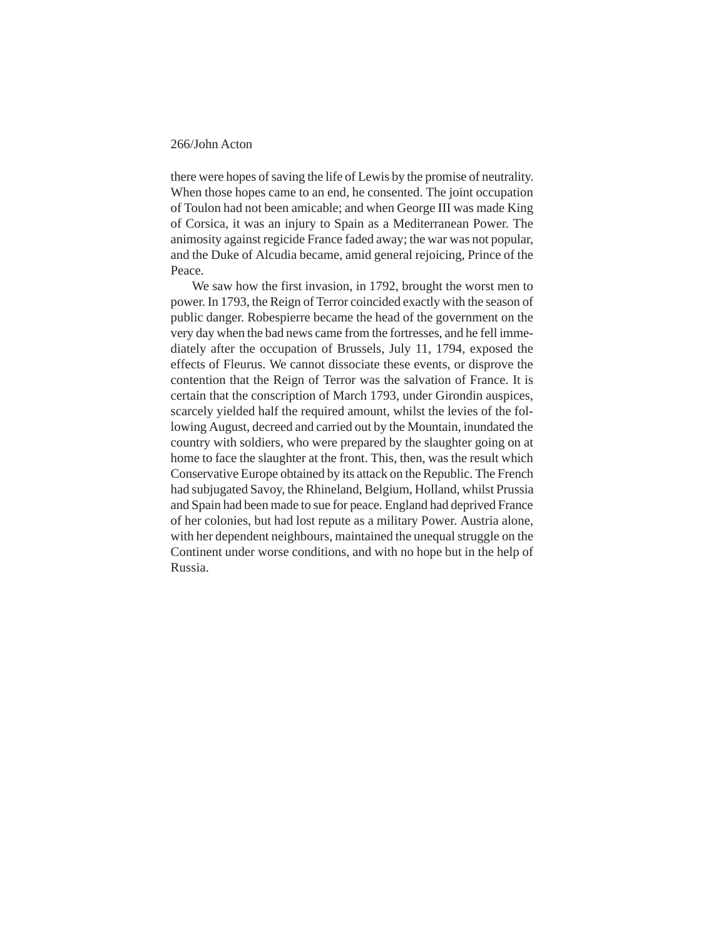there were hopes of saving the life of Lewis by the promise of neutrality. When those hopes came to an end, he consented. The joint occupation of Toulon had not been amicable; and when George III was made King of Corsica, it was an injury to Spain as a Mediterranean Power. The animosity against regicide France faded away; the war was not popular, and the Duke of Alcudia became, amid general rejoicing, Prince of the Peace.

We saw how the first invasion, in 1792, brought the worst men to power. In 1793, the Reign of Terror coincided exactly with the season of public danger. Robespierre became the head of the government on the very day when the bad news came from the fortresses, and he fell immediately after the occupation of Brussels, July 11, 1794, exposed the effects of Fleurus. We cannot dissociate these events, or disprove the contention that the Reign of Terror was the salvation of France. It is certain that the conscription of March 1793, under Girondin auspices, scarcely yielded half the required amount, whilst the levies of the following August, decreed and carried out by the Mountain, inundated the country with soldiers, who were prepared by the slaughter going on at home to face the slaughter at the front. This, then, was the result which Conservative Europe obtained by its attack on the Republic. The French had subjugated Savoy, the Rhineland, Belgium, Holland, whilst Prussia and Spain had been made to sue for peace. England had deprived France of her colonies, but had lost repute as a military Power. Austria alone, with her dependent neighbours, maintained the unequal struggle on the Continent under worse conditions, and with no hope but in the help of Russia.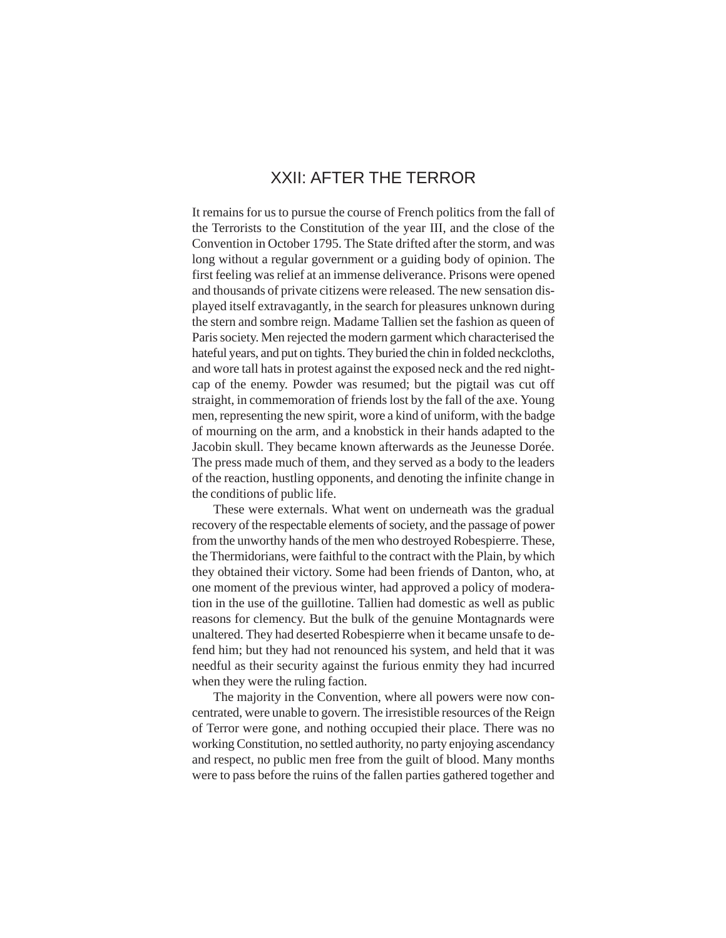# XXII: AFTER THE TERROR

It remains for us to pursue the course of French politics from the fall of the Terrorists to the Constitution of the year III, and the close of the Convention in October 1795. The State drifted after the storm, and was long without a regular government or a guiding body of opinion. The first feeling was relief at an immense deliverance. Prisons were opened and thousands of private citizens were released. The new sensation displayed itself extravagantly, in the search for pleasures unknown during the stern and sombre reign. Madame Tallien set the fashion as queen of Paris society. Men rejected the modern garment which characterised the hateful years, and put on tights. They buried the chin in folded neckcloths, and wore tall hats in protest against the exposed neck and the red nightcap of the enemy. Powder was resumed; but the pigtail was cut off straight, in commemoration of friends lost by the fall of the axe. Young men, representing the new spirit, wore a kind of uniform, with the badge of mourning on the arm, and a knobstick in their hands adapted to the Jacobin skull. They became known afterwards as the Jeunesse Dorée. The press made much of them, and they served as a body to the leaders of the reaction, hustling opponents, and denoting the infinite change in the conditions of public life.

These were externals. What went on underneath was the gradual recovery of the respectable elements of society, and the passage of power from the unworthy hands of the men who destroyed Robespierre. These, the Thermidorians, were faithful to the contract with the Plain, by which they obtained their victory. Some had been friends of Danton, who, at one moment of the previous winter, had approved a policy of moderation in the use of the guillotine. Tallien had domestic as well as public reasons for clemency. But the bulk of the genuine Montagnards were unaltered. They had deserted Robespierre when it became unsafe to defend him; but they had not renounced his system, and held that it was needful as their security against the furious enmity they had incurred when they were the ruling faction.

The majority in the Convention, where all powers were now concentrated, were unable to govern. The irresistible resources of the Reign of Terror were gone, and nothing occupied their place. There was no working Constitution, no settled authority, no party enjoying ascendancy and respect, no public men free from the guilt of blood. Many months were to pass before the ruins of the fallen parties gathered together and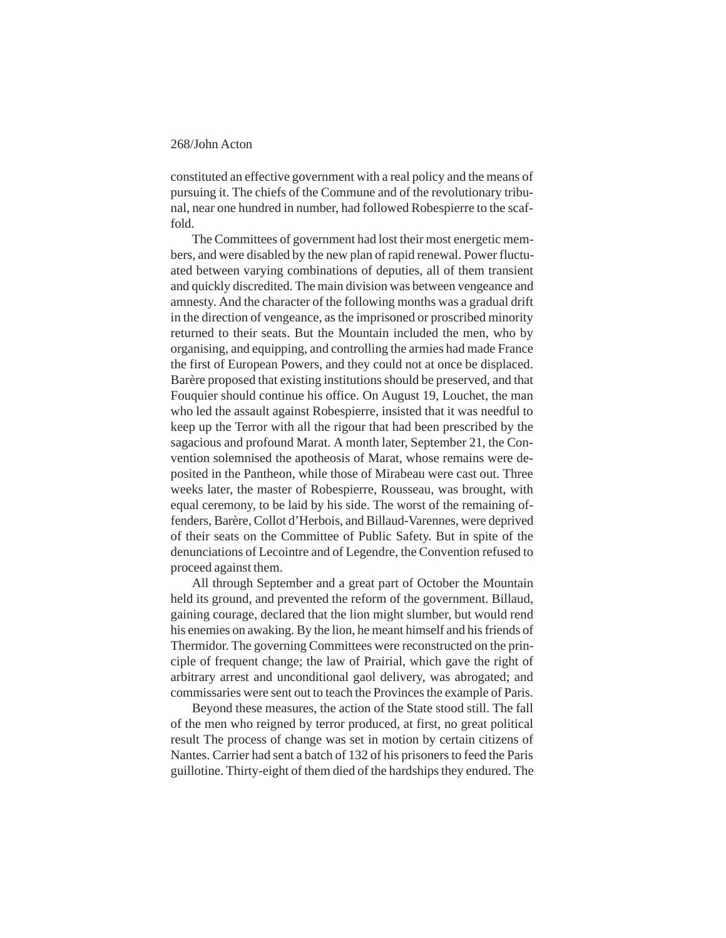constituted an effective government with a real policy and the means of pursuing it. The chiefs of the Commune and of the revolutionary tribunal, near one hundred in number, had followed Robespierre to the scaffold.

The Committees of government had lost their most energetic members, and were disabled by the new plan of rapid renewal. Power fluctuated between varying combinations of deputies, all of them transient and quickly discredited. The main division was between vengeance and amnesty. And the character of the following months was a gradual drift in the direction of vengeance, as the imprisoned or proscribed minority returned to their seats. But the Mountain included the men, who by organising, and equipping, and controlling the armies had made France the first of European Powers, and they could not at once be displaced. Barère proposed that existing institutions should be preserved, and that Fouquier should continue his office. On August 19, Louchet, the man who led the assault against Robespierre, insisted that it was needful to keep up the Terror with all the rigour that had been prescribed by the sagacious and profound Marat. A month later, September 21, the Convention solemnised the apotheosis of Marat, whose remains were deposited in the Pantheon, while those of Mirabeau were cast out. Three weeks later, the master of Robespierre, Rousseau, was brought, with equal ceremony, to be laid by his side. The worst of the remaining offenders, Barère, Collot d'Herbois, and Billaud-Varennes, were deprived of their seats on the Committee of Public Safety. But in spite of the denunciations of Lecointre and of Legendre, the Convention refused to proceed against them.

All through September and a great part of October the Mountain held its ground, and prevented the reform of the government. Billaud, gaining courage, declared that the lion might slumber, but would rend his enemies on awaking. By the lion, he meant himself and his friends of Thermidor. The governing Committees were reconstructed on the principle of frequent change; the law of Prairial, which gave the right of arbitrary arrest and unconditional gaol delivery, was abrogated; and commissaries were sent out to teach the Provinces the example of Paris.

Beyond these measures, the action of the State stood still. The fall of the men who reigned by terror produced, at first, no great political result The process of change was set in motion by certain citizens of Nantes. Carrier had sent a batch of 132 of his prisoners to feed the Paris guillotine. Thirty-eight of them died of the hardships they endured. The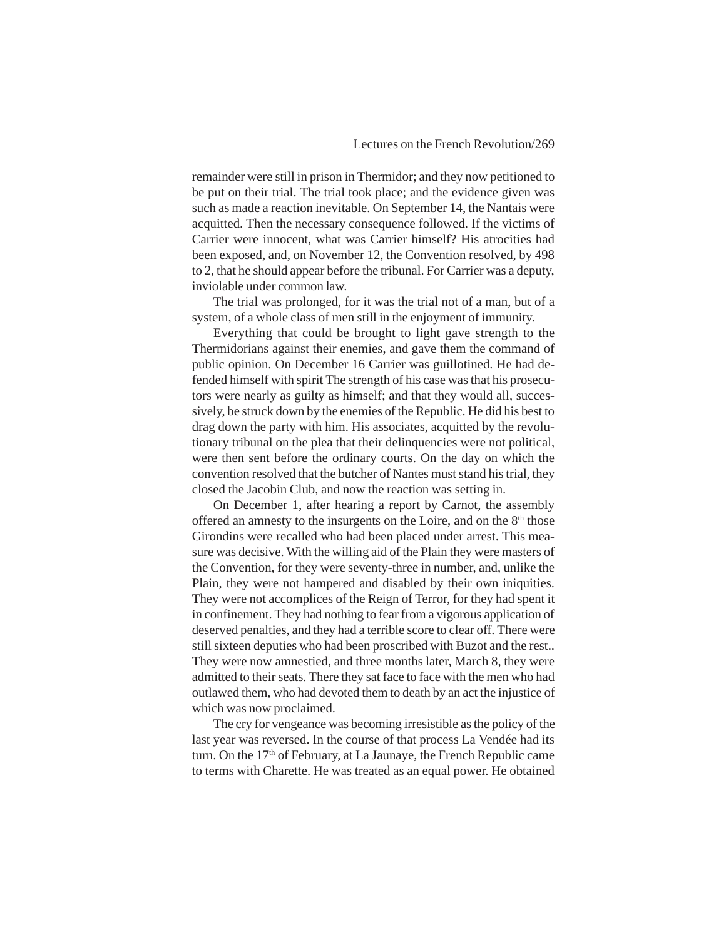remainder were still in prison in Thermidor; and they now petitioned to be put on their trial. The trial took place; and the evidence given was such as made a reaction inevitable. On September 14, the Nantais were acquitted. Then the necessary consequence followed. If the victims of Carrier were innocent, what was Carrier himself? His atrocities had been exposed, and, on November 12, the Convention resolved, by 498 to 2, that he should appear before the tribunal. For Carrier was a deputy, inviolable under common law.

The trial was prolonged, for it was the trial not of a man, but of a system, of a whole class of men still in the enjoyment of immunity.

Everything that could be brought to light gave strength to the Thermidorians against their enemies, and gave them the command of public opinion. On December 16 Carrier was guillotined. He had defended himself with spirit The strength of his case was that his prosecutors were nearly as guilty as himself; and that they would all, successively, be struck down by the enemies of the Republic. He did his best to drag down the party with him. His associates, acquitted by the revolutionary tribunal on the plea that their delinquencies were not political, were then sent before the ordinary courts. On the day on which the convention resolved that the butcher of Nantes must stand his trial, they closed the Jacobin Club, and now the reaction was setting in.

On December 1, after hearing a report by Carnot, the assembly offered an amnesty to the insurgents on the Loire, and on the  $8<sup>th</sup>$  those Girondins were recalled who had been placed under arrest. This measure was decisive. With the willing aid of the Plain they were masters of the Convention, for they were seventy-three in number, and, unlike the Plain, they were not hampered and disabled by their own iniquities. They were not accomplices of the Reign of Terror, for they had spent it in confinement. They had nothing to fear from a vigorous application of deserved penalties, and they had a terrible score to clear off. There were still sixteen deputies who had been proscribed with Buzot and the rest.. They were now amnestied, and three months later, March 8, they were admitted to their seats. There they sat face to face with the men who had outlawed them, who had devoted them to death by an act the injustice of which was now proclaimed.

The cry for vengeance was becoming irresistible as the policy of the last year was reversed. In the course of that process La Vendée had its turn. On the 17<sup>th</sup> of February, at La Jaunaye, the French Republic came to terms with Charette. He was treated as an equal power. He obtained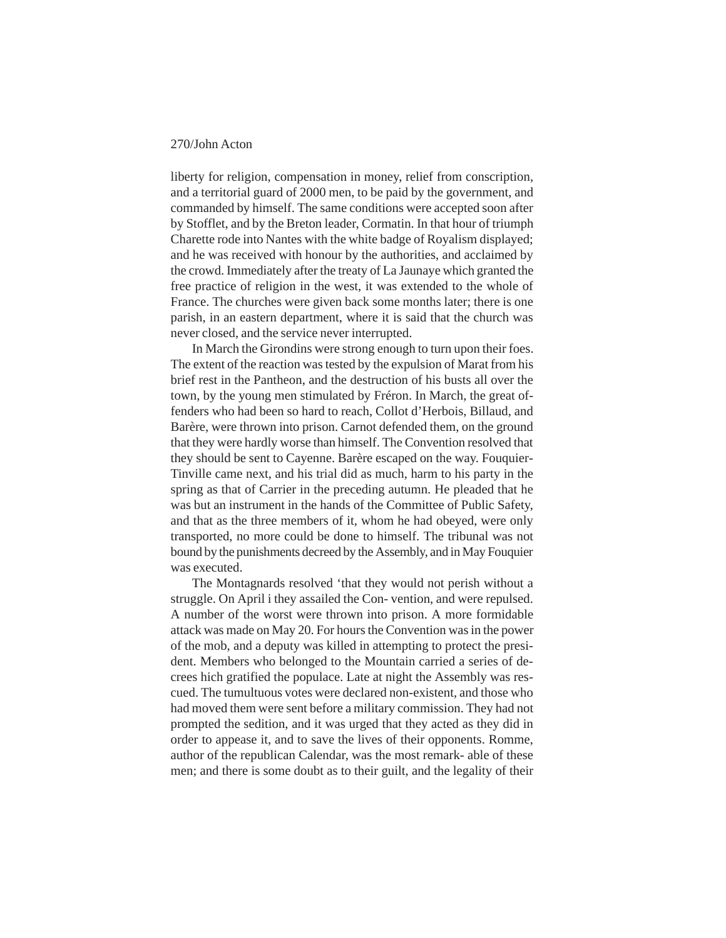liberty for religion, compensation in money, relief from conscription, and a territorial guard of 2000 men, to be paid by the government, and commanded by himself. The same conditions were accepted soon after by Stofflet, and by the Breton leader, Cormatin. In that hour of triumph Charette rode into Nantes with the white badge of Royalism displayed; and he was received with honour by the authorities, and acclaimed by the crowd. Immediately after the treaty of La Jaunaye which granted the free practice of religion in the west, it was extended to the whole of France. The churches were given back some months later; there is one parish, in an eastern department, where it is said that the church was never closed, and the service never interrupted.

In March the Girondins were strong enough to turn upon their foes. The extent of the reaction was tested by the expulsion of Marat from his brief rest in the Pantheon, and the destruction of his busts all over the town, by the young men stimulated by Fréron. In March, the great offenders who had been so hard to reach, Collot d'Herbois, Billaud, and Barère, were thrown into prison. Carnot defended them, on the ground that they were hardly worse than himself. The Convention resolved that they should be sent to Cayenne. Barère escaped on the way. Fouquier-Tinville came next, and his trial did as much, harm to his party in the spring as that of Carrier in the preceding autumn. He pleaded that he was but an instrument in the hands of the Committee of Public Safety, and that as the three members of it, whom he had obeyed, were only transported, no more could be done to himself. The tribunal was not bound by the punishments decreed by the Assembly, and in May Fouquier was executed.

The Montagnards resolved 'that they would not perish without a struggle. On April i they assailed the Con- vention, and were repulsed. A number of the worst were thrown into prison. A more formidable attack was made on May 20. For hours the Convention was in the power of the mob, and a deputy was killed in attempting to protect the president. Members who belonged to the Mountain carried a series of decrees hich gratified the populace. Late at night the Assembly was rescued. The tumultuous votes were declared non-existent, and those who had moved them were sent before a military commission. They had not prompted the sedition, and it was urged that they acted as they did in order to appease it, and to save the lives of their opponents. Romme, author of the republican Calendar, was the most remark- able of these men; and there is some doubt as to their guilt, and the legality of their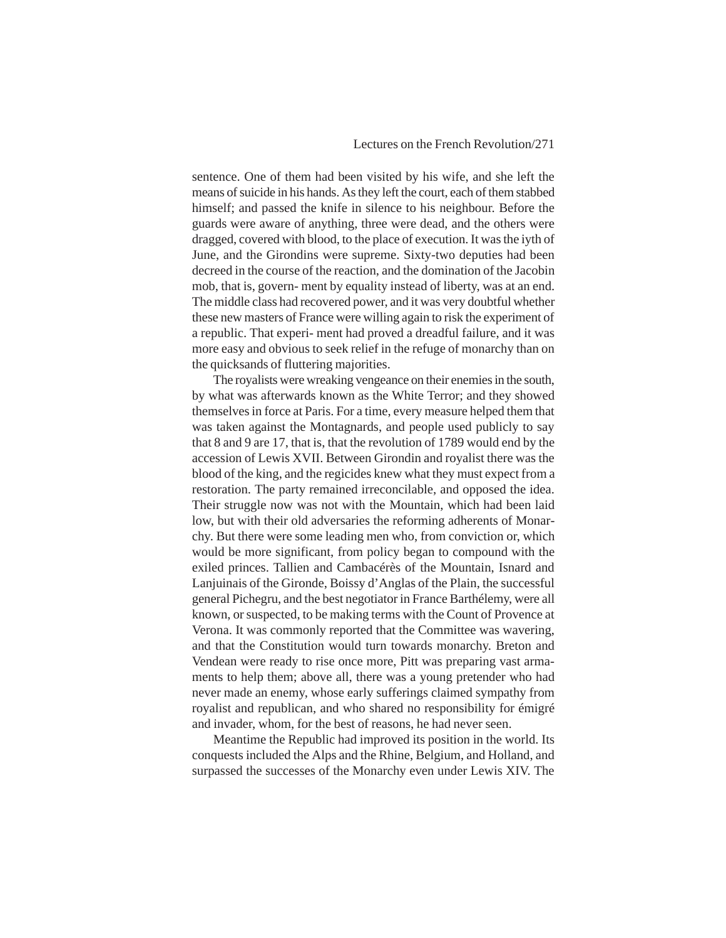sentence. One of them had been visited by his wife, and she left the means of suicide in his hands. As they left the court, each of them stabbed himself; and passed the knife in silence to his neighbour. Before the guards were aware of anything, three were dead, and the others were dragged, covered with blood, to the place of execution. It was the iyth of June, and the Girondins were supreme. Sixty-two deputies had been decreed in the course of the reaction, and the domination of the Jacobin mob, that is, govern- ment by equality instead of liberty, was at an end. The middle class had recovered power, and it was very doubtful whether these new masters of France were willing again to risk the experiment of a republic. That experi- ment had proved a dreadful failure, and it was more easy and obvious to seek relief in the refuge of monarchy than on the quicksands of fluttering majorities.

The royalists were wreaking vengeance on their enemies in the south, by what was afterwards known as the White Terror; and they showed themselves in force at Paris. For a time, every measure helped them that was taken against the Montagnards, and people used publicly to say that 8 and 9 are 17, that is, that the revolution of 1789 would end by the accession of Lewis XVII. Between Girondin and royalist there was the blood of the king, and the regicides knew what they must expect from a restoration. The party remained irreconcilable, and opposed the idea. Their struggle now was not with the Mountain, which had been laid low, but with their old adversaries the reforming adherents of Monarchy. But there were some leading men who, from conviction or, which would be more significant, from policy began to compound with the exiled princes. Tallien and Cambacérès of the Mountain, Isnard and Lanjuinais of the Gironde, Boissy d'Anglas of the Plain, the successful general Pichegru, and the best negotiator in France Barthélemy, were all known, or suspected, to be making terms with the Count of Provence at Verona. It was commonly reported that the Committee was wavering, and that the Constitution would turn towards monarchy. Breton and Vendean were ready to rise once more, Pitt was preparing vast armaments to help them; above all, there was a young pretender who had never made an enemy, whose early sufferings claimed sympathy from royalist and republican, and who shared no responsibility for émigré and invader, whom, for the best of reasons, he had never seen.

Meantime the Republic had improved its position in the world. Its conquests included the Alps and the Rhine, Belgium, and Holland, and surpassed the successes of the Monarchy even under Lewis XIV. The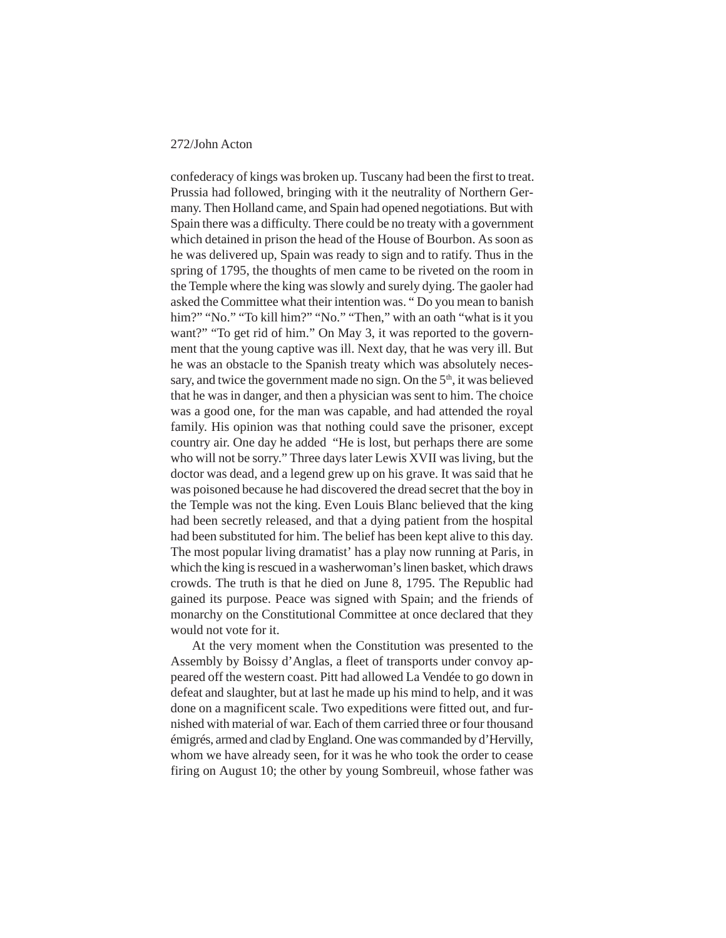confederacy of kings was broken up. Tuscany had been the first to treat. Prussia had followed, bringing with it the neutrality of Northern Germany. Then Holland came, and Spain had opened negotiations. But with Spain there was a difficulty. There could be no treaty with a government which detained in prison the head of the House of Bourbon. As soon as he was delivered up, Spain was ready to sign and to ratify. Thus in the spring of 1795, the thoughts of men came to be riveted on the room in the Temple where the king was slowly and surely dying. The gaoler had asked the Committee what their intention was. " Do you mean to banish him?" "No." "To kill him?" "No." "Then," with an oath "what is it you want?" "To get rid of him." On May 3, it was reported to the government that the young captive was ill. Next day, that he was very ill. But he was an obstacle to the Spanish treaty which was absolutely necessary, and twice the government made no sign. On the  $5<sup>th</sup>$ , it was believed that he was in danger, and then a physician was sent to him. The choice was a good one, for the man was capable, and had attended the royal family. His opinion was that nothing could save the prisoner, except country air. One day he added "He is lost, but perhaps there are some who will not be sorry." Three days later Lewis XVII was living, but the doctor was dead, and a legend grew up on his grave. It was said that he was poisoned because he had discovered the dread secret that the boy in the Temple was not the king. Even Louis Blanc believed that the king had been secretly released, and that a dying patient from the hospital had been substituted for him. The belief has been kept alive to this day. The most popular living dramatist' has a play now running at Paris, in which the king is rescued in a washerwoman's linen basket, which draws crowds. The truth is that he died on June 8, 1795. The Republic had gained its purpose. Peace was signed with Spain; and the friends of monarchy on the Constitutional Committee at once declared that they would not vote for it.

At the very moment when the Constitution was presented to the Assembly by Boissy d'Anglas, a fleet of transports under convoy appeared off the western coast. Pitt had allowed La Vendée to go down in defeat and slaughter, but at last he made up his mind to help, and it was done on a magnificent scale. Two expeditions were fitted out, and furnished with material of war. Each of them carried three or four thousand émigrés, armed and clad by England. One was commanded by d'Hervilly, whom we have already seen, for it was he who took the order to cease firing on August 10; the other by young Sombreuil, whose father was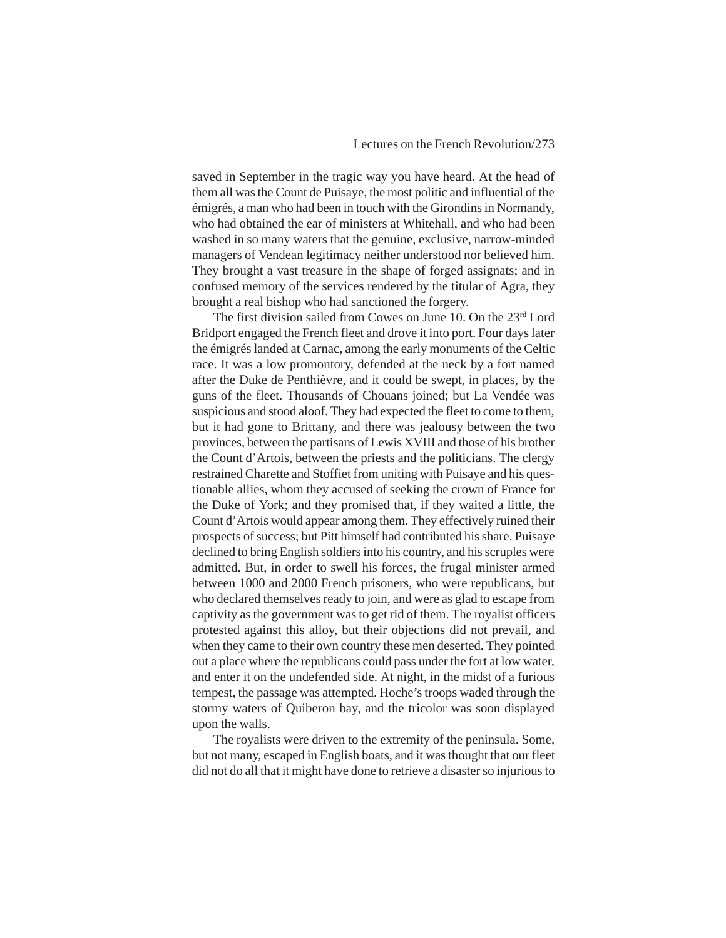saved in September in the tragic way you have heard. At the head of them all was the Count de Puisaye, the most politic and influential of the émigrés, a man who had been in touch with the Girondins in Normandy, who had obtained the ear of ministers at Whitehall, and who had been washed in so many waters that the genuine, exclusive, narrow-minded managers of Vendean legitimacy neither understood nor believed him. They brought a vast treasure in the shape of forged assignats; and in confused memory of the services rendered by the titular of Agra, they brought a real bishop who had sanctioned the forgery.

The first division sailed from Cowes on June 10. On the 23rd Lord Bridport engaged the French fleet and drove it into port. Four days later the émigrés landed at Carnac, among the early monuments of the Celtic race. It was a low promontory, defended at the neck by a fort named after the Duke de Penthièvre, and it could be swept, in places, by the guns of the fleet. Thousands of Chouans joined; but La Vendée was suspicious and stood aloof. They had expected the fleet to come to them, but it had gone to Brittany, and there was jealousy between the two provinces, between the partisans of Lewis XVIII and those of his brother the Count d'Artois, between the priests and the politicians. The clergy restrained Charette and Stoffiet from uniting with Puisaye and his questionable allies, whom they accused of seeking the crown of France for the Duke of York; and they promised that, if they waited a little, the Count d'Artois would appear among them. They effectively ruined their prospects of success; but Pitt himself had contributed his share. Puisaye declined to bring English soldiers into his country, and his scruples were admitted. But, in order to swell his forces, the frugal minister armed between 1000 and 2000 French prisoners, who were republicans, but who declared themselves ready to join, and were as glad to escape from captivity as the government was to get rid of them. The royalist officers protested against this alloy, but their objections did not prevail, and when they came to their own country these men deserted. They pointed out a place where the republicans could pass under the fort at low water, and enter it on the undefended side. At night, in the midst of a furious tempest, the passage was attempted. Hoche's troops waded through the stormy waters of Quiberon bay, and the tricolor was soon displayed upon the walls.

The royalists were driven to the extremity of the peninsula. Some, but not many, escaped in English boats, and it was thought that our fleet did not do all that it might have done to retrieve a disaster so injurious to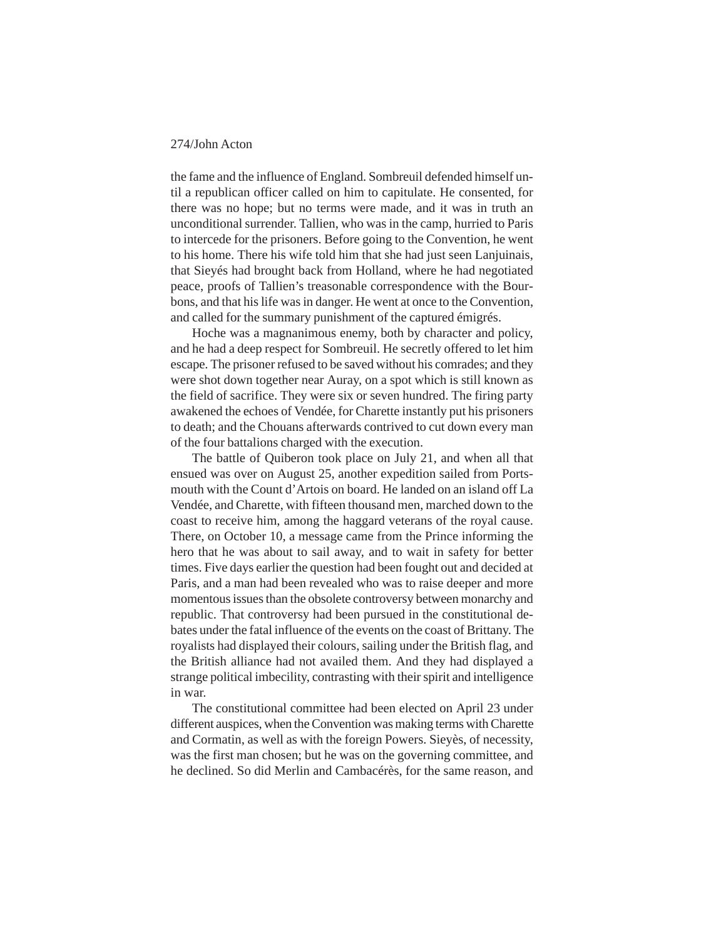the fame and the influence of England. Sombreuil defended himself until a republican officer called on him to capitulate. He consented, for there was no hope; but no terms were made, and it was in truth an unconditional surrender. Tallien, who was in the camp, hurried to Paris to intercede for the prisoners. Before going to the Convention, he went to his home. There his wife told him that she had just seen Lanjuinais, that Sieyés had brought back from Holland, where he had negotiated peace, proofs of Tallien's treasonable correspondence with the Bourbons, and that his life was in danger. He went at once to the Convention, and called for the summary punishment of the captured émigrés.

Hoche was a magnanimous enemy, both by character and policy, and he had a deep respect for Sombreuil. He secretly offered to let him escape. The prisoner refused to be saved without his comrades; and they were shot down together near Auray, on a spot which is still known as the field of sacrifice. They were six or seven hundred. The firing party awakened the echoes of Vendée, for Charette instantly put his prisoners to death; and the Chouans afterwards contrived to cut down every man of the four battalions charged with the execution.

The battle of Quiberon took place on July 21, and when all that ensued was over on August 25, another expedition sailed from Portsmouth with the Count d'Artois on board. He landed on an island off La Vendée, and Charette, with fifteen thousand men, marched down to the coast to receive him, among the haggard veterans of the royal cause. There, on October 10, a message came from the Prince informing the hero that he was about to sail away, and to wait in safety for better times. Five days earlier the question had been fought out and decided at Paris, and a man had been revealed who was to raise deeper and more momentous issues than the obsolete controversy between monarchy and republic. That controversy had been pursued in the constitutional debates under the fatal influence of the events on the coast of Brittany. The royalists had displayed their colours, sailing under the British flag, and the British alliance had not availed them. And they had displayed a strange political imbecility, contrasting with their spirit and intelligence in war.

The constitutional committee had been elected on April 23 under different auspices, when the Convention was making terms with Charette and Cormatin, as well as with the foreign Powers. Sieyès, of necessity, was the first man chosen; but he was on the governing committee, and he declined. So did Merlin and Cambacérès, for the same reason, and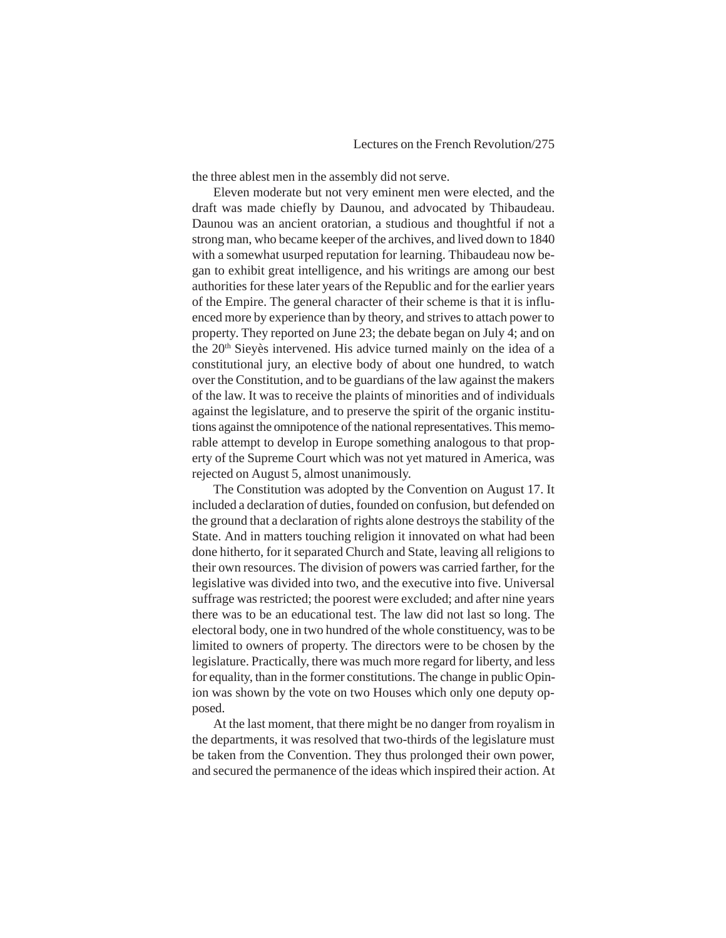the three ablest men in the assembly did not serve.

Eleven moderate but not very eminent men were elected, and the draft was made chiefly by Daunou, and advocated by Thibaudeau. Daunou was an ancient oratorian, a studious and thoughtful if not a strong man, who became keeper of the archives, and lived down to 1840 with a somewhat usurped reputation for learning. Thibaudeau now began to exhibit great intelligence, and his writings are among our best authorities for these later years of the Republic and for the earlier years of the Empire. The general character of their scheme is that it is influenced more by experience than by theory, and strives to attach power to property. They reported on June 23; the debate began on July 4; and on the 20<sup>th</sup> Sieyès intervened. His advice turned mainly on the idea of a constitutional jury, an elective body of about one hundred, to watch over the Constitution, and to be guardians of the law against the makers of the law. It was to receive the plaints of minorities and of individuals against the legislature, and to preserve the spirit of the organic institutions against the omnipotence of the national representatives. This memorable attempt to develop in Europe something analogous to that property of the Supreme Court which was not yet matured in America, was rejected on August 5, almost unanimously.

The Constitution was adopted by the Convention on August 17. It included a declaration of duties, founded on confusion, but defended on the ground that a declaration of rights alone destroys the stability of the State. And in matters touching religion it innovated on what had been done hitherto, for it separated Church and State, leaving all religions to their own resources. The division of powers was carried farther, for the legislative was divided into two, and the executive into five. Universal suffrage was restricted; the poorest were excluded; and after nine years there was to be an educational test. The law did not last so long. The electoral body, one in two hundred of the whole constituency, was to be limited to owners of property. The directors were to be chosen by the legislature. Practically, there was much more regard for liberty, and less for equality, than in the former constitutions. The change in public Opinion was shown by the vote on two Houses which only one deputy opposed.

At the last moment, that there might be no danger from royalism in the departments, it was resolved that two-thirds of the legislature must be taken from the Convention. They thus prolonged their own power, and secured the permanence of the ideas which inspired their action. At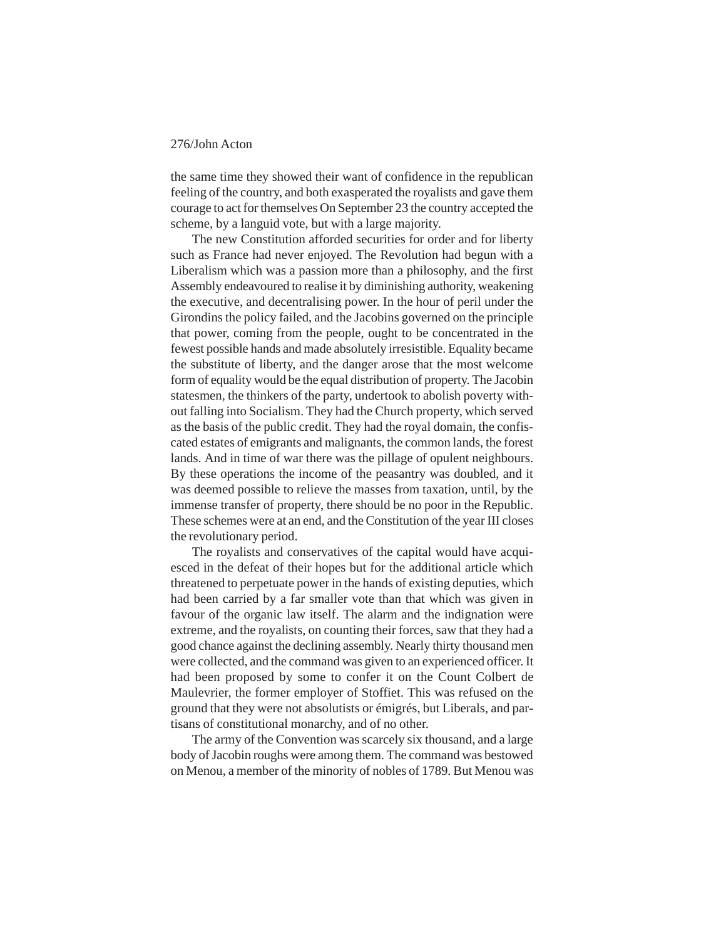the same time they showed their want of confidence in the republican feeling of the country, and both exasperated the royalists and gave them courage to act for themselves On September 23 the country accepted the scheme, by a languid vote, but with a large majority.

The new Constitution afforded securities for order and for liberty such as France had never enjoyed. The Revolution had begun with a Liberalism which was a passion more than a philosophy, and the first Assembly endeavoured to realise it by diminishing authority, weakening the executive, and decentralising power. In the hour of peril under the Girondins the policy failed, and the Jacobins governed on the principle that power, coming from the people, ought to be concentrated in the fewest possible hands and made absolutely irresistible. Equality became the substitute of liberty, and the danger arose that the most welcome form of equality would be the equal distribution of property. The Jacobin statesmen, the thinkers of the party, undertook to abolish poverty without falling into Socialism. They had the Church property, which served as the basis of the public credit. They had the royal domain, the confiscated estates of emigrants and malignants, the common lands, the forest lands. And in time of war there was the pillage of opulent neighbours. By these operations the income of the peasantry was doubled, and it was deemed possible to relieve the masses from taxation, until, by the immense transfer of property, there should be no poor in the Republic. These schemes were at an end, and the Constitution of the year III closes the revolutionary period.

The royalists and conservatives of the capital would have acquiesced in the defeat of their hopes but for the additional article which threatened to perpetuate power in the hands of existing deputies, which had been carried by a far smaller vote than that which was given in favour of the organic law itself. The alarm and the indignation were extreme, and the royalists, on counting their forces, saw that they had a good chance against the declining assembly. Nearly thirty thousand men were collected, and the command was given to an experienced officer. It had been proposed by some to confer it on the Count Colbert de Maulevrier, the former employer of Stoffiet. This was refused on the ground that they were not absolutists or émigrés, but Liberals, and partisans of constitutional monarchy, and of no other.

The army of the Convention was scarcely six thousand, and a large body of Jacobin roughs were among them. The command was bestowed on Menou, a member of the minority of nobles of 1789. But Menou was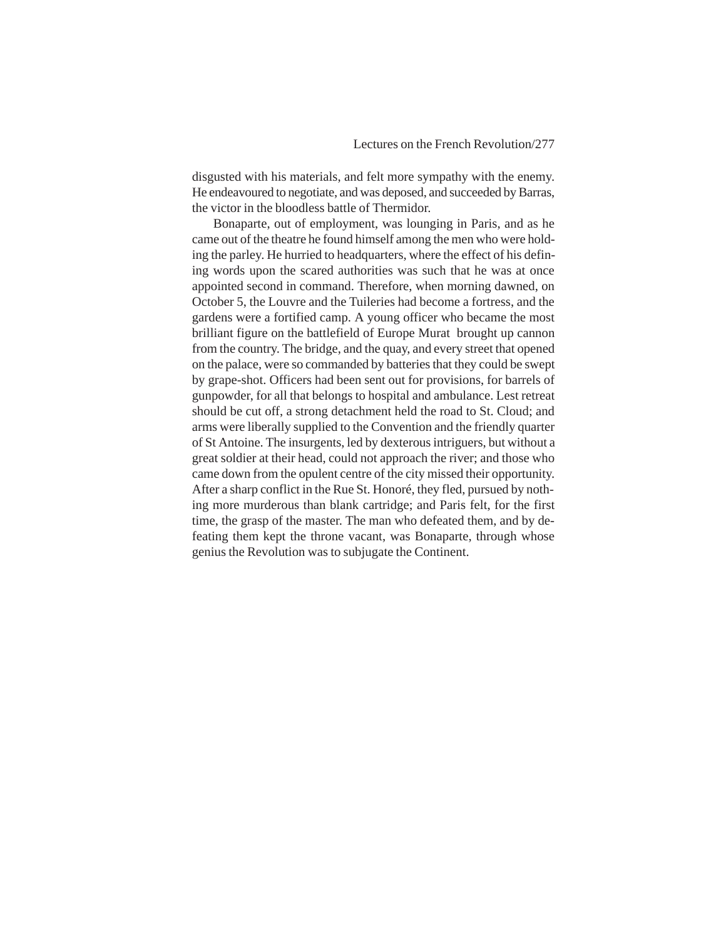disgusted with his materials, and felt more sympathy with the enemy. He endeavoured to negotiate, and was deposed, and succeeded by Barras, the victor in the bloodless battle of Thermidor.

Bonaparte, out of employment, was lounging in Paris, and as he came out of the theatre he found himself among the men who were holding the parley. He hurried to headquarters, where the effect of his defining words upon the scared authorities was such that he was at once appointed second in command. Therefore, when morning dawned, on October 5, the Louvre and the Tuileries had become a fortress, and the gardens were a fortified camp. A young officer who became the most brilliant figure on the battlefield of Europe Murat brought up cannon from the country. The bridge, and the quay, and every street that opened on the palace, were so commanded by batteries that they could be swept by grape-shot. Officers had been sent out for provisions, for barrels of gunpowder, for all that belongs to hospital and ambulance. Lest retreat should be cut off, a strong detachment held the road to St. Cloud; and arms were liberally supplied to the Convention and the friendly quarter of St Antoine. The insurgents, led by dexterous intriguers, but without a great soldier at their head, could not approach the river; and those who came down from the opulent centre of the city missed their opportunity. After a sharp conflict in the Rue St. Honoré, they fled, pursued by nothing more murderous than blank cartridge; and Paris felt, for the first time, the grasp of the master. The man who defeated them, and by defeating them kept the throne vacant, was Bonaparte, through whose genius the Revolution was to subjugate the Continent.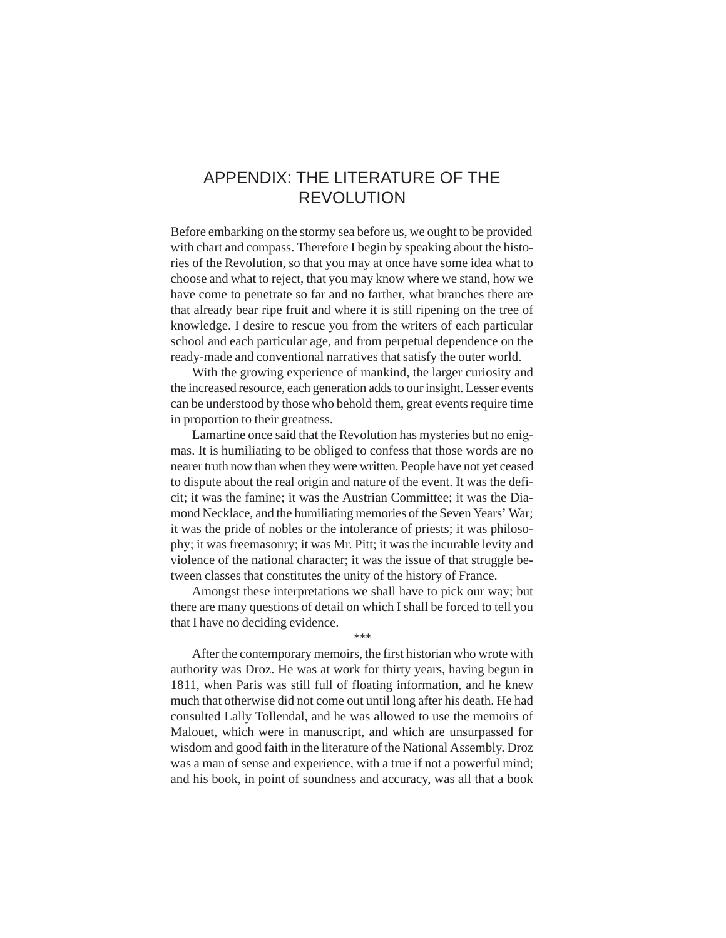# APPENDIX: THE LITERATURE OF THE REVOLUTION

Before embarking on the stormy sea before us, we ought to be provided with chart and compass. Therefore I begin by speaking about the histories of the Revolution, so that you may at once have some idea what to choose and what to reject, that you may know where we stand, how we have come to penetrate so far and no farther, what branches there are that already bear ripe fruit and where it is still ripening on the tree of knowledge. I desire to rescue you from the writers of each particular school and each particular age, and from perpetual dependence on the ready-made and conventional narratives that satisfy the outer world.

With the growing experience of mankind, the larger curiosity and the increased resource, each generation adds to our insight. Lesser events can be understood by those who behold them, great events require time in proportion to their greatness.

Lamartine once said that the Revolution has mysteries but no enigmas. It is humiliating to be obliged to confess that those words are no nearer truth now than when they were written. People have not yet ceased to dispute about the real origin and nature of the event. It was the deficit; it was the famine; it was the Austrian Committee; it was the Diamond Necklace, and the humiliating memories of the Seven Years' War; it was the pride of nobles or the intolerance of priests; it was philosophy; it was freemasonry; it was Mr. Pitt; it was the incurable levity and violence of the national character; it was the issue of that struggle between classes that constitutes the unity of the history of France.

Amongst these interpretations we shall have to pick our way; but there are many questions of detail on which I shall be forced to tell you that I have no deciding evidence.

\*\*\*

After the contemporary memoirs, the first historian who wrote with authority was Droz. He was at work for thirty years, having begun in 1811, when Paris was still full of floating information, and he knew much that otherwise did not come out until long after his death. He had consulted Lally Tollendal, and he was allowed to use the memoirs of Malouet, which were in manuscript, and which are unsurpassed for wisdom and good faith in the literature of the National Assembly. Droz was a man of sense and experience, with a true if not a powerful mind; and his book, in point of soundness and accuracy, was all that a book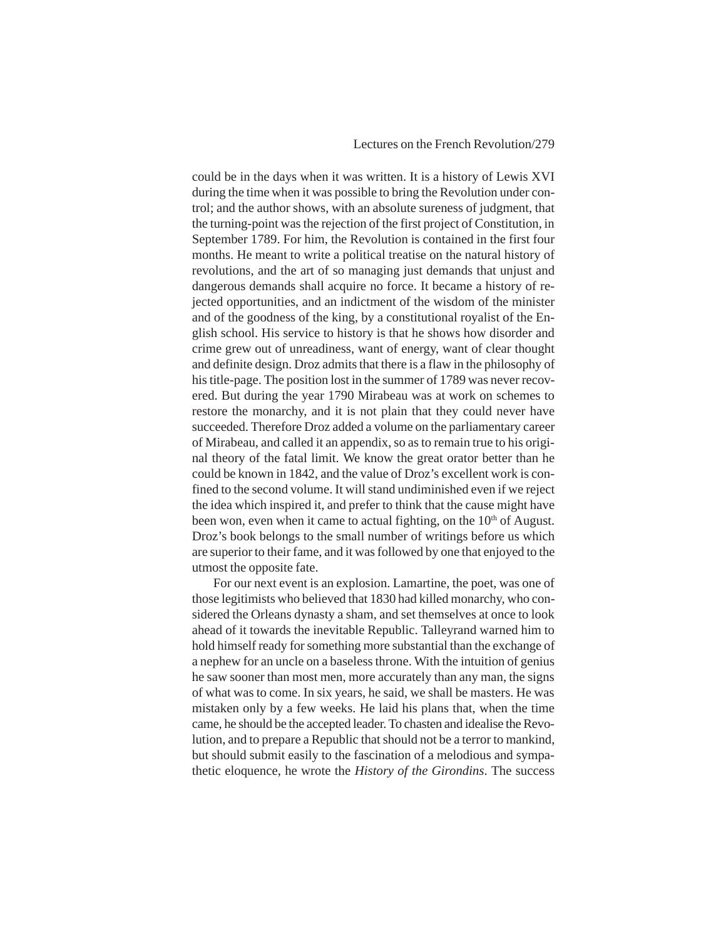could be in the days when it was written. It is a history of Lewis XVI during the time when it was possible to bring the Revolution under control; and the author shows, with an absolute sureness of judgment, that the turning-point was the rejection of the first project of Constitution, in September 1789. For him, the Revolution is contained in the first four months. He meant to write a political treatise on the natural history of revolutions, and the art of so managing just demands that unjust and dangerous demands shall acquire no force. It became a history of rejected opportunities, and an indictment of the wisdom of the minister and of the goodness of the king, by a constitutional royalist of the English school. His service to history is that he shows how disorder and crime grew out of unreadiness, want of energy, want of clear thought and definite design. Droz admits that there is a flaw in the philosophy of his title-page. The position lost in the summer of 1789 was never recovered. But during the year 1790 Mirabeau was at work on schemes to restore the monarchy, and it is not plain that they could never have succeeded. Therefore Droz added a volume on the parliamentary career of Mirabeau, and called it an appendix, so as to remain true to his original theory of the fatal limit. We know the great orator better than he could be known in 1842, and the value of Droz's excellent work is confined to the second volume. It will stand undiminished even if we reject the idea which inspired it, and prefer to think that the cause might have been won, even when it came to actual fighting, on the  $10<sup>th</sup>$  of August. Droz's book belongs to the small number of writings before us which are superior to their fame, and it was followed by one that enjoyed to the utmost the opposite fate.

For our next event is an explosion. Lamartine, the poet, was one of those legitimists who believed that 1830 had killed monarchy, who considered the Orleans dynasty a sham, and set themselves at once to look ahead of it towards the inevitable Republic. Talleyrand warned him to hold himself ready for something more substantial than the exchange of a nephew for an uncle on a baseless throne. With the intuition of genius he saw sooner than most men, more accurately than any man, the signs of what was to come. In six years, he said, we shall be masters. He was mistaken only by a few weeks. He laid his plans that, when the time came, he should be the accepted leader. To chasten and idealise the Revolution, and to prepare a Republic that should not be a terror to mankind, but should submit easily to the fascination of a melodious and sympathetic eloquence, he wrote the *History of the Girondins*. The success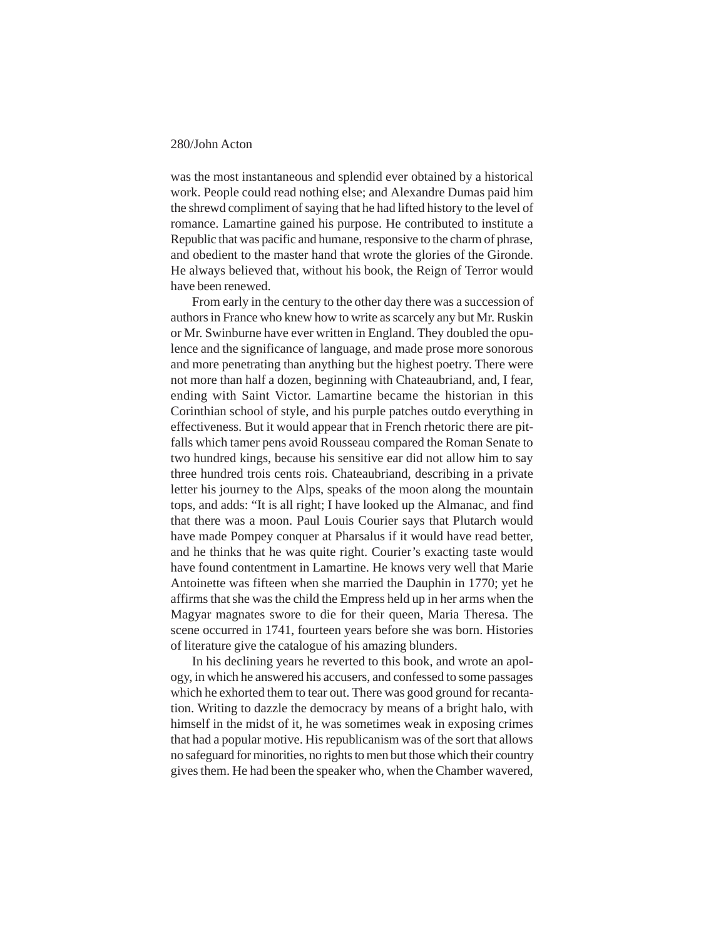was the most instantaneous and splendid ever obtained by a historical work. People could read nothing else; and Alexandre Dumas paid him the shrewd compliment of saying that he had lifted history to the level of romance. Lamartine gained his purpose. He contributed to institute a Republic that was pacific and humane, responsive to the charm of phrase, and obedient to the master hand that wrote the glories of the Gironde. He always believed that, without his book, the Reign of Terror would have been renewed.

From early in the century to the other day there was a succession of authors in France who knew how to write as scarcely any but Mr. Ruskin or Mr. Swinburne have ever written in England. They doubled the opulence and the significance of language, and made prose more sonorous and more penetrating than anything but the highest poetry. There were not more than half a dozen, beginning with Chateaubriand, and, I fear, ending with Saint Victor. Lamartine became the historian in this Corinthian school of style, and his purple patches outdo everything in effectiveness. But it would appear that in French rhetoric there are pitfalls which tamer pens avoid Rousseau compared the Roman Senate to two hundred kings, because his sensitive ear did not allow him to say three hundred trois cents rois. Chateaubriand, describing in a private letter his journey to the Alps, speaks of the moon along the mountain tops, and adds: "It is all right; I have looked up the Almanac, and find that there was a moon. Paul Louis Courier says that Plutarch would have made Pompey conquer at Pharsalus if it would have read better, and he thinks that he was quite right. Courier's exacting taste would have found contentment in Lamartine. He knows very well that Marie Antoinette was fifteen when she married the Dauphin in 1770; yet he affirms that she was the child the Empress held up in her arms when the Magyar magnates swore to die for their queen, Maria Theresa. The scene occurred in 1741, fourteen years before she was born. Histories of literature give the catalogue of his amazing blunders.

In his declining years he reverted to this book, and wrote an apology, in which he answered his accusers, and confessed to some passages which he exhorted them to tear out. There was good ground for recantation. Writing to dazzle the democracy by means of a bright halo, with himself in the midst of it, he was sometimes weak in exposing crimes that had a popular motive. His republicanism was of the sort that allows no safeguard for minorities, no rights to men but those which their country gives them. He had been the speaker who, when the Chamber wavered,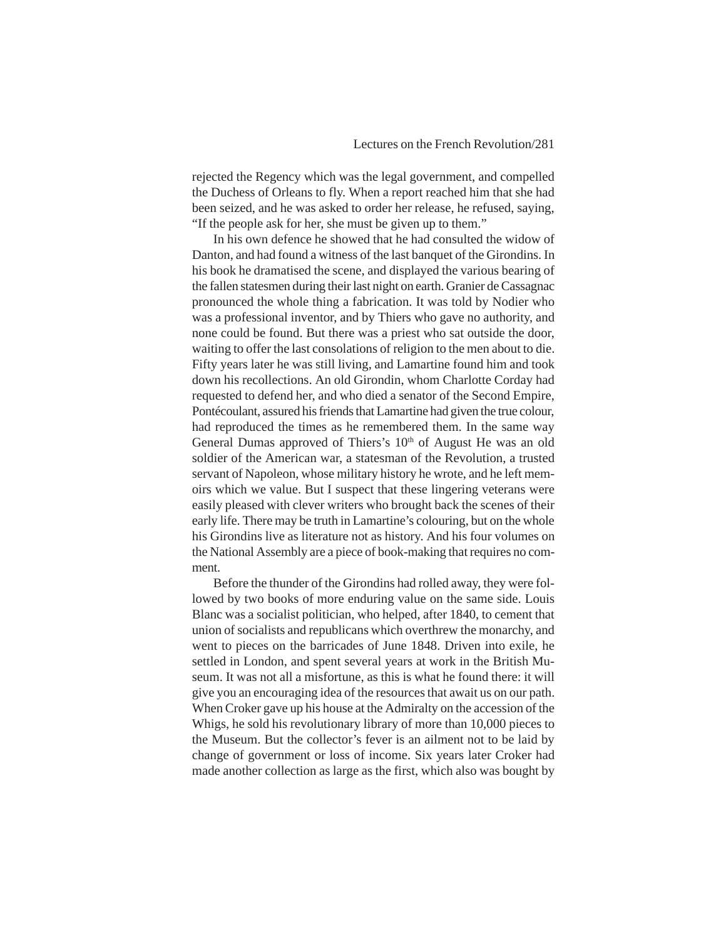rejected the Regency which was the legal government, and compelled the Duchess of Orleans to fly. When a report reached him that she had been seized, and he was asked to order her release, he refused, saying, "If the people ask for her, she must be given up to them."

In his own defence he showed that he had consulted the widow of Danton, and had found a witness of the last banquet of the Girondins. In his book he dramatised the scene, and displayed the various bearing of the fallen statesmen during their last night on earth. Granier de Cassagnac pronounced the whole thing a fabrication. It was told by Nodier who was a professional inventor, and by Thiers who gave no authority, and none could be found. But there was a priest who sat outside the door, waiting to offer the last consolations of religion to the men about to die. Fifty years later he was still living, and Lamartine found him and took down his recollections. An old Girondin, whom Charlotte Corday had requested to defend her, and who died a senator of the Second Empire, Pontécoulant, assured his friends that Lamartine had given the true colour, had reproduced the times as he remembered them. In the same way General Dumas approved of Thiers's 10<sup>th</sup> of August He was an old soldier of the American war, a statesman of the Revolution, a trusted servant of Napoleon, whose military history he wrote, and he left memoirs which we value. But I suspect that these lingering veterans were easily pleased with clever writers who brought back the scenes of their early life. There may be truth in Lamartine's colouring, but on the whole his Girondins live as literature not as history. And his four volumes on the National Assembly are a piece of book-making that requires no comment.

Before the thunder of the Girondins had rolled away, they were followed by two books of more enduring value on the same side. Louis Blanc was a socialist politician, who helped, after 1840, to cement that union of socialists and republicans which overthrew the monarchy, and went to pieces on the barricades of June 1848. Driven into exile, he settled in London, and spent several years at work in the British Museum. It was not all a misfortune, as this is what he found there: it will give you an encouraging idea of the resources that await us on our path. When Croker gave up his house at the Admiralty on the accession of the Whigs, he sold his revolutionary library of more than 10,000 pieces to the Museum. But the collector's fever is an ailment not to be laid by change of government or loss of income. Six years later Croker had made another collection as large as the first, which also was bought by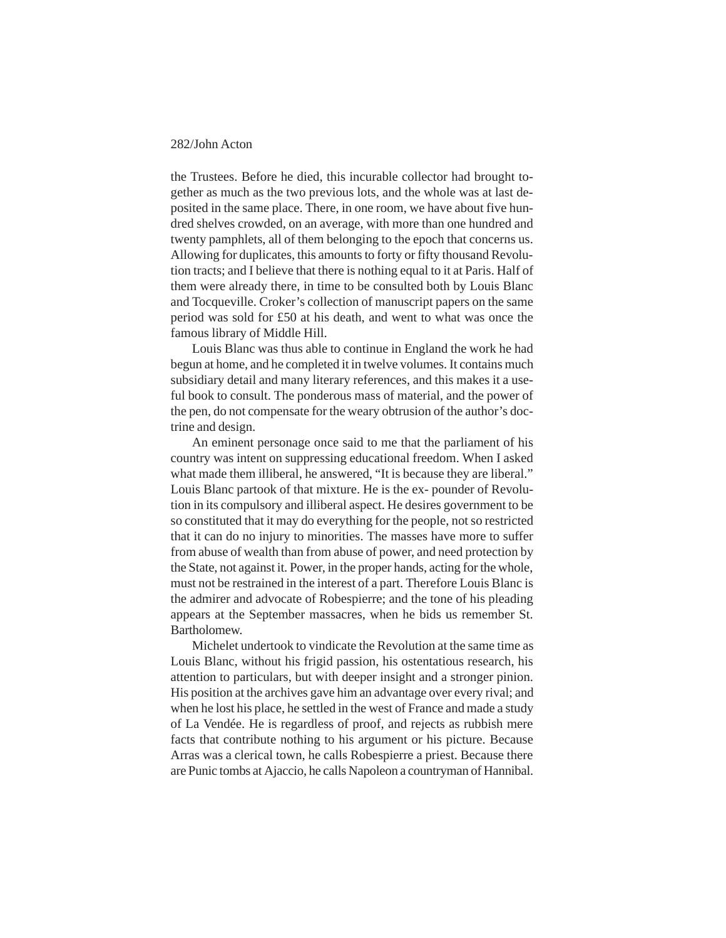the Trustees. Before he died, this incurable collector had brought together as much as the two previous lots, and the whole was at last deposited in the same place. There, in one room, we have about five hundred shelves crowded, on an average, with more than one hundred and twenty pamphlets, all of them belonging to the epoch that concerns us. Allowing for duplicates, this amounts to forty or fifty thousand Revolution tracts; and I believe that there is nothing equal to it at Paris. Half of them were already there, in time to be consulted both by Louis Blanc and Tocqueville. Croker's collection of manuscript papers on the same period was sold for £50 at his death, and went to what was once the famous library of Middle Hill.

Louis Blanc was thus able to continue in England the work he had begun at home, and he completed it in twelve volumes. It contains much subsidiary detail and many literary references, and this makes it a useful book to consult. The ponderous mass of material, and the power of the pen, do not compensate for the weary obtrusion of the author's doctrine and design.

An eminent personage once said to me that the parliament of his country was intent on suppressing educational freedom. When I asked what made them illiberal, he answered, "It is because they are liberal." Louis Blanc partook of that mixture. He is the ex- pounder of Revolution in its compulsory and illiberal aspect. He desires government to be so constituted that it may do everything for the people, not so restricted that it can do no injury to minorities. The masses have more to suffer from abuse of wealth than from abuse of power, and need protection by the State, not against it. Power, in the proper hands, acting for the whole, must not be restrained in the interest of a part. Therefore Louis Blanc is the admirer and advocate of Robespierre; and the tone of his pleading appears at the September massacres, when he bids us remember St. Bartholomew.

Michelet undertook to vindicate the Revolution at the same time as Louis Blanc, without his frigid passion, his ostentatious research, his attention to particulars, but with deeper insight and a stronger pinion. His position at the archives gave him an advantage over every rival; and when he lost his place, he settled in the west of France and made a study of La Vendée. He is regardless of proof, and rejects as rubbish mere facts that contribute nothing to his argument or his picture. Because Arras was a clerical town, he calls Robespierre a priest. Because there are Punic tombs at Ajaccio, he calls Napoleon a countryman of Hannibal.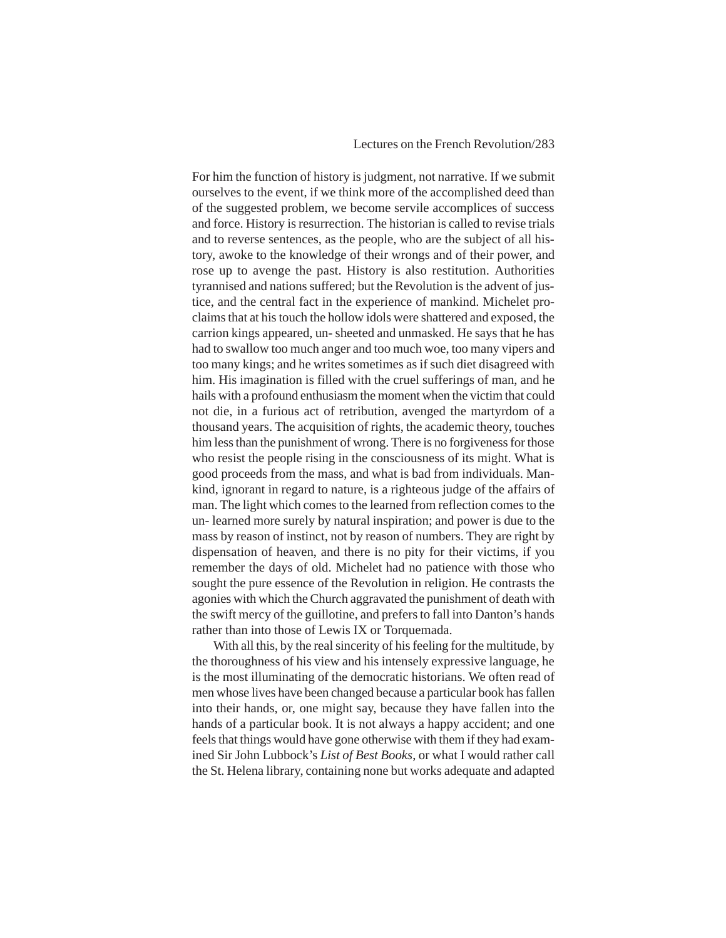# Lectures on the French Revolution/283

For him the function of history is judgment, not narrative. If we submit ourselves to the event, if we think more of the accomplished deed than of the suggested problem, we become servile accomplices of success and force. History is resurrection. The historian is called to revise trials and to reverse sentences, as the people, who are the subject of all history, awoke to the knowledge of their wrongs and of their power, and rose up to avenge the past. History is also restitution. Authorities tyrannised and nations suffered; but the Revolution is the advent of justice, and the central fact in the experience of mankind. Michelet proclaims that at his touch the hollow idols were shattered and exposed, the carrion kings appeared, un- sheeted and unmasked. He says that he has had to swallow too much anger and too much woe, too many vipers and too many kings; and he writes sometimes as if such diet disagreed with him. His imagination is filled with the cruel sufferings of man, and he hails with a profound enthusiasm the moment when the victim that could not die, in a furious act of retribution, avenged the martyrdom of a thousand years. The acquisition of rights, the academic theory, touches him less than the punishment of wrong. There is no forgiveness for those who resist the people rising in the consciousness of its might. What is good proceeds from the mass, and what is bad from individuals. Mankind, ignorant in regard to nature, is a righteous judge of the affairs of man. The light which comes to the learned from reflection comes to the un- learned more surely by natural inspiration; and power is due to the mass by reason of instinct, not by reason of numbers. They are right by dispensation of heaven, and there is no pity for their victims, if you remember the days of old. Michelet had no patience with those who sought the pure essence of the Revolution in religion. He contrasts the agonies with which the Church aggravated the punishment of death with the swift mercy of the guillotine, and prefers to fall into Danton's hands rather than into those of Lewis IX or Torquemada.

With all this, by the real sincerity of his feeling for the multitude, by the thoroughness of his view and his intensely expressive language, he is the most illuminating of the democratic historians. We often read of men whose lives have been changed because a particular book has fallen into their hands, or, one might say, because they have fallen into the hands of a particular book. It is not always a happy accident; and one feels that things would have gone otherwise with them if they had examined Sir John Lubbock's *List of Best Books*, or what I would rather call the St. Helena library, containing none but works adequate and adapted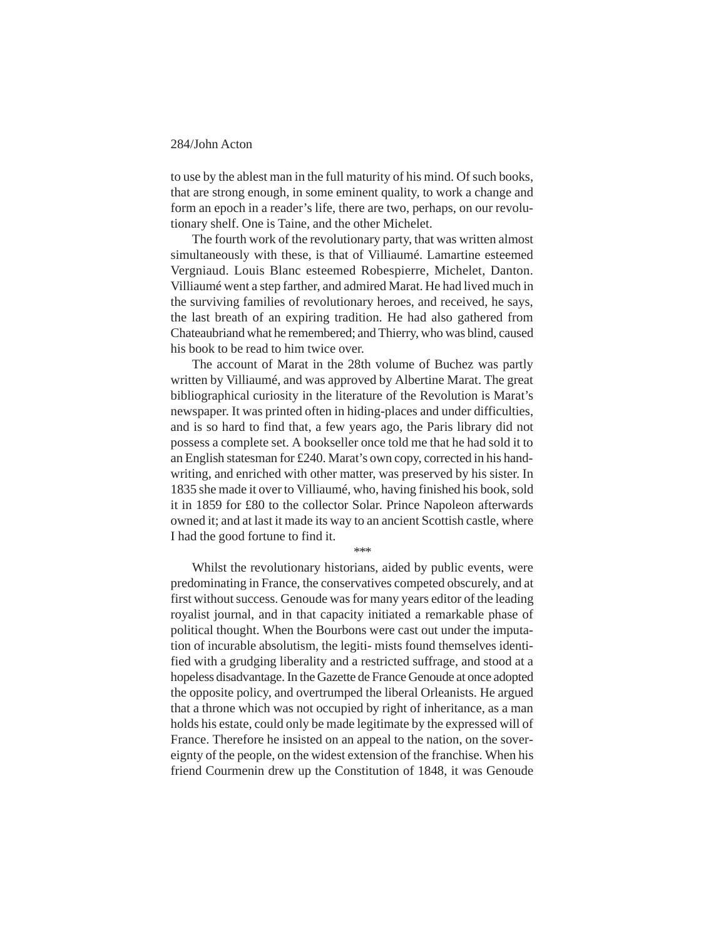to use by the ablest man in the full maturity of his mind. Of such books, that are strong enough, in some eminent quality, to work a change and form an epoch in a reader's life, there are two, perhaps, on our revolutionary shelf. One is Taine, and the other Michelet.

The fourth work of the revolutionary party, that was written almost simultaneously with these, is that of Villiaumé. Lamartine esteemed Vergniaud. Louis Blanc esteemed Robespierre, Michelet, Danton. Villiaumé went a step farther, and admired Marat. He had lived much in the surviving families of revolutionary heroes, and received, he says, the last breath of an expiring tradition. He had also gathered from Chateaubriand what he remembered; and Thierry, who was blind, caused his book to be read to him twice over.

The account of Marat in the 28th volume of Buchez was partly written by Villiaumé, and was approved by Albertine Marat. The great bibliographical curiosity in the literature of the Revolution is Marat's newspaper. It was printed often in hiding-places and under difficulties, and is so hard to find that, a few years ago, the Paris library did not possess a complete set. A bookseller once told me that he had sold it to an English statesman for £240. Marat's own copy, corrected in his handwriting, and enriched with other matter, was preserved by his sister. In 1835 she made it over to Villiaumé, who, having finished his book, sold it in 1859 for £80 to the collector Solar. Prince Napoleon afterwards owned it; and at last it made its way to an ancient Scottish castle, where I had the good fortune to find it.

\*\*\*

Whilst the revolutionary historians, aided by public events, were predominating in France, the conservatives competed obscurely, and at first without success. Genoude was for many years editor of the leading royalist journal, and in that capacity initiated a remarkable phase of political thought. When the Bourbons were cast out under the imputation of incurable absolutism, the legiti- mists found themselves identified with a grudging liberality and a restricted suffrage, and stood at a hopeless disadvantage. In the Gazette de France Genoude at once adopted the opposite policy, and overtrumped the liberal Orleanists. He argued that a throne which was not occupied by right of inheritance, as a man holds his estate, could only be made legitimate by the expressed will of France. Therefore he insisted on an appeal to the nation, on the sovereignty of the people, on the widest extension of the franchise. When his friend Courmenin drew up the Constitution of 1848, it was Genoude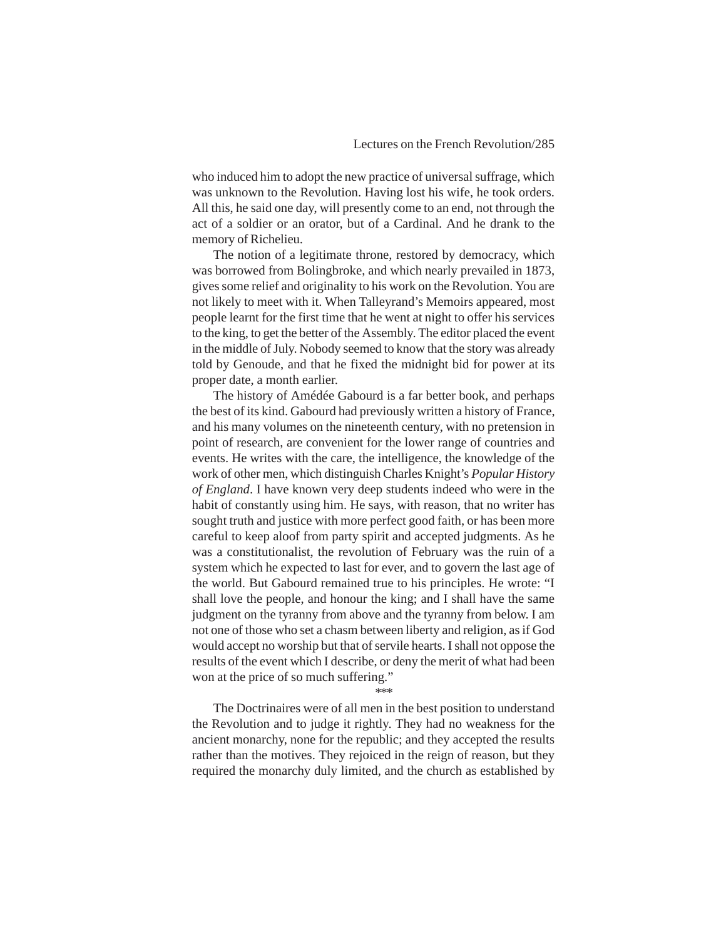who induced him to adopt the new practice of universal suffrage, which was unknown to the Revolution. Having lost his wife, he took orders. All this, he said one day, will presently come to an end, not through the act of a soldier or an orator, but of a Cardinal. And he drank to the memory of Richelieu.

The notion of a legitimate throne, restored by democracy, which was borrowed from Bolingbroke, and which nearly prevailed in 1873, gives some relief and originality to his work on the Revolution. You are not likely to meet with it. When Talleyrand's Memoirs appeared, most people learnt for the first time that he went at night to offer his services to the king, to get the better of the Assembly. The editor placed the event in the middle of July. Nobody seemed to know that the story was already told by Genoude, and that he fixed the midnight bid for power at its proper date, a month earlier.

The history of Amédée Gabourd is a far better book, and perhaps the best of its kind. Gabourd had previously written a history of France, and his many volumes on the nineteenth century, with no pretension in point of research, are convenient for the lower range of countries and events. He writes with the care, the intelligence, the knowledge of the work of other men, which distinguish Charles Knight's *Popular History of England*. I have known very deep students indeed who were in the habit of constantly using him. He says, with reason, that no writer has sought truth and justice with more perfect good faith, or has been more careful to keep aloof from party spirit and accepted judgments. As he was a constitutionalist, the revolution of February was the ruin of a system which he expected to last for ever, and to govern the last age of the world. But Gabourd remained true to his principles. He wrote: "I shall love the people, and honour the king; and I shall have the same judgment on the tyranny from above and the tyranny from below. I am not one of those who set a chasm between liberty and religion, as if God would accept no worship but that of servile hearts. I shall not oppose the results of the event which I describe, or deny the merit of what had been won at the price of so much suffering."

\*\*\*

The Doctrinaires were of all men in the best position to understand the Revolution and to judge it rightly. They had no weakness for the ancient monarchy, none for the republic; and they accepted the results rather than the motives. They rejoiced in the reign of reason, but they required the monarchy duly limited, and the church as established by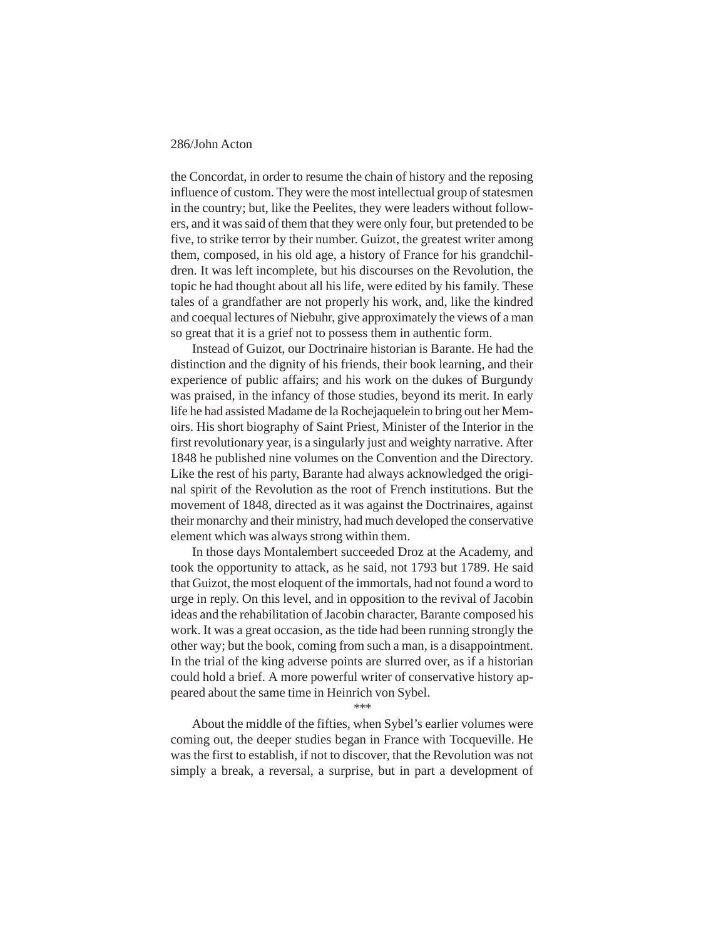the Concordat, in order to resume the chain of history and the reposing influence of custom. They were the most intellectual group of statesmen in the country; but, like the Peelites, they were leaders without followers, and it was said of them that they were only four, but pretended to be five, to strike terror by their number. Guizot, the greatest writer among them, composed, in his old age, a history of France for his grandchildren. It was left incomplete, but his discourses on the Revolution, the topic he had thought about all his life, were edited by his family. These tales of a grandfather are not properly his work, and, like the kindred and coequal lectures of Niebuhr, give approximately the views of a man so great that it is a grief not to possess them in authentic form.

Instead of Guizot, our Doctrinaire historian is Barante. He had the distinction and the dignity of his friends, their book learning, and their experience of public affairs; and his work on the dukes of Burgundy was praised, in the infancy of those studies, beyond its merit. In early life he had assisted Madame de la Rochejaquelein to bring out her Memoirs. His short biography of Saint Priest, Minister of the Interior in the first revolutionary year, is a singularly just and weighty narrative. After 1848 he published nine volumes on the Convention and the Directory. Like the rest of his party, Barante had always acknowledged the original spirit of the Revolution as the root of French institutions. But the movement of 1848, directed as it was against the Doctrinaires, against their monarchy and their ministry, had much developed the conservative element which was always strong within them.

In those days Montalembert succeeded Droz at the Academy, and took the opportunity to attack, as he said, not 1793 but 1789. He said that Guizot, the most eloquent of the immortals, had not found a word to urge in reply. On this level, and in opposition to the revival of Jacobin ideas and the rehabilitation of Jacobin character, Barante composed his work. It was a great occasion, as the tide had been running strongly the other way; but the book, coming from such a man, is a disappointment. In the trial of the king adverse points are slurred over, as if a historian could hold a brief. A more powerful writer of conservative history appeared about the same time in Heinrich von Sybel.

\*\*\*

About the middle of the fifties, when Sybel's earlier volumes were coming out, the deeper studies began in France with Tocqueville. He was the first to establish, if not to discover, that the Revolution was not simply a break, a reversal, a surprise, but in part a development of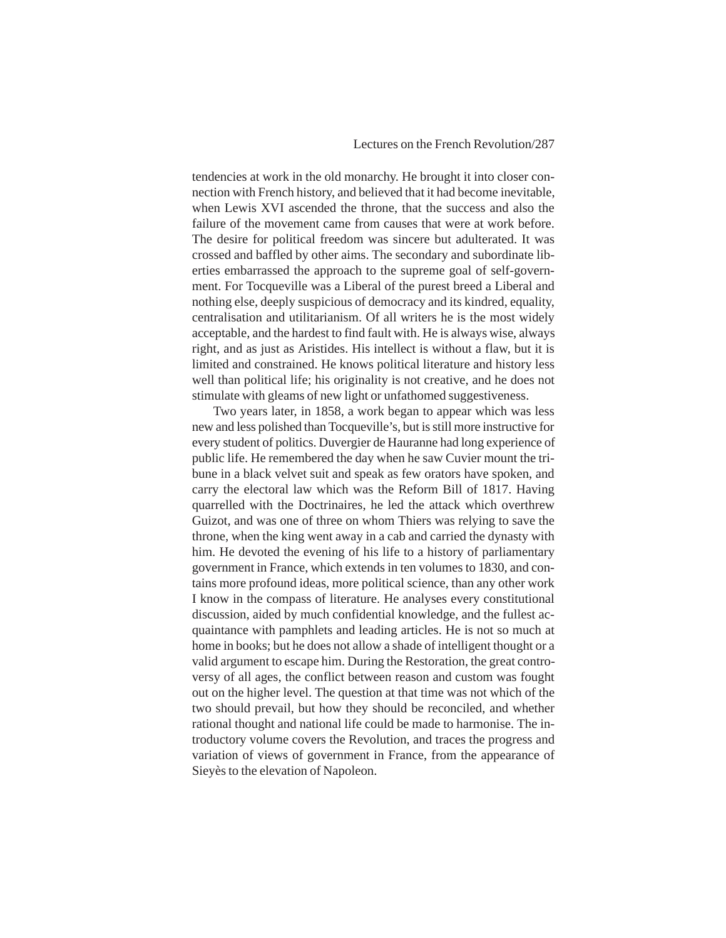tendencies at work in the old monarchy. He brought it into closer connection with French history, and believed that it had become inevitable, when Lewis XVI ascended the throne, that the success and also the failure of the movement came from causes that were at work before. The desire for political freedom was sincere but adulterated. It was crossed and baffled by other aims. The secondary and subordinate liberties embarrassed the approach to the supreme goal of self-government. For Tocqueville was a Liberal of the purest breed a Liberal and nothing else, deeply suspicious of democracy and its kindred, equality, centralisation and utilitarianism. Of all writers he is the most widely acceptable, and the hardest to find fault with. He is always wise, always right, and as just as Aristides. His intellect is without a flaw, but it is limited and constrained. He knows political literature and history less well than political life; his originality is not creative, and he does not stimulate with gleams of new light or unfathomed suggestiveness.

Two years later, in 1858, a work began to appear which was less new and less polished than Tocqueville's, but is still more instructive for every student of politics. Duvergier de Hauranne had long experience of public life. He remembered the day when he saw Cuvier mount the tribune in a black velvet suit and speak as few orators have spoken, and carry the electoral law which was the Reform Bill of 1817. Having quarrelled with the Doctrinaires, he led the attack which overthrew Guizot, and was one of three on whom Thiers was relying to save the throne, when the king went away in a cab and carried the dynasty with him. He devoted the evening of his life to a history of parliamentary government in France, which extends in ten volumes to 1830, and contains more profound ideas, more political science, than any other work I know in the compass of literature. He analyses every constitutional discussion, aided by much confidential knowledge, and the fullest acquaintance with pamphlets and leading articles. He is not so much at home in books; but he does not allow a shade of intelligent thought or a valid argument to escape him. During the Restoration, the great controversy of all ages, the conflict between reason and custom was fought out on the higher level. The question at that time was not which of the two should prevail, but how they should be reconciled, and whether rational thought and national life could be made to harmonise. The introductory volume covers the Revolution, and traces the progress and variation of views of government in France, from the appearance of Sieyès to the elevation of Napoleon.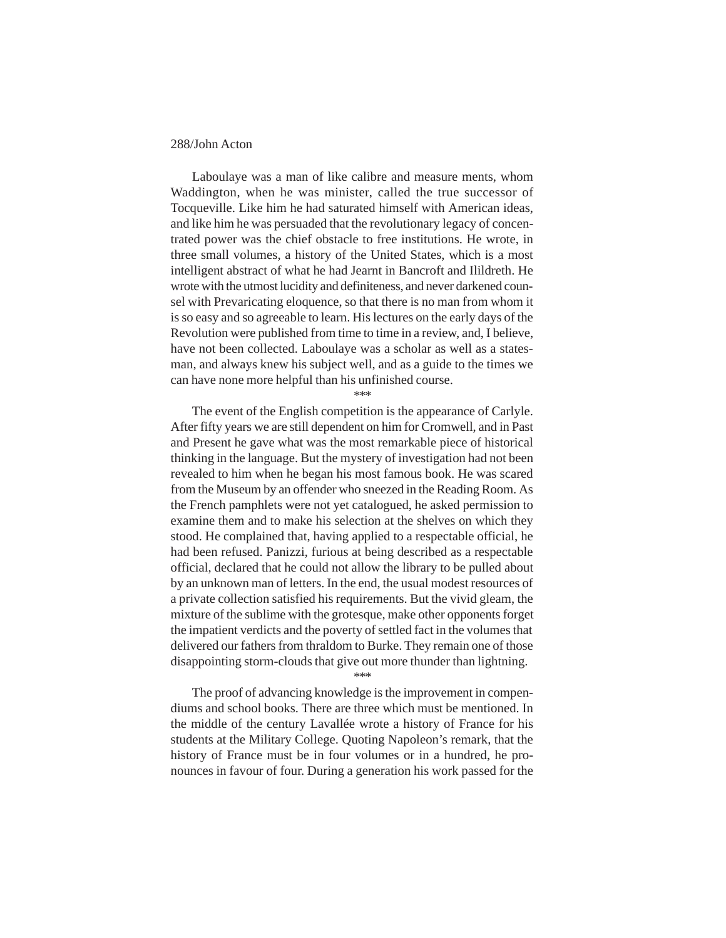Laboulaye was a man of like calibre and measure ments, whom Waddington, when he was minister, called the true successor of Tocqueville. Like him he had saturated himself with American ideas, and like him he was persuaded that the revolutionary legacy of concentrated power was the chief obstacle to free institutions. He wrote, in three small volumes, a history of the United States, which is a most intelligent abstract of what he had Jearnt in Bancroft and Ilildreth. He wrote with the utmost lucidity and definiteness, and never darkened counsel with Prevaricating eloquence, so that there is no man from whom it is so easy and so agreeable to learn. His lectures on the early days of the Revolution were published from time to time in a review, and, I believe, have not been collected. Laboulaye was a scholar as well as a statesman, and always knew his subject well, and as a guide to the times we can have none more helpful than his unfinished course.

\*\*\*

The event of the English competition is the appearance of Carlyle. After fifty years we are still dependent on him for Cromwell, and in Past and Present he gave what was the most remarkable piece of historical thinking in the language. But the mystery of investigation had not been revealed to him when he began his most famous book. He was scared from the Museum by an offender who sneezed in the Reading Room. As the French pamphlets were not yet catalogued, he asked permission to examine them and to make his selection at the shelves on which they stood. He complained that, having applied to a respectable official, he had been refused. Panizzi, furious at being described as a respectable official, declared that he could not allow the library to be pulled about by an unknown man of letters. In the end, the usual modest resources of a private collection satisfied his requirements. But the vivid gleam, the mixture of the sublime with the grotesque, make other opponents forget the impatient verdicts and the poverty of settled fact in the volumes that delivered our fathers from thraldom to Burke. They remain one of those disappointing storm-clouds that give out more thunder than lightning.

\*\*\*

The proof of advancing knowledge is the improvement in compendiums and school books. There are three which must be mentioned. In the middle of the century Lavallée wrote a history of France for his students at the Military College. Quoting Napoleon's remark, that the history of France must be in four volumes or in a hundred, he pronounces in favour of four. During a generation his work passed for the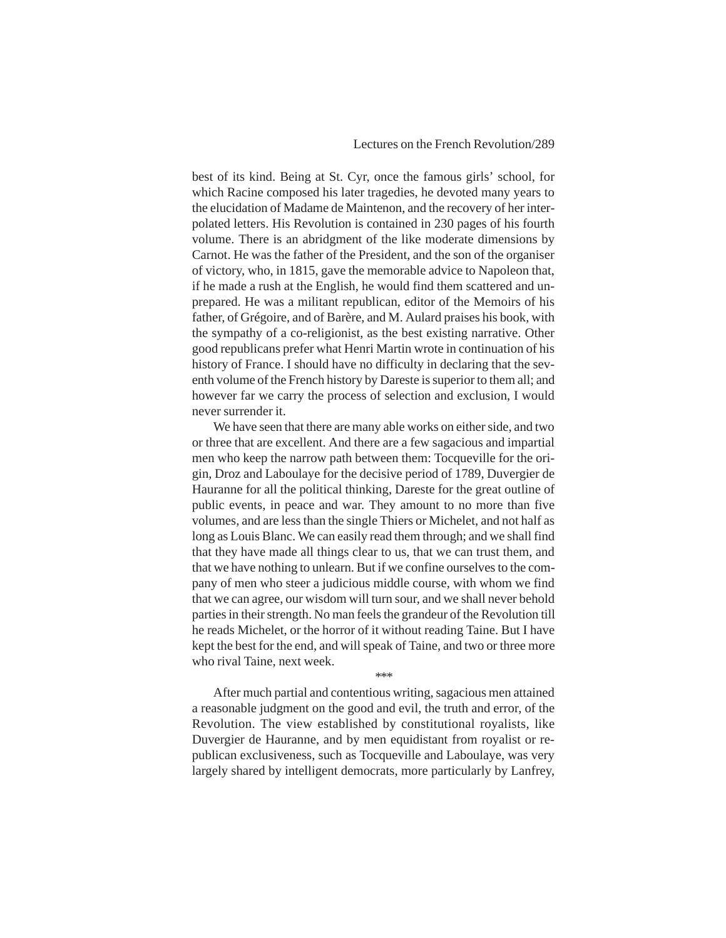best of its kind. Being at St. Cyr, once the famous girls' school, for which Racine composed his later tragedies, he devoted many years to the elucidation of Madame de Maintenon, and the recovery of her interpolated letters. His Revolution is contained in 230 pages of his fourth volume. There is an abridgment of the like moderate dimensions by Carnot. He was the father of the President, and the son of the organiser of victory, who, in 1815, gave the memorable advice to Napoleon that, if he made a rush at the English, he would find them scattered and unprepared. He was a militant republican, editor of the Memoirs of his father, of Grégoire, and of Barère, and M. Aulard praises his book, with the sympathy of a co-religionist, as the best existing narrative. Other good republicans prefer what Henri Martin wrote in continuation of his history of France. I should have no difficulty in declaring that the seventh volume of the French history by Dareste is superior to them all; and however far we carry the process of selection and exclusion, I would never surrender it.

We have seen that there are many able works on either side, and two or three that are excellent. And there are a few sagacious and impartial men who keep the narrow path between them: Tocqueville for the origin, Droz and Laboulaye for the decisive period of 1789, Duvergier de Hauranne for all the political thinking, Dareste for the great outline of public events, in peace and war. They amount to no more than five volumes, and are less than the single Thiers or Michelet, and not half as long as Louis Blanc. We can easily read them through; and we shall find that they have made all things clear to us, that we can trust them, and that we have nothing to unlearn. But if we confine ourselves to the company of men who steer a judicious middle course, with whom we find that we can agree, our wisdom will turn sour, and we shall never behold parties in their strength. No man feels the grandeur of the Revolution till he reads Michelet, or the horror of it without reading Taine. But I have kept the best for the end, and will speak of Taine, and two or three more who rival Taine, next week.

After much partial and contentious writing, sagacious men attained a reasonable judgment on the good and evil, the truth and error, of the Revolution. The view established by constitutional royalists, like Duvergier de Hauranne, and by men equidistant from royalist or republican exclusiveness, such as Tocqueville and Laboulaye, was very largely shared by intelligent democrats, more particularly by Lanfrey,

\*\*\*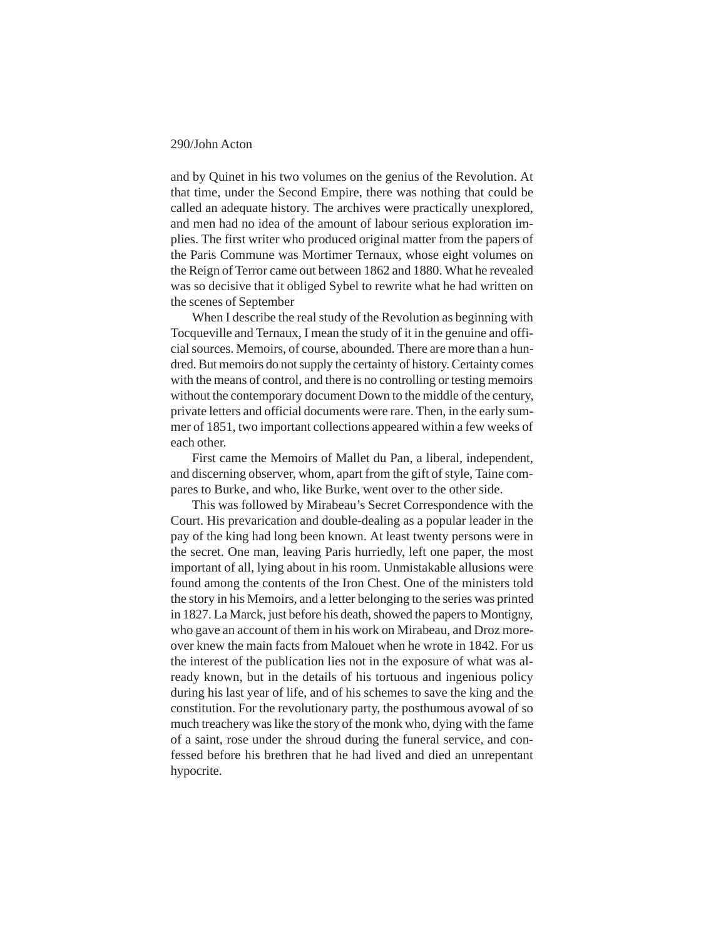and by Quinet in his two volumes on the genius of the Revolution. At that time, under the Second Empire, there was nothing that could be called an adequate history. The archives were practically unexplored, and men had no idea of the amount of labour serious exploration implies. The first writer who produced original matter from the papers of the Paris Commune was Mortimer Ternaux, whose eight volumes on the Reign of Terror came out between 1862 and 1880. What he revealed was so decisive that it obliged Sybel to rewrite what he had written on the scenes of September

When I describe the real study of the Revolution as beginning with Tocqueville and Ternaux, I mean the study of it in the genuine and official sources. Memoirs, of course, abounded. There are more than a hundred. But memoirs do not supply the certainty of history. Certainty comes with the means of control, and there is no controlling or testing memoirs without the contemporary document Down to the middle of the century, private letters and official documents were rare. Then, in the early summer of 1851, two important collections appeared within a few weeks of each other.

First came the Memoirs of Mallet du Pan, a liberal, independent, and discerning observer, whom, apart from the gift of style, Taine compares to Burke, and who, like Burke, went over to the other side.

This was followed by Mirabeau's Secret Correspondence with the Court. His prevarication and double-dealing as a popular leader in the pay of the king had long been known. At least twenty persons were in the secret. One man, leaving Paris hurriedly, left one paper, the most important of all, lying about in his room. Unmistakable allusions were found among the contents of the Iron Chest. One of the ministers told the story in his Memoirs, and a letter belonging to the series was printed in 1827. La Marck, just before his death, showed the papers to Montigny, who gave an account of them in his work on Mirabeau, and Droz moreover knew the main facts from Malouet when he wrote in 1842. For us the interest of the publication lies not in the exposure of what was already known, but in the details of his tortuous and ingenious policy during his last year of life, and of his schemes to save the king and the constitution. For the revolutionary party, the posthumous avowal of so much treachery was like the story of the monk who, dying with the fame of a saint, rose under the shroud during the funeral service, and confessed before his brethren that he had lived and died an unrepentant hypocrite.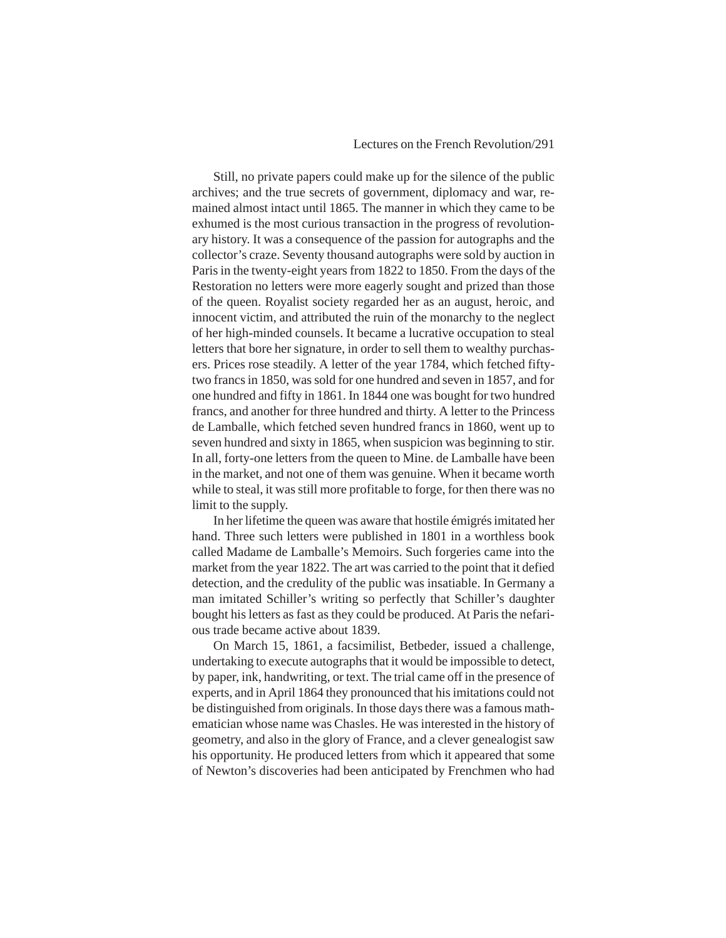# Lectures on the French Revolution/291

Still, no private papers could make up for the silence of the public archives; and the true secrets of government, diplomacy and war, remained almost intact until 1865. The manner in which they came to be exhumed is the most curious transaction in the progress of revolutionary history. It was a consequence of the passion for autographs and the collector's craze. Seventy thousand autographs were sold by auction in Paris in the twenty-eight years from 1822 to 1850. From the days of the Restoration no letters were more eagerly sought and prized than those of the queen. Royalist society regarded her as an august, heroic, and innocent victim, and attributed the ruin of the monarchy to the neglect of her high-minded counsels. It became a lucrative occupation to steal letters that bore her signature, in order to sell them to wealthy purchasers. Prices rose steadily. A letter of the year 1784, which fetched fiftytwo francs in 1850, was sold for one hundred and seven in 1857, and for one hundred and fifty in 1861. In 1844 one was bought for two hundred francs, and another for three hundred and thirty. A letter to the Princess de Lamballe, which fetched seven hundred francs in 1860, went up to seven hundred and sixty in 1865, when suspicion was beginning to stir. In all, forty-one letters from the queen to Mine. de Lamballe have been in the market, and not one of them was genuine. When it became worth while to steal, it was still more profitable to forge, for then there was no limit to the supply.

In her lifetime the queen was aware that hostile émigrés imitated her hand. Three such letters were published in 1801 in a worthless book called Madame de Lamballe's Memoirs. Such forgeries came into the market from the year 1822. The art was carried to the point that it defied detection, and the credulity of the public was insatiable. In Germany a man imitated Schiller's writing so perfectly that Schiller's daughter bought his letters as fast as they could be produced. At Paris the nefarious trade became active about 1839.

On March 15, 1861, a facsimilist, Betbeder, issued a challenge, undertaking to execute autographs that it would be impossible to detect, by paper, ink, handwriting, or text. The trial came off in the presence of experts, and in April 1864 they pronounced that his imitations could not be distinguished from originals. In those days there was a famous mathematician whose name was Chasles. He was interested in the history of geometry, and also in the glory of France, and a clever genealogist saw his opportunity. He produced letters from which it appeared that some of Newton's discoveries had been anticipated by Frenchmen who had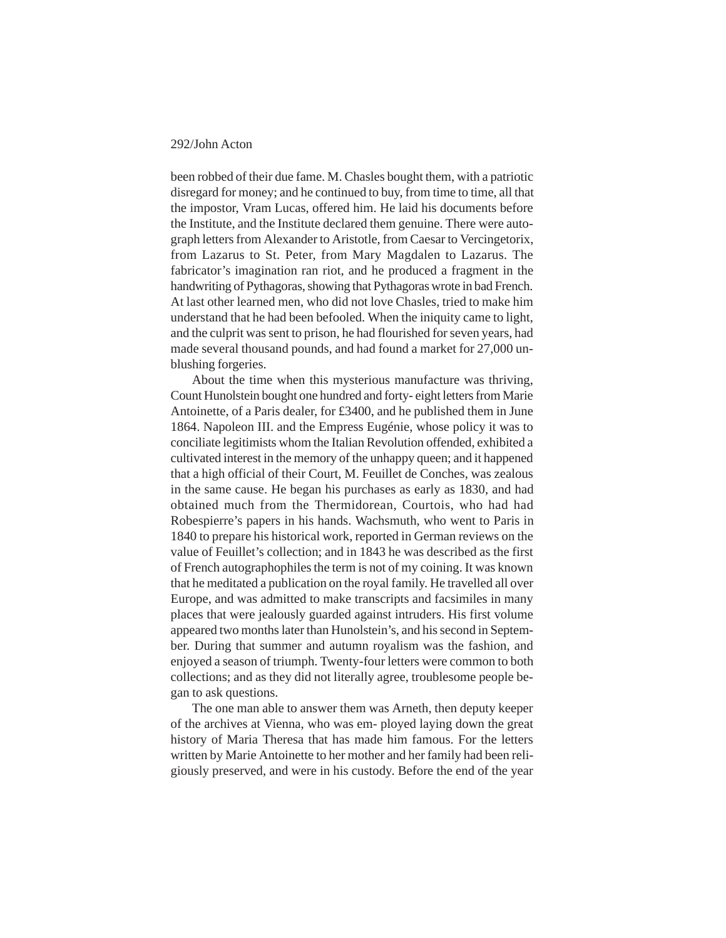been robbed of their due fame. M. Chasles bought them, with a patriotic disregard for money; and he continued to buy, from time to time, all that the impostor, Vram Lucas, offered him. He laid his documents before the Institute, and the Institute declared them genuine. There were autograph letters from Alexander to Aristotle, from Caesar to Vercingetorix, from Lazarus to St. Peter, from Mary Magdalen to Lazarus. The fabricator's imagination ran riot, and he produced a fragment in the handwriting of Pythagoras, showing that Pythagoras wrote in bad French. At last other learned men, who did not love Chasles, tried to make him understand that he had been befooled. When the iniquity came to light, and the culprit was sent to prison, he had flourished for seven years, had made several thousand pounds, and had found a market for 27,000 unblushing forgeries.

About the time when this mysterious manufacture was thriving, Count Hunolstein bought one hundred and forty- eight letters from Marie Antoinette, of a Paris dealer, for £3400, and he published them in June 1864. Napoleon III. and the Empress Eugénie, whose policy it was to conciliate legitimists whom the Italian Revolution offended, exhibited a cultivated interest in the memory of the unhappy queen; and it happened that a high official of their Court, M. Feuillet de Conches, was zealous in the same cause. He began his purchases as early as 1830, and had obtained much from the Thermidorean, Courtois, who had had Robespierre's papers in his hands. Wachsmuth, who went to Paris in 1840 to prepare his historical work, reported in German reviews on the value of Feuillet's collection; and in 1843 he was described as the first of French autographophiles the term is not of my coining. It was known that he meditated a publication on the royal family. He travelled all over Europe, and was admitted to make transcripts and facsimiles in many places that were jealously guarded against intruders. His first volume appeared two months later than Hunolstein's, and his second in September. During that summer and autumn royalism was the fashion, and enjoyed a season of triumph. Twenty-four letters were common to both collections; and as they did not literally agree, troublesome people began to ask questions.

The one man able to answer them was Arneth, then deputy keeper of the archives at Vienna, who was em- ployed laying down the great history of Maria Theresa that has made him famous. For the letters written by Marie Antoinette to her mother and her family had been religiously preserved, and were in his custody. Before the end of the year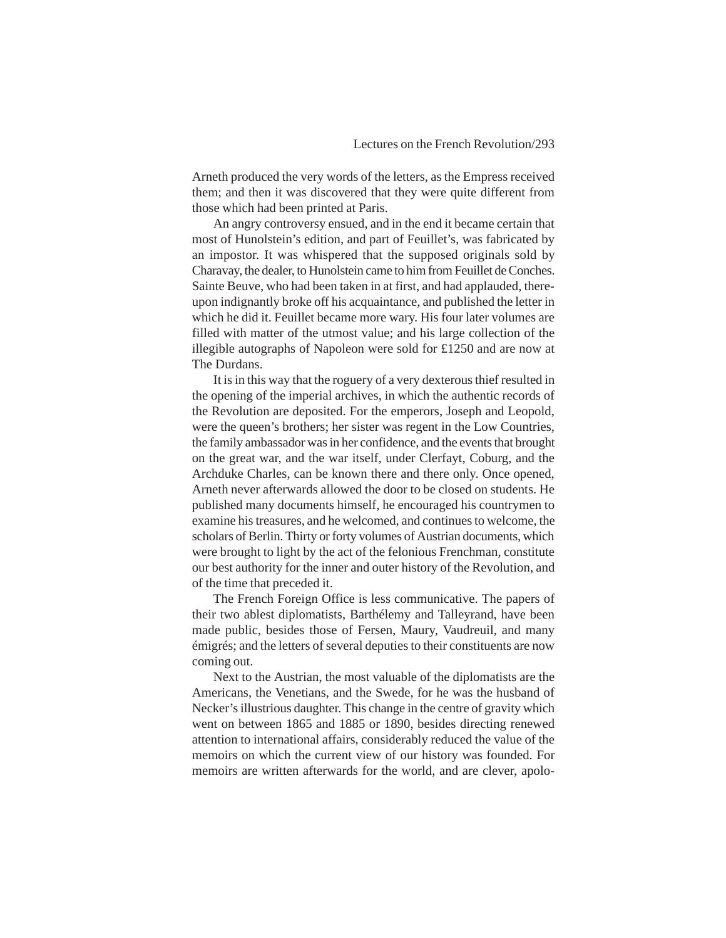Arneth produced the very words of the letters, as the Empress received them; and then it was discovered that they were quite different from those which had been printed at Paris.

An angry controversy ensued, and in the end it became certain that most of Hunolstein's edition, and part of Feuillet's, was fabricated by an impostor. It was whispered that the supposed originals sold by Charavay, the dealer, to Hunolstein came to him from Feuillet de Conches. Sainte Beuve, who had been taken in at first, and had applauded, thereupon indignantly broke off his acquaintance, and published the letter in which he did it. Feuillet became more wary. His four later volumes are filled with matter of the utmost value; and his large collection of the illegible autographs of Napoleon were sold for £1250 and are now at The Durdans.

It is in this way that the roguery of a very dexterous thief resulted in the opening of the imperial archives, in which the authentic records of the Revolution are deposited. For the emperors, Joseph and Leopold, were the queen's brothers; her sister was regent in the Low Countries, the family ambassador was in her confidence, and the events that brought on the great war, and the war itself, under Clerfayt, Coburg, and the Archduke Charles, can be known there and there only. Once opened, Arneth never afterwards allowed the door to be closed on students. He published many documents himself, he encouraged his countrymen to examine his treasures, and he welcomed, and continues to welcome, the scholars of Berlin. Thirty or forty volumes of Austrian documents, which were brought to light by the act of the felonious Frenchman, constitute our best authority for the inner and outer history of the Revolution, and of the time that preceded it.

The French Foreign Office is less communicative. The papers of their two ablest diplomatists, Barthélemy and Talleyrand, have been made public, besides those of Fersen, Maury, Vaudreuil, and many émigrés; and the letters of several deputies to their constituents are now coming out.

Next to the Austrian, the most valuable of the diplomatists are the Americans, the Venetians, and the Swede, for he was the husband of Necker's illustrious daughter. This change in the centre of gravity which went on between 1865 and 1885 or 1890, besides directing renewed attention to international affairs, considerably reduced the value of the memoirs on which the current view of our history was founded. For memoirs are written afterwards for the world, and are clever, apolo-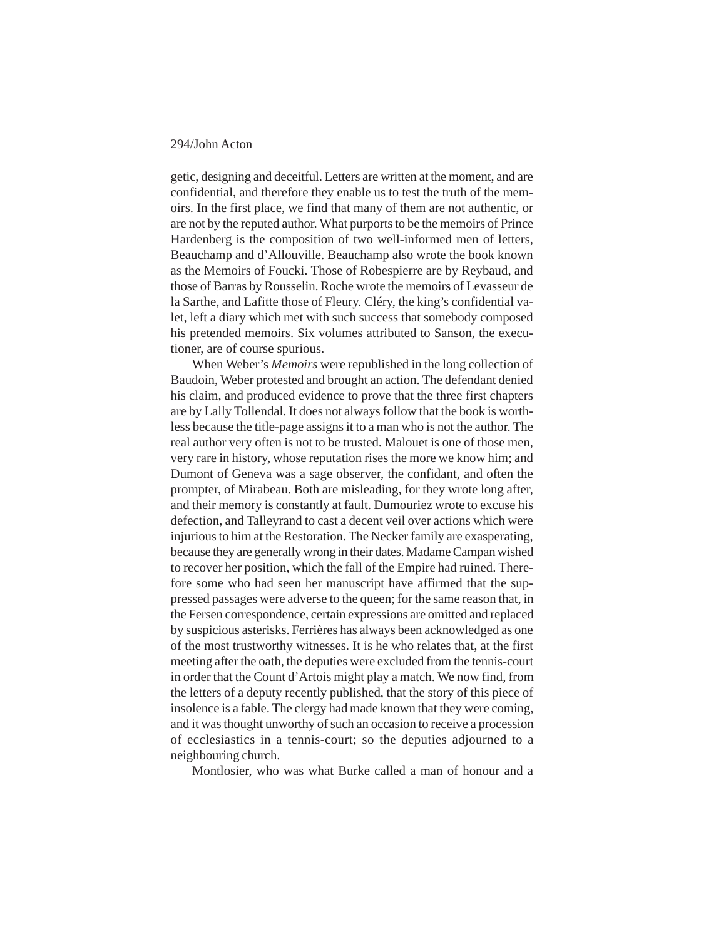getic, designing and deceitful. Letters are written at the moment, and are confidential, and therefore they enable us to test the truth of the memoirs. In the first place, we find that many of them are not authentic, or are not by the reputed author. What purports to be the memoirs of Prince Hardenberg is the composition of two well-informed men of letters, Beauchamp and d'Allouville. Beauchamp also wrote the book known as the Memoirs of Foucki. Those of Robespierre are by Reybaud, and those of Barras by Rousselin. Roche wrote the memoirs of Levasseur de la Sarthe, and Lafitte those of Fleury. Cléry, the king's confidential valet, left a diary which met with such success that somebody composed his pretended memoirs. Six volumes attributed to Sanson, the executioner, are of course spurious.

When Weber's *Memoirs* were republished in the long collection of Baudoin, Weber protested and brought an action. The defendant denied his claim, and produced evidence to prove that the three first chapters are by Lally Tollendal. It does not always follow that the book is worthless because the title-page assigns it to a man who is not the author. The real author very often is not to be trusted. Malouet is one of those men, very rare in history, whose reputation rises the more we know him; and Dumont of Geneva was a sage observer, the confidant, and often the prompter, of Mirabeau. Both are misleading, for they wrote long after, and their memory is constantly at fault. Dumouriez wrote to excuse his defection, and Talleyrand to cast a decent veil over actions which were injurious to him at the Restoration. The Necker family are exasperating, because they are generally wrong in their dates. Madame Campan wished to recover her position, which the fall of the Empire had ruined. Therefore some who had seen her manuscript have affirmed that the suppressed passages were adverse to the queen; for the same reason that, in the Fersen correspondence, certain expressions are omitted and replaced by suspicious asterisks. Ferrières has always been acknowledged as one of the most trustworthy witnesses. It is he who relates that, at the first meeting after the oath, the deputies were excluded from the tennis-court in order that the Count d'Artois might play a match. We now find, from the letters of a deputy recently published, that the story of this piece of insolence is a fable. The clergy had made known that they were coming, and it was thought unworthy of such an occasion to receive a procession of ecclesiastics in a tennis-court; so the deputies adjourned to a neighbouring church.

Montlosier, who was what Burke called a man of honour and a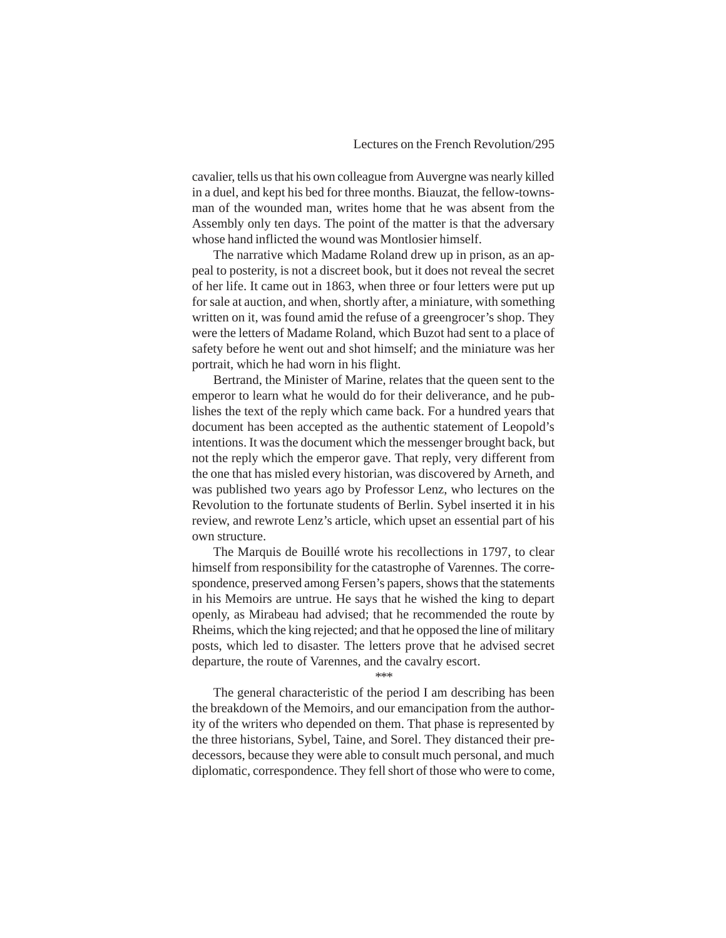cavalier, tells us that his own colleague from Auvergne was nearly killed in a duel, and kept his bed for three months. Biauzat, the fellow-townsman of the wounded man, writes home that he was absent from the Assembly only ten days. The point of the matter is that the adversary whose hand inflicted the wound was Montlosier himself.

The narrative which Madame Roland drew up in prison, as an appeal to posterity, is not a discreet book, but it does not reveal the secret of her life. It came out in 1863, when three or four letters were put up for sale at auction, and when, shortly after, a miniature, with something written on it, was found amid the refuse of a greengrocer's shop. They were the letters of Madame Roland, which Buzot had sent to a place of safety before he went out and shot himself; and the miniature was her portrait, which he had worn in his flight.

Bertrand, the Minister of Marine, relates that the queen sent to the emperor to learn what he would do for their deliverance, and he publishes the text of the reply which came back. For a hundred years that document has been accepted as the authentic statement of Leopold's intentions. It was the document which the messenger brought back, but not the reply which the emperor gave. That reply, very different from the one that has misled every historian, was discovered by Arneth, and was published two years ago by Professor Lenz, who lectures on the Revolution to the fortunate students of Berlin. Sybel inserted it in his review, and rewrote Lenz's article, which upset an essential part of his own structure.

The Marquis de Bouillé wrote his recollections in 1797, to clear himself from responsibility for the catastrophe of Varennes. The correspondence, preserved among Fersen's papers, shows that the statements in his Memoirs are untrue. He says that he wished the king to depart openly, as Mirabeau had advised; that he recommended the route by Rheims, which the king rejected; and that he opposed the line of military posts, which led to disaster. The letters prove that he advised secret departure, the route of Varennes, and the cavalry escort.

\*\*\*

The general characteristic of the period I am describing has been the breakdown of the Memoirs, and our emancipation from the authority of the writers who depended on them. That phase is represented by the three historians, Sybel, Taine, and Sorel. They distanced their predecessors, because they were able to consult much personal, and much diplomatic, correspondence. They fell short of those who were to come,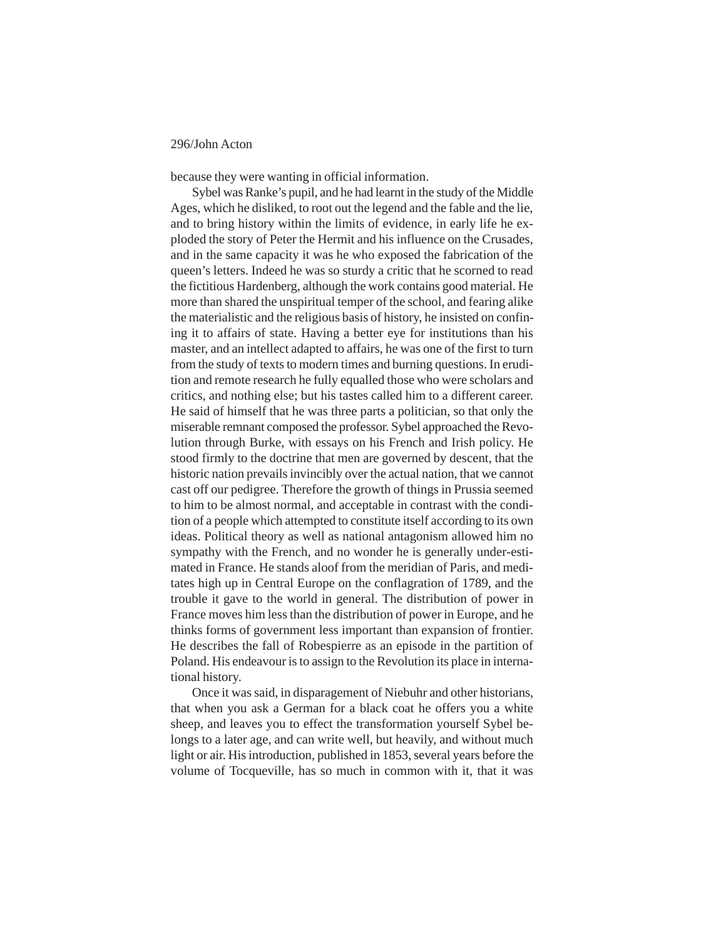because they were wanting in official information.

Sybel was Ranke's pupil, and he had learnt in the study of the Middle Ages, which he disliked, to root out the legend and the fable and the lie, and to bring history within the limits of evidence, in early life he exploded the story of Peter the Hermit and his influence on the Crusades, and in the same capacity it was he who exposed the fabrication of the queen's letters. Indeed he was so sturdy a critic that he scorned to read the fictitious Hardenberg, although the work contains good material. He more than shared the unspiritual temper of the school, and fearing alike the materialistic and the religious basis of history, he insisted on confining it to affairs of state. Having a better eye for institutions than his master, and an intellect adapted to affairs, he was one of the first to turn from the study of texts to modern times and burning questions. In erudition and remote research he fully equalled those who were scholars and critics, and nothing else; but his tastes called him to a different career. He said of himself that he was three parts a politician, so that only the miserable remnant composed the professor. Sybel approached the Revolution through Burke, with essays on his French and Irish policy. He stood firmly to the doctrine that men are governed by descent, that the historic nation prevails invincibly over the actual nation, that we cannot cast off our pedigree. Therefore the growth of things in Prussia seemed to him to be almost normal, and acceptable in contrast with the condition of a people which attempted to constitute itself according to its own ideas. Political theory as well as national antagonism allowed him no sympathy with the French, and no wonder he is generally under-estimated in France. He stands aloof from the meridian of Paris, and meditates high up in Central Europe on the conflagration of 1789, and the trouble it gave to the world in general. The distribution of power in France moves him less than the distribution of power in Europe, and he thinks forms of government less important than expansion of frontier. He describes the fall of Robespierre as an episode in the partition of Poland. His endeavour is to assign to the Revolution its place in international history.

Once it was said, in disparagement of Niebuhr and other historians, that when you ask a German for a black coat he offers you a white sheep, and leaves you to effect the transformation yourself Sybel belongs to a later age, and can write well, but heavily, and without much light or air. His introduction, published in 1853, several years before the volume of Tocqueville, has so much in common with it, that it was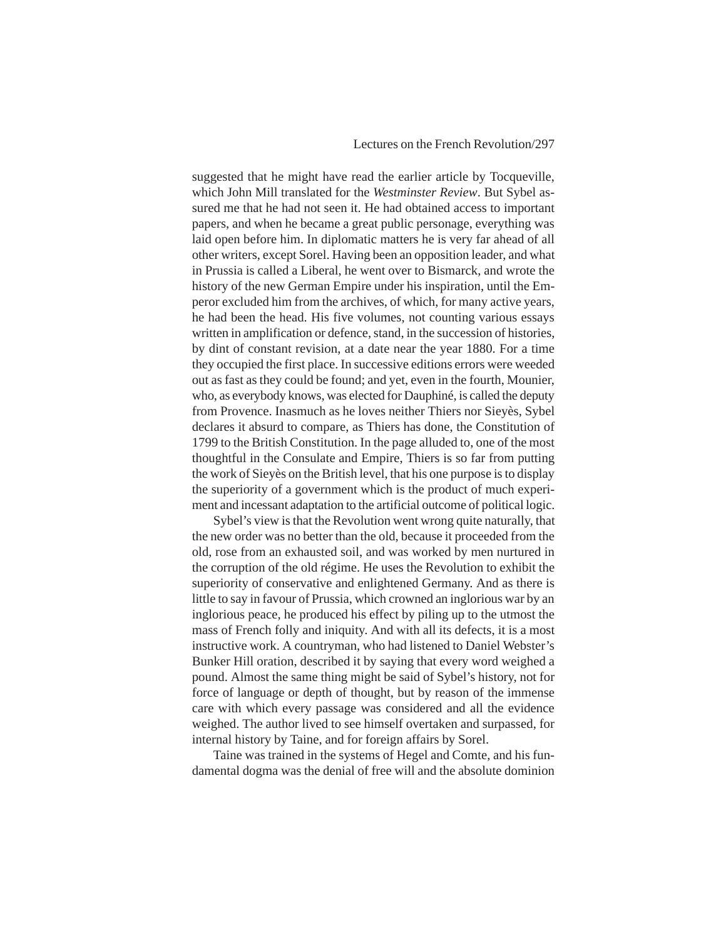suggested that he might have read the earlier article by Tocqueville, which John Mill translated for the *Westminster Review*. But Sybel assured me that he had not seen it. He had obtained access to important papers, and when he became a great public personage, everything was laid open before him. In diplomatic matters he is very far ahead of all other writers, except Sorel. Having been an opposition leader, and what in Prussia is called a Liberal, he went over to Bismarck, and wrote the history of the new German Empire under his inspiration, until the Emperor excluded him from the archives, of which, for many active years, he had been the head. His five volumes, not counting various essays written in amplification or defence, stand, in the succession of histories, by dint of constant revision, at a date near the year 1880. For a time they occupied the first place. In successive editions errors were weeded out as fast as they could be found; and yet, even in the fourth, Mounier, who, as everybody knows, was elected for Dauphiné, is called the deputy from Provence. Inasmuch as he loves neither Thiers nor Sieyès, Sybel declares it absurd to compare, as Thiers has done, the Constitution of 1799 to the British Constitution. In the page alluded to, one of the most thoughtful in the Consulate and Empire, Thiers is so far from putting the work of Sieyès on the British level, that his one purpose is to display the superiority of a government which is the product of much experiment and incessant adaptation to the artificial outcome of political logic.

Sybel's view is that the Revolution went wrong quite naturally, that the new order was no better than the old, because it proceeded from the old, rose from an exhausted soil, and was worked by men nurtured in the corruption of the old régime. He uses the Revolution to exhibit the superiority of conservative and enlightened Germany. And as there is little to say in favour of Prussia, which crowned an inglorious war by an inglorious peace, he produced his effect by piling up to the utmost the mass of French folly and iniquity. And with all its defects, it is a most instructive work. A countryman, who had listened to Daniel Webster's Bunker Hill oration, described it by saying that every word weighed a pound. Almost the same thing might be said of Sybel's history, not for force of language or depth of thought, but by reason of the immense care with which every passage was considered and all the evidence weighed. The author lived to see himself overtaken and surpassed, for internal history by Taine, and for foreign affairs by Sorel.

Taine was trained in the systems of Hegel and Comte, and his fundamental dogma was the denial of free will and the absolute dominion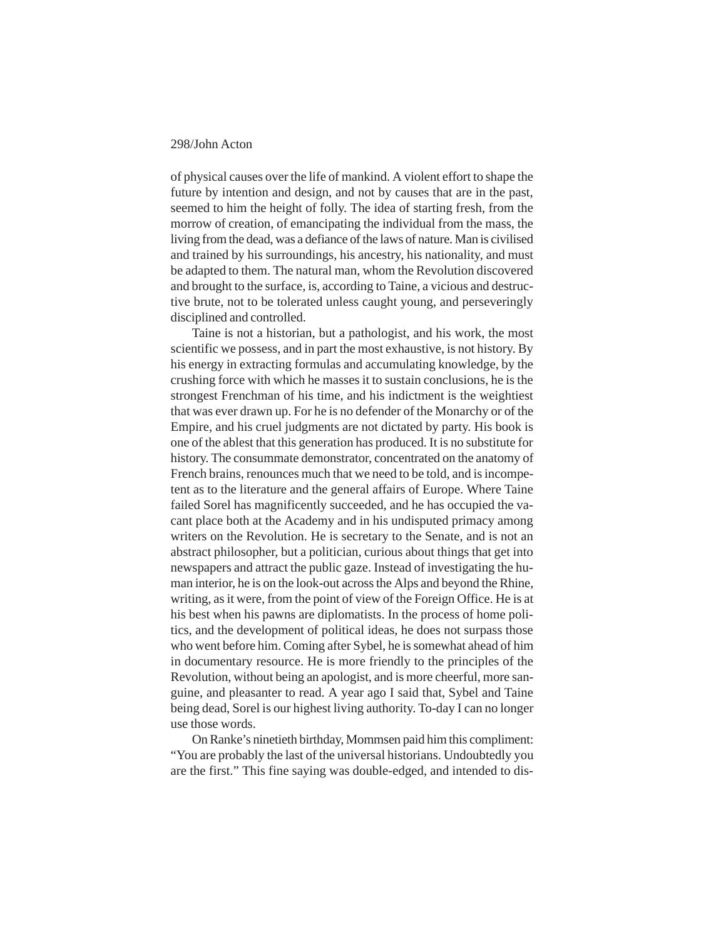of physical causes over the life of mankind. A violent effort to shape the future by intention and design, and not by causes that are in the past, seemed to him the height of folly. The idea of starting fresh, from the morrow of creation, of emancipating the individual from the mass, the living from the dead, was a defiance of the laws of nature. Man is civilised and trained by his surroundings, his ancestry, his nationality, and must be adapted to them. The natural man, whom the Revolution discovered and brought to the surface, is, according to Taine, a vicious and destructive brute, not to be tolerated unless caught young, and perseveringly disciplined and controlled.

Taine is not a historian, but a pathologist, and his work, the most scientific we possess, and in part the most exhaustive, is not history. By his energy in extracting formulas and accumulating knowledge, by the crushing force with which he masses it to sustain conclusions, he is the strongest Frenchman of his time, and his indictment is the weightiest that was ever drawn up. For he is no defender of the Monarchy or of the Empire, and his cruel judgments are not dictated by party. His book is one of the ablest that this generation has produced. It is no substitute for history. The consummate demonstrator, concentrated on the anatomy of French brains, renounces much that we need to be told, and is incompetent as to the literature and the general affairs of Europe. Where Taine failed Sorel has magnificently succeeded, and he has occupied the vacant place both at the Academy and in his undisputed primacy among writers on the Revolution. He is secretary to the Senate, and is not an abstract philosopher, but a politician, curious about things that get into newspapers and attract the public gaze. Instead of investigating the human interior, he is on the look-out across the Alps and beyond the Rhine, writing, as it were, from the point of view of the Foreign Office. He is at his best when his pawns are diplomatists. In the process of home politics, and the development of political ideas, he does not surpass those who went before him. Coming after Sybel, he is somewhat ahead of him in documentary resource. He is more friendly to the principles of the Revolution, without being an apologist, and is more cheerful, more sanguine, and pleasanter to read. A year ago I said that, Sybel and Taine being dead, Sorel is our highest living authority. To-day I can no longer use those words.

On Ranke's ninetieth birthday, Mommsen paid him this compliment: "You are probably the last of the universal historians. Undoubtedly you are the first." This fine saying was double-edged, and intended to dis-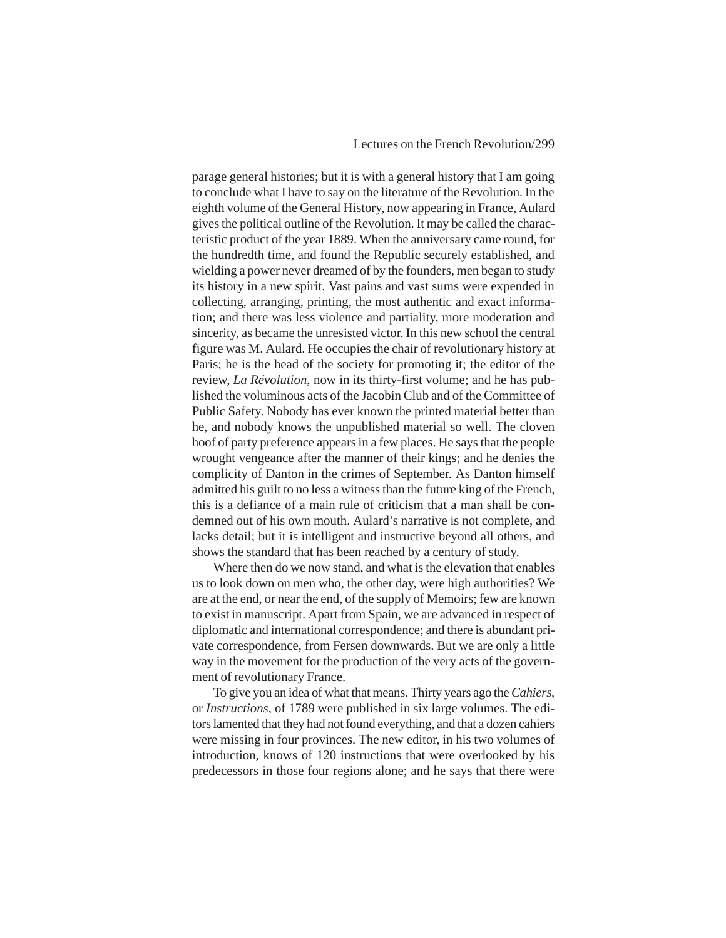# Lectures on the French Revolution/299

parage general histories; but it is with a general history that I am going to conclude what I have to say on the literature of the Revolution. In the eighth volume of the General History, now appearing in France, Aulard gives the political outline of the Revolution. It may be called the characteristic product of the year 1889. When the anniversary came round, for the hundredth time, and found the Republic securely established, and wielding a power never dreamed of by the founders, men began to study its history in a new spirit. Vast pains and vast sums were expended in collecting, arranging, printing, the most authentic and exact information; and there was less violence and partiality, more moderation and sincerity, as became the unresisted victor. In this new school the central figure was M. Aulard. He occupies the chair of revolutionary history at Paris; he is the head of the society for promoting it; the editor of the review, *La Révolution*, now in its thirty-first volume; and he has published the voluminous acts of the Jacobin Club and of the Committee of Public Safety. Nobody has ever known the printed material better than he, and nobody knows the unpublished material so well. The cloven hoof of party preference appears in a few places. He says that the people wrought vengeance after the manner of their kings; and he denies the complicity of Danton in the crimes of September. As Danton himself admitted his guilt to no less a witness than the future king of the French, this is a defiance of a main rule of criticism that a man shall be condemned out of his own mouth. Aulard's narrative is not complete, and lacks detail; but it is intelligent and instructive beyond all others, and shows the standard that has been reached by a century of study.

Where then do we now stand, and what is the elevation that enables us to look down on men who, the other day, were high authorities? We are at the end, or near the end, of the supply of Memoirs; few are known to exist in manuscript. Apart from Spain, we are advanced in respect of diplomatic and international correspondence; and there is abundant private correspondence, from Fersen downwards. But we are only a little way in the movement for the production of the very acts of the government of revolutionary France.

To give you an idea of what that means. Thirty years ago the *Cahiers*, or *Instructions*, of 1789 were published in six large volumes. The editors lamented that they had not found everything, and that a dozen cahiers were missing in four provinces. The new editor, in his two volumes of introduction, knows of 120 instructions that were overlooked by his predecessors in those four regions alone; and he says that there were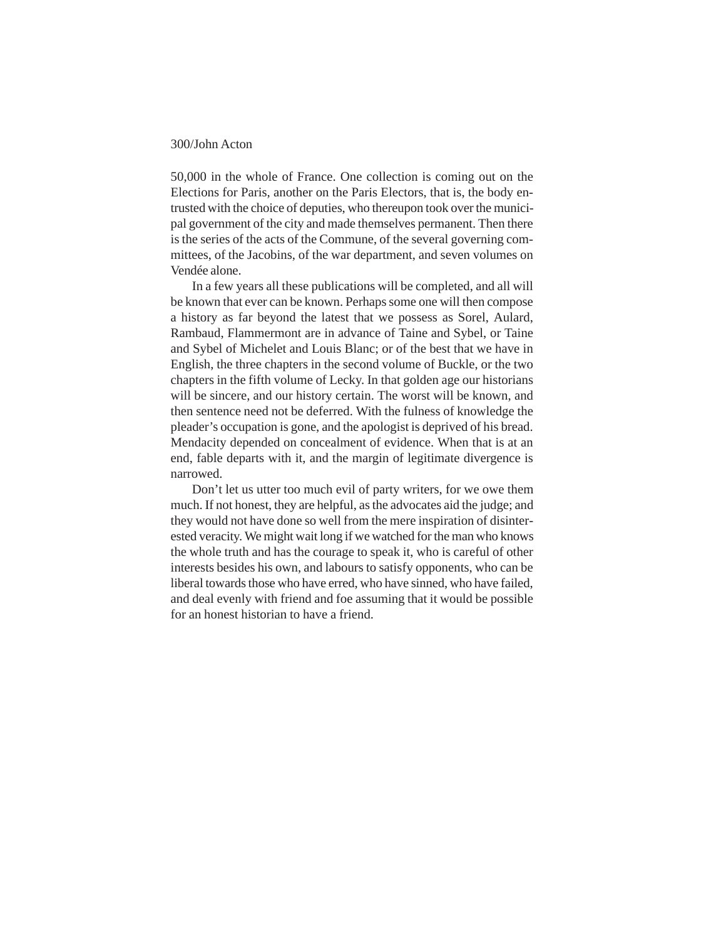50,000 in the whole of France. One collection is coming out on the Elections for Paris, another on the Paris Electors, that is, the body entrusted with the choice of deputies, who thereupon took over the municipal government of the city and made themselves permanent. Then there is the series of the acts of the Commune, of the several governing committees, of the Jacobins, of the war department, and seven volumes on Vendée alone.

In a few years all these publications will be completed, and all will be known that ever can be known. Perhaps some one will then compose a history as far beyond the latest that we possess as Sorel, Aulard, Rambaud, Flammermont are in advance of Taine and Sybel, or Taine and Sybel of Michelet and Louis Blanc; or of the best that we have in English, the three chapters in the second volume of Buckle, or the two chapters in the fifth volume of Lecky. In that golden age our historians will be sincere, and our history certain. The worst will be known, and then sentence need not be deferred. With the fulness of knowledge the pleader's occupation is gone, and the apologist is deprived of his bread. Mendacity depended on concealment of evidence. When that is at an end, fable departs with it, and the margin of legitimate divergence is narrowed.

Don't let us utter too much evil of party writers, for we owe them much. If not honest, they are helpful, as the advocates aid the judge; and they would not have done so well from the mere inspiration of disinterested veracity. We might wait long if we watched for the man who knows the whole truth and has the courage to speak it, who is careful of other interests besides his own, and labours to satisfy opponents, who can be liberal towards those who have erred, who have sinned, who have failed, and deal evenly with friend and foe assuming that it would be possible for an honest historian to have a friend.